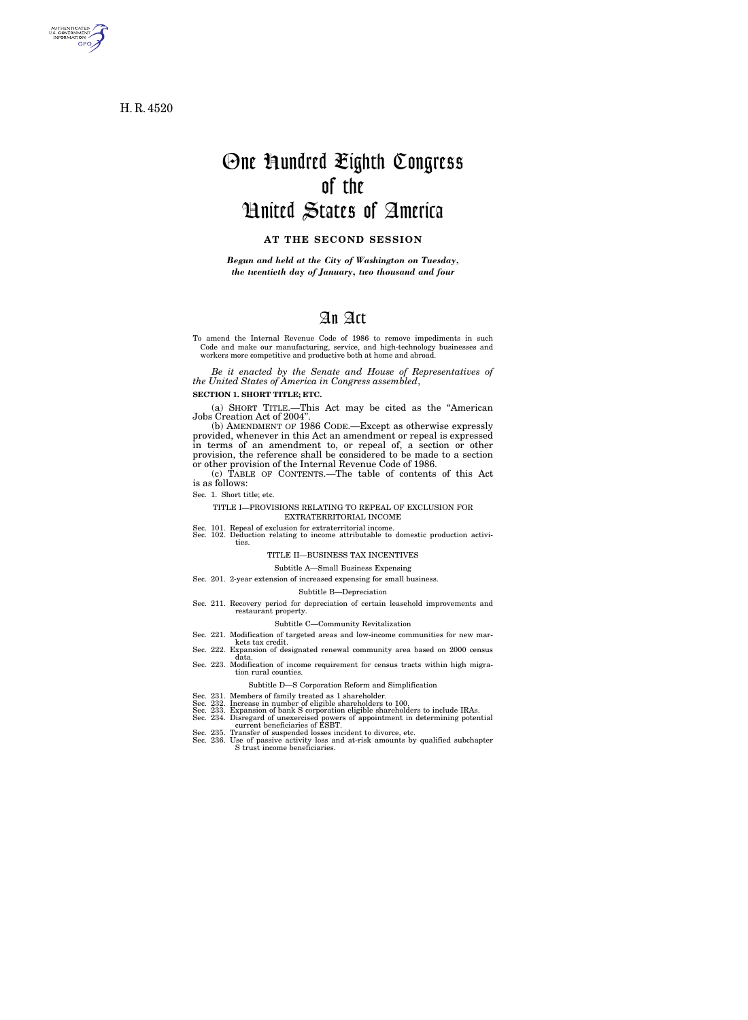# An Act

To amend the Internal Revenue Code of 1986 to remove impediments in such Code and make our manufacturing, service, and high-technology businesses and workers more competitive and productive both at home and abroad.

*Be it enacted by the Senate and House of Representatives of the United States of America in Congress assembled*,

#### **SECTION 1. SHORT TITLE; ETC.**

(a) SHORT TITLE.—This Act may be cited as the ''American Jobs Creation Act of 2004''.

(b) AMENDMENT OF 1986 CODE.—Except as otherwise expressly provided, whenever in this Act an amendment or repeal is expressed in terms of an amendment to, or repeal of, a section or other provision, the reference shall be considered to be made to a section or other provision of the Internal Revenue Code of 1986.

(c) TABLE OF CONTENTS.—The table of contents of this Act is as follows:

Sec. 1. Short title; etc.

#### TITLE I—PROVISIONS RELATING TO REPEAL OF EXCLUSION FOR EXTRATERRITORIAL INCOME

#### Sec. 101. Repeal of exclusion for extraterritorial income.

Sec. 102. Deduction relating to income attributable to domestic production activities.

#### TITLE II—BUSINESS TAX INCENTIVES

#### Subtitle A—Small Business Expensing

Sec. 201. 2-year extension of increased expensing for small business.

#### Subtitle B—Depreciation

Sec. 211. Recovery period for depreciation of certain leasehold improvements and restaurant property.

#### Subtitle C—Community Revitalization

- Sec. 221. Modification of targeted areas and low-income communities for new markets tax credit.
- Sec. 222. Expansion of designated renewal community area based on 2000 census data.
- Sec. 223. Modification of income requirement for census tracts within high migration rural counties.

#### Subtitle D—S Corporation Reform and Simplification

- Sec. 231. Members of family treated as 1 shareholder.
- Sec. 232. Increase in number of eligible shareholders to 100.
- 
- Sec. 233. Expansion of bank S corporation eligible shareholders to include IRAs. Sec. 234. Disregard of unexercised powers of appointment in determining potential current beneficiaries of ESBT.
- 
- Sec. 235. Transfer of suspended losses incident to divorce, etc.<br>Sec. 236. Use of passive activity loss and at-risk amounts by Use of passive activity loss and at-risk amounts by qualified subchapter S trust income beneficiaries.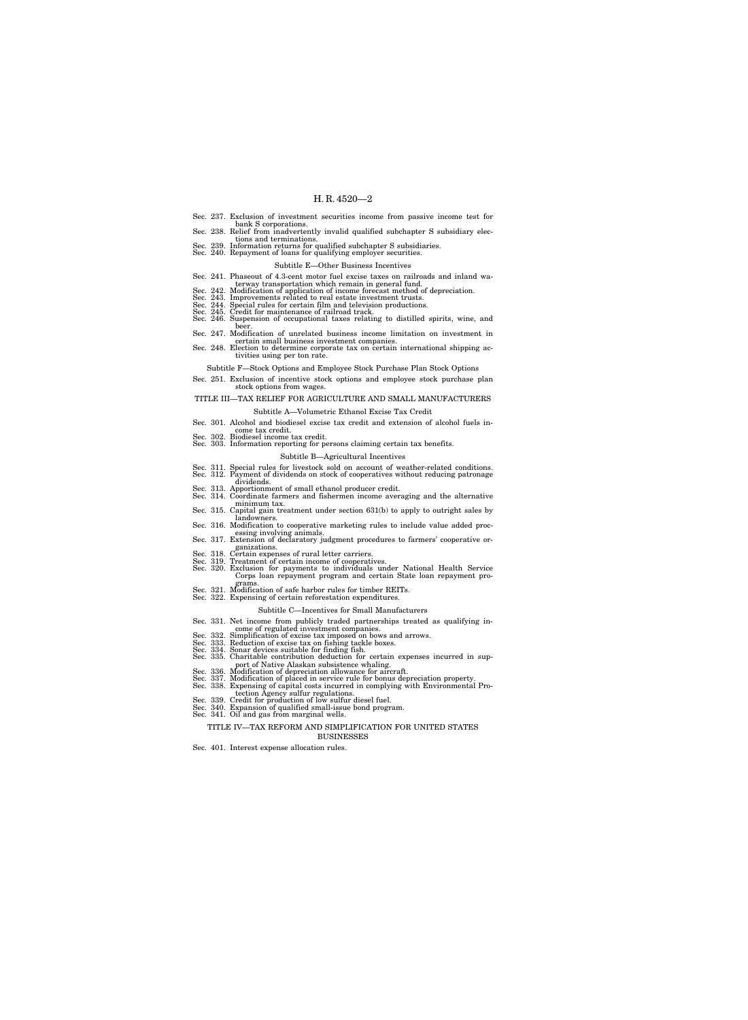Sec. 237. Exclusion of investment securities income from passive income test for bank S corporations. Sec. 238. Relief from inadvertently invalid qualified subchapter S subsidiary elections and terminations. Sec. 239. Information returns for qualified subchapter S subsidiaries. Sec. 240. Repayment of loans for qualifying employer securities. Subtitle E—Other Business Incentives Sec. 241. Phaseout of 4.3-cent motor fuel excise taxes on railroads and inland waterway transportation which remain in general fund.<br>Sec. 242. Modification of application of income forecast method of depreciation.<br>Sec. 243. Improvements related to real estate investment trusts.<br>Sec. 244. Special rules beer. Sec. 247. Modification of unrelated business income limitation on investment in certain small business investment companies. Sec. 248. Election to determine corporate tax on certain international shipping activities using per ton rate. Subtitle F—Stock Options and Employee Stock Purchase Plan Stock Options Sec. 251. Exclusion of incentive stock options and employee stock purchase plan stock options from wages. TITLE III—TAX RELIEF FOR AGRICULTURE AND SMALL MANUFACTURERS Subtitle A—Volumetric Ethanol Excise Tax Credit Sec. 301. Alcohol and biodiesel excise tax credit and extension of alcohol fuels income tax credit. Sec. 302. Biodiesel income tax credit. Sec. 303. Information reporting for persons claiming certain tax benefits. Subtitle B—Agricultural Incentives Sec. 311. Special rules for livestock sold on account of weather-related conditions. Sec. 312. Payment of dividends on stock of cooperatives without reducing patronage dividends. Sec. 313. Apportionment of small ethanol producer credit. Sec. 314. Coordinate farmers and fishermen income averaging and the alternative minimum tax. Sec. 315. Capital gain treatment under section 631(b) to apply to outright sales by landowners. Sec. 316. Modification to cooperative marketing rules to include value added processing involving animals. Sec. 317. Extension of declaratory judgment procedures to farmers' cooperative organizations.<br>Sec. 318. Certain expenses of rural letter carriers.<br>Sec. 319. Treatment of certain income of cooperatives.<br>Sec. 320. Exclusion for payments to individuals under National Health Service Corps loan repayment program and certain State loan repayment programs. Sec. 321. Modification of safe harbor rules for timber REITs. Sec. 322. Expensing of certain reforestation expenditures. Subtitle C—Incentives for Small Manufacturers Sec. 331. Net income from publicly traded partnerships treated as qualifying income of regulated investment companies.<br>Sec. 332. Simplification of excise tax imposed on bows and arrows.<br>Sec. 333. Reduction of excise tax on fishing tackle boxes.<br>Sec. 334. Sonar devices suitable for finding fish.<br>Sec. port of Native Alaskan subsistence whaling.<br>Sec. 336. Modification of depreciation allowance for aircraft.<br>Sec. 337. Modification of placed in service rule for bonus depreciation property.<br>Sec. 338. Expensing of capital co tection Agency sulfur regulations. Sec. 339. Credit for production of low sulfur diesel fuel. Sec. 340. Expansion of qualified small-issue bond program. Sec. 341. Oil and gas from marginal wells. TITLE IV—TAX REFORM AND SIMPLIFICATION FOR UNITED STATES BUSINESSES

Sec. 401. Interest expense allocation rules.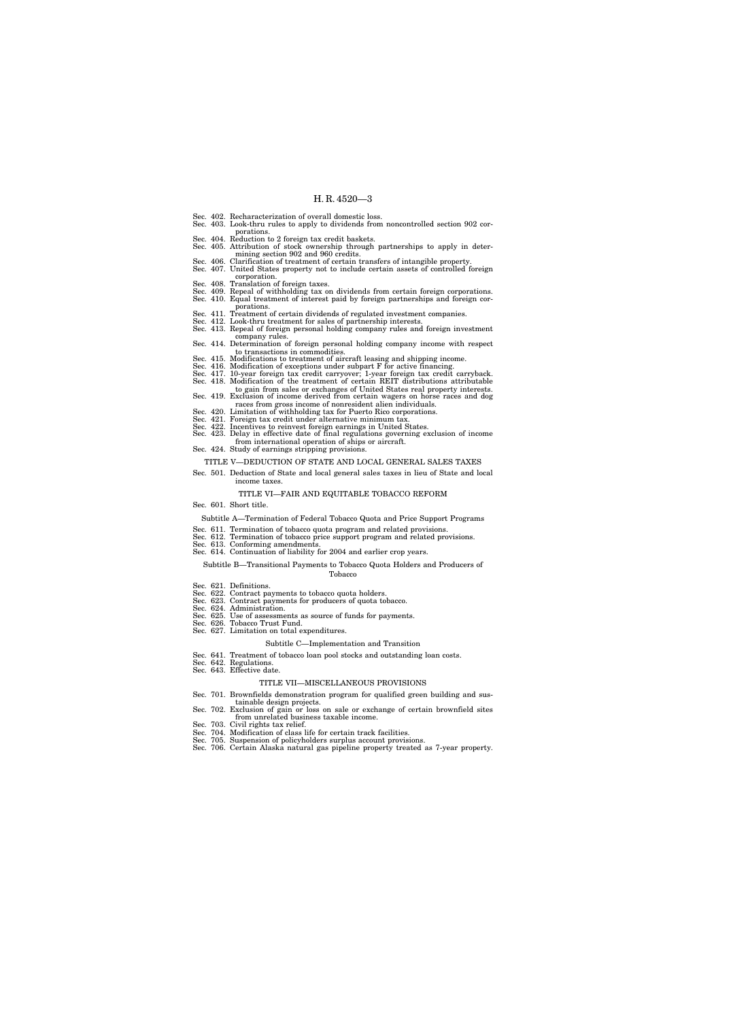- Sec. 402. Recharacterization of overall domestic loss. Sec. 403. Look-thru rules to apply to dividends from noncontrolled section 902 cor-
- porations. Sec. 404. Reduction to 2 foreign tax credit baskets.
- Sec. 405. Attribution of stock ownership through partnerships to apply in deter-
- mining section 902 and 960 credits. Sec. 406. Clarification of treatment of certain transfers of intangible property. Sec. 407. United States property not to include certain assets of controlled foreign
- corporation.
- 
- Sec. 408. Translation of foreign taxes. Sec. 409. Repeal of withholding tax on dividends from certain foreign corporations. Sec. 410. Equal treatment of interest paid by foreign partnerships and foreign cor-
- porations. Sec. 411. Treatment of certain dividends of regulated investment companies.
- Sec. 412. Look-thru treatment for sales of partnership interests. Sec. 413. Repeal of foreign personal holding company rules and foreign investment
- company rules. Sec. 414. Determination of foreign personal holding company income with respect
- to transactions in commodities.
- 
- 
- Sec. 415. Modifications to treatment of aircraft leasing and shipping income.<br>Sec. 416. Modification of exceptions under subpart F for active financing.<br>Sec. 417. 10-year foreign tax credit carryover; 1-year foreign tax cr
- to gain from sales or exchanges of United States real property interests. Sec. 419. Exclusion of income derived from certain wagers on horse races and dog
- races from gross income of nonresident alien individuals. Sec. 420. Limitation of withholding tax for Puerto Rico corporations. Sec. 421. Foreign tax credit under alternative minimum tax.
- 
- Sec. 422. Incentives to reinvest foreign earnings in United States. Sec. 423. Delay in effective date of final regulations governing exclusion of income
- from international operation of ships or aircraft. Sec. 424. Study of earnings stripping provisions.
- - TITLE V—DEDUCTION OF STATE AND LOCAL GENERAL SALES TAXES
- Sec. 501. Deduction of State and local general sales taxes in lieu of State and local income taxes.

#### TITLE VI—FAIR AND EQUITABLE TOBACCO REFORM

#### Sec. 601. Short title.

Subtitle A—Termination of Federal Tobacco Quota and Price Support Programs

- Sec. 611. Termination of tobacco quota program and related provisions.
- Sec. 612. Termination of tobacco price support program and related provisions. Sec. 613. Conforming amendments.
- 
- Sec. 614. Continuation of liability for 2004 and earlier crop years.

#### Subtitle B—Transitional Payments to Tobacco Quota Holders and Producers of Tobacco

- 
- Sec. 621. Definitions. Sec. 622. Contract payments to tobacco quota holders. Sec. 623. Contract payments for producers of quota tobacco.
- 
- Sec. 624. Administration. Sec. 625. Use of assessments as source of funds for payments. Sec. 626. Tobacco Trust Fund.
- 
- Sec. 627. Limitation on total expenditures.

#### Subtitle C—Implementation and Transition

- Sec. 641. Treatment of tobacco loan pool stocks and outstanding loan costs.
- Sec. 642. Regulations. Sec. 643. Effective date.

#### TITLE VII—MISCELLANEOUS PROVISIONS

- Sec. 701. Brownfields demonstration program for qualified green building and sus-
- tainable design projects. Sec. 702. Exclusion of gain or loss on sale or exchange of certain brownfield sites
- from unrelated business taxable income.
- Sec. 703. Civil rights tax relief.
- Sec. 704. Modification of class life for certain track facilities. Sec. 705. Suspension of policyholders surplus account provisions.
- Sec. 706. Certain Alaska natural gas pipeline property treated as 7-year property.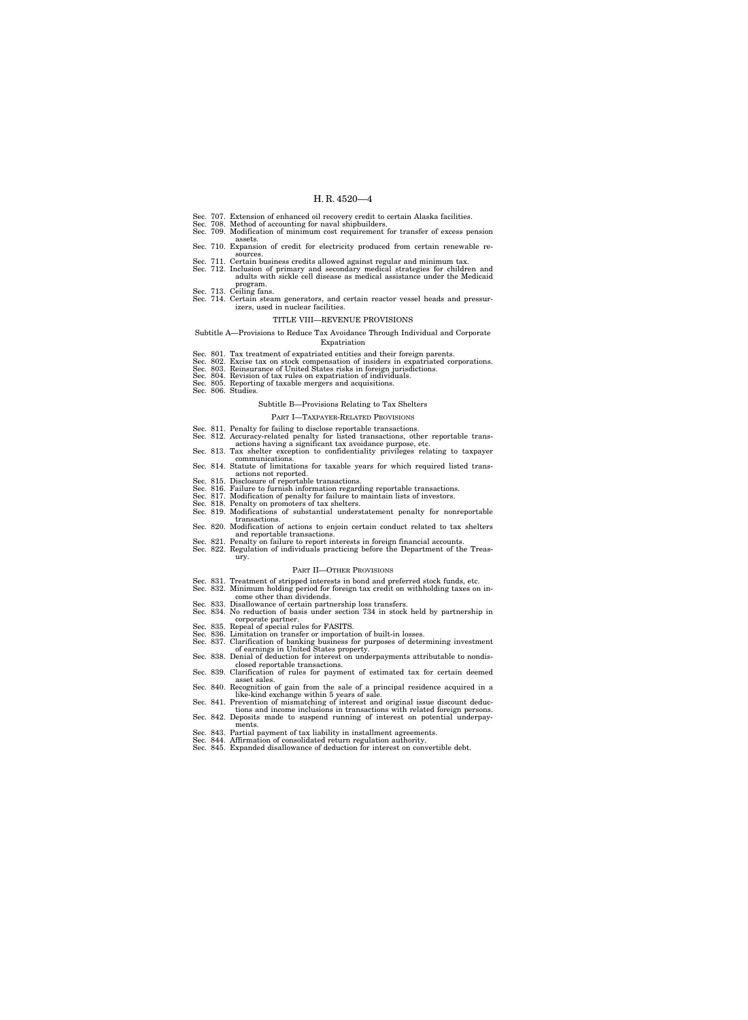- Sec. 707. Extension of enhanced oil recovery credit to certain Alaska facilities. Sec. 708. Method of accounting for naval shipbuilders.
- Sec. 709. Modification of minimum cost requirement for transfer of excess pension
- assets. Sec. 710. Expansion of credit for electricity produced from certain renewable re-
- sources.<br>Sec. 711. Certain business credits allowed against regular and minimum tax.
- Sec. 712. Inclusion of primary and secondary medical strategies for children and adults with sickle cell disease as medical assistance under the Medicaid
- program. Sec. 713. Ceiling fans.
- Sec. 714. Certain steam generators, and certain reactor vessel heads and pressurizers, used in nuclear facilities.

#### TITLE VIII—REVENUE PROVISIONS

#### Subtitle A—Provisions to Reduce Tax Avoidance Through Individual and Corporate Expatriation

- Sec. 801. Tax treatment of expatriated entities and their foreign parents.
- Sec. 802. Excise tax on stock compensation of insiders in expatriated corporations. Sec. 803. Reinsurance of United States risks in foreign jurisdictions.
- Sec. 804. Revision of tax rules on expatriation of individuals.
- Sec. 805. Reporting of taxable mergers and acquisitions.
- Sec. 806. Studies.

#### Subtitle B—Provisions Relating to Tax Shelters

- PART I—TAXPAYER-RELATED PROVISIONS
- 
- Sec. 811. Penalty for failing to disclose reportable transactions. Sec. 812. Accuracy-related penalty for listed transactions, other reportable transactions having a significant tax avoidance purpose, etc. Sec. 813. Tax shelter exception to confidentiality privileges relating to taxpayer
- communications.
- Sec. 814. Statute of limitations for taxable years for which required listed transactions not reported.
- Sec. 815. Disclosure of reportable transactions.
- Sec. 816. Failure to furnish information regarding reportable transactions. Sec. 817. Modification of penalty for failure to maintain lists of investors.
- Sec. 818. Penalty on promoters of tax shelters.
- Sec. 819. Modifications of substantial understatement penalty for nonreportable transactions.
- Sec. 820. Modification of actions to enjoin certain conduct related to tax shelters and reportable transactions. Sec. 821. Penalty on failure to report interests in foreign financial accounts.
- Sec. 822. Regulation of individuals practicing before the Department of the Treasury.

#### PART II—OTHER PROVISIONS

- Sec. 831. Treatment of stripped interests in bond and preferred stock funds, etc.
- Sec. 832. Minimum holding period for foreign tax credit on withholding taxes on income other than dividends.
- Sec. 833. Disallowance of certain partnership loss transfers.
- Sec. 834. No reduction of basis under section 734 in stock held by partnership in corporate partner.
- Sec. 835. Repeal of special rules for FASITS.
- Sec. 836. Limitation on transfer or importation of built-in losses. Sec. 837. Clarification of banking business for purposes of determining investment of earnings in United States property.
- Sec. 838. Denial of deduction for interest on underpayments attributable to nondisclosed reportable transactions.
- Sec. 839. Clarification of rules for payment of estimated tax for certain deemed asset sales.
- Sec. 840. Recognition of gain from the sale of a principal residence acquired in a like-kind exchange within 5 years of sale.
- Sec. 841. Prevention of mismatching of interest and original issue discount deductions and income inclusions in transactions with related foreign persons. Sec. 842. Deposits made to suspend running of interest on potential underpayments.
- Sec. 843. Partial payment of tax liability in installment agreements.
- Sec. 844. Affirmation of consolidated return regulation authority.
- Sec. 845. Expanded disallowance of deduction for interest on convertible debt.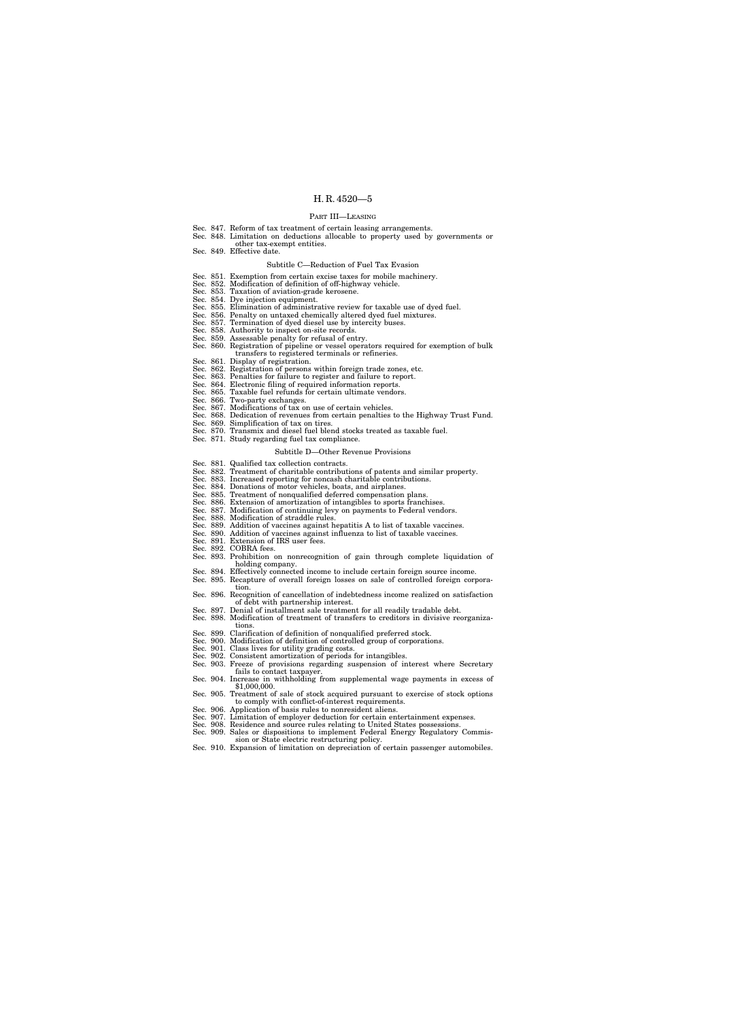#### PART III—LEASING

- Sec. 847. Reform of tax treatment of certain leasing arrangements.
- Sec. 848. Limitation on deductions allocable to property used by governments or
- other tax-exempt entities. Sec. 849. Effective date.

## Subtitle C—Reduction of Fuel Tax Evasion

- Sec. 851. Exemption from certain excise taxes for mobile machinery.
- Sec. 852. Modification of definition of off-highway vehicle. Sec. 853. Taxation of aviation-grade kerosene.
- Sec. 854. Dye injection equipment.
- Sec. 855. Elimination of administrative review for taxable use of dyed fuel.
- Sec. 856. Penalty on untaxed chemically altered dyed fuel mixtures.
- Sec. 857. Termination of dyed diesel use by intercity buses.
- Sec. 858. Authority to inspect on-site records.
- Sec. 859. Assessable penalty for refusal of entry. Sec. 860. Registration of pipeline or vessel operators required for exemption of bulk
- transfers to registered terminals or refineries. Sec. 861. Display of registration.
- 
- Sec. 862. Registration of persons within foreign trade zones, etc. Sec. 863. Penalties for failure to register and failure to report.
- Sec. 864. Electronic filing of required information reports.
- Sec. 865. Taxable fuel refunds for certain ultimate vendors.
- Sec. 866. Two-party exchanges.
- Sec. 867. Modifications of tax on use of certain vehicles.
- Sec. 868. Dedication of revenues from certain penalties to the Highway Trust Fund. Sec. 869. Simplification of tax on tires.
- Sec. 870. Transmix and diesel fuel blend stocks treated as taxable fuel.
- Sec. 871. Study regarding fuel tax compliance.

#### Subtitle D—Other Revenue Provisions

- Sec. 881. Qualified tax collection contracts.
- Sec. 882. Treatment of charitable contributions of patents and similar property. Sec. 883. Increased reporting for noncash charitable contributions.
- Sec. 884. Donations of motor vehicles, boats, and airplanes.
- Sec. 885. Treatment of nonqualified deferred compensation plans.
- Sec. 886. Extension of amortization of intangibles to sports franchises.
- Sec. 887. Modification of continuing levy on payments to Federal vendors.
- Sec. 888. Modification of straddle rules.
- Sec. 889. Addition of vaccines against hepatitis A to list of taxable vaccines.
- Sec. 890. Addition of vaccines against influenza to list of taxable vaccines.
- Sec. 891. Extension of IRS user fees. Sec. 892. COBRA fees.
- Sec. 893. Prohibition on nonrecognition of gain through complete liquidation of holding company.
- Sec. 894. Effectively connected income to include certain foreign source income. Sec. 895. Recapture of overall foreign losses on sale of controlled foreign corporation.
- Sec. 896. Recognition of cancellation of indebtedness income realized on satisfaction
- of debt with partnership interest. Sec. 897. Denial of installment sale treatment for all readily tradable debt.
- Sec. 898. Modification of treatment of transfers to creditors in divisive reorganizations.
- Sec. 899. Clarification of definition of nonqualified preferred stock.
- Sec. 900. Modification of definition of controlled group of corporations.
- Sec. 901. Class lives for utility grading costs.
- Sec. 902. Consistent amortization of periods for intangibles. Sec. 903. Freeze of provisions regarding suspension of interest where Secretary fails to contact taxpayer.
- Sec. 904. Increase in withholding from supplemental wage payments in excess of \$1,000,000.
- Sec. 905. Treatment of sale of stock acquired pursuant to exercise of stock options to comply with conflict-of-interest requirements. Sec. 906. Application of basis rules to nonresident aliens.
- Sec. 907. Limitation of employer deduction for certain entertainment expenses.
- Sec. 908. Residence and source rules relating to United States possessions.
- Sec. 909. Sales or dispositions to implement Federal Energy Regulatory Commis-
- sion or State electric restructuring policy. Sec. 910. Expansion of limitation on depreciation of certain passenger automobiles.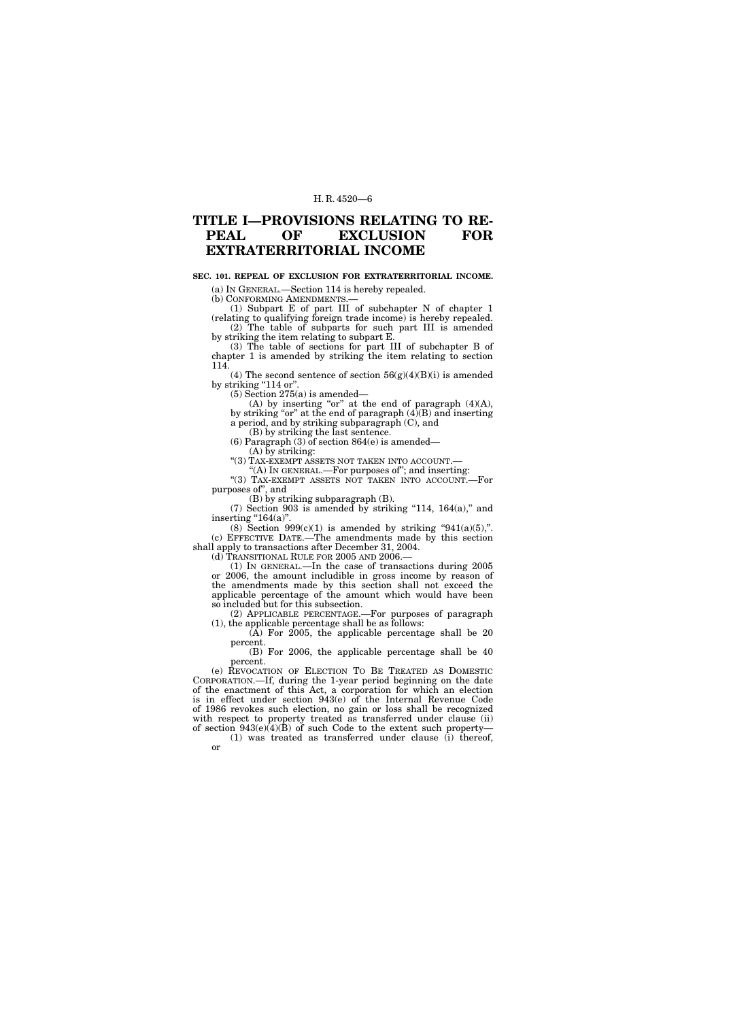# **TITLE I—PROVISIONS RELATING TO RE-PEAL OF EXCLUSION FOR EXTRATERRITORIAL INCOME**

## **SEC. 101. REPEAL OF EXCLUSION FOR EXTRATERRITORIAL INCOME.**

(a) IN GENERAL.—Section 114 is hereby repealed.

(b) CONFORMING AMENDMENTS.

(1) Subpart E of part III of subchapter N of chapter 1 (relating to qualifying foreign trade income) is hereby repealed. (2) The table of subparts for such part III is amended by striking the item relating to subpart E.

(3) The table of sections for part III of subchapter B of chapter 1 is amended by striking the item relating to section 114.

(4) The second sentence of section  $56(g)(4)(B)(i)$  is amended by striking "114 or".

(5) Section 275(a) is amended—

(A) by inserting "or" at the end of paragraph  $(4)(A)$ , by striking "or" at the end of paragraph  $(4)(B)$  and inserting a period, and by striking subparagraph (C), and

(B) by striking the last sentence. (6) Paragraph (3) of section 864(e) is amended—

(A) by striking:

''(3) TAX-EXEMPT ASSETS NOT TAKEN INTO ACCOUNT.—

''(A) IN GENERAL.—For purposes of''; and inserting:

''(3) TAX-EXEMPT ASSETS NOT TAKEN INTO ACCOUNT.—For purposes of'', and

(B) by striking subparagraph (B).

 $(7)$  Section 903 is amended by striking "114, 164 $(a)$ ," and inserting " $164(a)$ ".

(8) Section  $999(c)(1)$  is amended by striking " $941(a)(5)$ ,". (c) EFFECTIVE DATE.—The amendments made by this section shall apply to transactions after December 31, 2004.

(d) TRANSITIONAL RULE FOR 2005 AND 2006.—

(1) IN GENERAL.—In the case of transactions during 2005 or 2006, the amount includible in gross income by reason of the amendments made by this section shall not exceed the applicable percentage of the amount which would have been so included but for this subsection.

(2) APPLICABLE PERCENTAGE.—For purposes of paragraph (1), the applicable percentage shall be as follows:  $(\overline{A})$  For 2005, the applicable percentage shall be 20

percent. (B) For 2006, the applicable percentage shall be 40

percent. (e) REVOCATION OF ELECTION TO BE TREATED AS DOMESTIC CORPORATION.—If, during the 1-year period beginning on the date of the enactment of this Act, a corporation for which an election is in effect under section 943(e) of the Internal Revenue Code of 1986 revokes such election, no gain or loss shall be recognized with respect to property treated as transferred under clause (ii) of section  $943(e)(4)(B)$  of such Code to the extent such property— (1) was treated as transferred under clause (i) thereof,

or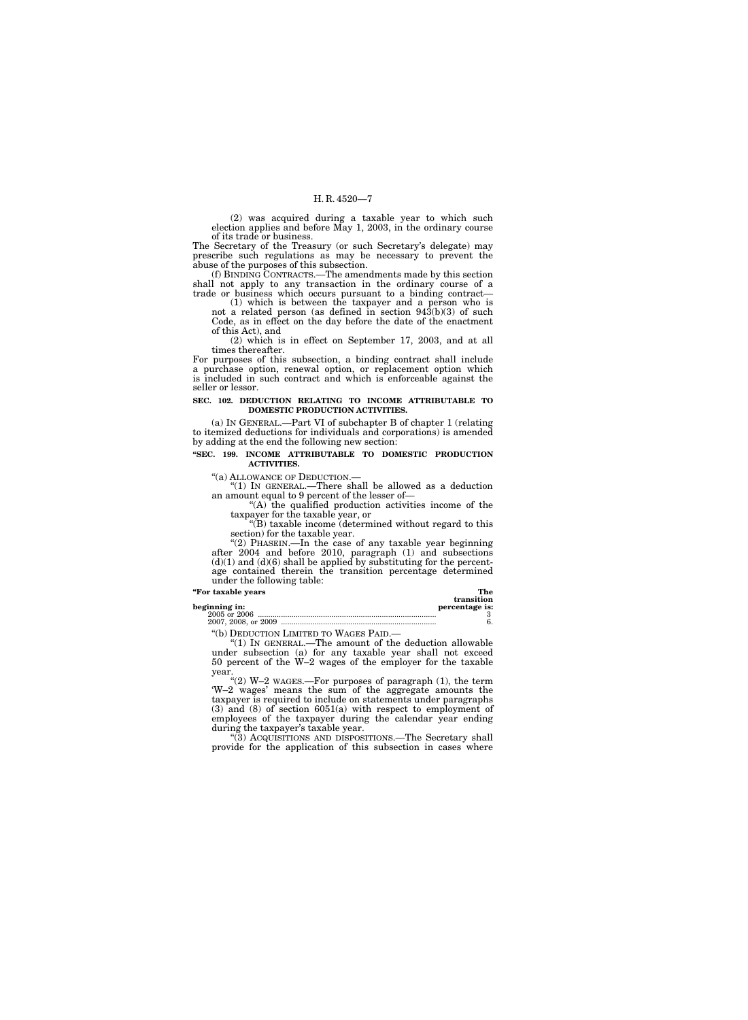(2) was acquired during a taxable year to which such election applies and before May 1, 2003, in the ordinary course of its trade or business.

The Secretary of the Treasury (or such Secretary's delegate) may prescribe such regulations as may be necessary to prevent the abuse of the purposes of this subsection.

(f) BINDING CONTRACTS.—The amendments made by this section shall not apply to any transaction in the ordinary course of a trade or business which occurs pursuant to a binding contract—

(1) which is between the taxpayer and a person who is not a related person (as defined in section 943(b)(3) of such Code, as in effect on the day before the date of the enactment of this Act), and

(2) which is in effect on September 17, 2003, and at all times thereafter.

For purposes of this subsection, a binding contract shall include a purchase option, renewal option, or replacement option which is included in such contract and which is enforceable against the seller or lessor.

#### **SEC. 102. DEDUCTION RELATING TO INCOME ATTRIBUTABLE TO DOMESTIC PRODUCTION ACTIVITIES.**

(a) IN GENERAL.—Part VI of subchapter B of chapter 1 (relating to itemized deductions for individuals and corporations) is amended by adding at the end the following new section:

#### **''SEC. 199. INCOME ATTRIBUTABLE TO DOMESTIC PRODUCTION ACTIVITIES.**

"(a) ALLOWANCE OF DEDUCTION.—<br>"(1) IN GENERAL.—There shall be allowed as a deduction<br>an amount equal to 9 percent of the lesser of—

"(A) the qualified production activities income of the taxpayer for the taxable year, or

 $f(B)$  taxable income (determined without regard to this section) for the taxable year.

''(2) PHASEIN.—In the case of any taxable year beginning after 2004 and before 2010, paragraph (1) and subsections  $(d)(1)$  and  $(d)(6)$  shall be applied by substituting for the percentage contained therein the transition percentage determined under the following table:

| "For taxable years | The |  |
|--------------------|-----|--|
|                    |     |  |

**transition beginning in: percentage is:**

| beginning in:                          | .<br>percentage is: |
|----------------------------------------|---------------------|
|                                        |                     |
|                                        | 6.                  |
| "(b) DEDUCTION LIMITED TO WAGES PAID.— |                     |

''(1) IN GENERAL.—The amount of the deduction allowable under subsection (a) for any taxable year shall not exceed 50 percent of the W–2 wages of the employer for the taxable year.

"(2) W-2 WAGES.—For purposes of paragraph (1), the term 'W–2 wages' means the sum of the aggregate amounts the taxpayer is required to include on statements under paragraphs (3) and (8) of section 6051(a) with respect to employment of employees of the taxpayer during the calendar year ending during the taxpayer's taxable year.

''(3) ACQUISITIONS AND DISPOSITIONS.—The Secretary shall provide for the application of this subsection in cases where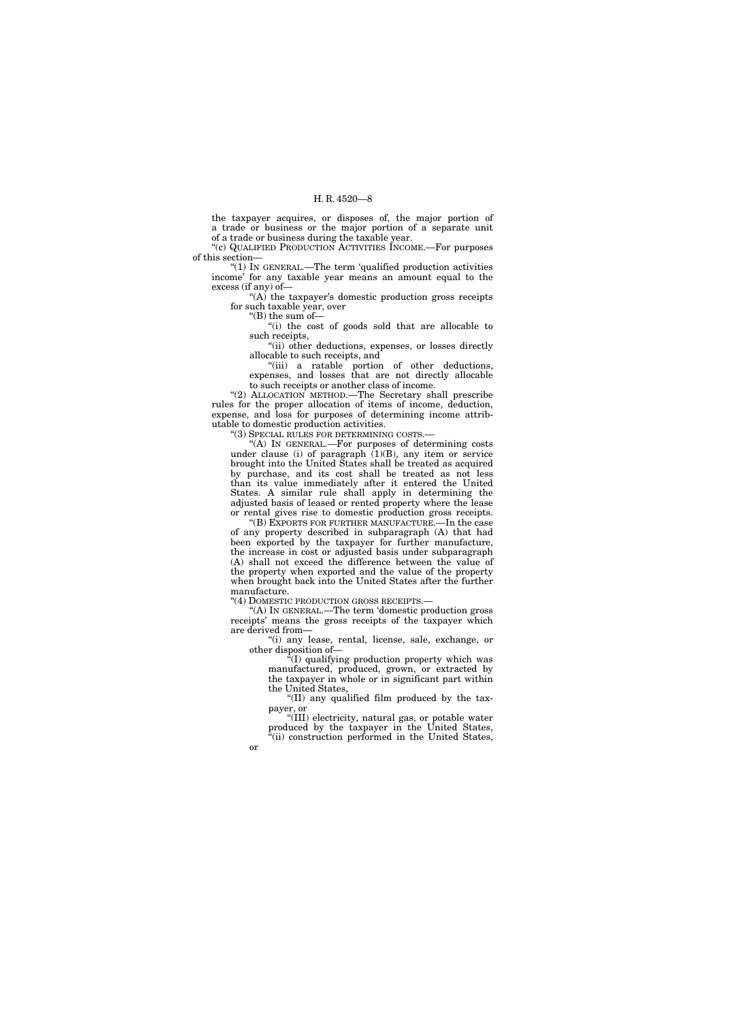the taxpayer acquires, or disposes of, the major portion of a trade or business or the major portion of a separate unit of a trade or business during the taxable year.

''(c) QUALIFIED PRODUCTION ACTIVITIES INCOME.—For purposes of this section—

''(1) IN GENERAL.—The term 'qualified production activities income' for any taxable year means an amount equal to the excess (if any) of—

''(A) the taxpayer's domestic production gross receipts for such taxable year, over

''(B) the sum of—

''(i) the cost of goods sold that are allocable to such receipts,

''(ii) other deductions, expenses, or losses directly allocable to such receipts, and

''(iii) a ratable portion of other deductions, expenses, and losses that are not directly allocable to such receipts or another class of income.

"(2) ALLOCATION METHOD.—The Secretary shall prescribe rules for the proper allocation of items of income, deduction, expense, and loss for purposes of determining income attributable to domestic production activities.

''(3) SPECIAL RULES FOR DETERMINING COSTS.—

''(A) IN GENERAL.—For purposes of determining costs under clause (i) of paragraph  $(1)(B)$ , any item or service brought into the United States shall be treated as acquired by purchase, and its cost shall be treated as not less than its value immediately after it entered the United States. A similar rule shall apply in determining the adjusted basis of leased or rented property where the lease or rental gives rise to domestic production gross receipts.

''(B) EXPORTS FOR FURTHER MANUFACTURE.—In the case of any property described in subparagraph (A) that had been exported by the taxpayer for further manufacture, the increase in cost or adjusted basis under subparagraph (A) shall not exceed the difference between the value of the property when exported and the value of the property when brought back into the United States after the further manufacture.

''(4) DOMESTIC PRODUCTION GROSS RECEIPTS.—

''(A) IN GENERAL.—The term 'domestic production gross receipts' means the gross receipts of the taxpayer which are derived from—

''(i) any lease, rental, license, sale, exchange, or other disposition of—

 $\tilde{f}(I)$  qualifying production property which was manufactured, produced, grown, or extracted by the taxpayer in whole or in significant part within the United States,

''(II) any qualified film produced by the taxpayer, or

''(III) electricity, natural gas, or potable water produced by the taxpayer in the United States,  $\mathcal{F}$ (ii) construction performed in the United States,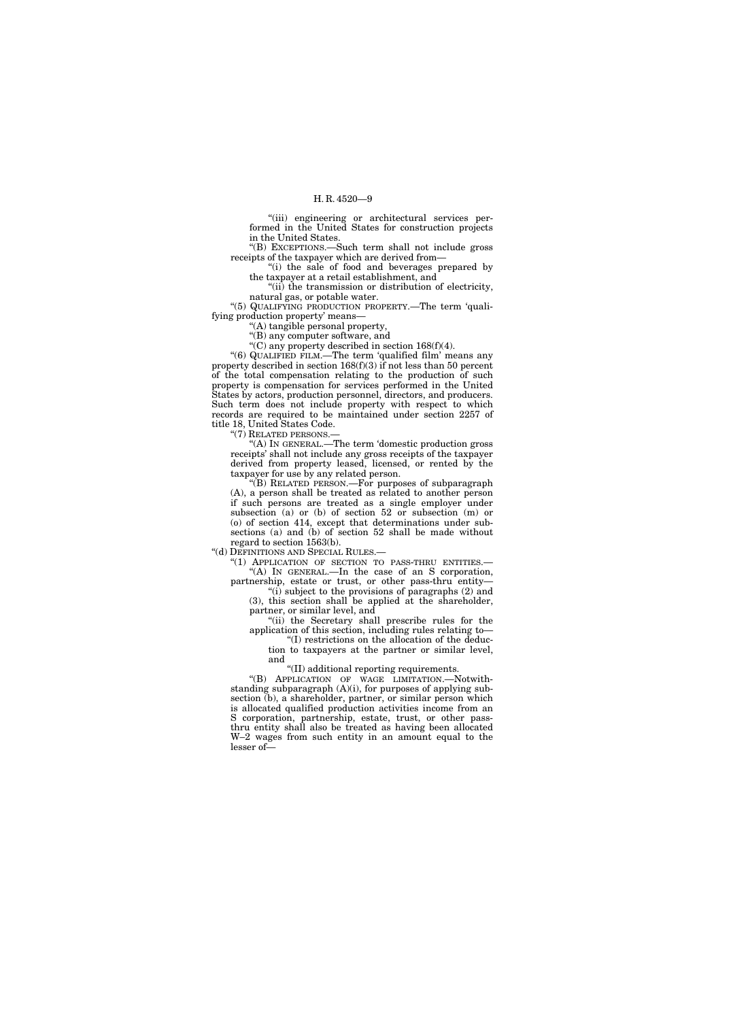''(iii) engineering or architectural services performed in the United States for construction projects in the United States.

''(B) EXCEPTIONS.—Such term shall not include gross receipts of the taxpayer which are derived from—

''(i) the sale of food and beverages prepared by the taxpayer at a retail establishment, and

''(ii) the transmission or distribution of electricity, natural gas, or potable water.

''(5) QUALIFYING PRODUCTION PROPERTY.—The term 'qualifying production property' means—

''(A) tangible personal property,

''(B) any computer software, and

 $C$ ) any property described in section 168 $(f)(4)$ . ''(6) QUALIFIED FILM.—The term 'qualified film' means any property described in section 168(f)(3) if not less than 50 percent of the total compensation relating to the production of such property is compensation for services performed in the United States by actors, production personnel, directors, and producers. Such term does not include property with respect to which records are required to be maintained under section 2257 of title 18, United States Code.

''(7) RELATED PERSONS.—

''(A) IN GENERAL.—The term 'domestic production gross receipts' shall not include any gross receipts of the taxpayer derived from property leased, licensed, or rented by the taxpayer for use by any related person.

''(B) RELATED PERSON.—For purposes of subparagraph (A), a person shall be treated as related to another person if such persons are treated as a single employer under subsection (a) or (b) of section 52 or subsection (m) or (o) of section 414, except that determinations under subsections (a) and (b) of section 52 shall be made without regard to section 1563(b).

''(d) DEFINITIONS AND SPECIAL RULES.—

"(1) APPLICATION OF SECTION TO PASS-THRU ENTITIES.-''(A) IN GENERAL.—In the case of an S corporation, partnership, estate or trust, or other pass-thru entity—

" $(i)$  subject to the provisions of paragraphs  $(2)$  and (3), this section shall be applied at the shareholder, partner, or similar level, and

"(ii) the Secretary shall prescribe rules for the application of this section, including rules relating to—

''(I) restrictions on the allocation of the deduction to taxpayers at the partner or similar level, and

''(II) additional reporting requirements.

''(B) APPLICATION OF WAGE LIMITATION.—Notwithstanding subparagraph (A)(i), for purposes of applying subsection (b), a shareholder, partner, or similar person which is allocated qualified production activities income from an S corporation, partnership, estate, trust, or other passthru entity shall also be treated as having been allocated W–2 wages from such entity in an amount equal to the lesser of—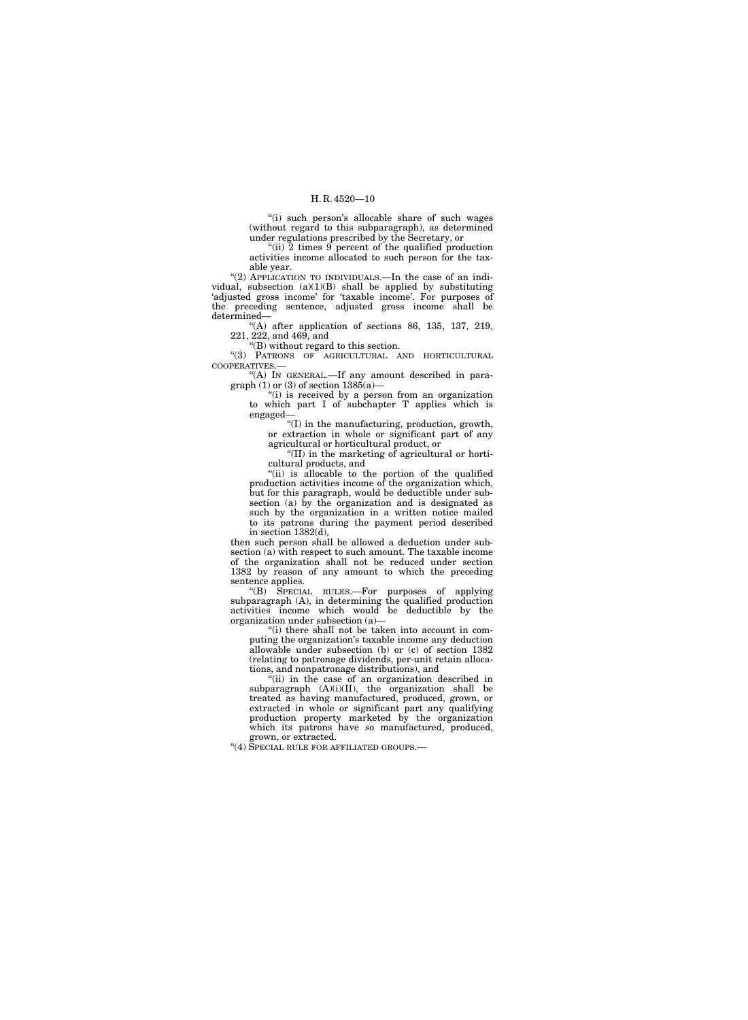''(i) such person's allocable share of such wages (without regard to this subparagraph), as determined under regulations prescribed by the Secretary, or

"(ii)  $\overline{2}$  times  $\overline{9}$  percent of the qualified production activities income allocated to such person for the taxable year.

"(2) APPLICATION TO INDIVIDUALS.—In the case of an individual, subsection  $(a)(1)(B)$  shall be applied by substituting 'adjusted gross income' for 'taxable income'. For purposes of the preceding sentence, adjusted gross income shall be determined—

''(A) after application of sections 86, 135, 137, 219, 221, 222, and 469, and

''(B) without regard to this section.

''(3) PATRONS OF AGRICULTURAL AND HORTICULTURAL COOPERATIVES.—

"(A) IN GENERAL.—If any amount described in paragraph  $(1)$  or  $(3)$  of section 1385 $(a)$ 

"(i) is received by a person from an organization to which part I of subchapter T applies which is engaged—

''(I) in the manufacturing, production, growth, or extraction in whole or significant part of any agricultural or horticultural product, or

''(II) in the marketing of agricultural or horticultural products, and

''(ii) is allocable to the portion of the qualified production activities income of the organization which, but for this paragraph, would be deductible under subsection (a) by the organization and is designated as such by the organization in a written notice mailed to its patrons during the payment period described in section 1382(d),

then such person shall be allowed a deduction under subsection (a) with respect to such amount. The taxable income of the organization shall not be reduced under section 1382 by reason of any amount to which the preceding sentence applies.

''(B) SPECIAL RULES.—For purposes of applying subparagraph (A), in determining the qualified production activities income which would be deductible by the organization under subsection (a)—

''(i) there shall not be taken into account in computing the organization's taxable income any deduction allowable under subsection (b) or (c) of section 1382 (relating to patronage dividends, per-unit retain allocations, and nonpatronage distributions), and

"(ii) in the case of an organization described in subparagraph  $(A)(i)(II)$ , the organization shall be treated as having manufactured, produced, grown, or extracted in whole or significant part any qualifying production property marketed by the organization which its patrons have so manufactured, produced, grown, or extracted.

''(4) SPECIAL RULE FOR AFFILIATED GROUPS.—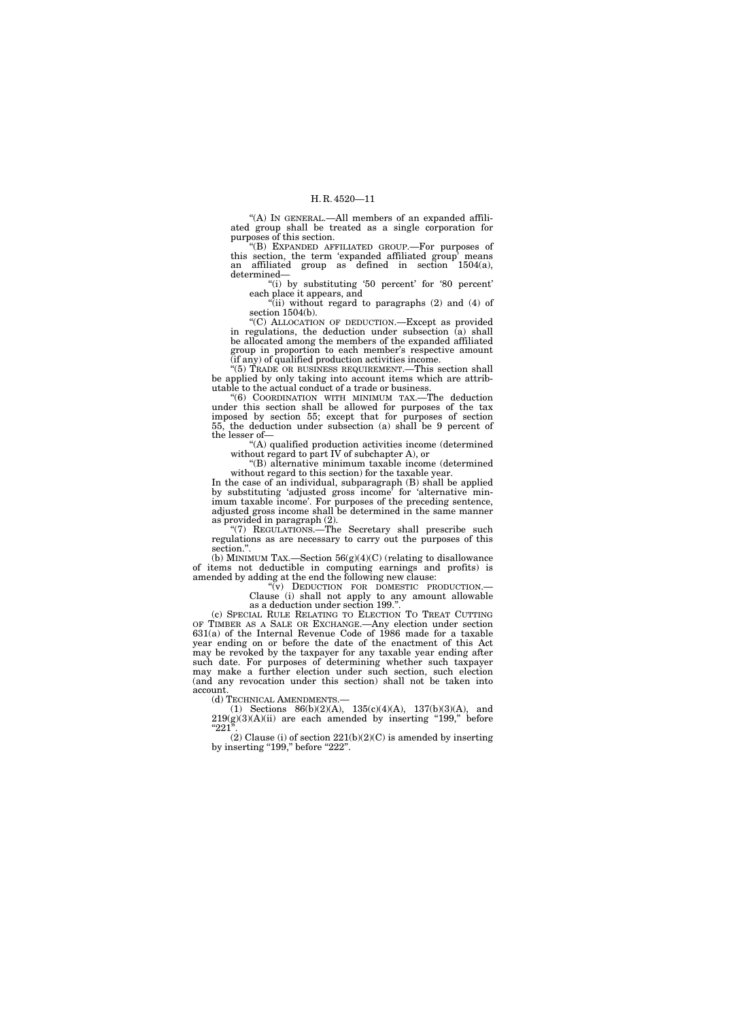''(A) IN GENERAL.—All members of an expanded affiliated group shall be treated as a single corporation for purposes of this section.

''(B) EXPANDED AFFILIATED GROUP.—For purposes of this section, the term 'expanded affiliated group' means an affiliated group as defined in section 1504(a), determined—

''(i) by substituting '50 percent' for '80 percent' each place it appears, and

 $\tilde{f}$ (ii) without regard to paragraphs (2) and (4) of section 1504(b).

''(C) ALLOCATION OF DEDUCTION.—Except as provided in regulations, the deduction under subsection (a) shall be allocated among the members of the expanded affiliated group in proportion to each member's respective amount (if any) of qualified production activities income.

''(5) TRADE OR BUSINESS REQUIREMENT.—This section shall be applied by only taking into account items which are attributable to the actual conduct of a trade or business.

"(6) COORDINATION WITH MINIMUM TAX.-The deduction under this section shall be allowed for purposes of the tax imposed by section 55; except that for purposes of section 55, the deduction under subsection (a) shall be 9 percent of the lesser of—

''(A) qualified production activities income (determined without regard to part IV of subchapter A), or

''(B) alternative minimum taxable income (determined without regard to this section) for the taxable year.

In the case of an individual, subparagraph (B) shall be applied by substituting 'adjusted gross income' for 'alternative minimum taxable income'. For purposes of the preceding sentence, adjusted gross income shall be determined in the same manner as provided in paragraph (2).

"(7) REGULATIONS.—The Secretary shall prescribe such regulations as are necessary to carry out the purposes of this section.''.

(b) MINIMUM TAX.—Section  $56(g)(4)(C)$  (relating to disallowance of items not deductible in computing earnings and profits) is amended by adding at the end the following new clause:<br>"(v) DEDUCTION FOR DOMESTIC PRODUCTION.—

Clause (i) shall not apply to any amount allowable as a deduction under section 199."

(c) SPECIAL RULE RELATING TO ELECTION TO TREAT CUTTING OF TIMBER AS A SALE OR EXCHANGE.—Any election under section 631(a) of the Internal Revenue Code of 1986 made for a taxable year ending on or before the date of the enactment of this Act may be revoked by the taxpayer for any taxable year ending after such date. For purposes of determining whether such taxpayer may make a further election under such section, such election (and any revocation under this section) shall not be taken into account.<br>(d) TECHNICAL AMENDMENTS.—

(1) Sections  $86(b)(2)(A)$ ,  $135(c)(4)(A)$ ,  $137(b)(3)(A)$ , and  $219(g)(3)(A)(ii)$  are each amended by inserting "199," before "221".

(2) Clause (i) of section  $221(b)(2)(C)$  is amended by inserting by inserting "199," before "222".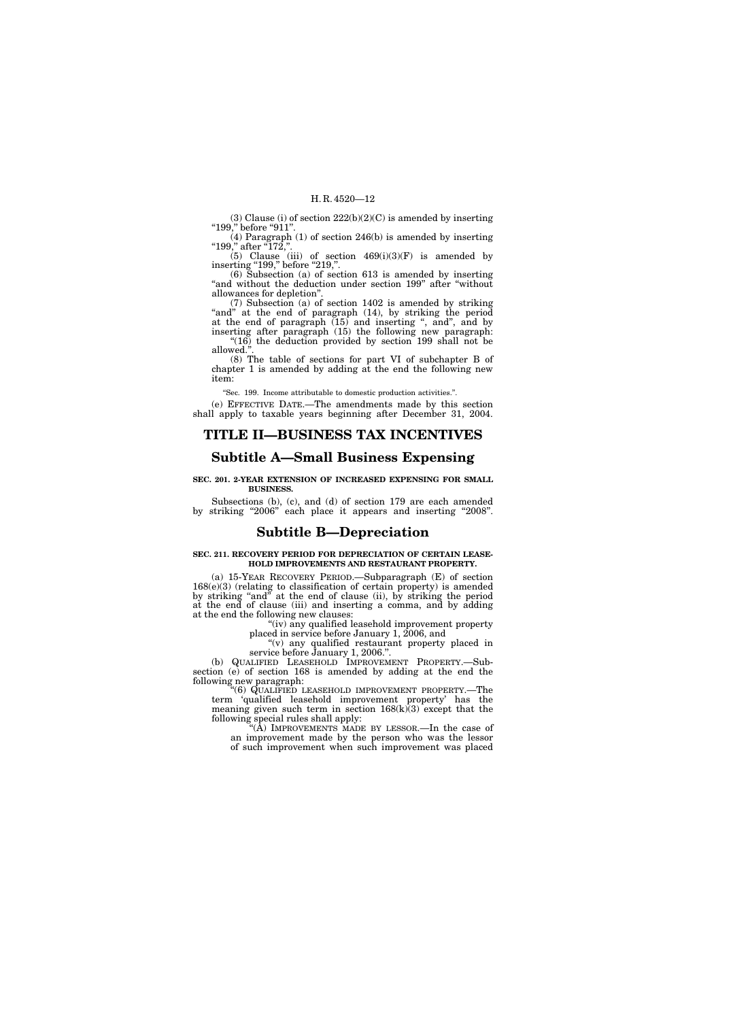(3) Clause (i) of section  $222(b)(2)(C)$  is amended by inserting "199," before "911".

(4) Paragraph (1) of section 246(b) is amended by inserting "199," after "172,"

(5) Clause (iii) of section  $469(i)(3)(F)$  is amended by inserting "199," before "219,".

(6) Subsection (a) of section 613 is amended by inserting "and without the deduction under section 199" after "without allowances for depletion''.

(7) Subsection (a) of section 1402 is amended by striking "and" at the end of paragraph (14), by striking the period at the end of paragraph  $(15)$  and inserting ", and", and by inserting after paragraph (15) the following new paragraph: "(16) the deduction provided by section 199 shall not be allowed.

(8) The table of sections for part VI of subchapter B of chapter 1 is amended by adding at the end the following new item:

''Sec. 199. Income attributable to domestic production activities.''.

(e) EFFECTIVE DATE.—The amendments made by this section shall apply to taxable years beginning after December 31, 2004.

# **TITLE II—BUSINESS TAX INCENTIVES**

## **Subtitle A—Small Business Expensing**

**SEC. 201. 2-YEAR EXTENSION OF INCREASED EXPENSING FOR SMALL BUSINESS.**

Subsections (b), (c), and (d) of section 179 are each amended by striking ''2006'' each place it appears and inserting ''2008''.

## **Subtitle B—Depreciation**

#### **SEC. 211. RECOVERY PERIOD FOR DEPRECIATION OF CERTAIN LEASE-HOLD IMPROVEMENTS AND RESTAURANT PROPERTY.**

(a) 15-YEAR RECOVERY PERIOD.—Subparagraph (E) of section 168(e)(3) (relating to classification of certain property) is amended by striking "and" at the end of clause (ii), by striking the period at the end of clause (iii) and inserting a comma, and by adding at the end the following new clauses:

"(iv) any qualified leasehold improvement property placed in service before January 1, 2006, and

"(v) any qualified restaurant property placed in service before January 1, 2006."

(b) QUALIFIED LEASEHOLD IMPROVEMENT PROPERTY.-Subsection (e) of section 168 is amended by adding at the end the following new paragraph:

''(6) QUALIFIED LEASEHOLD IMPROVEMENT PROPERTY.—The term 'qualified leasehold improvement property' has the meaning given such term in section  $168(k)\overline{3}$  except that the following special rules shall apply:<br>"(A) IMPROVEMENTS MADE BY LESSOR.—In the case of

an improvement made by the person who was the lessor of such improvement when such improvement was placed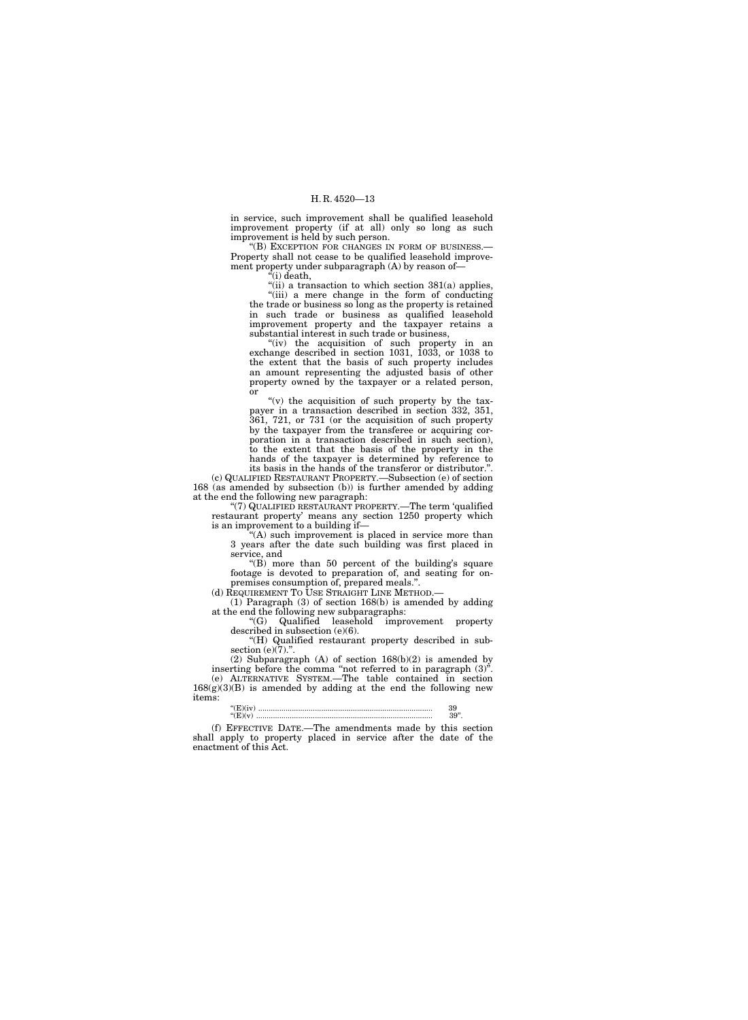in service, such improvement shall be qualified leasehold improvement property (if at all) only so long as such improvement is held by such person.

''(B) EXCEPTION FOR CHANGES IN FORM OF BUSINESS.— Property shall not cease to be qualified leasehold improvement property under subparagraph (A) by reason of—  $\bar{f}$ (i) death.

"(ii) a transaction to which section  $381(a)$  applies,

''(iii) a mere change in the form of conducting the trade or business so long as the property is retained in such trade or business as qualified leasehold improvement property and the taxpayer retains a substantial interest in such trade or business,

"(iv) the acquisition of such property in an exchange described in section 1031, 1033, or 1038 to the extent that the basis of such property includes an amount representing the adjusted basis of other property owned by the taxpayer or a related person, or

" $(v)$  the acquisition of such property by the taxpayer in a transaction described in section 332, 351, 361, 721, or 731 (or the acquisition of such property by the taxpayer from the transferee or acquiring corporation in a transaction described in such section), to the extent that the basis of the property in the hands of the taxpayer is determined by reference to

its basis in the hands of the transferor or distributor.''. (c) QUALIFIED RESTAURANT PROPERTY.—Subsection (e) of section 168 (as amended by subsection (b)) is further amended by adding at the end the following new paragraph:

''(7) QUALIFIED RESTAURANT PROPERTY.—The term 'qualified restaurant property' means any section 1250 property which is an improvement to a building if—

"(A) such improvement is placed in service more than 3 years after the date such building was first placed in service, and

" $(B)$  more than 50 percent of the building's square footage is devoted to preparation of, and seating for onpremises consumption of, prepared meals."

(d) REQUIREMENT TO USE STRAIGHT LINE METHOD. (1) Paragraph (3) of section 168(b) is amended by adding at the end the following new subparagraphs:

''(G) Qualified leasehold improvement property described in subsection (e)(6).

''(H) Qualified restaurant property described in subsection  $(e)(7)$ .".

(2) Subparagraph (A) of section 168(b)(2) is amended by inserting before the comma ''not referred to in paragraph (3)''. (e) ALTERNATIVE SYSTEM.—The table contained in section  $168(g)(3)(B)$  is amended by adding at the end the following new items:

> ''(E)(iv) ................................................................................... 39 ''(E)(v) .................................................................................... 39''.

(f) EFFECTIVE DATE.—The amendments made by this section shall apply to property placed in service after the date of the enactment of this Act.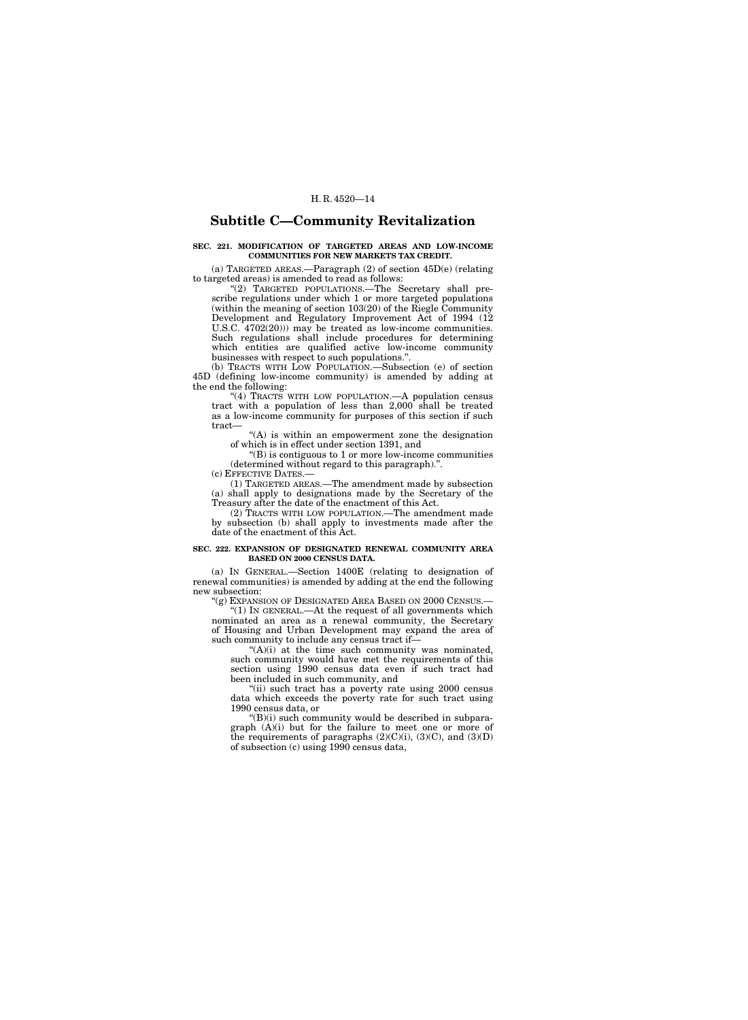# **Subtitle C—Community Revitalization**

#### **SEC. 221. MODIFICATION OF TARGETED AREAS AND LOW-INCOME COMMUNITIES FOR NEW MARKETS TAX CREDIT.**

(a) TARGETED AREAS.—Paragraph (2) of section 45D(e) (relating to targeted areas) is amended to read as follows:

''(2) TARGETED POPULATIONS.—The Secretary shall prescribe regulations under which 1 or more targeted populations (within the meaning of section 103(20) of the Riegle Community Development and Regulatory Improvement Act of 1994 (12 U.S.C. 4702(20))) may be treated as low-income communities. Such regulations shall include procedures for determining which entities are qualified active low-income community businesses with respect to such populations.''.

(b) TRACTS WITH LOW POPULATION.—Subsection (e) of section 45D (defining low-income community) is amended by adding at the end the following:

''(4) TRACTS WITH LOW POPULATION.—A population census tract with a population of less than 2,000 shall be treated as a low-income community for purposes of this section if such tract—

''(A) is within an empowerment zone the designation of which is in effect under section 1391, and

 $\mathrm{``(B)}$  is contiguous to 1 or more low-income communities (determined without regard to this paragraph).''.

(c) EFFECTIVE DATES.—

(1) TARGETED AREAS.—The amendment made by subsection (a) shall apply to designations made by the Secretary of the Treasury after the date of the enactment of this Act.

(2) TRACTS WITH LOW POPULATION.—The amendment made by subsection (b) shall apply to investments made after the date of the enactment of this Act.

#### **SEC. 222. EXPANSION OF DESIGNATED RENEWAL COMMUNITY AREA BASED ON 2000 CENSUS DATA.**

(a) IN GENERAL.—Section 1400E (relating to designation of renewal communities) is amended by adding at the end the following new subsection:

''(g) EXPANSION OF DESIGNATED AREA BASED ON 2000 CENSUS.—

"(1) IN GENERAL.—At the request of all governments which nominated an area as a renewal community, the Secretary of Housing and Urban Development may expand the area of such community to include any census tract if—

 $<sup>"</sup>(A)(i)$  at the time such community was nominated,</sup> such community would have met the requirements of this section using 1990 census data even if such tract had been included in such community, and

"(ii) such tract has a poverty rate using 2000 census data which exceeds the poverty rate for such tract using 1990 census data, or

''(B)(i) such community would be described in subparagraph (A)(i) but for the failure to meet one or more of the requirements of paragraphs  $(2)(C)(i)$ ,  $(3)(C)$ , and  $(3)(D)$ of subsection (c) using 1990 census data,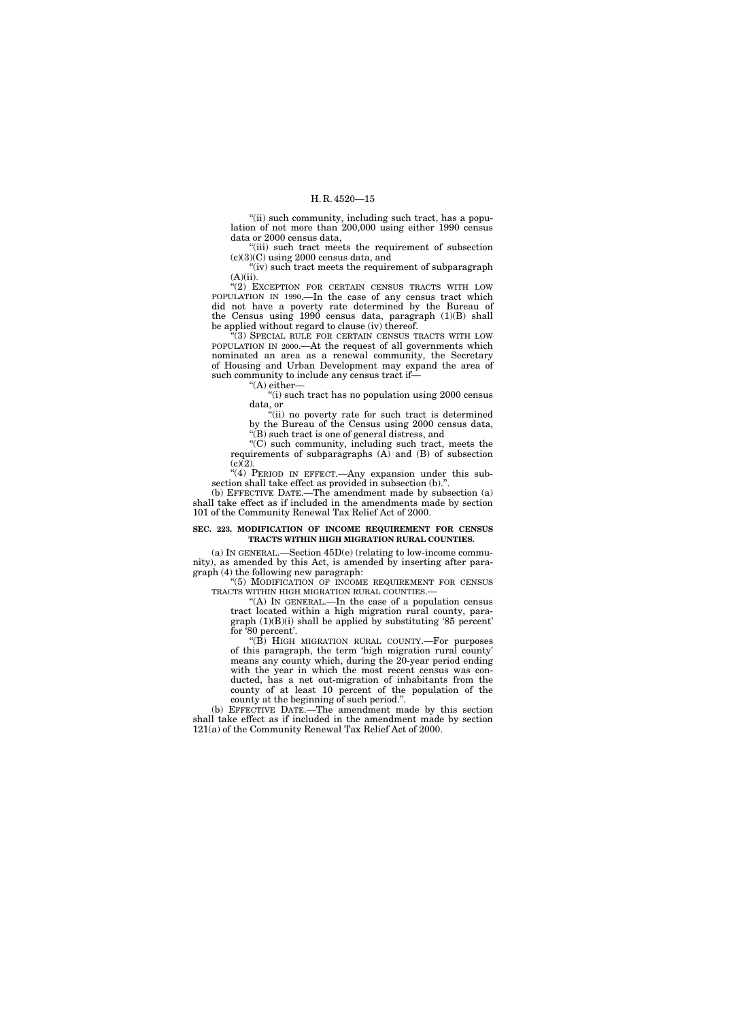"(ii) such community, including such tract, has a population of not more than  $200,000$  using either 1990 census data or 2000 census data,

''(iii) such tract meets the requirement of subsection  $(c)(3)(C)$  using 2000 census data, and

 $\mathcal{L}(iv)$  such tract meets the requirement of subparagraph  $(A)(ii)$ .

''(2) EXCEPTION FOR CERTAIN CENSUS TRACTS WITH LOW POPULATION IN 1990.—In the case of any census tract which did not have a poverty rate determined by the Bureau of the Census using 1990 census data, paragraph (1)(B) shall be applied without regard to clause (iv) thereof.

''(3) SPECIAL RULE FOR CERTAIN CENSUS TRACTS WITH LOW POPULATION IN 2000.—At the request of all governments which nominated an area as a renewal community, the Secretary of Housing and Urban Development may expand the area of such community to include any census tract if—

''(A) either— ''(i) such tract has no population using 2000 census data, or

''(ii) no poverty rate for such tract is determined by the Bureau of the Census using 2000 census data,  $\mathrm{``(B)}$  such tract is one of general distress, and

''(C) such community, including such tract, meets the requirements of subparagraphs  $(A)$  and  $(B)$  of subsection  $(c)(2)$ .

"(4) PERIOD IN EFFECT.—Any expansion under this subsection shall take effect as provided in subsection (b).''.

(b) EFFECTIVE DATE.—The amendment made by subsection (a) shall take effect as if included in the amendments made by section 101 of the Community Renewal Tax Relief Act of 2000.

#### **SEC. 223. MODIFICATION OF INCOME REQUIREMENT FOR CENSUS TRACTS WITHIN HIGH MIGRATION RURAL COUNTIES.**

(a) IN GENERAL.—Section  $45D(e)$  (relating to low-income community), as amended by this Act, is amended by inserting after paragraph (4) the following new paragraph:

"(5) MODIFICATION OF INCOME REQUIREMENT FOR CENSUS TRACTS WITHIN HIGH MIGRATION RURAL COUNTIES.—

''(A) IN GENERAL.—In the case of a population census tract located within a high migration rural county, paragraph  $(1)(B)(i)$  shall be applied by substituting '85 percent' for '80 percent'.

" $(B)$  HIGH MIGRATION RURAL COUNTY.—For purposes of this paragraph, the term 'high migration rural county' means any county which, during the 20-year period ending with the year in which the most recent census was conducted, has a net out-migration of inhabitants from the county of at least 10 percent of the population of the county at the beginning of such period.''.

(b) EFFECTIVE DATE.—The amendment made by this section shall take effect as if included in the amendment made by section 121(a) of the Community Renewal Tax Relief Act of 2000.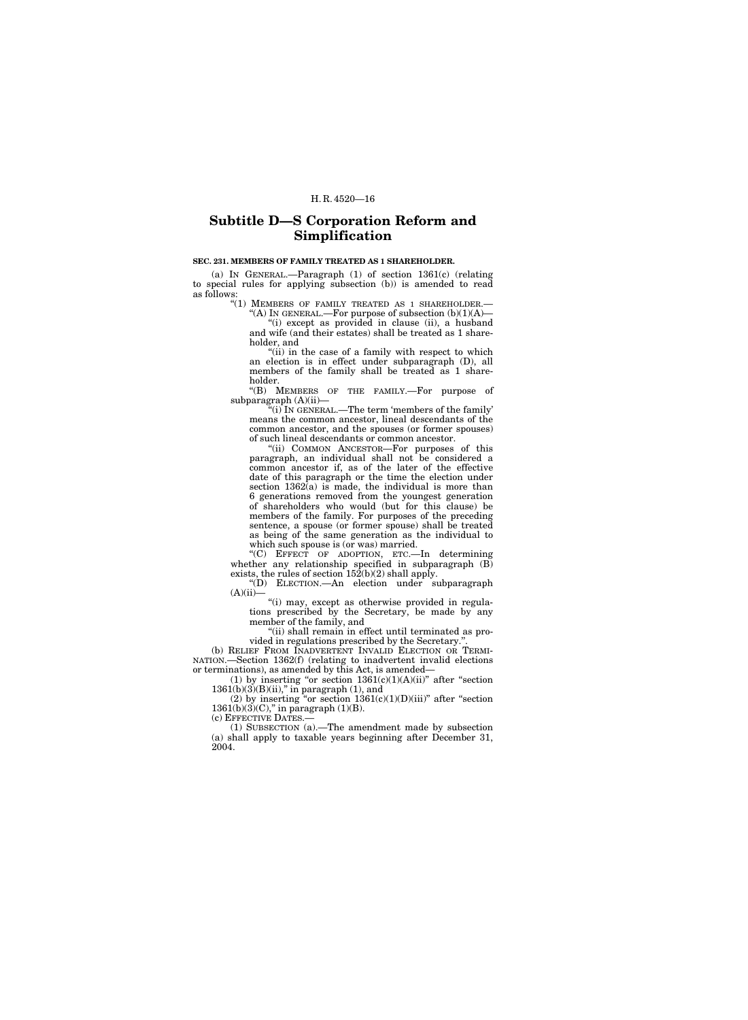# **Subtitle D—S Corporation Reform and Simplification**

## **SEC. 231. MEMBERS OF FAMILY TREATED AS 1 SHAREHOLDER.**

(a) IN GENERAL.—Paragraph (1) of section 1361(c) (relating to special rules for applying subsection (b)) is amended to read as follows:

''(1) MEMBERS OF FAMILY TREATED AS 1 SHAREHOLDER.—

"(A) In GENERAL.—For purpose of subsection  $(b)(1)(A)$ — ''(i) except as provided in clause (ii), a husband

and wife (and their estates) shall be treated as 1 shareholder, and

"(ii) in the case of a family with respect to which an election is in effect under subparagraph (D), all members of the family shall be treated as 1 shareholder.

"(B) MEMBERS OF THE FAMILY.—For purpose of subparagraph (A)(ii)—

''(i) IN GENERAL.—The term 'members of the family' means the common ancestor, lineal descendants of the common ancestor, and the spouses (or former spouses) of such lineal descendants or common ancestor.

''(ii) COMMON ANCESTOR—For purposes of this paragraph, an individual shall not be considered a common ancestor if, as of the later of the effective date of this paragraph or the time the election under section  $1362(a)$  is made, the individual is more than 6 generations removed from the youngest generation of shareholders who would (but for this clause) be members of the family. For purposes of the preceding sentence, a spouse (or former spouse) shall be treated as being of the same generation as the individual to which such spouse is (or was) married.

''(C) EFFECT OF ADOPTION, ETC.—In determining whether any relationship specified in subparagraph (B) exists, the rules of section 152(b)(2) shall apply.

''(D) ELECTION.—An election under subparagraph  $(A)(ii)$ 

''(i) may, except as otherwise provided in regulations prescribed by the Secretary, be made by any member of the family, and

"(ii) shall remain in effect until terminated as provided in regulations prescribed by the Secretary.''.

(b) RELIEF FROM INADVERTENT INVALID ELECTION OR TERMI-NATION.—Section 1362(f) (relating to inadvertent invalid elections or terminations), as amended by this Act, is amended—

(1) by inserting "or section  $1361(c)(1)(A)(ii)$ " after "section  $1361(b)(3)(b)(ii),''$  in paragraph (1), and

(2) by inserting "or section  $1361(c)(1)(D)(iii)$ " after "section  $1361(b)(3)(C)$ ," in paragraph  $(1)(B)$ . (c) EFFECTIVE DATES.—

(1) SUBSECTION (a).—The amendment made by subsection (a) shall apply to taxable years beginning after December 31, 2004.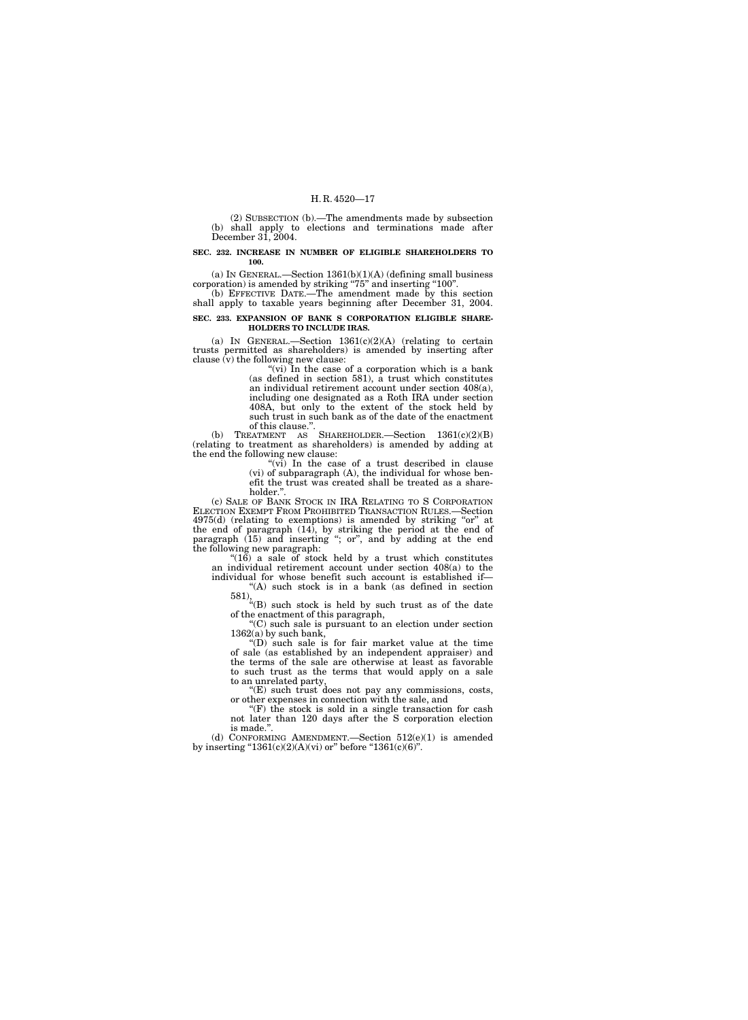(2) SUBSECTION (b).—The amendments made by subsection (b) shall apply to elections and terminations made after December 31, 2004.

#### **SEC. 232. INCREASE IN NUMBER OF ELIGIBLE SHAREHOLDERS TO 100.**

(a) IN GENERAL.—Section  $1361(b)(1)(A)$  (defining small business corporation) is amended by striking ''75'' and inserting ''100''.

(b) EFFECTIVE DATE.—The amendment made by this section shall apply to taxable years beginning after December 31, 2004.

## **SEC. 233. EXPANSION OF BANK S CORPORATION ELIGIBLE SHARE-HOLDERS TO INCLUDE IRAS.**

(a) IN GENERAL.—Section 1361(c)(2)(A) (relating to certain trusts permitted as shareholders) is amended by inserting after clause  $\bar{v}$  the following new clause:

" $(vi)$  In the case of a corporation which is a bank (as defined in section 581), a trust which constitutes an individual retirement account under section 408(a), including one designated as a Roth IRA under section 408A, but only to the extent of the stock held by such trust in such bank as of the date of the enactment of this clause.''.

(b) TREATMENT AS SHAREHOLDER.—Section  $1361(c)(2)(B)$ (relating to treatment as shareholders) is amended by adding at the end the following new clause:

"(vi) In the case of a trust described in clause (vi) of subparagraph (A), the individual for whose benefit the trust was created shall be treated as a share-

holder.''. (c) SALE OF BANK STOCK IN IRA RELATING TO S CORPORATION ELECTION EXEMPT FROM PROHIBITED TRANSACTION RULES.—Section  $4975(d)$  (relating to exemptions) is amended by striking "or" at the end of paragraph (14), by striking the period at the end of paragraph (15) and inserting "; or", and by adding at the end the following new paragraph:

" $(16)$  a sale of stock held by a trust which constitutes an individual retirement account under section 408(a) to the individual for whose benefit such account is established if—

''(A) such stock is in a bank (as defined in section 581),

''(B) such stock is held by such trust as of the date of the enactment of this paragraph,

''(C) such sale is pursuant to an election under section  $1362(a)$  by such bank,

''(D) such sale is for fair market value at the time of sale (as established by an independent appraiser) and the terms of the sale are otherwise at least as favorable to such trust as the terms that would apply on a sale to an unrelated party,

''(E) such trust does not pay any commissions, costs, or other expenses in connection with the sale, and

" $(F)$  the stock is sold in a single transaction for cash not later than 120 days after the S corporation election is made.''.

(d) CONFORMING AMENDMENT.—Section 512(e)(1) is amended by inserting " $1361(c)(2)(A)(vi)$  or" before " $1361(c)(6)$ ".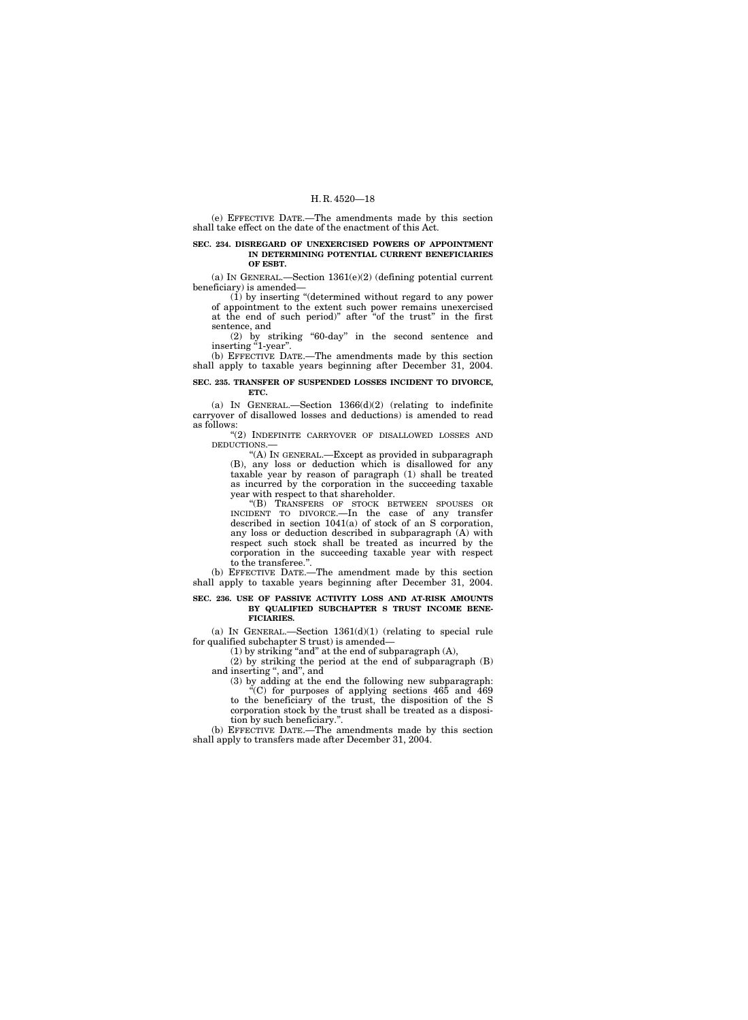(e) EFFECTIVE DATE.—The amendments made by this section shall take effect on the date of the enactment of this Act.

## **SEC. 234. DISREGARD OF UNEXERCISED POWERS OF APPOINTMENT IN DETERMINING POTENTIAL CURRENT BENEFICIARIES OF ESBT.**

(a) IN GENERAL.—Section 1361(e)(2) (defining potential current beneficiary) is amended—

(1) by inserting ''(determined without regard to any power of appointment to the extent such power remains unexercised at the end of such period)'' after ''of the trust'' in the first sentence, and

(2) by striking ''60-day'' in the second sentence and inserting "1-year".

(b) EFFECTIVE DATE.—The amendments made by this section shall apply to taxable years beginning after December 31, 2004.

#### **SEC. 235. TRANSFER OF SUSPENDED LOSSES INCIDENT TO DIVORCE, ETC.**

(a) IN GENERAL.—Section 1366(d)(2) (relating to indefinite carryover of disallowed losses and deductions) is amended to read as follows:

"(2) INDEFINITE CARRYOVER OF DISALLOWED LOSSES AND DEDUCTIONS.—

''(A) IN GENERAL.—Except as provided in subparagraph (B), any loss or deduction which is disallowed for any taxable year by reason of paragraph (1) shall be treated as incurred by the corporation in the succeeding taxable year with respect to that shareholder.

''(B) TRANSFERS OF STOCK BETWEEN SPOUSES OR INCIDENT TO DIVORCE.—In the case of any transfer described in section 1041(a) of stock of an S corporation, any loss or deduction described in subparagraph (A) with respect such stock shall be treated as incurred by the corporation in the succeeding taxable year with respect to the transferee.''.

(b) EFFECTIVE DATE.—The amendment made by this section shall apply to taxable years beginning after December 31, 2004.

#### **SEC. 236. USE OF PASSIVE ACTIVITY LOSS AND AT-RISK AMOUNTS BY QUALIFIED SUBCHAPTER S TRUST INCOME BENE-FICIARIES.**

(a) IN GENERAL.—Section  $1361(d)(1)$  (relating to special rule for qualified subchapter S trust) is amended—

 $(1)$  by striking "and" at the end of subparagraph  $(A)$ ,

(2) by striking the period at the end of subparagraph (B) and inserting '', and'', and

(3) by adding at the end the following new subparagraph: ''(C) for purposes of applying sections 465 and 469 to the beneficiary of the trust, the disposition of the S corporation stock by the trust shall be treated as a disposition by such beneficiary.''.

(b) EFFECTIVE DATE.—The amendments made by this section shall apply to transfers made after December 31, 2004.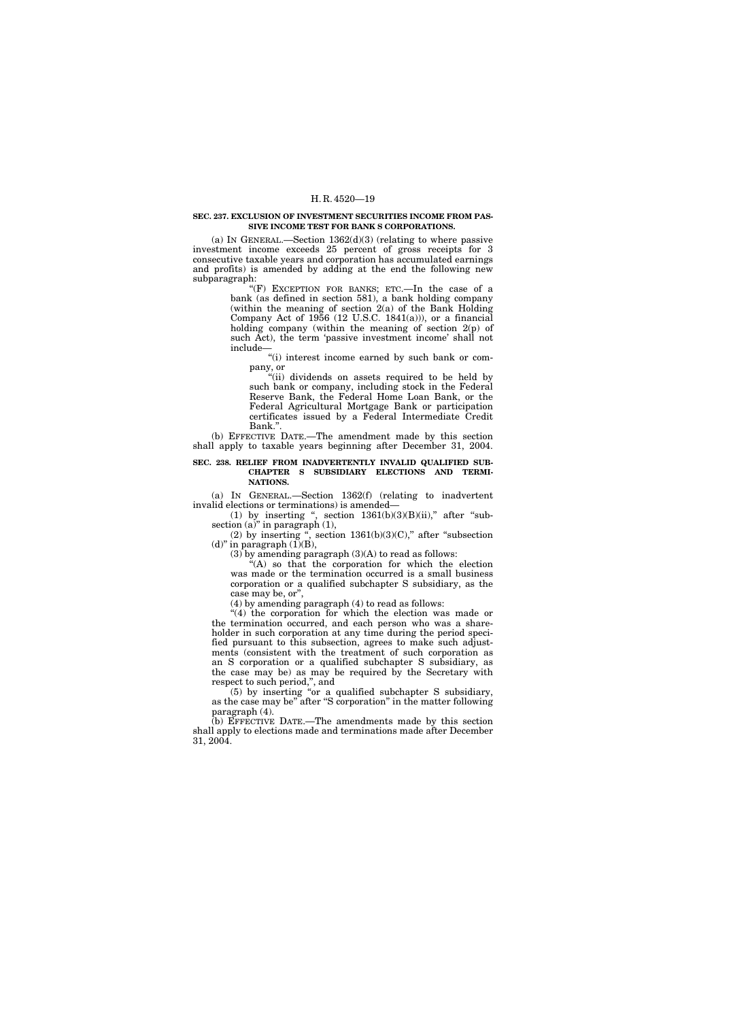#### **SEC. 237. EXCLUSION OF INVESTMENT SECURITIES INCOME FROM PAS-SIVE INCOME TEST FOR BANK S CORPORATIONS.**

(a) IN GENERAL.—Section  $1362(d)(3)$  (relating to where passive investment income exceeds 25 percent of gross receipts for 3 consecutive taxable years and corporation has accumulated earnings and profits) is amended by adding at the end the following new subparagraph:

"(F) EXCEPTION FOR BANKS; ETC.—In the case of a bank (as defined in section 581), a bank holding company (within the meaning of section 2(a) of the Bank Holding Company Act of 1956 (12 U.S.C. 1841(a))), or a financial holding company (within the meaning of section 2(p) of such Act), the term 'passive investment income' shall not include—

''(i) interest income earned by such bank or company, or

"(ii) dividends on assets required to be held by such bank or company, including stock in the Federal Reserve Bank, the Federal Home Loan Bank, or the Federal Agricultural Mortgage Bank or participation certificates issued by a Federal Intermediate Credit Bank.''.

(b) EFFECTIVE DATE.—The amendment made by this section shall apply to taxable years beginning after December 31, 2004.

## **SEC. 238. RELIEF FROM INADVERTENTLY INVALID QUALIFIED SUB-CHAPTER S SUBSIDIARY ELECTIONS AND TERMI-NATIONS.**

(a) IN GENERAL.—Section 1362(f) (relating to inadvertent invalid elections or terminations) is amended—

(1) by inserting ", section  $1361(b)(3)(B)(ii)$ ," after "subsection (a)" in paragraph (1),

(2) by inserting ", section  $1361(b)(3)(C)$ ," after "subsection (d)" in paragraph  $(I)(B)$ ,

(3) by amending paragraph (3)(A) to read as follows:

"(A) so that the corporation for which the election was made or the termination occurred is a small business corporation or a qualified subchapter S subsidiary, as the case may be, or'',

(4) by amending paragraph (4) to read as follows:

"(4) the corporation for which the election was made or the termination occurred, and each person who was a shareholder in such corporation at any time during the period specified pursuant to this subsection, agrees to make such adjustments (consistent with the treatment of such corporation as an S corporation or a qualified subchapter S subsidiary, as the case may be) as may be required by the Secretary with respect to such period,'', and

(5) by inserting ''or a qualified subchapter S subsidiary, as the case may be'' after ''S corporation'' in the matter following paragraph (4).

(b) EFFECTIVE DATE.—The amendments made by this section shall apply to elections made and terminations made after December 31, 2004.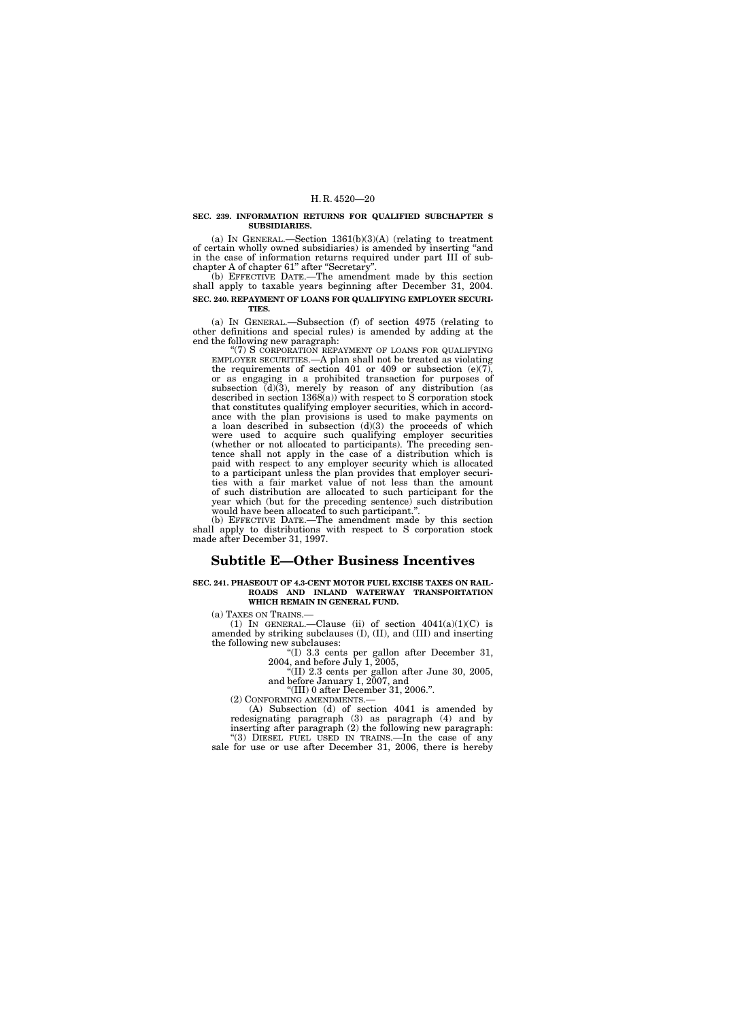#### **SEC. 239. INFORMATION RETURNS FOR QUALIFIED SUBCHAPTER S SUBSIDIARIES.**

(a) IN GENERAL.—Section  $1361(b)(3)(A)$  (relating to treatment of certain wholly owned subsidiaries) is amended by inserting ''and in the case of information returns required under part III of subchapter A of chapter 61" after "Secretary".

(b) EFFECTIVE DATE.—The amendment made by this section shall apply to taxable years beginning after December 31, 2004. **SEC. 240. REPAYMENT OF LOANS FOR QUALIFYING EMPLOYER SECURI-TIES.**

(a) IN GENERAL.—Subsection (f) of section 4975 (relating to other definitions and special rules) is amended by adding at the end the following new paragraph:

''(7) S CORPORATION REPAYMENT OF LOANS FOR QUALIFYING EMPLOYER SECURITIES.—A plan shall not be treated as violating the requirements of section 401 or 409 or subsection  $(e)(7)$ , or as engaging in a prohibited transaction for purposes of subsection  $\bar{d}$ )(3), merely by reason of any distribution (as described in section  $1368(a)$ ) with respect to S corporation stock that constitutes qualifying employer securities, which in accordance with the plan provisions is used to make payments on a loan described in subsection (d)(3) the proceeds of which were used to acquire such qualifying employer securities (whether or not allocated to participants). The preceding sentence shall not apply in the case of a distribution which is paid with respect to any employer security which is allocated to a participant unless the plan provides that employer securities with a fair market value of not less than the amount of such distribution are allocated to such participant for the year which (but for the preceding sentence) such distribution would have been allocated to such participant.''.

(b) EFFECTIVE DATE.—The amendment made by this section shall apply to distributions with respect to S corporation stock made after December 31, 1997.

## **Subtitle E—Other Business Incentives**

#### **SEC. 241. PHASEOUT OF 4.3-CENT MOTOR FUEL EXCISE TAXES ON RAIL-ROADS AND INLAND WATERWAY TRANSPORTATION WHICH REMAIN IN GENERAL FUND.**

(a) TAXES ON TRAINS.—<br>(1) IN GENERAL.—Clause (ii) of section  $4041(a)(1)(C)$  is amended by striking subclauses (I), (II), and (III) and inserting the following new subclauses:

''(I) 3.3 cents per gallon after December 31, 2004, and before July 1, 2005,

''(II) 2.3 cents per gallon after June 30, 2005, and before January 1, 2007, and

 $"$ (III) 0 after December 31, 2006.".<br>(2) CONFORMING AMENDMENTS.—

(A) Subsection (d) of section 4041 is amended by redesignating paragraph (3) as paragraph (4) and by inserting after paragraph (2) the following new paragraph:

''(3) DIESEL FUEL USED IN TRAINS.—In the case of any sale for use or use after December 31, 2006, there is hereby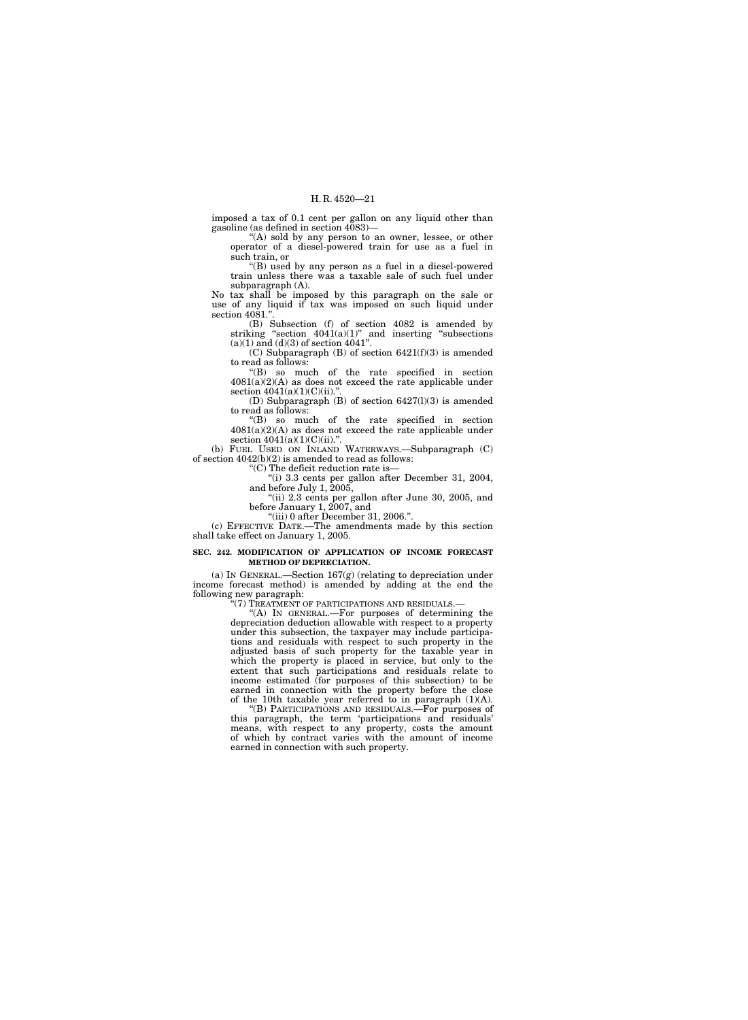imposed a tax of 0.1 cent per gallon on any liquid other than gasoline (as defined in section 4083)—

"(A) sold by any person to an owner, lessee, or other operator of a diesel-powered train for use as a fuel in such train, or

''(B) used by any person as a fuel in a diesel-powered train unless there was a taxable sale of such fuel under subparagraph (A).

No tax shall be imposed by this paragraph on the sale or use of any liquid if tax was imposed on such liquid under section  $40\dot{8}1$ ."

(B) Subsection (f) of section 4082 is amended by striking "section  $4041(a)(1)$ " and inserting "subsections"  $(a)(1)$  and  $(d)(3)$  of section 4041".

(C) Subparagraph (B) of section 6421(f)(3) is amended to read as follows:

''(B) so much of the rate specified in section  $4081(a)(2)(A)$  as does not exceed the rate applicable under section  $4041(a)(1)(C)(ii)$ .

(D) Subparagraph (B) of section 6427(l)(3) is amended to read as follows:

''(B) so much of the rate specified in section  $4081(a)(2)(A)$  as does not exceed the rate applicable under section  $4041(a)(1)(C)(ii)$ .".

(b) FUEL USED ON INLAND WATERWAYS.—Subparagraph (C) of section 4042(b)(2) is amended to read as follows:

''(C) The deficit reduction rate is—

''(i) 3.3 cents per gallon after December 31, 2004, and before July 1, 2005, "(ii) 2.3 cents per gallon after June 30, 2005, and

before January 1, 2007, and

"(iii) 0 after December 31, 2006."

(c) EFFECTIVE DATE.—The amendments made by this section shall take effect on January 1, 2005.

#### **SEC. 242. MODIFICATION OF APPLICATION OF INCOME FORECAST METHOD OF DEPRECIATION.**

(a) IN GENERAL.—Section 167(g) (relating to depreciation under income forecast method) is amended by adding at the end the following new paragraph:

"(7) TREATMENT OF PARTICIPATIONS AND RESIDUALS.—

''(A) IN GENERAL.—For purposes of determining the depreciation deduction allowable with respect to a property under this subsection, the taxpayer may include participations and residuals with respect to such property in the adjusted basis of such property for the taxable year in which the property is placed in service, but only to the extent that such participations and residuals relate to income estimated (for purposes of this subsection) to be earned in connection with the property before the close of the 10th taxable year referred to in paragraph (1)(A).

''(B) PARTICIPATIONS AND RESIDUALS.—For purposes of this paragraph, the term 'participations and residuals' means, with respect to any property, costs the amount of which by contract varies with the amount of income earned in connection with such property.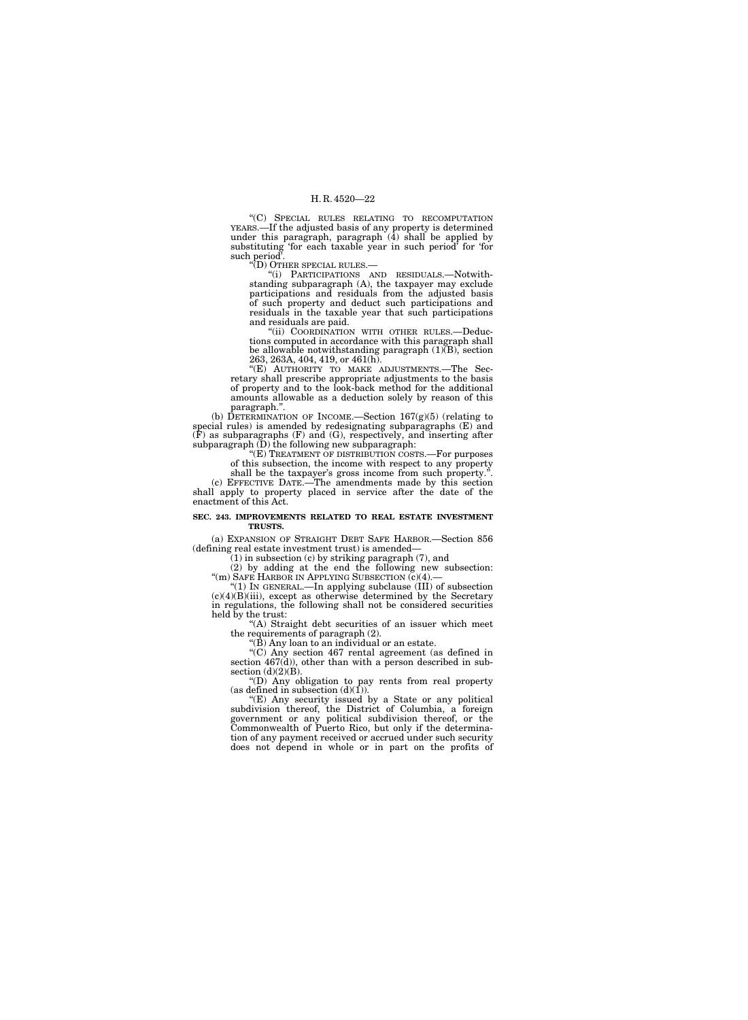''(C) SPECIAL RULES RELATING TO RECOMPUTATION YEARS.—If the adjusted basis of any property is determined under this paragraph, paragraph (4) shall be applied by substituting 'for each taxable year in such period' for 'for such period'.

''(D) OTHER SPECIAL RULES.—

''(i) PARTICIPATIONS AND RESIDUALS.—Notwithstanding subparagraph (A), the taxpayer may exclude participations and residuals from the adjusted basis of such property and deduct such participations and residuals in the taxable year that such participations and residuals are paid.

"(ii) COORDINATION WITH OTHER RULES.-Deductions computed in accordance with this paragraph shall be allowable notwithstanding paragraph (1)(B), section 263, 263A, 404, 419, or 461(h).

"(E) AUTHORITY TO MAKE ADJUSTMENTS.-The Secretary shall prescribe appropriate adjustments to the basis of property and to the look-back method for the additional amounts allowable as a deduction solely by reason of this

(b) DETERMINATION OF INCOME.—Section  $167(g)(5)$  (relating to special rules) is amended by redesignating subparagraphs (E) and (F) as subparagraphs (F) and (G), respectively, and inserting after subparagraph (D) the following new subparagraph:

''(E) TREATMENT OF DISTRIBUTION COSTS.—For purposes of this subsection, the income with respect to any property

shall be the taxpayer's gross income from such property.''. (c) EFFECTIVE DATE.—The amendments made by this section shall apply to property placed in service after the date of the enactment of this Act.

#### **SEC. 243. IMPROVEMENTS RELATED TO REAL ESTATE INVESTMENT TRUSTS.**

(a) EXPANSION OF STRAIGHT DEBT SAFE HARBOR.—Section 856 (defining real estate investment trust) is amended— (1) in subsection (c) by striking paragraph (7), and

(2) by adding at the end the following new subsection: " $(m)$  SAFE HARBOR IN APPLYING SUBSECTION  $(c)(4)$ .

''(1) IN GENERAL.—In applying subclause (III) of subsection  $(c)(4)(B)(iii)$ , except as otherwise determined by the Secretary in regulations, the following shall not be considered securities held by the trust:

"(A) Straight debt securities of an issuer which meet the requirements of paragraph (2).

" $(\bar{B})$  Any loan to an individual or an estate.

''(C) Any section 467 rental agreement (as defined in section  $467(d)$ , other than with a person described in subsection  $(d)(2)(B)$ .

"(D) Any obligation to pay rents from real property (as defined in subsection  $(d)(1)$ ).

"(E) Any security issued by a State or any political subdivision thereof, the District of Columbia, a foreign government or any political subdivision thereof, or the Commonwealth of Puerto Rico, but only if the determination of any payment received or accrued under such security does not depend in whole or in part on the profits of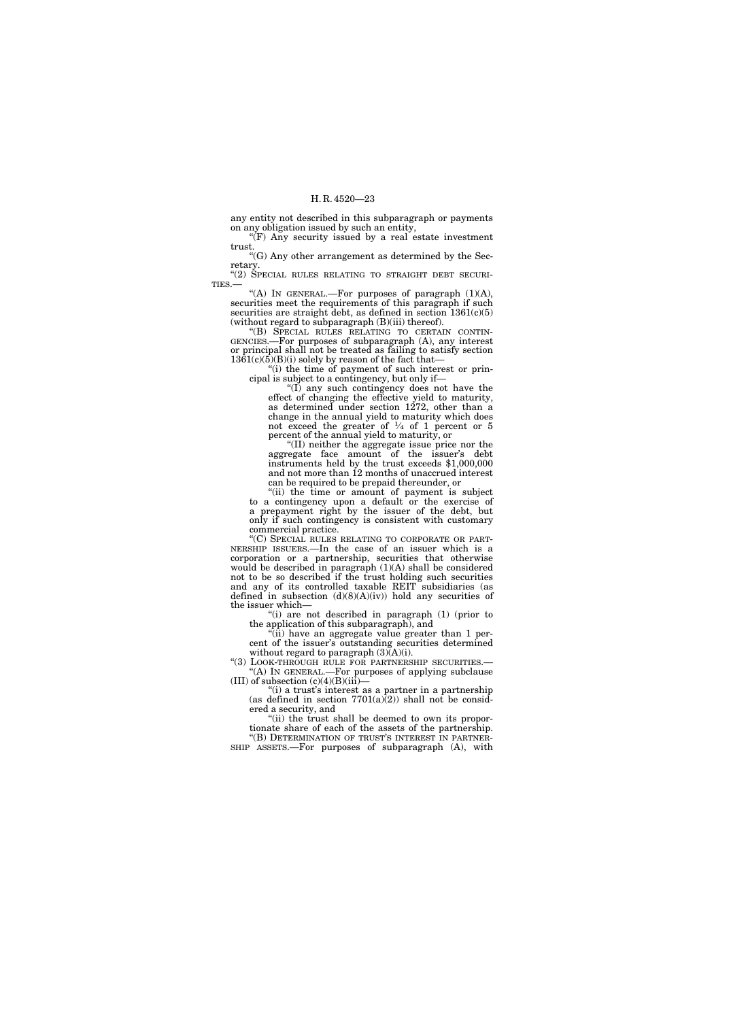any entity not described in this subparagraph or payments on any obligation issued by such an entity,

''(F) Any security issued by a real estate investment trust.

''(G) Any other arrangement as determined by the Secretary.

"(2) SPECIAL RULES RELATING TO STRAIGHT DEBT SECURI-TIES.—

"(A) IN GENERAL.—For purposes of paragraph (1)(A), securities meet the requirements of this paragraph if such securities are straight debt, as defined in section  $1361(c)(5)$ (without regard to subparagraph  $(B)(iii)$  thereof).

''(B) SPECIAL RULES RELATING TO CERTAIN CONTIN-GENCIES.—For purposes of subparagraph (A), any interest or principal shall not be treated as failing to satisfy section  $13\overline{6}1(c)(\overline{5})(B)(i)$  solely by reason of the fact that—

''(i) the time of payment of such interest or principal is subject to a contingency, but only if—

''(I) any such contingency does not have the effect of changing the effective yield to maturity, as determined under section 1272, other than a change in the annual yield to maturity which does not exceed the greater of  $\frac{1}{4}$  of 1 percent or 5 percent of the annual yield to maturity, or

''(II) neither the aggregate issue price nor the aggregate face amount of the issuer's debt instruments held by the trust exceeds \$1,000,000 and not more than 12 months of unaccrued interest can be required to be prepaid thereunder, or

''(ii) the time or amount of payment is subject to a contingency upon a default or the exercise of a prepayment right by the issuer of the debt, but only if such contingency is consistent with customary commercial practice.<br>"(C) SPECIAL RULES RELATING TO CORPORATE OR PART-

NERSHIP ISSUERS.—In the case of an issuer which is a corporation or a partnership, securities that otherwise would be described in paragraph (1)(A) shall be considered not to be so described if the trust holding such securities and any of its controlled taxable REIT subsidiaries (as defined in subsection  $(d)(8)(A)(iv)$  hold any securities of the issuer which—

''(i) are not described in paragraph (1) (prior to the application of this subparagraph), and

'(ii) have an aggregate value greater than 1 percent of the issuer's outstanding securities determined without regard to paragraph  $(3)$  $(A)(i)$ .

''(3) LOOK-THROUGH RULE FOR PARTNERSHIP SECURITIES.— ''(A) IN GENERAL.—For purposes of applying subclause (III) of subsection  $(c)(4)(B)(iii)$ —

''(i) a trust's interest as a partner in a partnership (as defined in section  $7701(a)(2)$ ) shall not be considered a security, and

"(ii) the trust shall be deemed to own its proportionate share of each of the assets of the partnership.<br>"(B) DETERMINATION OF TRUST'S INTEREST IN PARTNER-

SHIP ASSETS.—For purposes of subparagraph (A), with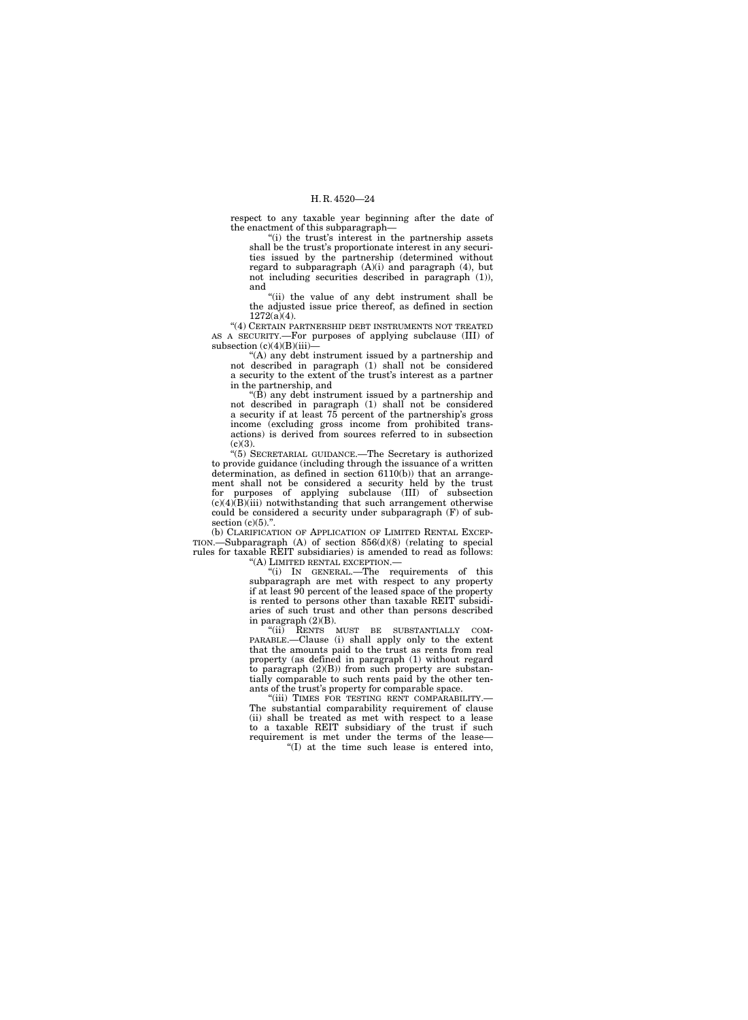respect to any taxable year beginning after the date of the enactment of this subparagraph—

''(i) the trust's interest in the partnership assets shall be the trust's proportionate interest in any securities issued by the partnership (determined without regard to subparagraph  $(A)(i)$  and paragraph  $(4)$ , but not including securities described in paragraph (1)), and

"(ii) the value of any debt instrument shall be the adjusted issue price thereof, as defined in section 1272(a)(4).

''(4) CERTAIN PARTNERSHIP DEBT INSTRUMENTS NOT TREATED AS A SECURITY.—For purposes of applying subclause (III) of subsection (c)(4)(B)(iii)-

 $f(A)$  any debt instrument issued by a partnership and not described in paragraph (1) shall not be considered a security to the extent of the trust's interest as a partner in the partnership, and

" $(\dot{B})$  any debt instrument issued by a partnership and not described in paragraph (1) shall not be considered a security if at least 75 percent of the partnership's gross income (excluding gross income from prohibited transactions) is derived from sources referred to in subsection  $(c)(3)$ .

''(5) SECRETARIAL GUIDANCE.—The Secretary is authorized to provide guidance (including through the issuance of a written determination, as defined in section 6110(b)) that an arrangement shall not be considered a security held by the trust for purposes of applying subclause (III) of subsection  $(c)(4)(B)(iii)$  notwithstanding that such arrangement otherwise could be considered a security under subparagraph (F) of subsection  $(c)(5)$ .".

(b) CLARIFICATION OF APPLICATION OF LIMITED RENTAL EXCEP-TION.—Subparagraph (A) of section 856(d)(8) (relating to special rules for taxable REIT subsidiaries) is amended to read as follows: ''(A) LIMITED RENTAL EXCEPTION.—

"(i) In GENERAL.—The requirements of this

subparagraph are met with respect to any property if at least 90 percent of the leased space of the property is rented to persons other than taxable REIT subsidiaries of such trust and other than persons described in paragraph (2)(B).

"(ii) RENTS MUST BE SUBSTANTIALLY COM-PARABLE.—Clause (i) shall apply only to the extent that the amounts paid to the trust as rents from real property (as defined in paragraph (1) without regard to paragraph (2)(B)) from such property are substantially comparable to such rents paid by the other tenants of the trust's property for comparable space.

''(iii) TIMES FOR TESTING RENT COMPARABILITY.— The substantial comparability requirement of clause (ii) shall be treated as met with respect to a lease to a taxable REIT subsidiary of the trust if such requirement is met under the terms of the lease— ''(I) at the time such lease is entered into,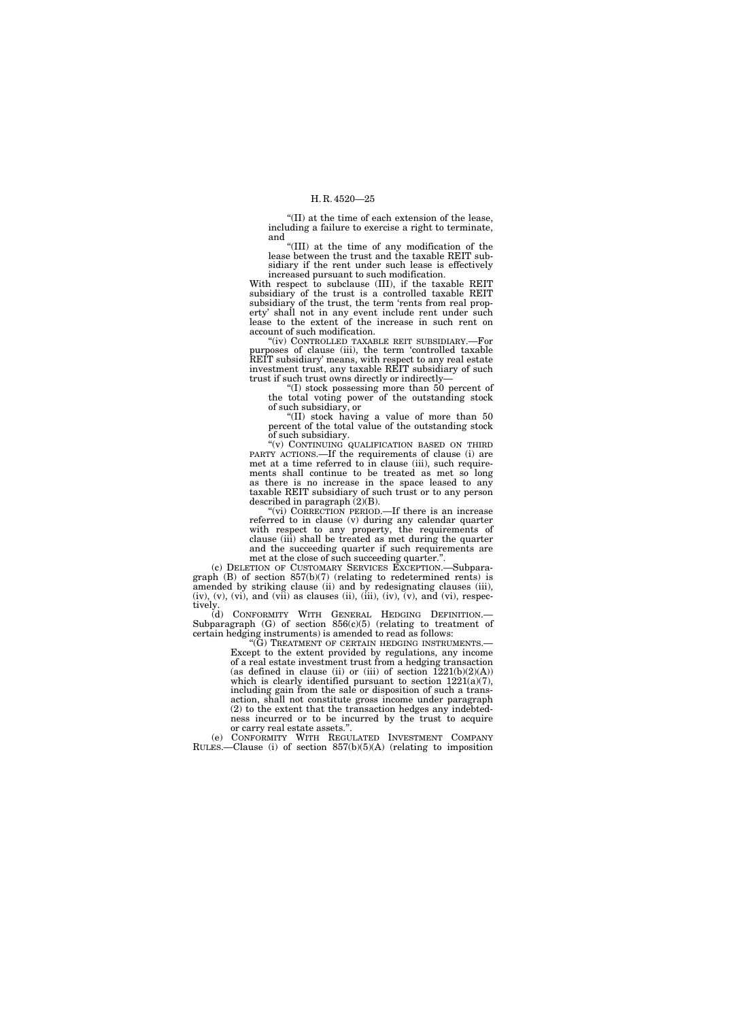''(II) at the time of each extension of the lease, including a failure to exercise a right to terminate, and

''(III) at the time of any modification of the lease between the trust and the taxable REIT subsidiary if the rent under such lease is effectively increased pursuant to such modification.

With respect to subclause (III), if the taxable REIT subsidiary of the trust is a controlled taxable REIT subsidiary of the trust, the term 'rents from real property' shall not in any event include rent under such lease to the extent of the increase in such rent on account of such modification.

''(iv) CONTROLLED TAXABLE REIT SUBSIDIARY.—For purposes of clause (iii), the term 'controlled taxable REIT subsidiary' means, with respect to any real estate investment trust, any taxable REIT subsidiary of such trust if such trust owns directly or indirectly—

''(I) stock possessing more than 50 percent of the total voting power of the outstanding stock of such subsidiary, or ''(II) stock having a value of more than 50

percent of the total value of the outstanding stock of such subsidiary.

''(v) CONTINUING QUALIFICATION BASED ON THIRD PARTY ACTIONS.—If the requirements of clause (i) are met at a time referred to in clause (iii), such requirements shall continue to be treated as met so long as there is no increase in the space leased to any taxable REIT subsidiary of such trust or to any person described in paragraph  $(2)(B)$ .

"(vi) CORRECTION PERIOD.—If there is an increase referred to in clause (v) during any calendar quarter with respect to any property, the requirements of clause (iii) shall be treated as met during the quarter and the succeeding quarter if such requirements are met at the close of such succeeding quarter.''.

(c) DELETION OF CUSTOMARY SERVICES EXCEPTION.—Subparagraph  $(B)$  of section  $857(b)(7)$  (relating to redetermined rents) is amended by striking clause (ii) and by redesignating clauses (iii), (iv), (v), (vi), and (vii) as clauses (ii), (iii), (iv),  $\check{v}$ ), and (vi), respectively.

(d) CONFORMITY WITH GENERAL HEDGING DEFINITION.— Subparagraph (G) of section 856(c)(5) (relating to treatment of certain hedging instruments) is amended to read as follows:<br>"(G) TREATMENT OF CERTAIN HEDGING INSTRUMENTS.—

Except to the extent provided by regulations, any income of a real estate investment trust from a hedging transaction (as defined in clause (ii) or (iii) of section  $1221(b)(2)(A)$ ) which is clearly identified pursuant to section 1221(a)(7), including gain from the sale or disposition of such a transaction, shall not constitute gross income under paragraph (2) to the extent that the transaction hedges any indebtedness incurred or to be incurred by the trust to acquire or carry real estate assets.''.

(e) CONFORMITY WITH REGULATED INVESTMENT COMPANY RULES.—Clause (i) of section 857(b)(5)(A) (relating to imposition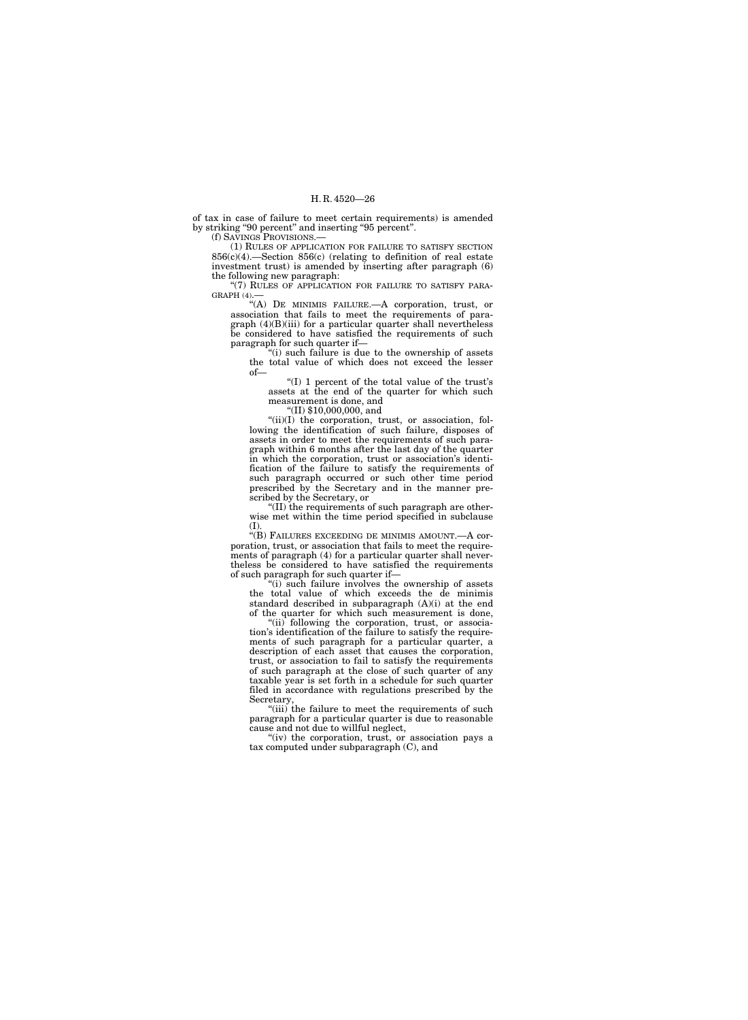of tax in case of failure to meet certain requirements) is amended by striking ''90 percent'' and inserting ''95 percent''.

(f) SAVINGS PROVISIONS.—

(1) RULES OF APPLICATION FOR FAILURE TO SATISFY SECTION 856(c)(4).—Section 856(c) (relating to definition of real estate investment trust) is amended by inserting after paragraph (6) the following new paragraph:

"(7) RULES OF APPLICATION FOR FAILURE TO SATISFY PARA-GRAPH (4).—

''(A) DE MINIMIS FAILURE.—A corporation, trust, or association that fails to meet the requirements of paragraph (4)(B)(iii) for a particular quarter shall nevertheless be considered to have satisfied the requirements of such paragraph for such quarter if—

''(i) such failure is due to the ownership of assets the total value of which does not exceed the lesser of—

''(I) 1 percent of the total value of the trust's assets at the end of the quarter for which such measurement is done, and

''(II) \$10,000,000, and

"(ii)(I) the corporation, trust, or association, following the identification of such failure, disposes of assets in order to meet the requirements of such paragraph within 6 months after the last day of the quarter in which the corporation, trust or association's identification of the failure to satisfy the requirements of such paragraph occurred or such other time period prescribed by the Secretary and in the manner prescribed by the Secretary, or

''(II) the requirements of such paragraph are otherwise met within the time period specified in subclause (I).

''(B) FAILURES EXCEEDING DE MINIMIS AMOUNT.—A corporation, trust, or association that fails to meet the requirements of paragraph (4) for a particular quarter shall nevertheless be considered to have satisfied the requirements of such paragraph for such quarter if—

'(i) such failure involves the ownership of assets the total value of which exceeds the de minimis standard described in subparagraph (A)(i) at the end of the quarter for which such measurement is done,

"(ii) following the corporation, trust, or association's identification of the failure to satisfy the requirements of such paragraph for a particular quarter, a description of each asset that causes the corporation, trust, or association to fail to satisfy the requirements of such paragraph at the close of such quarter of any taxable year is set forth in a schedule for such quarter filed in accordance with regulations prescribed by the Secretary,

"(iii) the failure to meet the requirements of such paragraph for a particular quarter is due to reasonable cause and not due to willful neglect,

"(iv) the corporation, trust, or association pays a tax computed under subparagraph (C), and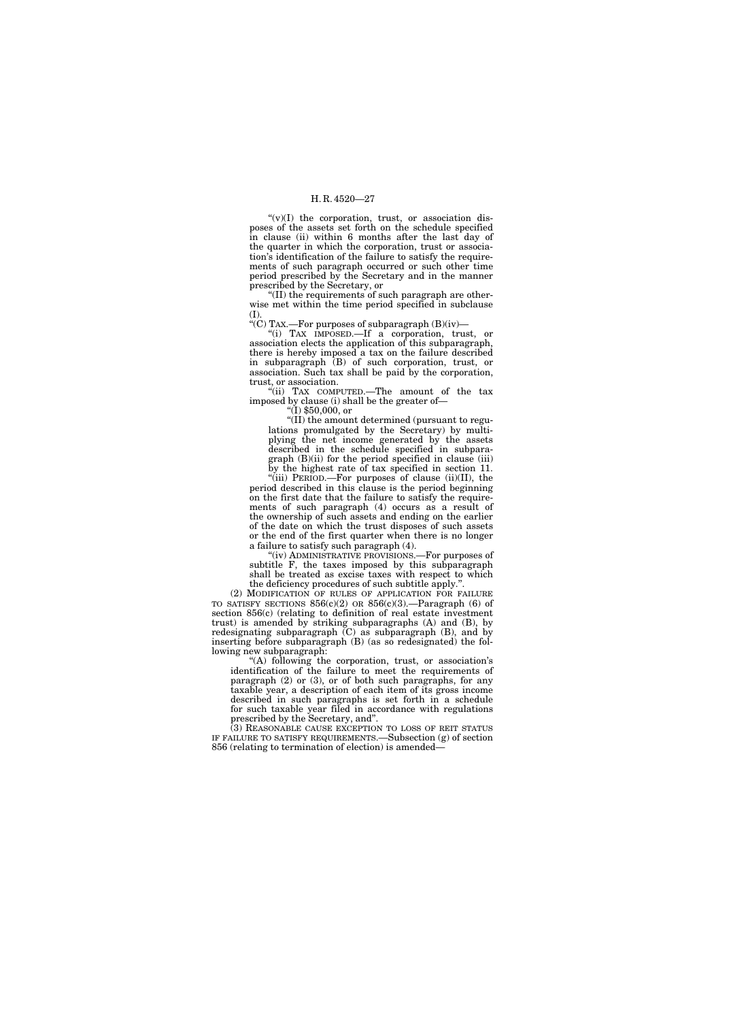$''(v)(I)$  the corporation, trust, or association disposes of the assets set forth on the schedule specified in clause (ii) within 6 months after the last day of the quarter in which the corporation, trust or association's identification of the failure to satisfy the requirements of such paragraph occurred or such other time period prescribed by the Secretary and in the manner prescribed by the Secretary, or

"(II) the requirements of such paragraph are otherwise met within the time period specified in subclause (I).

''(C) TAX.—For purposes of subparagraph (B)(iv)—

''(i) TAX IMPOSED.—If a corporation, trust, or association elects the application of this subparagraph, there is hereby imposed a tax on the failure described in subparagraph (B) of such corporation, trust, or association. Such tax shall be paid by the corporation, trust, or association.

''(ii) TAX COMPUTED.—The amount of the tax imposed by clause (i) shall be the greater of—

"(I)  $$50,000$ , or

''(II) the amount determined (pursuant to regulations promulgated by the Secretary) by multiplying the net income generated by the assets described in the schedule specified in subparagraph  $(B)(ii)$  for the period specified in clause  $(iii)$ by the highest rate of tax specified in section 11.

''(iii) PERIOD.—For purposes of clause (ii)(II), the period described in this clause is the period beginning on the first date that the failure to satisfy the requirements of such paragraph (4) occurs as a result of the ownership of such assets and ending on the earlier of the date on which the trust disposes of such assets or the end of the first quarter when there is no longer a failure to satisfy such paragraph (4).

''(iv) ADMINISTRATIVE PROVISIONS.—For purposes of subtitle F, the taxes imposed by this subparagraph shall be treated as excise taxes with respect to which the deficiency procedures of such subtitle apply.''.

(2) MODIFICATION OF RULES OF APPLICATION FOR FAILURE TO SATISFY SECTIONS  $856(c)(2)$  OR  $856(c)(3)$ . - Paragraph (6) of section 856(c) (relating to definition of real estate investment trust) is amended by striking subparagraphs (A) and (B), by redesignating subparagraph (C) as subparagraph (B), and by inserting before subparagraph (B) (as so redesignated) the following new subparagraph:

"(A) following the corporation, trust, or association's identification of the failure to meet the requirements of paragraph (2) or (3), or of both such paragraphs, for any taxable year, a description of each item of its gross income described in such paragraphs is set forth in a schedule for such taxable year filed in accordance with regulations prescribed by the Secretary, and''.

(3) REASONABLE CAUSE EXCEPTION TO LOSS OF REIT STATUS IF FAILURE TO SATISFY REQUIREMENTS.—Subsection (g) of section 856 (relating to termination of election) is amended—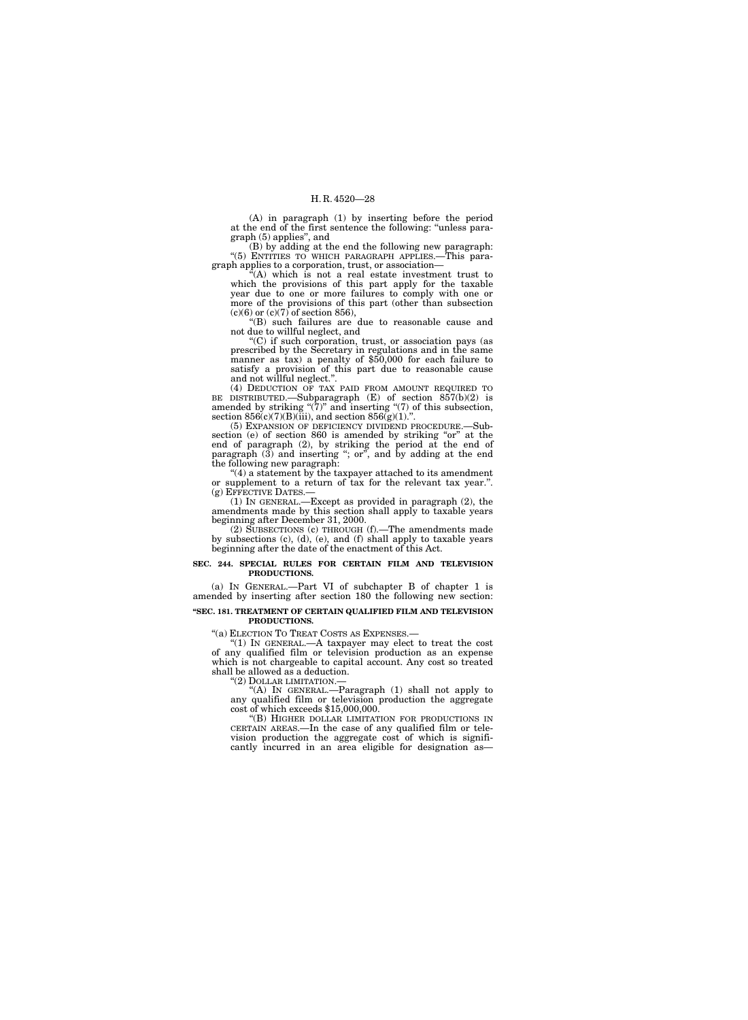(A) in paragraph (1) by inserting before the period at the end of the first sentence the following: ''unless paragraph (5) applies'', and

(B) by adding at the end the following new paragraph: "(5) ENTITIES TO WHICH PARAGRAPH APPLIES.-This paragraph applies to a corporation, trust, or association—

 $\sqrt{a}$ (A) which is not a real estate investment trust to which the provisions of this part apply for the taxable year due to one or more failures to comply with one or more of the provisions of this part (other than subsection  $(c)(6)$  or  $(c)(7)$  of section 856),

''(B) such failures are due to reasonable cause and not due to willful neglect, and

''(C) if such corporation, trust, or association pays (as prescribed by the Secretary in regulations and in the same manner as tax) a penalty of \$50,000 for each failure to satisfy a provision of this part due to reasonable cause and not willful neglect.''.

(4) DEDUCTION OF TAX PAID FROM AMOUNT REQUIRED TO BE DISTRIBUTED.—Subparagraph (E) of section 857(b)(2) is amended by striking " $(7)$ " and inserting " $(7)$  of this subsection, section  $856(c)(7)(B)(iii)$ , and section  $856(g)(1)$ .".

(5) EXPANSION OF DEFICIENCY DIVIDEND PROCEDURE.—Subsection (e) of section 860 is amended by striking "or" at the end of paragraph  $(2)$ , by striking the period at the end of paragraph  $(3)$  and inserting "; or", and by adding at the end the following new paragraph:

 $(4)$  a statement by the taxpayer attached to its amendment or supplement to a return of tax for the relevant tax year.''. (g) EFFECTIVE DATES.—

(1) IN GENERAL.—Except as provided in paragraph (2), the amendments made by this section shall apply to taxable years beginning after December 31, 2000.

(2) SUBSECTIONS (c) THROUGH (f).—The amendments made by subsections (c), (d), (e), and (f) shall apply to taxable years beginning after the date of the enactment of this Act.

#### **SEC. 244. SPECIAL RULES FOR CERTAIN FILM AND TELEVISION PRODUCTIONS.**

(a) IN GENERAL.—Part VI of subchapter B of chapter 1 is amended by inserting after section 180 the following new section:

**''SEC. 181. TREATMENT OF CERTAIN QUALIFIED FILM AND TELEVISION PRODUCTIONS.**

''(a) ELECTION TO TREAT COSTS AS EXPENSES.— ''(1) IN GENERAL.—A taxpayer may elect to treat the cost of any qualified film or television production as an expense which is not chargeable to capital account. Any cost so treated shall be allowed as a deduction.

"(2) DOLLAR LIMITATION.—<br>"(A) IN GENERAL.—Paragraph (1) shall not apply to any qualified film or television production the aggregate cost of which exceeds \$15,000,000.

''(B) HIGHER DOLLAR LIMITATION FOR PRODUCTIONS IN CERTAIN AREAS.—In the case of any qualified film or television production the aggregate cost of which is significantly incurred in an area eligible for designation as-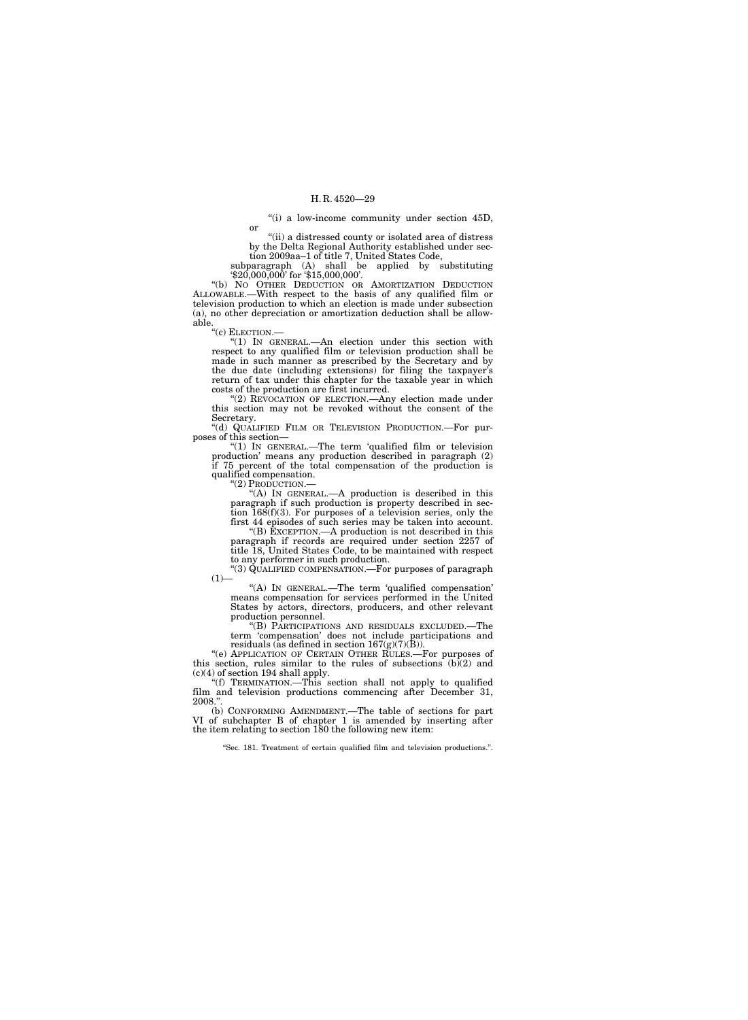''(i) a low-income community under section 45D, or

''(ii) a distressed county or isolated area of distress by the Delta Regional Authority established under section 2009aa–1 of title 7, United States Code,

subparagraph (A) shall be applied by substituting '\$20,000,000' for '\$15,000,000'.

''(b) NO OTHER DEDUCTION OR AMORTIZATION DEDUCTION ALLOWABLE.—With respect to the basis of any qualified film or television production to which an election is made under subsection (a), no other depreciation or amortization deduction shall be allowable.

''(c) ELECTION.—

''(1) IN GENERAL.—An election under this section with respect to any qualified film or television production shall be made in such manner as prescribed by the Secretary and by the due date (including extensions) for filing the taxpayer's return of tax under this chapter for the taxable year in which costs of the production are first incurred.

"(2) REVOCATION OF ELECTION.—Any election made under this section may not be revoked without the consent of the Secretary.

''(d) QUALIFIED FILM OR TELEVISION PRODUCTION.—For purposes of this section—

''(1) IN GENERAL.—The term 'qualified film or television production' means any production described in paragraph (2) if 75 percent of the total compensation of the production is qualified compensation.<br>
"(2) PRODUCTION.—

''(A) IN GENERAL.—A production is described in this paragraph if such production is property described in section  $168(f)(3)$ . For purposes of a television series, only the first 44 episodes of such series may be taken into account.

''(B) EXCEPTION.—A production is not described in this paragraph if records are required under section 2257 of title 18, United States Code, to be maintained with respect to any performer in such production.

''(3) QUALIFIED COMPENSATION.—For purposes of paragraph  $(1)$ —

''(A) IN GENERAL.—The term 'qualified compensation' means compensation for services performed in the United States by actors, directors, producers, and other relevant production personnel.

''(B) PARTICIPATIONS AND RESIDUALS EXCLUDED.—The term 'compensation' does not include participations and

residuals (as defined in section  $167(g)(7)(B)$ ).<br>"(e) APPLICATION OF CERTAIN OTHER RULES.—For purposes of this section, rules similar to the rules of subsections  $(b)(2)$  and

 $(c)(4)$  of section 194 shall apply.<br>"(f) TERMINATION.—This section shall not apply to qualified film and television productions commencing after December 31, 2008.''.

(b) CONFORMING AMENDMENT.—The table of sections for part VI of subchapter B of chapter 1 is amended by inserting after the item relating to section 180 the following new item:

''Sec. 181. Treatment of certain qualified film and television productions.''.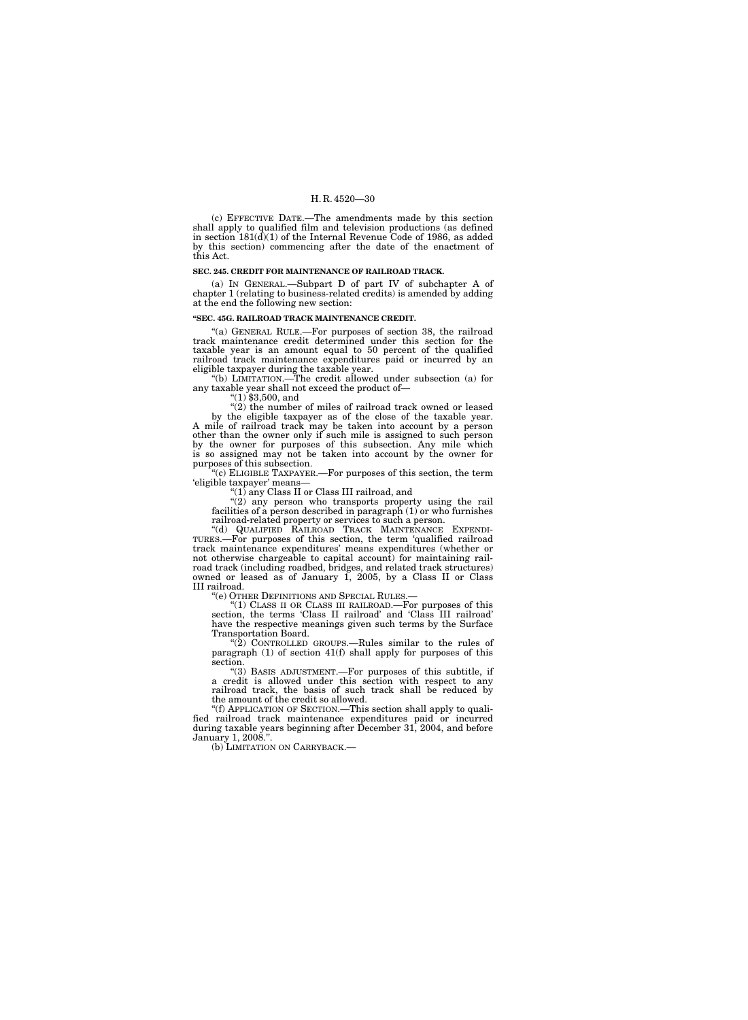(c) EFFECTIVE DATE.—The amendments made by this section shall apply to qualified film and television productions (as defined in section 181(d)(1) of the Internal Revenue Code of 1986, as added by this section) commencing after the date of the enactment of this Act.

#### **SEC. 245. CREDIT FOR MAINTENANCE OF RAILROAD TRACK.**

(a) IN GENERAL.—Subpart D of part IV of subchapter A of chapter 1 (relating to business-related credits) is amended by adding at the end the following new section:

#### **''SEC. 45G. RAILROAD TRACK MAINTENANCE CREDIT.**

''(a) GENERAL RULE.—For purposes of section 38, the railroad track maintenance credit determined under this section for the taxable year is an amount equal to 50 percent of the qualified railroad track maintenance expenditures paid or incurred by an eligible taxpayer during the taxable year.

''(b) LIMITATION.—The credit allowed under subsection (a) for any taxable year shall not exceed the product of—

 $"(1)$ \$3,500, and

''(2) the number of miles of railroad track owned or leased by the eligible taxpayer as of the close of the taxable year. A mile of railroad track may be taken into account by a person other than the owner only if such mile is assigned to such person by the owner for purposes of this subsection. Any mile which is so assigned may not be taken into account by the owner for purposes of this subsection.

''(c) ELIGIBLE TAXPAYER.—For purposes of this section, the term 'eligible taxpayer' means—

''(1) any Class II or Class III railroad, and

"(2) any person who transports property using the rail facilities of a person described in paragraph (1) or who furnishes railroad-related property or services to such a person.

''(d) QUALIFIED RAILROAD TRACK MAINTENANCE EXPENDI-TURES.—For purposes of this section, the term 'qualified railroad track maintenance expenditures' means expenditures (whether or not otherwise chargeable to capital account) for maintaining railroad track (including roadbed, bridges, and related track structures) owned or leased as of January I, 2005, by a Class II or Class III railroad. ''(e) OTHER DEFINITIONS AND SPECIAL RULES.—

 $^{\prime}(1)$  CLASS II OR CLASS III RAILROAD.—For purposes of this section, the terms 'Class II railroad' and 'Class III railroad' have the respective meanings given such terms by the Surface Transportation Board.<br>
"(2) CONTROLLED GROUPS.—Rules similar to the rules of

paragraph (1) of section 41(f) shall apply for purposes of this section.

''(3) BASIS ADJUSTMENT.—For purposes of this subtitle, if a credit is allowed under this section with respect to any railroad track, the basis of such track shall be reduced by the amount of the credit so allowed.

''(f) APPLICATION OF SECTION.—This section shall apply to qualified railroad track maintenance expenditures paid or incurred during taxable years beginning after December 31, 2004, and before January 1, 2008.".

(b) LIMITATION ON CARRYBACK.—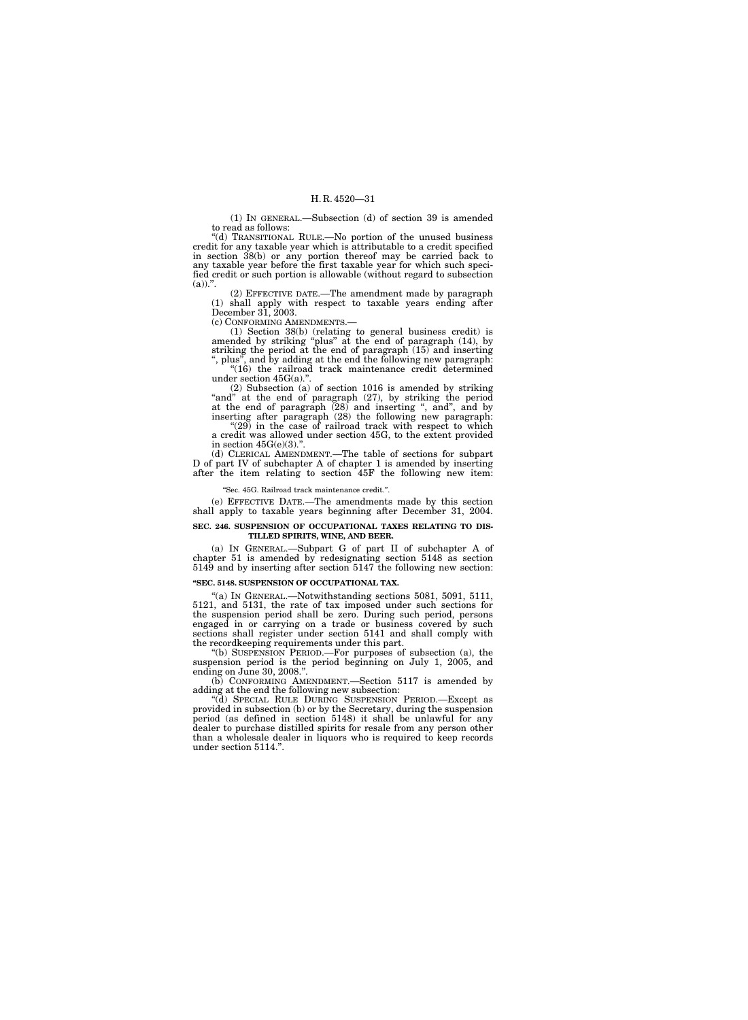(1) IN GENERAL.—Subsection (d) of section 39 is amended to read as follows:

''(d) TRANSITIONAL RULE.—No portion of the unused business credit for any taxable year which is attributable to a credit specified in section 38(b) or any portion thereof may be carried back to any taxable year before the first taxable year for which such specified credit or such portion is allowable (without regard to subsection  $(a)$ ...

(2) EFFECTIVE DATE.—The amendment made by paragraph (1) shall apply with respect to taxable years ending after December 31, 2003.

(c) CONFORMING AMENDMENTS.—

(1) Section 38(b) (relating to general business credit) is amended by striking "plus" at the end of paragraph (14), by striking the period at the end of paragraph (15) and inserting ', plus<sup>3</sup>, and by adding at the end the following new paragraph: "(16) the railroad track maintenance credit determined

under section  $45G(a)$ ." (2) Subsection (a) of section 1016 is amended by striking

"and" at the end of paragraph (27), by striking the period at the end of paragraph (28) and inserting ", and", and by inserting after paragraph (28) the following new paragraph: "(29) in the case of railroad track with respect to which a credit was allowed under section 45G, to the extent provided

in section  $45G(e)(3)$ .". (d) CLERICAL AMENDMENT.—The table of sections for subpart D of part IV of subchapter A of chapter 1 is amended by inserting after the item relating to section 45F the following new item:

''Sec. 45G. Railroad track maintenance credit.''.

(e) EFFECTIVE DATE.—The amendments made by this section shall apply to taxable years beginning after December 31, 2004.

## **SEC. 246. SUSPENSION OF OCCUPATIONAL TAXES RELATING TO DIS-TILLED SPIRITS, WINE, AND BEER.**

(a) IN GENERAL.—Subpart G of part II of subchapter A of chapter 51 is amended by redesignating section 5148 as section 5149 and by inserting after section 5147 the following new section:

#### **''SEC. 5148. SUSPENSION OF OCCUPATIONAL TAX.**

''(a) IN GENERAL.—Notwithstanding sections 5081, 5091, 5111, 5121, and 5131, the rate of tax imposed under such sections for the suspension period shall be zero. During such period, persons engaged in or carrying on a trade or business covered by such sections shall register under section 5141 and shall comply with the record<br>keeping requirements under this part.

"(b) SUSPENSION PERIOD.—For purposes of subsection (a), the suspension period is the period beginning on July 1, 2005, and ending on June 30, 2008.".

(b) CONFORMING AMENDMENT.—Section 5117 is amended by adding at the end the following new subsection:<br>"(d) SPECIAL RULE DURING SUSPENSION PERIOD.—Except as

provided in subsection (b) or by the Secretary, during the suspension period (as defined in section 5148) it shall be unlawful for any dealer to purchase distilled spirits for resale from any person other than a wholesale dealer in liquors who is required to keep records under section 5114.''.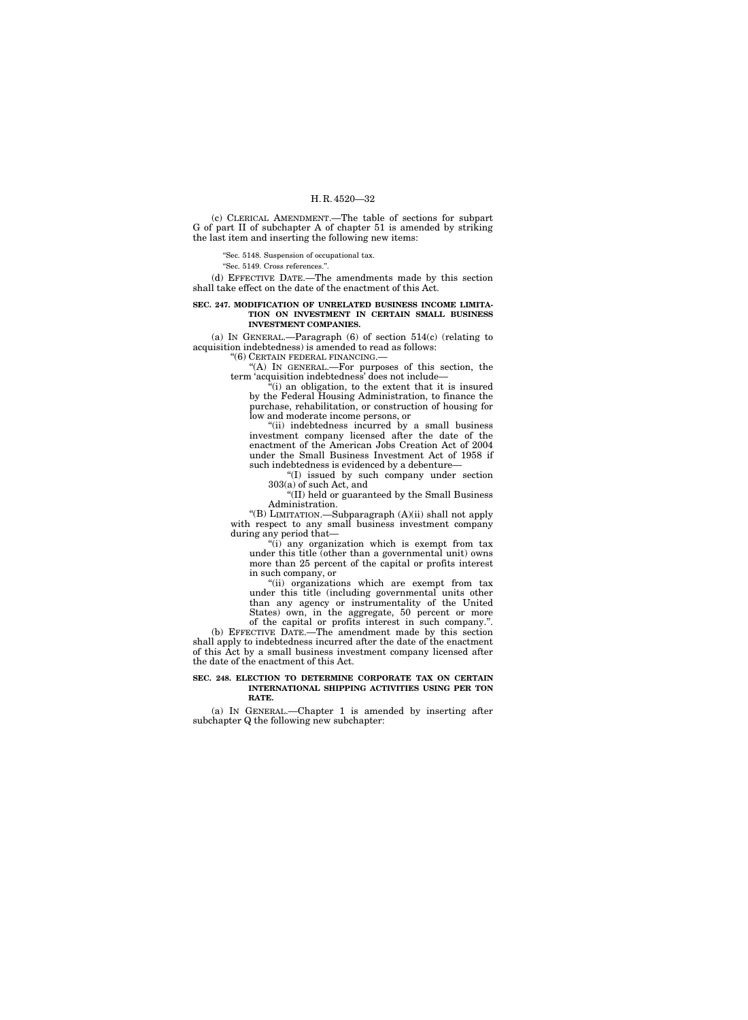(c) CLERICAL AMENDMENT.—The table of sections for subpart G of part II of subchapter A of chapter 51 is amended by striking the last item and inserting the following new items:

''Sec. 5148. Suspension of occupational tax.

''Sec. 5149. Cross references.''.

(d) EFFECTIVE DATE.—The amendments made by this section shall take effect on the date of the enactment of this Act.

#### **SEC. 247. MODIFICATION OF UNRELATED BUSINESS INCOME LIMITA-TION ON INVESTMENT IN CERTAIN SMALL BUSINESS INVESTMENT COMPANIES.**

(a) IN GENERAL.—Paragraph  $(6)$  of section 514 $(c)$  (relating to acquisition indebtedness) is amended to read as follows:

''(6) CERTAIN FEDERAL FINANCING.—

''(A) IN GENERAL.—For purposes of this section, the term 'acquisition indebtedness' does not include—

 $\mathbf{F}^{\mathbf{r}}$ (i) an obligation, to the extent that it is insured by the Federal Housing Administration, to finance the purchase, rehabilitation, or construction of housing for low and moderate income persons, or

''(ii) indebtedness incurred by a small business investment company licensed after the date of the enactment of the American Jobs Creation Act of 2004 under the Small Business Investment Act of 1958 if such indebtedness is evidenced by a debenture—

''(I) issued by such company under section 303(a) of such Act, and

''(II) held or guaranteed by the Small Business Administration.

''(B) LIMITATION.—Subparagraph (A)(ii) shall not apply with respect to any small business investment company during any period that—

''(i) any organization which is exempt from tax under this title (other than a governmental unit) owns more than 25 percent of the capital or profits interest in such company, or

''(ii) organizations which are exempt from tax under this title (including governmental units other than any agency or instrumentality of the United States) own, in the aggregate, 50 percent or more

of the capital or profits interest in such company.''. (b) EFFECTIVE DATE.—The amendment made by this section shall apply to indebtedness incurred after the date of the enactment of this Act by a small business investment company licensed after the date of the enactment of this Act.

#### **SEC. 248. ELECTION TO DETERMINE CORPORATE TAX ON CERTAIN INTERNATIONAL SHIPPING ACTIVITIES USING PER TON RATE.**

(a) IN GENERAL.—Chapter 1 is amended by inserting after subchapter Q the following new subchapter: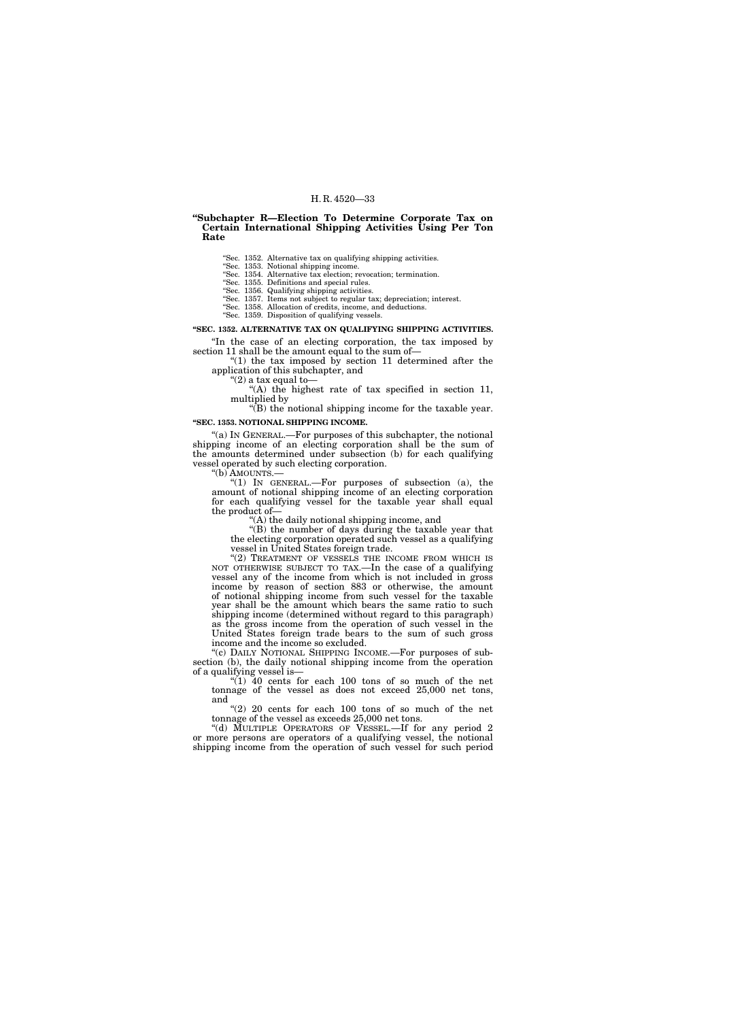#### **''Subchapter R—Election To Determine Corporate Tax on Certain International Shipping Activities Using Per Ton Rate**

''Sec. 1352. Alternative tax on qualifying shipping activities.

''Sec. 1353. Notional shipping income. ''Sec. 1354. Alternative tax election; revocation; termination.

''Sec. 1355. Definitions and special rules.

''Sec. 1356. Qualifying shipping activities.

''Sec. 1357. Items not subject to regular tax; depreciation; interest.

''Sec. 1358. Allocation of credits, income, and deductions. ''Sec. 1359. Disposition of qualifying vessels.

# **''SEC. 1352. ALTERNATIVE TAX ON QUALIFYING SHIPPING ACTIVITIES.**

"In the case of an electing corporation, the tax imposed by section 11 shall be the amount equal to the sum of-

"(1) the tax imposed by section 11 determined after the application of this subchapter, and

"(2) a tax equal to—  $\text{``(A)}$  the highest rate of tax specified in section 11, multiplied by

 $\hat{P}(B)$  the notional shipping income for the taxable year. **''SEC. 1353. NOTIONAL SHIPPING INCOME.**

"(a) IN GENERAL.—For purposes of this subchapter, the notional shipping income of an electing corporation shall be the sum of the amounts determined under subsection (b) for each qualifying vessel operated by such electing corporation.<br>"(b) AMOUNTS.—<br>"(1) IN GENERAL.—For purposes of subsection (a), the

amount of notional shipping income of an electing corporation for each qualifying vessel for the taxable year shall equal the product of—

''(A) the daily notional shipping income, and

''(B) the number of days during the taxable year that the electing corporation operated such vessel as a qualifying vessel in United States foreign trade.

"(2) TREATMENT OF VESSELS THE INCOME FROM WHICH IS NOT OTHERWISE SUBJECT TO TAX.—In the case of a qualifying vessel any of the income from which is not included in gross income by reason of section 883 or otherwise, the amount of notional shipping income from such vessel for the taxable year shall be the amount which bears the same ratio to such shipping income (determined without regard to this paragraph) as the gross income from the operation of such vessel in the United States foreign trade bears to the sum of such gross income and the income so excluded.

''(c) DAILY NOTIONAL SHIPPING INCOME.—For purposes of subsection (b), the daily notional shipping income from the operation of a qualifying vessel is—

 $''(1)$  40 cents for each 100 tons of so much of the net tonnage of the vessel as does not exceed 25,000 net tons, and

''(2) 20 cents for each 100 tons of so much of the net tonnage of the vessel as exceeds 25,000 net tons.

''(d) MULTIPLE OPERATORS OF VESSEL.—If for any period 2 or more persons are operators of a qualifying vessel, the notional shipping income from the operation of such vessel for such period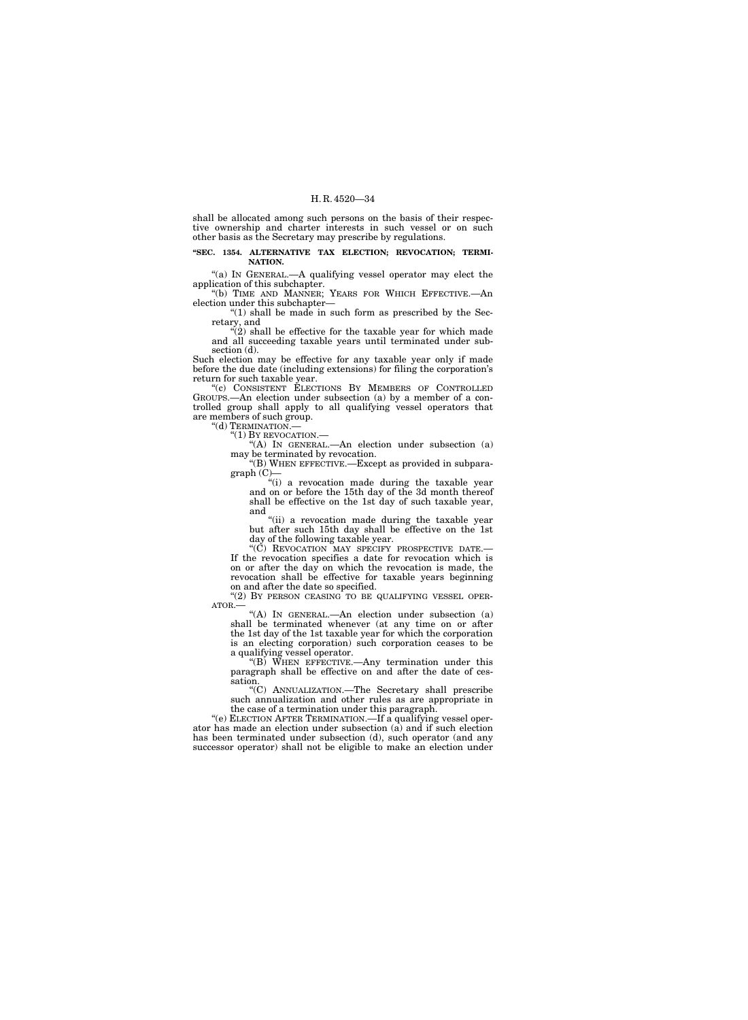shall be allocated among such persons on the basis of their respective ownership and charter interests in such vessel or on such other basis as the Secretary may prescribe by regulations.

#### **''SEC. 1354. ALTERNATIVE TAX ELECTION; REVOCATION; TERMI-NATION.**

''(a) IN GENERAL.—A qualifying vessel operator may elect the application of this subchapter.

''(b) TIME AND MANNER; YEARS FOR WHICH EFFECTIVE.—An election under this subchapter— " $(1)$  shall be made in such form as prescribed by the Sec-

retary, and  $(2)$  shall be effective for the taxable year for which made

and all succeeding taxable years until terminated under subsection (d).

Such election may be effective for any taxable year only if made before the due date (including extensions) for filing the corporation's return for such taxable year.

''(c) CONSISTENT ELECTIONS BY MEMBERS OF CONTROLLED GROUPS.—An election under subsection (a) by a member of a controlled group shall apply to all qualifying vessel operators that are members of such group.

"(d) TERMINATION.

''(1) BY REVOCATION.—

''(A) IN GENERAL.—An election under subsection (a) may be terminated by revocation.

''(B) WHEN EFFECTIVE.—Except as provided in subpara $graph (C)$ —

''(i) a revocation made during the taxable year and on or before the 15th day of the 3d month thereof shall be effective on the 1st day of such taxable year, and

"(ii) a revocation made during the taxable year but after such 15th day shall be effective on the 1st day of the following taxable year.

''(C) REVOCATION MAY SPECIFY PROSPECTIVE DATE.— If the revocation specifies a date for revocation which is on or after the day on which the revocation is made, the revocation shall be effective for taxable years beginning on and after the date so specified.

"(2) BY PERSON CEASING TO BE QUALIFYING VESSEL OPER-ATOR.—

''(A) IN GENERAL.—An election under subsection (a) shall be terminated whenever (at any time on or after the 1st day of the 1st taxable year for which the corporation is an electing corporation) such corporation ceases to be a qualifying vessel operator.

''(B) WHEN EFFECTIVE.—Any termination under this paragraph shall be effective on and after the date of ces-

"(C) ANNUALIZATION. - The Secretary shall prescribe such annualization and other rules as are appropriate in the case of a termination under this paragraph.

"(e) ELECTION AFTER TERMINATION.—If a qualifying vessel operator has made an election under subsection (a) and if such election has been terminated under subsection (d), such operator (and any successor operator) shall not be eligible to make an election under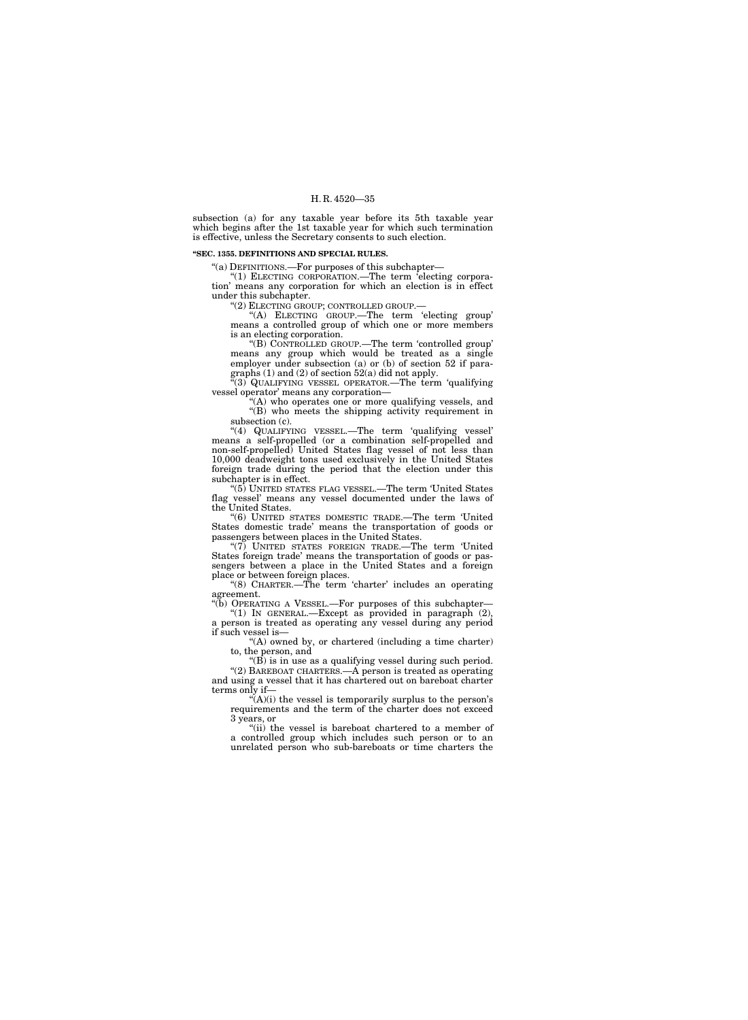subsection (a) for any taxable year before its 5th taxable year which begins after the 1st taxable year for which such termination is effective, unless the Secretary consents to such election.

#### **''SEC. 1355. DEFINITIONS AND SPECIAL RULES.**

''(a) DEFINITIONS.—For purposes of this subchapter—

"(1) ELECTING CORPORATION.—The term <sup>t</sup>electing corporation' means any corporation for which an election is in effect under this subchapter.

''(2) ELECTING GROUP; CONTROLLED GROUP.—

''(A) ELECTING GROUP.—The term 'electing group' means a controlled group of which one or more members is an electing corporation.

''(B) CONTROLLED GROUP.—The term 'controlled group' means any group which would be treated as a single employer under subsection (a) or (b) of section 52 if paragraphs (1) and (2) of section 52(a) did not apply.

 $\sqrt[4]{(3)}$  QUALIFYING VESSEL OPERATOR.—The term 'qualifying vessel operator' means any corporation—

''(A) who operates one or more qualifying vessels, and ''(B) who meets the shipping activity requirement in subsection (c).

''(4) QUALIFYING VESSEL.—The term 'qualifying vessel' means a self-propelled (or a combination self-propelled and non-self-propelled) United States flag vessel of not less than 10,000 deadweight tons used exclusively in the United States foreign trade during the period that the election under this subchapter is in effect.

''(5) UNITED STATES FLAG VESSEL.—The term 'United States flag vessel' means any vessel documented under the laws of the United States.

''(6) UNITED STATES DOMESTIC TRADE.—The term 'United States domestic trade' means the transportation of goods or passengers between places in the United States.

"(7) UNITED STATES FOREIGN TRADE.—The term 'United States foreign trade' means the transportation of goods or passengers between a place in the United States and a foreign place or between foreign places.

''(8) CHARTER.—The term 'charter' includes an operating agreement.

''(b) OPERATING A VESSEL.—For purposes of this subchapter— "(1) IN GENERAL.—Except as provided in paragraph (2), a person is treated as operating any vessel during any period

if such vessel is— ''(A) owned by, or chartered (including a time charter)

to, the person, and  $\mathrm{``(B)}$  is in use as a qualifying vessel during such period. "(2) BAREBOAT CHARTERS.—A person is treated as operating and using a vessel that it has chartered out on bareboat charter

terms only if—  $\mathcal{L}(A)(i)$  the vessel is temporarily surplus to the person's

requirements and the term of the charter does not exceed 3 years, or

"(ii) the vessel is bareboat chartered to a member of a controlled group which includes such person or to an unrelated person who sub-bareboats or time charters the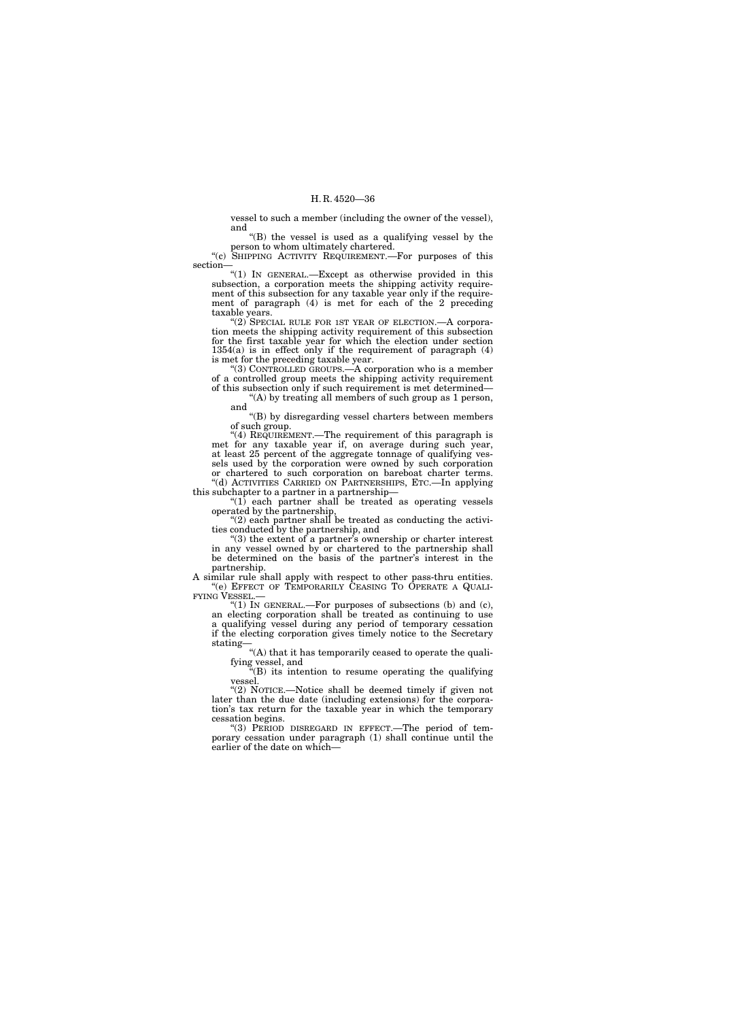vessel to such a member (including the owner of the vessel), and

''(B) the vessel is used as a qualifying vessel by the person to whom ultimately chartered.

"(c) SHIPPING ACTIVITY REQUIREMENT.—For purposes of this section—

''(1) IN GENERAL.—Except as otherwise provided in this subsection, a corporation meets the shipping activity requirement of this subsection for any taxable year only if the requirement of paragraph (4) is met for each of the 2 preceding taxable years.

 $(2)$  SPECIAL RULE FOR 1ST YEAR OF ELECTION.—A corporation meets the shipping activity requirement of this subsection for the first taxable year for which the election under section 1354(a) is in effect only if the requirement of paragraph (4) is met for the preceding taxable year.

''(3) CONTROLLED GROUPS.—A corporation who is a member of a controlled group meets the shipping activity requirement of this subsection only if such requirement is met determined— "(A) by treating all members of such group as 1 person,

and  $"$ (B) by disregarding vessel charters between members

of such group.

''(4) REQUIREMENT.—The requirement of this paragraph is met for any taxable year if, on average during such year, at least 25 percent of the aggregate tonnage of qualifying vessels used by the corporation were owned by such corporation or chartered to such corporation on bareboat charter terms. ''(d) ACTIVITIES CARRIED ON PARTNERSHIPS, ETC.—In applying

this subchapter to a partner in a partnership— " $(1)$  each partner shall be treated as operating vessels

operated by the partnership, "(2) each partner shall be treated as conducting the activities conducted by the partnership, and

"(3) the extent of a partner's ownership or charter interest in any vessel owned by or chartered to the partnership shall be determined on the basis of the partner's interest in the partnership.

A similar rule shall apply with respect to other pass-thru entities. ''(e) EFFECT OF TEMPORARILY CEASING TO OPERATE A QUALI-FYING VESSEL.—

" $(1)$  In GENERAL.—For purposes of subsections  $(b)$  and  $(c)$ , an electing corporation shall be treated as continuing to use a qualifying vessel during any period of temporary cessation if the electing corporation gives timely notice to the Secretary stating—

''(A) that it has temporarily ceased to operate the qualifying vessel, and

''(B) its intention to resume operating the qualifying vessel.

''(2) NOTICE.—Notice shall be deemed timely if given not later than the due date (including extensions) for the corporation's tax return for the taxable year in which the temporary cessation begins.<br>"(3) PERIOD DISREGARD IN EFFECT.—The period of tem-

porary cessation under paragraph (1) shall continue until the earlier of the date on which—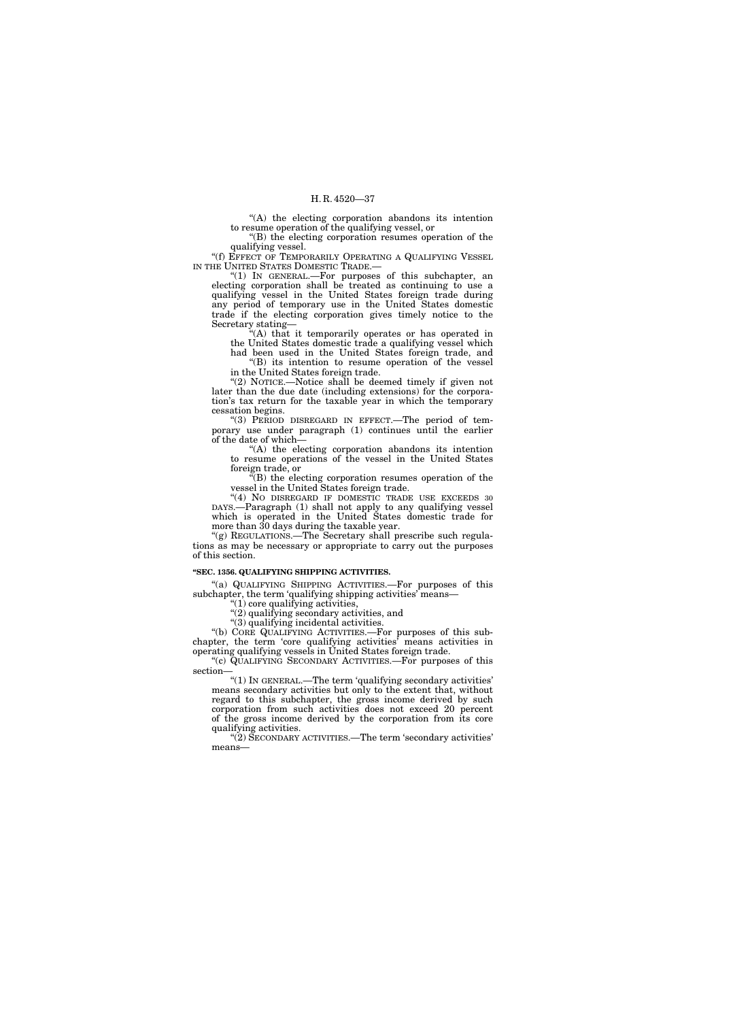''(A) the electing corporation abandons its intention to resume operation of the qualifying vessel, or

''(B) the electing corporation resumes operation of the qualifying vessel.

"(f) EFFECT OF TEMPORARILY OPERATING A QUALIFYING VESSEL IN THE UNITED STATES DOMESTIC TRADE.—

''(1) IN GENERAL.—For purposes of this subchapter, an electing corporation shall be treated as continuing to use a qualifying vessel in the United States foreign trade during any period of temporary use in the United States domestic trade if the electing corporation gives timely notice to the Secretary stating—

''(A) that it temporarily operates or has operated in the United States domestic trade a qualifying vessel which had been used in the United States foreign trade, and ''(B) its intention to resume operation of the vessel

in the United States foreign trade.

"(2) NOTICE.—Notice shall be deemed timely if given not later than the due date (including extensions) for the corporation's tax return for the taxable year in which the temporary cessation begins.

''(3) PERIOD DISREGARD IN EFFECT.—The period of temporary use under paragraph (1) continues until the earlier of the date of which—

''(A) the electing corporation abandons its intention to resume operations of the vessel in the United States foreign trade, or

''(B) the electing corporation resumes operation of the vessel in the United States foreign trade.

"(4) NO DISREGARD IF DOMESTIC TRADE USE EXCEEDS 30 DAYS.—Paragraph (1) shall not apply to any qualifying vessel which is operated in the United States domestic trade for more than 30 days during the taxable year.

"(g) REGULATIONS.—The Secretary shall prescribe such regulations as may be necessary or appropriate to carry out the purposes of this section.

#### **''SEC. 1356. QUALIFYING SHIPPING ACTIVITIES.**

''(a) QUALIFYING SHIPPING ACTIVITIES.—For purposes of this subchapter, the term 'qualifying shipping activities' means—

" $(1)$  core qualifying activities,

''(2) qualifying secondary activities, and ''(3) qualifying incidental activities.

''(b) CORE QUALIFYING ACTIVITIES.—For purposes of this subchapter, the term 'core qualifying activities' means activities in operating qualifying vessels in United States foreign trade.

"(c) QUALIFYING SECONDARY ACTIVITIES.—For purposes of this section—

''(1) IN GENERAL.—The term 'qualifying secondary activities' means secondary activities but only to the extent that, without regard to this subchapter, the gross income derived by such corporation from such activities does not exceed 20 percent of the gross income derived by the corporation from its core qualifying activities.

''(2) SECONDARY ACTIVITIES.—The term 'secondary activities' means—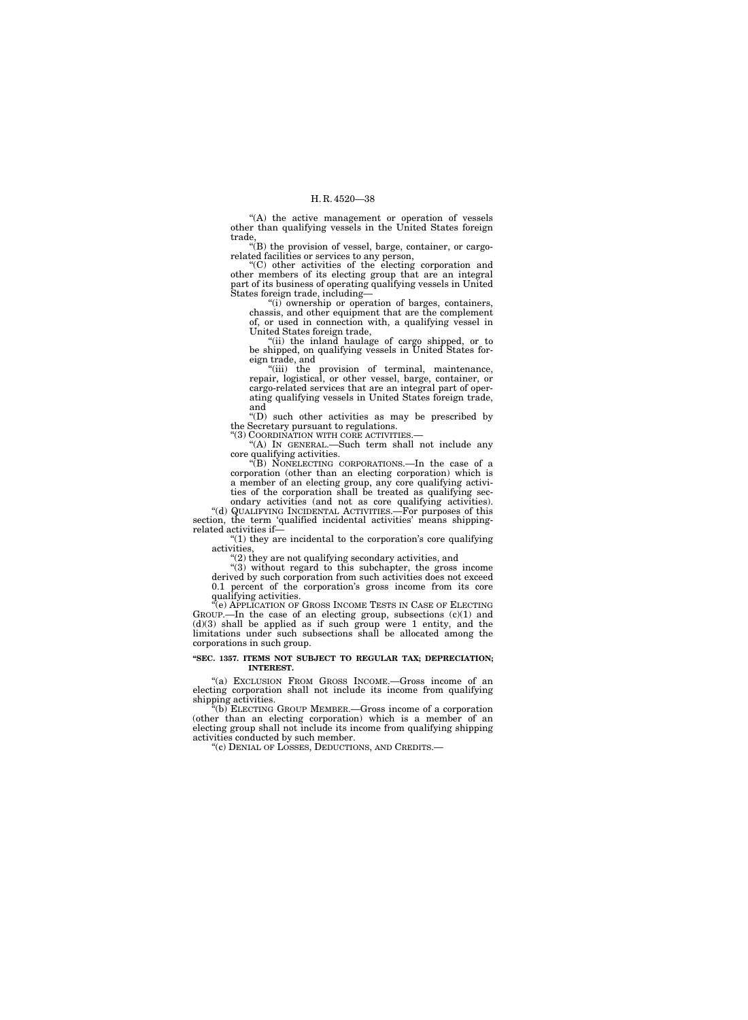''(A) the active management or operation of vessels other than qualifying vessels in the United States foreign trade,

 $\cdot$ (B) the provision of vessel, barge, container, or cargorelated facilities or services to any person,

''(C) other activities of the electing corporation and other members of its electing group that are an integral part of its business of operating qualifying vessels in United States foreign trade, including—

"(i) ownership or operation of barges, containers, chassis, and other equipment that are the complement of, or used in connection with, a qualifying vessel in United States foreign trade,

"(ii) the inland haulage of cargo shipped, or to be shipped, on qualifying vessels in United States foreign trade, and

"(iii) the provision of terminal, maintenance, repair, logistical, or other vessel, barge, container, or cargo-related services that are an integral part of operating qualifying vessels in United States foreign trade, and

''(D) such other activities as may be prescribed by the Secretary pursuant to regulations.

''(3) COORDINATION WITH CORE ACTIVITIES.—

''(A) IN GENERAL.—Such term shall not include any core qualifying activities.

''(B) NONELECTING CORPORATIONS.—In the case of a corporation (other than an electing corporation) which is a member of an electing group, any core qualifying activities of the corporation shall be treated as qualifying sec-

ondary activities (and not as core qualifying activities). ''(d) QUALIFYING INCIDENTAL ACTIVITIES.—For purposes of this section, the term 'qualified incidental activities' means shippingrelated activities if—

" $(1)$  they are incidental to the corporation's core qualifying activities,

''(2) they are not qualifying secondary activities, and

''(3) without regard to this subchapter, the gross income derived by such corporation from such activities does not exceed 0.1 percent of the corporation's gross income from its core qualifying activities.

(e) APPLICATION OF GROSS INCOME TESTS IN CASE OF ELECTING GROUP.—In the case of an electing group, subsections  $(c)(1)$  and (d)(3) shall be applied as if such group were 1 entity, and the limitations under such subsections shall be allocated among the corporations in such group.

#### **''SEC. 1357. ITEMS NOT SUBJECT TO REGULAR TAX; DEPRECIATION; INTEREST.**

''(a) EXCLUSION FROM GROSS INCOME.—Gross income of an electing corporation shall not include its income from qualifying

shipping activities.<br>"(b) ELECTING GROUP MEMBER.—Gross income of a corporation (other than an electing corporation) which is a member of an electing group shall not include its income from qualifying shipping

"(c) DENIAL OF LOSSES, DEDUCTIONS, AND CREDITS.—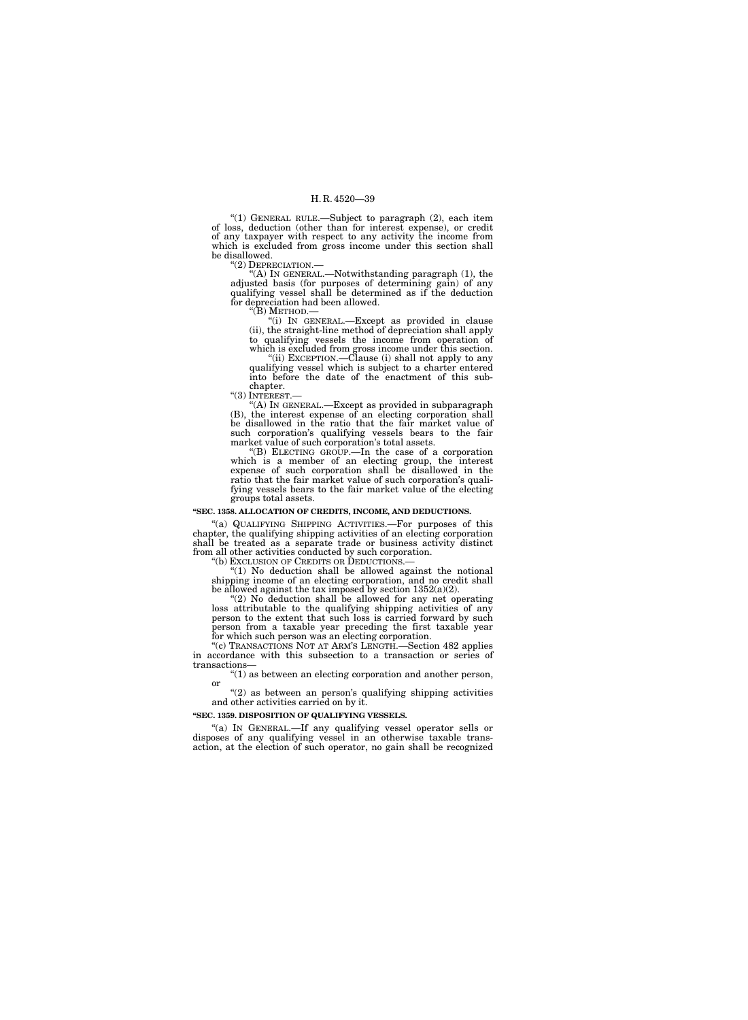''(1) GENERAL RULE.—Subject to paragraph (2), each item of loss, deduction (other than for interest expense), or credit of any taxpayer with respect to any activity the income from which is excluded from gross income under this section shall be disallowed.

"(2) DEPRECIATION.—<br>"(A) IN GENERAL.—Notwithstanding paragraph (1), the adjusted basis (for purposes of determining gain) of any qualifying vessel shall be determined as if the deduction for depreciation had been allowed.<br>
"(B) METHOD.—<br>
"(i) IN GENERAL.—Except as provided in clause

(ii), the straight-line method of depreciation shall apply to qualifying vessels the income from operation of

which is excluded from gross income under this section.<br>
"(ii) EXCEPTION.—Clause (i) shall not apply to any qualifying vessel which is subject to a charter entered into before the date of the enactment of this subchapter.<br>
"(3) INTEREST.—<br>
"(A) IN GENERAL.—Except as provided in subparagraph

(B), the interest expense of an electing corporation shall be disallowed in the ratio that the fair market value of such corporation's qualifying vessels bears to the fair market value of such corporation's total assets.

"(B) ELECTING GROUP.—In the case of a corporation which is a member of an electing group, the interest expense of such corporation shall be disallowed in the ratio that the fair market value of such corporation's qualifying vessels bears to the fair market value of the electing groups total assets.

#### **''SEC. 1358. ALLOCATION OF CREDITS, INCOME, AND DEDUCTIONS.**

''(a) QUALIFYING SHIPPING ACTIVITIES.—For purposes of this chapter, the qualifying shipping activities of an electing corporation shall be treated as a separate trade or business activity distinct from all other activities conducted by such corporation.

"(b) EXCLUSION OF CREDITS OR DEDUCTIONS.—  $\H$ "(1) No deduction shall be allowed against the notional shipping income of an electing corporation, and no credit shall be allowed against the tax imposed by section  $1352(a)(2)$ .

"(2) No deduction shall be allowed for any net operating loss attributable to the qualifying shipping activities of any person to the extent that such loss is carried forward by such person from a taxable year preceding the first taxable year for which such person was an electing corporation.

''(c) TRANSACTIONS NOT AT ARM'S LENGTH.—Section 482 applies in accordance with this subsection to a transaction or series of transactions— ''(1) as between an electing corporation and another person,

or  $''(2)$  as between an person's qualifying shipping activities and other activities carried on by it.

**''SEC. 1359. DISPOSITION OF QUALIFYING VESSELS.**

''(a) IN GENERAL.—If any qualifying vessel operator sells or disposes of any qualifying vessel in an otherwise taxable transaction, at the election of such operator, no gain shall be recognized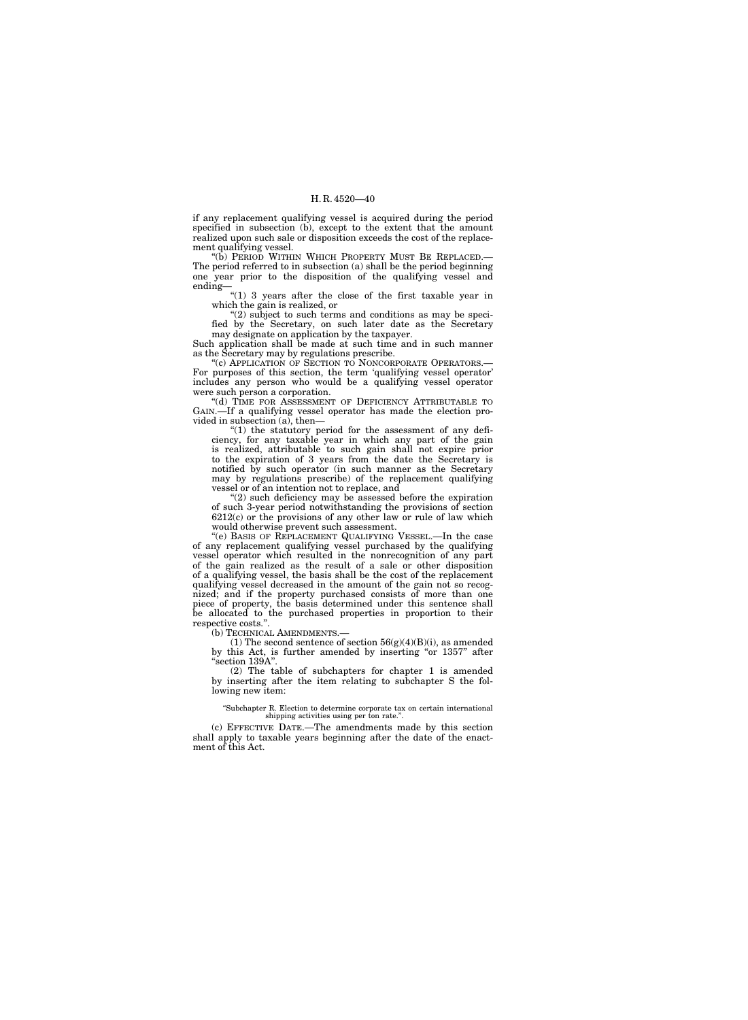if any replacement qualifying vessel is acquired during the period specified in subsection (b), except to the extent that the amount realized upon such sale or disposition exceeds the cost of the replacement qualifying vessel.

''(b) PERIOD WITHIN WHICH PROPERTY MUST BE REPLACED.— The period referred to in subsection (a) shall be the period beginning one year prior to the disposition of the qualifying vessel and ending—

''(1) 3 years after the close of the first taxable year in which the gain is realized, or

''(2) subject to such terms and conditions as may be specified by the Secretary, on such later date as the Secretary may designate on application by the taxpayer.

Such application shall be made at such time and in such manner as the Secretary may by regulations prescribe.

''(c) APPLICATION OF SECTION TO NONCORPORATE OPERATORS.— For purposes of this section, the term 'qualifying vessel operator' includes any person who would be a qualifying vessel operator were such person a corporation.

''(d) TIME FOR ASSESSMENT OF DEFICIENCY ATTRIBUTABLE TO GAIN.—If a qualifying vessel operator has made the election provided in subsection (a), then—

"(1) the statutory period for the assessment of any deficiency, for any taxable year in which any part of the gain is realized, attributable to such gain shall not expire prior to the expiration of 3 years from the date the Secretary is notified by such operator (in such manner as the Secretary may by regulations prescribe) of the replacement qualifying vessel or of an intention not to replace, and

''(2) such deficiency may be assessed before the expiration of such 3-year period notwithstanding the provisions of section  $6212(c)$  or the provisions of any other law or rule of law which would otherwise prevent such assessment.

''(e) BASIS OF REPLACEMENT QUALIFYING VESSEL.—In the case of any replacement qualifying vessel purchased by the qualifying vessel operator which resulted in the nonrecognition of any part of the gain realized as the result of a sale or other disposition of a qualifying vessel, the basis shall be the cost of the replacement qualifying vessel decreased in the amount of the gain not so recognized; and if the property purchased consists of more than one piece of property, the basis determined under this sentence shall be allocated to the purchased properties in proportion to their respective costs.''.

(b) TECHNICAL AMENDMENTS.—

(1) The second sentence of section  $56(g)(4)(B)(i)$ , as amended by this Act, is further amended by inserting "or 1357" after ''section 139A''.

(2) The table of subchapters for chapter 1 is amended by inserting after the item relating to subchapter S the following new item:

''Subchapter R. Election to determine corporate tax on certain international shipping activities using per ton rate."

(c) EFFECTIVE DATE.—The amendments made by this section shall apply to taxable years beginning after the date of the enactment of this Act.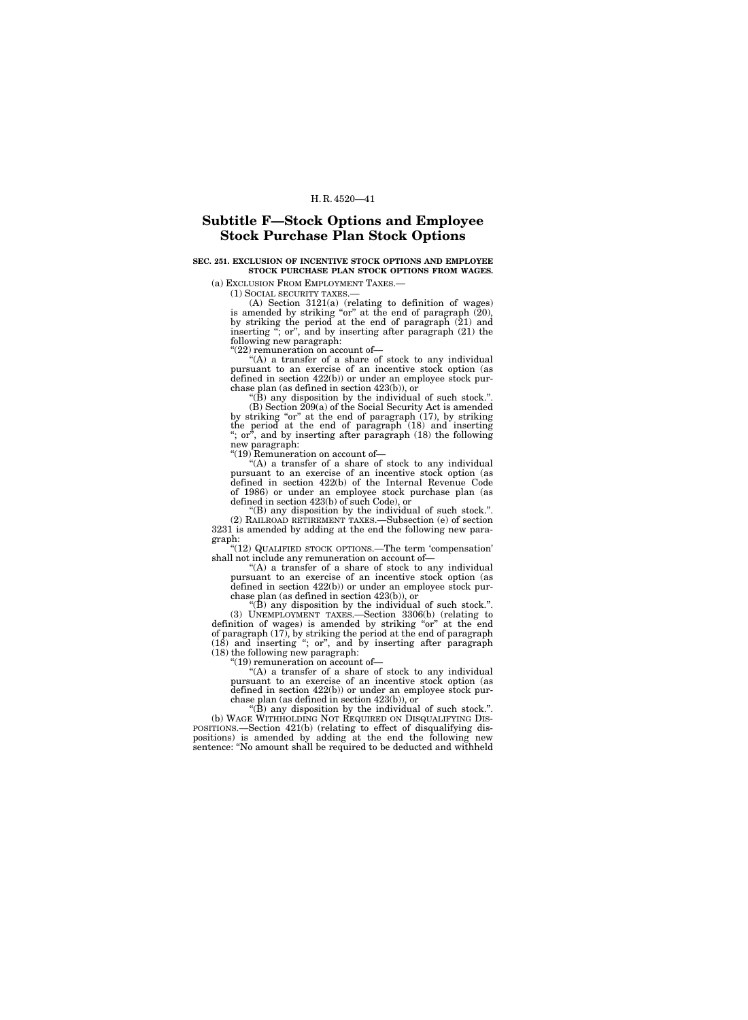# **Subtitle F—Stock Options and Employee Stock Purchase Plan Stock Options**

# **SEC. 251. EXCLUSION OF INCENTIVE STOCK OPTIONS AND EMPLOYEE STOCK PURCHASE PLAN STOCK OPTIONS FROM WAGES.**

(a) EXCLUSION FROM EMPLOYMENT TAXES.—

(1) SOCIAL SECURITY TAXES.—

(A) Section 3121(a) (relating to definition of wages) is amended by striking "or" at the end of paragraph  $(20)$ , by striking the period at the end of paragraph  $(21)$  and inserting  $\ddot{\cdot}$ ; or", and by inserting after paragraph (21) the following new paragraph: ''(22) remuneration on account of—

"(A) a transfer of a share of stock to any individual pursuant to an exercise of an incentive stock option (as defined in section 422(b)) or under an employee stock purchase plan (as defined in section 423(b)), or

" $(B)$  any disposition by the individual of such stock.". (B) Section 209(a) of the Social Security Act is amended by striking "or" at the end of paragraph (17), by striking the period at the end of paragraph (18) and inserting ''; or'', and by inserting after paragraph (18) the following new paragraph:<br>"(19) Remuneration on account of-

"(A) a transfer of a share of stock to any individual pursuant to an exercise of an incentive stock option (as defined in section 422(b) of the Internal Revenue Code of 1986) or under an employee stock purchase plan (as defined in section 423(b) of such Code), or

"(B) any disposition by the individual of such stock.". (2) RAILROAD RETIREMENT TAXES.—Subsection (e) of section 3231 is amended by adding at the end the following new para-

graph: "(12) QUALIFIED STOCK OPTIONS.—The term 'compensation' shall not include any remuneration on account of— "(A) a transfer of a share of stock to any individual

pursuant to an exercise of an incentive stock option (as defined in section  $422(b)$ ) or under an employee stock pur-<br>chase plan (as defined in section  $423(b)$ ), or

"(B) any disposition by the individual of such stock.".<br>
(3) UNEMPLOYMENT TAXES.—Section  $3306(b)$  (relating to definition of wages) is amended by striking "or" at the end of paragraph (17), by striking the period at the end of paragraph (18) and inserting ''; or'', and by inserting after paragraph (18) the following new paragraph:

''(19) remuneration on account of—

"(A) a transfer of a share of stock to any individual pursuant to an exercise of an incentive stock option (as defined in section 422(b)) or under an employee stock purchase plan (as defined in section 423(b)), or "(B) any disposition by the individual of such stock.".

(b) WAGE WITHHOLDING NOT REQUIRED ON DISQUALIFYING DIS-<br>POSITIONS.—Section 421(b) (relating to effect of disqualifying dispositions) is amended by adding at the end the following new sentence: ''No amount shall be required to be deducted and withheld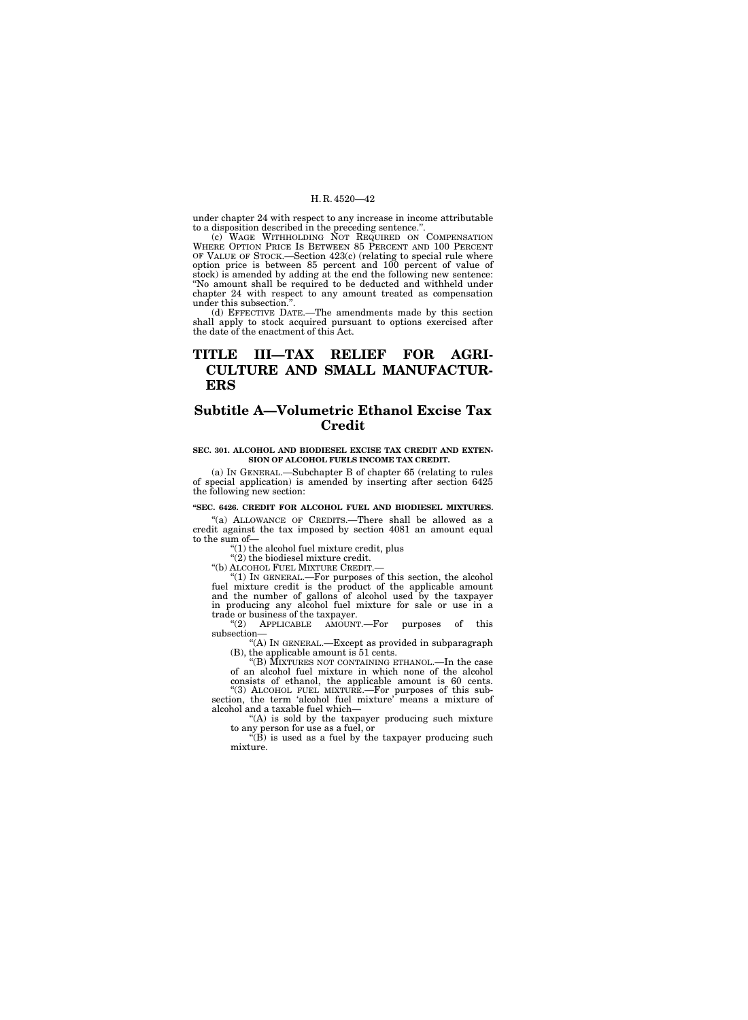under chapter 24 with respect to any increase in income attributable to a disposition described in the preceding sentence.''.

(c) WAGE WITHHOLDING NOT REQUIRED ON COMPENSATION WHERE OPTION PRICE IS BETWEEN 85 PERCENT AND 100 PERCENT OF VALUE OF STOCK.—Section 423(c) (relating to special rule where option price is between 85 percent and 100 percent of value of stock) is amended by adding at the end the following new sentence: ''No amount shall be required to be deducted and withheld under chapter 24 with respect to any amount treated as compensation under this subsection.''.

(d) EFFECTIVE DATE.—The amendments made by this section shall apply to stock acquired pursuant to options exercised after the date of the enactment of this Act.

# **TITLE III—TAX RELIEF FOR AGRI-CULTURE AND SMALL MANUFACTUR-ERS**

# **Subtitle A—Volumetric Ethanol Excise Tax Credit**

#### **SEC. 301. ALCOHOL AND BIODIESEL EXCISE TAX CREDIT AND EXTEN-SION OF ALCOHOL FUELS INCOME TAX CREDIT.**

(a) IN GENERAL.—Subchapter B of chapter 65 (relating to rules of special application) is amended by inserting after section 6425 the following new section:

### **''SEC. 6426. CREDIT FOR ALCOHOL FUEL AND BIODIESEL MIXTURES.**

"(a) ALLOWANCE OF CREDITS.—There shall be allowed as a credit against the tax imposed by section 4081 an amount equal to the sum of—

 $(1)$  the alcohol fuel mixture credit, plus

 $\sqrt{\frac{2}{2}}$  the biodiesel mixture credit.<br>"(b) ALCOHOL FUEL MIXTURE CREDIT.

" $(1)$  In GENERAL.—For purposes of this section, the alcohol fuel mixture credit is the product of the applicable amount

and the number of gallons of alcohol used by the taxpayer in producing any alcohol fuel mixture for sale or use in a trade or business of the taxpayer.

''(2) APPLICABLE AMOUNT.—For purposes of this subsection—

''(A) IN GENERAL.—Except as provided in subparagraph (B), the applicable amount is 51 cents.

''(B) MIXTURES NOT CONTAINING ETHANOL.—In the case of an alcohol fuel mixture in which none of the alcohol consists of ethanol, the applicable amount is 60 cents.

"(3) ALCOHOL FUEL MIXTURE.—For purposes of this subsection, the term 'alcohol fuel mixture' means a mixture of

alcohol and a taxable fuel which—<br>"(A) is sold by the taxpayer producing such mixture<br>to any person for use as a fuel, or

 $\tilde{\mathbf{r}}(\mathbf{B})$  is used as a fuel by the taxpayer producing such mixture.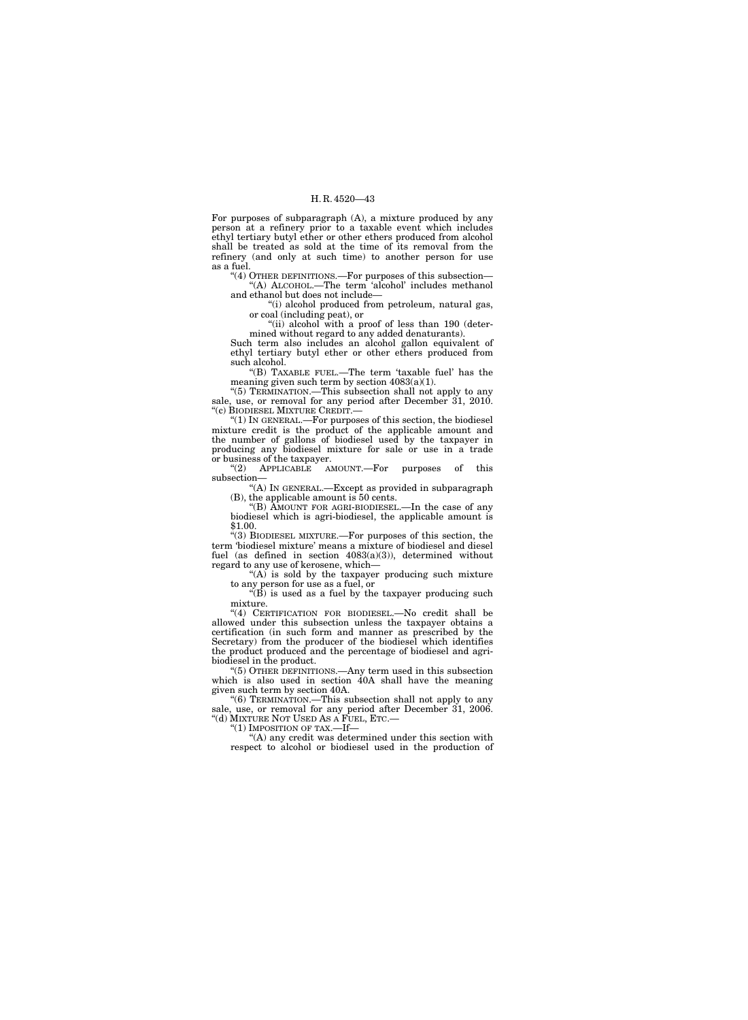For purposes of subparagraph (A), a mixture produced by any person at a refinery prior to a taxable event which includes ethyl tertiary butyl ether or other ethers produced from alcohol shall be treated as sold at the time of its removal from the refinery (and only at such time) to another person for use as a fuel.

"(4) OTHER DEFINITIONS.—For purposes of this subsection— ''(A) ALCOHOL.—The term 'alcohol' includes methanol and ethanol but does not include—

''(i) alcohol produced from petroleum, natural gas, or coal (including peat), or

"(ii) alcohol with a proof of less than 190 (determined without regard to any added denaturants).

Such term also includes an alcohol gallon equivalent of ethyl tertiary butyl ether or other ethers produced from such alcohol.

"(B) TAXABLE FUEL.—The term 'taxable fuel' has the meaning given such term by section  $4083(a)(1)$ .

''(5) TERMINATION.—This subsection shall not apply to any sale, use, or removal for any period after December 31, 2010. ''(c) BIODIESEL MIXTURE CREDIT.—

''(1) IN GENERAL.—For purposes of this section, the biodiesel mixture credit is the product of the applicable amount and the number of gallons of biodiesel used by the taxpayer in producing any biodiesel mixture for sale or use in a trade or business of the taxpayer.

''(2) APPLICABLE AMOUNT.—For purposes of this subsection—

''(A) IN GENERAL.—Except as provided in subparagraph (B), the applicable amount is 50 cents.

''(B) AMOUNT FOR AGRI-BIODIESEL.—In the case of any biodiesel which is agri-biodiesel, the applicable amount is \$1.00.

''(3) BIODIESEL MIXTURE.—For purposes of this section, the term 'biodiesel mixture' means a mixture of biodiesel and diesel fuel (as defined in section  $4083(a)(3)$ ), determined without regard to any use of kerosene, which—

''(A) is sold by the taxpayer producing such mixture to any person for use as a fuel, or

 $\mathcal{L}(\vec{B})$  is used as a fuel by the taxpayer producing such mixture.

''(4) CERTIFICATION FOR BIODIESEL.—No credit shall be allowed under this subsection unless the taxpayer obtains a certification (in such form and manner as prescribed by the Secretary) from the producer of the biodiesel which identifies the product produced and the percentage of biodiesel and agribiodiesel in the product.

''(5) OTHER DEFINITIONS.—Any term used in this subsection which is also used in section  $40A$  shall have the meaning given such term by section 40A.

''(6) TERMINATION.—This subsection shall not apply to any sale, use, or removal for any period after December 31, 2006. ''(d) MIXTURE NOT USED AS A FUEL, ETC.—

''(1) IMPOSITION OF TAX.—If—

"(A) any credit was determined under this section with respect to alcohol or biodiesel used in the production of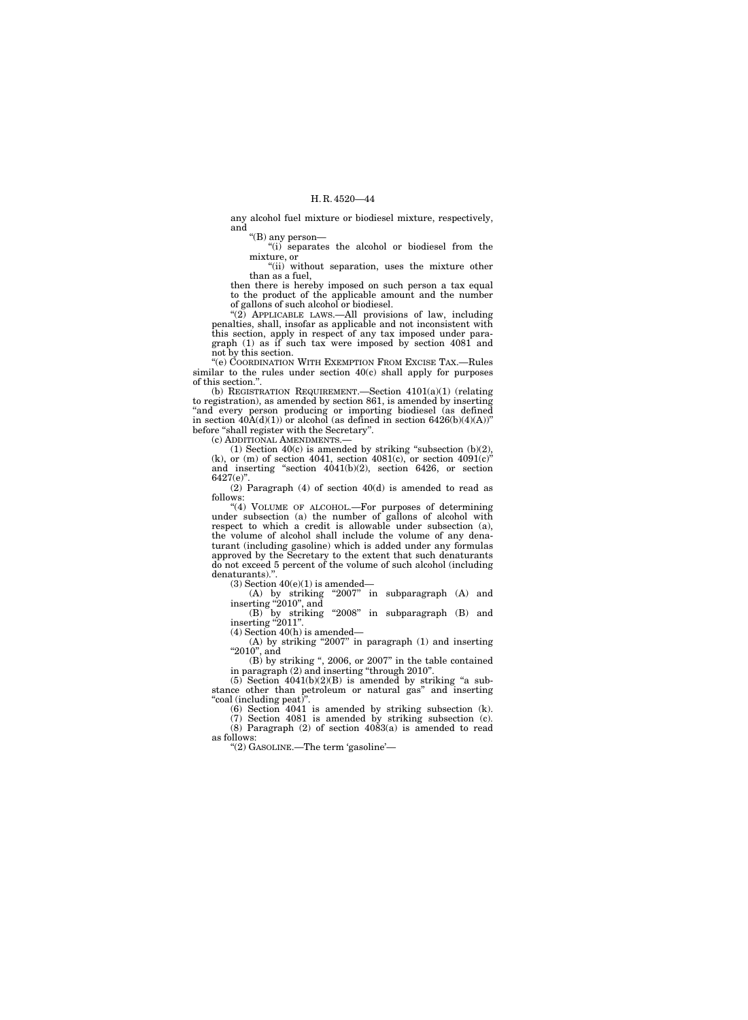any alcohol fuel mixture or biodiesel mixture, respectively, and

''(B) any person—

''(i) separates the alcohol or biodiesel from the mixture, or

"(ii) without separation, uses the mixture other than as a fuel,

then there is hereby imposed on such person a tax equal to the product of the applicable amount and the number of gallons of such alcohol or biodiesel.

"(2) APPLICABLE LAWS.—All provisions of law, including penalties, shall, insofar as applicable and not inconsistent with this section, apply in respect of any tax imposed under paragraph (1) as if such tax were imposed by section 4081 and not by this section.

''(e) COORDINATION WITH EXEMPTION FROM EXCISE TAX.—Rules similar to the rules under section 40(c) shall apply for purposes of this section.''.

(b) REGISTRATION REQUIREMENT.—Section 4101(a)(1) (relating to registration), as amended by section 861, is amended by inserting "and every person producing or importing biodiesel (as defined in section  $40A(d)(1)$  or alcohol (as defined in section  $6426(b)(4)(A))$ " before "shall register with the Secretary".

(c) ADDITIONAL AMENDMENTS.—

(1) Section 40(c) is amended by striking "subsection  $(b)(2)$ , (k), or (m) of section 4041, section 4081(c), or section 4091(c)" and inserting "section 4041(b)(2), section 6426, or section 6427(e)''.

 $(2)$  Paragraph  $(4)$  of section  $40(d)$  is amended to read as follows:

''(4) VOLUME OF ALCOHOL.—For purposes of determining under subsection (a) the number of gallons of alcohol with respect to which a credit is allowable under subsection (a), the volume of alcohol shall include the volume of any denaturant (including gasoline) which is added under any formulas approved by the Secretary to the extent that such denaturants do not exceed 5 percent of the volume of such alcohol (including denaturants).''.

 $(3)$  Section  $40(e)(1)$  is amended—

(A) by striking ''2007'' in subparagraph (A) and inserting "2010", and

(B) by striking "2008" in subparagraph (B) and inserting "2011".

(4) Section 40(h) is amended—

(A) by striking "2007" in paragraph  $(1)$  and inserting "2010", and

(B) by striking ", 2006, or 2007" in the table contained in paragraph (2) and inserting "through 2010".

 $(5)$  Section 4041(b)(2)(B) is amended by striking "a substance other than petroleum or natural gas'' and inserting "coal (including peat)".

(6) Section 4041 is amended by striking subsection (k). (7) Section 4081 is amended by striking subsection (c).

(8) Paragraph  $(2)$  of section  $40\dot{8}3(a)$  is amended to read as follows:

''(2) GASOLINE.—The term 'gasoline'—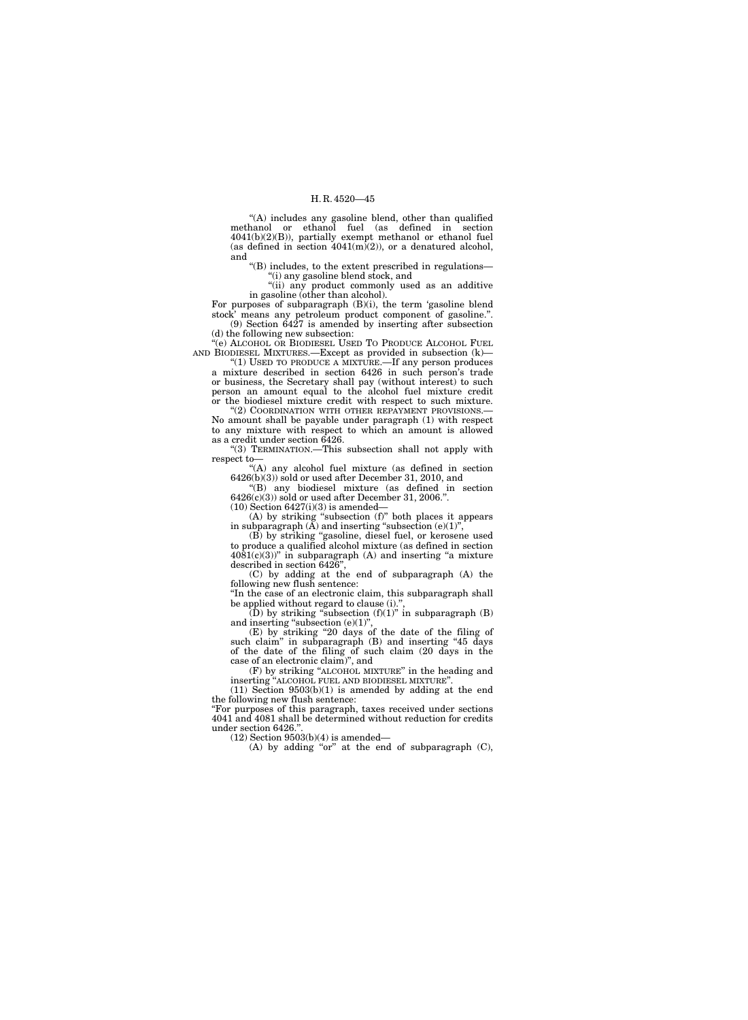"(A) includes any gasoline blend, other than qualified methanol or ethanol fuel (as defined in section 4041(b)(2)(B)), partially exempt methanol or ethanol fuel (as defined in section  $4041(m)(2)$ ), or a denatured alcohol, and

''(B) includes, to the extent prescribed in regulations— ''(i) any gasoline blend stock, and

"(ii) any product commonly used as an additive in gasoline (other than alcohol).

For purposes of subparagraph (B)(i), the term 'gasoline blend stock' means any petroleum product component of gasoline.''. (9) Section 6427 is amended by inserting after subsection (d) the following new subsection:

''(e) ALCOHOL OR BIODIESEL USED TO PRODUCE ALCOHOL FUEL AND BIODIESEL MIXTURES.—Except as provided in subsection (k)—

"(1) USED TO PRODUCE A MIXTURE.—If any person produces a mixture described in section 6426 in such person's trade or business, the Secretary shall pay (without interest) to such person an amount equal to the alcohol fuel mixture credit or the biodiesel mixture credit with respect to such mixture.

"(2) COORDINATION WITH OTHER REPAYMENT PROVISIONS.-No amount shall be payable under paragraph (1) with respect to any mixture with respect to which an amount is allowed as a credit under section 6426.

''(3) TERMINATION.—This subsection shall not apply with respect to—

''(A) any alcohol fuel mixture (as defined in section 6426(b)(3)) sold or used after December 31, 2010, and

''(B) any biodiesel mixture (as defined in section  $6426(c)(3)$  sold or used after December 31, 2006.".

 $(10)$  Section  $6427(i)(3)$  is amended–

(A) by striking ''subsection (f)'' both places it appears in subparagraph  $(\overline{A})$  and inserting "subsection  $(e)(1)$ ",

(B) by striking ''gasoline, diesel fuel, or kerosene used to produce a qualified alcohol mixture (as defined in section  $4081(c)(3)$ " in subparagraph (A) and inserting "a mixture described in section 6426'',

(C) by adding at the end of subparagraph (A) the following new flush sentence:

''In the case of an electronic claim, this subparagraph shall be applied without regard to clause (i).",

 $\tilde{D}$ ) by striking "subsection  $(f)(1)$ " in subparagraph  $(B)$ and inserting "subsection  $(e)(1)$ ",

(E) by striking ''20 days of the date of the filing of such claim" in subparagraph (B) and inserting "45 days of the date of the filing of such claim (20 days in the case of an electronic claim)'', and

(F) by striking ''ALCOHOL MIXTURE'' in the heading and inserting ''ALCOHOL FUEL AND BIODIESEL MIXTURE''.

(11) Section  $9503(b)(1)$  is amended by adding at the end the following new flush sentence:

''For purposes of this paragraph, taxes received under sections 4041 and 4081 shall be determined without reduction for credits under section 6426."

 $(12)$  Section 9503(b)(4) is amended—

(A) by adding "or" at the end of subparagraph  $(C)$ ,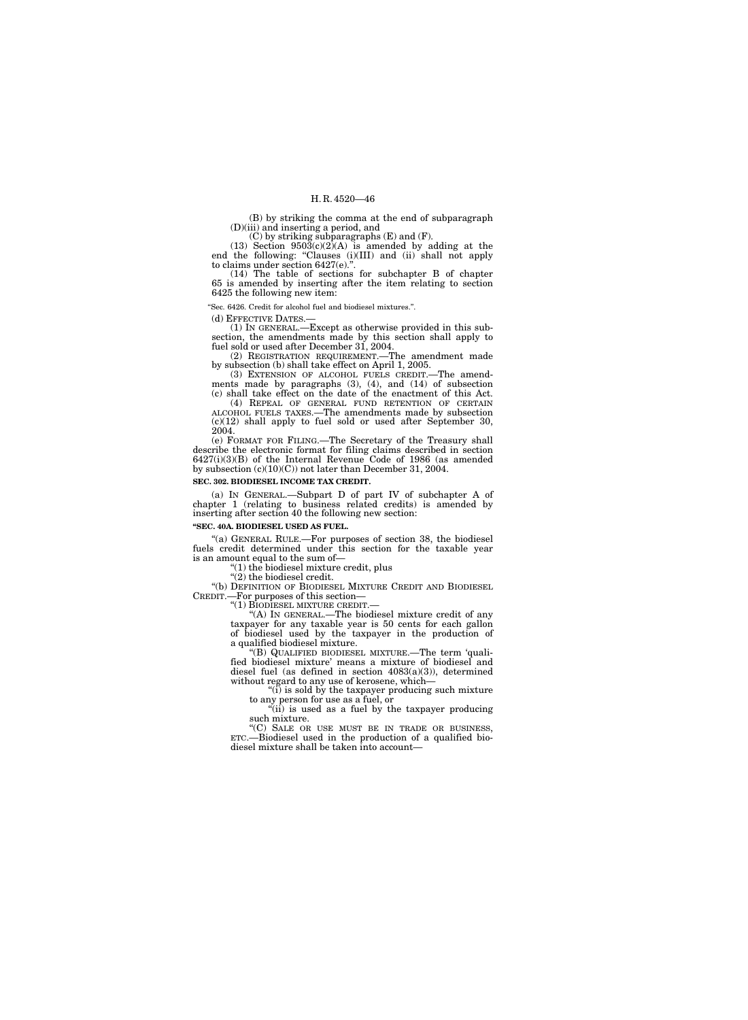(B) by striking the comma at the end of subparagraph (D)(iii) and inserting a period, and

(C) by striking subparagraphs (E) and (F).

(13) Section  $950\overline{3}$ (c)(2)(A) is amended by adding at the end the following: "Clauses (i)(III) and (ii) shall not apply<br>to claims under section  $6427(e)$ .".

 $(14)$  The table of sections for subchapter B of chapter 65 is amended by inserting after the item relating to section 6425 the following new item:

''Sec. 6426. Credit for alcohol fuel and biodiesel mixtures.''.

(d) EFFECTIVE DATES.— (1) IN GENERAL.—Except as otherwise provided in this subsection, the amendments made by this section shall apply to fuel sold or used after December 31, 2004.

(2) REGISTRATION REQUIREMENT.—The amendment made by subsection (b) shall take effect on April 1, 2005.

(3) EXTENSION OF ALCOHOL FUELS CREDIT.—The amendments made by paragraphs (3), (4), and (14) of subsection (c) shall take effect on the date of the enactment of this Act.

(4) REPEAL OF GENERAL FUND RETENTION OF CERTAIN ALCOHOL FUELS TAXES.—The amendments made by subsection (c)(12) shall apply to fuel sold or used after September 30, 2004.

(e) FORMAT FOR FILING.—The Secretary of the Treasury shall describe the electronic format for filing claims described in section 6427(i)(3)(B) of the Internal Revenue Code of 1986 (as amended by subsection (c)(10)(C)) not later than December 31, 2004.

**SEC. 302. BIODIESEL INCOME TAX CREDIT.**

(a) IN GENERAL.—Subpart D of part IV of subchapter A of chapter 1 (relating to business related credits) is amended by inserting after section 40 the following new section:

**''SEC. 40A. BIODIESEL USED AS FUEL.**

''(a) GENERAL RULE.—For purposes of section 38, the biodiesel fuels credit determined under this section for the taxable year is an amount equal to the sum of—

"(1) the biodiesel mixture credit, plus "(2) the biodiesel credit.

"(b) DEFINITION OF BIODIESEL MIXTURE CREDIT AND BIODIESEL CREDIT.—For purposes of this section—

''(1) BIODIESEL MIXTURE CREDIT.—

''(A) IN GENERAL.—The biodiesel mixture credit of any taxpayer for any taxable year is 50 cents for each gallon of biodiesel used by the taxpayer in the production of

a qualified biodiesel mixture. ''(B) QUALIFIED BIODIESEL MIXTURE.—The term 'qualified biodiesel mixture' means a mixture of biodiesel and diesel fuel (as defined in section 4083(a)(3)), determined without regard to any use of kerosene, which—

''(i) is sold by the taxpayer producing such mixture to any person for use as a fuel, or

"(ii) is used as a fuel by the taxpayer producing such mixture.<br>"(C) SALE OR USE MUST BE IN TRADE OR BUSINESS,

ETC.—Biodiesel used in the production of a qualified biodiesel mixture shall be taken into account—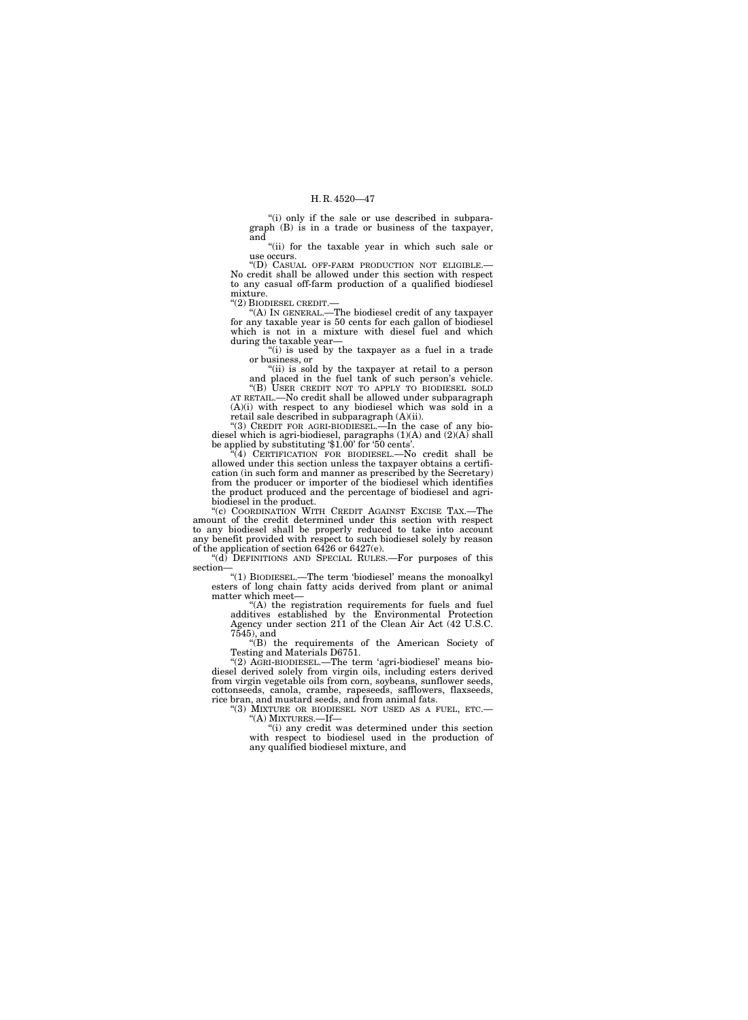"(i) only if the sale or use described in subparagraph (B) is in a trade or business of the taxpayer, and

''(ii) for the taxable year in which such sale or use occurs.

''(D) CASUAL OFF-FARM PRODUCTION NOT ELIGIBLE.— No credit shall be allowed under this section with respect to any casual off-farm production of a qualified biodiesel mixture.

''(2) BIODIESEL CREDIT.—

''(A) IN GENERAL.—The biodiesel credit of any taxpayer for any taxable year is 50 cents for each gallon of biodiesel which is not in a mixture with diesel fuel and which during the taxable year—

''(i) is used by the taxpayer as a fuel in a trade or business, or

"(ii) is sold by the taxpayer at retail to a person and placed in the fuel tank of such person's vehicle. ''(B) USER CREDIT NOT TO APPLY TO BIODIESEL SOLD

AT RETAIL.—No credit shall be allowed under subparagraph (A)(i) with respect to any biodiesel which was sold in a retail sale described in subparagraph (A)(ii).

''(3) CREDIT FOR AGRI-BIODIESEL.—In the case of any biodiesel which is agri-biodiesel, paragraphs (1)(A) and (2)(A) shall be applied by substituting '\$1.00' for '50 cents'.

''(4) CERTIFICATION FOR BIODIESEL.—No credit shall be allowed under this section unless the taxpayer obtains a certification (in such form and manner as prescribed by the Secretary) from the producer or importer of the biodiesel which identifies the product produced and the percentage of biodiesel and agribiodiesel in the product.

''(c) COORDINATION WITH CREDIT AGAINST EXCISE TAX.—The amount of the credit determined under this section with respect to any biodiesel shall be properly reduced to take into account any benefit provided with respect to such biodiesel solely by reason of the application of section 6426 or 6427(e).

''(d) DEFINITIONS AND SPECIAL RULES.—For purposes of this section—

''(1) BIODIESEL.—The term 'biodiesel' means the monoalkyl esters of long chain fatty acids derived from plant or animal matter which meet—

"(A) the registration requirements for fuels and fuel additives established by the Environmental Protection Agency under section 211 of the Clean Air Act (42 U.S.C. 7545), and ''(B) the requirements of the American Society of

Testing and Materials D6751.

''(2) AGRI-BIODIESEL.—The term 'agri-biodiesel' means biodiesel derived solely from virgin oils, including esters derived from virgin vegetable oils from corn, soybeans, sunflower seeds, cottonseeds, canola, crambe, rapeseeds, safflowers, flaxseeds, rice bran, and mustard seeds, and from animal fats.

''(3) MIXTURE OR BIODIESEL NOT USED AS A FUEL, ETC.— ''(A) MIXTURES.—If— ''(i) any credit was determined under this section

with respect to biodiesel used in the production of any qualified biodiesel mixture, and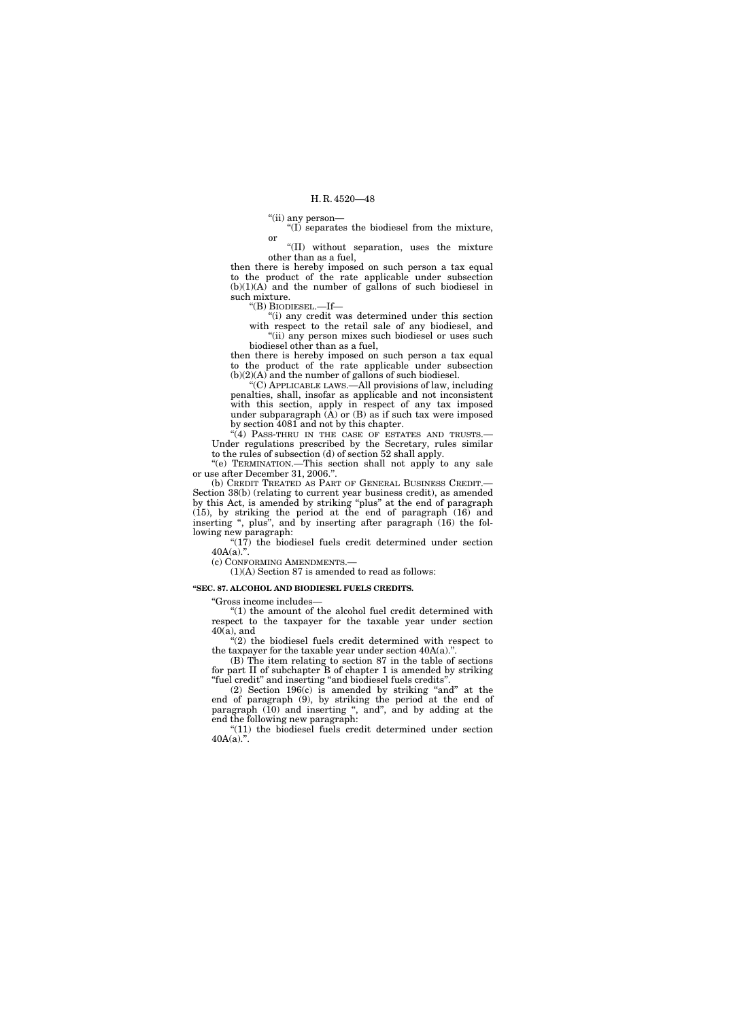''(ii) any person—

''(I) separates the biodiesel from the mixture, or

''(II) without separation, uses the mixture other than as a fuel,

then there is hereby imposed on such person a tax equal to the product of the rate applicable under subsection  $(b)(1)(A)$  and the number of gallons of such biodiesel in such mixture.

''(B) BIODIESEL.—If—

''(i) any credit was determined under this section with respect to the retail sale of any biodiesel, and ''(ii) any person mixes such biodiesel or uses such

biodiesel other than as a fuel, then there is hereby imposed on such person a tax equal

to the product of the rate applicable under subsection  $(b)(2)(A)$  and the number of gallons of such biodiesel.

''(C) APPLICABLE LAWS.—All provisions of law, including penalties, shall, insofar as applicable and not inconsistent with this section, apply in respect of any tax imposed under subparagraph  $(A)$  or  $(B)$  as if such tax were imposed by section 4081 and not by this chapter.

"(4) PASS-THRU IN THE CASE OF ESTATES AND TRUSTS.-Under regulations prescribed by the Secretary, rules similar to the rules of subsection (d) of section 52 shall apply.

"(e) TERMINATION.—This section shall not apply to any sale or use after December 31, 2006.''.

(b) CREDIT TREATED AS PART OF GENERAL BUSINESS CREDIT.— Section 38(b) (relating to current year business credit), as amended by this Act, is amended by striking ''plus'' at the end of paragraph (15), by striking the period at the end of paragraph (16) and inserting ", plus", and by inserting after paragraph (16) the following new paragraph:

" $(17)$  the biodiesel fuels credit determined under section  $40A(a)$ .".

(c) CONFORMING AMENDMENTS.—

(1)(A) Section 87 is amended to read as follows:

#### **''SEC. 87. ALCOHOL AND BIODIESEL FUELS CREDITS.**

''Gross income includes—

''(1) the amount of the alcohol fuel credit determined with respect to the taxpayer for the taxable year under section  $40(a)$ , and

"(2) the biodiesel fuels credit determined with respect to the taxpayer for the taxable year under section 40A(a)."

(B) The item relating to section 87 in the table of sections for part II of subchapter B of chapter 1 is amended by striking ''fuel credit'' and inserting ''and biodiesel fuels credits''.

(2) Section 196(c) is amended by striking ''and'' at the end of paragraph (9), by striking the period at the end of paragraph  $(10)$  and inserting ", and", and by adding at the end the following new paragraph:

"(11) the biodiesel fuels credit determined under section  $40A(a)$ .".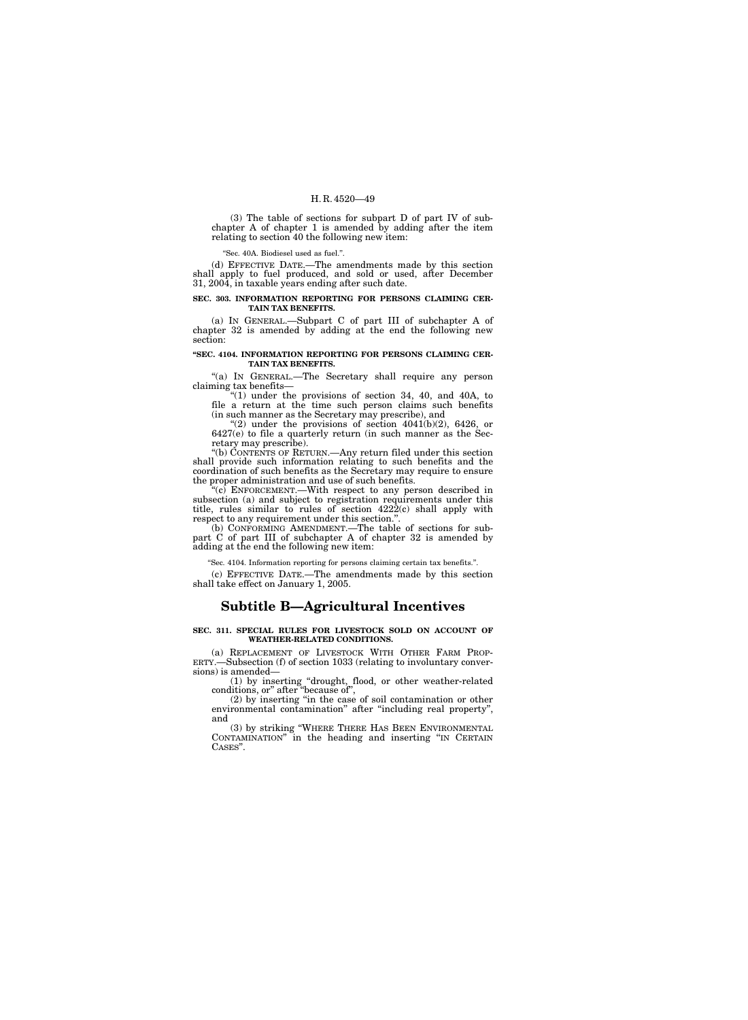(3) The table of sections for subpart D of part IV of subchapter A of chapter 1 is amended by adding after the item relating to section 40 the following new item:

''Sec. 40A. Biodiesel used as fuel.''.

(d) EFFECTIVE DATE.—The amendments made by this section shall apply to fuel produced, and sold or used, after December 31, 2004, in taxable years ending after such date.

#### **SEC. 303. INFORMATION REPORTING FOR PERSONS CLAIMING CER-TAIN TAX BENEFITS.**

(a) IN GENERAL.—Subpart C of part III of subchapter A of chapter 32 is amended by adding at the end the following new section:

#### **''SEC. 4104. INFORMATION REPORTING FOR PERSONS CLAIMING CER-TAIN TAX BENEFITS.**

"(a) IN GENERAL.—The Secretary shall require any person claiming tax benefits—

 $(1)$  under the provisions of section 34, 40, and 40A, to file a return at the time such person claims such benefits (in such manner as the Secretary may prescribe), and

 $(2)$  under the provisions of section 4041(b)(2), 6426, or 6427(e) to file a quarterly return (in such manner as the Secretary may prescribe).

''(b) CONTENTS OF RETURN.—Any return filed under this section shall provide such information relating to such benefits and the coordination of such benefits as the Secretary may require to ensure the proper administration and use of such benefits.<br>"(c) ENFORCEMENT.—With respect to any person described in

subsection (a) and subject to registration requirements under this title, rules similar to rules of section 4222(c) shall apply with respect to any requirement under this section.".<br>
(b) CONFORMING AMENDMENT.—The table of sections for sub-

part C of part III of subchapter A of chapter 32 is amended by adding at the end the following new item:

''Sec. 4104. Information reporting for persons claiming certain tax benefits.''.

(c) EFFECTIVE DATE.—The amendments made by this section shall take effect on January 1, 2005.

# **Subtitle B—Agricultural Incentives**

#### **SEC. 311. SPECIAL RULES FOR LIVESTOCK SOLD ON ACCOUNT OF WEATHER-RELATED CONDITIONS.**

(a) REPLACEMENT OF LIVESTOCK WITH OTHER FARM PROP-ERTY.—Subsection (f) of section 1033 (relating to involuntary conversions) is amended—

(1) by inserting ''drought, flood, or other weather-related conditions, or'' after ''because of'',

(2) by inserting ''in the case of soil contamination or other environmental contamination'' after ''including real property'', and

(3) by striking ''WHERE THERE HAS BEEN ENVIRONMENTAL CONTAMINATION'' in the heading and inserting ''IN CERTAIN CASES''.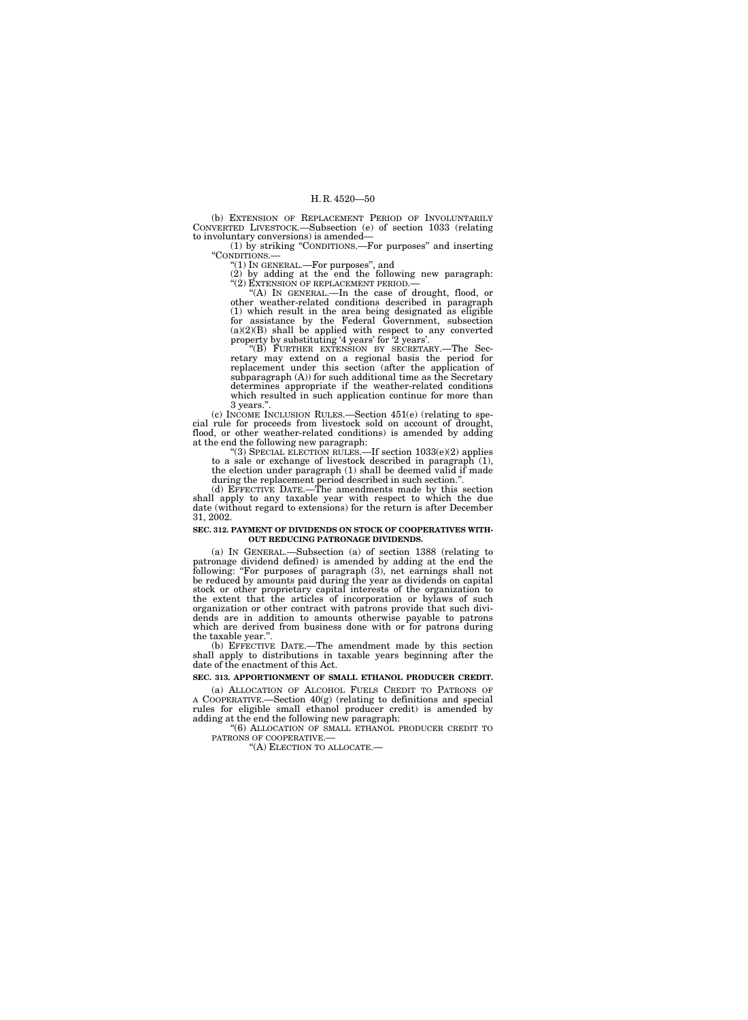(b) EXTENSION OF REPLACEMENT PERIOD OF INVOLUNTARILY CONVERTED LIVESTOCK.—Subsection (e) of section 1033 (relating

(1) by striking "CONDITIONS.—For purposes" and inserting "CONDITIONS.— $^{(1)}$  IN GENERAL.—For purposes", and

 $(2)$  by adding at the end the following new paragraph: ''(2) EXTENSION OF REPLACEMENT PERIOD.— ''(A) IN GENERAL.—In the case of drought, flood, or

other weather-related conditions described in paragraph (1) which result in the area being designated as eligible for assistance by the Federal Government, subsection  $(a)(2)(B)$  shall be applied with respect to any converted property by substituting '4 years' for '2 years'.<br>"(B) FURTHER EXTENSION BY SECRETARY.—The Sec-

retary may extend on a regional basis the period for replacement under this section (after the application of subparagraph  $(A)$  for such additional time as the Secretary determines appropriate if the weather-related conditions which resulted in such application continue for more than 3 years.".

(c) INCOME INCLUSION RULES.—Section 451(e) (relating to special rule for proceeds from livestock sold on account of drought, flood, or other weather-related conditions) is amended by adding at the end the following new paragraph:

"(3) SPECIAL ELECTION RULES.—If section  $1033(e)(2)$  applies to a sale or exchange of livestock described in paragraph (1), the election under paragraph (1) shall be deemed valid if made during the replacement period described in such section.".<br>(d) EFFECTIVE DATE.—The amendments made by this section

shall apply to any taxable year with respect to which the due date (without regard to extensions) for the return is after December 31, 2002.

#### **SEC. 312. PAYMENT OF DIVIDENDS ON STOCK OF COOPERATIVES WITH-OUT REDUCING PATRONAGE DIVIDENDS.**

(a) IN GENERAL.—Subsection (a) of section 1388 (relating to patronage dividend defined) is amended by adding at the end the following: ''For purposes of paragraph (3), net earnings shall not be reduced by amounts paid during the year as dividends on capital stock or other proprietary capital interests of the organization to the extent that the articles of incorporation or bylaws of such organization or other contract with patrons provide that such dividends are in addition to amounts otherwise payable to patrons which are derived from business done with or for patrons during the taxable year.''. (b) EFFECTIVE DATE.—The amendment made by this section

shall apply to distributions in taxable years beginning after the date of the enactment of this Act.

# **SEC. 313. APPORTIONMENT OF SMALL ETHANOL PRODUCER CREDIT.**

(a) ALLOCATION OF ALCOHOL FUELS CREDIT TO PATRONS OF A COOPERATIVE.—Section  $40(g)$  (relating to definitions and special rules for eligible small ethanol producer credit) is amended by adding at the end the following new paragraph:

''(6) ALLOCATION OF SMALL ETHANOL PRODUCER CREDIT TO PATRONS OF COOPERATIVE.—

''(A) ELECTION TO ALLOCATE.—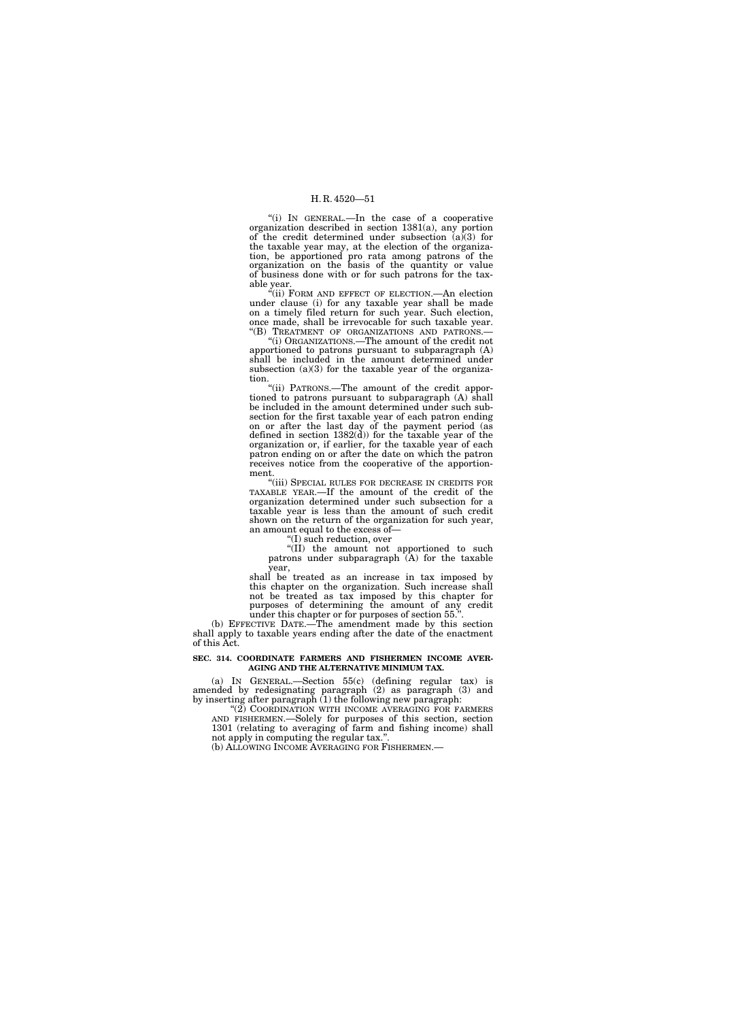''(i) IN GENERAL.—In the case of a cooperative organization described in section 1381(a), any portion of the credit determined under subsection (a)(3) for the taxable year may, at the election of the organization, be apportioned pro rata among patrons of the organization on the basis of the quantity or value of business done with or for such patrons for the taxable year.

 $\tilde{f}$ (ii) FORM AND EFFECT OF ELECTION.—An election under clause (i) for any taxable year shall be made on a timely filed return for such year. Such election, once made, shall be irrevocable for such taxable year. ''(B) TREATMENT OF ORGANIZATIONS AND PATRONS.—

''(i) ORGANIZATIONS.—The amount of the credit not apportioned to patrons pursuant to subparagraph (A) shall be included in the amount determined under subsection  $(a)(3)$  for the taxable year of the organization.

''(ii) PATRONS.—The amount of the credit apportioned to patrons pursuant to subparagraph (A) shall be included in the amount determined under such subsection for the first taxable year of each patron ending on or after the last day of the payment period (as defined in section 1382(d)) for the taxable year of the organization or, if earlier, for the taxable year of each patron ending on or after the date on which the patron receives notice from the cooperative of the apportionment.

''(iii) SPECIAL RULES FOR DECREASE IN CREDITS FOR TAXABLE YEAR.—If the amount of the credit of the organization determined under such subsection for a taxable year is less than the amount of such credit shown on the return of the organization for such year, an amount equal to the excess of—

''(I) such reduction, over

"(II) the amount not apportioned to such patrons under subparagraph  $(A)$  for the taxable year,

shall be treated as an increase in tax imposed by this chapter on the organization. Such increase shall not be treated as tax imposed by this chapter for purposes of determining the amount of any credit under this chapter or for purposes of section 55.''.

(b) EFFECTIVE DATE.—The amendment made by this section shall apply to taxable years ending after the date of the enactment of this Act.

#### **SEC. 314. COORDINATE FARMERS AND FISHERMEN INCOME AVER-AGING AND THE ALTERNATIVE MINIMUM TAX.**

(a) IN GENERAL.—Section 55(c) (defining regular tax) is amended by redesignating paragraph (2) as paragraph (3) and by inserting after paragraph (1) the following new paragraph:

"(2) COORDINATION WITH INCOME AVERAGING FOR FARMERS AND FISHERMEN.—Solely for purposes of this section, section 1301 (relating to averaging of farm and fishing income) shall not apply in computing the regular tax.".

(b) ALLOWING INCOME AVERAGING FOR FISHERMEN.—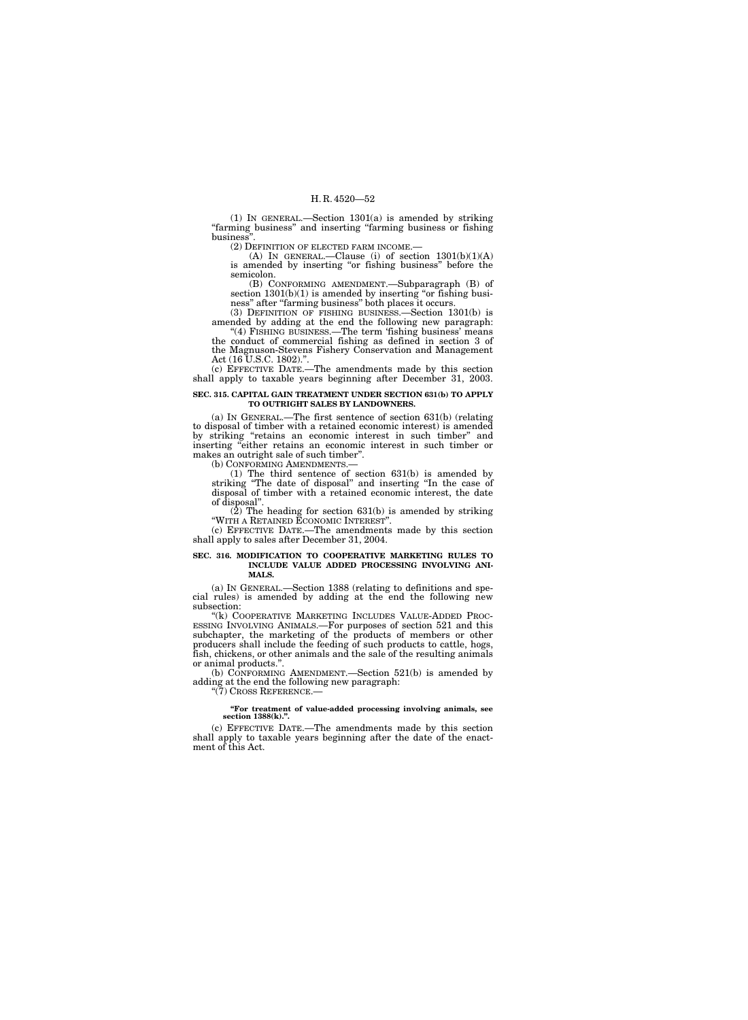(1) IN GENERAL.—Section 1301(a) is amended by striking "farming business" and inserting "farming business or fishing business<sup>'</sup>

(2) DEFINITION OF ELECTED FARM INCOME.—

(A) IN GENERAL.—Clause (i) of section 1301(b)(1)(A) is amended by inserting "or fishing business" before the semicolon.

(B) CONFORMING AMENDMENT.—Subparagraph (B) of section  $1301(b)(1)$  is amended by inserting "or fishing business" after "farming business" both places it occurs.

(3) DEFINITION OF FISHING BUSINESS.—Section 1301(b) is amended by adding at the end the following new paragraph: "(4) FISHING BUSINESS.—The term 'fishing business' means

the conduct of commercial fishing as defined in section 3 of the Magnuson-Stevens Fishery Conservation and Management Act (16 U.S.C. 1802).''.

(c) EFFECTIVE DATE.—The amendments made by this section shall apply to taxable years beginning after December 31, 2003.

#### **SEC. 315. CAPITAL GAIN TREATMENT UNDER SECTION 631(b) TO APPLY TO OUTRIGHT SALES BY LANDOWNERS.**

(a) IN GENERAL.—The first sentence of section 631(b) (relating to disposal of timber with a retained economic interest) is amended by striking "retains an economic interest in such timber" and inserting ''either retains an economic interest in such timber or makes an outright sale of such timber".<br>
(b) CONFORMING AMENDMENTS.—<br>
(1) The third sentence of section 631(b) is amended by

striking ''The date of disposal'' and inserting ''In the case of disposal of timber with a retained economic interest, the date

(2) The heading for section 631(b) is amended by striking "WITH A RETAINED ECONOMIC INTEREST".<br>
(c) EFFECTIVE DATE.—The amendments made by this section

shall apply to sales after December 31, 2004.

#### **SEC. 316. MODIFICATION TO COOPERATIVE MARKETING RULES TO INCLUDE VALUE ADDED PROCESSING INVOLVING ANI-MALS.**

(a) IN GENERAL.—Section 1388 (relating to definitions and special rules) is amended by adding at the end the following new subsection:

''(k) COOPERATIVE MARKETING INCLUDES VALUE-ADDED PROC-ESSING INVOLVING ANIMALS.—For purposes of section 521 and this subchapter, the marketing of the products of members or other producers shall include the feeding of such products to cattle, hogs, fish, chickens, or other animals and the sale of the resulting animals or animal products.''.

(b) CONFORMING AMENDMENT.—Section 521(b) is amended by adding at the end the following new paragraph:

''(7) CROSS REFERENCE.—

**''For treatment of value-added processing involving animals, see section 1388(k).''.**

(c) EFFECTIVE DATE.—The amendments made by this section shall apply to taxable years beginning after the date of the enactment of this Act.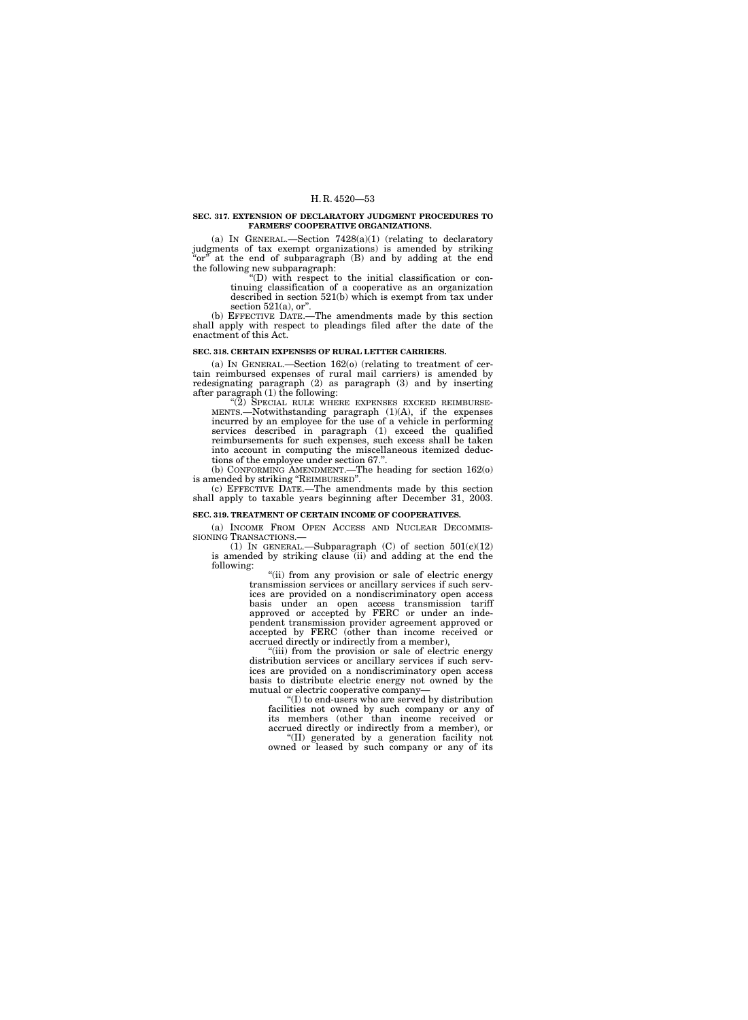#### **SEC. 317. EXTENSION OF DECLARATORY JUDGMENT PROCEDURES TO FARMERS' COOPERATIVE ORGANIZATIONS.**

(a) IN GENERAL.—Section 7428(a)(1) (relating to declaratory judgments of tax exempt organizations) is amended by striking "or" at the end of subparagraph  $(B)$  and by adding at the end the following new subparagraph:

''(D) with respect to the initial classification or continuing classification of a cooperative as an organization described in section 521(b) which is exempt from tax under section 521(a), or''.

(b) EFFECTIVE DATE.—The amendments made by this section shall apply with respect to pleadings filed after the date of the enactment of this Act.

#### **SEC. 318. CERTAIN EXPENSES OF RURAL LETTER CARRIERS.**

(a) IN GENERAL.—Section 162(o) (relating to treatment of certain reimbursed expenses of rural mail carriers) is amended by redesignating paragraph (2) as paragraph (3) and by inserting after paragraph (1) the following:

''(2) SPECIAL RULE WHERE EXPENSES EXCEED REIMBURSE-MENTS.—Notwithstanding paragraph (1)(A), if the expenses incurred by an employee for the use of a vehicle in performing services described in paragraph (1) exceed the qualified reimbursements for such expenses, such excess shall be taken into account in computing the miscellaneous itemized deductions of the employee under section 67.''.

(b) CONFORMING AMENDMENT.—The heading for section 162(o) is amended by striking ''REIMBURSED''.

(c) EFFECTIVE DATE.—The amendments made by this section shall apply to taxable years beginning after December 31, 2003.

#### **SEC. 319. TREATMENT OF CERTAIN INCOME OF COOPERATIVES.**

(a) INCOME FROM OPEN ACCESS AND NUCLEAR DECOMMIS-SIONING TRANSACTIONS.—

(1) IN GENERAL.—Subparagraph  $(C)$  of section  $501(c)(12)$ is amended by striking clause (ii) and adding at the end the following:

> "(ii) from any provision or sale of electric energy transmission services or ancillary services if such services are provided on a nondiscriminatory open access basis under an open access transmission tariff approved or accepted by FERC or under an independent transmission provider agreement approved or accepted by FERC (other than income received or accrued directly or indirectly from a member),

> "(iii) from the provision or sale of electric energy distribution services or ancillary services if such services are provided on a nondiscriminatory open access basis to distribute electric energy not owned by the mutual or electric cooperative company—

''(I) to end-users who are served by distribution facilities not owned by such company or any of its members (other than income received or accrued directly or indirectly from a member), or

''(II) generated by a generation facility not owned or leased by such company or any of its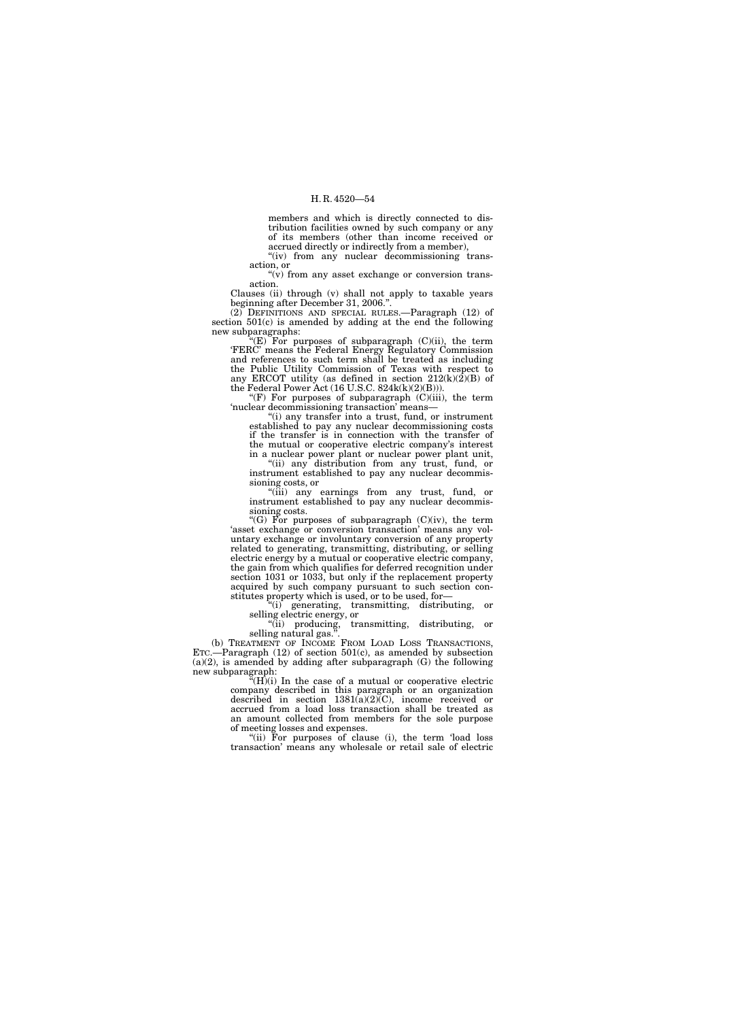members and which is directly connected to distribution facilities owned by such company or any of its members (other than income received or accrued directly or indirectly from a member),

"(iv) from any nuclear decommissioning transaction, or  $''(v)$  from any asset exchange or conversion trans-

action.

Clauses (ii) through (v) shall not apply to taxable years beginning after December 31, 2006.''.

(2) DEFINITIONS AND SPECIAL RULES.—Paragraph (12) of section 501(c) is amended by adding at the end the following new subparagraphs:

''(E) For purposes of subparagraph (C)(ii), the term 'FERC' means the Federal Energy Regulatory Commission and references to such term shall be treated as including the Public Utility Commission of Texas with respect to any ERCOT utility (as defined in section  $212(k)(2)(B)$  of the Federal Power Act (16 U.S.C. 824k(k)(2)(B))).

" $(F)$  For purposes of subparagraph  $(C)(iii)$ , the term 'nuclear decommissioning transaction' means— ''(i) any transfer into a trust, fund, or instrument

established to pay any nuclear decommissioning costs if the transfer is in connection with the transfer of the mutual or cooperative electric company's interest

in a nuclear power plant or nuclear power plant unit, ''(ii) any distribution from any trust, fund, or instrument established to pay any nuclear decommissioning costs, or

''(iii) any earnings from any trust, fund, or instrument established to pay any nuclear decommissioning costs.

"(G) For purposes of subparagraph  $(C)(iv)$ , the term 'asset exchange or conversion transaction' means any voluntary exchange or involuntary conversion of any property related to generating, transmitting, distributing, or selling electric energy by a mutual or cooperative electric company, the gain from which qualifies for deferred recognition under section 1031 or 1033, but only if the replacement property acquired by such company pursuant to such section constitutes property which is used, or to be used, for—

"(i) generating, transmitting, distributing, or selling electric energy, or

''(ii) producing, transmitting, distributing, or selling natural gas.

(b) TREATMENT OF INCOME FROM LOAD LOSS TRANSACTIONS, ETC.—Paragraph (12) of section 501(c), as amended by subsection  $(a)(2)$ , is amended by adding after subparagraph  $(G)$  the following new subparagraph:

 $\mathbf{H}(\mathbf{H})$ (i) In the case of a mutual or cooperative electric company described in this paragraph or an organization described in section  $1381(a)(2)(C)$ , income received or accrued from a load loss transaction shall be treated as an amount collected from members for the sole purpose of meeting losses and expenses.

"(ii) For purposes of clause (i), the term 'load loss transaction' means any wholesale or retail sale of electric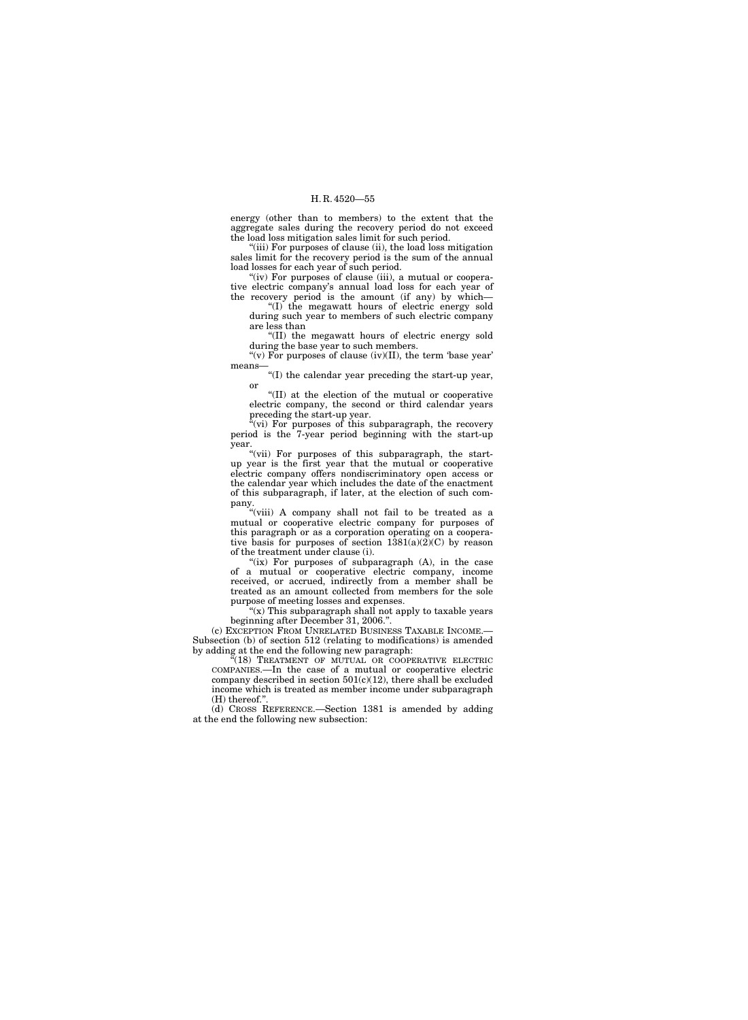energy (other than to members) to the extent that the aggregate sales during the recovery period do not exceed the load loss mitigation sales limit for such period.

"(iii) For purposes of clause (ii), the load loss mitigation sales limit for the recovery period is the sum of the annual load losses for each year of such period.

"(iv) For purposes of clause (iii), a mutual or cooperative electric company's annual load loss for each year of the recovery period is the amount (if any) by which—

''(I) the megawatt hours of electric energy sold during such year to members of such electric company are less than

''(II) the megawatt hours of electric energy sold during the base year to such members.

"(v) For purposes of clause  $(iv)(II)$ , the term 'base year' means

''(I) the calendar year preceding the start-up year, or

''(II) at the election of the mutual or cooperative electric company, the second or third calendar years preceding the start-up year.

"(vi) For purposes of this subparagraph, the recovery period is the 7-year period beginning with the start-up year.

"(vii) For purposes of this subparagraph, the startup year is the first year that the mutual or cooperative electric company offers nondiscriminatory open access or the calendar year which includes the date of the enactment of this subparagraph, if later, at the election of such company.

"(viii) A company shall not fail to be treated as a mutual or cooperative electric company for purposes of this paragraph or as a corporation operating on a cooperative basis for purposes of section  $1\overline{3}81(a)(\overline{2})(C)$  by reason of the treatment under clause (i).

"(ix) For purposes of subparagraph (A), in the case of a mutual or cooperative electric company, income received, or accrued, indirectly from a member shall be treated as an amount collected from members for the sole purpose of meeting losses and expenses.

"(x) This subparagraph shall not apply to taxable years beginning after December 31, 2006.''.

(c) EXCEPTION FROM UNRELATED BUSINESS TAXABLE INCOME.— Subsection (b) of section 512 (relating to modifications) is amended by adding at the end the following new paragraph:

 $F(18)$  TREATMENT OF MUTUAL OR COOPERATIVE ELECTRIC COMPANIES.—In the case of a mutual or cooperative electric company described in section  $501(c)(12)$ , there shall be excluded income which is treated as member income under subparagraph  $(H)$  thereof.".

(d) CROSS REFERENCE.—Section 1381 is amended by adding at the end the following new subsection: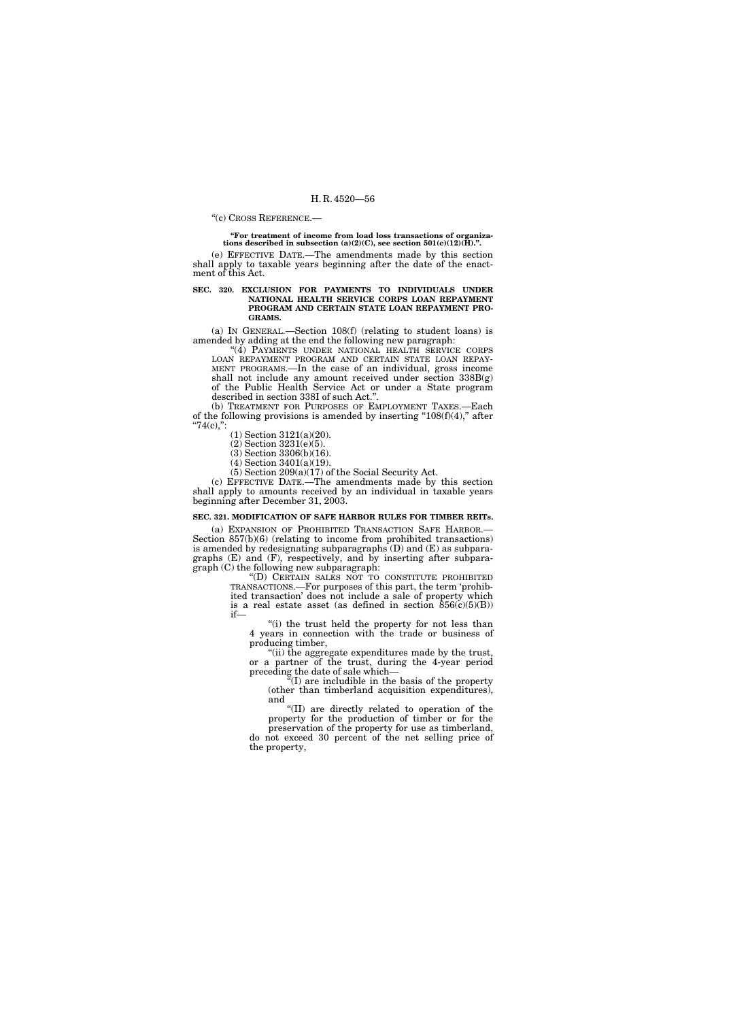#### ''(c) CROSS REFERENCE.—

**''For treatment of income from load loss transactions of organiza**tions described in subsection (a)(2)(C), see section  $501(c)(12)(\text{H}).$ ".

(e) EFFECTIVE DATE.—The amendments made by this section shall apply to taxable years beginning after the date of the enactment of this Act.

#### **SEC. 320. EXCLUSION FOR PAYMENTS TO INDIVIDUALS UNDER NATIONAL HEALTH SERVICE CORPS LOAN REPAYMENT PROGRAM AND CERTAIN STATE LOAN REPAYMENT PRO-GRAMS.**

(a) IN GENERAL.—Section 108(f) (relating to student loans) is amended by adding at the end the following new paragraph:

"(4) PAYMENTS UNDER NATIONAL HEALTH SERVICE CORPS LOAN REPAYMENT PROGRAM AND CERTAIN STATE LOAN REPAY-MENT PROGRAMS.—In the case of an individual, gross income shall not include any amount received under section 338B(g) of the Public Health Service Act or under a State program described in section 338I of such Act.'

(b) TREATMENT FOR PURPOSES OF EMPLOYMENT TAXES.—Each of the following provisions is amended by inserting " $108(f)(4)$ ," after " $74(c)$ ,":

(1) Section 3121(a)(20).

(2) Section 3231(e)(5).

(3) Section 3306(b)(16).  $(4)$  Section 3401(a)(19).

(5) Section 209(a)(17) of the Social Security Act.

(c) EFFECTIVE DATE.—The amendments made by this section

shall apply to amounts received by an individual in taxable years beginning after December 31, 2003.

#### **SEC. 321. MODIFICATION OF SAFE HARBOR RULES FOR TIMBER REITs.**

(a) EXPANSION OF PROHIBITED TRANSACTION SAFE HARBOR.— Section 857(b)(6) (relating to income from prohibited transactions) is amended by redesignating subparagraphs (D) and (E) as subparagraphs (E) and (F), respectively, and by inserting after subparagraph (C) the following new subparagraph:

''(D) CERTAIN SALES NOT TO CONSTITUTE PROHIBITED TRANSACTIONS.—For purposes of this part, the term 'prohibited transaction' does not include a sale of property which is a real estate asset (as defined in section  $856(c)(5)(B)$ ) if—

"(i) the trust held the property for not less than 4 years in connection with the trade or business of producing timber,

"(ii) the aggregate expenditures made by the trust, or a partner of the trust, during the 4-year period preceding the date of sale which—

 $\sqrt{N}(I)$  are includible in the basis of the property (other than timberland acquisition expenditures), and

''(II) are directly related to operation of the property for the production of timber or for the preservation of the property for use as timberland,

do not exceed 30 percent of the net selling price of the property,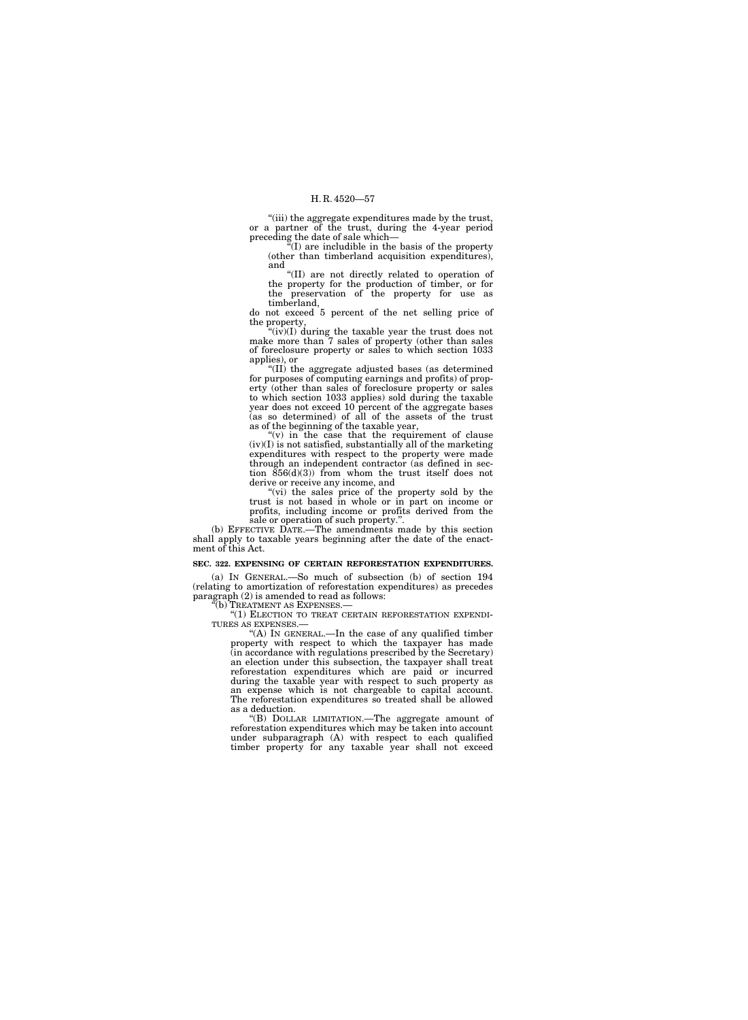''(iii) the aggregate expenditures made by the trust, or a partner of the trust, during the 4-year period preceding the date of sale which—

 $\sqrt{N}(I)$  are includible in the basis of the property (other than timberland acquisition expenditures), and

''(II) are not directly related to operation of the property for the production of timber, or for the preservation of the property for use as timberland,

do not exceed 5 percent of the net selling price of the property,

 $(i\overline{v})(I)$  during the taxable year the trust does not make more than 7 sales of property (other than sales of foreclosure property or sales to which section 1033 applies), or

''(II) the aggregate adjusted bases (as determined for purposes of computing earnings and profits) of property (other than sales of foreclosure property or sales to which section 1033 applies) sold during the taxable year does not exceed 10 percent of the aggregate bases (as so determined) of all of the assets of the trust as of the beginning of the taxable year,

'(v) in the case that the requirement of clause  $(iv)(I)$  is not satisfied, substantially all of the marketing expenditures with respect to the property were made through an independent contractor (as defined in section  $\overline{856}$ (d)(3)) from whom the trust itself does not derive or receive any income, and

"(vi) the sales price of the property sold by the trust is not based in whole or in part on income or profits, including income or profits derived from the sale or operation of such property.''.

(b) EFFECTIVE DATE.—The amendments made by this section shall apply to taxable years beginning after the date of the enactment of this Act.

#### **SEC. 322. EXPENSING OF CERTAIN REFORESTATION EXPENDITURES.**

(a) IN GENERAL.—So much of subsection (b) of section 194 (relating to amortization of reforestation expenditures) as precedes paragraph (2) is amended to read as follows:<br>"(b) TREATMENT AS EXPENSES.—

"(1) ELECTION TO TREAT CERTAIN REFORESTATION EXPENDI-TURES AS EXPENSES.—

''(A) IN GENERAL.—In the case of any qualified timber property with respect to which the taxpayer has made (in accordance with regulations prescribed by the Secretary) an election under this subsection, the taxpayer shall treat reforestation expenditures which are paid or incurred during the taxable year with respect to such property as an expense which is not chargeable to capital account. The reforestation expenditures so treated shall be allowed

"(B) DOLLAR LIMITATION.—The aggregate amount of reforestation expenditures which may be taken into account under subparagraph (A) with respect to each qualified timber property for any taxable year shall not exceed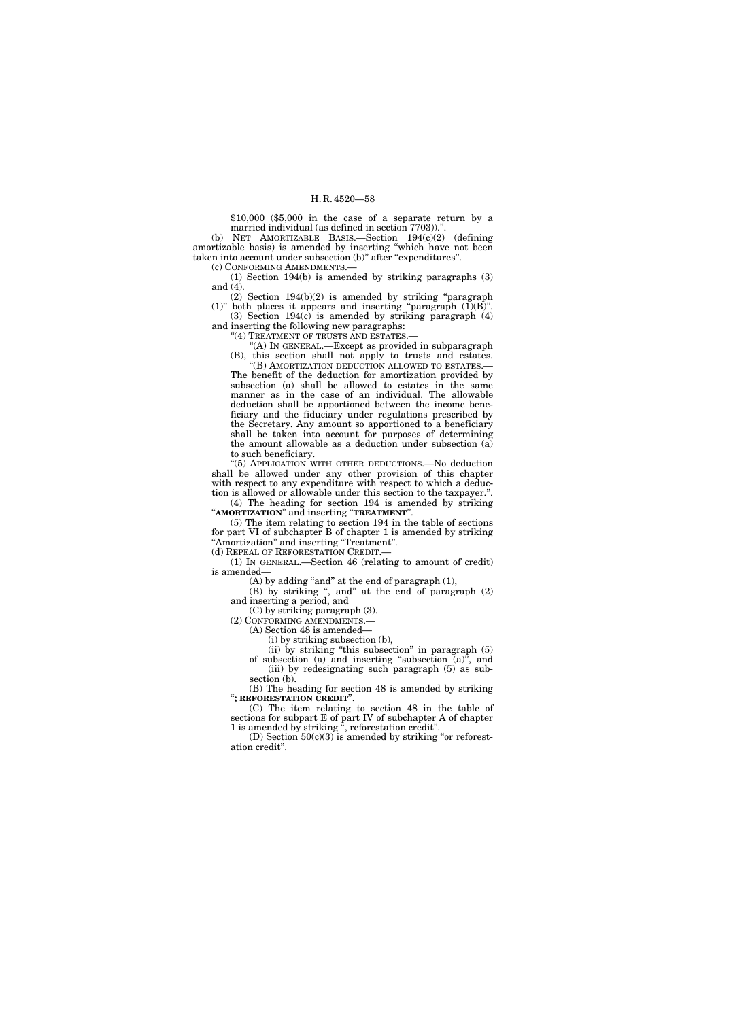\$10,000 (\$5,000 in the case of a separate return by a married individual (as defined in section 7703)).''.

(b) NET AMORTIZABLE BASIS.—Section 194(c)(2) (defining amortizable basis) is amended by inserting ''which have not been taken into account under subsection (b)" after "expenditures".

(c) CONFORMING AMENDMENTS.—

(1) Section 194(b) is amended by striking paragraphs (3) and (4).

 $(2)$  Section 194 $(b)(2)$  is amended by striking "paragraph (1)" both places it appears and inserting "paragraph  $(I)(B)$ ".

(3) Section 194(c) is amended by striking paragraph (4) and inserting the following new paragraphs: "(4) TREATMENT OF TRUSTS AND ESTATES.

''(A) IN GENERAL.—Except as provided in subparagraph (B), this section shall not apply to trusts and estates.

''(B) AMORTIZATION DEDUCTION ALLOWED TO ESTATES.— The benefit of the deduction for amortization provided by subsection (a) shall be allowed to estates in the same manner as in the case of an individual. The allowable deduction shall be apportioned between the income beneficiary and the fiduciary under regulations prescribed by the Secretary. Any amount so apportioned to a beneficiary shall be taken into account for purposes of determining the amount allowable as a deduction under subsection (a) to such beneficiary.

''(5) APPLICATION WITH OTHER DEDUCTIONS.—No deduction shall be allowed under any other provision of this chapter with respect to any expenditure with respect to which a deduction is allowed or allowable under this section to the taxpayer.''.

(4) The heading for section 194 is amended by striking ''**AMORTIZATION**'' and inserting ''**TREATMENT**''.

(5) The item relating to section 194 in the table of sections for part VI of subchapter B of chapter 1 is amended by striking "Amortization" and inserting "Treatment".

(d) REPEAL OF REFORESTATION CREDIT.—

(1) IN GENERAL.—Section 46 (relating to amount of credit) is amended—

 $(A)$  by adding "and" at the end of paragraph  $(1)$ ,

(B) by striking ", and" at the end of paragraph (2)

and inserting a period, and

(C) by striking paragraph (3). (2) CONFORMING AMENDMENTS.—

(A) Section 48 is amended—

(i) by striking subsection (b),

(ii) by striking ''this subsection'' in paragraph (5)

of subsection (a) and inserting "subsection (a)", and (iii) by redesignating such paragraph (5) as subsection (b).

(B) The heading for section 48 is amended by striking ''**; REFORESTATION CREDIT**''.

(C) The item relating to section 48 in the table of sections for subpart E of part IV of subchapter A of chapter 1 is amended by striking '', reforestation credit''.

(D) Section  $50(c)(3)$  is amended by striking "or reforestation credit''.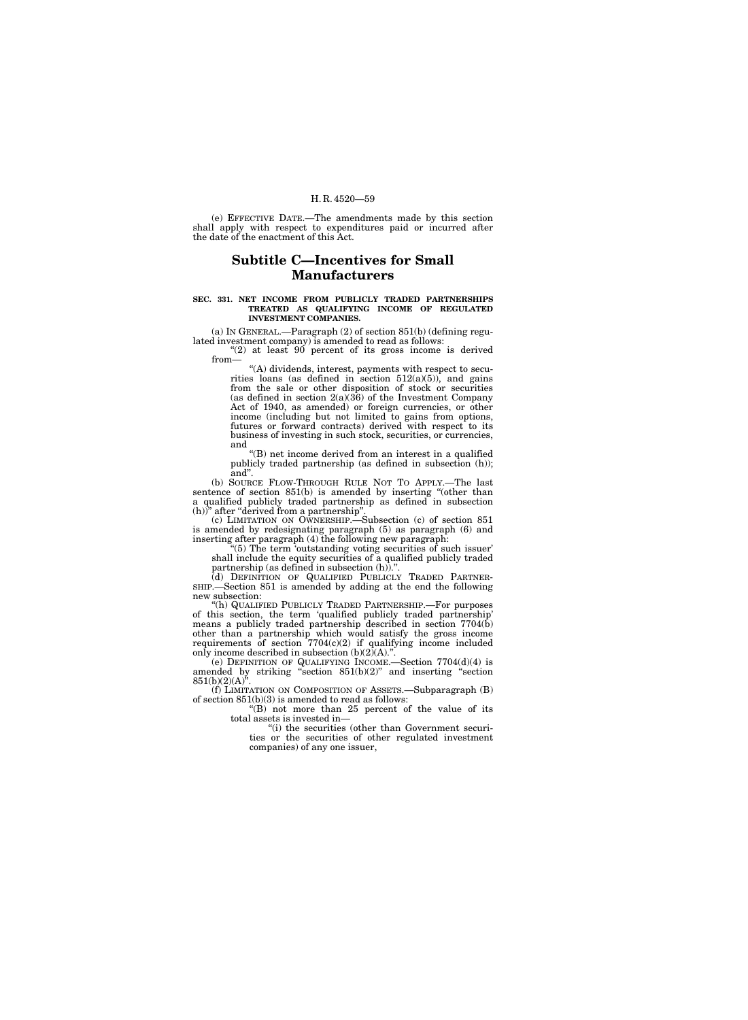(e) EFFECTIVE DATE.—The amendments made by this section shall apply with respect to expenditures paid or incurred after the date of the enactment of this Act.

# **Subtitle C—Incentives for Small Manufacturers**

#### **SEC. 331. NET INCOME FROM PUBLICLY TRADED PARTNERSHIPS TREATED AS QUALIFYING INCOME OF REGULATED INVESTMENT COMPANIES.**

(a) IN GENERAL.—Paragraph (2) of section 851(b) (defining regulated investment company) is amended to read as follows:

" $(2)$  at least  $90$  percent of its gross income is derived from—

> ''(A) dividends, interest, payments with respect to securities loans (as defined in section  $512(a)(5)$ ), and gains from the sale or other disposition of stock or securities (as defined in section  $2(a)(36)$  of the Investment Company Act of 1940, as amended) or foreign currencies, or other income (including but not limited to gains from options, futures or forward contracts) derived with respect to its business of investing in such stock, securities, or currencies, and

> ''(B) net income derived from an interest in a qualified publicly traded partnership (as defined in subsection (h)); and''.

(b) SOURCE FLOW-THROUGH RULE NOT TO APPLY.—The last sentence of section 851(b) is amended by inserting ''(other than a qualified publicly traded partnership as defined in subsection (h))'' after ''derived from a partnership''.

(c) LIMITATION ON OWNERSHIP.—Subsection (c) of section 851 is amended by redesignating paragraph (5) as paragraph (6) and inserting after paragraph (4) the following new paragraph:

 $(5)$  The term 'outstanding voting securities of such issuer' shall include the equity securities of a qualified publicly traded partnership (as defined in subsection (h)).".

(d) DEFINITION OF QUALIFIED PUBLICLY TRADED PARTNER-SHIP.—Section 851 is amended by adding at the end the following new subsection:

'(h) QUALIFIED PUBLICLY TRADED PARTNERSHIP.—For purposes of this section, the term 'qualified publicly traded partnership' means a publicly traded partnership described in section 7704(b) other than a partnership which would satisfy the gross income requirements of section  $7704(c)(2)$  if qualifying income included only income described in subsection  $(b)(2)(A)$ .".<br>
(e) DEFINITION OF QUALIFYING INCOME.—Section 7704(d)(4) is

amended by striking "section  $851(b)(2)$ " and inserting "section  $851(b)(2)(A)^"$ .

(f) LIMITATION ON COMPOSITION OF ASSETS.—Subparagraph (B) of section  $851(b)(3)$  is amended to read as follows:

"(B) not more than 25 percent of the value of its total assets is invested in—<br>"(i) the securities (other than Government securi-

ties or the securities of other regulated investment companies) of any one issuer,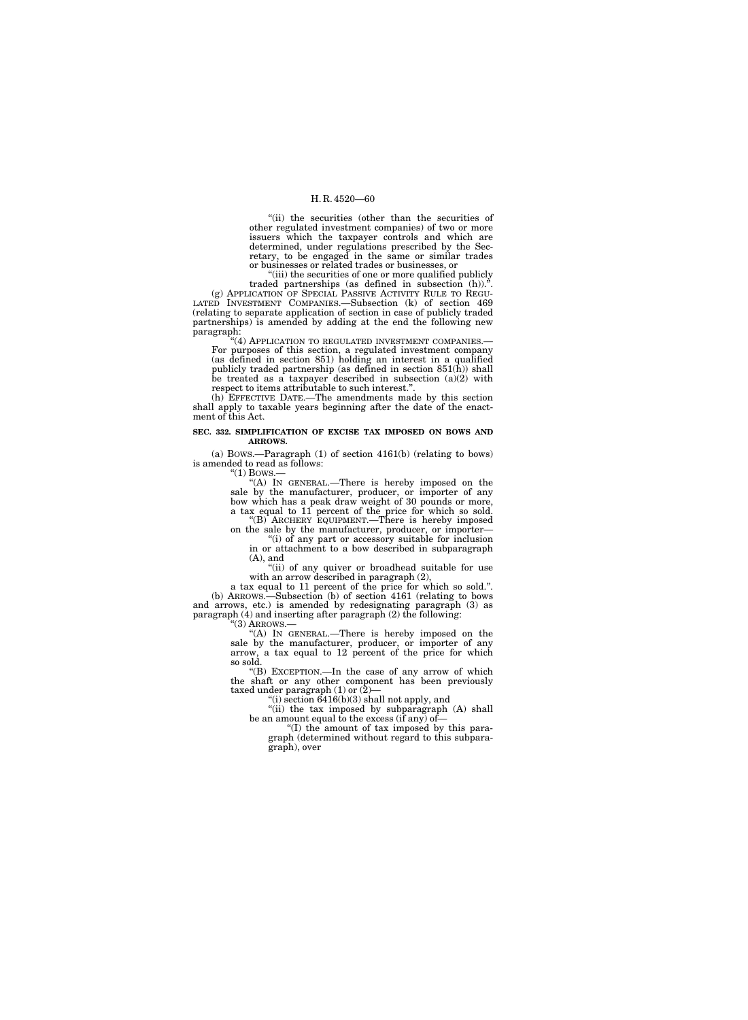"(ii) the securities (other than the securities of other regulated investment companies) of two or more issuers which the taxpayer controls and which are determined, under regulations prescribed by the Secretary, to be engaged in the same or similar trades or businesses or related trades or businesses, or

''(iii) the securities of one or more qualified publicly traded partnerships (as defined in subsection (h)).''. (g) APPLICATION OF SPECIAL PASSIVE ACTIVITY RULE TO REGU-LATED INVESTMENT COMPANIES.—Subsection (k) of section 469 (relating to separate application of section in case of publicly traded partnerships) is amended by adding at the end the following new paragraph:

"(4) APPLICATION TO REGULATED INVESTMENT COMPANIES.-For purposes of this section, a regulated investment company (as defined in section 851) holding an interest in a qualified publicly traded partnership (as defined in section 851(h)) shall be treated as a taxpayer described in subsection (a)(2) with respect to items attributable to such interest.''.

(h) EFFECTIVE DATE.—The amendments made by this section shall apply to taxable years beginning after the date of the enactment of this Act.

#### **SEC. 332. SIMPLIFICATION OF EXCISE TAX IMPOSED ON BOWS AND ARROWS.**

(a) BOWS.—Paragraph (1) of section 4161(b) (relating to bows) is amended to read as follows:

" $(1)$  Bows.— "(A) IN GENERAL.—There is hereby imposed on the sale by the manufacturer, producer, or importer of any bow which has a peak draw weight of 30 pounds or more, a tax equal to 11 percent of the price for which so sold. ''(B) ARCHERY EQUIPMENT.—There is hereby imposed

on the sale by the manufacturer, producer, or importer— "(i) of any part or accessory suitable for inclusion in or attachment to a bow described in subparagraph

(A), and

"(ii) of any quiver or broadhead suitable for use with an arrow described in paragraph (2),

a tax equal to 11 percent of the price for which so sold.''. (b) ARROWS.—Subsection (b) of section 4161 (relating to bows and arrows, etc.) is amended by redesignating paragraph (3) as paragraph (4) and inserting after paragraph (2) the following: ''(3) ARROWS.—

''(A) IN GENERAL.—There is hereby imposed on the sale by the manufacturer, producer, or importer of any arrow, a tax equal to 12 percent of the price for which so sold.

''(B) EXCEPTION.—In the case of any arrow of which the shaft or any other component has been previously taxed under paragraph (1) or  $(2)$ —<br>"(i) section 6416(b)(3) shall not apply, and

"(ii) the tax imposed by subparagraph (A) shall

be an amount equal to the excess (if any) of—<br>"(I) the amount of tax imposed by this paragraph (determined without regard to this subparagraph), over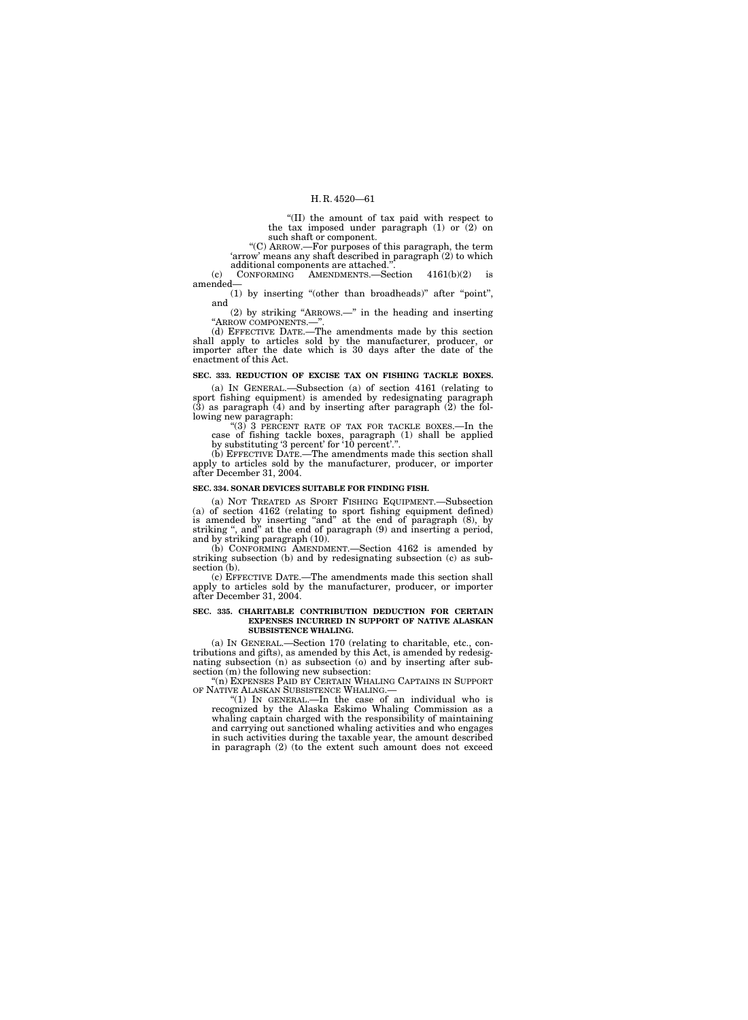''(II) the amount of tax paid with respect to the tax imposed under paragraph  $(1)$  or  $(2)$  on such shaft or component.

 $C$ ) ARROW.—For purposes of this paragraph, the term 'arrow' means any shaft described in paragraph (2) to which

additional components are attached.' (c) CONFORMING AMENDMENTS.—Section 4161(b)(2) is

amended— (1) by inserting ''(other than broadheads)'' after ''point'',

and (2) by striking ''ARROWS.—'' in the heading and inserting

''ARROW COMPONENTS.—''. (d) EFFECTIVE DATE.—The amendments made by this section shall apply to articles sold by the manufacturer, producer, or importer after the date which is 30 days after the date of the enactment of this Act.

# **SEC. 333. REDUCTION OF EXCISE TAX ON FISHING TACKLE BOXES.**

(a) IN GENERAL.—Subsection (a) of section 4161 (relating to sport fishing equipment) is amended by redesignating paragraph (3) as paragraph (4) and by inserting after paragraph (2) the following new paragraph:

''(3) 3 PERCENT RATE OF TAX FOR TACKLE BOXES.—In the case of fishing tackle boxes, paragraph (1) shall be applied by substituting '3 percent' for '10 percent'.''.

(b) EFFECTIVE DATE.—The amendments made this section shall apply to articles sold by the manufacturer, producer, or importer after December 31, 2004.

# **SEC. 334. SONAR DEVICES SUITABLE FOR FINDING FISH.**

(a) NOT TREATED AS SPORT FISHING EQUIPMENT.—Subsection (a) of section 4162 (relating to sport fishing equipment defined) is amended by inserting "and" at the end of paragraph (8), by striking ", and" at the end of paragraph (9) and inserting a period, and by striking paragraph (10).

(b) CONFORMING AMENDMENT.—Section 4162 is amended by striking subsection (b) and by redesignating subsection (c) as subsection (b).

(c) EFFECTIVE DATE.—The amendments made this section shall apply to articles sold by the manufacturer, producer, or importer after December 31, 2004.

#### **SEC. 335. CHARITABLE CONTRIBUTION DEDUCTION FOR CERTAIN EXPENSES INCURRED IN SUPPORT OF NATIVE ALASKAN SUBSISTENCE WHALING.**

(a) IN GENERAL.—Section 170 (relating to charitable, etc., contributions and gifts), as amended by this Act, is amended by redesignating subsection (n) as subsection (o) and by inserting after subsection (m) the following new subsection:

"(n) EXPENSES PAID BY CERTAIN WHALING CAPTAINS IN SUPPORT OF NATIVE ALASKAN SUBSISTENCE WHALING.

''(1) IN GENERAL.—In the case of an individual who is recognized by the Alaska Eskimo Whaling Commission as a whaling captain charged with the responsibility of maintaining and carrying out sanctioned whaling activities and who engages in such activities during the taxable year, the amount described in paragraph (2) (to the extent such amount does not exceed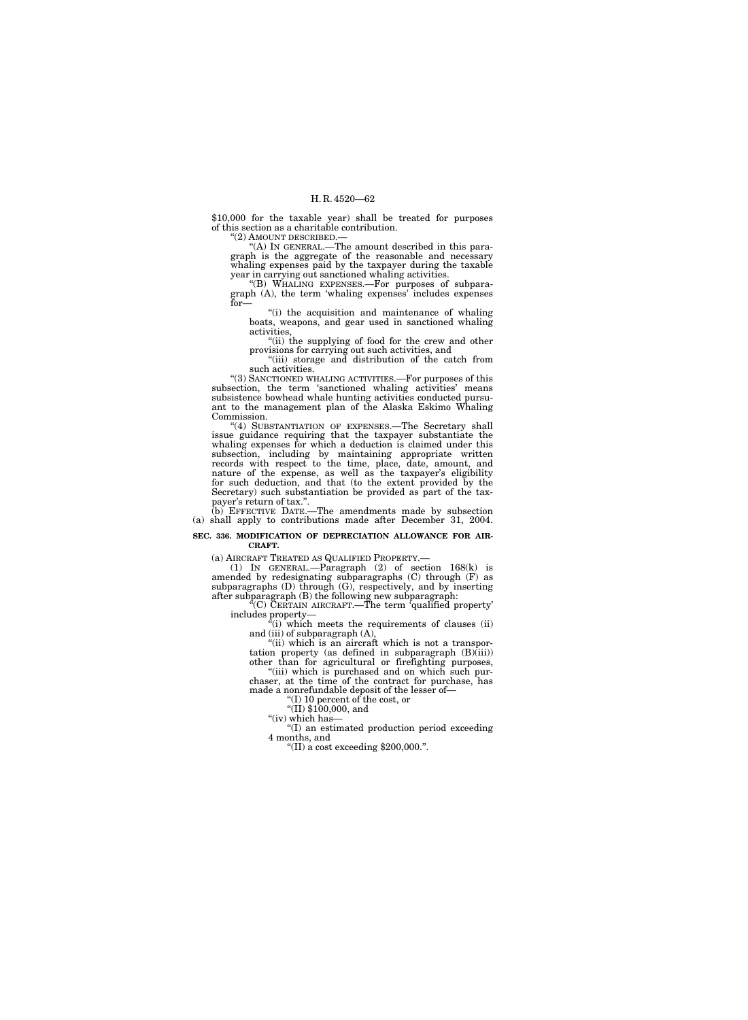\$10,000 for the taxable year) shall be treated for purposes of this section as a charitable contribution.

''(2) AMOUNT DESCRIBED.—

''(A) IN GENERAL.—The amount described in this paragraph is the aggregate of the reasonable and necessary whaling expenses paid by the taxpayer during the taxable year in carrying out sanctioned whaling activities.

''(B) WHALING EXPENSES.—For purposes of subparagraph (A), the term 'whaling expenses' includes expenses for—

''(i) the acquisition and maintenance of whaling boats, weapons, and gear used in sanctioned whaling activities,

"(ii) the supplying of food for the crew and other provisions for carrying out such activities, and

''(iii) storage and distribution of the catch from such activities.

''(3) SANCTIONED WHALING ACTIVITIES.—For purposes of this subsection, the term 'sanctioned whaling activities' means subsistence bowhead whale hunting activities conducted pursuant to the management plan of the Alaska Eskimo Whaling Commission.

"(4) SUBSTANTIATION OF EXPENSES.-The Secretary shall issue guidance requiring that the taxpayer substantiate the whaling expenses for which a deduction is claimed under this subsection, including by maintaining appropriate written records with respect to the time, place, date, amount, and nature of the expense, as well as the taxpayer's eligibility for such deduction, and that (to the extent provided by the Secretary) such substantiation be provided as part of the taxpayer's return of tax.''.

(b) EFFECTIVE DATE.—The amendments made by subsection (a) shall apply to contributions made after December 31, 2004.

#### **SEC. 336. MODIFICATION OF DEPRECIATION ALLOWANCE FOR AIR-CRAFT.**

(a) AIRCRAFT TREATED AS QUALIFIED PROPERTY.— (1) IN GENERAL.—Paragraph (2) of section 168(k) is amended by redesignating subparagraphs (C) through (F) as subparagraphs (D) through (G), respectively, and by inserting after subparagraph (B) the following new subparagraph:<br>"(C) CERTAIN AIRCRAFT.—The term 'qualified property'

includes property—

 $\hat{f}^{(i)}$  which meets the requirements of clauses (ii) and (iii) of subparagraph (A),

"(ii) which is an aircraft which is not a transportation property (as defined in subparagraph (B)(iii)) other than for agricultural or firefighting purposes, ''(iii) which is purchased and on which such pur-

chaser, at the time of the contract for purchase, has made a nonrefundable deposit of the lesser of—<br>"(I) 10 percent of the cost, or<br>"(II) \$100,000, and

"(iv) which has—<br>"(I) an estimated production period exceeding 4 months, and

 $\text{``(II)}$  a cost exceeding \$200,000.".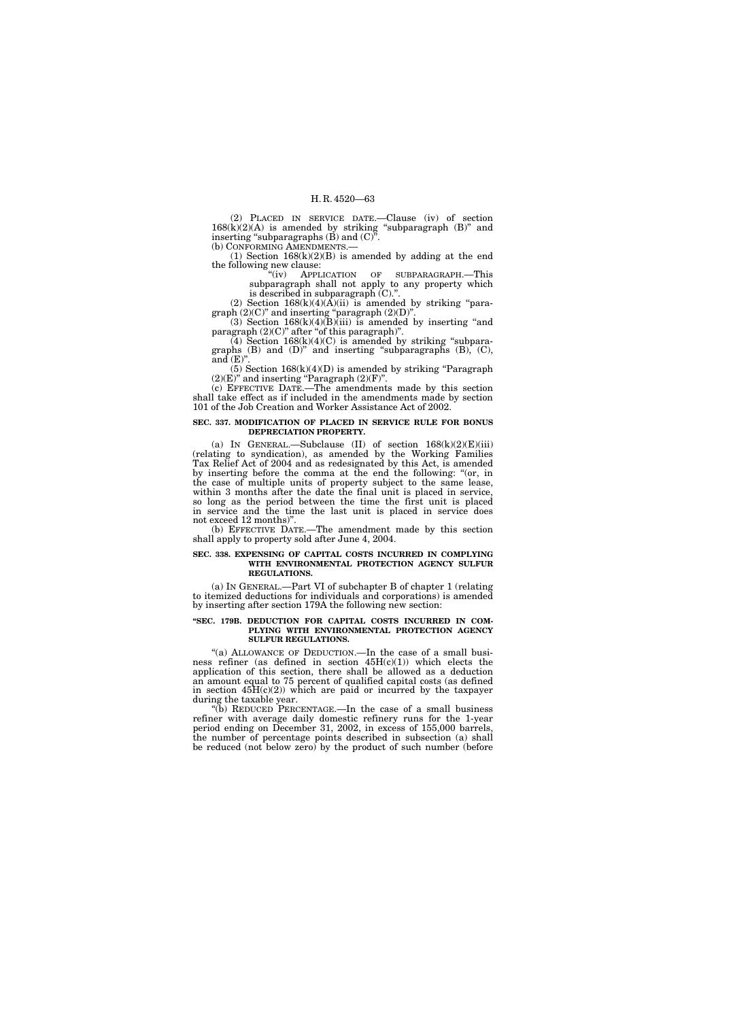(2) PLACED IN SERVICE DATE.—Clause (iv) of section  $168(k)(2)(A)$  is amended by striking "subparagraph (B)" and inserting "subparagraphs  $(B)$  and  $(C)$ ". (b) CONFORMING AMENDMENTS.—

(1) Section 168(k)(2)(B) is amended by adding at the end the following new clause:

''(iv) APPLICATION OF SUBPARAGRAPH.—This subparagraph shall not apply to any property which is described in subparagraph  $(C)$ .

(2) Section  $168(k)(4)(\overrightarrow{A})(i)$  is amended by striking "paragraph  $(2)(C)$ " and inserting "paragraph  $(2)(D)$ ".

(3) Section  $168(k)(4)(B)$ (iii) is amended by inserting "and paragraph  $(2)(C)$ " after "of this paragraph)".

 $(4)$  Section 168 $(k)(4)(C)$  is amended by striking "subparagraphs  $(B)$  and  $(D)$ " and inserting "subparagraphs  $(B)$ ,  $(C)$ , and  $(E)$ ".

 $(5)$  Section  $168(k)(4)(D)$  is amended by striking "Paragraph  $(2)(E)$ " and inserting "Paragraph  $(2)(F)$ ".

(c) EFFECTIVE DATE.—The amendments made by this section shall take effect as if included in the amendments made by section 101 of the Job Creation and Worker Assistance Act of 2002.

#### **SEC. 337. MODIFICATION OF PLACED IN SERVICE RULE FOR BONUS DEPRECIATION PROPERTY.**

(a) IN GENERAL.—Subclause (II) of section  $168(k)(2)(E)(iii)$ (relating to syndication), as amended by the Working Families Tax Relief Act of 2004 and as redesignated by this Act, is amended by inserting before the comma at the end the following: ''(or, in the case of multiple units of property subject to the same lease, within 3 months after the date the final unit is placed in service, so long as the period between the time the first unit is placed in service and the time the last unit is placed in service does not exceed 12 months)''.

(b) EFFECTIVE DATE.—The amendment made by this section shall apply to property sold after June 4, 2004.

#### **SEC. 338. EXPENSING OF CAPITAL COSTS INCURRED IN COMPLYING WITH ENVIRONMENTAL PROTECTION AGENCY SULFUR REGULATIONS.**

(a) IN GENERAL.—Part VI of subchapter B of chapter 1 (relating to itemized deductions for individuals and corporations) is amended by inserting after section 179A the following new section:

#### **''SEC. 179B. DEDUCTION FOR CAPITAL COSTS INCURRED IN COM-PLYING WITH ENVIRONMENTAL PROTECTION AGENCY SULFUR REGULATIONS.**

''(a) ALLOWANCE OF DEDUCTION.—In the case of a small business refiner (as defined in section  $45H(c)(1)$ ) which elects the application of this section, there shall be allowed as a deduction an amount equal to 75 percent of qualified capital costs (as defined in section  $45H(c)(2)$ ) which are paid or incurred by the taxpayer during the taxable year.

"(b) REDUCED PERCENTAGE.—In the case of a small business refiner with average daily domestic refinery runs for the 1-year period ending on December 31, 2002, in excess of 155,000 barrels, the number of percentage points described in subsection (a) shall be reduced (not below zero) by the product of such number (before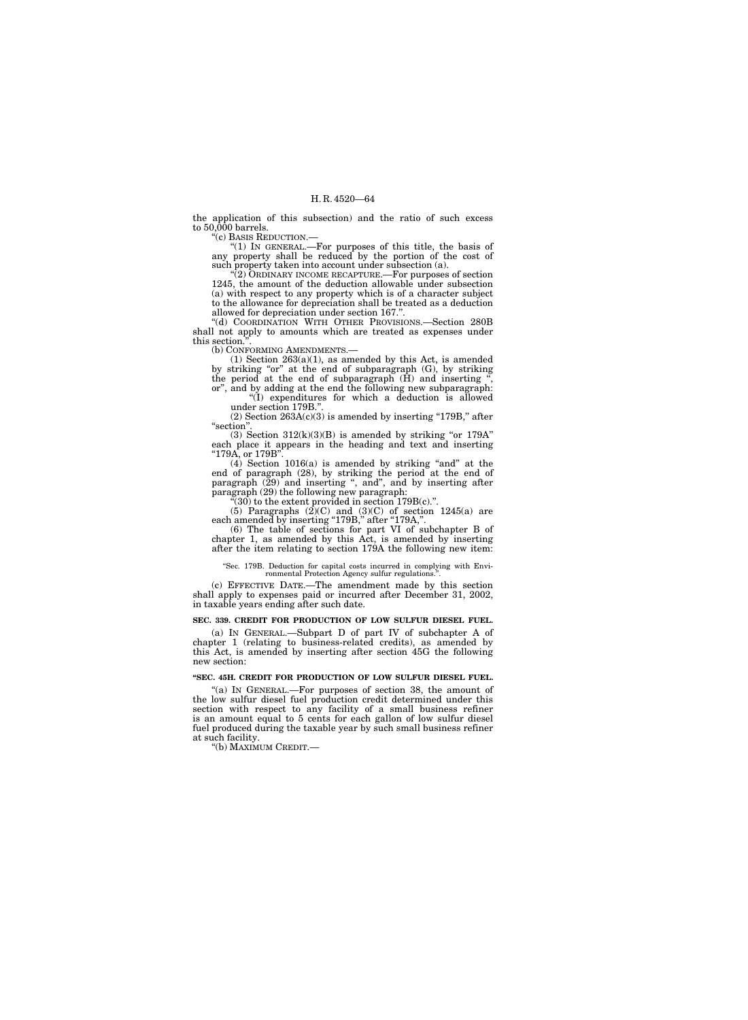the application of this subsection) and the ratio of such excess to  $50,000$  barrels.

''(c) BASIS REDUCTION.— ''(1) IN GENERAL.—For purposes of this title, the basis of any property shall be reduced by the portion of the cost of such property taken into account under subsection (a).

 $\sqrt{2}$ ) ORDINARY INCOME RECAPTURE.—For purposes of section 1245, the amount of the deduction allowable under subsection (a) with respect to any property which is of a character subject to the allowance for depreciation shall be treated as a deduction allowed for depreciation under section 167.''.

''(d) COORDINATION WITH OTHER PROVISIONS.—Section 280B shall not apply to amounts which are treated as expenses under this section.''.

(b) CONFORMING AMENDMENTS.—

(1) Section  $263(a)(1)$ , as amended by this Act, is amended by striking "or" at the end of subparagraph (G), by striking the period at the end of subparagraph  $(H)$  and inserting or", and by adding at the end the following new subparagraph:

"(I) expenditures for which a deduction is allowed<br>under section 179B.".

 $(2)$  Section 263A(c)(3) is amended by inserting "179B," after "section".

(3) Section  $312(k)(3)(B)$  is amended by striking "or 179A" each place it appears in the heading and text and inserting "179A, or 179B".

(4) Section  $1016(a)$  is amended by striking "and" at the end of paragraph (28), by striking the period at the end of paragraph (29) and inserting ", and", and by inserting after paragraph (29) the following new paragraph:

 $\sqrt{4}$ (30) to the extent provided in section 179B(c).".

(5) Paragraphs  $(2)(C)$  and  $(3)(C)$  of section 1245(a) are each amended by inserting "179B," after "179A,".

(6) The table of sections for part VI of subchapter B of chapter 1, as amended by this Act, is amended by inserting after the item relating to section 179A the following new item:

''Sec. 179B. Deduction for capital costs incurred in complying with Environmental Protection Agency sulfur regulations.''.

(c) EFFECTIVE DATE.—The amendment made by this section shall apply to expenses paid or incurred after December 31, 2002, in taxable years ending after such date.

#### **SEC. 339. CREDIT FOR PRODUCTION OF LOW SULFUR DIESEL FUEL.**

(a) IN GENERAL.—Subpart D of part IV of subchapter A of chapter 1 (relating to business-related credits), as amended by this Act, is amended by inserting after section 45G the following new section:

#### **''SEC. 45H. CREDIT FOR PRODUCTION OF LOW SULFUR DIESEL FUEL.**

"(a) IN GENERAL.—For purposes of section 38, the amount of the low sulfur diesel fuel production credit determined under this section with respect to any facility of a small business refiner is an amount equal to 5 cents for each gallon of low sulfur diesel fuel produced during the taxable year by such small business refiner at such facility.

''(b) MAXIMUM CREDIT.—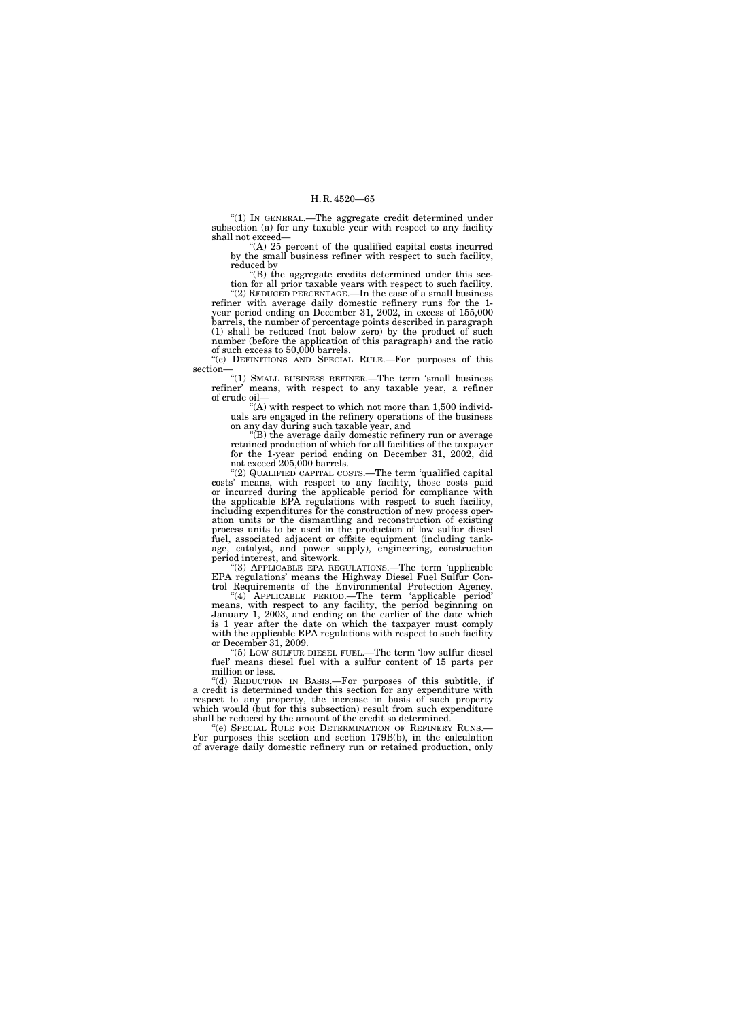''(1) IN GENERAL.—The aggregate credit determined under subsection (a) for any taxable year with respect to any facility shall not exceed—

''(A) 25 percent of the qualified capital costs incurred by the small business refiner with respect to such facility, reduced by

''(B) the aggregate credits determined under this section for all prior taxable years with respect to such facility. ''(2) REDUCED PERCENTAGE.—In the case of a small business refiner with average daily domestic refinery runs for the 1 year period ending on December 31, 2002, in excess of 155,000 barrels, the number of percentage points described in paragraph (1) shall be reduced (not below zero) by the product of such number (before the application of this paragraph) and the ratio of such excess to 50,000 barrels.

''(c) DEFINITIONS AND SPECIAL RULE.—For purposes of this section—

''(1) SMALL BUSINESS REFINER.—The term 'small business refiner' means, with respect to any taxable year, a refiner

 $f(A)$  with respect to which not more than 1,500 individuals are engaged in the refinery operations of the business on any day during such taxable year, and

''(B) the average daily domestic refinery run or average retained production of which for all facilities of the taxpayer for the 1-year period ending on December 31, 2002, did not exceed 205,000 barrels.

''(2) QUALIFIED CAPITAL COSTS.—The term 'qualified capital costs' means, with respect to any facility, those costs paid or incurred during the applicable period for compliance with the applicable EPA regulations with respect to such facility, including expenditures for the construction of new process operation units or the dismantling and reconstruction of existing process units to be used in the production of low sulfur diesel fuel, associated adjacent or offsite equipment (including tankage, catalyst, and power supply), engineering, construction period interest, and sitework.

''(3) APPLICABLE EPA REGULATIONS.—The term 'applicable EPA regulations' means the Highway Diesel Fuel Sulfur Control Requirements of the Environmental Protection Agency. trol Requirements of the Environmental Protection Agency. ''(4) APPLICABLE PERIOD.—The term 'applicable period'

means, with respect to any facility, the period beginning on January 1, 2003, and ending on the earlier of the date which is 1 year after the date on which the taxpayer must comply with the applicable EPA regulations with respect to such facility or December 31, 2009.

 $(5)$  LOW SULFUR DIESEL FUEL.—The term 'low sulfur diesel fuel' means diesel fuel with a sulfur content of 15 parts per million or less.

''(d) REDUCTION IN BASIS.—For purposes of this subtitle, if a credit is determined under this section for any expenditure with respect to any property, the increase in basis of such property which would (but for this subsection) result from such expenditure

shall be reduced by the amount of the credit so determined.<br>
"(e) SPECIAL RULE FOR DETERMINATION OF REFINERY RUNS.—<br>
For purposes this section and section 179B(b), in the calculation of average daily domestic refinery run or retained production, only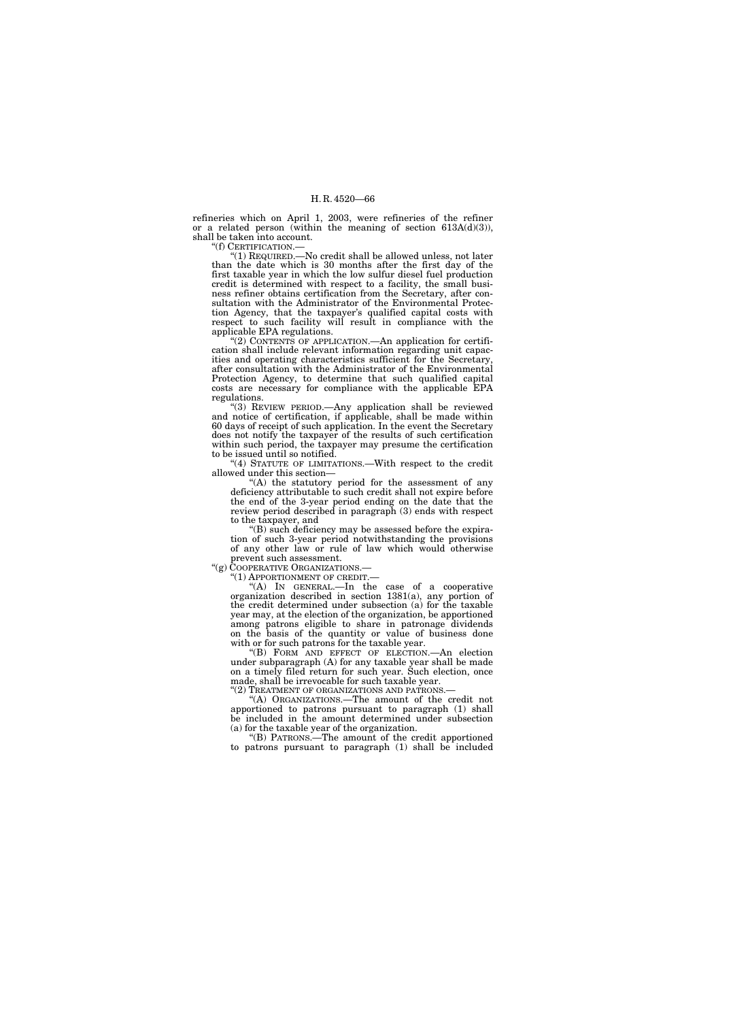refineries which on April 1, 2003, were refineries of the refiner or a related person (within the meaning of section  $613A(d)(3)$ ), shall be taken into account.

''(f) CERTIFICATION.—

''(1) REQUIRED.—No credit shall be allowed unless, not later than the date which is 30 months after the first day of the first taxable year in which the low sulfur diesel fuel production credit is determined with respect to a facility, the small business refiner obtains certification from the Secretary, after consultation with the Administrator of the Environmental Protection Agency, that the taxpayer's qualified capital costs with respect to such facility will result in compliance with the applicable EPA regulations.

''(2) CONTENTS OF APPLICATION.—An application for certification shall include relevant information regarding unit capacities and operating characteristics sufficient for the Secretary, after consultation with the Administrator of the Environmental Protection Agency, to determine that such qualified capital costs are necessary for compliance with the applicable EPA regulations.

''(3) REVIEW PERIOD.—Any application shall be reviewed and notice of certification, if applicable, shall be made within 60 days of receipt of such application. In the event the Secretary does not notify the taxpayer of the results of such certification within such period, the taxpayer may presume the certification to be issued until so notified.

"(4) STATUTE OF LIMITATIONS.—With respect to the credit allowed under this section—

"(A) the statutory period for the assessment of any deficiency attributable to such credit shall not expire before the end of the 3-year period ending on the date that the review period described in paragraph (3) ends with respect to the taxpayer, and

''(B) such deficiency may be assessed before the expiration of such 3-year period notwithstanding the provisions of any other law or rule of law which would otherwise prevent such assessment.

''(g) COOPERATIVE ORGANIZATIONS.— ''(1) APPORTIONMENT OF CREDIT.—

''(A) IN GENERAL.—In the case of a cooperative organization described in section 1381(a), any portion of the credit determined under subsection (a) for the taxable year may, at the election of the organization, be apportioned among patrons eligible to share in patronage dividends on the basis of the quantity or value of business done

with or for such patrons for the taxable year.<br>"(B) FORM AND EFFECT OF ELECTION.—An election under subparagraph (A) for any taxable year shall be made on a timely filed return for such year. Such election, once made, shall be irrevocable for such taxable year.

''(2) TREATMENT OF ORGANIZATIONS AND PATRONS.— ''(A) ORGANIZATIONS.—The amount of the credit not

apportioned to patrons pursuant to paragraph (1) shall be included in the amount determined under subsection (a) for the taxable year of the organization. ''(B) PATRONS.—The amount of the credit apportioned

to patrons pursuant to paragraph (1) shall be included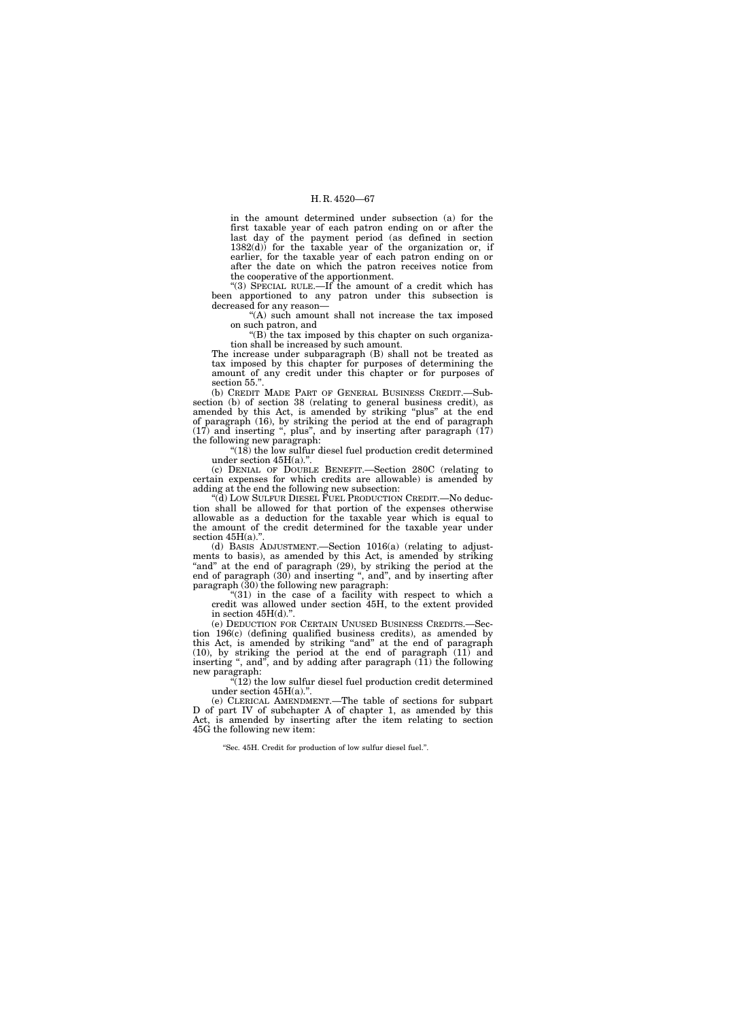in the amount determined under subsection (a) for the first taxable year of each patron ending on or after the last day of the payment period (as defined in section 1382(d)) for the taxable year of the organization or, if earlier, for the taxable year of each patron ending on or after the date on which the patron receives notice from the cooperative of the apportionment.

''(3) SPECIAL RULE.—If the amount of a credit which has been apportioned to any patron under this subsection is decreased for any reason—

"(A) such amount shall not increase the tax imposed on such patron, and

 $\mathrm{``(B)}$  the tax imposed by this chapter on such organization shall be increased by such amount.

The increase under subparagraph (B) shall not be treated as tax imposed by this chapter for purposes of determining the amount of any credit under this chapter or for purposes of section 55."

(b) CREDIT MADE PART OF GENERAL BUSINESS CREDIT.—Subsection (b) of section 38 (relating to general business credit), as amended by this Act, is amended by striking "plus" at the end of paragraph (16), by striking the period at the end of paragraph  $(17)$  and inserting ", plus", and by inserting after paragraph  $(17)$ the following new paragraph:

 $\degree$ (18) the low sulfur diesel fuel production credit determined under section 45H(a).''.

(c) DENIAL OF DOUBLE BENEFIT.—Section 280C (relating to certain expenses for which credits are allowable) is amended by adding at the end the following new subsection:

''(d) LOW SULFUR DIESEL FUEL PRODUCTION CREDIT.—No deduction shall be allowed for that portion of the expenses otherwise allowable as a deduction for the taxable year which is equal to the amount of the credit determined for the taxable year under section 45H(a)."

(d) BASIS ADJUSTMENT.—Section 1016(a) (relating to adjustments to basis), as amended by this Act, is amended by striking "and" at the end of paragraph (29), by striking the period at the end of paragraph (30) and inserting '', and'', and by inserting after paragraph (30) the following new paragraph:

"(31) in the case of a facility with respect to which a credit was allowed under section 45H, to the extent provided in section  $45H(d)$ ."

(e) DEDUCTION FOR CERTAIN UNUSED BUSINESS CREDITS.—Section 196(c) (defining qualified business credits), as amended by this Act, is amended by striking "and" at the end of paragraph (10), by striking the period at the end of paragraph (11) and inserting  $\degree$ , and  $\degree$ , and by adding after paragraph  $(11)$  the following new paragraph:

"(12) the low sulfur diesel fuel production credit determined under section 45H(a).''.

(e) CLERICAL AMENDMENT.—The table of sections for subpart D of part IV of subchapter A of chapter 1, as amended by this Act, is amended by inserting after the item relating to section 45G the following new item:

''Sec. 45H. Credit for production of low sulfur diesel fuel.''.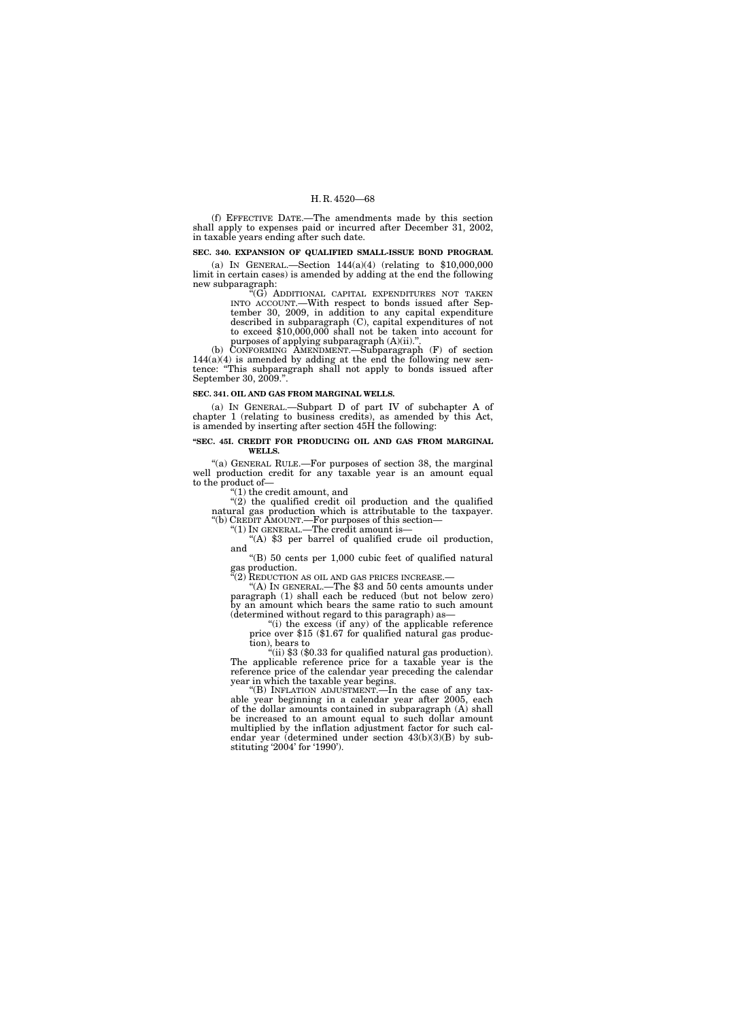(f) EFFECTIVE DATE.—The amendments made by this section shall apply to expenses paid or incurred after December 31, 2002, in taxable years ending after such date.

#### **SEC. 340. EXPANSION OF QUALIFIED SMALL-ISSUE BOND PROGRAM.**

(a) IN GENERAL.—Section 144(a)(4) (relating to \$10,000,000 limit in certain cases) is amended by adding at the end the following new subparagraph:

''(G) ADDITIONAL CAPITAL EXPENDITURES NOT TAKEN INTO ACCOUNT.—With respect to bonds issued after September 30, 2009, in addition to any capital expenditure described in subparagraph (C), capital expenditures of not to exceed \$10,000,000 shall not be taken into account for purposes of applying subparagraph (A)(ii).''.

(b) CONFORMING AMENDMENT.—Subparagraph (F) of section  $144(a)(4)$  is amended by adding at the end the following new sentence: ''This subparagraph shall not apply to bonds issued after September 30, 2009.''.

#### **SEC. 341. OIL AND GAS FROM MARGINAL WELLS.**

(a) IN GENERAL.—Subpart D of part IV of subchapter A of chapter 1 (relating to business credits), as amended by this Act, is amended by inserting after section 45H the following:

#### **''SEC. 45I. CREDIT FOR PRODUCING OIL AND GAS FROM MARGINAL WELLS.**

''(a) GENERAL RULE.—For purposes of section 38, the marginal well production credit for any taxable year is an amount equal to the product of—

 $(1)$  the credit amount, and

"(2) the qualified credit oil production and the qualified natural gas production which is attributable to the taxpayer. ''(b) CREDIT AMOUNT.—For purposes of this section—

''(1) IN GENERAL.—The credit amount is—

''(A) \$3 per barrel of qualified crude oil production, and

''(B) 50 cents per 1,000 cubic feet of qualified natural gas production.

''(2) REDUCTION AS OIL AND GAS PRICES INCREASE.—

''(A) IN GENERAL.—The \$3 and 50 cents amounts under paragraph (1) shall each be reduced (but not below zero) by an amount which bears the same ratio to such amount (determined without regard to this paragraph) as—

''(i) the excess (if any) of the applicable reference price over \$15 (\$1.67 for qualified natural gas produc-

 $t$ <sup>i</sup>(ii) \$3 (\$0.33 for qualified natural gas production). The applicable reference price for a taxable year is the reference price of the calendar year preceding the calendar year in which the taxable year begins.

"(B) INFLATION ADJUSTMENT.—In the case of any taxable year beginning in a calendar year after 2005, each of the dollar amounts contained in subparagraph (A) shall be increased to an amount equal to such dollar amount multiplied by the inflation adjustment factor for such calendar year (determined under section 43(b)(3)(B) by substituting '2004' for '1990').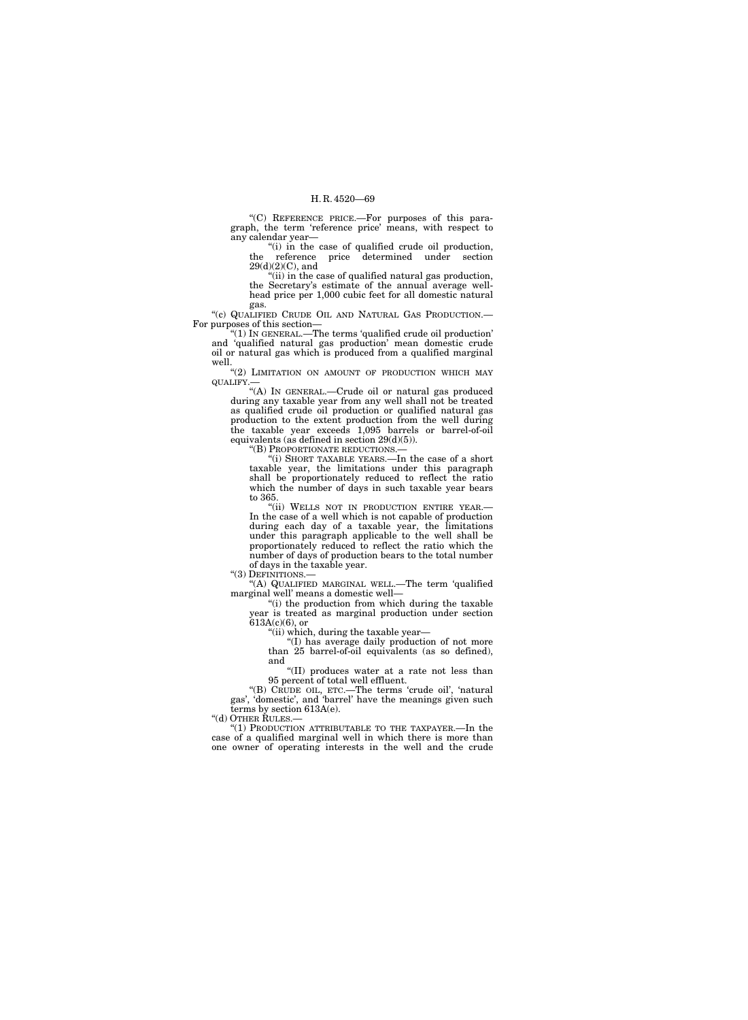''(C) REFERENCE PRICE.—For purposes of this paragraph, the term 'reference price' means, with respect to any calendar year—

"(i) in the case of qualified crude oil production, the reference price determined under section 29(d)(2)(C), and

"(ii) in the case of qualified natural gas production, the Secretary's estimate of the annual average wellhead price per 1,000 cubic feet for all domestic natural gas.

''(c) QUALIFIED CRUDE OIL AND NATURAL GAS PRODUCTION.— For purposes of this section—

''(1) IN GENERAL.—The terms 'qualified crude oil production' and 'qualified natural gas production' mean domestic crude oil or natural gas which is produced from a qualified marginal well.

''(2) LIMITATION ON AMOUNT OF PRODUCTION WHICH MAY QUALIFY.—

''(A) IN GENERAL.—Crude oil or natural gas produced during any taxable year from any well shall not be treated as qualified crude oil production or qualified natural gas production to the extent production from the well during the taxable year exceeds 1,095 barrels or barrel-of-oil equivalents (as defined in section 29(d)(5)).

''(B) PROPORTIONATE REDUCTIONS.—

''(i) SHORT TAXABLE YEARS.—In the case of a short taxable year, the limitations under this paragraph shall be proportionately reduced to reflect the ratio which the number of days in such taxable year bears to 365.

"(ii) WELLS NOT IN PRODUCTION ENTIRE YEAR.-In the case of a well which is not capable of production during each day of a taxable year, the limitations under this paragraph applicable to the well shall be proportionately reduced to reflect the ratio which the number of days of production bears to the total number of days in the taxable year.

"(3) DEFINITIONS.-

''(A) QUALIFIED MARGINAL WELL.—The term 'qualified marginal well' means a domestic well—

''(i) the production from which during the taxable year is treated as marginal production under section 613A(c)(6), or

''(ii) which, during the taxable year—

''(I) has average daily production of not more than 25 barrel-of-oil equivalents (as so defined), and

''(II) produces water at a rate not less than 95 percent of total well effluent.

''(B) CRUDE OIL, ETC.—The terms 'crude oil', 'natural gas', 'domestic', and 'barrel' have the meanings given such terms by section 613A(e).

''(d) OTHER RULES.—

"(1) PRODUCTION ATTRIBUTABLE TO THE TAXPAYER.—In the case of a qualified marginal well in which there is more than one owner of operating interests in the well and the crude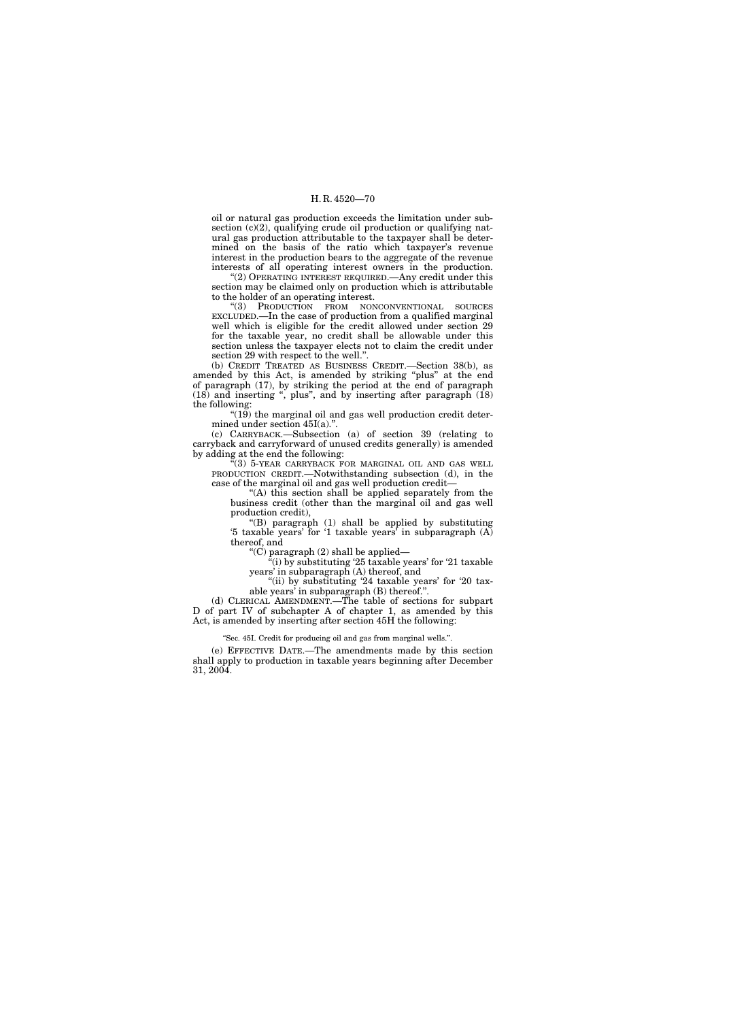oil or natural gas production exceeds the limitation under subsection (c)(2), qualifying crude oil production or qualifying natural gas production attributable to the taxpayer shall be determined on the basis of the ratio which taxpayer's revenue interest in the production bears to the aggregate of the revenue interests of all operating interest owners in the production.

''(2) OPERATING INTEREST REQUIRED.—Any credit under this section may be claimed only on production which is attributable to the holder of an operating interest.

''(3) PRODUCTION FROM NONCONVENTIONAL SOURCES EXCLUDED.—In the case of production from a qualified marginal well which is eligible for the credit allowed under section 29 for the taxable year, no credit shall be allowable under this section unless the taxpayer elects not to claim the credit under section 29 with respect to the well.''.

(b) CREDIT TREATED AS BUSINESS CREDIT.—Section 38(b), as amended by this Act, is amended by striking "plus" at the end of paragraph (17), by striking the period at the end of paragraph  $(18)$  and inserting ", plus", and by inserting after paragraph  $(18)$ the following:

 $(19)$  the marginal oil and gas well production credit determined under section 45I(a).".

(c) CARRYBACK.—Subsection (a) of section 39 (relating to carryback and carryforward of unused credits generally) is amended by adding at the end the following:

 $\widetilde{H}(3)$  5-YEAR CARRYBACK FOR MARGINAL OIL AND GAS WELL PRODUCTION CREDIT.—Notwithstanding subsection (d), in the case of the marginal oil and gas well production credit—

"(A) this section shall be applied separately from the business credit (other than the marginal oil and gas well production credit),

''(B) paragraph (1) shall be applied by substituting '5 taxable years' for '1 taxable years' in subparagraph (A) thereof, and

''(C) paragraph (2) shall be applied—

 $f'(i)$  by substituting '25 taxable years' for '21 taxable years' in subparagraph (A) thereof, and

"(ii) by substituting '24 taxable years' for '20 taxable years' in subparagraph (B) thereof.''.

(d) CLERICAL AMENDMENT.—The table of sections for subpart D of part IV of subchapter A of chapter 1, as amended by this Act, is amended by inserting after section 45H the following:

''Sec. 45I. Credit for producing oil and gas from marginal wells.''.

(e) EFFECTIVE DATE.—The amendments made by this section shall apply to production in taxable years beginning after December 31, 2004.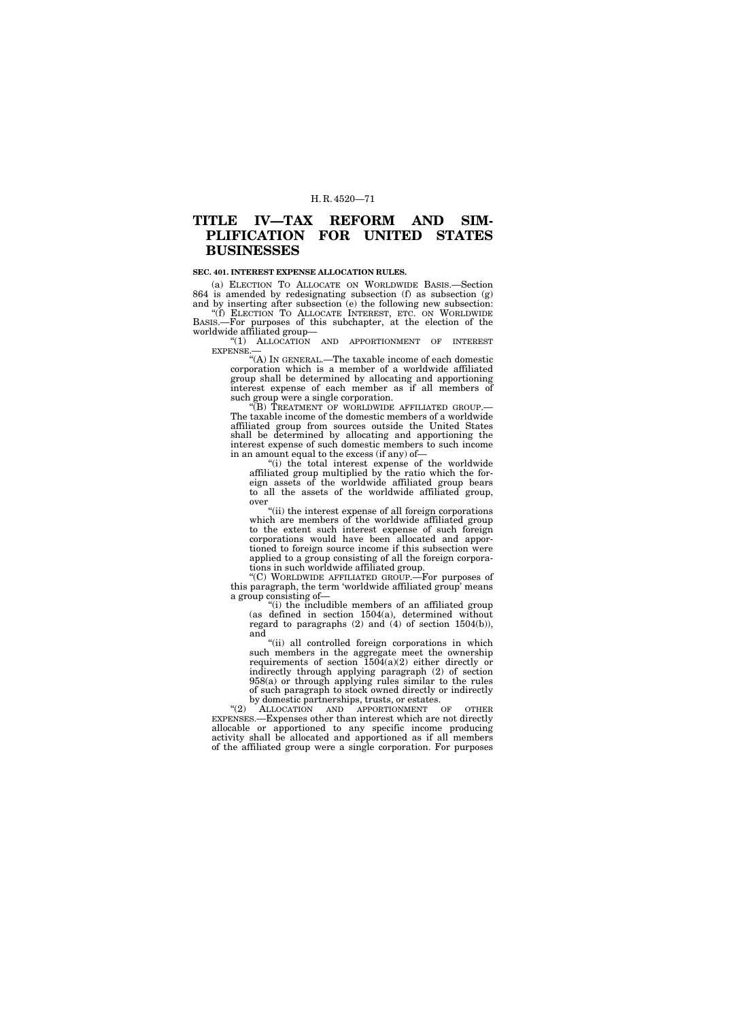# **TITLE IV—TAX REFORM AND SIM-PLIFICATION FOR UNITED STATES BUSINESSES**

# **SEC. 401. INTEREST EXPENSE ALLOCATION RULES.**

(a) ELECTION TO ALLOCATE ON WORLDWIDE BASIS.—Section 864 is amended by redesignating subsection (f) as subsection (g) and by inserting after subsection (e) the following new subsection: ''(f) ELECTION TO ALLOCATE INTEREST, ETC. ON WORLDWIDE

BASIS.—For purposes of this subchapter, at the election of the

"(1) ALLOCATION AND APPORTIONMENT OF INTEREST EXPENSE.—

''(A) IN GENERAL.—The taxable income of each domestic corporation which is a member of a worldwide affiliated group shall be determined by allocating and apportioning interest expense of each member as if all members of such group were a single corporation.<br>"(B) TREATMENT OF WORLDWIDE AFFILIATED GROUP.-

The taxable income of the domestic members of a worldwide affiliated group from sources outside the United States shall be determined by allocating and apportioning the interest expense of such domestic members to such income in an amount equal to the excess (if any) of—

''(i) the total interest expense of the worldwide affiliated group multiplied by the ratio which the foreign assets of the worldwide affiliated group bears to all the assets of the worldwide affiliated group, over

''(ii) the interest expense of all foreign corporations which are members of the worldwide affiliated group to the extent such interest expense of such foreign corporations would have been allocated and apportioned to foreign source income if this subsection were applied to a group consisting of all the foreign corporations in such worldwide affiliated group.

''(C) WORLDWIDE AFFILIATED GROUP.—For purposes of this paragraph, the term 'worldwide affiliated group' means a group consisting of—

"(i) the includible members of an affiliated group (as defined in section 1504(a), determined without regard to paragraphs (2) and (4) of section 1504(b)),

and "(ii) all controlled foreign corporations in which such members in the aggregate meet the ownership requirements of section  $1504(a)(2)$  either directly or indirectly through applying paragraph (2) of section 958(a) or through applying rules similar to the rules of such paragraph to stock owned directly or indirectly<br>by domestic partnerships, trusts, or estates.

by domestic partnerships, trusts, or estates.<br>"(2) ALLOCATION AND APPORTIONMENT OF OTHER EXPENSES.—Expenses other than interest which are not directly allocable or apportioned to any specific income producing activity shall be allocated and apportioned as if all members of the affiliated group were a single corporation. For purposes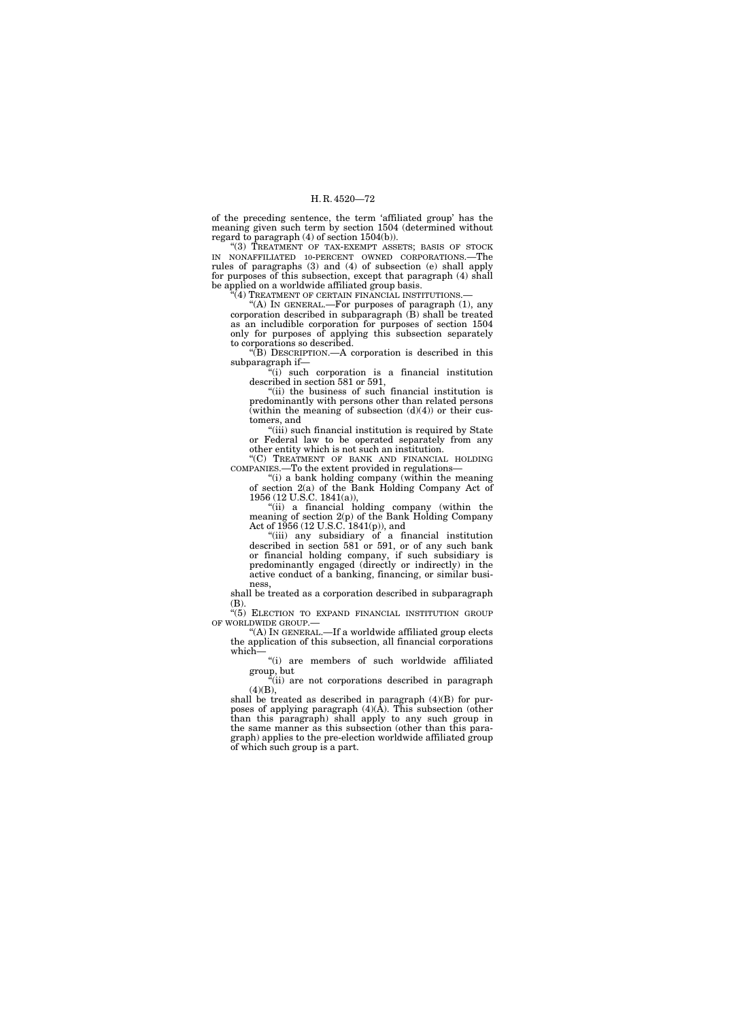of the preceding sentence, the term 'affiliated group' has the meaning given such term by section 1504 (determined without regard to paragraph (4) of section 1504(b)).

''(3) TREATMENT OF TAX-EXEMPT ASSETS; BASIS OF STOCK IN NONAFFILIATED 10-PERCENT OWNED CORPORATIONS.—The rules of paragraphs (3) and (4) of subsection (e) shall apply for purposes of this subsection, except that paragraph (4) shall be applied on a worldwide affiliated group basis.

(4) TREATMENT OF CERTAIN FINANCIAL INSTITUTIONS.

"(A) In GENERAL.—For purposes of paragraph (1), any corporation described in subparagraph (B) shall be treated as an includible corporation for purposes of section 1504 only for purposes of applying this subsection separately to corporations so described.

''(B) DESCRIPTION.—A corporation is described in this subparagraph if—

 $\frac{d^{2}f(x)}{f(x)}$  such corporation is a financial institution described in section 581 or 591,

''(ii) the business of such financial institution is predominantly with persons other than related persons (within the meaning of subsection  $(d)(4)$ ) or their customers, and

"(iii) such financial institution is required by State or Federal law to be operated separately from any other entity which is not such an institution.

''(C) TREATMENT OF BANK AND FINANCIAL HOLDING COMPANIES.—To the extent provided in regulations—

''(i) a bank holding company (within the meaning of section 2(a) of the Bank Holding Company Act of 1956 (12 U.S.C. 1841(a)),

''(ii) a financial holding company (within the meaning of section 2(p) of the Bank Holding Company Act of 1956 (12 U.S.C. 1841(p)), and

''(iii) any subsidiary of a financial institution described in section 581 or 591, or of any such bank or financial holding company, if such subsidiary is predominantly engaged (directly or indirectly) in the active conduct of a banking, financing, or similar business,

shall be treated as a corporation described in subparagraph (B).

"(5) ELECTION TO EXPAND FINANCIAL INSTITUTION GROUP OF WORLDWIDE GROUP.—

''(A) IN GENERAL.—If a worldwide affiliated group elects the application of this subsection, all financial corporations which—

''(i) are members of such worldwide affiliated group, but

 $\ddot{q}$ (ii) are not corporations described in paragraph  $(4)(B)$ ,

shall be treated as described in paragraph (4)(B) for purposes of applying paragraph (4)(A). This subsection (other than this paragraph) shall apply to any such group in the same manner as this subsection (other than this paragraph) applies to the pre-election worldwide affiliated group of which such group is a part.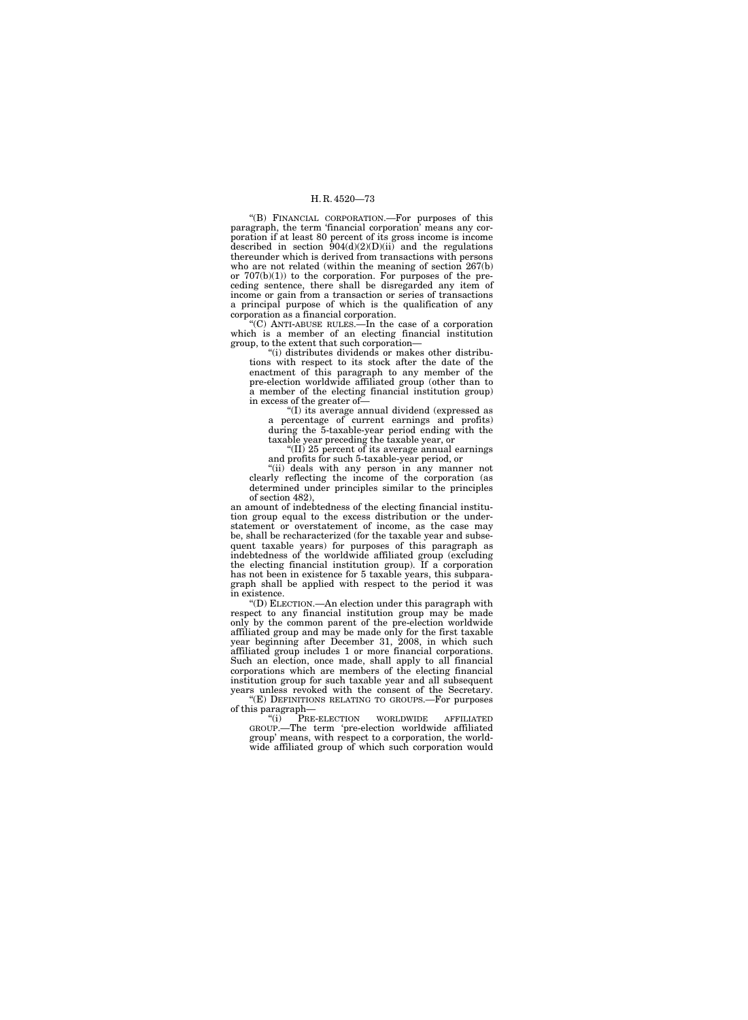''(B) FINANCIAL CORPORATION.—For purposes of this paragraph, the term 'financial corporation' means any corporation if at least 80 percent of its gross income is income described in section  $\frac{904(d)(2)(D)(ii)}{2}$  and the regulations thereunder which is derived from transactions with persons who are not related (within the meaning of section 267(b) or  $707(b)(1)$  to the corporation. For purposes of the preceding sentence, there shall be disregarded any item of income or gain from a transaction or series of transactions a principal purpose of which is the qualification of any corporation as a financial corporation.

''(C) ANTI-ABUSE RULES.—In the case of a corporation which is a member of an electing financial institution group, to the extent that such corporation—

''(i) distributes dividends or makes other distributions with respect to its stock after the date of the enactment of this paragraph to any member of the pre-election worldwide affiliated group (other than to a member of the electing financial institution group) in excess of the greater of—

''(I) its average annual dividend (expressed as a percentage of current earnings and profits) during the 5-taxable-year period ending with the taxable year preceding the taxable year, or

''(II) 25 percent of its average annual earnings and profits for such 5-taxable-year period, or

"(ii) deals with any person in any manner not clearly reflecting the income of the corporation (as determined under principles similar to the principles of section 482)

an amount of indebtedness of the electing financial institution group equal to the excess distribution or the understatement or overstatement of income, as the case may be, shall be recharacterized (for the taxable year and subsequent taxable years) for purposes of this paragraph as indebtedness of the worldwide affiliated group (excluding the electing financial institution group). If a corporation has not been in existence for 5 taxable years, this subparagraph shall be applied with respect to the period it was in existence.

''(D) ELECTION.—An election under this paragraph with respect to any financial institution group may be made only by the common parent of the pre-election worldwide affiliated group and may be made only for the first taxable year beginning after December 31, 2008, in which such affiliated group includes 1 or more financial corporations. Such an election, once made, shall apply to all financial corporations which are members of the electing financial institution group for such taxable year and all subsequent years unless revoked with the consent of the Secretary. ''(E) DEFINITIONS RELATING TO GROUPS.—For purposes of this paragraph—

''(i) PRE-ELECTION WORLDWIDE AFFILIATED GROUP.—The term 'pre-election worldwide affiliated group' means, with respect to a corporation, the worldwide affiliated group of which such corporation would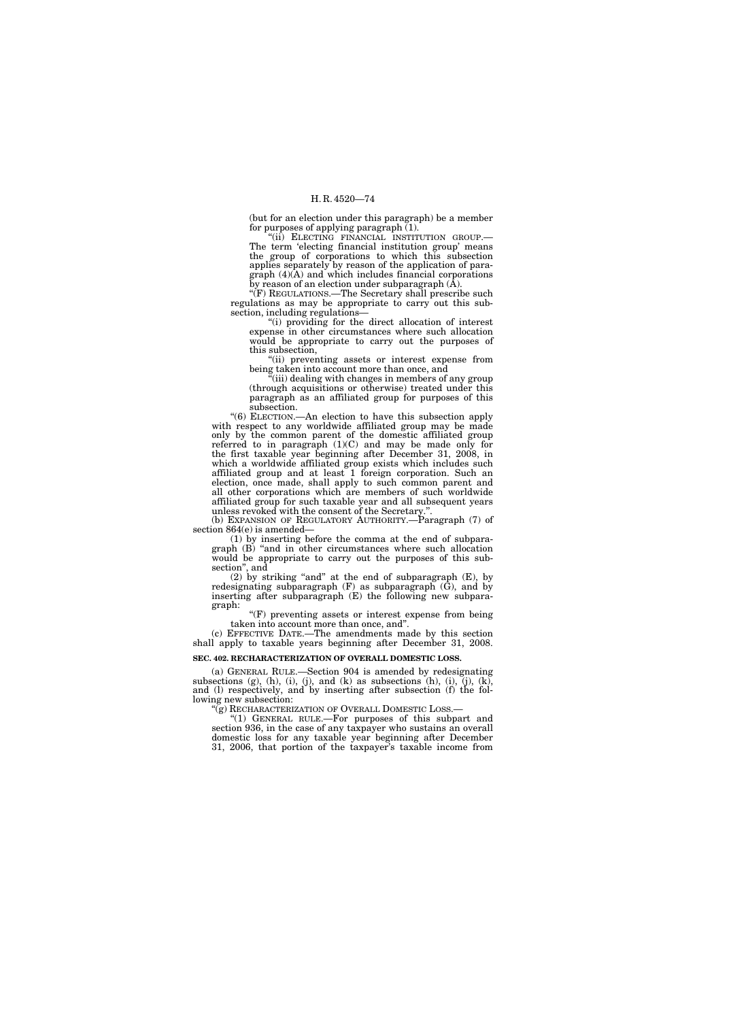(but for an election under this paragraph) be a member for purposes of applying paragraph (1).

"(ii) ELECTING FINANCIAL INSTITUTION GROUP.— The term 'electing financial institution group' means the group of corporations to which this subsection applies separately by reason of the application of para $graph (4)(A)$  and which includes financial corporations by reason of an election under subparagraph (A).

''(F) REGULATIONS.—The Secretary shall prescribe such regulations as may be appropriate to carry out this subsection, including regulations—

'(i) providing for the direct allocation of interest expense in other circumstances where such allocation would be appropriate to carry out the purposes of this subsection,

''(ii) preventing assets or interest expense from being taken into account more than once, and

''(iii) dealing with changes in members of any group (through acquisitions or otherwise) treated under this paragraph as an affiliated group for purposes of this subsection.

''(6) ELECTION.—An election to have this subsection apply with respect to any worldwide affiliated group may be made only by the common parent of the domestic affiliated group referred to in paragraph  $(1)(C)$  and may be made only for the first taxable year beginning after December 31, 2008, in which a worldwide affiliated group exists which includes such affiliated group and at least 1 foreign corporation. Such an election, once made, shall apply to such common parent and all other corporations which are members of such worldwide affiliated group for such taxable year and all subsequent years unless revoked with the consent of the Secretary.''.

(b) EXPANSION OF REGULATORY AUTHORITY.—Paragraph (7) of section 864(e) is amended—

(1) by inserting before the comma at the end of subparagraph (B) ''and in other circumstances where such allocation would be appropriate to carry out the purposes of this subsection'', and

(2) by striking ''and'' at the end of subparagraph (E), by redesignating subparagraph  $(F)$  as subparagraph  $(\tilde{G})$ , and by inserting after subparagraph (E) the following new subparagraph:

 $f(F)$  preventing assets or interest expense from being taken into account more than once, and''.

(c) EFFECTIVE DATE.—The amendments made by this section shall apply to taxable years beginning after December 31, 2008.

## **SEC. 402. RECHARACTERIZATION OF OVERALL DOMESTIC LOSS.**

(a) GENERAL RULE.—Section 904 is amended by redesignating subsections (g), (h), (i), (j), and (k) as subsections (h), (i), (j), (k), and (l) respectively, and by inserting after subsection (f) the following new subsection:

"(g) RECHARACTERIZATION OF OVERALL DOMESTIC LOSS.—  $\degree$ "(1) GENERAL RULE.—For purposes of this subpart and section 936, in the case of any taxpayer who sustains an overall domestic loss for any taxable year beginning after December 31, 2006, that portion of the taxpayer's taxable income from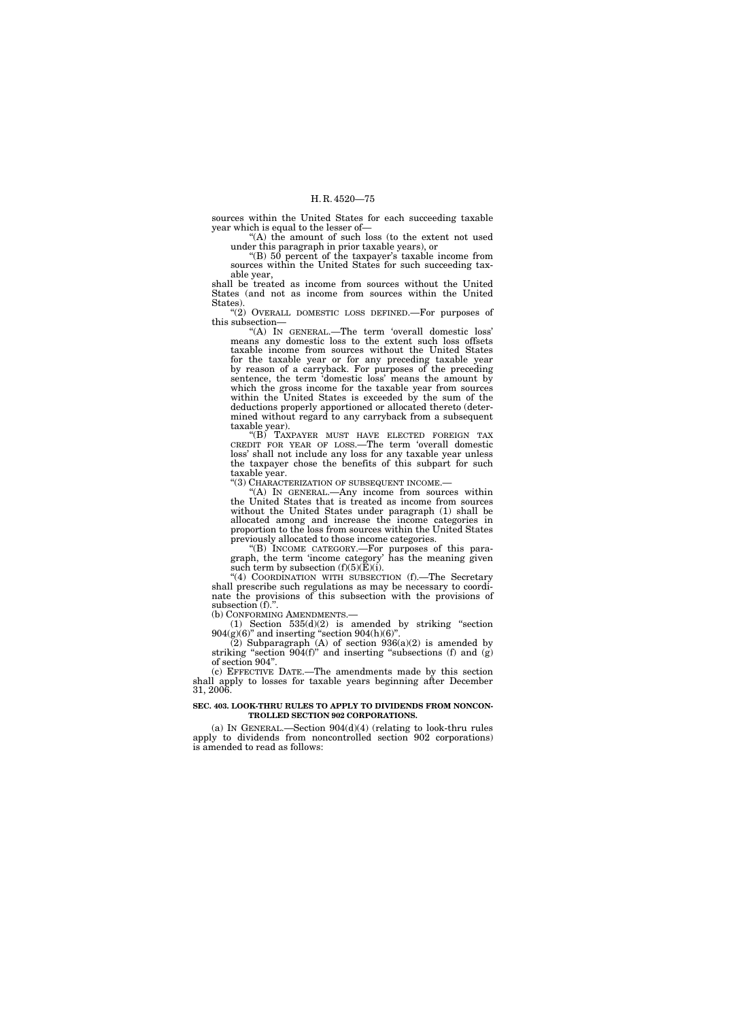sources within the United States for each succeeding taxable year which is equal to the lesser of—

''(A) the amount of such loss (to the extent not used under this paragraph in prior taxable years), or

''(B) 50 percent of the taxpayer's taxable income from sources within the United States for such succeeding taxable year,

shall be treated as income from sources without the United States (and not as income from sources within the United States).

''(2) OVERALL DOMESTIC LOSS DEFINED.—For purposes of this subsection—

''(A) IN GENERAL.—The term 'overall domestic loss' means any domestic loss to the extent such loss offsets taxable income from sources without the United States for the taxable year or for any preceding taxable year by reason of a carryback. For purposes of the preceding sentence, the term 'domestic loss' means the amount by which the gross income for the taxable year from sources within the United States is exceeded by the sum of the deductions properly apportioned or allocated thereto (determined without regard to any carryback from a subsequent taxable year).

''(B) TAXPAYER MUST HAVE ELECTED FOREIGN TAX CREDIT FOR YEAR OF LOSS.—The term 'overall domestic loss' shall not include any loss for any taxable year unless the taxpayer chose the benefits of this subpart for such taxable year.

''(3) CHARACTERIZATION OF SUBSEQUENT INCOME.—

 $(A)$  In GENERAL.—Any income from sources within the United States that is treated as income from sources without the United States under paragraph (1) shall be allocated among and increase the income categories in proportion to the loss from sources within the United States previously allocated to those income categories.

''(B) INCOME CATEGORY.—For purposes of this paragraph, the term 'income category' has the meaning given such term by subsection  $(f)(5)(E)(i)$ .

''(4) COORDINATION WITH SUBSECTION (f).—The Secretary shall prescribe such regulations as may be necessary to coordinate the provisions of this subsection with the provisions of subsection (f)."

(b) CONFORMING AMENDMENTS.—

(1) Section  $535(d)(2)$  is amended by striking "section  $904(g)(6)$ " and inserting "section  $904(h)(6)$ ".

 $(2)$  Subparagraph  $(A)$  of section  $936(a)(2)$  is amended by striking "section  $904(f)$ " and inserting "subsections (f) and (g) of section 904''.

(c) EFFECTIVE DATE.—The amendments made by this section shall apply to losses for taxable years beginning after December 31, 2006.

#### **SEC. 403. LOOK-THRU RULES TO APPLY TO DIVIDENDS FROM NONCON-TROLLED SECTION 902 CORPORATIONS.**

(a) IN GENERAL.—Section  $904(d)(4)$  (relating to look-thru rules apply to dividends from noncontrolled section 902 corporations) is amended to read as follows: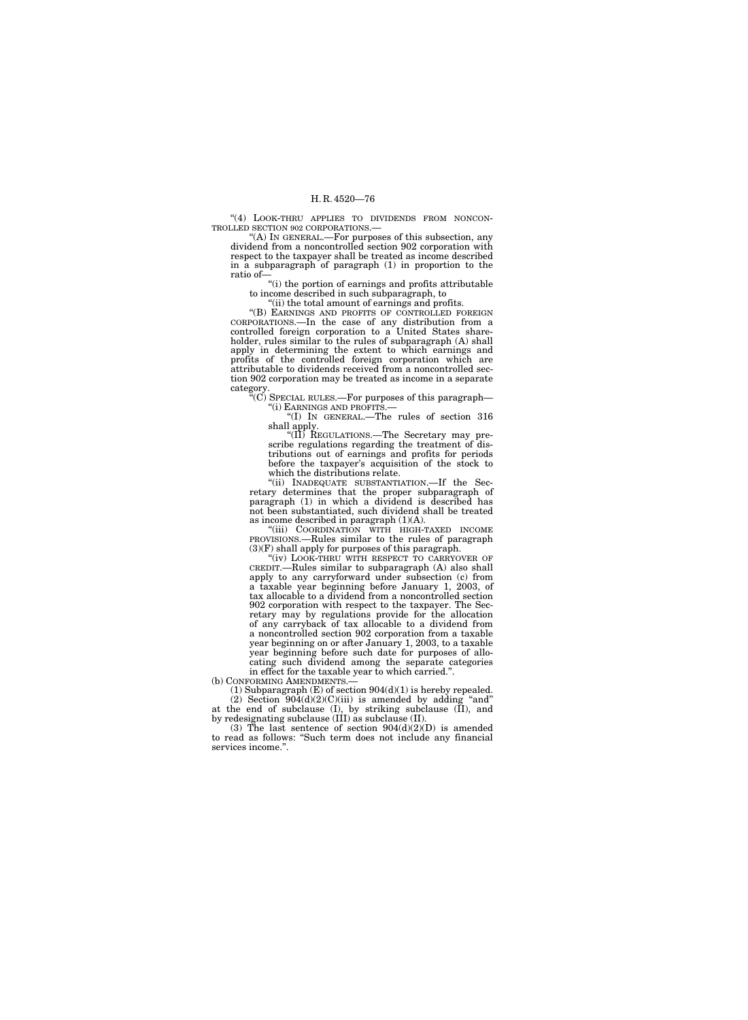"(4) LOOK-THRU APPLIES TO DIVIDENDS FROM NONCON-TROLLED SECTION 902 CORPORATIONS.—

"(A) IN GENERAL.—For purposes of this subsection, any dividend from a noncontrolled section 902 corporation with respect to the taxpayer shall be treated as income described in a subparagraph of paragraph (1) in proportion to the ratio of—

''(i) the portion of earnings and profits attributable to income described in such subparagraph, to

''(ii) the total amount of earnings and profits.

''(B) EARNINGS AND PROFITS OF CONTROLLED FOREIGN CORPORATIONS.—In the case of any distribution from a controlled foreign corporation to a United States shareholder, rules similar to the rules of subparagraph (A) shall apply in determining the extent to which earnings and profits of the controlled foreign corporation which are attributable to dividends received from a noncontrolled section 902 corporation may be treated as income in a separate category.

 $\text{``(C)}$  SPECIAL RULES.—For purposes of this paragraph— "(i) EARNINGS AND PROFITS.—<br>"(I) IN GENERAL.—The rules of section 316

shall apply.

''(II) REGULATIONS.—The Secretary may prescribe regulations regarding the treatment of distributions out of earnings and profits for periods before the taxpayer's acquisition of the stock to which the distributions relate.

''(ii) INADEQUATE SUBSTANTIATION.—If the Secretary determines that the proper subparagraph of paragraph (1) in which a dividend is described has not been substantiated, such dividend shall be treated as income described in paragraph (1)(A).

''(iii) COORDINATION WITH HIGH-TAXED INCOME PROVISIONS.—Rules similar to the rules of paragraph  $(3)(F)$  shall apply for purposes of this paragraph.

"(iv) LOOK-THRU WITH RESPECT TO CARRYOVER OF CREDIT.—Rules similar to subparagraph (A) also shall apply to any carryforward under subsection (c) from a taxable year beginning before January 1, 2003, of tax allocable to a dividend from a noncontrolled section 902 corporation with respect to the taxpayer. The Secretary may by regulations provide for the allocation of any carryback of tax allocable to a dividend from a noncontrolled section 902 corporation from a taxable year beginning on or after January 1, 2003, to a taxable year beginning before such date for purposes of allocating such dividend among the separate categories in effect for the taxable year to which carried.".

(b) CONFORMING AMENDMENTS.—<br>
(1) Subparagraph (E) of section 904(d)(1) is hereby repealed.<br>
(2) Section 904(d)(2)(C)(iii) is amended by adding "and" (2) Section  $904(d)(2)(C)(iii)$  is amended by adding "and" at the end of subclause (I), by striking subclause (II), and

by redesignating subclause (III) as subclause (II). (3) The last sentence of section  $904(d)(2)(D)$  is amended

to read as follows: ''Such term does not include any financial services income.''.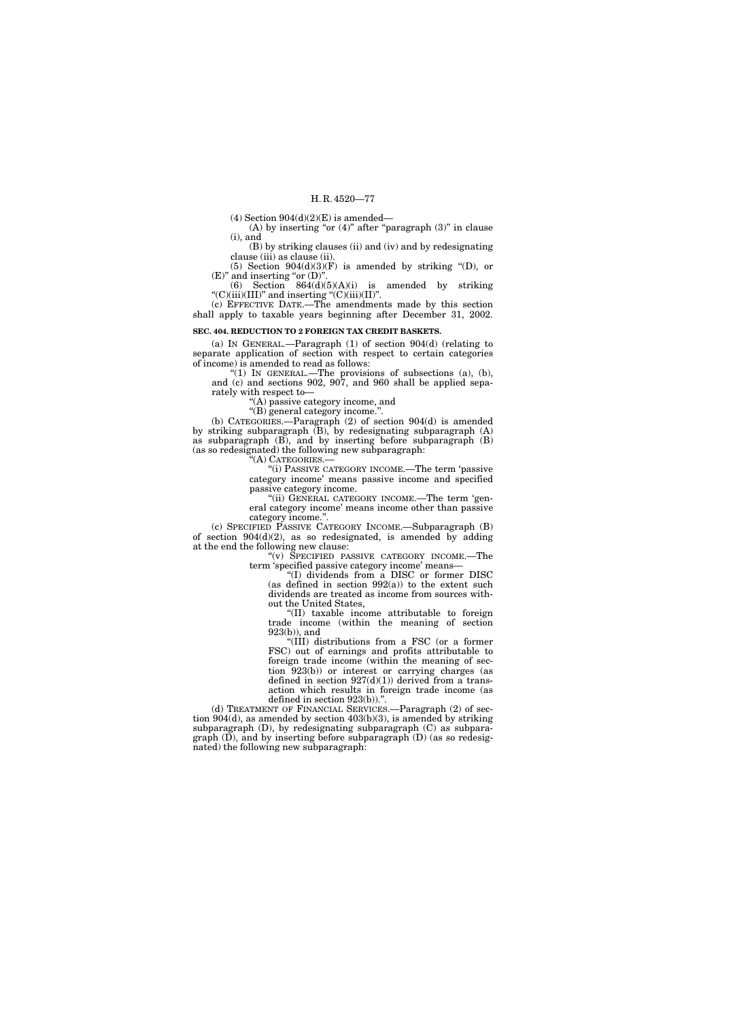(4) Section  $904(d)(2)(E)$  is amended—

(A) by inserting "or  $(4)$ " after "paragraph  $(3)$ " in clause (i), and

(B) by striking clauses (ii) and (iv) and by redesignating clause (iii) as clause (ii).

(5) Section  $904(d)(3)(F)$  is amended by striking "(D), or  $(E)$ " and inserting "or  $(D)$ ".

(6) Section  $864(d)(5)(A)(i)$  is amended by striking "(C)(iii)(III)" and inserting "(C)(iii)(II)".

(c) EFFECTIVE DATE.—The amendments made by this section shall apply to taxable years beginning after December 31, 2002.

## **SEC. 404. REDUCTION TO 2 FOREIGN TAX CREDIT BASKETS.**

(a) IN GENERAL.—Paragraph (1) of section 904(d) (relating to separate application of section with respect to certain categories of income) is amended to read as follows:

" $(1)$  In GENERAL.—The provisions of subsections  $(a)$ ,  $(b)$ , and (c) and sections 902, 907, and 960 shall be applied separately with respect to—

''(A) passive category income, and

''(B) general category income.''.

(b) CATEGORIES.—Paragraph (2) of section 904(d) is amended by striking subparagraph (B), by redesignating subparagraph (A) as subparagraph (B), and by inserting before subparagraph (B) (as so redesignated) the following new subparagraph:

''(A) CATEGORIES.—

''(i) PASSIVE CATEGORY INCOME.—The term 'passive category income' means passive income and specified passive category income.

''(ii) GENERAL CATEGORY INCOME.—The term 'general category income' means income other than passive category income.''.

(c) SPECIFIED PASSIVE CATEGORY INCOME.—Subparagraph (B) of section 904(d)(2), as so redesignated, is amended by adding at the end the following new clause:

''(v) SPECIFIED PASSIVE CATEGORY INCOME.—The term 'specified passive category income' means—

''(I) dividends from a DISC or former DISC (as defined in section 992(a)) to the extent such dividends are treated as income from sources without the United States,

''(II) taxable income attributable to foreign trade income (within the meaning of section 923(b)), and

''(III) distributions from a FSC (or a former FSC) out of earnings and profits attributable to foreign trade income (within the meaning of section 923(b)) or interest or carrying charges (as defined in section  $927(d)(1)$  derived from a transaction which results in foreign trade income (as defined in section 923(b)).''.

(d) TREATMENT OF FINANCIAL SERVICES.—Paragraph (2) of section 904(d), as amended by section 403(b)(3), is amended by striking subparagraph (D), by redesignating subparagraph (C) as subparagraph  $(D)$ , and by inserting before subparagraph  $(D)$  (as so redesignated) the following new subparagraph: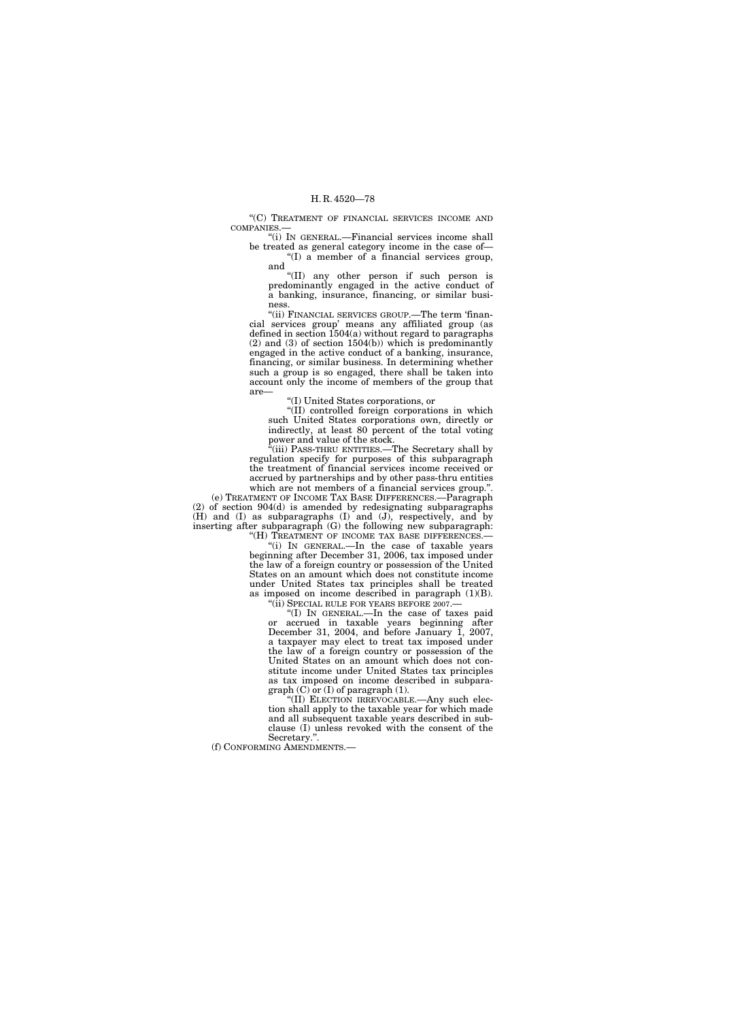''(C) TREATMENT OF FINANCIAL SERVICES INCOME AND COMPANIES.—

''(i) IN GENERAL.—Financial services income shall be treated as general category income in the case of— ''(I) a member of a financial services group, and

''(II) any other person if such person is predominantly engaged in the active conduct of a banking, insurance, financing, or similar business.

''(ii) FINANCIAL SERVICES GROUP.—The term 'financial services group' means any affiliated group (as defined in section 1504(a) without regard to paragraphs (2) and (3) of section 1504(b)) which is predominantly engaged in the active conduct of a banking, insurance, financing, or similar business. In determining whether such a group is so engaged, there shall be taken into account only the income of members of the group that are—

''(I) United States corporations, or

''(II) controlled foreign corporations in which such United States corporations own, directly or indirectly, at least 80 percent of the total voting power and value of the stock.

 $\frac{a}{b}$ (iii) PASS-THRU ENTITIES.—The Secretary shall by regulation specify for purposes of this subparagraph the treatment of financial services income received or accrued by partnerships and by other pass-thru entities which are not members of a financial services group.''.

(e) TREATMENT OF INCOME TAX BASE DIFFERENCES.—Paragraph (2) of section 904(d) is amended by redesignating subparagraphs  $(H)$  and  $(I)$  as subparagraphs  $(I)$  and  $(J)$ , respectively, and by inserting after subparagraph (G) the following new subparagraph: "(H) TREATMENT OF INCOME TAX BASE DIFFERENCES.-

> ''(i) IN GENERAL.—In the case of taxable years beginning after December 31, 2006, tax imposed under the law of a foreign country or possession of the United States on an amount which does not constitute income under United States tax principles shall be treated as imposed on income described in paragraph  $(1)(B)$ . ''(ii) SPECIAL RULE FOR YEARS BEFORE 2007.—

''(I) IN GENERAL.—In the case of taxes paid

or accrued in taxable years beginning after December 31, 2004, and before January 1, 2007, a taxpayer may elect to treat tax imposed under the law of a foreign country or possession of the United States on an amount which does not constitute income under United States tax principles as tax imposed on income described in subpara $graph (C)$  or  $(I)$  of paragraph  $(1)$ .

''(II) ELECTION IRREVOCABLE.—Any such election shall apply to the taxable year for which made and all subsequent taxable years described in subclause (I) unless revoked with the consent of the Secretary.''.

(f) CONFORMING AMENDMENTS.—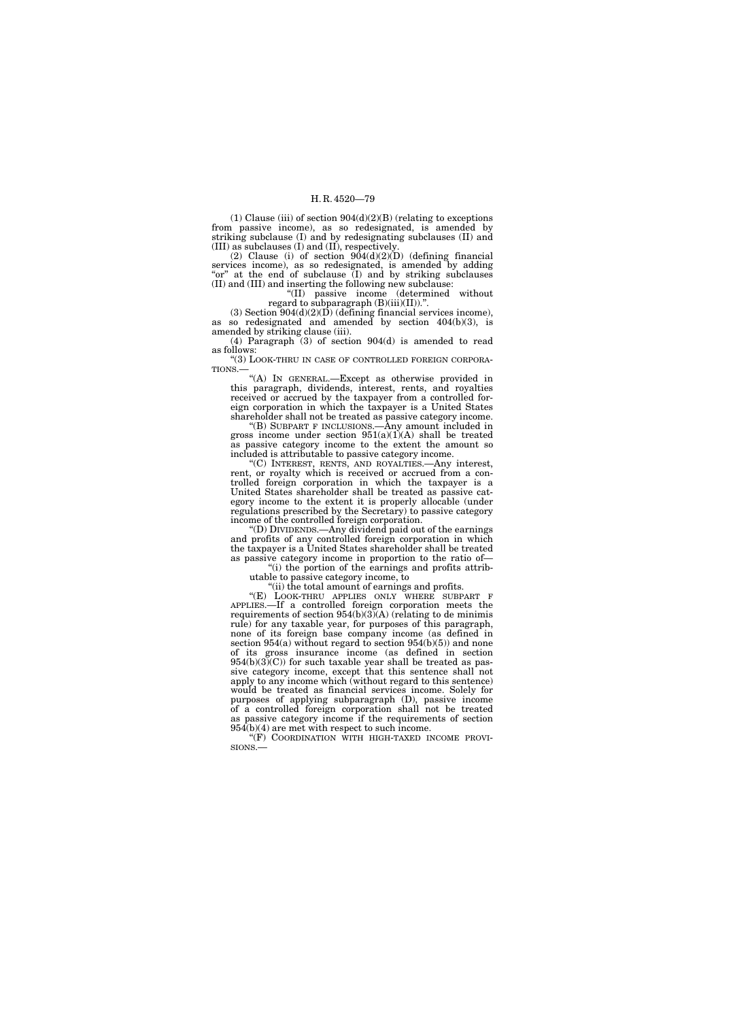(1) Clause (iii) of section  $904(d)(2)(B)$  (relating to exceptions from passive income), as so redesignated, is amended by striking subclause (I) and by redesignating subclauses (II) and (III) as subclauses (I) and (II), respectively.

(2) Clause (i) of section  $904(d)(2)(D)$  (defining financial services income), as so redesignated, is amended by adding "or" at the end of subclause  $(I)$  and by striking subclauses (II) and (III) and inserting the following new subclause:

''(II) passive income (determined without regard to subparagraph  $(B)(iii)(II))$ .".

(3) Section  $904(d)(2)(D)$  (defining financial services income), as so redesignated and amended by section 404(b)(3), is amended by striking clause (iii).

(4)  $Param$   $P\text{aragnh}$   $(3)$  of section  $904(d)$  is amended to read as follows:<br>"(3) LOOK-THRU IN CASE OF CONTROLLED FOREIGN CORPORA-

TIONS.— "(A) IN GENERAL.—Except as otherwise provided in

this paragraph, dividends, interest, rents, and royalties received or accrued by the taxpayer from a controlled foreign corporation in which the taxpayer is a United States shareholder shall not be treated as passive category income.

''(B) SUBPART F INCLUSIONS.—Any amount included in gross income under section  $951(a)(1)(A)$  shall be treated as passive category income to the extent the amount so included is attributable to passive category income.

''(C) INTEREST, RENTS, AND ROYALTIES.—Any interest, rent, or royalty which is received or accrued from a controlled foreign corporation in which the taxpayer is a United States shareholder shall be treated as passive category income to the extent it is properly allocable (under regulations prescribed by the Secretary) to passive category income of the controlled foreign corporation.

''(D) DIVIDENDS.—Any dividend paid out of the earnings and profits of any controlled foreign corporation in which the taxpayer is a United States shareholder shall be treated as passive category income in proportion to the ratio of—

''(i) the portion of the earnings and profits attributable to passive category income, to

''(ii) the total amount of earnings and profits.

"(E) LOOK-THRU APPLIES ONLY WHERE SUBPART F APPLIES.—If a controlled foreign corporation meets the requirements of section  $954(b)(3)(A)$  (relating to de minimis rule) for any taxable year, for purposes of this paragraph, none of its foreign base company income (as defined in section 954(a) without regard to section 954(b)(5)) and none of its gross insurance income (as defined in section  $954(b)(3)(C)$  for such taxable year shall be treated as passive category income, except that this sentence shall not apply to any income which (without regard to this sentence) would be treated as financial services income. Solely for purposes of applying subparagraph (D), passive income of a controlled foreign corporation shall not be treated as passive category income if the requirements of section  $954(b)(4)$  are met with respect to such income.

 $\frac{4}{9}$ <sup>(F)</sup> COORDINATION WITH HIGH-TAXED INCOME PROVI-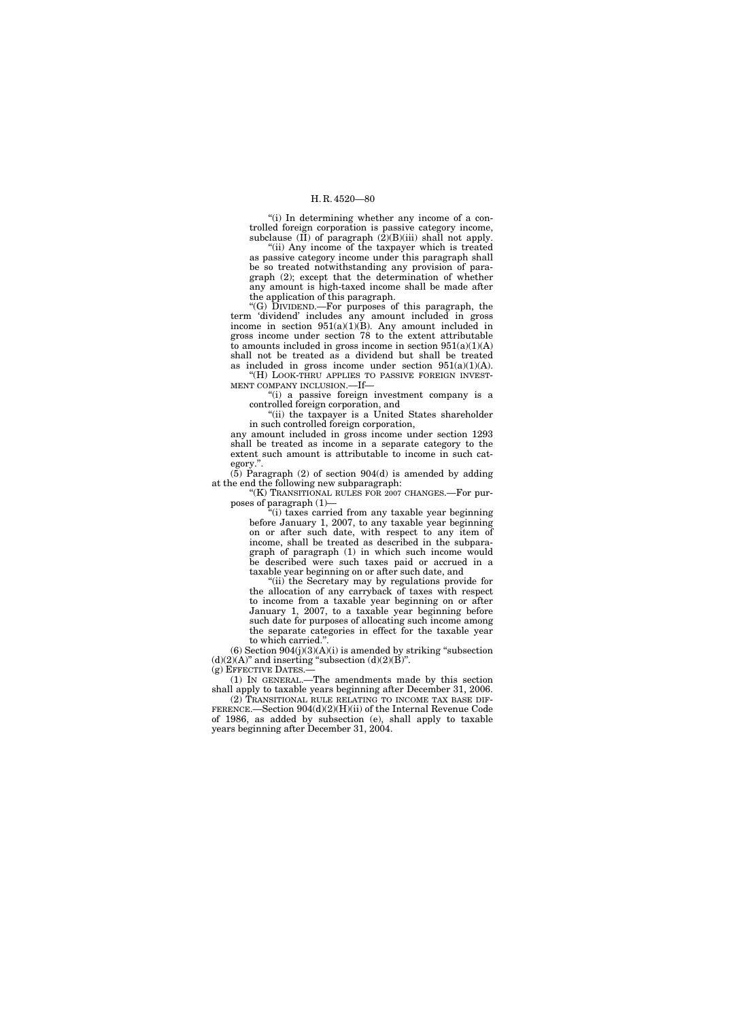''(i) In determining whether any income of a controlled foreign corporation is passive category income, subclause (II) of paragraph  $(2)(B)(iii)$  shall not apply.

"(ii) Any income of the taxpayer which is treated as passive category income under this paragraph shall be so treated notwithstanding any provision of paragraph (2); except that the determination of whether any amount is high-taxed income shall be made after the application of this paragraph.

''(G) DIVIDEND.—For purposes of this paragraph, the term 'dividend' includes any amount included in gross income in section  $951(a)(1)(B)$ . Any amount included in gross income under section 78 to the extent attributable to amounts included in gross income in section  $951(a)(1)(A)$ shall not be treated as a dividend but shall be treated as included in gross income under section  $951(a)(1)(A)$ .

"(H) LOOK-THRU APPLIES TO PASSIVE FOREIGN INVEST-MENT COMPANY INCLUSION.—If—

''(i) a passive foreign investment company is a controlled foreign corporation, and

"(ii) the taxpayer is a United States shareholder in such controlled foreign corporation,

any amount included in gross income under section 1293 shall be treated as income in a separate category to the extent such amount is attributable to income in such category.''.

(5) Paragraph (2) of section 904(d) is amended by adding at the end the following new subparagraph:

''(K) TRANSITIONAL RULES FOR 2007 CHANGES.—For purposes of paragraph (1)—

''(i) taxes carried from any taxable year beginning before January 1, 2007, to any taxable year beginning on or after such date, with respect to any item of income, shall be treated as described in the subparagraph of paragraph (1) in which such income would be described were such taxes paid or accrued in a taxable year beginning on or after such date, and

"(ii) the Secretary may by regulations provide for the allocation of any carryback of taxes with respect to income from a taxable year beginning on or after January 1, 2007, to a taxable year beginning before such date for purposes of allocating such income among the separate categories in effect for the taxable year to which carried.''.

 $(6)$  Section  $904(j)(3)(A)(i)$  is amended by striking "subsection"  $(d)(2)(A)$ " and inserting "subsection  $(d)(2)(B)$ ". (g) EFFECTIVE DATES.—

(1) IN GENERAL.—The amendments made by this section shall apply to taxable years beginning after December 31, 2006.

(2) TRANSITIONAL RULE RELATING TO INCOME TAX BASE DIF-FERENCE.—Section 904(d)(2)(H)(ii) of the Internal Revenue Code of 1986, as added by subsection (e), shall apply to taxable years beginning after December 31, 2004.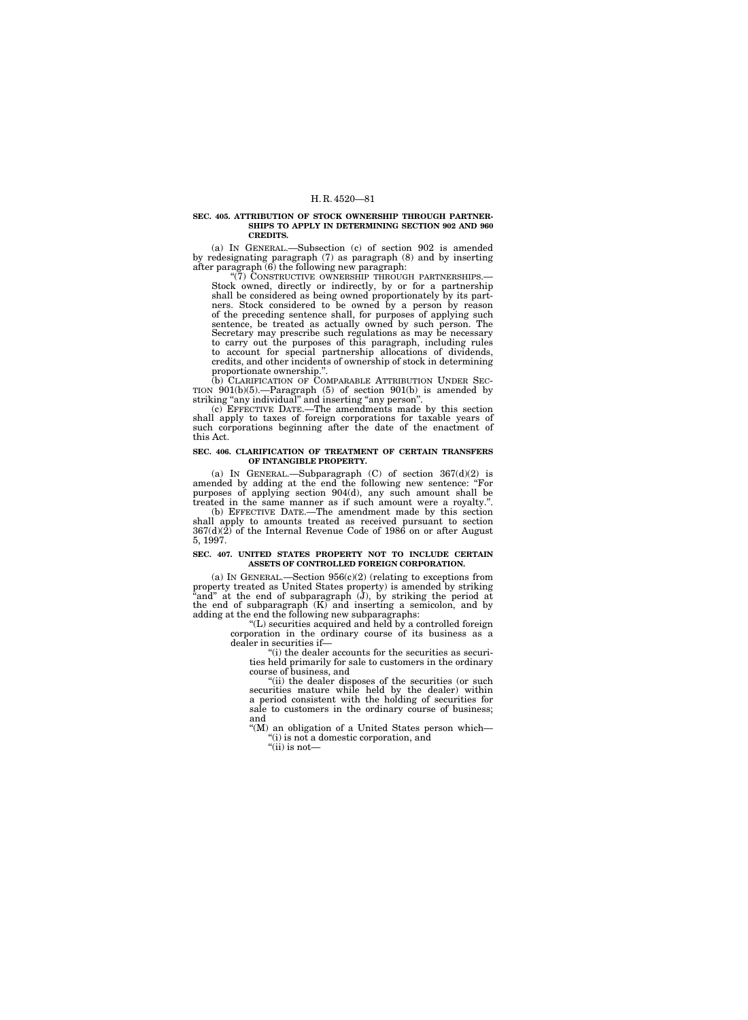#### **SEC. 405. ATTRIBUTION OF STOCK OWNERSHIP THROUGH PARTNER-SHIPS TO APPLY IN DETERMINING SECTION 902 AND 960 CREDITS.**

(a) IN GENERAL.—Subsection (c) of section 902 is amended by redesignating paragraph (7) as paragraph (8) and by inserting after paragraph (6) the following new paragraph:

''(7) CONSTRUCTIVE OWNERSHIP THROUGH PARTNERSHIPS.— Stock owned, directly or indirectly, by or for a partnership shall be considered as being owned proportionately by its partners. Stock considered to be owned by a person by reason of the preceding sentence shall, for purposes of applying such sentence, be treated as actually owned by such person. The Secretary may prescribe such regulations as may be necessary to carry out the purposes of this paragraph, including rules to account for special partnership allocations of dividends, credits, and other incidents of ownership of stock in determining proportionate ownership.''.

(b) CLARIFICATION OF COMPARABLE ATTRIBUTION UNDER SEC-TION 901(b)(5).—Paragraph (5) of section 901(b) is amended by striking "any individual" and inserting "any person".

(c) EFFECTIVE DATE.—The amendments made by this section shall apply to taxes of foreign corporations for taxable years of such corporations beginning after the date of the enactment of this Act.

#### **SEC. 406. CLARIFICATION OF TREATMENT OF CERTAIN TRANSFERS OF INTANGIBLE PROPERTY.**

(a) IN GENERAL.—Subparagraph  $(C)$  of section  $367(d)(2)$  is amended by adding at the end the following new sentence: "For purposes of applying section 904(d), any such amount shall be treated in the same manner as if such amount were a royalty.".

 $(b)$  EFFECTIVE DATE.—The amendment made by this section shall apply to amounts treated as received pursuant to section  $367(d)(2)$  of the Internal Revenue Code of 1986 on or after August 5, 1997.

### **SEC. 407. UNITED STATES PROPERTY NOT TO INCLUDE CERTAIN ASSETS OF CONTROLLED FOREIGN CORPORATION.**

(a) IN GENERAL.—Section  $956(c)(2)$  (relating to exceptions from property treated as United States property) is amended by striking "and" at the end of subparagraph (J), by striking the period at the end of subparagraph (K) and inserting a semicolon, and by adding at the end the following new subparagraphs:

> ''(L) securities acquired and held by a controlled foreign corporation in the ordinary course of its business as a

 $f(i)$  the dealer accounts for the securities as securities held primarily for sale to customers in the ordinary

"(ii) the dealer disposes of the securities (or such securities mature while held by the dealer) within a period consistent with the holding of securities for sale to customers in the ordinary course of business; and

''(M) an obligation of a United States person which— ''(i) is not a domestic corporation, and

 $\liminf$  is not-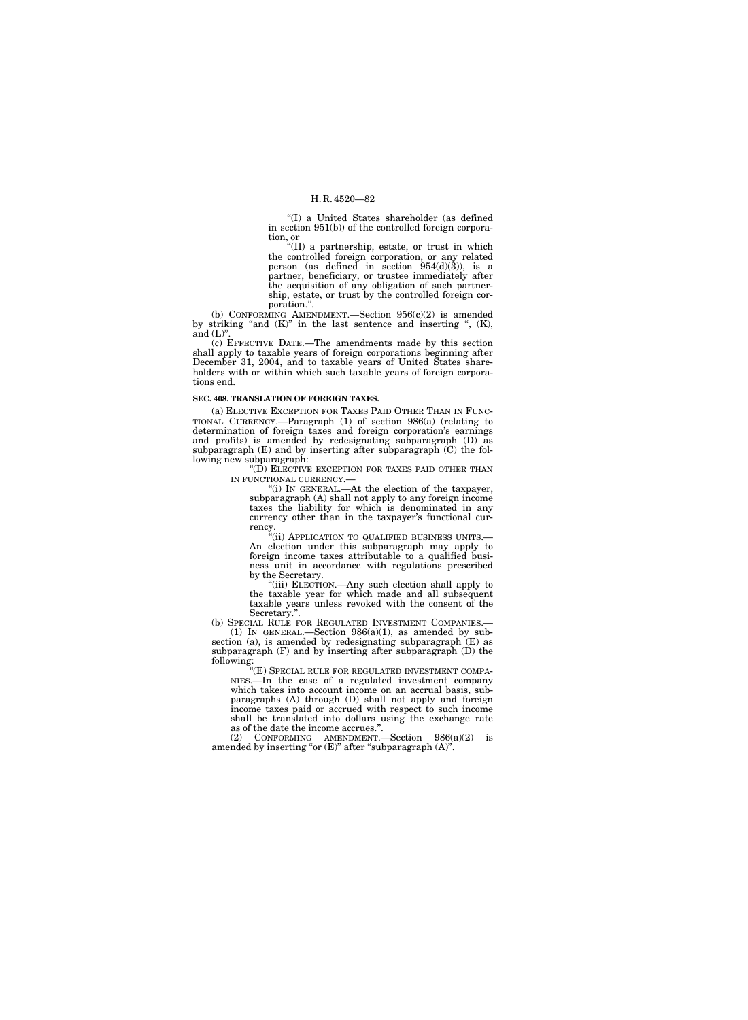''(I) a United States shareholder (as defined in section 951(b)) of the controlled foreign corporation, or

''(II) a partnership, estate, or trust in which the controlled foreign corporation, or any related person (as defined in section  $954(d)(3)$ ), is a partner, beneficiary, or trustee immediately after the acquisition of any obligation of such partnership, estate, or trust by the controlled foreign corporation.''.

(b) CONFORMING AMENDMENT.—Section 956(c)(2) is amended by striking "and  $(K)$ " in the last sentence and inserting ",  $(K)$ , and  $(L)$ "

(c) EFFECTIVE DATE.—The amendments made by this section shall apply to taxable years of foreign corporations beginning after December 31, 2004, and to taxable years of United States shareholders with or within which such taxable years of foreign corporations end.

### **SEC. 408. TRANSLATION OF FOREIGN TAXES.**

(a) ELECTIVE EXCEPTION FOR TAXES PAID OTHER THAN IN FUNC-TIONAL CURRENCY.—Paragraph (1) of section 986(a) (relating to determination of foreign taxes and foreign corporation's earnings and profits) is amended by redesignating subparagraph (D) as subparagraph (E) and by inserting after subparagraph (C) the following new subparagraph:

> "(D) ELECTIVE EXCEPTION FOR TAXES PAID OTHER THAN IN FUNCTIONAL CURRENCY.—

''(i) IN GENERAL.—At the election of the taxpayer, subparagraph (A) shall not apply to any foreign income taxes the liability for which is denominated in any currency other than in the taxpayer's functional currency.

''(ii) APPLICATION TO QUALIFIED BUSINESS UNITS.— An election under this subparagraph may apply to foreign income taxes attributable to a qualified business unit in accordance with regulations prescribed by the Secretary.

"(iii) ELECTION.—Any such election shall apply to the taxable year for which made and all subsequent taxable years unless revoked with the consent of the Secretary.''.

(b) SPECIAL RULE FOR REGULATED INVESTMENT COMPANIES.— (1) IN GENERAL.—Section  $986(a)(1)$ , as amended by subsection (a), is amended by redesignating subparagraph (E) as subparagraph (F) and by inserting after subparagraph (D) the following:

''(E) SPECIAL RULE FOR REGULATED INVESTMENT COMPA-NIES.—In the case of a regulated investment company which takes into account income on an accrual basis, subparagraphs (A) through (D) shall not apply and foreign income taxes paid or accrued with respect to such income shall be translated into dollars using the exchange rate as of the date the income accrues.''.

(2) CONFORMING AMENDMENT.—Section 986(a)(2) is amended by inserting "or (E)" after "subparagraph (A)".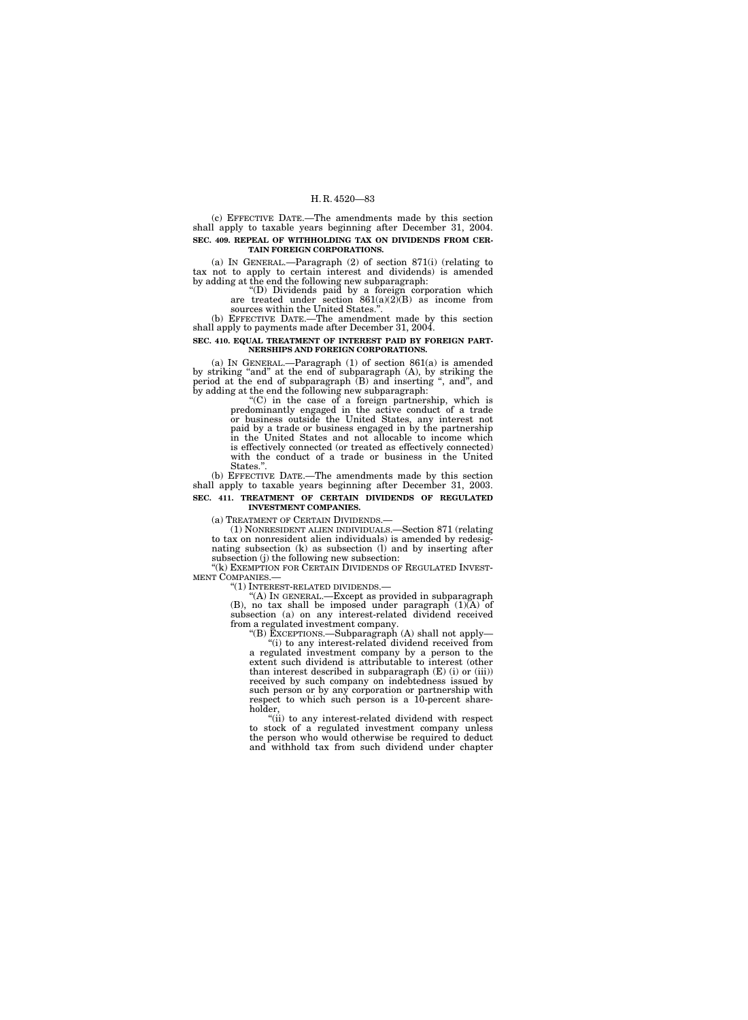(c) EFFECTIVE DATE.—The amendments made by this section shall apply to taxable years beginning after December 31, 2004. **SEC. 409. REPEAL OF WITHHOLDING TAX ON DIVIDENDS FROM CER-TAIN FOREIGN CORPORATIONS.**

(a) IN GENERAL.—Paragraph (2) of section 871(i) (relating to tax not to apply to certain interest and dividends) is amended by adding at the end the following new subparagraph: by adding at the end the following new subparagraph: ''(D) Dividends paid by a foreign corporation which

are treated under section  $861(a)(2)(B)$  as income from

sources within the United States.''. (b) EFFECTIVE DATE.—The amendment made by this section shall apply to payments made after December 31, 2004.

#### **SEC. 410. EQUAL TREATMENT OF INTEREST PAID BY FOREIGN PART-NERSHIPS AND FOREIGN CORPORATIONS.**

(a) IN GENERAL.—Paragraph (1) of section 861(a) is amended by striking "and" at the end of subparagraph (A), by striking the period at the end of subparagraph (B) and inserting ", and", and by adding at the end the following new subparagraph:<br>"(C) in the case of a foreign partnership, which is

predominantly engaged in the active conduct of a trade or business outside the United States, any interest not paid by a trade or business engaged in by the partnership in the United States and not allocable to income which is effectively connected (or treated as effectively connected) with the conduct of a trade or business in the United States.''.

(b) EFFECTIVE DATE.—The amendments made by this section shall apply to taxable years beginning after December 31, 2003. **SEC. 411. TREATMENT OF CERTAIN DIVIDENDS OF REGULATED INVESTMENT COMPANIES.**

(a) TREATMENT OF CERTAIN DIVIDENDS.— (1) NONRESIDENT ALIEN INDIVIDUALS.—Section 871 (relating to tax on nonresident alien individuals) is amended by redesignating subsection (k) as subsection (l) and by inserting after subsection (j) the following new subsection:

''(k) EXEMPTION FOR CERTAIN DIVIDENDS OF REGULATED INVEST-MENT COMPANIES.

''(1) INTEREST-RELATED DIVIDENDS.—

''(A) IN GENERAL.—Except as provided in subparagraph (B), no tax shall be imposed under paragraph (1)(A) of subsection (a) on any interest-related dividend received from a regulated investment company.

''(B) EXCEPTIONS.—Subparagraph (A) shall not apply—

''(i) to any interest-related dividend received from a regulated investment company by a person to the extent such dividend is attributable to interest (other than interest described in subparagraph  $(E)$  (i) or (iii)) received by such company on indebtedness issued by such person or by any corporation or partnership with respect to which such person is a 10-percent shareholder,

"(ii) to any interest-related dividend with respect to stock of a regulated investment company unless the person who would otherwise be required to deduct and withhold tax from such dividend under chapter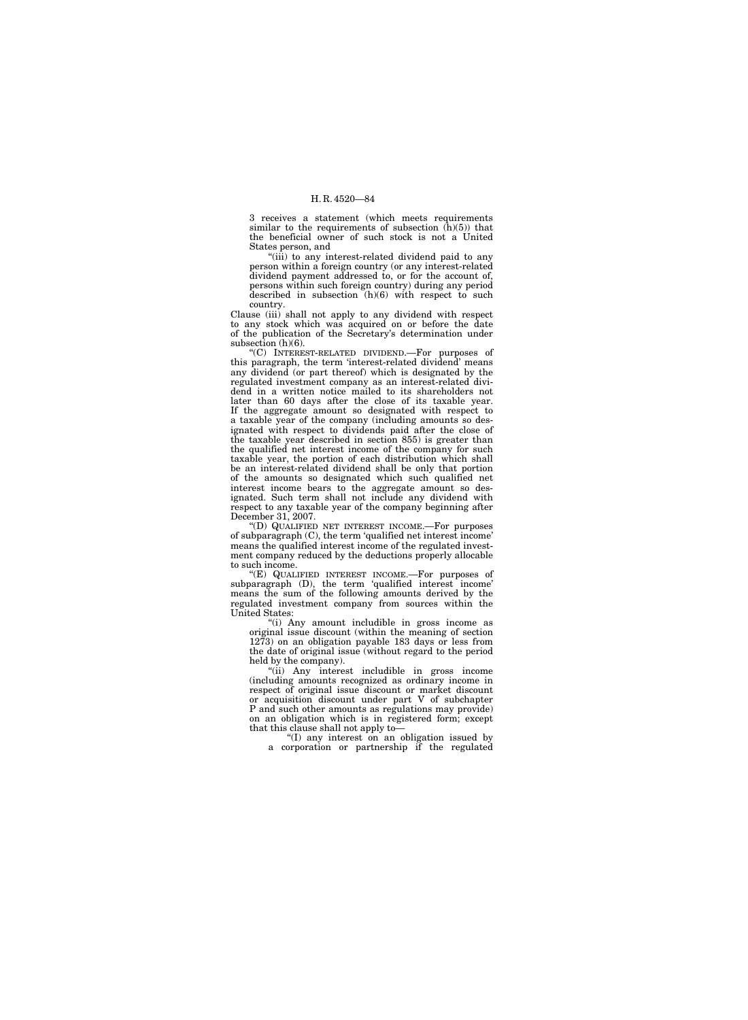3 receives a statement (which meets requirements similar to the requirements of subsection  $(h)(5)$  that the beneficial owner of such stock is not a United States person, and

"(iii) to any interest-related dividend paid to any person within a foreign country (or any interest-related dividend payment addressed to, or for the account of, persons within such foreign country) during any period described in subsection (h)(6) with respect to such country.

Clause (iii) shall not apply to any dividend with respect to any stock which was acquired on or before the date of the publication of the Secretary's determination under subsection (h)(6).

''(C) INTEREST-RELATED DIVIDEND.—For purposes of this paragraph, the term 'interest-related dividend' means any dividend (or part thereof) which is designated by the regulated investment company as an interest-related dividend in a written notice mailed to its shareholders not later than 60 days after the close of its taxable year. If the aggregate amount so designated with respect to a taxable year of the company (including amounts so designated with respect to dividends paid after the close of the taxable year described in section 855) is greater than the qualified net interest income of the company for such taxable year, the portion of each distribution which shall be an interest-related dividend shall be only that portion of the amounts so designated which such qualified net interest income bears to the aggregate amount so designated. Such term shall not include any dividend with respect to any taxable year of the company beginning after December 31, 2007.

''(D) QUALIFIED NET INTEREST INCOME.—For purposes of subparagraph (C), the term 'qualified net interest income' means the qualified interest income of the regulated investment company reduced by the deductions properly allocable to such income.

''(E) QUALIFIED INTEREST INCOME.—For purposes of subparagraph (D), the term 'qualified interest income' means the sum of the following amounts derived by the regulated investment company from sources within the United States:

''(i) Any amount includible in gross income as original issue discount (within the meaning of section 1273) on an obligation payable 183 days or less from the date of original issue (without regard to the period held by the company).

''(ii) Any interest includible in gross income (including amounts recognized as ordinary income in respect of original issue discount or market discount or acquisition discount under part V of subchapter P and such other amounts as regulations may provide) on an obligation which is in registered form; except that this clause shall not apply to—

''(I) any interest on an obligation issued by a corporation or partnership if the regulated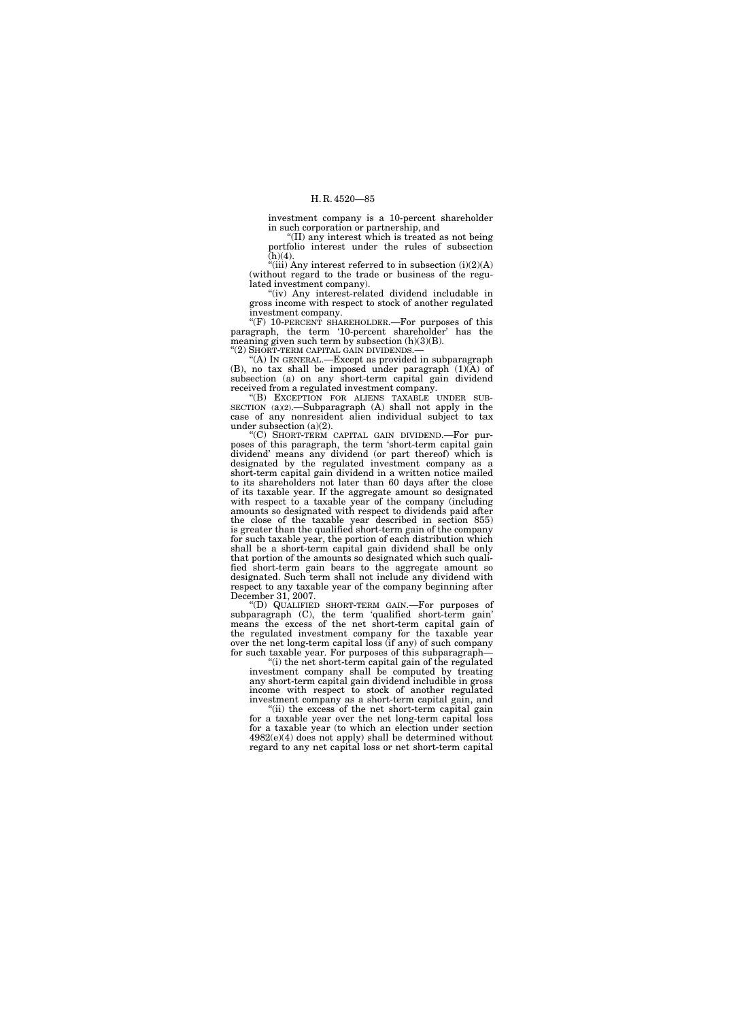investment company is a 10-percent shareholder in such corporation or partnership, and

''(II) any interest which is treated as not being portfolio interest under the rules of subsection  $(h)(4)$ .

"(iii) Any interest referred to in subsection  $(i)(2)(A)$ (without regard to the trade or business of the regulated investment company).

"(iv) Any interest-related dividend includable in gross income with respect to stock of another regulated investment company.

"(F) 10-PERCENT SHAREHOLDER.—For purposes of this paragraph, the term '10-percent shareholder' has the meaning given such term by subsection (h)(3)(B). ''(2) SHORT-TERM CAPITAL GAIN DIVIDENDS.—

''(A) IN GENERAL.—Except as provided in subparagraph (B), no tax shall be imposed under paragraph  $(1)(A)$  of subsection (a) on any short-term capital gain dividend received from a regulated investment company.

"(B) EXCEPTION FOR ALIENS TAXABLE UNDER SUB-<br>SECTION (a)(2).—Subparagraph (A) shall not apply in the case of any nonresident alien individual subject to tax under subsection (a)(2).

''(C) SHORT-TERM CAPITAL GAIN DIVIDEND.—For purposes of this paragraph, the term 'short-term capital gain dividend' means any dividend (or part thereof) which is designated by the regulated investment company as a short-term capital gain dividend in a written notice mailed to its shareholders not later than 60 days after the close of its taxable year. If the aggregate amount so designated with respect to a taxable year of the company (including amounts so designated with respect to dividends paid after the close of the taxable year described in section 855) is greater than the qualified short-term gain of the company for such taxable year, the portion of each distribution which shall be a short-term capital gain dividend shall be only that portion of the amounts so designated which such qualified short-term gain bears to the aggregate amount so designated. Such term shall not include any dividend with respect to any taxable year of the company beginning after December 31, 2007.

''(D) QUALIFIED SHORT-TERM GAIN.—For purposes of subparagraph (C), the term 'qualified short-term gain' means the excess of the net short-term capital gain of the regulated investment company for the taxable year over the net long-term capital loss (if any) of such company for such taxable year. For purposes of this subparagraph—

"(i) the net short-term capital gain of the regulated investment company shall be computed by treating any short-term capital gain dividend includible in gross income with respect to stock of another regulated investment company as a short-term capital gain, and

''(ii) the excess of the net short-term capital gain for a taxable year over the net long-term capital loss for a taxable year (to which an election under section 4982(e)(4) does not apply) shall be determined without regard to any net capital loss or net short-term capital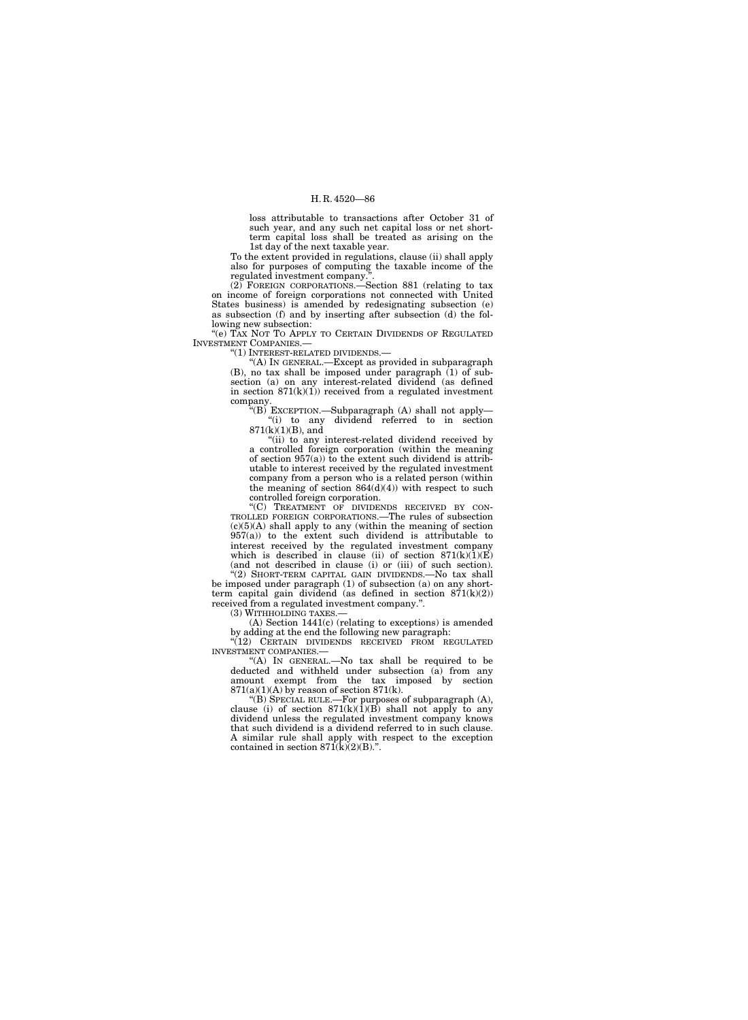loss attributable to transactions after October 31 of such year, and any such net capital loss or net shortterm capital loss shall be treated as arising on the 1st day of the next taxable year.

To the extent provided in regulations, clause (ii) shall apply also for purposes of computing the taxable income of the regulated investment company.''.

(2) FOREIGN CORPORATIONS.—Section 881 (relating to tax on income of foreign corporations not connected with United States business) is amended by redesignating subsection (e) as subsection (f) and by inserting after subsection (d) the following new subsection:

''(e) TAX NOT TO APPLY TO CERTAIN DIVIDENDS OF REGULATED INVESTMENT COMPANIES.—

''(1) INTEREST-RELATED DIVIDENDS.—

''(A) IN GENERAL.—Except as provided in subparagraph (B), no tax shall be imposed under paragraph (1) of subsection (a) on any interest-related dividend (as defined in section  $871(k)(1)$  received from a regulated investment company.

''(B) EXCEPTION.—Subparagraph (A) shall not apply— ''(i) to any dividend referred to in section  $871(k)(1)(B)$ , and

"(ii) to any interest-related dividend received by a controlled foreign corporation (within the meaning of section  $957(a)$  to the extent such dividend is attributable to interest received by the regulated investment company from a person who is a related person (within the meaning of section  $864(d)(4)$ ) with respect to such controlled foreign corporation.

''(C) TREATMENT OF DIVIDENDS RECEIVED BY CON-TROLLED FOREIGN CORPORATIONS.—The rules of subsection  $(c)(5)(A)$  shall apply to any (within the meaning of section  $957(a)$  to the extent such dividend is attributable to interest received by the regulated investment company which is described in clause (ii) of section  $871(k)(1)(E)$ (and not described in clause (i) or (iii) of such section). "(2) SHORT-TERM CAPITAL GAIN DIVIDENDS.—No tax shall

be imposed under paragraph (1) of subsection (a) on any shortterm capital gain dividend (as defined in section  $871(k)(2)$ ) received from a regulated investment company.''.

(3) WITHHOLDING TAXES.—

(A) Section 1441(c) (relating to exceptions) is amended by adding at the end the following new paragraph:

''(12) CERTAIN DIVIDENDS RECEIVED FROM REGULATED INVESTMENT COMPANIES.—

"(A) In GENERAL.—No tax shall be required to be deducted and withheld under subsection (a) from any amount exempt from the tax imposed by section  $871(a)(1)(A)$  by reason of section  $871(k)$ .

''(B) SPECIAL RULE.—For purposes of subparagraph (A), clause (i) of section  $871(k)(1)(B)$  shall not apply to any dividend unless the regulated investment company knows that such dividend is a dividend referred to in such clause. A similar rule shall apply with respect to the exception contained in section  $871(k)(2)(B)$ .".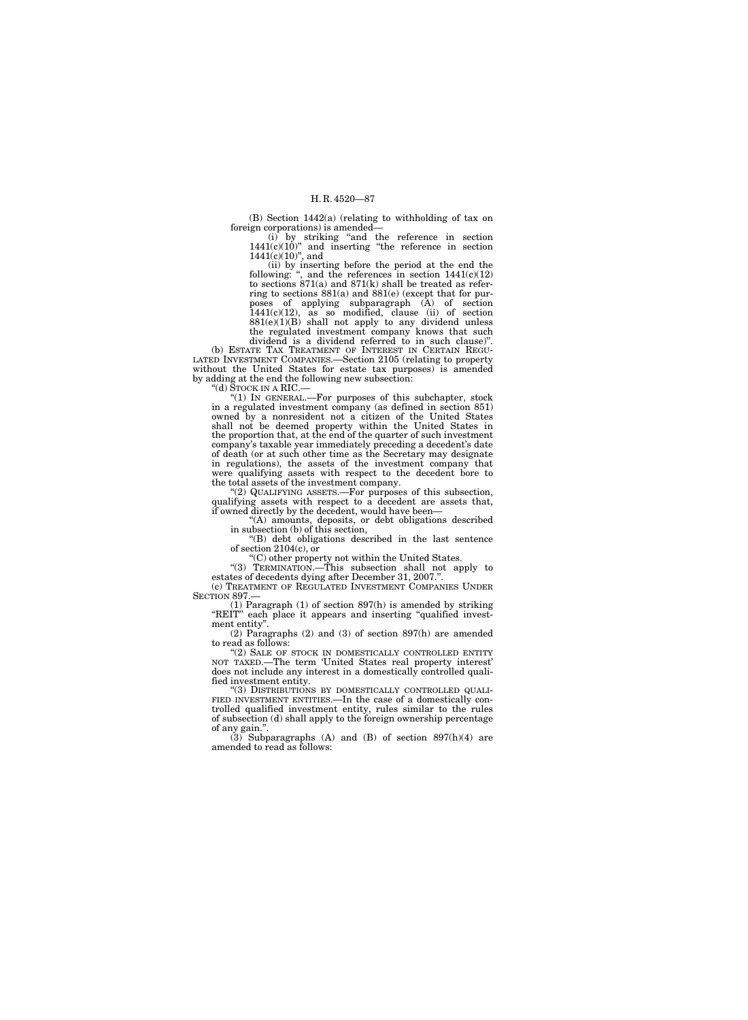(B) Section 1442(a) (relating to withholding of tax on foreign corporations) is amended—

(i) by striking ''and the reference in section  $1441(c)(10)$ " and inserting "the reference in section 1441(c)(10)'', and

(ii) by inserting before the period at the end the following: ", and the references in section  $1441(c)(12)$ to sections  $871(a)$  and  $871(k)$  shall be treated as referring to sections 881(a) and 881(e) (except that for purposes of applying subparagraph (A) of section  $1441(c)(12)$ , as so modified, clause (ii) of section  $881(e)(1)(B)$  shall not apply to any dividend unless the regulated investment company knows that such

dividend is a dividend referred to in such clause)''. (b) ESTATE TAX TREATMENT OF INTEREST IN CERTAIN REGU-LATED INVESTMENT COMPANIES.—Section 2105 (relating to property without the United States for estate tax purposes) is amended by adding at the end the following new subsection:

"(d)  $\text{STOCK IN A RIC.}$  "(1) IN GENERAL.—For purposes of this subchapter, stock in a regulated investment company (as defined in section 851) owned by a nonresident not a citizen of the United States shall not be deemed property within the United States in the proportion that, at the end of the quarter of such investment company's taxable year immediately preceding a decedent's date of death (or at such other time as the Secretary may designate in regulations), the assets of the investment company that were qualifying assets with respect to the decedent bore to the total assets of the investment company.

'(2) QUALIFYING ASSETS.—For purposes of this subsection, qualifying assets with respect to a decedent are assets that, if owned directly by the decedent, would have been—

''(A) amounts, deposits, or debt obligations described in subsection (b) of this section,

''(B) debt obligations described in the last sentence of section 2104(c), or

''(C) other property not within the United States.

"(3) TERMINATION.—This subsection shall not apply to estates of decedents dying after December 31, 2007.". (c) TREATMENT OF REGULATED INVESTMENT COMPANIES UNDER

SECTION 897.— (1) Paragraph (1) of section 897(h) is amended by striking "REIT" each place it appears and inserting "qualified investment entity''.

(2) Paragraphs (2) and (3) of section  $897(h)$  are amended to read as follows: to read as follows:<br>''(2) SALE OF STOCK IN DOMESTICALLY CONTROLLED ENTITY

NOT TAXED.—The term 'United States real property interest' does not include any interest in a domestically controlled qualified investment entity.<br>
"(3) DISTRIBUTIONS BY DOMESTICALLY CONTROLLED QUALI-

FIED INVESTMENT ENTITIES.—In the case of a domestically controlled qualified investment entity, rules similar to the rules of subsection (d) shall apply to the foreign ownership percentage

of any gain.".<br>(3) Subparagraphs (A) and (B) of section  $897(h)(4)$  are amended to read as follows: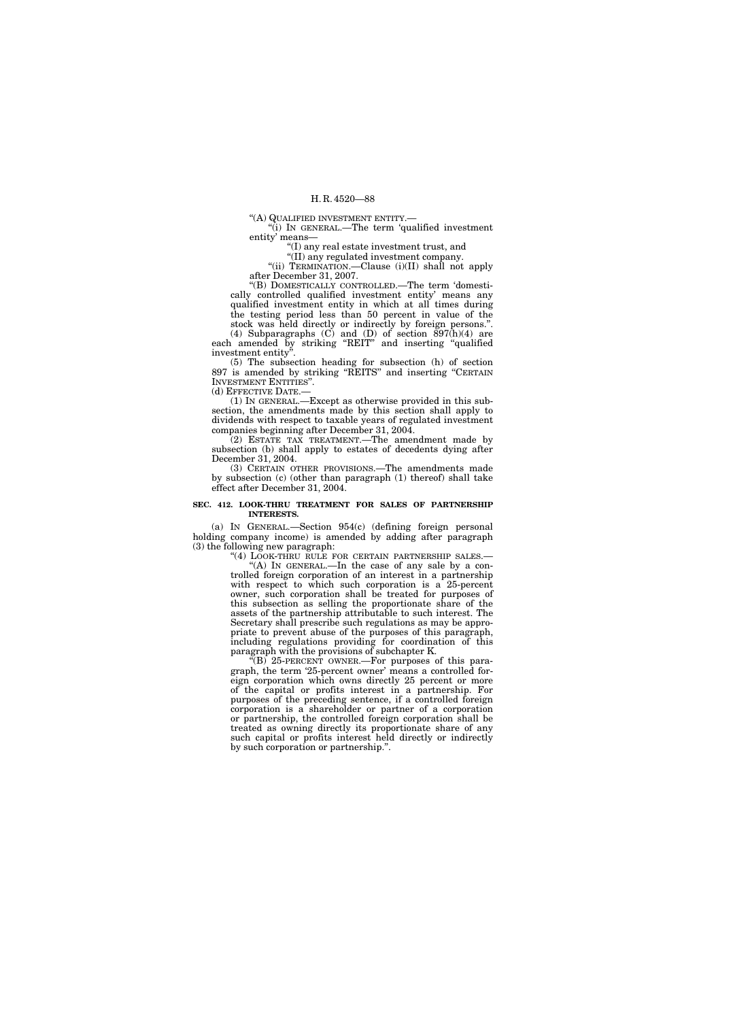''(A) QUALIFIED INVESTMENT ENTITY.—

''(i) IN GENERAL.—The term 'qualified investment entity' means—

''(I) any real estate investment trust, and

''(II) any regulated investment company.

''(ii) TERMINATION.—Clause (i)(II) shall not apply after December 31, 2007.

''(B) DOMESTICALLY CONTROLLED.—The term 'domestically controlled qualified investment entity' means any qualified investment entity in which at all times during the testing period less than 50 percent in value of the stock was held directly or indirectly by foreign persons.''.

(4) Subparagraphs (C) and (D) of section 897(h)(4) are each amended by striking ''REIT'' and inserting ''qualified investment entity''.

(5) The subsection heading for subsection (h) of section 897 is amended by striking "REITS" and inserting "CERTAIN INVESTMENT ENTITIES''. (d) EFFECTIVE DATE.—

(1) IN GENERAL.—Except as otherwise provided in this subsection, the amendments made by this section shall apply to dividends with respect to taxable years of regulated investment companies beginning after December 31, 2004.

(2) ESTATE TAX TREATMENT.—The amendment made by subsection (b) shall apply to estates of decedents dying after December 31, 2004.

(3) CERTAIN OTHER PROVISIONS.—The amendments made by subsection (c) (other than paragraph (1) thereof) shall take effect after December 31, 2004.

#### **SEC. 412. LOOK-THRU TREATMENT FOR SALES OF PARTNERSHIP INTERESTS.**

(a) IN GENERAL.—Section 954(c) (defining foreign personal holding company income) is amended by adding after paragraph (3) the following new paragraph:

"(4) LOOK-THRU RULE FOR CERTAIN PARTNERSHIP SALES.-

"(A) IN GENERAL.—In the case of any sale by a controlled foreign corporation of an interest in a partnership with respect to which such corporation is a 25-percent owner, such corporation shall be treated for purposes of this subsection as selling the proportionate share of the assets of the partnership attributable to such interest. The Secretary shall prescribe such regulations as may be appropriate to prevent abuse of the purposes of this paragraph, including regulations providing for coordination of this paragraph with the provisions of subchapter K.

''(B) 25-PERCENT OWNER.—For purposes of this paragraph, the term '25-percent owner' means a controlled foreign corporation which owns directly 25 percent or more of the capital or profits interest in a partnership. For purposes of the preceding sentence, if a controlled foreign corporation is a shareholder or partner of a corporation or partnership, the controlled foreign corporation shall be treated as owning directly its proportionate share of any such capital or profits interest held directly or indirectly by such corporation or partnership.''.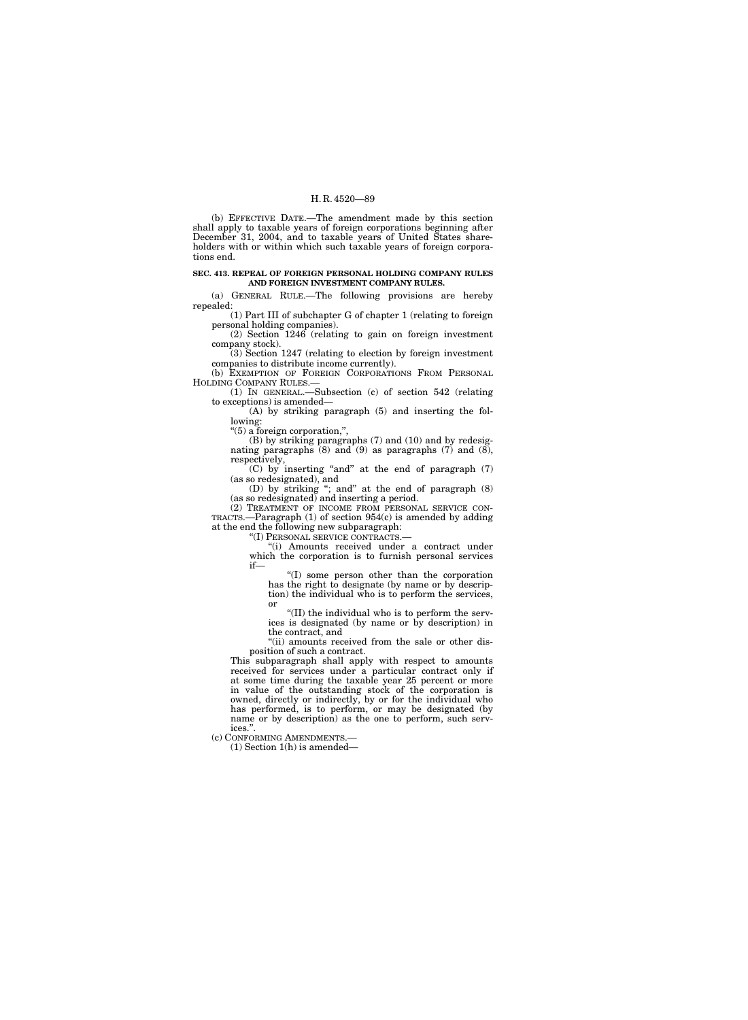(b) EFFECTIVE DATE.—The amendment made by this section shall apply to taxable years of foreign corporations beginning after December 31, 2004, and to taxable years of United States shareholders with or within which such taxable years of foreign corporations end.

## **SEC. 413. REPEAL OF FOREIGN PERSONAL HOLDING COMPANY RULES AND FOREIGN INVESTMENT COMPANY RULES.**

(a) GENERAL RULE.—The following provisions are hereby repealed:

(1) Part III of subchapter G of chapter 1 (relating to foreign personal holding companies).

(2) Section 1246 (relating to gain on foreign investment company stock). (3) Section 1247 (relating to election by foreign investment

companies to distribute income currently). (b) EXEMPTION OF FOREIGN CORPORATIONS FROM PERSONAL

HOLDING COMPANY RULES.— (1) IN GENERAL.—Subsection (c) of section 542 (relating to exceptions) is amended—

(A) by striking paragraph (5) and inserting the following:

''(5) a foreign corporation,'',

(B) by striking paragraphs (7) and (10) and by redesignating paragraphs  $(8)$  and  $(9)$  as paragraphs  $(7)$  and  $(8)$ , respectively,

 $(C)$  by inserting "and" at the end of paragraph  $(7)$ (as so redesignated), and

(D) by striking ''; and'' at the end of paragraph (8) (as so redesignated) and inserting a period.

(2) TREATMENT OF INCOME FROM PERSONAL SERVICE CON-TRACTS.—Paragraph (1) of section 954(c) is amended by adding at the end the following new subparagraph:

''(I) PERSONAL SERVICE CONTRACTS.—

''(i) Amounts received under a contract under which the corporation is to furnish personal services if—

''(I) some person other than the corporation has the right to designate (by name or by description) the individual who is to perform the services, or

''(II) the individual who is to perform the services is designated (by name or by description) in the contract, and

"(ii) amounts received from the sale or other disposition of such a contract.

This subparagraph shall apply with respect to amounts received for services under a particular contract only if at some time during the taxable year 25 percent or more in value of the outstanding stock of the corporation is owned, directly or indirectly, by or for the individual who has performed, is to perform, or may be designated (by name or by description) as the one to perform, such services.''.

(c) CONFORMING AMENDMENTS.—

(1) Section 1(h) is amended—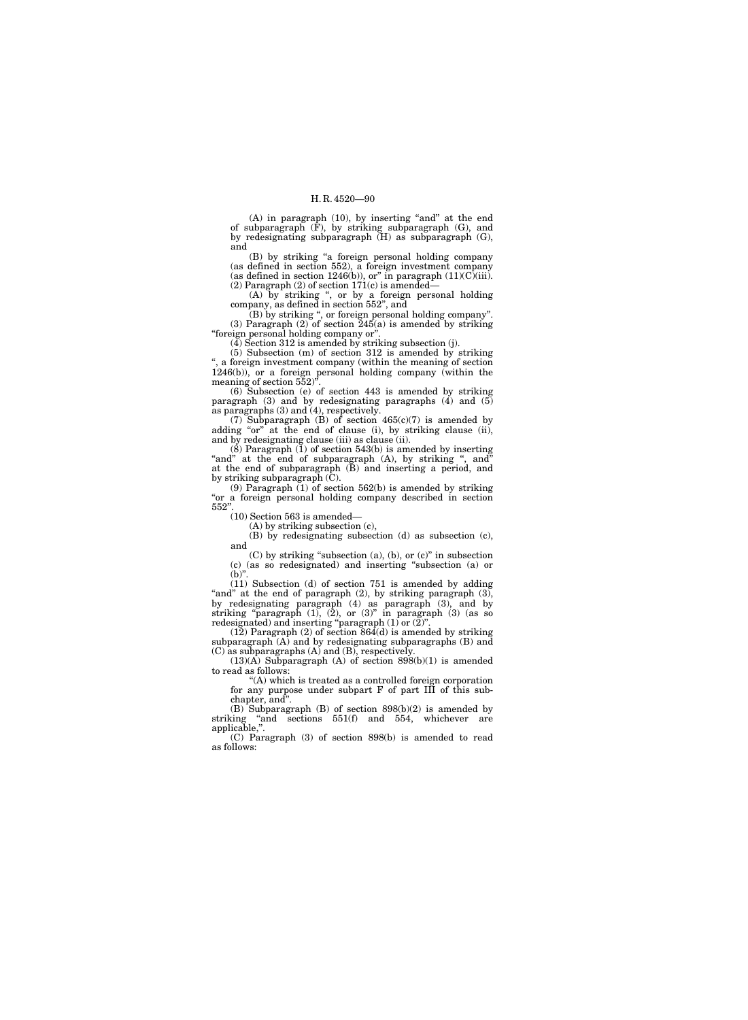$(A)$  in paragraph  $(10)$ , by inserting "and" at the end of subparagraph  $(\hat{F})$ , by striking subparagraph  $(G)$ , and by redesignating subparagraph (H) as subparagraph (G), and

(B) by striking ''a foreign personal holding company (as defined in section 552), a foreign investment company (as defined in section 1246(b)), or" in paragraph  $(11)(C)$ (iii). (2) Paragraph (2) of section 171(c) is amended—

(A) by striking '', or by a foreign personal holding company, as defined in section 552'', and

(B) by striking '', or foreign personal holding company''. (3) Paragraph  $(2)$  of section  $\tilde{2}45(a)$  is amended by striking ''foreign personal holding company or''.

 $(4)$  Section 312 is amended by striking subsection (j).

(5) Subsection (m) of section 312 is amended by striking '', a foreign investment company (within the meaning of section  $1246(b)$ , or a foreign personal holding company (within the meaning of section 552)''.

(6) Subsection (e) of section 443 is amended by striking paragraph (3) and by redesignating paragraphs (4) and (5) as paragraphs (3) and (4), respectively.

(7) Subparagraph (B) of section 465(c)(7) is amended by adding "or" at the end of clause (i), by striking clause (ii), and by redesignating clause (iii) as clause (ii).

 $(8)$  Paragraph  $(1)$  of section 543(b) is amended by inserting "and" at the end of subparagraph (A), by striking ", and" at the end of subparagraph (B) and inserting a period, and by striking subparagraph  $(\tilde{C})$ .

(9) Paragraph  $(1)$  of section 562(b) is amended by striking ''or a foreign personal holding company described in section 552''.

(10) Section 563 is amended—

(A) by striking subsection (c),

(B) by redesignating subsection (d) as subsection (c), and

 $(C)$  by striking "subsection (a), (b), or  $(c)$ " in subsection (c) (as so redesignated) and inserting ''subsection (a) or  $(b)$ ".

(11) Subsection (d) of section 751 is amended by adding "and" at the end of paragraph (2), by striking paragraph (3), by redesignating paragraph (4) as paragraph (3), and by striking "paragraph (1), (2), or (3)" in paragraph (3) (as so redesignated) and inserting ''paragraph (1) or (2)''.

(12) Paragraph (2) of section 864(d) is amended by striking subparagraph (A) and by redesignating subparagraphs (B) and (C) as subparagraphs (A) and (B), respectively.

 $(13)(\overline{A})$  Subparagraph  $(A)$  of section 898 $(b)(1)$  is amended to read as follows:

''(A) which is treated as a controlled foreign corporation for any purpose under subpart F of part III of this subchapter, and''.

(B) Subparagraph (B) of section 898(b)(2) is amended by striking "and sections 551(f) and 554, whichever are applicable,''.

(C) Paragraph (3) of section 898(b) is amended to read as follows: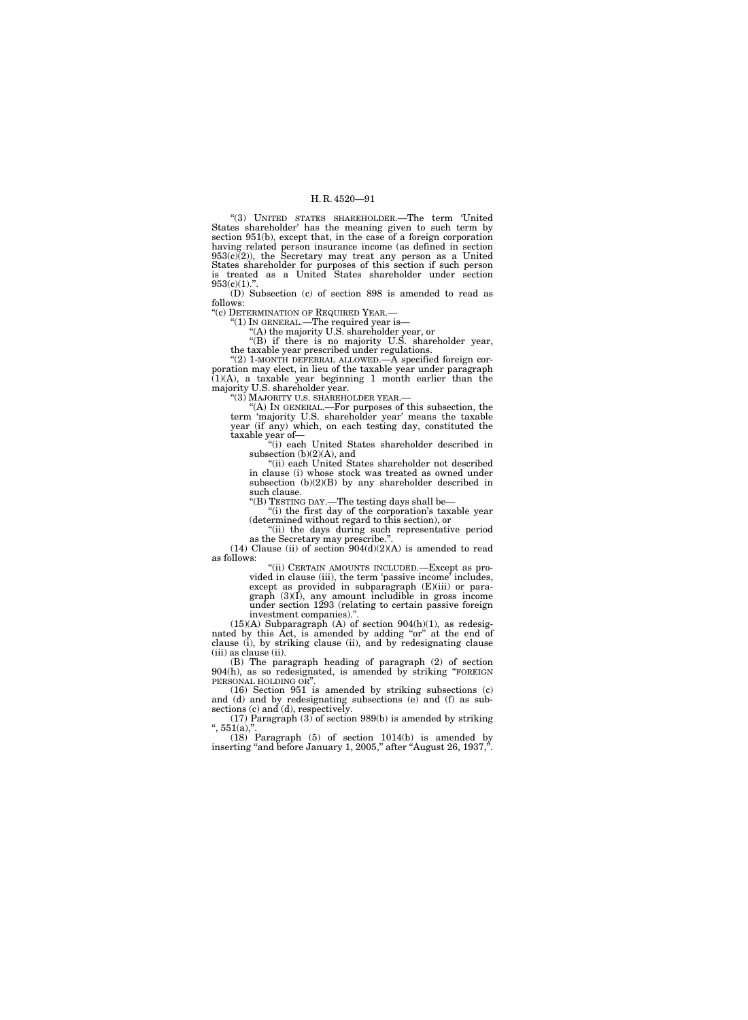''(3) UNITED STATES SHAREHOLDER.—The term 'United States shareholder' has the meaning given to such term by section 951(b), except that, in the case of a foreign corporation having related person insurance income (as defined in section  $953(c)(2)$ , the Secretary may treat any person as a United States shareholder for purposes of this section if such person is treated as a United States shareholder under section  $953(c)(1)$ ."

(D) Subsection (c) of section 898 is amended to read as follows:

''(c) DETERMINATION OF REQUIRED YEAR.—

''(1) IN GENERAL.—The required year is—

''(A) the majority U.S. shareholder year, or

"(B) if there is no majority U.S. shareholder year, the taxable year prescribed under regulations.

''(2) 1-MONTH DEFERRAL ALLOWED.—A specified foreign corporation may elect, in lieu of the taxable year under paragraph (1)(A), a taxable year beginning 1 month earlier than the majority U.S. shareholder year.<br>
"(3) MAJORITY U.S. SHAREHOLDER YEAR.—<br>
"(A) IN GENERAL.—For purposes of this subsection, the

term 'majority U.S. shareholder year' means the taxable year (if any) which, on each testing day, constituted the taxable year of—

''(i) each United States shareholder described in subsection (b)(2)(A), and

''(ii) each United States shareholder not described in clause (i) whose stock was treated as owned under subsection (b)(2)(B) by any shareholder described in such clause.

''(B) TESTING DAY.—The testing days shall be—

"(i) the first day of the corporation's taxable year (determined without regard to this section), or

"(ii) the days during such representative period as the Secretary may prescribe." (14) Clause (ii) of section  $904(d)(2)(A)$  is amended to read

as follows: ''(ii) CERTAIN AMOUNTS INCLUDED.—Except as pro-

vided in clause (iii), the term 'passive income' includes, except as provided in subparagraph (E)(iii) or paragraph (3)(I), any amount includible in gross income under section 1293 (relating to certain passive foreign

investment companies).".<br>(15)(A) Subparagraph (A) of section  $904(h)(1)$ , as redesig-

nated by this Act, is amended by adding "or" at the end of clause (i), by striking clause (ii), and by redesignating clause (iii) as clause (ii).

(B) The paragraph heading of paragraph (2) of section 904(h), as so redesignated, is amended by striking "FOREIGN PERSONAL HOLDING OR".

 $(16)$  Section 951 is amended by striking subsections  $(c)$ and (d) and by redesignating subsections (e) and (f) as subsections (c) and (d), respectively.<br>(17) Paragraph (3) of section 989(b) is amended by striking

(17) Paragraph (3) of section 989(b) is amended by striking ",  $551(a)$ ,".<br>(18) Paragraph (5) of section 1014(b) is amended by

inserting "and before January 1, 2005," after "August 26, 1937,".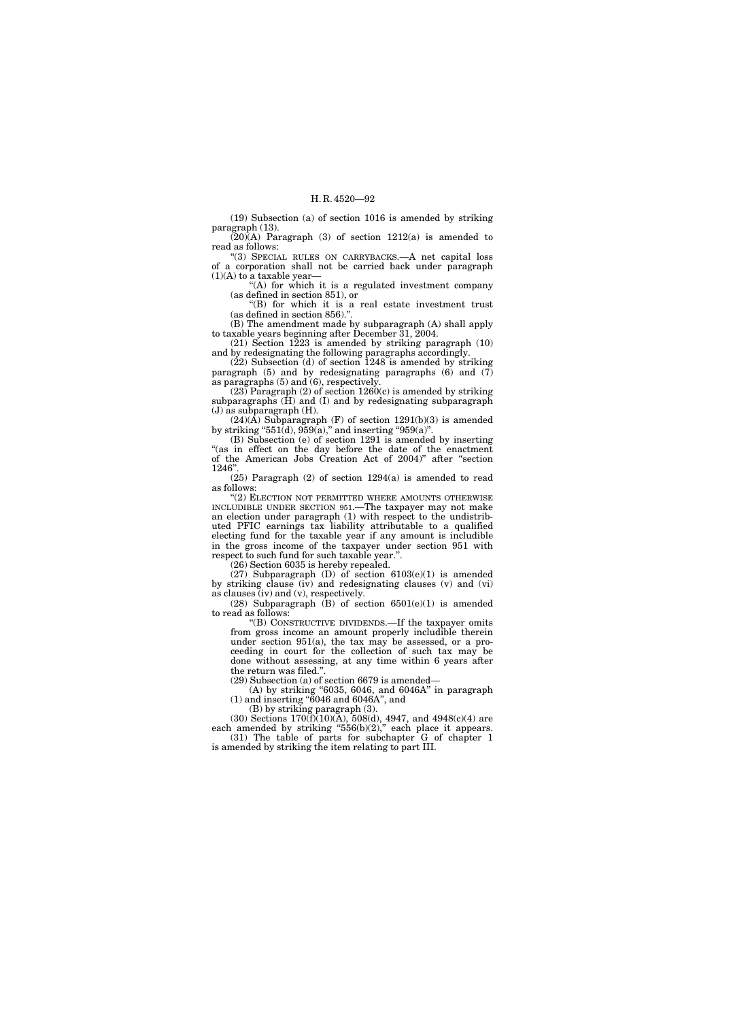(19) Subsection (a) of section 1016 is amended by striking paragraph (13).

 $(20)(A)$  Paragraph (3) of section 1212(a) is amended to read as follows: ''(3) SPECIAL RULES ON CARRYBACKS.—A net capital loss

of a corporation shall not be carried back under paragraph  $(1)(A)$  to a taxable year-''(A) for which it is a regulated investment company

(as defined in section 851), or

''(B) for which it is a real estate investment trust (as defined in section 856).''.

(B) The amendment made by subparagraph (A) shall apply to taxable years beginning after December 31, 2004.

 $(21)$  Section 1223 is amended by striking paragraph  $(10)$ and by redesignating the following paragraphs accordingly.

(22) Subsection (d) of section 1248 is amended by striking paragraph  $(5)$  and by redesignating paragraphs  $(6)$  and  $(7)$ as paragraphs (5) and (6), respectively.

 $(23)$  Paragraph  $(2)$  of section 1260 $(c)$  is amended by striking subparagraphs  $(\bar{H})$  and  $(I)$  and by redesignating subparagraph (J) as subparagraph (H).

 $(24)(A)$  Subparagraph  $(F)$  of section  $1291(b)(3)$  is amended by striking "551(d), 959(a)," and inserting "959(a)".

(B) Subsection (e) of section 1291 is amended by inserting ''(as in effect on the day before the date of the enactment of the American Jobs Creation Act of 2004)'' after ''section 1246''.

(25) Paragraph (2) of section 1294(a) is amended to read as follows:

"(2) ELECTION NOT PERMITTED WHERE AMOUNTS OTHERWISE INCLUDIBLE UNDER SECTION 951.—The taxpayer may not make an election under paragraph (1) with respect to the undistributed PFIC earnings tax liability attributable to a qualified electing fund for the taxable year if any amount is includible in the gross income of the taxpayer under section 951 with respect to such fund for such taxable year.''.

(26) Section 6035 is hereby repealed.

(27) Subparagraph (D) of section  $6103(e)(1)$  is amended by striking clause (iv) and redesignating clauses (v) and (vi) as clauses (iv) and (v), respectively.

(28) Subparagraph  $(B)$  of section  $6501(e)(1)$  is amended to read as follows:

''(B) CONSTRUCTIVE DIVIDENDS.—If the taxpayer omits from gross income an amount properly includible therein under section 951(a), the tax may be assessed, or a proceeding in court for the collection of such tax may be done without assessing, at any time within 6 years after the return was filed.''.

(29) Subsection (a) of section 6679 is amended—

(A) by striking "6035, 6046, and 6046A" in paragraph  $(1)$  and inserting " $6046$  and  $6046$ A", and

 $\overline{(\text{B})}$  by striking paragraph  $(3)$ .

 $(30)$  Sections  $170(f)(10)(A)$ ,  $508(d)$ ,  $4947$ , and  $4948(c)(4)$  are each amended by striking " $556(b)(2)$ ," each place it appears. (31) The table of parts for subchapter G of chapter 1 is amended by striking the item relating to part III.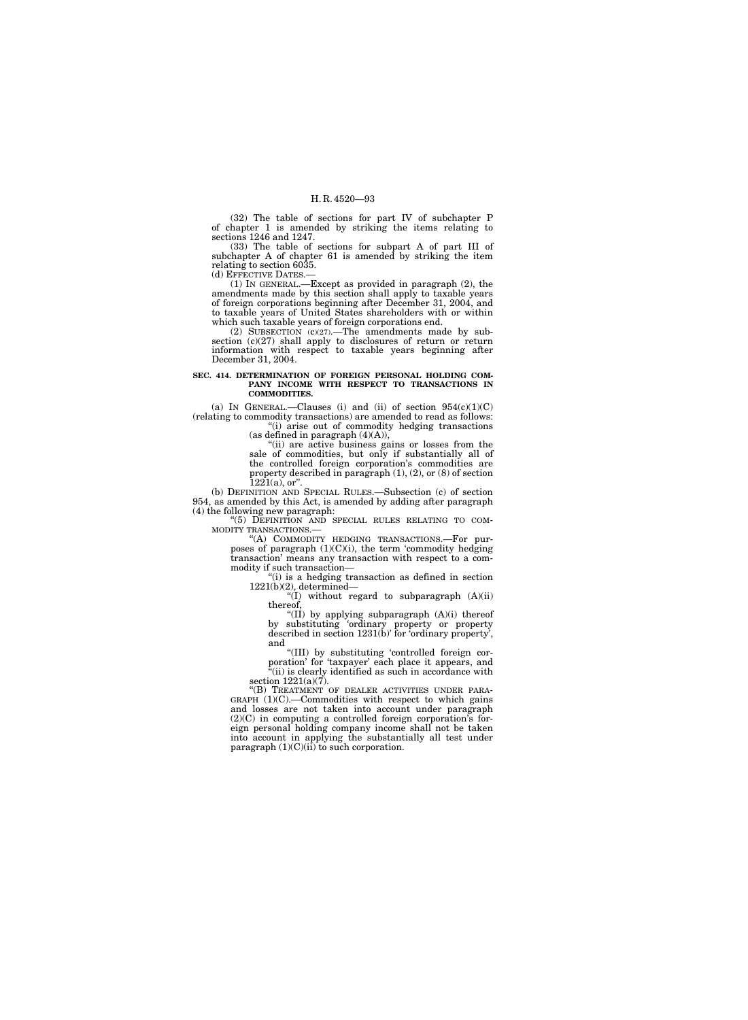(32) The table of sections for part IV of subchapter P of chapter 1 is amended by striking the items relating to sections 1246 and 1247.

(33) The table of sections for subpart A of part III of subchapter A of chapter 61 is amended by striking the item relating to section 6035.

(d) EFFECTIVE DATES.—

(1) IN GENERAL.—Except as provided in paragraph (2), the amendments made by this section shall apply to taxable years of foreign corporations beginning after December 31, 2004, and to taxable years of United States shareholders with or within which such taxable years of foreign corporations end.

(2) SUBSECTION (c)(27).—The amendments made by subsection (c)(27) shall apply to disclosures of return or return information with respect to taxable years beginning after December 31, 2004.

## **SEC. 414. DETERMINATION OF FOREIGN PERSONAL HOLDING COM-PANY INCOME WITH RESPECT TO TRANSACTIONS IN COMMODITIES.**

(a) IN GENERAL.—Clauses (i) and (ii) of section  $954(c)(1)(C)$ (relating to commodity transactions) are amended to read as follows:

''(i) arise out of commodity hedging transactions (as defined in paragraph (4)(A)),

''(ii) are active business gains or losses from the sale of commodities, but only if substantially all of the controlled foreign corporation's commodities are property described in paragraph (1), (2), or (8) of section  $1221(a)$ , or".

(b) DEFINITION AND SPECIAL RULES.—Subsection (c) of section 954, as amended by this Act, is amended by adding after paragraph (4) the following new paragraph:

''(5) DEFINITION AND SPECIAL RULES RELATING TO COM-MODITY TRANSACTIONS.—

''(A) COMMODITY HEDGING TRANSACTIONS.—For purposes of paragraph  $(1)(C)(i)$ , the term 'commodity hedging transaction' means any transaction with respect to a com-

"(i) is a hedging transaction as defined in section  $1221(b)(2)$ , determined—

"(I) without regard to subparagraph  $(A)(ii)$ thereof,<br>"(II) by applying subparagraph  $(A)(i)$  thereof

by substituting 'ordinary property or property described in section 1231(b)' for 'ordinary property', and

''(III) by substituting 'controlled foreign corporation' for 'taxpayer' each place it appears, and  $\tilde{f}$ (ii) is clearly identified as such in accordance with section 1221(a)(7).

''(B) TREATMENT OF DEALER ACTIVITIES UNDER PARA- GRAPH  $(1)(C)$ .—Commodities with respect to which gains and losses are not taken into account under paragraph  $(2)(C)$  in computing a controlled foreign corporation's foreign personal holding company income shall not be taken into account in applying the substantially all test under paragraph  $(1)(C)(ii)$  to such corporation.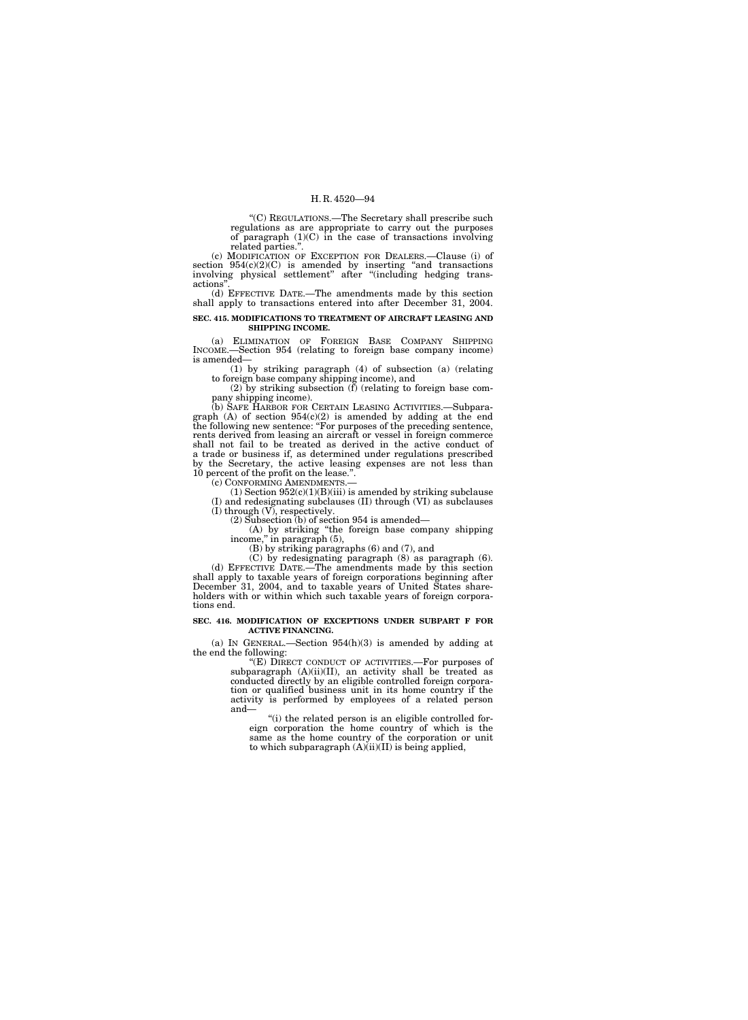''(C) REGULATIONS.—The Secretary shall prescribe such regulations as are appropriate to carry out the purposes of paragraph  $(1)(C)$  in the case of transactions involving related parties.''.

(c) MODIFICATION OF EXCEPTION FOR DEALERS.—Clause (i) of section  $954(c)(2)(C)$  is amended by inserting "and transactions involving physical settlement'' after ''(including hedging transactions''.

(d) EFFECTIVE DATE.—The amendments made by this section shall apply to transactions entered into after December 31, 2004.

#### **SEC. 415. MODIFICATIONS TO TREATMENT OF AIRCRAFT LEASING AND SHIPPING INCOME.**

(a) ELIMINATION OF FOREIGN BASE COMPANY SHIPPING INCOME.—Section 954 (relating to foreign base company income) is amended—

(1) by striking paragraph (4) of subsection (a) (relating to foreign base company shipping income), and

 $(2)$  by striking subsection  $(f)$  (relating to foreign base company shipping income).

(b) SAFE HARBOR FOR CERTAIN LEASING ACTIVITIES.—Subparagraph  $(A)$  of section  $954(c)(2)$  is amended by adding at the end the following new sentence: ''For purposes of the preceding sentence, rents derived from leasing an aircraft or vessel in foreign commerce shall not fail to be treated as derived in the active conduct of a trade or business if, as determined under regulations prescribed by the Secretary, the active leasing expenses are not less than 10 percent of the profit on the lease.''.

(c) CONFORMING AMENDMENTS.—

(1) Section  $952(c)(1)(B)(iii)$  is amended by striking subclause (I) and redesignating subclauses (II) through (VI) as subclauses  $(I)$  through  $(V)$ , respectively.

(2) Subsection (b) of section 954 is amended—

(A) by striking ''the foreign base company shipping income," in paragraph (5),

(B) by striking paragraphs (6) and (7), and

(C) by redesignating paragraph (8) as paragraph (6). (d) EFFECTIVE DATE.—The amendments made by this section shall apply to taxable years of foreign corporations beginning after December 31, 2004, and to taxable years of United States shareholders with or within which such taxable years of foreign corporations end.

#### **SEC. 416. MODIFICATION OF EXCEPTIONS UNDER SUBPART F FOR ACTIVE FINANCING.**

(a) IN GENERAL.—Section  $954(h)(3)$  is amended by adding at the end the following:

 $f(E)$  DIRECT CONDUCT OF ACTIVITIES.—For purposes of subparagraph  $(A)(ii)(II)$ , an activity shall be treated as conducted directly by an eligible controlled foreign corporation or qualified business unit in its home country if the activity is performed by employees of a related person and—

"(i) the related person is an eligible controlled foreign corporation the home country of which is the same as the home country of the corporation or unit to which subparagraph  $(A)(ii)(II)$  is being applied,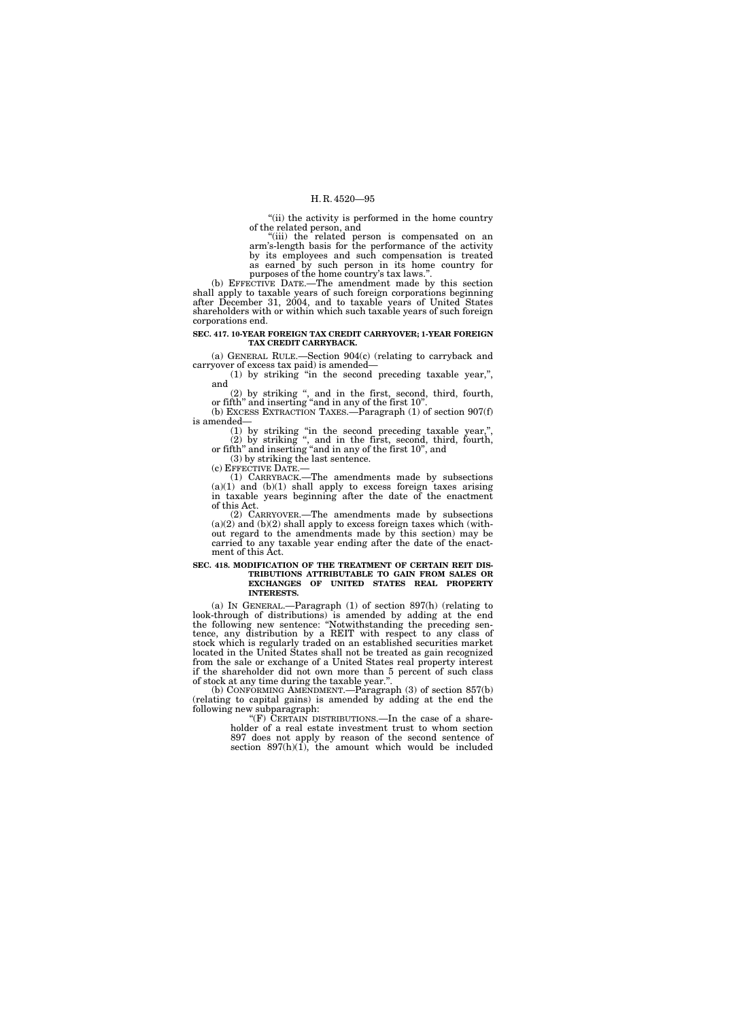''(ii) the activity is performed in the home country

"(iii) the related person is compensated on an arm's-length basis for the performance of the activity by its employees and such compensation is treated as earned by such person in its home country for purposes of the home country's tax laws.".

(b) EFFECTIVE DATE.—The amendment made by this section shall apply to taxable years of such foreign corporations beginning after December 31, 2004, and to taxable years of United States shareholders with or within which such taxable years of such foreign corporations end.

#### **SEC. 417. 10-YEAR FOREIGN TAX CREDIT CARRYOVER; 1-YEAR FOREIGN TAX CREDIT CARRYBACK.**

(a) GENERAL RULE.—Section  $904(c)$  (relating to carryback and carryover of excess tax paid) is amended—

(1) by striking "in the second preceding taxable year,", and

(2) by striking '', and in the first, second, third, fourth, or fifth" and inserting "and in any of the first 10".<br>(b) Excess Extraction Taxes.—Paragraph (1) of section 907(f)

is amended— (1) by striking ''in the second preceding taxable year,'', (2) by striking '', and in the first, second, third, fourth, or fifth'' and inserting ''and in any of the first 10'', and

(3) by striking the last sentence.<br>(c) EFFECTIVE DATE.—

(1) CARRYBACK.—The amendments made by subsections  $(a)(1)$  and  $(b)(1)$  shall apply to excess foreign taxes arising in taxable years beginning after the date of the enactment of this Act.

(2) CARRYOVER.—The amendments made by subsections  $(a)(2)$  and  $(b)(2)$  shall apply to excess foreign taxes which (without regard to the amendments made by this section) may be carried to any taxable year ending after the date of the enactment of this Act.

#### **SEC. 418. MODIFICATION OF THE TREATMENT OF CERTAIN REIT DIS-TRIBUTIONS ATTRIBUTABLE TO GAIN FROM SALES OR EXCHANGES OF UNITED STATES REAL PROPERTY INTERESTS.**

(a) IN GENERAL.—Paragraph (1) of section 897(h) (relating to look-through of distributions) is amended by adding at the end the following new sentence: ''Notwithstanding the preceding sentence, any distribution by a REIT with respect to any class of stock which is regularly traded on an established securities market located in the United States shall not be treated as gain recognized from the sale or exchange of a United States real property interest if the shareholder did not own more than 5 percent of such class of stock at any time during the taxable year.''.

(b) CONFORMING AMENDMENT.—Paragraph (3) of section 857(b) (relating to capital gains) is amended by adding at the end the following new subparagraph:

''(F) CERTAIN DISTRIBUTIONS.—In the case of a shareholder of a real estate investment trust to whom section 897 does not apply by reason of the second sentence of section  $897(h)(1)$ , the amount which would be included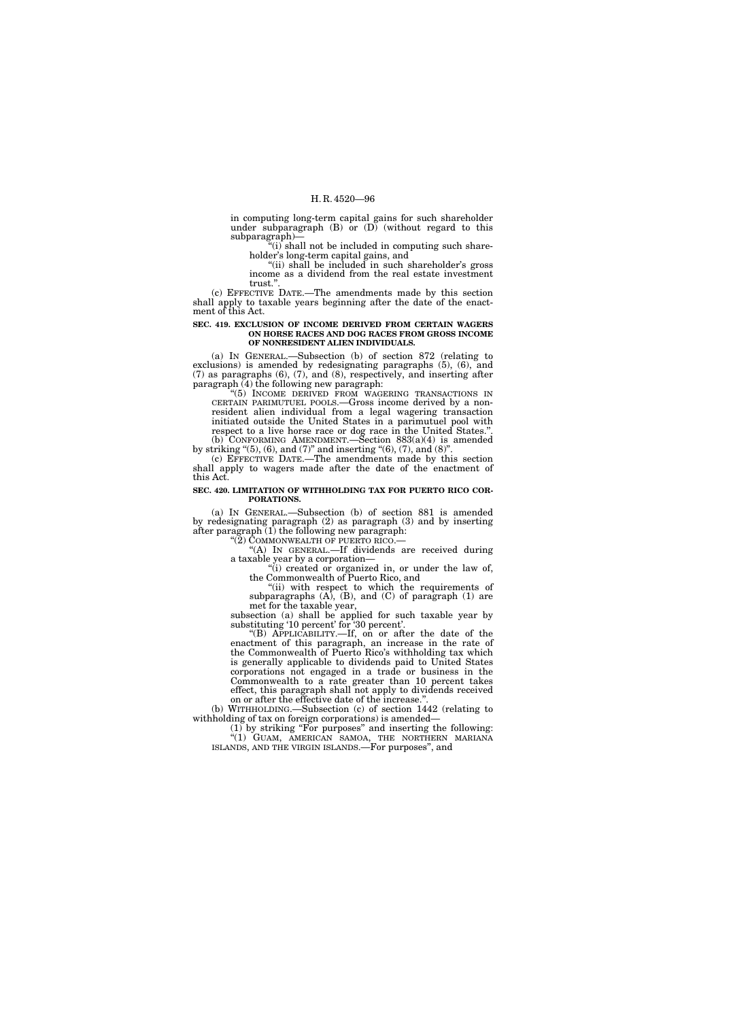in computing long-term capital gains for such shareholder under subparagraph  $(B)$  or  $(D)$  (without regard to this subparagraph)— $'$ (i) shall not be included in computing such share-

holder's long-term capital gains, and "(ii) shall be included in such shareholder's gross

income as a dividend from the real estate investment

trust.''. (c) EFFECTIVE DATE.—The amendments made by this section shall apply to taxable years beginning after the date of the enactment of this Act.

#### **SEC. 419. EXCLUSION OF INCOME DERIVED FROM CERTAIN WAGERS ON HORSE RACES AND DOG RACES FROM GROSS INCOME OF NONRESIDENT ALIEN INDIVIDUALS.**

(a) IN GENERAL.—Subsection (b) of section 872 (relating to exclusions) is amended by redesignating paragraphs (5), (6), and (7) as paragraphs (6), (7), and (8), respectively, and inserting after

paragraph (4) the following new paragraph:<br>"(5) INCOME DERIVED FROM WAGERING TRANSACTIONS IN CERTAIN PARIMUTUEL POOLS.—Gross income derived by a nonresident alien individual from a legal wagering transaction initiated outside the United States in a parimutuel pool with respect to a live horse race or dog race in the United States.". (b) CONFORMING AMENDMENT.—Section 883(a)(4) is amended

by striking "(5), (6), and (7)" and inserting "(6), (7), and (8)".<br>(c) EFFECTIVE DATE.—The amendments made by this section shall apply to wagers made after the date of the enactment of this Act.

#### **SEC. 420. LIMITATION OF WITHHOLDING TAX FOR PUERTO RICO COR-PORATIONS.**

(a) IN GENERAL.—Subsection (b) of section 881 is amended by redesignating paragraph (2) as paragraph (3) and by inserting after paragraph (1) the following new paragraph:<br>
"(2) COMMONWEALTH OF PUERTO RICO.—<br>
"(A) IN GENERAL.—If dividends are received during

"(A) IN GENERAL.—If dividends are received during a taxable year by a corporation—<br>"(i) created or organized in, or under the law of, the Commonwealth of Puerto Rico, and

"(ii) with respect to which the requirements of

subparagraphs  $(A)$ ,  $(B)$ , and  $(C)$  of paragraph  $(1)$  are met for the taxable year,

subsection (a) shall be applied for such taxable year by substituting '10 percent' for '30 percent'.

"(B) APPLICABILITY.—If, on or after the date of the enactment of this paragraph, an increase in the rate of the Commonwealth of Puerto Rico's withholding tax which is generally applicable to dividends paid to United States corporations not engaged in a trade or business in the Commonwealth to a rate greater than 10 percent takes effect, this paragraph shall not apply to dividends received on or after the effective date of the increase."

(b) WITHHOLDING.—Subsection (c) of section 1442 (relating to withholding of tax on foreign corporations) is amended—

 $(1)$  by striking "For purposes" and inserting the following: "(1) GUAM, AMERICAN SAMOA, THE NORTHERN MARIANA ISLANDS, AND THE VIRGIN ISLANDS.—For purposes'', and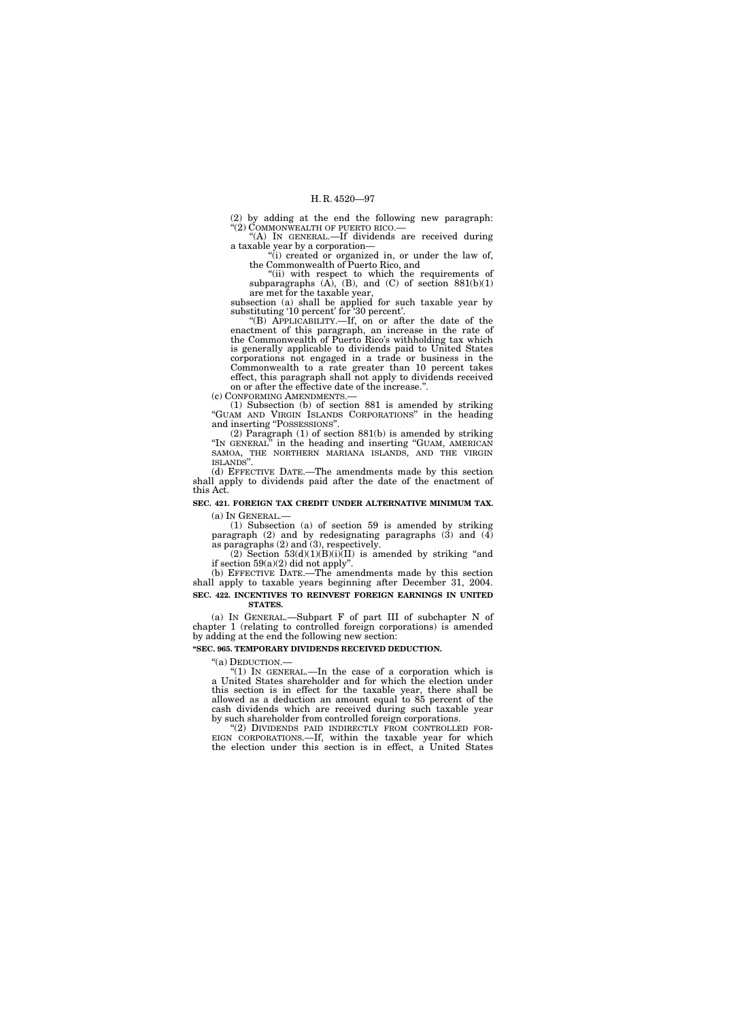(2) by adding at the end the following new paragraph:

"(A) IN GENERAL.—If dividends are received during a taxable year by a corporation—

 $a$ <sup>"(i)</sup> created or organized in, or under the law of, the Commonwealth of Puerto Rico, and

"(ii) with respect to which the requirements of subparagraphs  $(A)$ ,  $(B)$ , and  $(C)$  of section  $881(b)(1)$ are met for the taxable year,

subsection (a) shall be applied for such taxable year by substituting '10 percent' for '30 percent'.<br>"(B) APPLICABILITY.—If, on or after the date of the

enactment of this paragraph, an increase in the rate of the Commonwealth of Puerto Rico's withholding tax which is generally applicable to dividends paid to United States corporations not engaged in a trade or business in the Commonwealth to a rate greater than 10 percent takes effect, this paragraph shall not apply to dividends received on or after the effective date of the increase.''.

(c) CONFORMING AMENDMENTS.—

(1) Subsection (b) of section 881 is amended by striking "GUAM AND VIRGIN ISLANDS CORPORATIONS" in the heading and inserting "POSSESSIONS".

(2) Paragraph (1) of section 881(b) is amended by striking "IN GENERAL" in the heading and inserting "GUAM, AMERICAN SAMOA, THE NORTHERN MARIANA ISLANDS, AND THE VIRGIN ISLANDS''.

(d) EFFECTIVE DATE.—The amendments made by this section shall apply to dividends paid after the date of the enactment of this Act.

## **SEC. 421. FOREIGN TAX CREDIT UNDER ALTERNATIVE MINIMUM TAX.** (a) IN GENERAL.—

(1) Subsection (a) of section 59 is amended by striking paragraph (2) and by redesignating paragraphs (3) and (4) as paragraphs (2) and (3), respectively.

(2) Section  $53(d)(1)(B)(i)(II)$  is amended by striking "and if section  $59(a)(2)$  did not apply".

(b) EFFECTIVE DATE.—The amendments made by this section shall apply to taxable years beginning after December 31, 2004. **SEC. 422. INCENTIVES TO REINVEST FOREIGN EARNINGS IN UNITED STATES.**

(a) IN GENERAL.—Subpart F of part III of subchapter N of chapter 1 (relating to controlled foreign corporations) is amended by adding at the end the following new section:

## **''SEC. 965. TEMPORARY DIVIDENDS RECEIVED DEDUCTION.**

''(a) DEDUCTION.—

" $(1)$  IN GENERAL.—In the case of a corporation which is a United States shareholder and for which the election under this section is in effect for the taxable year, there shall be allowed as a deduction an amount equal to 85 percent of the cash dividends which are received during such taxable year by such shareholder from controlled foreign corporations.

"(2) DIVIDENDS PAID INDIRECTLY FROM CONTROLLED FOR-EIGN CORPORATIONS.—If, within the taxable year for which the election under this section is in effect, a United States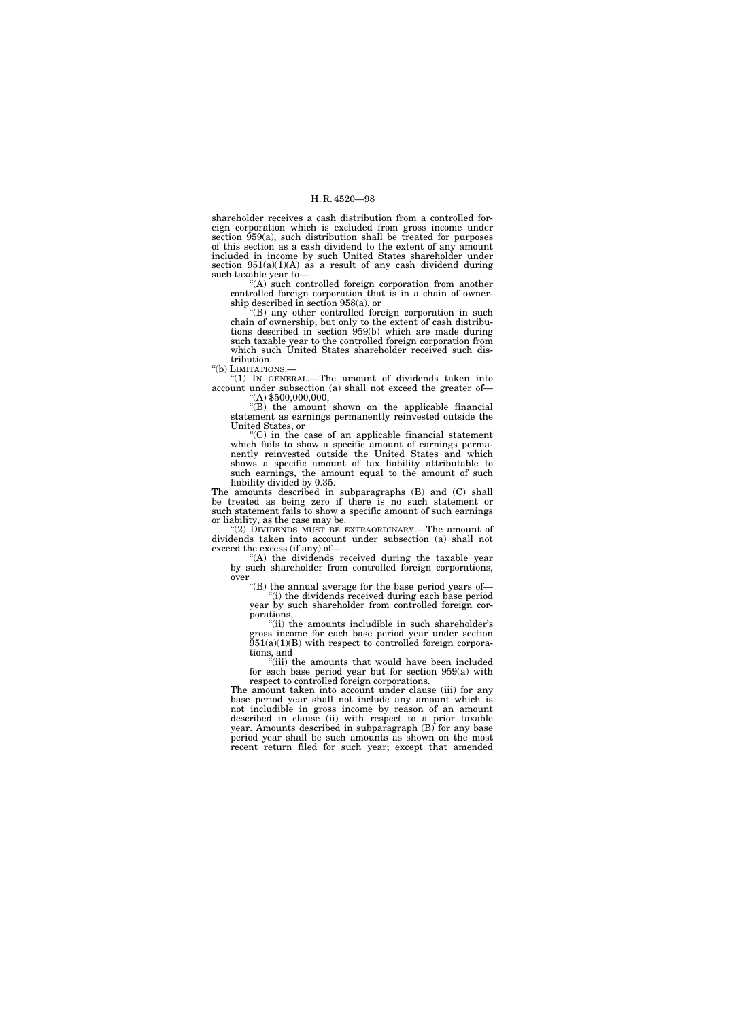shareholder receives a cash distribution from a controlled foreign corporation which is excluded from gross income under section 959(a), such distribution shall be treated for purposes of this section as a cash dividend to the extent of any amount included in income by such United States shareholder under section  $951(a)(1)(A)$  as a result of any cash dividend during such taxable year to—

"(A) such controlled foreign corporation from another controlled foreign corporation that is in a chain of ownership described in section 958(a), or

''(B) any other controlled foreign corporation in such chain of ownership, but only to the extent of cash distributions described in section 959(b) which are made during such taxable year to the controlled foreign corporation from which such United States shareholder received such dis-

tribution.<br>(b) LIMITATIONS.—

" $(1)$  IN GENERAL.—The amount of dividends taken into account under subsection (a) shall not exceed the greater of— ''(A) \$500,000,000,

''(B) the amount shown on the applicable financial statement as earnings permanently reinvested outside the United States, or

 $(C)$  in the case of an applicable financial statement which fails to show a specific amount of earnings permanently reinvested outside the United States and which shows a specific amount of tax liability attributable to such earnings, the amount equal to the amount of such liability divided by 0.35.

The amounts described in subparagraphs (B) and (C) shall be treated as being zero if there is no such statement or such statement fails to show a specific amount of such earnings or liability, as the case may be.

"(2) DIVIDENDS MUST BE EXTRAORDINARY.—The amount of dividends taken into account under subsection (a) shall not exceed the excess (if any) of—

"(A) the dividends received during the taxable year by such shareholder from controlled foreign corporations, over

''(B) the annual average for the base period years of— "(i) the dividends received during each base period year by such shareholder from controlled foreign corporations,

"(ii) the amounts includible in such shareholder's gross income for each base period year under section  $951(a)(1)(B)$  with respect to controlled foreign corporations, and

'(iii) the amounts that would have been included for each base period year but for section 959(a) with respect to controlled foreign corporations.

The amount taken into account under clause (iii) for any base period year shall not include any amount which is not includible in gross income by reason of an amount described in clause (ii) with respect to a prior taxable year. Amounts described in subparagraph (B) for any base period year shall be such amounts as shown on the most recent return filed for such year; except that amended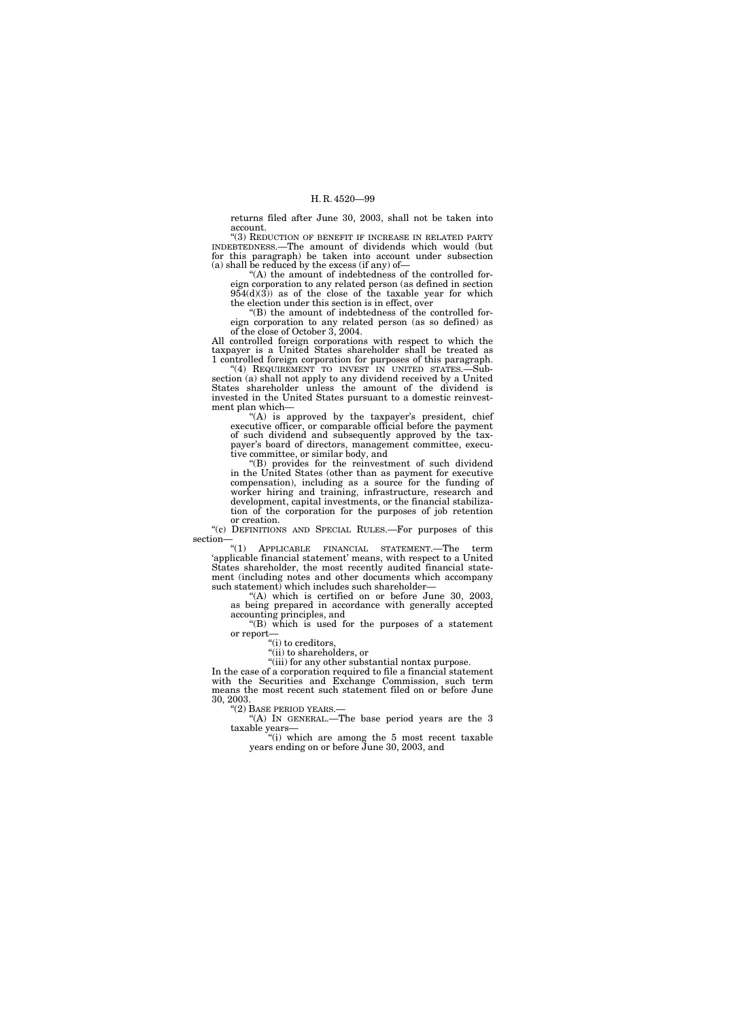returns filed after June 30, 2003, shall not be taken into account.

"(3) REDUCTION OF BENEFIT IF INCREASE IN RELATED PARTY INDEBTEDNESS.—The amount of dividends which would (but for this paragraph) be taken into account under subsection (a) shall be reduced by the excess (if any) of—

"(A) the amount of indebtedness of the controlled foreign corporation to any related person (as defined in section  $954(d)(3)$  as of the close of the taxable year for which the election under this section is in effect, over

''(B) the amount of indebtedness of the controlled foreign corporation to any related person (as so defined) as of the close of October 3, 2004.

All controlled foreign corporations with respect to which the taxpayer is a United States shareholder shall be treated as 1 controlled foreign corporation for purposes of this paragraph.

"(4) REQUIREMENT TO INVEST IN UNITED STATES.—Subsection (a) shall not apply to any dividend received by a United States shareholder unless the amount of the dividend is invested in the United States pursuant to a domestic reinvest-

"(A) is approved by the taxpayer's president, chief executive officer, or comparable official before the payment of such dividend and subsequently approved by the taxpayer's board of directors, management committee, executive committee, or similar body, and

''(B) provides for the reinvestment of such dividend in the United States (other than as payment for executive compensation), including as a source for the funding of worker hiring and training, infrastructure, research and development, capital investments, or the financial stabilization of the corporation for the purposes of job retention or creation.

''(c) DEFINITIONS AND SPECIAL RULES.—For purposes of this section— $\frac{a_{(1)}}{b_{(1)}}$ 

''(1) APPLICABLE FINANCIAL STATEMENT.—The term 'applicable financial statement' means, with respect to a United States shareholder, the most recently audited financial statement (including notes and other documents which accompany such statement) which includes such shareholder—

"(A) which is certified on or before June 30, 2003, as being prepared in accordance with generally accepted

"(B) which is used for the purposes of a statement or report—

''(i) to creditors,

''(ii) to shareholders, or

''(iii) for any other substantial nontax purpose. In the case of a corporation required to file a financial statement with the Securities and Exchange Commission, such term means the most recent such statement filed on or before June

30, 2003.<br>"(2) BASE PERIOD YEARS.

"(A) IN GENERAL.—The base period years are the  $3$ taxable years—<br>"(i) which are among the 5 most recent taxable

years ending on or before June 30, 2003, and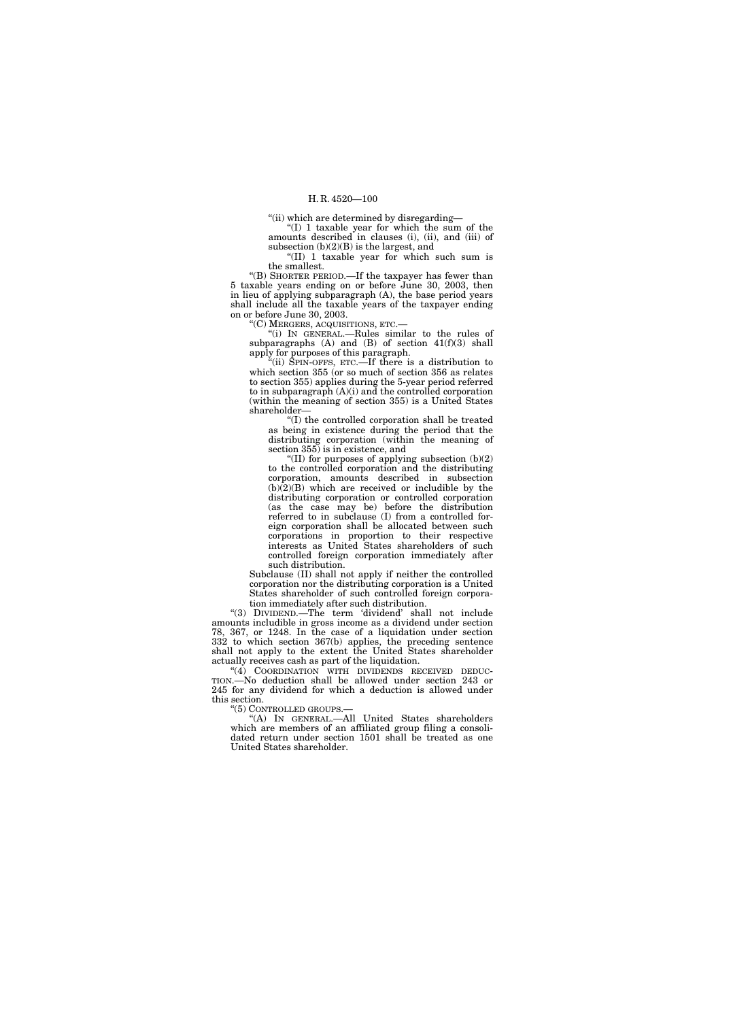''(ii) which are determined by disregarding—

''(I) 1 taxable year for which the sum of the amounts described in clauses (i), (ii), and (iii) of subsection (b)(2)(B) is the largest, and

''(II) 1 taxable year for which such sum is the smallest.

''(B) SHORTER PERIOD.—If the taxpayer has fewer than 5 taxable years ending on or before June 30, 2003, then in lieu of applying subparagraph (A), the base period years shall include all the taxable years of the taxpayer ending on or before June 30, 2003.

''(C) MERGERS, ACQUISITIONS, ETC.—

''(i) IN GENERAL.—Rules similar to the rules of subparagraphs  $(A)$  and  $(B)$  of section  $41(f)(3)$  shall apply for purposes of this paragraph.

''(ii) SPIN-OFFS, ETC.—If there is a distribution to which section 355 (or so much of section 356 as relates to section 355) applies during the 5-year period referred to in subparagraph (A)(i) and the controlled corporation (within the meaning of section 355) is a United States shareholder—

''(I) the controlled corporation shall be treated as being in existence during the period that the distributing corporation (within the meaning of section 355) is in existence, and

 $^{\circ}$ (II) for purposes of applying subsection (b)(2) to the controlled corporation and the distributing corporation, amounts described in subsection  $(b)(2)(B)$  which are received or includible by the distributing corporation or controlled corporation (as the case may be) before the distribution referred to in subclause (I) from a controlled foreign corporation shall be allocated between such corporations in proportion to their respective interests as United States shareholders of such controlled foreign corporation immediately after such distribution.

Subclause (II) shall not apply if neither the controlled corporation nor the distributing corporation is a United States shareholder of such controlled foreign corporation immediately after such distribution.

''(3) DIVIDEND.—The term 'dividend' shall not include amounts includible in gross income as a dividend under section 78, 367, or 1248. In the case of a liquidation under section 332 to which section 367(b) applies, the preceding sentence shall not apply to the extent the United States shareholder actually receives cash as part of the liquidation.

"(4) COORDINATION WITH DIVIDENDS RECEIVED DEDUC-TION.—No deduction shall be allowed under section 243 or 245 for any dividend for which a deduction is allowed under this section.

''(5) CONTROLLED GROUPS.—

''(A) IN GENERAL.—All United States shareholders which are members of an affiliated group filing a consolidated return under section 1501 shall be treated as one United States shareholder.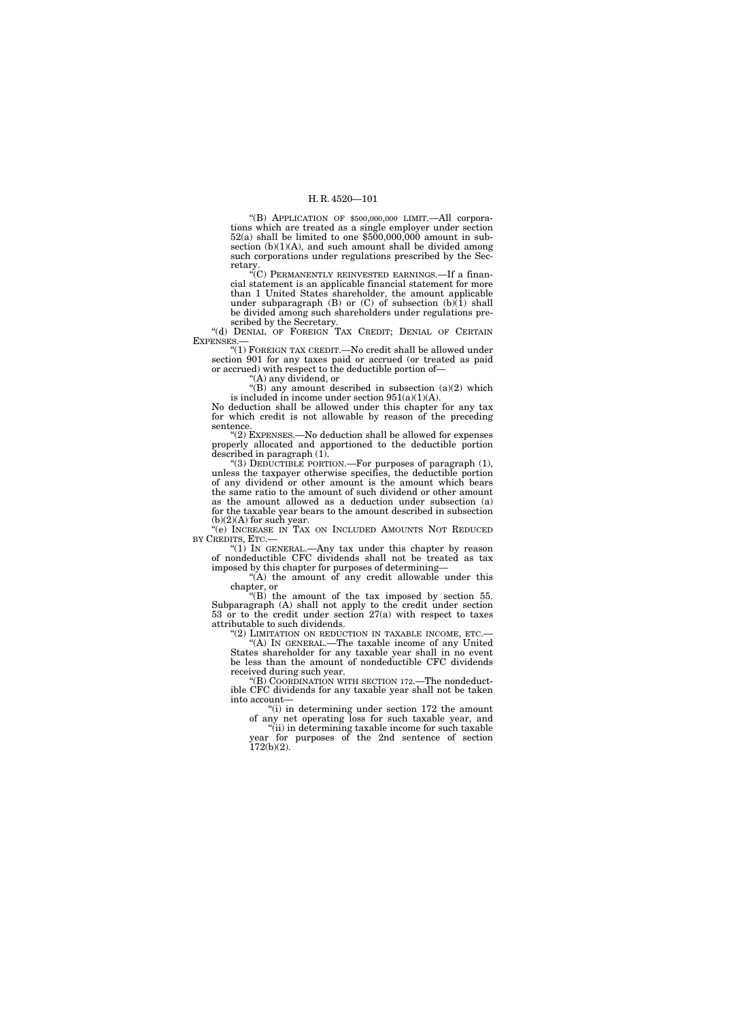''(B) APPLICATION OF \$500,000,000 LIMIT.—All corporations which are treated as a single employer under section 52(a) shall be limited to one \$500,000,000 amount in subsection  $(b)(1)(A)$ , and such amount shall be divided among such corporations under regulations prescribed by the Secretary.

''(C) PERMANENTLY REINVESTED EARNINGS.—If a financial statement is an applicable financial statement for more than 1 United States shareholder, the amount applicable under subparagraph (B) or  $(C)$  of subsection  $(b)$  $(1)$  shall be divided among such shareholders under regulations prescribed by the Secretary.

"(d) DENIAL OF FOREIGN TAX CREDIT; DENIAL OF CERTAIN EXPENSES.—

''(1) FOREIGN TAX CREDIT.—No credit shall be allowed under section 901 for any taxes paid or accrued (or treated as paid or accrued) with respect to the deductible portion of—

''(A) any dividend, or

 $(16)$  any amount described in subsection (a)(2) which is included in income under section  $951(a)(1)(A)$ .

No deduction shall be allowed under this chapter for any tax for which credit is not allowable by reason of the preceding sentence.

''(2) EXPENSES.—No deduction shall be allowed for expenses properly allocated and apportioned to the deductible portion described in paragraph (1).

"(3) DEDUCTIBLE PORTION.—For purposes of paragraph (1), unless the taxpayer otherwise specifies, the deductible portion of any dividend or other amount is the amount which bears the same ratio to the amount of such dividend or other amount as the amount allowed as a deduction under subsection (a) for the taxable year bears to the amount described in subsection  $(b)(2)(A)$  for such year.

''(e) INCREASE IN TAX ON INCLUDED AMOUNTS NOT REDUCED BY CREDITS, ETC.—

"(1) In GENERAL.—Any tax under this chapter by reason of nondeductible CFC dividends shall not be treated as tax imposed by this chapter for purposes of determining—

"(A) the amount of any credit allowable under this chapter, or

" $(B)$  the amount of the tax imposed by section 55. Subparagraph (A) shall not apply to the credit under section 53 or to the credit under section 27(a) with respect to taxes attributable to such dividends.

"(2) LIMITATION ON REDUCTION IN TAXABLE INCOME, ETC.-''(A) IN GENERAL.—The taxable income of any United States shareholder for any taxable year shall in no event

be less than the amount of nondeductible CFC dividends received during such year. ''(B) COORDINATION WITH SECTION 172.—The nondeduct-

ible CFC dividends for any taxable year shall not be taken into account—<br>"(i) in determining under section 172 the amount

of any net operating loss for such taxable year, and ''(ii) in determining taxable income for such taxable

year for purposes of the 2nd sentence of section  $172(b)(2)$ .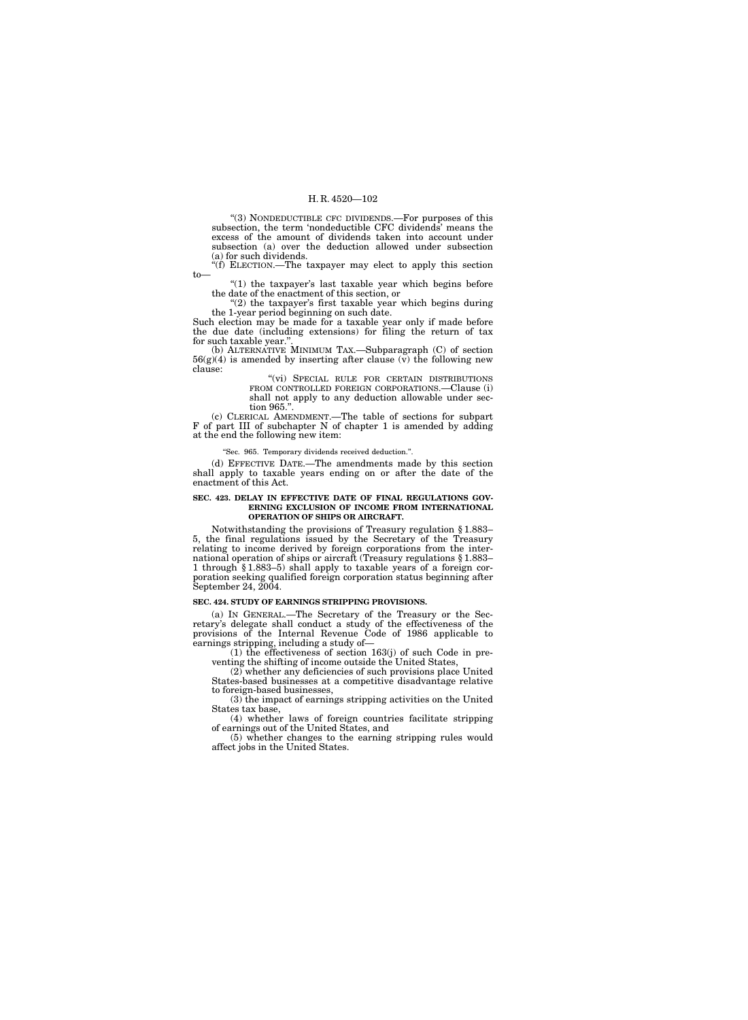''(3) NONDEDUCTIBLE CFC DIVIDENDS.—For purposes of this subsection, the term 'nondeductible CFC dividends' means the excess of the amount of dividends taken into account under subsection (a) over the deduction allowed under subsection (a) for such dividends.

''(f) ELECTION.—The taxpayer may elect to apply this section to—

"(1) the taxpayer's last taxable year which begins before the date of the enactment of this section, or

" $(2)$  the taxpayer's first taxable year which begins during the 1-year period beginning on such date.

Such election may be made for a taxable year only if made before the due date (including extensions) for filing the return of tax for such taxable year.''.

(b) ALTERNATIVE MINIMUM TAX.—Subparagraph (C) of section  $56(g)(4)$  is amended by inserting after clause (v) the following new clause:

"(vi) SPECIAL RULE FOR CERTAIN DISTRIBUTIONS FROM CONTROLLED FOREIGN CORPORATIONS.—Clause (i) shall not apply to any deduction allowable under sec-

(c) CLERICAL AMENDMENT.—The table of sections for subpart F of part III of subchapter N of chapter 1 is amended by adding at the end the following new item:

#### ''Sec. 965. Temporary dividends received deduction.''.

(d) EFFECTIVE DATE.—The amendments made by this section shall apply to taxable years ending on or after the date of the enactment of this Act.

#### **SEC. 423. DELAY IN EFFECTIVE DATE OF FINAL REGULATIONS GOV-ERNING EXCLUSION OF INCOME FROM INTERNATIONAL OPERATION OF SHIPS OR AIRCRAFT.**

Notwithstanding the provisions of Treasury regulation § 1.883– 5, the final regulations issued by the Secretary of the Treasury relating to income derived by foreign corporations from the international operation of ships or aircraft (Treasury regulations § 1.883– 1 through § 1.883–5) shall apply to taxable years of a foreign corporation seeking qualified foreign corporation status beginning after September 24, 2004.

## **SEC. 424. STUDY OF EARNINGS STRIPPING PROVISIONS.**

(a) IN GENERAL.—The Secretary of the Treasury or the Secretary's delegate shall conduct a study of the effectiveness of the provisions of the Internal Revenue Code of 1986 applicable to earnings stripping, including a study of— $(1)$  the effectiveness of section 163(j) of such Code in pre-

venting the shifting of income outside the United States,

(2) whether any deficiencies of such provisions place United States-based businesses at a competitive disadvantage relative to foreign-based businesses,

(3) the impact of earnings stripping activities on the United States tax base,

(4) whether laws of foreign countries facilitate stripping of earnings out of the United States, and

(5) whether changes to the earning stripping rules would affect jobs in the United States.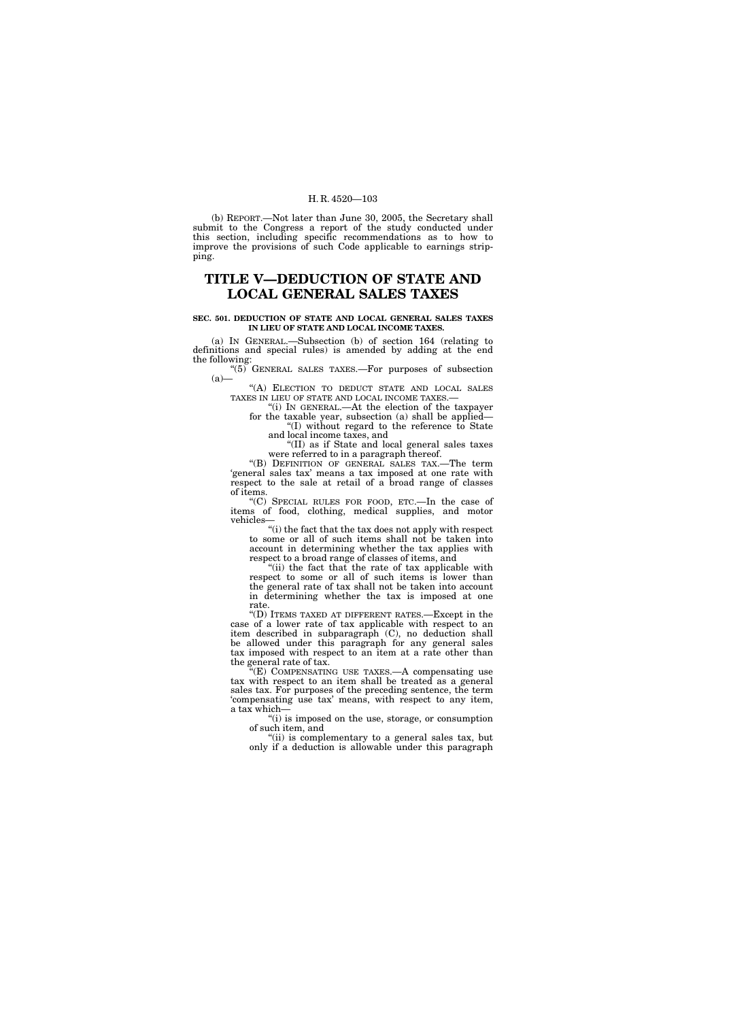(b) REPORT.—Not later than June 30, 2005, the Secretary shall submit to the Congress a report of the study conducted under this section, including specific recommendations as to how to improve the provisions of such Code applicable to earnings stripping.

# **TITLE V—DEDUCTION OF STATE AND LOCAL GENERAL SALES TAXES**

#### **SEC. 501. DEDUCTION OF STATE AND LOCAL GENERAL SALES TAXES IN LIEU OF STATE AND LOCAL INCOME TAXES.**

(a) IN GENERAL.—Subsection (b) of section 164 (relating to definitions and special rules) is amended by adding at the end the following:

''(5) GENERAL SALES TAXES.—For purposes of subsection  $(a)$ —

''(A) ELECTION TO DEDUCT STATE AND LOCAL SALES TAXES IN LIEU OF STATE AND LOCAL INCOME TAXES.—

''(i) IN GENERAL.—At the election of the taxpayer for the taxable year, subsection (a) shall be applied— ''(I) without regard to the reference to State

and local income taxes, and ''(II) as if State and local general sales taxes were referred to in a paragraph thereof.

''(B) DEFINITION OF GENERAL SALES TAX.—The term 'general sales tax' means a tax imposed at one rate with respect to the sale at retail of a broad range of classes of items.

''(C) SPECIAL RULES FOR FOOD, ETC.—In the case of items of food, clothing, medical supplies, and motor vehicles—

''(i) the fact that the tax does not apply with respect to some or all of such items shall not be taken into account in determining whether the tax applies with respect to a broad range of classes of items, and

"(ii) the fact that the rate of tax applicable with respect to some or all of such items is lower than the general rate of tax shall not be taken into account in determining whether the tax is imposed at one rate.

''(D) ITEMS TAXED AT DIFFERENT RATES.—Except in the case of a lower rate of tax applicable with respect to an item described in subparagraph (C), no deduction shall be allowed under this paragraph for any general sales tax imposed with respect to an item at a rate other than the general rate of tax.<br>"(E) COMPENSATING USE TAXES.—A compensating use

tax with respect to an item shall be treated as a general sales tax. For purposes of the preceding sentence, the term 'compensating use tax' means, with respect to any item,

 $"$ (i) is imposed on the use, storage, or consumption of such item, and

"(ii) is complementary to a general sales tax, but only if a deduction is allowable under this paragraph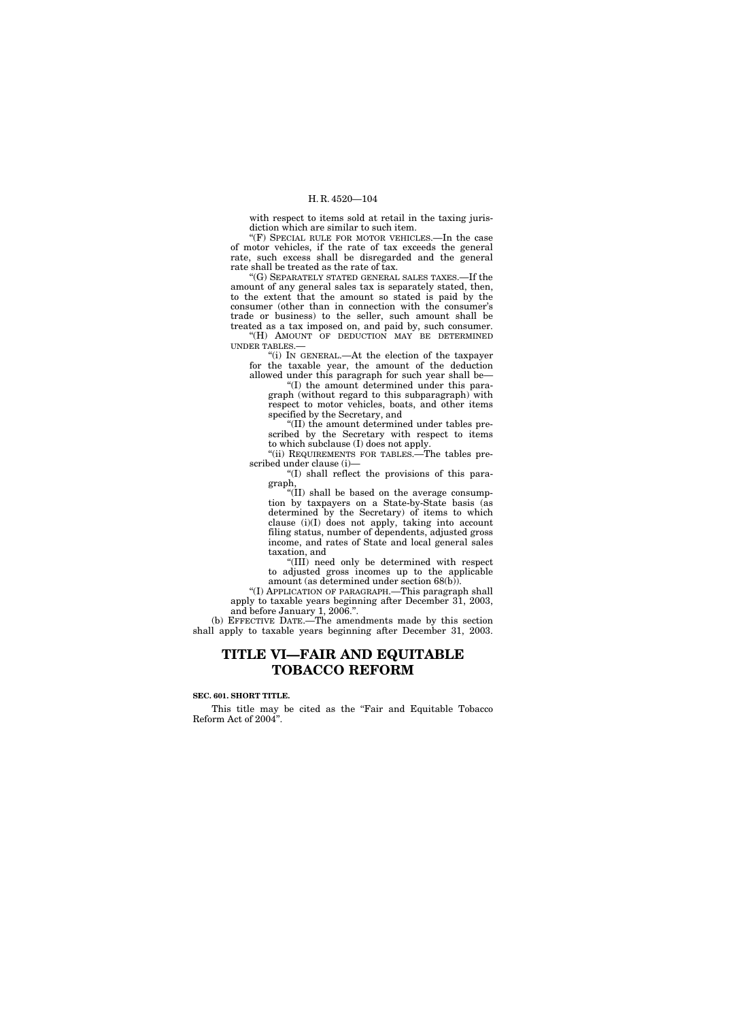with respect to items sold at retail in the taxing jurisdiction which are similar to such item.

''(F) SPECIAL RULE FOR MOTOR VEHICLES.—In the case of motor vehicles, if the rate of tax exceeds the general rate, such excess shall be disregarded and the general rate shall be treated as the rate of tax.

''(G) SEPARATELY STATED GENERAL SALES TAXES.—If the amount of any general sales tax is separately stated, then, to the extent that the amount so stated is paid by the consumer (other than in connection with the consumer's trade or business) to the seller, such amount shall be treated as a tax imposed on, and paid by, such consumer.

"(H) AMOUNT OF DEDUCTION MAY BE DETERMINED UNDER TABLES.—

''(i) IN GENERAL.—At the election of the taxpayer for the taxable year, the amount of the deduction allowed under this paragraph for such year shall be—

''(I) the amount determined under this paragraph (without regard to this subparagraph) with respect to motor vehicles, boats, and other items specified by the Secretary, and

''(II) the amount determined under tables prescribed by the Secretary with respect to items to which subclause (I) does not apply.

''(ii) REQUIREMENTS FOR TABLES.—The tables prescribed under clause (i)—

''(I) shall reflect the provisions of this paragraph,

''(II) shall be based on the average consumption by taxpayers on a State-by-State basis (as determined by the Secretary) of items to which clause (i)(I) does not apply, taking into account filing status, number of dependents, adjusted gross income, and rates of State and local general sales taxation, and

''(III) need only be determined with respect to adjusted gross incomes up to the applicable amount (as determined under section 68(b)).

''(I) APPLICATION OF PARAGRAPH.—This paragraph shall apply to taxable years beginning after December 31, 2003, and before January 1, 2006.''.

(b) EFFECTIVE DATE.—The amendments made by this section shall apply to taxable years beginning after December 31, 2003.

# **TITLE VI—FAIR AND EQUITABLE TOBACCO REFORM**

**SEC. 601. SHORT TITLE.**

This title may be cited as the "Fair and Equitable Tobacco Reform Act of 2004''.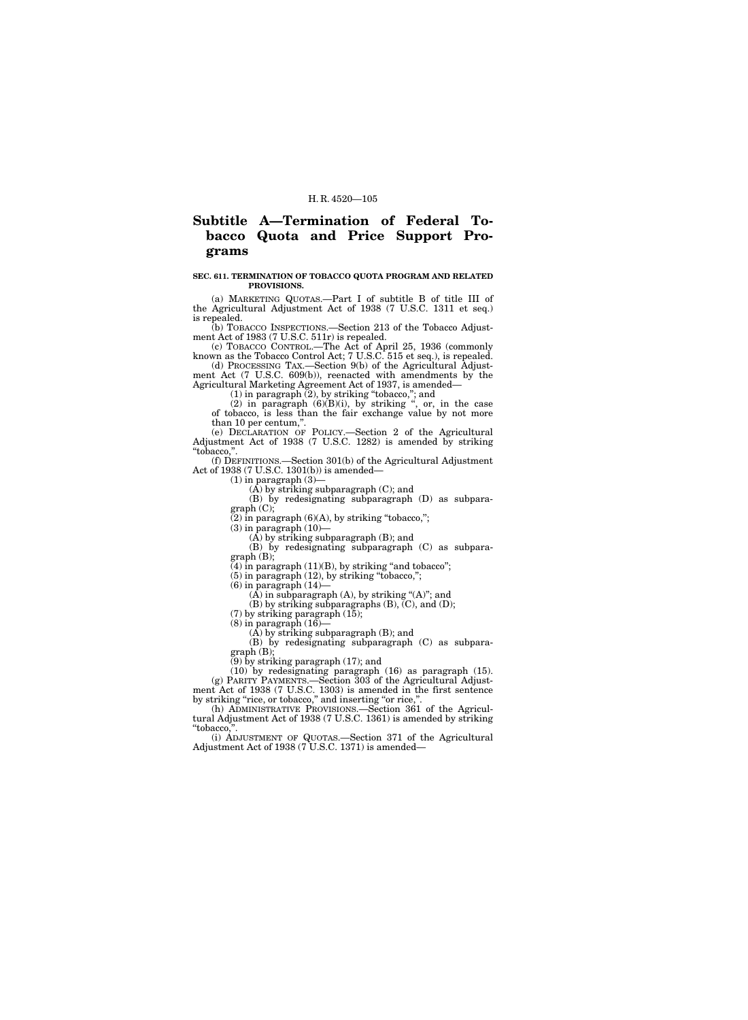# **Subtitle A—Termination of Federal Tobacco Quota and Price Support Programs**

## **SEC. 611. TERMINATION OF TOBACCO QUOTA PROGRAM AND RELATED PROVISIONS.**

(a) MARKETING QUOTAS.—Part I of subtitle B of title III of the Agricultural Adjustment Act of 1938 (7 U.S.C. 1311 et seq.) is repealed.

(b) TOBACCO INSPECTIONS.—Section 213 of the Tobacco Adjustment Act of 1983 (7 U.S.C. 511r) is repealed.

(c) TOBACCO CONTROL.—The Act of April 25, 1936 (commonly known as the Tobacco Control Act; 7 U.S.C. 515 et seq.), is repealed. (d) PROCESSING TAX.—Section 9(b) of the Agricultural Adjust-

ment Act (7 U.S.C. 609(b)), reenacted with amendments by the Agricultural Marketing Agreement Act of 1937, is amended—

(1) in paragraph (2), by striking ''tobacco,''; and

(2) in paragraph  $(6)(B)(i)$ , by striking ", or, in the case of tobacco, is less than the fair exchange value by not more than 10 per centum,''.

(e) DECLARATION OF POLICY.—Section 2 of the Agricultural Adjustment Act of 1938 (7 U.S.C. 1282) is amended by striking ''tobacco,''.

(f) DEFINITIONS.—Section 301(b) of the Agricultural Adjustment Act of 1938 (7 U.S.C. 1301(b)) is amended—

 $(1)$  in paragraph  $(3)$ —

 $(\overline{A})$  by striking subparagraph  $(C)$ ; and (B) by redesignating subparagraph (D) as subparagraph (C);

 $(2)$  in paragraph  $(6)(A)$ , by striking "tobacco,";

 $(3)$  in paragraph  $(10)$ —

(A) by striking subparagraph (B); and (B) by redesignating subparagraph (C) as subparagraph (B);

 $(4)$  in paragraph  $(11)(B)$ , by striking "and tobacco";

(5) in paragraph (12), by striking ''tobacco,'';

 $(6)$  in paragraph  $(14)$ 

 $(A)$  in subparagraph  $(A)$ , by striking " $(A)$ "; and

(B) by striking subparagraphs (B), (C), and (D);

(7) by striking paragraph (15);

 $(8)$  in paragraph  $(16)$ 

 $(A)$  by striking subparagraph  $(B)$ ; and

(B) by redesignating subparagraph (C) as subparagraph (B);

(9) by striking paragraph (17); and

(10) by redesignating paragraph (16) as paragraph (15). (g) PARITY PAYMENTS.—Section 303 of the Agricultural Adjustment Act of 1938 (7 U.S.C. 1303) is amended in the first sentence by striking "rice, or tobacco," and inserting "or rice,".

(h) ADMINISTRATIVE PROVISIONS.—Section 361 of the Agricultural Adjustment Act of 1938 (7 U.S.C. 1361) is amended by striking ''tobacco,''.

(i) ADJUSTMENT OF QUOTAS.—Section 371 of the Agricultural Adjustment Act of 1938 (7 U.S.C. 1371) is amended—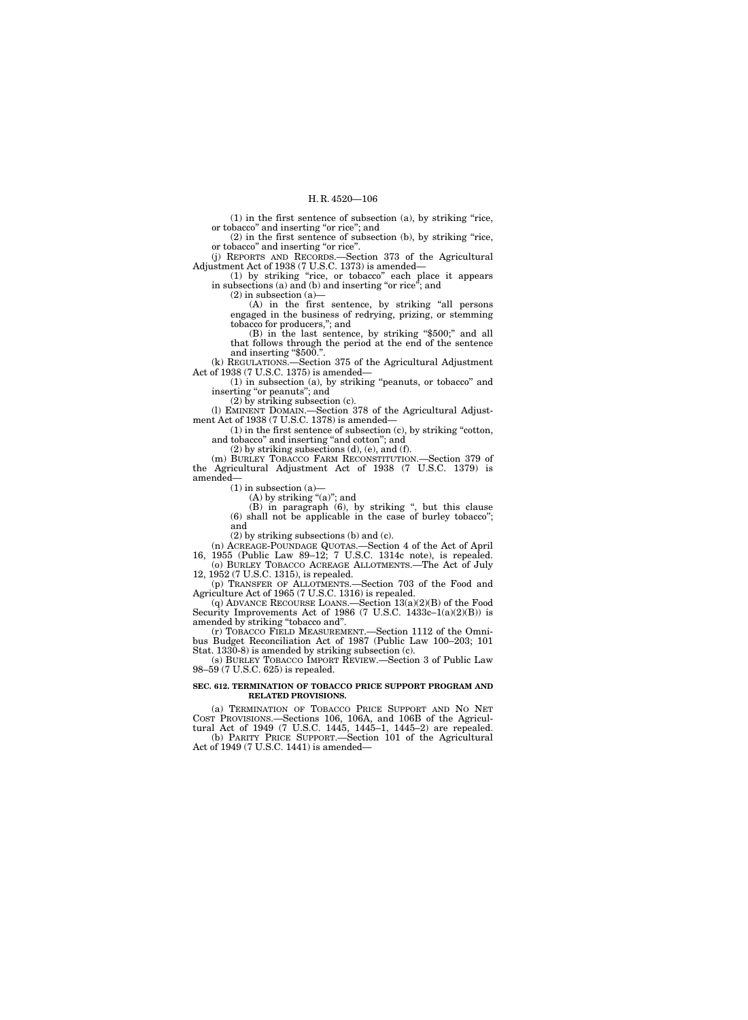$(1)$  in the first sentence of subsection  $(a)$ , by striking "rice, or tobacco'' and inserting ''or rice''; and

 $(2)$  in the first sentence of subsection  $(b)$ , by striking "rice, or tobacco'' and inserting ''or rice''.

(j) REPORTS AND RECORDS.—Section 373 of the Agricultural Adjustment Act of 1938 (7 U.S.C. 1373) is amended—

(1) by striking ''rice, or tobacco'' each place it appears in subsections (a) and (b) and inserting "or rice"; and

 $(2)$  in subsection  $(a)$ —

(A) in the first sentence, by striking ''all persons engaged in the business of redrying, prizing, or stemming tobacco for producers,''; and

(B) in the last sentence, by striking ''\$500;'' and all that follows through the period at the end of the sentence and inserting "\$500.".

(k) REGULATIONS.—Section 375 of the Agricultural Adjustment Act of 1938 (7 U.S.C. 1375) is amended—

(1) in subsection (a), by striking ''peanuts, or tobacco'' and inserting "or peanuts"; and

(2) by striking subsection (c).

(l) EMINENT DOMAIN.—Section 378 of the Agricultural Adjustment Act of 1938 (7 U.S.C. 1378) is amended—

 $(1)$  in the first sentence of subsection  $(c)$ , by striking "cotton, and tobacco'' and inserting ''and cotton''; and

(2) by striking subsections (d), (e), and (f).

(m) BURLEY TOBACCO FARM RECONSTITUTION.—Section 379 of the Agricultural Adjustment Act of 1938 (7 U.S.C. 1379) is amended—  $(1)$  in subsection  $(a)$ —

(A) by striking " $(a)$ "; and

(B) in paragraph (6), by striking '', but this clause (6) shall not be applicable in the case of burley tobacco''; and

(2) by striking subsections (b) and (c).

(n) ACREAGE-POUNDAGE QUOTAS.—Section 4 of the Act of April 16, 1955 (Public Law 89–12; 7 U.S.C. 1314c note), is repealed.

(o) BURLEY TOBACCO ACREAGE ALLOTMENTS.—The Act of July 12, 1952 (7 U.S.C. 1315), is repealed.

(p) TRANSFER OF ALLOTMENTS.—Section 703 of the Food and Agriculture Act of 1965 (7 U.S.C. 1316) is repealed.

(q) ADVANCE RECOURSE LOANS.—Section 13(a)(2)(B) of the Food Security Improvements Act of 1986 (7 U.S.C. 1433c–1(a)(2)(B)) is amended by striking ''tobacco and''.

(r) TOBACCO FIELD MEASUREMENT.—Section 1112 of the Omnibus Budget Reconciliation Act of 1987 (Public Law 100–203; 101 Stat. 1330-8) is amended by striking subsection (c).

(s) BURLEY TOBACCO IMPORT REVIEW.—Section 3 of Public Law 98–59 (7 U.S.C. 625) is repealed.

#### **SEC. 612. TERMINATION OF TOBACCO PRICE SUPPORT PROGRAM AND RELATED PROVISIONS.**

(a) TERMINATION OF TOBACCO PRICE SUPPORT AND NO NET COST PROVISIONS.—Sections 106, 106A, and 106B of the Agricultural Act of 1949 (7 U.S.C. 1445, 1445–1, 1445–2) are repealed. (b) PARITY PRICE SUPPORT.—Section 101 of the Agricultural Act of 1949 (7 U.S.C. 1441) is amended—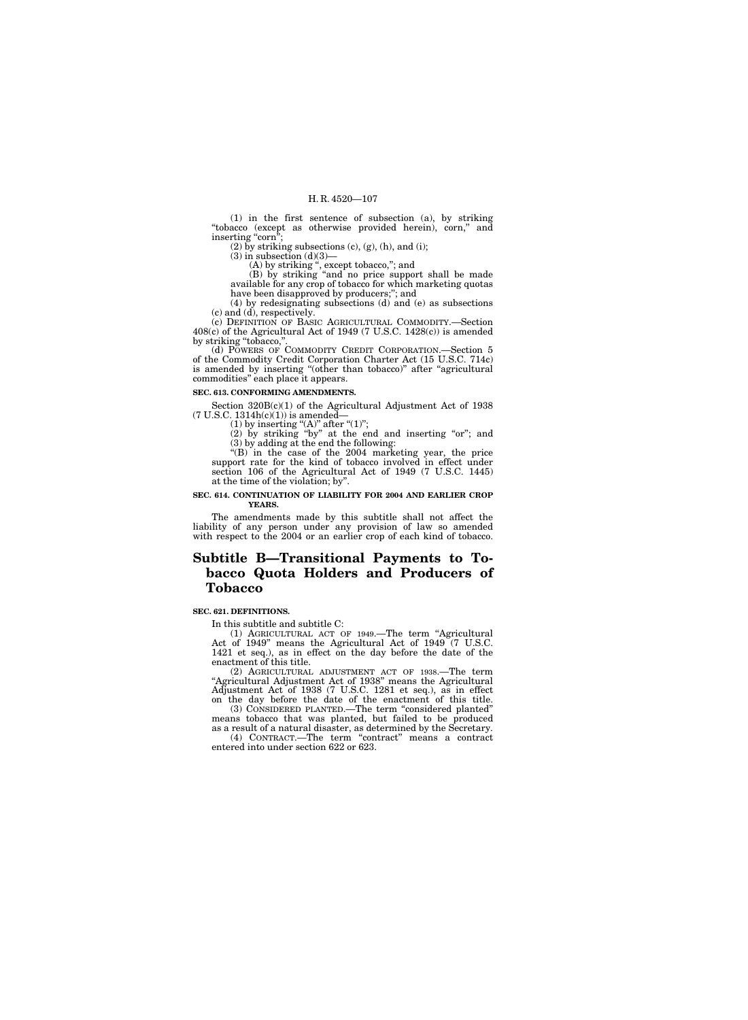(1) in the first sentence of subsection (a), by striking ''tobacco (except as otherwise provided herein), corn,'' and inserting "corn";

(2) by striking subsections  $(c)$ ,  $(g)$ ,  $(h)$ , and  $(i)$ ;

 $(3)$  in subsection  $(d)(3)$ —

(A) by striking '', except tobacco,''; and

(B) by striking ''and no price support shall be made available for any crop of tobacco for which marketing quotas have been disapproved by producers;"; and

(4) by redesignating subsections (d) and (e) as subsections (c) and (d), respectively.

(c) DEFINITION OF BASIC AGRICULTURAL COMMODITY.—Section 408(c) of the Agricultural Act of 1949 (7 U.S.C. 1428(c)) is amended by striking "tobacco,".

(d) POWERS OF COMMODITY CREDIT CORPORATION.—Section 5 of the Commodity Credit Corporation Charter Act (15 U.S.C. 714c) is amended by inserting "(other than tobacco)" after "agricultural commodities'' each place it appears.

#### **SEC. 613. CONFORMING AMENDMENTS.**

Section  $320B(c)(1)$  of the Agricultural Adjustment Act of 1938 (7 U.S.C. 1314h(c)(1)) is amended—  $(7 \text{ U.S.C. } 1314 \text{h(c)(1)})$  is amended—<br> $(1)$  by inserting "(A)" after "(1)";

(2) by striking "by" at the end and inserting "or"; and (3) by adding at the end the following:

''(B) in the case of the 2004 marketing year, the price support rate for the kind of tobacco involved in effect under section 106 of the Agricultural Act of 1949 (7 U.S.C. 1445) at the time of the violation; by''.

#### **SEC. 614. CONTINUATION OF LIABILITY FOR 2004 AND EARLIER CROP YEARS.**

The amendments made by this subtitle shall not affect the liability of any person under any provision of law so amended with respect to the 2004 or an earlier crop of each kind of tobacco.

# **Subtitle B—Transitional Payments to Tobacco Quota Holders and Producers of Tobacco**

#### **SEC. 621. DEFINITIONS.**

In this subtitle and subtitle C:

(1) AGRICULTURAL ACT OF 1949.—The term ''Agricultural Act of 1949'' means the Agricultural Act of 1949 (7 U.S.C. 1421 et seq.), as in effect on the day before the date of the enactment of this title.<br>(2) AGRICULTURAL ADJUSTMENT ACT OF 1938.—The term

(2) AGRICULTURAL ADJUSTMENT ACT OF 1938.—The term ''Agricultural Adjustment Act of 1938'' means the Agricultural Adjustment Act of 1938 (7 U.S.C. 1281 et seq.), as in effect on the day before the date of the enactment of this title.

(3) CONSIDERED PLANTED.—The term ''considered planted'' means tobacco that was planted, but failed to be produced as a result of a natural disaster, as determined by the Secretary.

(4) CONTRACT.—The term ''contract'' means a contract entered into under section 622 or 623.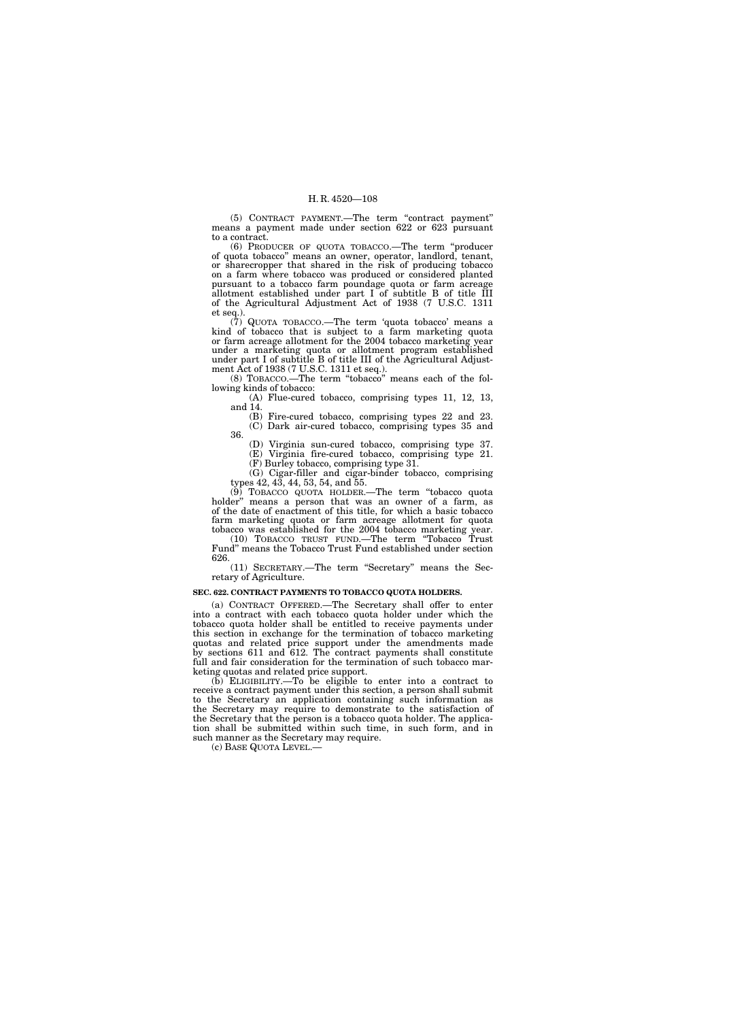(5) CONTRACT PAYMENT.—The term ''contract payment'' means a payment made under section 622 or 623 pursuant to a contract.

(6) PRODUCER OF QUOTA TOBACCO.—The term ''producer of quota tobacco'' means an owner, operator, landlord, tenant, or sharecropper that shared in the risk of producing tobacco on a farm where tobacco was produced or considered planted pursuant to a tobacco farm poundage quota or farm acreage allotment established under part I of subtitle B of title III of the Agricultural Adjustment Act of 1938 (7 U.S.C. 1311 et seq.).

(7) QUOTA TOBACCO.—The term 'quota tobacco' means a kind of tobacco that is subject to a farm marketing quota or farm acreage allotment for the 2004 tobacco marketing year under a marketing quota or allotment program established under part I of subtitle B of title III of the Agricultural Adjustment Act of 1938 (7 U.S.C. 1311 et seq.).

(8) TOBACCO.—The term ''tobacco'' means each of the following kinds of tobacco:

(A) Flue-cured tobacco, comprising types 11, 12, 13, and 14.

(B) Fire-cured tobacco, comprising types 22 and 23. (C) Dark air-cured tobacco, comprising types 35 and 36.

(D) Virginia sun-cured tobacco, comprising type 37.

(E) Virginia fire-cured tobacco, comprising type 21. (F) Burley tobacco, comprising type 31.

(G) Cigar-filler and cigar-binder tobacco, comprising types 42, 43, 44, 53, 54, and 55.

(9) TOBACCO QUOTA HOLDER.—The term ''tobacco quota holder'' means a person that was an owner of a farm, as of the date of enactment of this title, for which a basic tobacco farm marketing quota or farm acreage allotment for quota tobacco was established for the 2004 tobacco marketing year.

(10) TOBACCO TRUST FUND.—The term ''Tobacco Trust Fund'' means the Tobacco Trust Fund established under section 626.

(11) SECRETARY.—The term ''Secretary'' means the Secretary of Agriculture.

## **SEC. 622. CONTRACT PAYMENTS TO TOBACCO QUOTA HOLDERS.**

(a) CONTRACT OFFERED.—The Secretary shall offer to enter into a contract with each tobacco quota holder under which the tobacco quota holder shall be entitled to receive payments under this section in exchange for the termination of tobacco marketing quotas and related price support under the amendments made by sections 611 and 612. The contract payments shall constitute full and fair consideration for the termination of such tobacco marketing quotas and related price support.

(b) ELIGIBILITY.—To be eligible to enter into a contract to receive a contract payment under this section, a person shall submit to the Secretary an application containing such information as the Secretary may require to demonstrate to the satisfaction of the Secretary that the person is a tobacco quota holder. The application shall be submitted within such time, in such form, and in such manner as the Secretary may require.

(c) BASE QUOTA LEVEL.—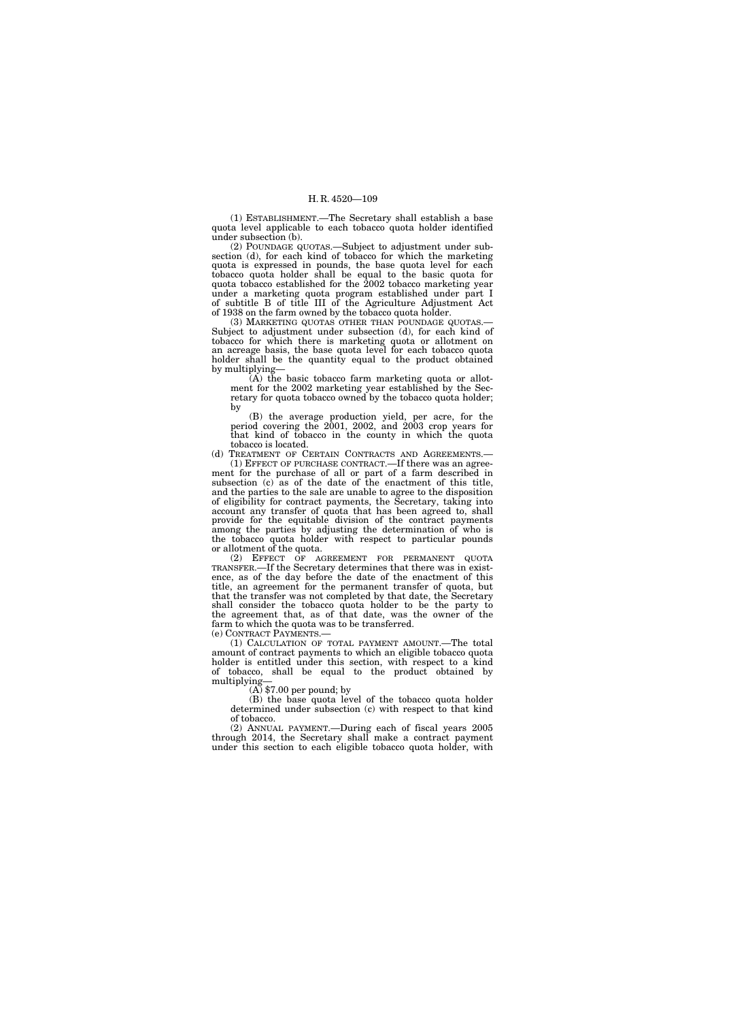(1) ESTABLISHMENT.—The Secretary shall establish a base quota level applicable to each tobacco quota holder identified under subsection (b).

(2) POUNDAGE QUOTAS.—Subject to adjustment under subsection (d), for each kind of tobacco for which the marketing quota is expressed in pounds, the base quota level for each tobacco quota holder shall be equal to the basic quota for quota tobacco established for the 2002 tobacco marketing year under a marketing quota program established under part I of subtitle B of title III of the Agriculture Adjustment Act of 1938 on the farm owned by the tobacco quota holder.

(3) MARKETING QUOTAS OTHER THAN POUNDAGE QUOTAS.— Subject to adjustment under subsection (d), for each kind of tobacco for which there is marketing quota or allotment on an acreage basis, the base quota level for each tobacco quota holder shall be the quantity equal to the product obtained by multiplying—

 $(A)$  the basic tobacco farm marketing quota or allotment for the 2002 marketing year established by the Secretary for quota tobacco owned by the tobacco quota holder; by

(B) the average production yield, per acre, for the period covering the 2001, 2002, and 2003 crop years for that kind of tobacco in the county in which the quota tobacco is located.

(d) TREATMENT OF CERTAIN CONTRACTS AND AGREEMENTS.— (1) EFFECT OF PURCHASE CONTRACT.—If there was an agreement for the purchase of all or part of a farm described in subsection (c) as of the date of the enactment of this title, and the parties to the sale are unable to agree to the disposition of eligibility for contract payments, the Secretary, taking into account any transfer of quota that has been agreed to, shall provide for the equitable division of the contract payments among the parties by adjusting the determination of who is the tobacco quota holder with respect to particular pounds or allotment of the quota.

(2) EFFECT OF AGREEMENT FOR PERMANENT QUOTA TRANSFER.—If the Secretary determines that there was in existence, as of the day before the date of the enactment of this title, an agreement for the permanent transfer of quota, but that the transfer was not completed by that date, the Secretary shall consider the tobacco quota holder to be the party to the agreement that, as of that date, was the owner of the farm to which the quota was to be transferred. (e) CONTRACT PAYMENTS.—

(1) CALCULATION OF TOTAL PAYMENT AMOUNT.—The total amount of contract payments to which an eligible tobacco quota holder is entitled under this section, with respect to a kind of tobacco, shall be equal to the product obtained by multiplying—

 $(A)$  \$7.00 per pound; by

(B) the base quota level of the tobacco quota holder determined under subsection (c) with respect to that kind of tobacco.

(2) ANNUAL PAYMENT.—During each of fiscal years 2005 through 2014, the Secretary shall make a contract payment under this section to each eligible tobacco quota holder, with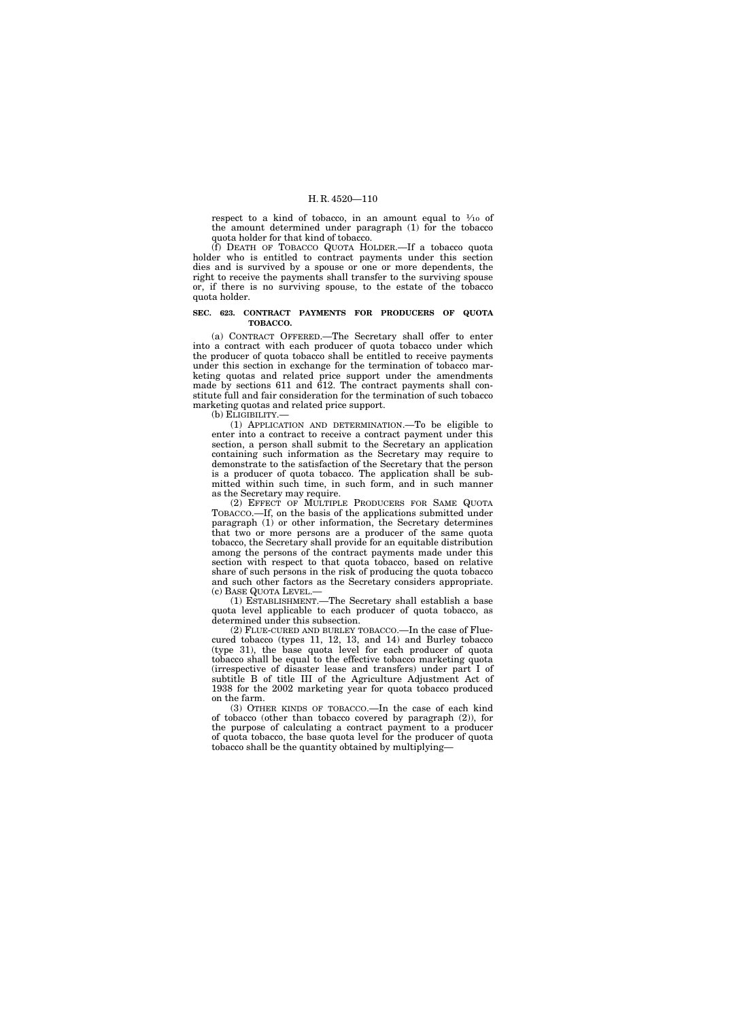respect to a kind of tobacco, in an amount equal to  $\frac{1}{10}$  of the amount determined under paragraph (1) for the tobacco quota holder for that kind of tobacco.

(f) DEATH OF TOBACCO QUOTA HOLDER.—If a tobacco quota holder who is entitled to contract payments under this section dies and is survived by a spouse or one or more dependents, the right to receive the payments shall transfer to the surviving spouse or, if there is no surviving spouse, to the estate of the tobacco quota holder.

#### **SEC. 623. CONTRACT PAYMENTS FOR PRODUCERS OF QUOTA TOBACCO.**

(a) CONTRACT OFFERED.—The Secretary shall offer to enter into a contract with each producer of quota tobacco under which the producer of quota tobacco shall be entitled to receive payments under this section in exchange for the termination of tobacco marketing quotas and related price support under the amendments made by sections 611 and 612. The contract payments shall constitute full and fair consideration for the termination of such tobacco marketing quotas and related price support.

(b) ELIGIBILITY.—

(1) APPLICATION AND DETERMINATION.—To be eligible to enter into a contract to receive a contract payment under this section, a person shall submit to the Secretary an application containing such information as the Secretary may require to demonstrate to the satisfaction of the Secretary that the person is a producer of quota tobacco. The application shall be submitted within such time, in such form, and in such manner as the Secretary may require.

(2) EFFECT OF MULTIPLE PRODUCERS FOR SAME QUOTA TOBACCO.—If, on the basis of the applications submitted under paragraph (1) or other information, the Secretary determines that two or more persons are a producer of the same quota tobacco, the Secretary shall provide for an equitable distribution among the persons of the contract payments made under this section with respect to that quota tobacco, based on relative share of such persons in the risk of producing the quota tobacco and such other factors as the Secretary considers appropriate. (c) BASE QUOTA LEVEL.—

(1) ESTABLISHMENT.—The Secretary shall establish a base quota level applicable to each producer of quota tobacco, as determined under this subsection.

(2) FLUE-CURED AND BURLEY TOBACCO.—In the case of Fluecured tobacco (types 11, 12, 13, and 14) and Burley tobacco (type 31), the base quota level for each producer of quota tobacco shall be equal to the effective tobacco marketing quota (irrespective of disaster lease and transfers) under part I of subtitle B of title III of the Agriculture Adjustment Act of 1938 for the 2002 marketing year for quota tobacco produced on the farm.

(3) OTHER KINDS OF TOBACCO.—In the case of each kind of tobacco (other than tobacco covered by paragraph (2)), for the purpose of calculating a contract payment to a producer of quota tobacco, the base quota level for the producer of quota tobacco shall be the quantity obtained by multiplying—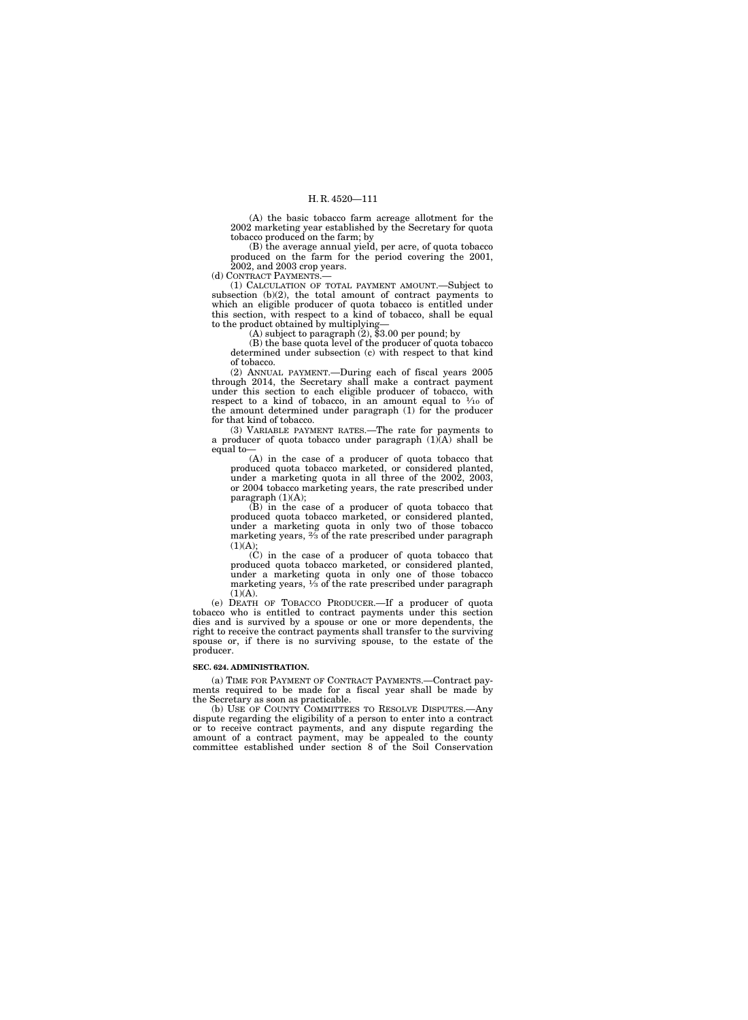(A) the basic tobacco farm acreage allotment for the 2002 marketing year established by the Secretary for quota tobacco produced on the farm; by

(B) the average annual yield, per acre, of quota tobacco produced on the farm for the period covering the 2001, 2002, and 2003 crop years.

(d) CONTRACT PAYMENTS.—

(1) CALCULATION OF TOTAL PAYMENT AMOUNT.—Subject to subsection (b)(2), the total amount of contract payments to which an eligible producer of quota tobacco is entitled under this section, with respect to a kind of tobacco, shall be equal to the product obtained by multiplying—

 $(A)$  subject to paragraph  $(2)$ , \$3.00 per pound; by

(B) the base quota level of the producer of quota tobacco determined under subsection (c) with respect to that kind of tobacco.

(2) ANNUAL PAYMENT.—During each of fiscal years 2005 through 2014, the Secretary shall make a contract payment under this section to each eligible producer of tobacco, with respect to a kind of tobacco, in an amount equal to  $\frac{1}{10}$  of the amount determined under paragraph (1) for the producer for that kind of tobacco.

(3) VARIABLE PAYMENT RATES.—The rate for payments to a producer of quota tobacco under paragraph  $(1)(A)$  shall be equal to—

(A) in the case of a producer of quota tobacco that produced quota tobacco marketed, or considered planted, under a marketing quota in all three of the 2002, 2003, or 2004 tobacco marketing years, the rate prescribed under paragraph  $(1)(A)$ ;

(B) in the case of a producer of quota tobacco that produced quota tobacco marketed, or considered planted, under a marketing quota in only two of those tobacco marketing years,  $\frac{2}{3}$  of the rate prescribed under paragraph  $(1)(A);$ 

 $(C)$  in the case of a producer of quota tobacco that produced quota tobacco marketed, or considered planted, under a marketing quota in only one of those tobacco marketing years,  $\frac{1}{3}$  of the rate prescribed under paragraph  $(1)(A)$ .

(e) DEATH OF TOBACCO PRODUCER.—If a producer of quota tobacco who is entitled to contract payments under this section dies and is survived by a spouse or one or more dependents, the right to receive the contract payments shall transfer to the surviving spouse or, if there is no surviving spouse, to the estate of the producer.

#### **SEC. 624. ADMINISTRATION.**

(a) TIME FOR PAYMENT OF CONTRACT PAYMENTS.—Contract payments required to be made for a fiscal year shall be made by the Secretary as soon as practicable.

(b) USE OF COUNTY COMMITTEES TO RESOLVE DISPUTES.—Any dispute regarding the eligibility of a person to enter into a contract or to receive contract payments, and any dispute regarding the amount of a contract payment, may be appealed to the county committee established under section 8 of the Soil Conservation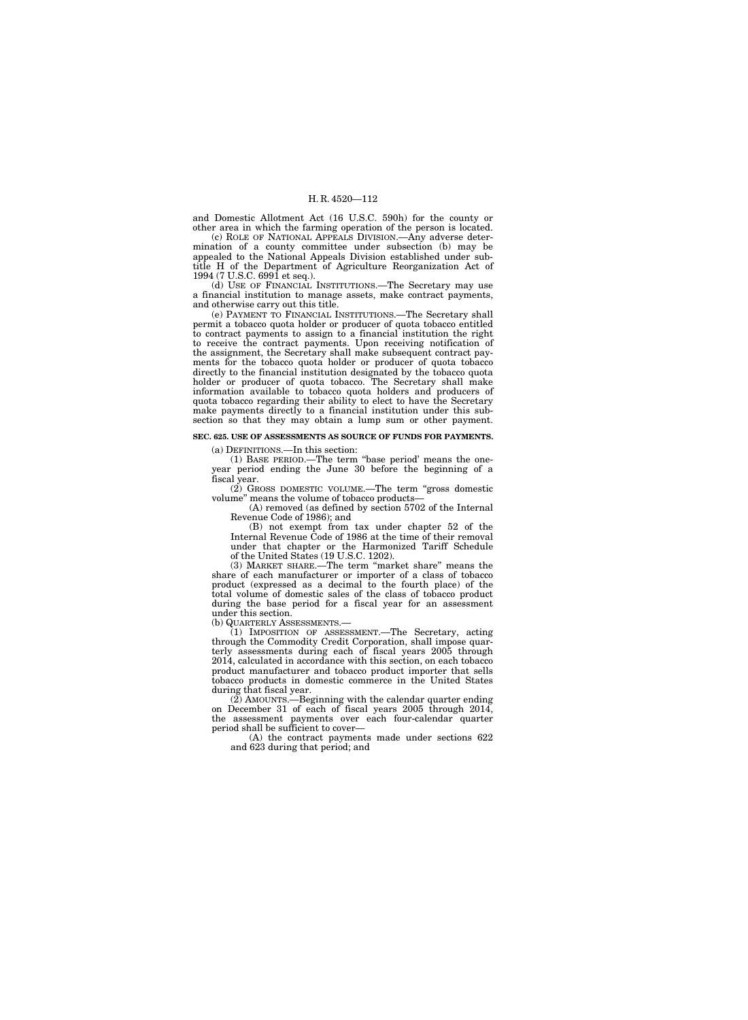and Domestic Allotment Act (16 U.S.C. 590h) for the county or other area in which the farming operation of the person is located.

(c) ROLE OF NATIONAL APPEALS DIVISION.—Any adverse determination of a county committee under subsection (b) may be appealed to the National Appeals Division established under subtitle H of the Department of Agriculture Reorganization Act of 1994 (7 U.S.C. 6991 et seq.).

(d) USE OF FINANCIAL INSTITUTIONS.—The Secretary may use a financial institution to manage assets, make contract payments, and otherwise carry out this title.

(e) PAYMENT TO FINANCIAL INSTITUTIONS.—The Secretary shall permit a tobacco quota holder or producer of quota tobacco entitled to contract payments to assign to a financial institution the right to receive the contract payments. Upon receiving notification of the assignment, the Secretary shall make subsequent contract payments for the tobacco quota holder or producer of quota tobacco directly to the financial institution designated by the tobacco quota holder or producer of quota tobacco. The Secretary shall make information available to tobacco quota holders and producers of quota tobacco regarding their ability to elect to have the Secretary make payments directly to a financial institution under this subsection so that they may obtain a lump sum or other payment.

#### **SEC. 625. USE OF ASSESSMENTS AS SOURCE OF FUNDS FOR PAYMENTS.**

(a) DEFINITIONS.—In this section:

(1) BASE PERIOD.—The term ''base period' means the oneyear period ending the June 30 before the beginning of a fiscal year.

(2) GROSS DOMESTIC VOLUME.—The term ''gross domestic volume'' means the volume of tobacco products—

(A) removed (as defined by section 5702 of the Internal Revenue Code of 1986); and

(B) not exempt from tax under chapter 52 of the Internal Revenue Code of 1986 at the time of their removal under that chapter or the Harmonized Tariff Schedule of the United States (19 U.S.C. 1202).

(3) MARKET SHARE.—The term ''market share'' means the share of each manufacturer or importer of a class of tobacco product (expressed as a decimal to the fourth place) of the total volume of domestic sales of the class of tobacco product during the base period for a fiscal year for an assessment under this section.

(b) QUARTERLY ASSESSMENTS.—

(1) IMPOSITION OF ASSESSMENT.—The Secretary, acting through the Commodity Credit Corporation, shall impose quarterly assessments during each of fiscal years 2005 through 2014, calculated in accordance with this section, on each tobacco product manufacturer and tobacco product importer that sells tobacco products in domestic commerce in the United States during that fiscal year.

(2) AMOUNTS.—Beginning with the calendar quarter ending on December 31 of each of fiscal years 2005 through 2014, the assessment payments over each four-calendar quarter period shall be sufficient to cover—

(A) the contract payments made under sections 622 and 623 during that period; and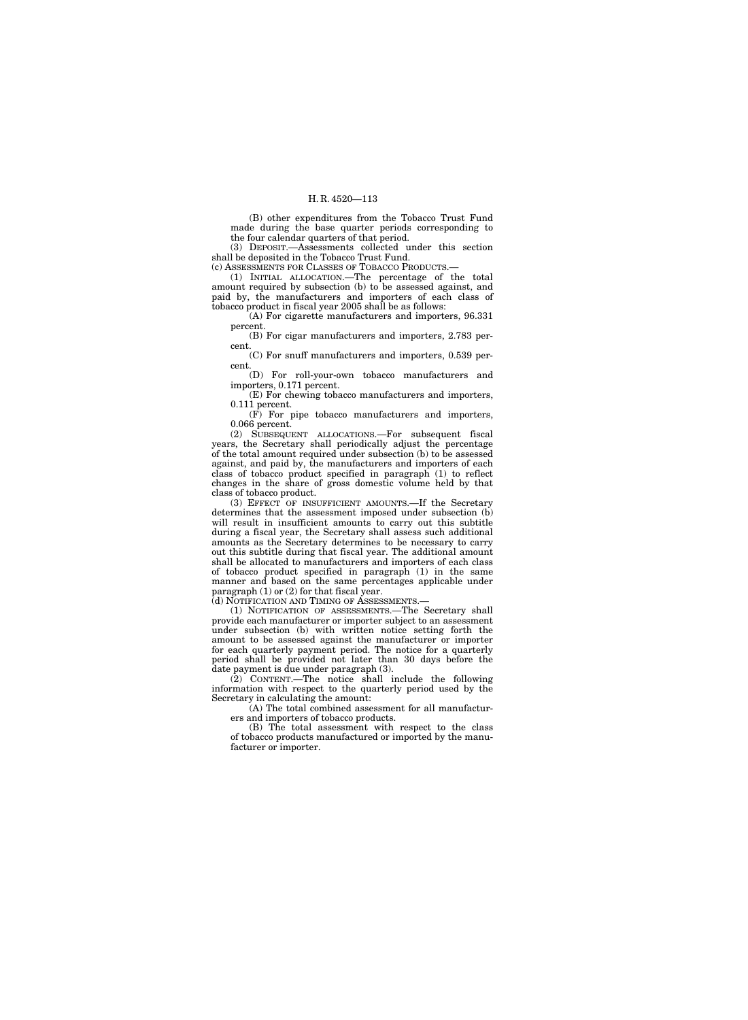(B) other expenditures from the Tobacco Trust Fund made during the base quarter periods corresponding to the four calendar quarters of that period.

(3) DEPOSIT.—Assessments collected under this section shall be deposited in the Tobacco Trust Fund.

(c) ASSESSMENTS FOR CLASSES OF TOBACCO PRODUCTS.—

(1) INITIAL ALLOCATION.—The percentage of the total amount required by subsection (b) to be assessed against, and paid by, the manufacturers and importers of each class of tobacco product in fiscal year 2005 shall be as follows:

(A) For cigarette manufacturers and importers, 96.331 percent. (B) For cigar manufacturers and importers, 2.783 per-

cent. (C) For snuff manufacturers and importers, 0.539 per-

cent. (D) For roll-your-own tobacco manufacturers and

importers, 0.171 percent. (E) For chewing tobacco manufacturers and importers, 0.111 percent.

(F) For pipe tobacco manufacturers and importers, 0.066 percent.

(2) SUBSEQUENT ALLOCATIONS.—For subsequent fiscal years, the Secretary shall periodically adjust the percentage of the total amount required under subsection (b) to be assessed against, and paid by, the manufacturers and importers of each class of tobacco product specified in paragraph (1) to reflect changes in the share of gross domestic volume held by that class of tobacco product.

(3) EFFECT OF INSUFFICIENT AMOUNTS.—If the Secretary determines that the assessment imposed under subsection (b) will result in insufficient amounts to carry out this subtitle during a fiscal year, the Secretary shall assess such additional amounts as the Secretary determines to be necessary to carry out this subtitle during that fiscal year. The additional amount shall be allocated to manufacturers and importers of each class of tobacco product specified in paragraph (1) in the same manner and based on the same percentages applicable under paragraph (1) or (2) for that fiscal year.

(d) NOTIFICATION AND TIMING OF ASSESSMENTS.—

(1) NOTIFICATION OF ASSESSMENTS.—The Secretary shall provide each manufacturer or importer subject to an assessment under subsection (b) with written notice setting forth the amount to be assessed against the manufacturer or importer for each quarterly payment period. The notice for a quarterly period shall be provided not later than 30 days before the date payment is due under paragraph (3).

(2) CONTENT.—The notice shall include the following information with respect to the quarterly period used by the Secretary in calculating the amount:

(A) The total combined assessment for all manufacturers and importers of tobacco products.

(B) The total assessment with respect to the class of tobacco products manufactured or imported by the manufacturer or importer.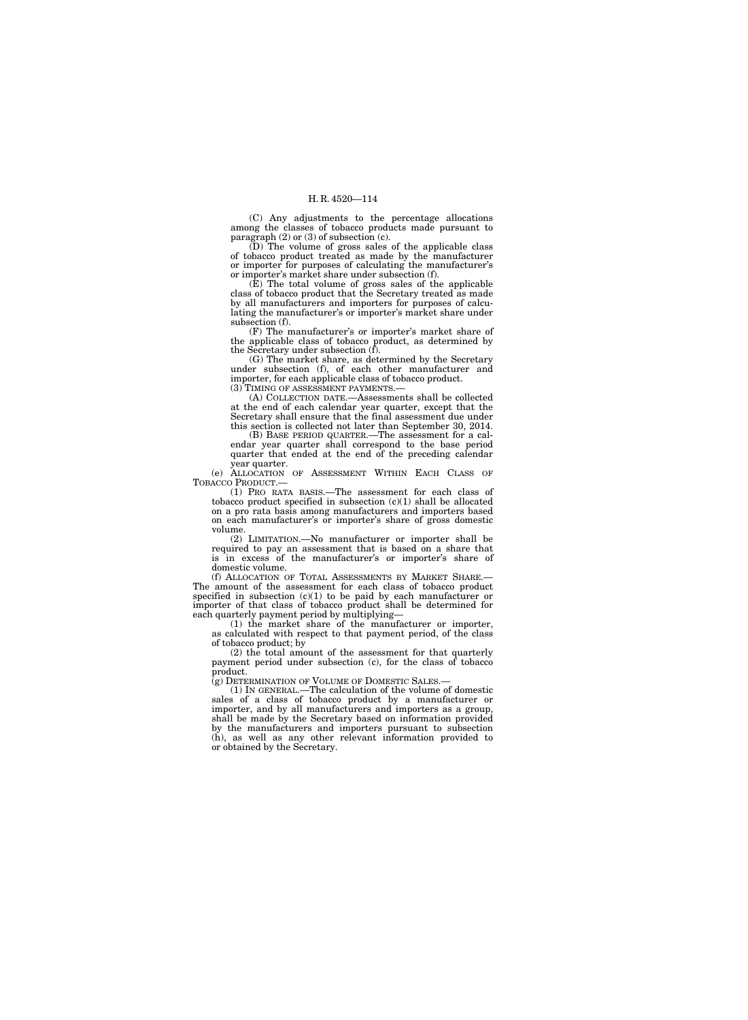(C) Any adjustments to the percentage allocations among the classes of tobacco products made pursuant to paragraph (2) or (3) of subsection (c).

(D) The volume of gross sales of the applicable class of tobacco product treated as made by the manufacturer or importer for purposes of calculating the manufacturer's or importer's market share under subsection (f).

(E) The total volume of gross sales of the applicable class of tobacco product that the Secretary treated as made by all manufacturers and importers for purposes of calculating the manufacturer's or importer's market share under subsection (f).

(F) The manufacturer's or importer's market share of the applicable class of tobacco product, as determined by the Secretary under subsection (f).

(G) The market share, as determined by the Secretary under subsection (f), of each other manufacturer and importer, for each applicable class of tobacco product.<br>(3) TIMING OF ASSESSMENT PAYMENTS.—

(A) COLLECTION DATE.—Assessments shall be collected at the end of each calendar year quarter, except that the Secretary shall ensure that the final assessment due under this section is collected not later than September 30, 2014.

(B) BASE PERIOD QUARTER.—The assessment for a calendar year quarter shall correspond to the base period quarter that ended at the end of the preceding calendar year quarter.

(e) ALLOCATION OF ASSESSMENT WITHIN EACH CLASS OF TOBACCO PRODUCT.—

(1) PRO RATA BASIS.—The assessment for each class of tobacco product specified in subsection  $(c)(1)$  shall be allocated on a pro rata basis among manufacturers and importers based on each manufacturer's or importer's share of gross domestic volume.

(2) LIMITATION.—No manufacturer or importer shall be required to pay an assessment that is based on a share that is in excess of the manufacturer's or importer's share of domestic volume.

(f) ALLOCATION OF TOTAL ASSESSMENTS BY MARKET SHARE.— The amount of the assessment for each class of tobacco product specified in subsection  $(c)(1)$  to be paid by each manufacturer or importer of that class of tobacco product shall be determined for each quarterly payment period by multiplying—

(1) the market share of the manufacturer or importer, as calculated with respect to that payment period, of the class of tobacco product; by

(2) the total amount of the assessment for that quarterly payment period under subsection (c), for the class of tobacco product.<br>(g) DETERMINATION OF VOLUME OF DOMESTIC SALES.—

(1) IN GENERAL.—The calculation of the volume of domestic sales of a class of tobacco product by a manufacturer or importer, and by all manufacturers and importers as a group, shall be made by the Secretary based on information provided by the manufacturers and importers pursuant to subsection (h), as well as any other relevant information provided to or obtained by the Secretary.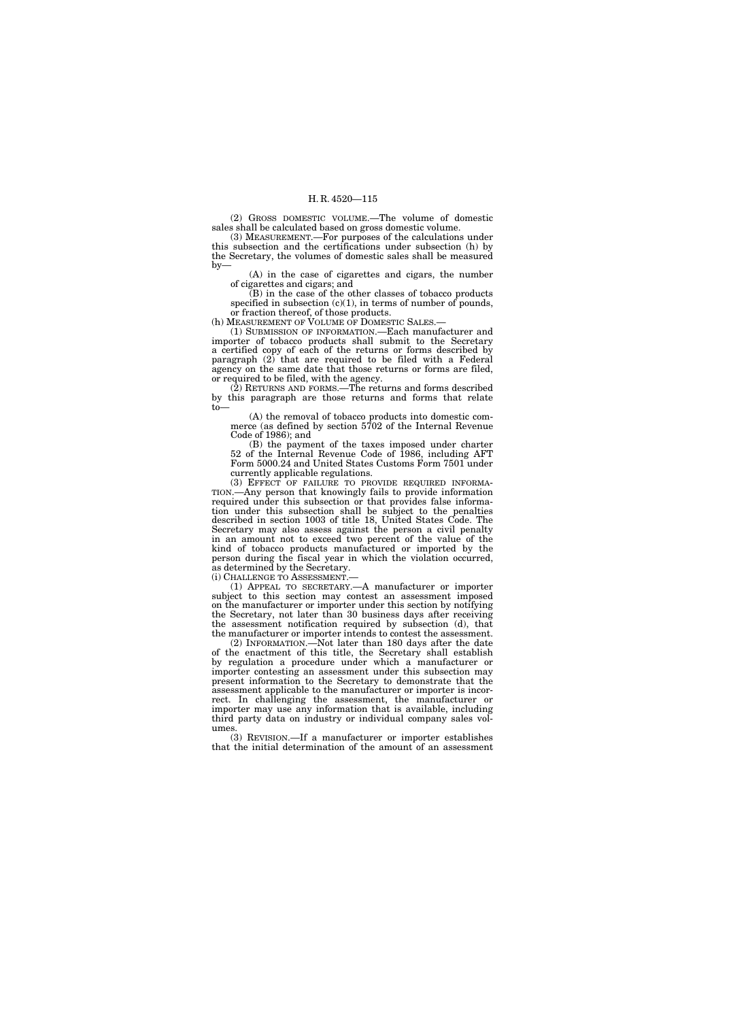(2) GROSS DOMESTIC VOLUME.—The volume of domestic sales shall be calculated based on gross domestic volume.

(3) MEASUREMENT.—For purposes of the calculations under this subsection and the certifications under subsection (h) by the Secretary, the volumes of domestic sales shall be measured by—

(A) in the case of cigarettes and cigars, the number of cigarettes and cigars; and

(B) in the case of the other classes of tobacco products specified in subsection  $(c)(1)$ , in terms of number of pounds, or fraction thereof, of those products.

(h) MEASUREMENT OF VOLUME OF DOMESTIC SALES.—

(1) SUBMISSION OF INFORMATION.—Each manufacturer and importer of tobacco products shall submit to the Secretary a certified copy of each of the returns or forms described by paragraph  $(2)$  that are required to be filed with a Federal agency on the same date that those returns or forms are filed, or required to be filed, with the agency.

(2) RETURNS AND FORMS.—The returns and forms described by this paragraph are those returns and forms that relate to— (A) the removal of tobacco products into domestic com-

merce (as defined by section 5702 of the Internal Revenue Code of 1986); and

(B) the payment of the taxes imposed under charter 52 of the Internal Revenue Code of 1986, including AFT Form 5000.24 and United States Customs Form 7501 under currently applicable regulations.

(3) EFFECT OF FAILURE TO PROVIDE REQUIRED INFORMA-TION.—Any person that knowingly fails to provide information required under this subsection or that provides false information under this subsection shall be subject to the penalties described in section 1003 of title 18, United States Code. The Secretary may also assess against the person a civil penalty in an amount not to exceed two percent of the value of the kind of tobacco products manufactured or imported by the person during the fiscal year in which the violation occurred, as determined by the Secretary.

(i) CHALLENGE TO ASSESSMENT.—

(1) APPEAL TO SECRETARY.—A manufacturer or importer subject to this section may contest an assessment imposed on the manufacturer or importer under this section by notifying the Secretary, not later than 30 business days after receiving the assessment notification required by subsection (d), that the manufacturer or importer intends to contest the assessment.

(2) INFORMATION.—Not later than 180 days after the date of the enactment of this title, the Secretary shall establish by regulation a procedure under which a manufacturer or importer contesting an assessment under this subsection may present information to the Secretary to demonstrate that the assessment applicable to the manufacturer or importer is incorrect. In challenging the assessment, the manufacturer or importer may use any information that is available, including third party data on industry or individual company sales volumes.

(3) REVISION.—If a manufacturer or importer establishes that the initial determination of the amount of an assessment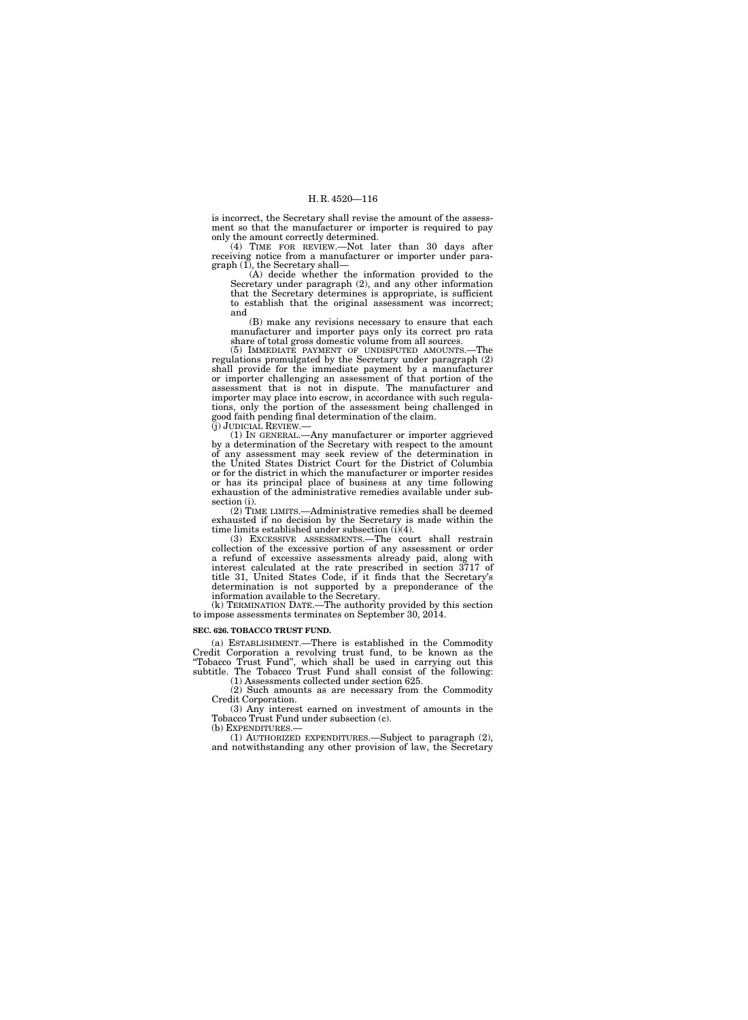is incorrect, the Secretary shall revise the amount of the assessment so that the manufacturer or importer is required to pay only the amount correctly determined.

(4) TIME FOR REVIEW.—Not later than 30 days after receiving notice from a manufacturer or importer under paragraph (1), the Secretary shall—

(A) decide whether the information provided to the Secretary under paragraph (2), and any other information that the Secretary determines is appropriate, is sufficient to establish that the original assessment was incorrect; and

(B) make any revisions necessary to ensure that each manufacturer and importer pays only its correct pro rata share of total gross domestic volume from all sources.

(5) IMMEDIATE PAYMENT OF UNDISPUTED AMOUNTS. regulations promulgated by the Secretary under paragraph (2) shall provide for the immediate payment by a manufacturer or importer challenging an assessment of that portion of the assessment that is not in dispute. The manufacturer and importer may place into escrow, in accordance with such regulations, only the portion of the assessment being challenged in good faith pending final determination of the claim. (j) JUDICIAL REVIEW.—

(1) IN GENERAL.—Any manufacturer or importer aggrieved by a determination of the Secretary with respect to the amount of any assessment may seek review of the determination in the United States District Court for the District of Columbia or for the district in which the manufacturer or importer resides or has its principal place of business at any time following exhaustion of the administrative remedies available under subsection (i).

(2) TIME LIMITS.—Administrative remedies shall be deemed exhausted if no decision by the Secretary is made within the time limits established under subsection  $(i)(4)$ .

(3) EXCESSIVE ASSESSMENTS.—The court shall restrain collection of the excessive portion of any assessment or order a refund of excessive assessments already paid, along with interest calculated at the rate prescribed in section 3717 of title 31, United States Code, if it finds that the Secretary's determination is not supported by a preponderance of the information available to the Secretary.

(k) TERMINATION DATE.—The authority provided by this section to impose assessments terminates on September 30, 2014.

#### **SEC. 626. TOBACCO TRUST FUND.**

(a) ESTABLISHMENT.—There is established in the Commodity Credit Corporation a revolving trust fund, to be known as the ''Tobacco Trust Fund'', which shall be used in carrying out this subtitle. The Tobacco Trust Fund shall consist of the following:

(1) Assessments collected under section 625. (2) Such amounts as are necessary from the Commodity Credit Corporation.

(3) Any interest earned on investment of amounts in the Tobacco Trust Fund under subsection (c).

(1) AUTHORIZED EXPENDITURES.—Subject to paragraph (2), and notwithstanding any other provision of law, the Secretary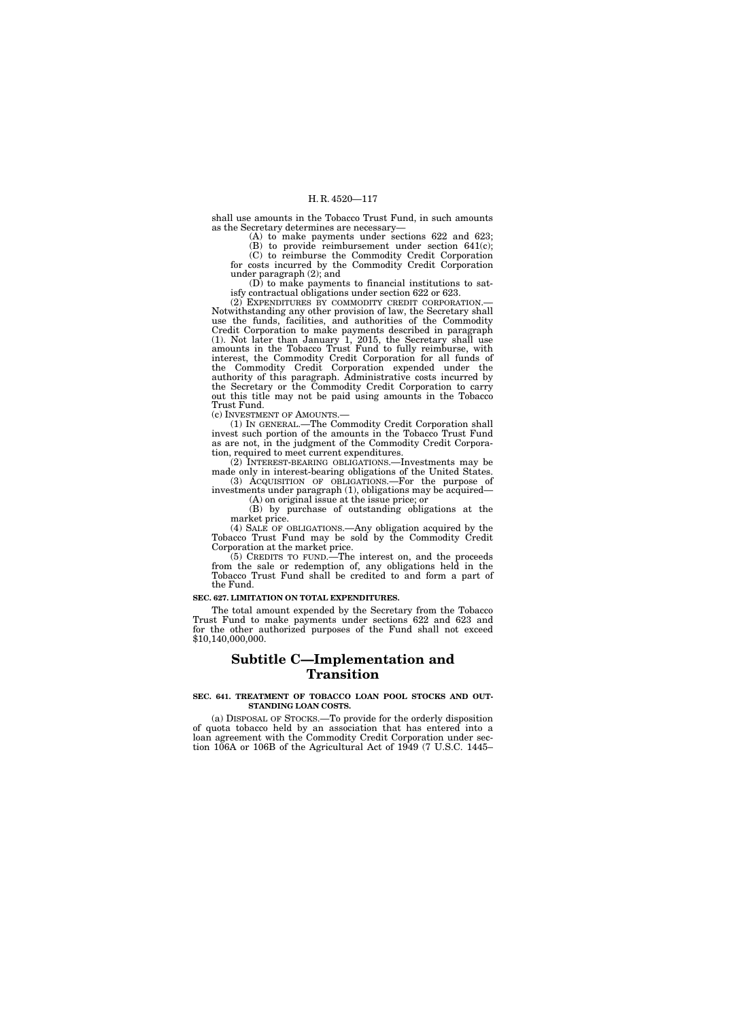shall use amounts in the Tobacco Trust Fund, in such amounts as the Secretary determines are necessary—

(A) to make payments under sections  $622$  and  $623$ ;  $(B)$  to provide reimbursement under section  $641(c)$ ;

(C) to reimburse the Commodity Credit Corporation for costs incurred by the Commodity Credit Corporation under paragraph (2); and

(D) to make payments to financial institutions to satisfy contractual obligations under section 622 or 623.

(2) EXPENDITURES BY COMMODITY CREDIT CORPORATION.— Notwithstanding any other provision of law, the Secretary shall use the funds, facilities, and authorities of the Commodity Credit Corporation to make payments described in paragraph (1). Not later than January 1, 2015, the Secretary shall use amounts in the Tobacco Trust Fund to fully reimburse, with interest, the Commodity Credit Corporation for all funds of the Commodity Credit Corporation expended under the authority of this paragraph. Administrative costs incurred by the Secretary or the Commodity Credit Corporation to carry out this title may not be paid using amounts in the Tobacco Trust Fund.

(c) INVESTMENT OF AMOUNTS.—

(1) IN GENERAL.—The Commodity Credit Corporation shall invest such portion of the amounts in the Tobacco Trust Fund as are not, in the judgment of the Commodity Credit Corporation, required to meet current expenditures.

(2) INTEREST-BEARING OBLIGATIONS.—Investments may be made only in interest-bearing obligations of the United States. (3) ACQUISITION OF OBLIGATIONS.—For the purpose of

investments under paragraph (1), obligations may be acquired— (A) on original issue at the issue price; or

(B) by purchase of outstanding obligations at the market price.

(4) SALE OF OBLIGATIONS.—Any obligation acquired by the Tobacco Trust Fund may be sold by the Commodity Credit Corporation at the market price.

(5) CREDITS TO FUND.—The interest on, and the proceeds from the sale or redemption of, any obligations held in the Tobacco Trust Fund shall be credited to and form a part of the Fund.

#### **SEC. 627. LIMITATION ON TOTAL EXPENDITURES.**

The total amount expended by the Secretary from the Tobacco Trust Fund to make payments under sections 622 and 623 and for the other authorized purposes of the Fund shall not exceed \$10,140,000,000.

# **Subtitle C—Implementation and Transition**

#### **SEC. 641. TREATMENT OF TOBACCO LOAN POOL STOCKS AND OUT-STANDING LOAN COSTS.**

(a) DISPOSAL OF STOCKS.—To provide for the orderly disposition of quota tobacco held by an association that has entered into a loan agreement with the Commodity Credit Corporation under section 106A or 106B of the Agricultural Act of 1949 (7 U.S.C. 1445–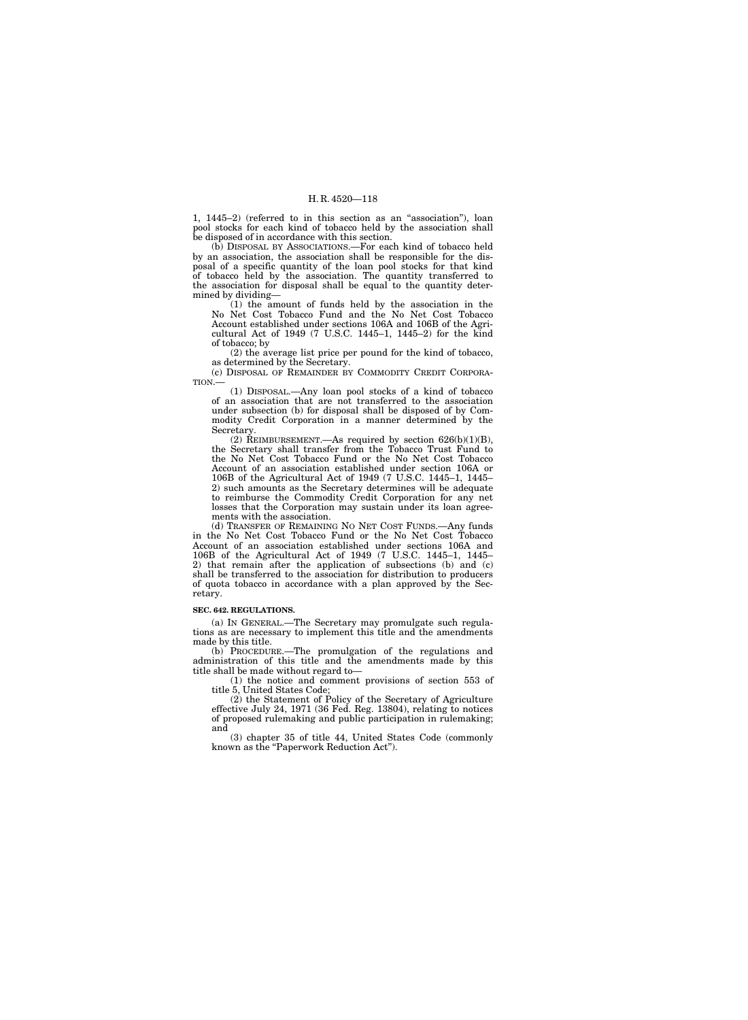1, 1445–2) (referred to in this section as an ''association''), loan pool stocks for each kind of tobacco held by the association shall be disposed of in accordance with this section.

(b) DISPOSAL BY ASSOCIATIONS.—For each kind of tobacco held by an association, the association shall be responsible for the disposal of a specific quantity of the loan pool stocks for that kind of tobacco held by the association. The quantity transferred to the association for disposal shall be equal to the quantity determined by dividing—

(1) the amount of funds held by the association in the No Net Cost Tobacco Fund and the No Net Cost Tobacco Account established under sections 106A and 106B of the Agricultural Act of 1949 (7 U.S.C. 1445–1, 1445–2) for the kind of tobacco; by

(2) the average list price per pound for the kind of tobacco, as determined by the Secretary.

(c) DISPOSAL OF REMAINDER BY COMMODITY CREDIT CORPORA-TION.—

(1) DISPOSAL.—Any loan pool stocks of a kind of tobacco of an association that are not transferred to the association under subsection (b) for disposal shall be disposed of by Commodity Credit Corporation in a manner determined by the Secretary.

(2) REIMBURSEMENT.—As required by section  $626(b)(1)(B)$ , the Secretary shall transfer from the Tobacco Trust Fund to the No Net Cost Tobacco Fund or the No Net Cost Tobacco Account of an association established under section 106A or 106B of the Agricultural Act of 1949 (7 U.S.C. 1445–1, 1445– 2) such amounts as the Secretary determines will be adequate to reimburse the Commodity Credit Corporation for any net losses that the Corporation may sustain under its loan agreements with the association.

(d) TRANSFER OF REMAINING NO NET COST FUNDS.—Any funds in the No Net Cost Tobacco Fund or the No Net Cost Tobacco Account of an association established under sections 106A and 106B of the Agricultural Act of 1949 (7 U.S.C. 1445–1, 1445– 2) that remain after the application of subsections (b) and (c) shall be transferred to the association for distribution to producers of quota tobacco in accordance with a plan approved by the Secretary.

#### **SEC. 642. REGULATIONS.**

(a) IN GENERAL.—The Secretary may promulgate such regulations as are necessary to implement this title and the amendments made by this title.

(b) PROCEDURE.—The promulgation of the regulations and administration of this title and the amendments made by this title shall be made without regard to—

(1) the notice and comment provisions of section 553 of title 5, United States Code;

(2) the Statement of Policy of the Secretary of Agriculture effective July 24, 1971 (36 Fed. Reg. 13804), relating to notices of proposed rulemaking and public participation in rulemaking; and

(3) chapter 35 of title 44, United States Code (commonly known as the "Paperwork Reduction Act").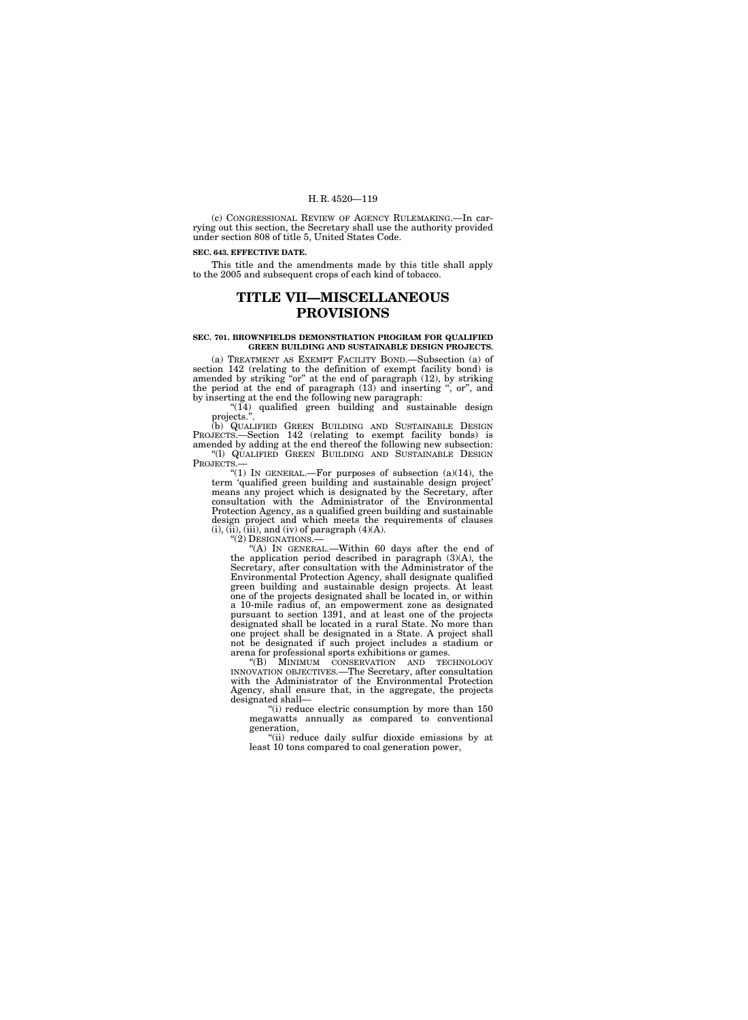(c) CONGRESSIONAL REVIEW OF AGENCY RULEMAKING.—In carrying out this section, the Secretary shall use the authority provided under section 808 of title 5, United States Code.

#### **SEC. 643. EFFECTIVE DATE.**

This title and the amendments made by this title shall apply to the 2005 and subsequent crops of each kind of tobacco.

# **TITLE VII—MISCELLANEOUS PROVISIONS**

#### **SEC. 701. BROWNFIELDS DEMONSTRATION PROGRAM FOR QUALIFIED GREEN BUILDING AND SUSTAINABLE DESIGN PROJECTS.**

(a) TREATMENT AS EXEMPT FACILITY BOND.—Subsection (a) of section 142 (relating to the definition of exempt facility bond) is amended by striking "or" at the end of paragraph (12), by striking the period at the end of paragraph (13) and inserting ", or", and by inserting at the end the following new paragraph:

"(14) qualified green building and sustainable design projects.''.

(b) QUALIFIED GREEN BUILDING AND SUSTAINABLE DESIGN PROJECTS.—Section 142 (relating to exempt facility bonds) is amended by adding at the end thereof the following new subsection: ''(l) QUALIFIED GREEN BUILDING AND SUSTAINABLE DESIGN PROJECTS.

"(1) IN GENERAL.—For purposes of subsection  $(a)(14)$ , the term 'qualified green building and sustainable design project' means any project which is designated by the Secretary, after consultation with the Administrator of the Environmental Protection Agency, as a qualified green building and sustainable design project and which meets the requirements of clauses (i), (ii), (iii), and (iv) of paragraph (4)(A). "(2) DESIGNATIONS.—

"(A) In GENERAL.—Within 60 days after the end of the application period described in paragraph  $(3)(A)$ , the Secretary, after consultation with the Administrator of the Environmental Protection Agency, shall designate qualified green building and sustainable design projects. At least one of the projects designated shall be located in, or within a 10-mile radius of, an empowerment zone as designated pursuant to section 1391, and at least one of the projects designated shall be located in a rural State. No more than one project shall be designated in a State. A project shall not be designated if such project includes a stadium or arena for professional sports exhibitions or games.

''(B) MINIMUM CONSERVATION AND TECHNOLOGY INNOVATION OBJECTIVES.—The Secretary, after consultation with the Administrator of the Environmental Protection Agency, shall ensure that, in the aggregate, the projects

"(i) reduce electric consumption by more than  $150$ megawatts annually as compared to conventional generation, ''(ii) reduce daily sulfur dioxide emissions by at

least 10 tons compared to coal generation power,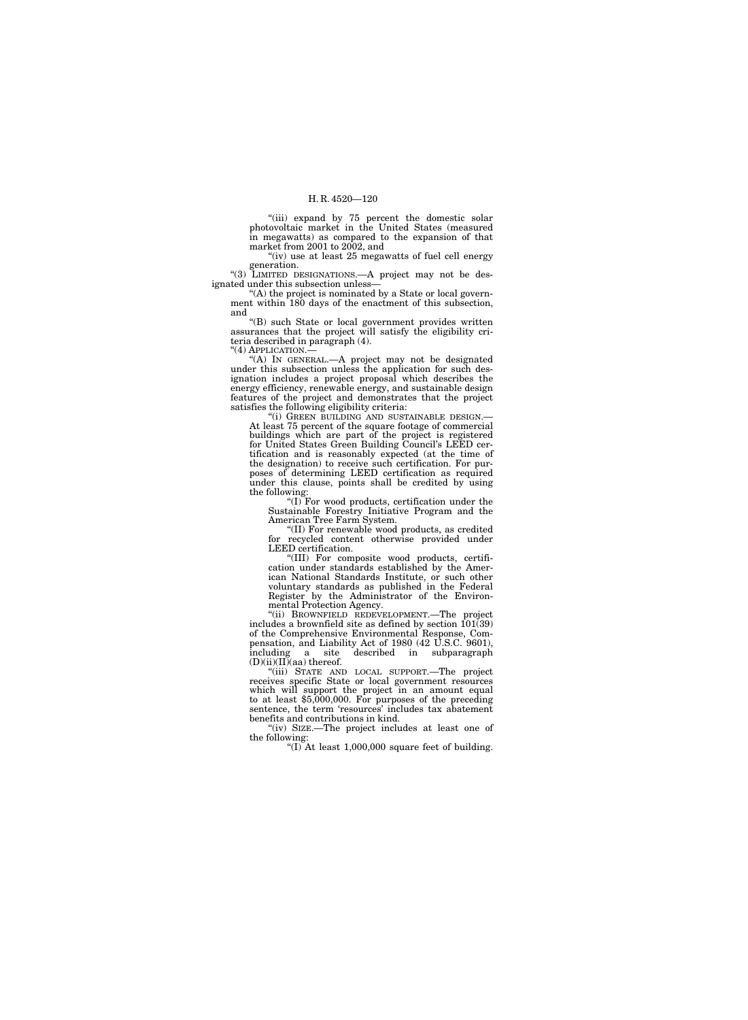"(iii) expand by 75 percent the domestic solar photovoltaic market in the United States (measured in megawatts) as compared to the expansion of that market from 2001 to 2002, and

"(iv) use at least 25 megawatts of fuel cell energy generation.

"(3) LIMITED DESIGNATIONS.—A project may not be designated under this subsection unless—

''(A) the project is nominated by a State or local government within 180 days of the enactment of this subsection, and

''(B) such State or local government provides written assurances that the project will satisfy the eligibility criteria described in paragraph (4). ''(4) APPLICATION.—

''(A) IN GENERAL.—A project may not be designated under this subsection unless the application for such designation includes a project proposal which describes the energy efficiency, renewable energy, and sustainable design features of the project and demonstrates that the project

"(i) GREEN BUILDING AND SUSTAINABLE DESIGN.— At least 75 percent of the square footage of commercial buildings which are part of the project is registered for United States Green Building Council's LEED certification and is reasonably expected (at the time of the designation) to receive such certification. For purposes of determining LEED certification as required under this clause, points shall be credited by using the following:

''(I) For wood products, certification under the Sustainable Forestry Initiative Program and the American Tree Farm System.

''(II) For renewable wood products, as credited for recycled content otherwise provided under LEED certification.

''(III) For composite wood products, certification under standards established by the American National Standards Institute, or such other voluntary standards as published in the Federal Register by the Administrator of the Environmental Protection Agency.

''(ii) BROWNFIELD REDEVELOPMENT.—The project includes a brownfield site as defined by section  $101(39)$ of the Comprehensive Environmental Response, Compensation, and Liability Act of 1980 (42 U.S.C. 9601), including a site described in subparagraph described in subparagraph (D)(ii)(II)(aa) thereof. ''(iii) STATE AND LOCAL SUPPORT.—The project

receives specific State or local government resources which will support the project in an amount equal to at least \$5,000,000. For purposes of the preceding sentence, the term 'resources' includes tax abatement

benefits and contributions in kind.<br>"(iv) SIZE.—The project includes at least one of the following:

"(I) At least  $1,000,000$  square feet of building.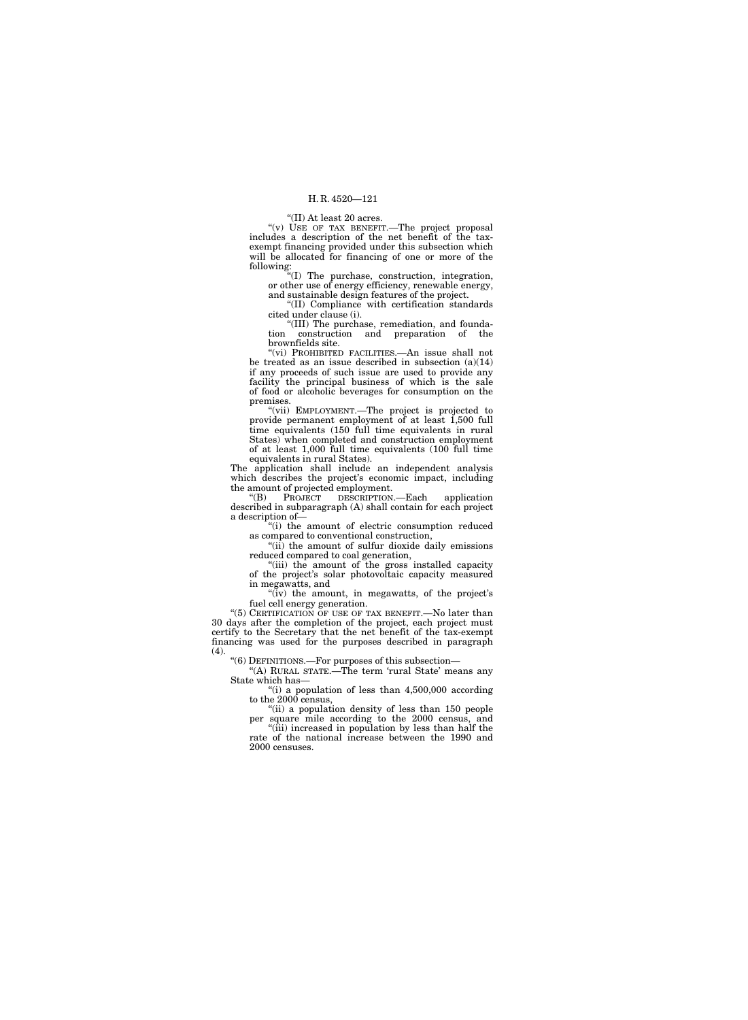''(II) At least 20 acres.

"(v) USE OF TAX BENEFIT. The project proposal includes a description of the net benefit of the taxexempt financing provided under this subsection which will be allocated for financing of one or more of the following:

''(I) The purchase, construction, integration, or other use of energy efficiency, renewable energy,

and sustainable design features of the project. ''(II) Compliance with certification standards cited under clause (i).

''(III) The purchase, remediation, and foundation construction and preparation of the brownfields site.

''(vi) PROHIBITED FACILITIES.—An issue shall not be treated as an issue described in subsection  $(a)(14)$ if any proceeds of such issue are used to provide any facility the principal business of which is the sale of food or alcoholic beverages for consumption on the premises.

''(vii) EMPLOYMENT.—The project is projected to provide permanent employment of at least 1,500 full time equivalents (150 full time equivalents in rural States) when completed and construction employment of at least 1,000 full time equivalents (100 full time equivalents in rural States).

The application shall include an independent analysis which describes the project's economic impact, including the amount of projected employment.<br>"(B) PROJECT DESCRIPTION.

''(B) PROJECT DESCRIPTION.—Each application described in subparagraph (A) shall contain for each project a description of—

''(i) the amount of electric consumption reduced as compared to conventional construction,

"(ii) the amount of sulfur dioxide daily emissions reduced compared to coal generation,

"(iii) the amount of the gross installed capacity of the project's solar photovoltaic capacity measured in megawatts, and

"(iv) the amount, in megawatts, of the project's fuel cell energy generation.

"(5) CERTIFICATION OF USE OF TAX BENEFIT.—No later than 30 days after the completion of the project, each project must certify to the Secretary that the net benefit of the tax-exempt financing was used for the purposes described in paragraph (4).

''(6) DEFINITIONS.—For purposes of this subsection—

''(A) RURAL STATE.—The term 'rural State' means any State which has—

''(i) a population of less than 4,500,000 according to the 2000 census,

"(ii) a population density of less than 150 people per square mile according to the 2000 census, and ''(iii) increased in population by less than half the

rate of the national increase between the 1990 and 2000 censuses.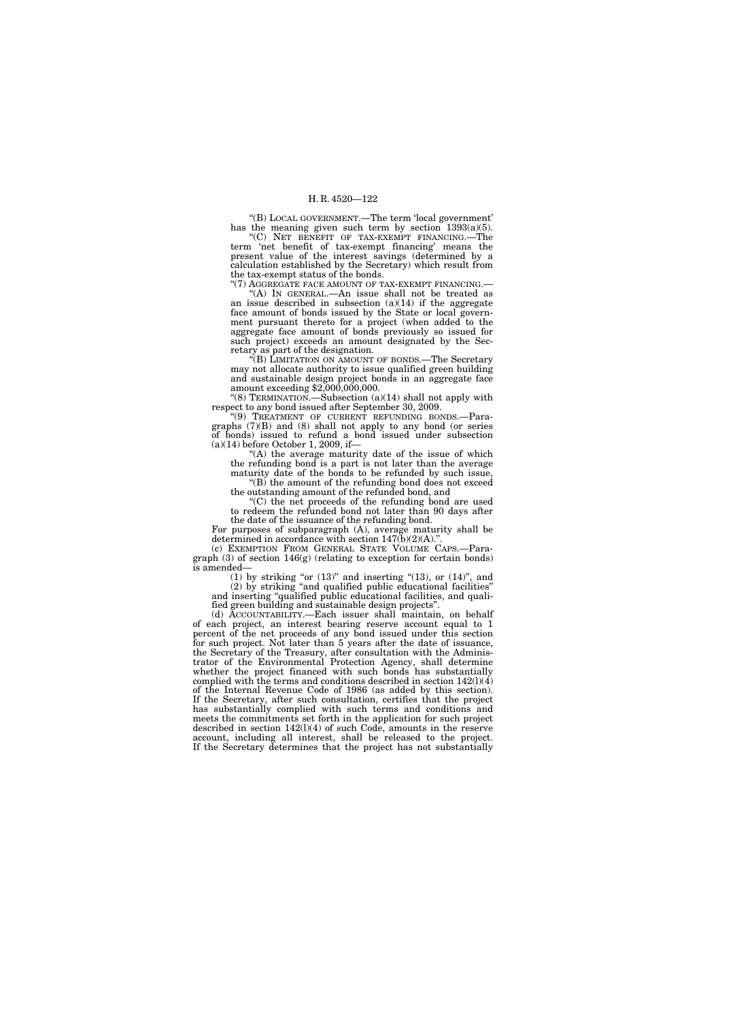''(B) LOCAL GOVERNMENT.—The term 'local government' has the meaning given such term by section  $1393(a)(5)$ .

''(C) NET BENEFIT OF TAX-EXEMPT FINANCING.—The term 'net benefit of tax-exempt financing' means the present value of the interest savings (determined by a calculation established by the Secretary) which result from the tax-exempt status of the bonds.

''(7) AGGREGATE FACE AMOUNT OF TAX-EXEMPT FINANCING.— ''(A) IN GENERAL.—An issue shall not be treated as an issue described in subsection  $(a)(14)$  if the aggregate face amount of bonds issued by the State or local government pursuant thereto for a project (when added to the aggregate face amount of bonds previously so issued for such project) exceeds an amount designated by the Secretary as part of the designation.

''(B) LIMITATION ON AMOUNT OF BONDS.—The Secretary may not allocate authority to issue qualified green building and sustainable design project bonds in an aggregate face amount exceeding \$2,000,000,000.

"(8) TERMINATION.—Subsection  $(a)(14)$  shall not apply with respect to any bond issued after September 30, 2009.<br>"(9) TREATMENT OF CURRENT REFUNDING BONDS.—Para-

graphs (7)(B) and (8) shall not apply to any bond (or series of bonds) issued to refund a bond issued under subsection  $(a)(14)$  before October 1, 2009, if-

''(A) the average maturity date of the issue of which the refunding bond is a part is not later than the average maturity date of the bonds to be refunded by such issue,

"(B) the amount of the refunding bond does not exceed the outstanding amount of the refunded bond, and

''(C) the net proceeds of the refunding bond are used to redeem the refunded bond not later than 90 days after the date of the issuance of the refunding bond.

For purposes of subparagraph (A), average maturity shall be determined in accordance with section 147(b)(2)(A)."

(c) EXEMPTION FROM GENERAL STATE VOLUME CAPS.—Paragraph (3) of section  $146(g)$  (relating to exception for certain bonds) is amended—

(1) by striking "or  $(13)$ " and inserting " $(13)$ , or  $(14)$ ", and  $(2)$  by striking "and qualified public educational facilities"

and inserting "qualified public educational facilities, and qualified green building and sustainable design projects".

(d) ACCOUNTABILITY.—Each issuer shall maintain, on behalf of each project, an interest bearing reserve account equal to 1 percent of the net proceeds of any bond issued under this section for such project. Not later than 5 years after the date of issuance, the Secretary of the Treasury, after consultation with the Administrator of the Environmental Protection Agency, shall determine whether the project financed with such bonds has substantially complied with the terms and conditions described in section  $142(1)(4)$ of the Internal Revenue Code of 1986 (as added by this section). If the Secretary, after such consultation, certifies that the project has substantially complied with such terms and conditions and meets the commitments set forth in the application for such project described in section 142(l)(4) of such Code, amounts in the reserve account, including all interest, shall be released to the project. If the Secretary determines that the project has not substantially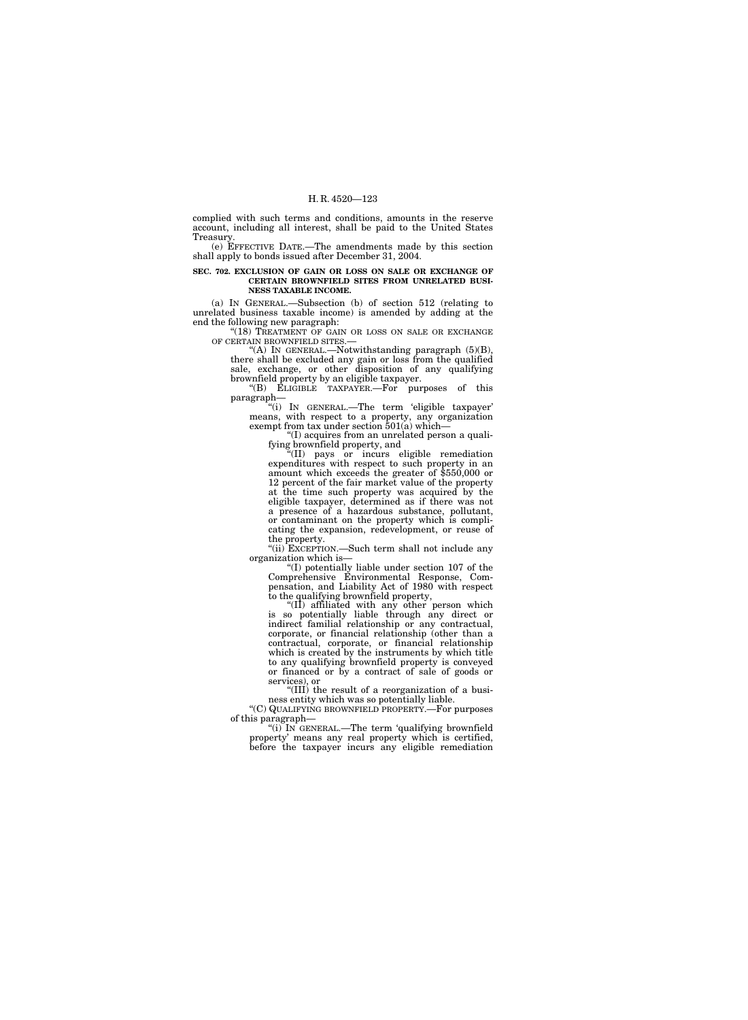complied with such terms and conditions, amounts in the reserve account, including all interest, shall be paid to the United States **Treasury** 

(e) EFFECTIVE DATE.—The amendments made by this section shall apply to bonds issued after December 31, 2004.

#### **SEC. 702. EXCLUSION OF GAIN OR LOSS ON SALE OR EXCHANGE OF CERTAIN BROWNFIELD SITES FROM UNRELATED BUSI-NESS TAXABLE INCOME.**

(a) IN GENERAL.—Subsection (b) of section 512 (relating to unrelated business taxable income) is amended by adding at the end the following new paragraph:

"(18) TREATMENT OF GAIN OR LOSS ON SALE OR EXCHANGE OF CERTAIN BROWNFIELD SITES.—

''(A) IN GENERAL.—Notwithstanding paragraph (5)(B), there shall be excluded any gain or loss from the qualified sale, exchange, or other disposition of any qualifying brownfield property by an eligible taxpayer.

''(B) ELIGIBLE TAXPAYER.—For purposes of this paragraph—<br>"(i) IN GENERAL.—The term 'eligible taxpayer'

means, with respect to a property, any organization exempt from tax under section 501(a) which—

''(I) acquires from an unrelated person a qualifying brownfield property, and

''(II) pays or incurs eligible remediation expenditures with respect to such property in an amount which exceeds the greater of \$550,000 or 12 percent of the fair market value of the property at the time such property was acquired by the eligible taxpayer, determined as if there was not a presence of a hazardous substance, pollutant, or contaminant on the property which is complicating the expansion, redevelopment, or reuse of the property.

"(ii) EXCEPTION.—Such term shall not include any organization which is organization which is—<br>"(I) potentially liable under section 107 of the

Comprehensive Environmental Response, Compensation, and Liability Act of 1980 with respect

 $f(II)$  affiliated with any other person which is so potentially liable through any direct or indirect familial relationship or any contractual, corporate, or financial relationship (other than a contractual, corporate, or financial relationship which is created by the instruments by which title to any qualifying brownfield property is conveyed or financed or by a contract of sale of goods or services), or

"(III) the result of a reorganization of a business entity which was so potentially liable.

''(C) QUALIFYING BROWNFIELD PROPERTY.—For purposes of this paragraph— ''(i) IN GENERAL.—The term 'qualifying brownfield

property' means any real property which is certified, before the taxpayer incurs any eligible remediation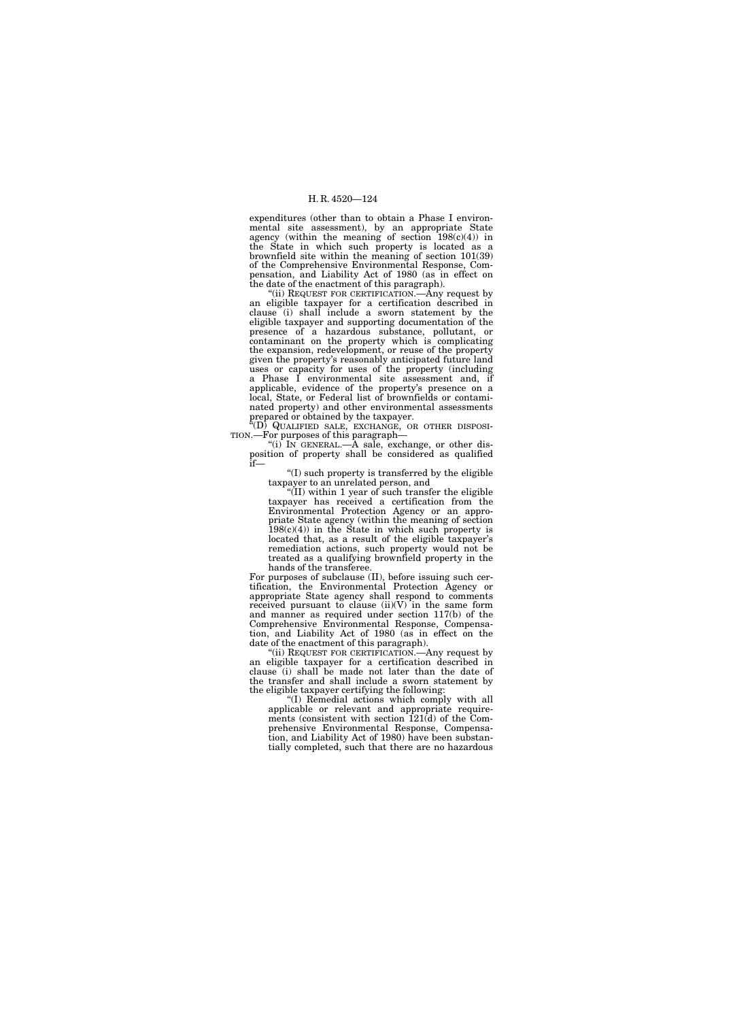expenditures (other than to obtain a Phase I environmental site assessment), by an appropriate State agency (within the meaning of section  $198(c)(4)$ ) in the State in which such property is located as a brownfield site within the meaning of section 101(39) of the Comprehensive Environmental Response, Compensation, and Liability Act of 1980 (as in effect on the date of the enactment of this paragraph).

"(ii) REQUEST FOR CERTIFICATION.—Any request by an eligible taxpayer for a certification described in clause (i) shall include a sworn statement by the eligible taxpayer and supporting documentation of the presence of a hazardous substance, pollutant, or contaminant on the property which is complicating the expansion, redevelopment, or reuse of the property given the property's reasonably anticipated future land uses or capacity for uses of the property (including a Phase I environmental site assessment and, if applicable, evidence of the property's presence on a local, State, or Federal list of brownfields or contaminated property) and other environmental assessments prepared or obtained by the taxpayer.

''(D) QUALIFIED SALE, EXCHANGE, OR OTHER DISPOSI-TION.—For purposes of this paragraph—

''(i) IN GENERAL.—A sale, exchange, or other disposition of property shall be considered as qualified if—

 $''(I)$  such property is transferred by the eligible taxpayer to an unrelated person, and

''(II) within 1 year of such transfer the eligible taxpayer has received a certification from the Environmental Protection Agency or an appropriate State agency (within the meaning of section  $198(c)(4)$  in the State in which such property is located that, as a result of the eligible taxpayer's remediation actions, such property would not be treated as a qualifying brownfield property in the hands of the transferee.

For purposes of subclause (II), before issuing such certification, the Environmental Protection Agency or appropriate State agency shall respond to comments received pursuant to clause  $(ii)(V)$  in the same form and manner as required under section 117(b) of the Comprehensive Environmental Response, Compensation, and Liability Act of 1980 (as in effect on the date of the enactment of this paragraph).

''(ii) REQUEST FOR CERTIFICATION.—Any request by an eligible taxpayer for a certification described in clause (i) shall be made not later than the date of the transfer and shall include a sworn statement by the eligible taxpayer certifying the following:<br>"(I) Remedial actions which comply with all

applicable or relevant and appropriate requirements (consistent with section 121(d) of the Comprehensive Environmental Response, Compensation, and Liability Act of 1980) have been substantially completed, such that there are no hazardous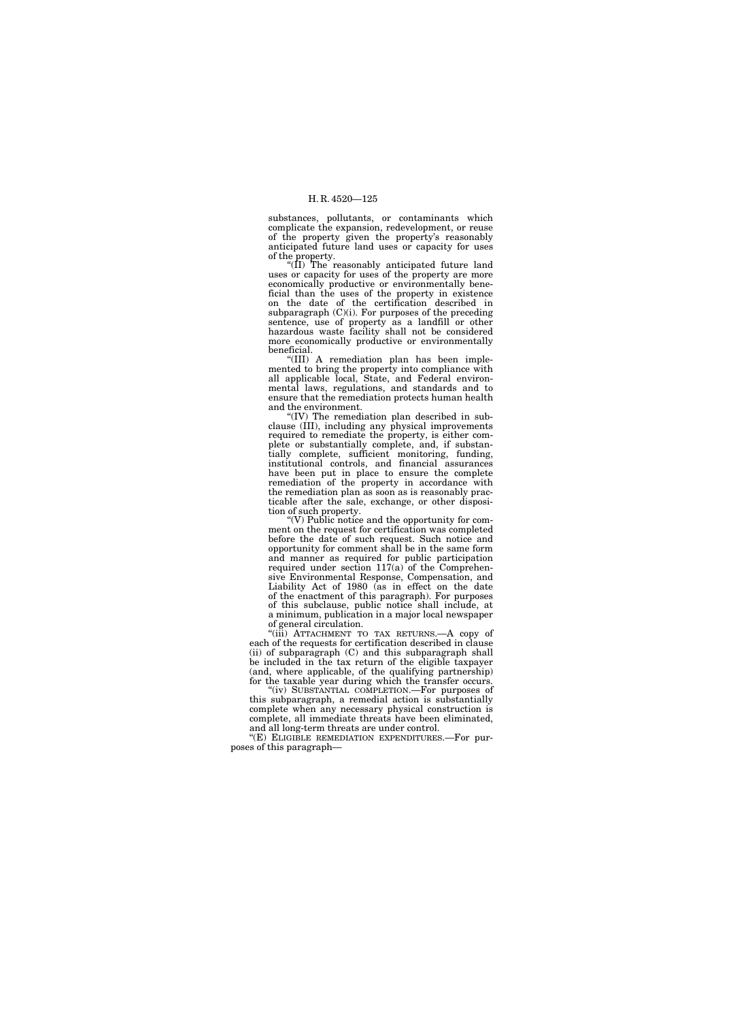substances, pollutants, or contaminants which complicate the expansion, redevelopment, or reuse of the property given the property's reasonably anticipated future land uses or capacity for uses of the property.

''(II) The reasonably anticipated future land uses or capacity for uses of the property are more economically productive or environmentally beneficial than the uses of the property in existence on the date of the certification described in subparagraph (C)(i). For purposes of the preceding sentence, use of property as a landfill or other hazardous waste facility shall not be considered more economically productive or environmentally beneficial.

''(III) A remediation plan has been implemented to bring the property into compliance with all applicable local, State, and Federal environmental laws, regulations, and standards and to ensure that the remediation protects human health

and the environment.<br>
"(IV) The remediation plan described in subclause (III), including any physical improvements required to remediate the property, is either complete or substantially complete, and, if substantially complete, sufficient monitoring, funding, institutional controls, and financial assurances have been put in place to ensure the complete remediation of the property in accordance with the remediation plan as soon as is reasonably practicable after the sale, exchange, or other disposition of such property.

''(V) Public notice and the opportunity for comment on the request for certification was completed before the date of such request. Such notice and opportunity for comment shall be in the same form and manner as required for public participation required under section 117(a) of the Comprehensive Environmental Response, Compensation, and Liability Act of 1980 (as in effect on the date of the enactment of this paragraph). For purposes of this subclause, public notice shall include, at a minimum, publication in a major local newspaper of general circulation.

"(iii) ATTACHMENT TO TAX RETURNS.—A copy of each of the requests for certification described in clause (ii) of subparagraph (C) and this subparagraph shall be included in the tax return of the eligible taxpayer (and, where applicable, of the qualifying partnership) for the taxable year during which the transfer occurs.

''(iv) SUBSTANTIAL COMPLETION.—For purposes of this subparagraph, a remedial action is substantially complete when any necessary physical construction is complete, all immediate threats have been eliminated, and all long-term threats are under control.

''(E) ELIGIBLE REMEDIATION EXPENDITURES.—For purposes of this paragraph—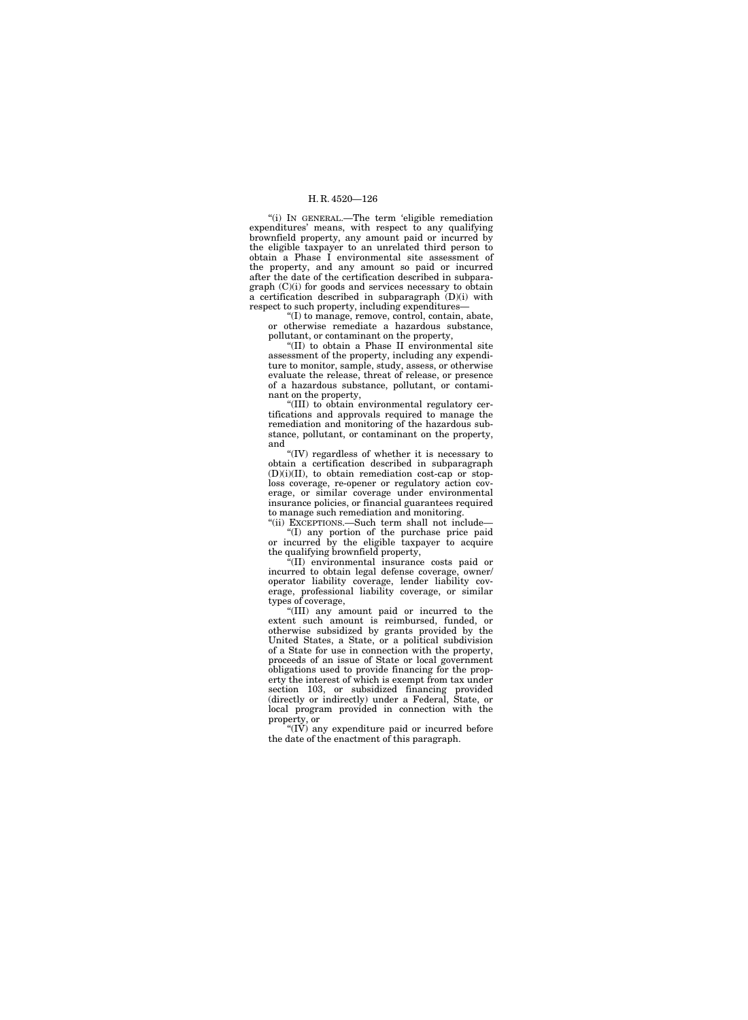''(i) IN GENERAL.—The term 'eligible remediation expenditures' means, with respect to any qualifying brownfield property, any amount paid or incurred by the eligible taxpayer to an unrelated third person to obtain a Phase I environmental site assessment of the property, and any amount so paid or incurred after the date of the certification described in subparagraph  $(C)(i)$  for goods and services necessary to obtain a certification described in subparagraph (D)(i) with respect to such property, including expenditures—

''(I) to manage, remove, control, contain, abate, or otherwise remediate a hazardous substance, pollutant, or contaminant on the property,

''(II) to obtain a Phase II environmental site assessment of the property, including any expenditure to monitor, sample, study, assess, or otherwise evaluate the release, threat of release, or presence of a hazardous substance, pollutant, or contaminant on the property,

''(III) to obtain environmental regulatory certifications and approvals required to manage the remediation and monitoring of the hazardous substance, pollutant, or contaminant on the property, and

''(IV) regardless of whether it is necessary to obtain a certification described in subparagraph  $(D)(i)(II)$ , to obtain remediation cost-cap or stoploss coverage, re-opener or regulatory action coverage, or similar coverage under environmental insurance policies, or financial guarantees required to manage such remediation and monitoring.

''(ii) EXCEPTIONS.—Such term shall not include— ''(I) any portion of the purchase price paid or incurred by the eligible taxpayer to acquire the qualifying brownfield property,

''(II) environmental insurance costs paid or incurred to obtain legal defense coverage, owner/ operator liability coverage, lender liability coverage, professional liability coverage, or similar types of coverage,

''(III) any amount paid or incurred to the extent such amount is reimbursed, funded, or otherwise subsidized by grants provided by the United States, a State, or a political subdivision of a State for use in connection with the property, proceeds of an issue of State or local government obligations used to provide financing for the property the interest of which is exempt from tax under section 103, or subsidized financing provided (directly or indirectly) under a Federal, State, or local program provided in connection with the property, or

 $\sqrt{\text{IV}}$  any expenditure paid or incurred before the date of the enactment of this paragraph.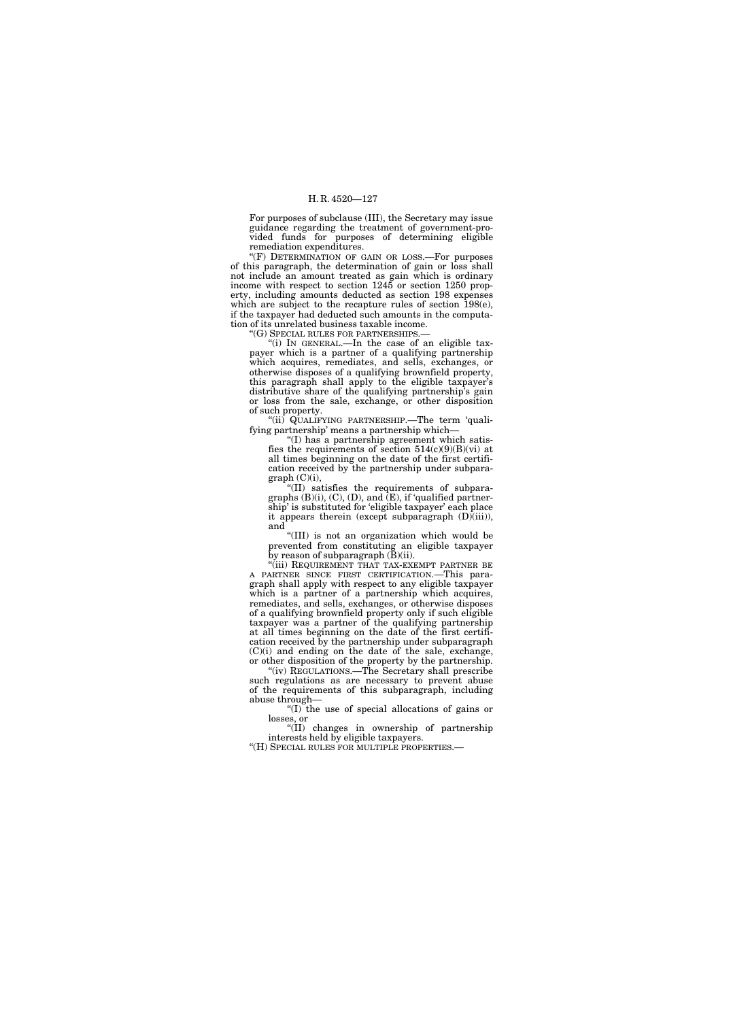For purposes of subclause (III), the Secretary may issue guidance regarding the treatment of government-provided funds for purposes of determining eligible remediation expenditures.

"(F) DETERMINATION OF GAIN OR LOSS.—For purposes of this paragraph, the determination of gain or loss shall not include an amount treated as gain which is ordinary income with respect to section 1245 or section 1250 property, including amounts deducted as section 198 expenses which are subject to the recapture rules of section 198(e), if the taxpayer had deducted such amounts in the computation of its unrelated business taxable income.

''(G) SPECIAL RULES FOR PARTNERSHIPS.—

''(i) IN GENERAL.—In the case of an eligible taxpayer which is a partner of a qualifying partnership which acquires, remediates, and sells, exchanges, or otherwise disposes of a qualifying brownfield property, this paragraph shall apply to the eligible taxpayer's distributive share of the qualifying partnership's gain or loss from the sale, exchange, or other disposition of such property.

''(ii) QUALIFYING PARTNERSHIP.—The term 'qualifying partnership' means a partnership which—

''(I) has a partnership agreement which satisfies the requirements of section  $514(c)(9)(B)(vi)$  at all times beginning on the date of the first certification received by the partnership under subpara $graph (C)(i)$ ,

''(II) satisfies the requirements of subparagraphs  $(B)(i)$ ,  $(C)$ ,  $(D)$ , and  $(E)$ , if 'qualified partnership' is substituted for 'eligible taxpayer' each place it appears therein (except subparagraph (D)(iii)), and

''(III) is not an organization which would be prevented from constituting an eligible taxpayer by reason of subparagraph (B)(ii).

"(iii) REQUIREMENT THAT TAX-EXEMPT PARTNER BE A PARTNER SINCE FIRST CERTIFICATION.—This paragraph shall apply with respect to any eligible taxpayer which is a partner of a partnership which acquires, remediates, and sells, exchanges, or otherwise disposes of a qualifying brownfield property only if such eligible taxpayer was a partner of the qualifying partnership at all times beginning on the date of the first certification received by the partnership under subparagraph (C)(i) and ending on the date of the sale, exchange, or other disposition of the property by the partnership.

''(iv) REGULATIONS.—The Secretary shall prescribe such regulations as are necessary to prevent abuse of the requirements of this subparagraph, including abuse through—

''(I) the use of special allocations of gains or losses, or

''(II) changes in ownership of partnership interests held by eligible taxpayers.

''(H) SPECIAL RULES FOR MULTIPLE PROPERTIES.—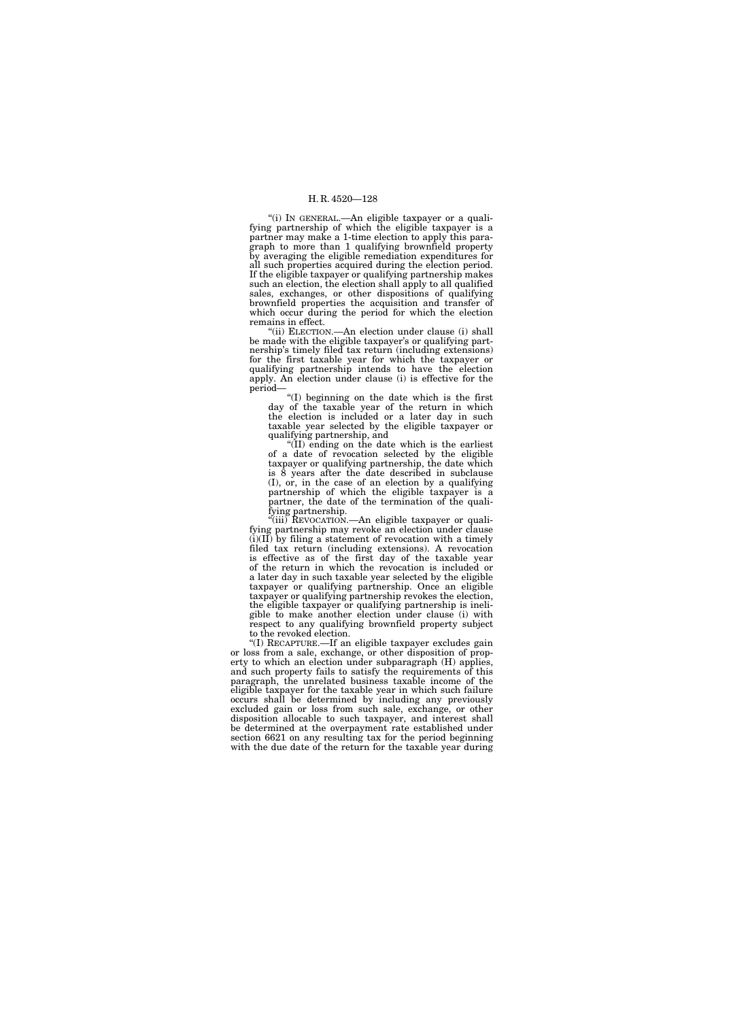''(i) IN GENERAL.—An eligible taxpayer or a qualifying partnership of which the eligible taxpayer is a partner may make a 1-time election to apply this paragraph to more than 1 qualifying brownfield property by averaging the eligible remediation expenditures for all such properties acquired during the election period. If the eligible taxpayer or qualifying partnership makes such an election, the election shall apply to all qualified sales, exchanges, or other dispositions of qualifying brownfield properties the acquisition and transfer of which occur during the period for which the election remains in effect.

''(ii) ELECTION.—An election under clause (i) shall be made with the eligible taxpayer's or qualifying partnership's timely filed tax return (including extensions) for the first taxable year for which the taxpayer or qualifying partnership intends to have the election apply. An election under clause (i) is effective for the period—

''(I) beginning on the date which is the first day of the taxable year of the return in which the election is included or a later day in such taxable year selected by the eligible taxpayer or qualifying partnership, and

''(II) ending on the date which is the earliest of a date of revocation selected by the eligible taxpayer or qualifying partnership, the date which is 8 years after the date described in subclause (I), or, in the case of an election by a qualifying partnership of which the eligible taxpayer is a partner, the date of the termination of the qualifying partnership.

''(iii) REVOCATION.—An eligible taxpayer or qualifying partnership may revoke an election under clause  $(i)(II)$  by filing a statement of revocation with a timely filed tax return (including extensions). A revocation is effective as of the first day of the taxable year of the return in which the revocation is included or a later day in such taxable year selected by the eligible taxpayer or qualifying partnership. Once an eligible taxpayer or qualifying partnership revokes the election, the eligible taxpayer or qualifying partnership is ineligible to make another election under clause (i) with respect to any qualifying brownfield property subject to the revoked election.

''(I) RECAPTURE.—If an eligible taxpayer excludes gain or loss from a sale, exchange, or other disposition of property to which an election under subparagraph (H) applies, and such property fails to satisfy the requirements of this paragraph, the unrelated business taxable income of the eligible taxpayer for the taxable year in which such failure occurs shall be determined by including any previously excluded gain or loss from such sale, exchange, or other disposition allocable to such taxpayer, and interest shall be determined at the overpayment rate established under section 6621 on any resulting tax for the period beginning with the due date of the return for the taxable year during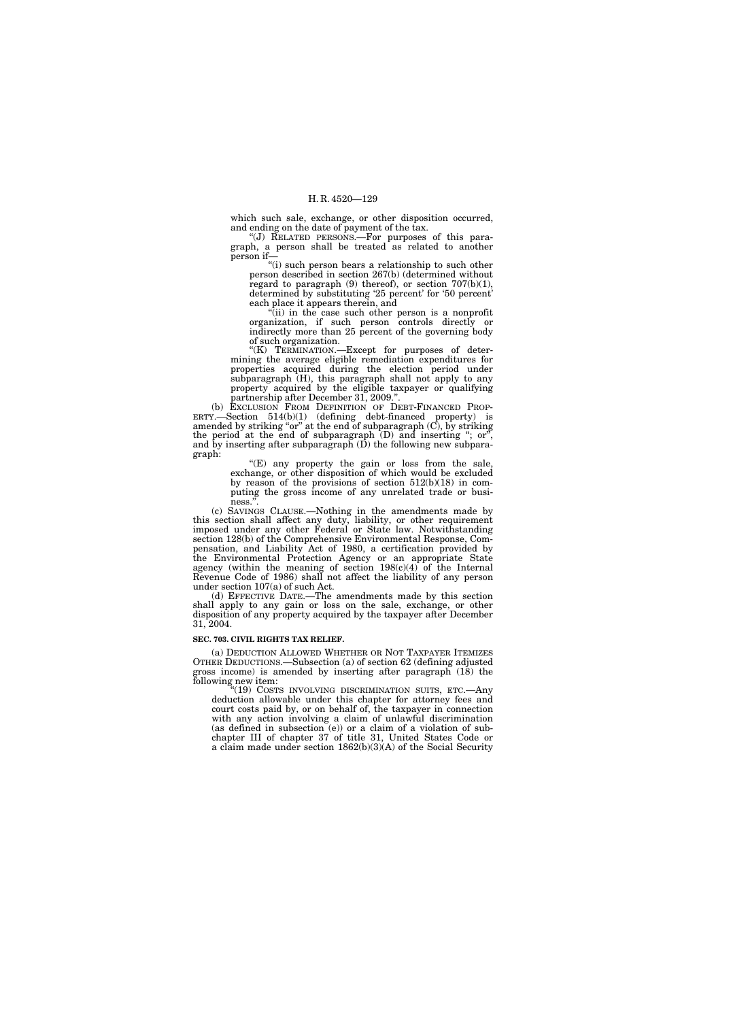which such sale, exchange, or other disposition occurred, and ending on the date of payment of the tax.

''(J) RELATED PERSONS.—For purposes of this paragraph, a person shall be treated as related to another person if—

''(i) such person bears a relationship to such other person described in section 267(b) (determined without regard to paragraph  $(9)$  thereof), or section  $707(b)(1)$ , determined by substituting '25 percent' for '50 percent' each place it appears therein, and

''(ii) in the case such other person is a nonprofit organization, if such person controls directly or indirectly more than 25 percent of the governing body of such organization.

"(K) TERMINATION.—Except for purposes of determining the average eligible remediation expenditures for properties acquired during the election period under subparagraph (H), this paragraph shall not apply to any property acquired by the eligible taxpayer or qualifying

partnership after December 31, 2009.".<br>
(b) EXCLUSION FROM DEFINITION OF DEBT-FINANCED PROP- $ERTY. - Section 514(b)(1)$  (defining debt-financed property) is amended by striking "or" at the end of subparagraph  $(C)$ , by striking the period at the end of subparagraph  $(D)$  and inserting "; or", and by inserting after subparagraph  $(D)$  the following new subparagraph:

''(E) any property the gain or loss from the sale, exchange, or other disposition of which would be excluded by reason of the provisions of section 512(b)(18) in computing the gross income of any unrelated trade or business."

(c) SAVINGS CLAUSE.—Nothing in the amendments made by this section shall affect any duty, liability, or other requirement imposed under any other Federal or State law. Notwithstanding section 128(b) of the Comprehensive Environmental Response, Compensation, and Liability Act of 1980, a certification provided by the Environmental Protection Agency or an appropriate State agency (within the meaning of section 198(c)(4) of the Internal Revenue Code of 1986) shall not affect the liability of any person under section 107(a) of such Act.

(d) EFFECTIVE DATE.—The amendments made by this section shall apply to any gain or loss on the sale, exchange, or other disposition of any property acquired by the taxpayer after December 31, 2004.

#### **SEC. 703. CIVIL RIGHTS TAX RELIEF.**

(a) DEDUCTION ALLOWED WHETHER OR NOT TAXPAYER ITEMIZES OTHER DEDUCTIONS.—Subsection (a) of section 62 (defining adjusted gross income) is amended by inserting after paragraph  $(18)$  the following new item:

''(19) COSTS INVOLVING DISCRIMINATION SUITS, ETC.—Any deduction allowable under this chapter for attorney fees and court costs paid by, or on behalf of, the taxpayer in connection with any action involving a claim of unlawful discrimination (as defined in subsection  $(e)$ ) or a claim of a violation of subchapter III of chapter 37 of title 31, United States Code or a claim made under section 1862(b)(3)(A) of the Social Security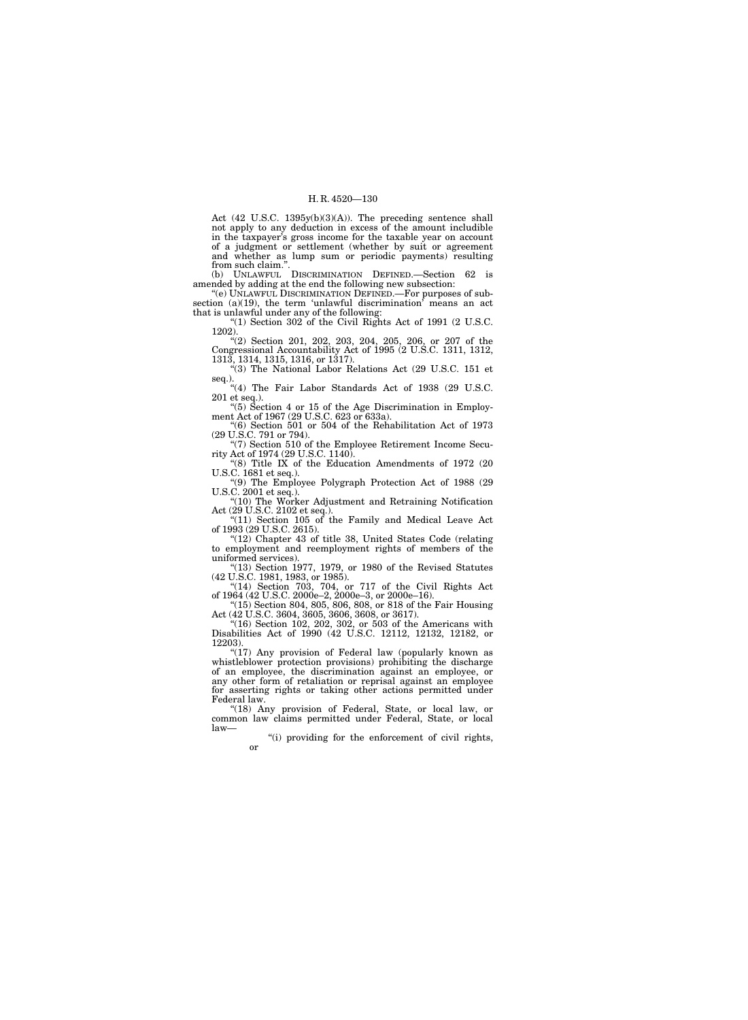Act (42 U.S.C. 1395y(b)(3)(A)). The preceding sentence shall not apply to any deduction in excess of the amount includible in the taxpayer's gross income for the taxable year on account of a judgment or settlement (whether by suit or agreement and whether as lump sum or periodic payments) resulting from such claim.'

(b) UNLAWFUL DISCRIMINATION DEFINED.—Section 62 is amended by adding at the end the following new subsection: ''(e) UNLAWFUL DISCRIMINATION DEFINED.—For purposes of sub-

section  $(a)(19)$ , the term 'unlawful discrimination' means an act that is unlawful under any of the following:

''(1) Section 302 of the Civil Rights Act of 1991 (2 U.S.C. 1202).

''(2) Section 201, 202, 203, 204, 205, 206, or 207 of the Congressional Accountability Act of 1995 (2 U.S.C. 1311, 1312, 1313, 1314, 1315, 1316, or 1317).

''(3) The National Labor Relations Act (29 U.S.C. 151 et seq.).

"(4) The Fair Labor Standards Act of 1938 (29 U.S.C. 201 et seq.).

"(5) Section 4 or 15 of the Age Discrimination in Employ-<br>ment Act of 1967 (29 U.S.C. 623 or 633a).

"(6) Section  $501$  or  $504$  of the Rehabilitation Act of 1973 (29 U.S.C. 791 or 794).

"(7) Section 510 of the Employee Retirement Income Security Act of  $1974$  (29 U.S.C. 1140).

"(8) Title IX of the Education Amendments of  $1972$  (20 U.S.C. 1681 et seq.). "(9) The Employee Polygraph Protection Act of 1988 (29 U.S.C. 2001 et seq.).

"(10) The Worker Adjustment and Retraining Notification Act (29 U.S.C. 2102 et seq.).

" $(11)$  Section 105 of the Family and Medical Leave Act of 1993  $(29 \text{ U.S.C. } 2615)$ .

" $(12)$  Chapter 43 of title 38, United States Code (relating to employment and reemployment rights of members of the

"(13) Section 1977, 1979, or 1980 of the Revised Statutes (42 U.S.C. 1981, 1983, or 1985).

(42 U.S.C. 2000e–2, 2000e–3, or 2000e–16).

<sup>"</sup>(15) Section 804, 805, 806, 808, or 818 of the Fair Housing Act (42 U.S.C. 3604, 3605, 3606, 3608, or 3617).

Act (42 U.S.C. 3604, 3605, 3606, 3608, or 3617). ''(16) Section 102, 202, 302, or 503 of the Americans with Disabilities Act of 1990 (42 U.S.C. 12112, 12132, 12182, or 12203).<br>"(17) Any provision of Federal law (popularly known as

whistleblower protection provisions) prohibiting the discharge of an employee, the discrimination against an employee, or any other form of retaliation or reprisal against an employee for asserting rights or taking other actions permitted under

Federal law.<br>"(18) Any provision of Federal, State, or local law, or common law claims permitted under Federal, State, or local law—

> "(i) providing for the enforcement of civil rights, or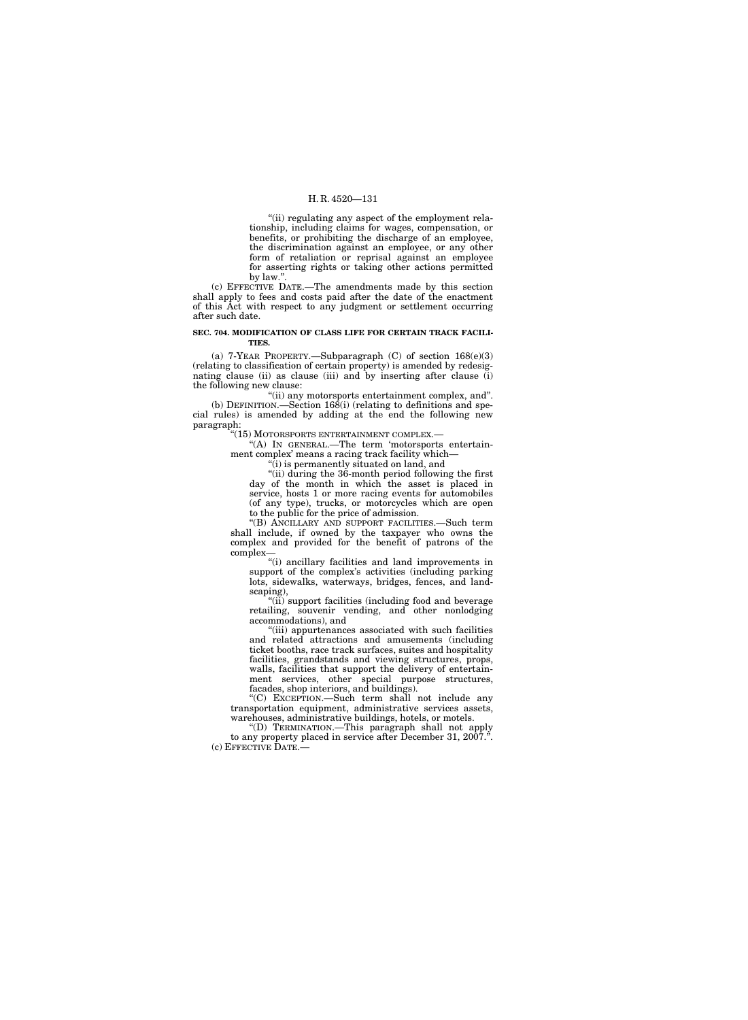''(ii) regulating any aspect of the employment relationship, including claims for wages, compensation, or benefits, or prohibiting the discharge of an employee, the discrimination against an employee, or any other form of retaliation or reprisal against an employee for asserting rights or taking other actions permitted by law."

(c) EFFECTIVE DATE.—The amendments made by this section shall apply to fees and costs paid after the date of the enactment of this Act with respect to any judgment or settlement occurring after such date.

#### **SEC. 704. MODIFICATION OF CLASS LIFE FOR CERTAIN TRACK FACILI-TIES.**

(a) 7-YEAR PROPERTY.—Subparagraph (C) of section 168(e)(3) (relating to classification of certain property) is amended by redesignating clause (ii) as clause (iii) and by inserting after clause  $(i)$ the following new clause:

''(ii) any motorsports entertainment complex, and''. (b) DEFINITION.—Section 168(i) (relating to definitions and special rules) is amended by adding at the end the following new paragraph:

''(15) MOTORSPORTS ENTERTAINMENT COMPLEX.—

''(A) IN GENERAL.—The term 'motorsports entertainment complex' means a racing track facility which—

''(i) is permanently situated on land, and

''(ii) during the 36-month period following the first day of the month in which the asset is placed in service, hosts 1 or more racing events for automobiles (of any type), trucks, or motorcycles which are open to the public for the price of admission.

''(B) ANCILLARY AND SUPPORT FACILITIES.—Such term shall include, if owned by the taxpayer who owns the complex and provided for the benefit of patrons of the complex—

''(i) ancillary facilities and land improvements in support of the complex's activities (including parking lots, sidewalks, waterways, bridges, fences, and landscaping),

''(ii) support facilities (including food and beverage retailing, souvenir vending, and other nonlodging accommodations), and

''(iii) appurtenances associated with such facilities and related attractions and amusements (including ticket booths, race track surfaces, suites and hospitality facilities, grandstands and viewing structures, props, walls, facilities that support the delivery of entertainment services, other special purpose structures, facades, shop interiors, and buildings).

''(C) EXCEPTION.—Such term shall not include any transportation equipment, administrative services assets, warehouses, administrative buildings, hotels, or motels.

''(D) TERMINATION.—This paragraph shall not apply to any property placed in service after December 31, 2007.". (c) EFFECTIVE DATE.—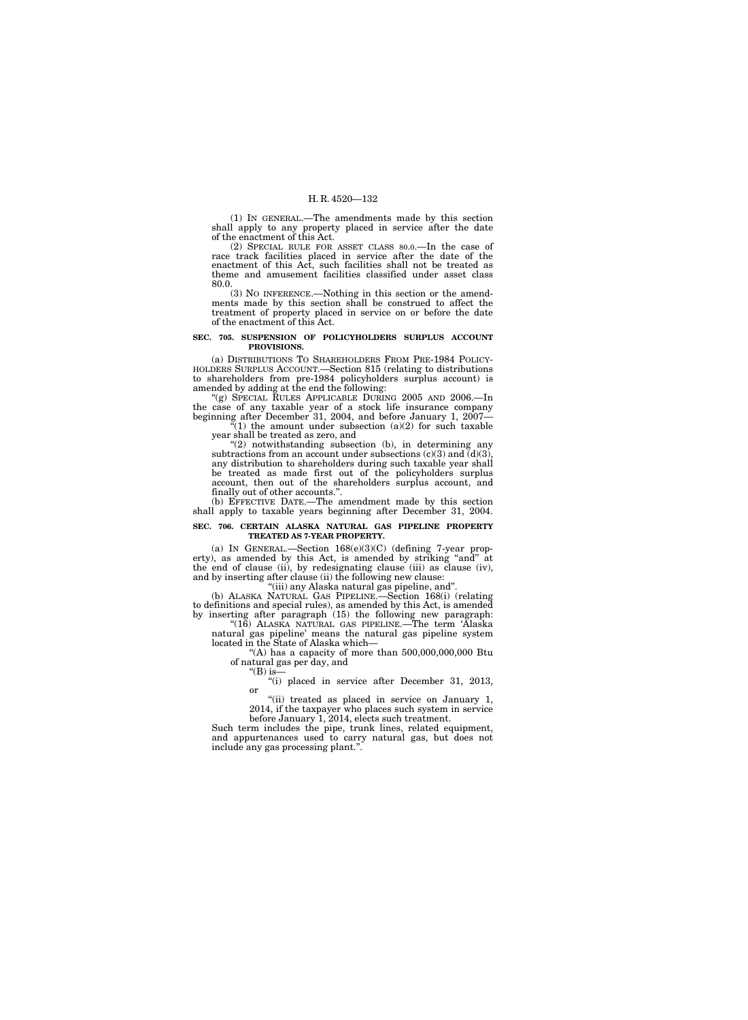(1) IN GENERAL.—The amendments made by this section shall apply to any property placed in service after the date of the enactment of this Act.

(2) SPECIAL RULE FOR ASSET CLASS 80.0.—In the case of race track facilities placed in service after the date of the enactment of this Act, such facilities shall not be treated as theme and amusement facilities classified under asset class 80.0.

(3) NO INFERENCE.—Nothing in this section or the amendments made by this section shall be construed to affect the treatment of property placed in service on or before the date of the enactment of this Act.

#### **SEC. 705. SUSPENSION OF POLICYHOLDERS SURPLUS ACCOUNT PROVISIONS.**

(a) DISTRIBUTIONS TO SHAREHOLDERS FROM PRE-1984 POLICY-HOLDERS SURPLUS ACCOUNT.—Section 815 (relating to distributions to shareholders from pre-1984 policyholders surplus account) is amended by adding at the end the following:

''(g) SPECIAL RULES APPLICABLE DURING 2005 AND 2006.—In the case of any taxable year of a stock life insurance company beginning after December 31, 2004, and before January 1, 2007-

 $f''(1)$  the amount under subsection (a)(2) for such taxable year shall be treated as zero, and

"(2) notwithstanding subsection (b), in determining any subtractions from an account under subsections  $(c)(3)$  and  $\vec{d}(3)$ , any distribution to shareholders during such taxable year shall be treated as made first out of the policyholders surplus account, then out of the shareholders surplus account, and finally out of other accounts.''.

(b) EFFECTIVE DATE.—The amendment made by this section shall apply to taxable years beginning after December 31, 2004.

#### **SEC. 706. CERTAIN ALASKA NATURAL GAS PIPELINE PROPERTY TREATED AS 7-YEAR PROPERTY.**

(a) IN GENERAL.—Section 168(e)(3)(C) (defining 7-year property), as amended by this Act, is amended by striking "and" at the end of clause (ii), by redesignating clause (iii) as clause (iv), and by inserting after clause (ii) the following new clause:

''(iii) any Alaska natural gas pipeline, and''.

(b) ALASKA NATURAL GAS PIPELINE.—Section 168(i) (relating to definitions and special rules), as amended by this Act, is amended by inserting after paragraph (15) the following new paragraph: ''(16) ALASKA NATURAL GAS PIPELINE.—The term 'Alaska

natural gas pipeline' means the natural gas pipeline system located in the State of Alaska which—

"(A) has a capacity of more than  $500,000,000,000$  Btu of natural gas per day, and "(B) is—

''(i) placed in service after December 31, 2013, or

"(ii) treated as placed in service on January 1, 2014, if the taxpayer who places such system in service before January 1, 2014, elects such treatment.

Such term includes the pipe, trunk lines, related equipment, and appurtenances used to carry natural gas, but does not include any gas processing plant.''.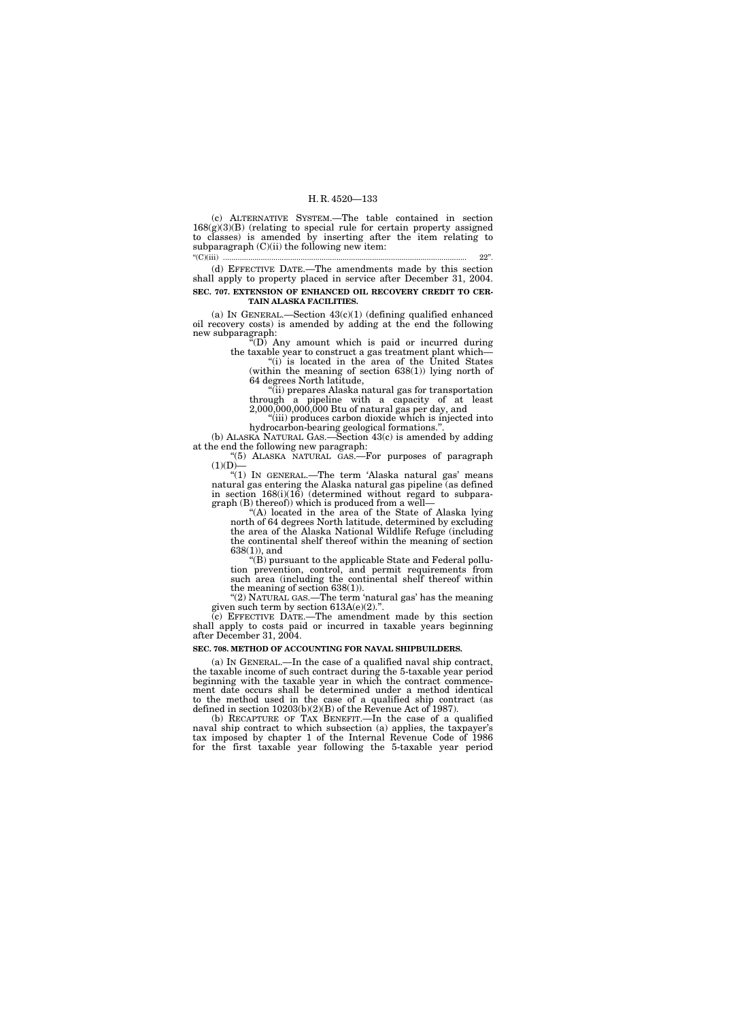(c) ALTERNATIVE SYSTEM.—The table contained in section 168(g)(3)(B) (relating to special rule for certain property assigned to classes) is amended by inserting after the item relating to subparagraph  $(C)(ii)$  the following new item:

''(C)(iii) .................................................................................................................... 22''. (d) EFFECTIVE DATE.—The amendments made by this section shall apply to property placed in service after December 31, 2004. **SEC. 707. EXTENSION OF ENHANCED OIL RECOVERY CREDIT TO CER-**

### **TAIN ALASKA FACILITIES.**

(a) IN GENERAL.—Section  $43(c)(1)$  (defining qualified enhanced oil recovery costs) is amended by adding at the end the following

new subparagraph:<br>"(D) Any amount which is paid or incurred during"

the taxable year to construct a gas treatment plant which— ''(i) is located in the area of the United States (within the meaning of section  $638(1)$ ) lying north of  $64$  degrees North latitude,

(ii) prepares Alaska natural gas for transportation through a pipeline with a capacity of at least

2,000,000,000,000 Btu of natural gas per day, and "(iii) produces carbon dioxide which is injected into hydrocarbon-bearing geological formations.".

(b) ALASKA NATURAL GAS.—Section  $43(c)$  is amended by adding at the end the following new paragraph:

''(5) ALASKA NATURAL GAS.—For purposes of paragraph  $(1)(D)$ —

''(1) IN GENERAL.—The term 'Alaska natural gas' means natural gas entering the Alaska natural gas pipeline (as defined in section  $168(i)(16)$  (determined without regard to subparagraph (B) thereof)) which is produced from a well—

''(A) located in the area of the State of Alaska lying north of 64 degrees North latitude, determined by excluding the area of the Alaska National Wildlife Refuge (including the continental shelf thereof within the meaning of section 638(1)), and

''(B) pursuant to the applicable State and Federal pollution prevention, control, and permit requirements from such area (including the continental shelf thereof within the meaning of section 638(1)).

"(2) NATURAL GAS.—The term 'natural gas' has the meaning given such term by section  $613A(e)(2)$ ."

 $\overline{c}$ ) EFFECTIVE DATE.—The amendment made by this section shall apply to costs paid or incurred in taxable years beginning after December 31, 2004.

#### **SEC. 708. METHOD OF ACCOUNTING FOR NAVAL SHIPBUILDERS.**

(a) IN GENERAL.—In the case of a qualified naval ship contract, the taxable income of such contract during the 5-taxable year period beginning with the taxable year in which the contract commencement date occurs shall be determined under a method identical to the method used in the case of a qualified ship contract (as defined in section 10203(b)(2)(B) of the Revenue Act of 1987).

(b) RECAPTURE OF TAX BENEFIT.—In the case of a qualified naval ship contract to which subsection (a) applies, the taxpayer's tax imposed by chapter 1 of the Internal Revenue Code of 1986 for the first taxable year following the 5-taxable year period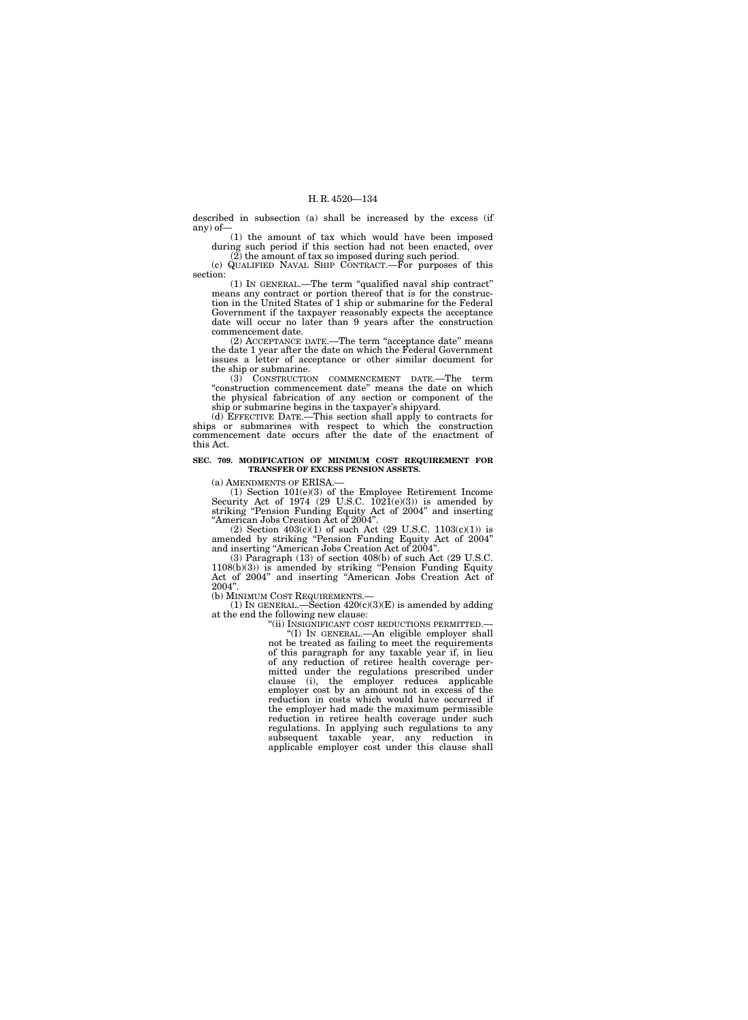described in subsection (a) shall be increased by the excess (if any) of—

(1) the amount of tax which would have been imposed during such period if this section had not been enacted, over (2) the amount of tax so imposed during such period.

(c) QUALIFIED NAVAL SHIP CONTRACT.—For purposes of this section:

(1) IN GENERAL.—The term ''qualified naval ship contract'' means any contract or portion thereof that is for the construction in the United States of 1 ship or submarine for the Federal Government if the taxpayer reasonably expects the acceptance date will occur no later than 9 years after the construction commencement date.

(2) ACCEPTANCE DATE.—The term ''acceptance date'' means the date 1 year after the date on which the Federal Government issues a letter of acceptance or other similar document for the ship or submarine.<br>
(3) CONSTRUCTION COMMENCEMENT DATE.—The term

"construction commencement date" means the date on which the physical fabrication of any section or component of the ship or submarine begins in the taxpayer's shipyard.

(d) EFFECTIVE DATE.—This section shall apply to contracts for ships or submarines with respect to which the construction commencement date occurs after the date of the enactment of this Act.

#### **SEC. 709. MODIFICATION OF MINIMUM COST REQUIREMENT FOR TRANSFER OF EXCESS PENSION ASSETS.**

(a) AMENDMENTS OF ERISA.—

(1) Section 101(e)(3) of the Employee Retirement Income Security Act of 1974 (29 U.S.C.  $1021(e)(3)$ ) is amended by striking "Pension Funding Equity Act of 2004" and inserting ''American Jobs Creation Act of 2004''.

(2) Section  $403(c)(1)$  of such Act (29 U.S.C. 1103(c)(1)) is amended by striking ''Pension Funding Equity Act of 2004'' and inserting ''American Jobs Creation Act of 2004''.

(3) Paragraph (13) of section 408(b) of such Act (29 U.S.C. 1108(b)(3)) is amended by striking ''Pension Funding Equity Act of 2004'' and inserting ''American Jobs Creation Act of 2004''.

(b) MINIMUM COST REQUIREMENTS.—

(1) IN GENERAL.—Section  $420(c)(3)(E)$  is amended by adding at the end the following new clause:

''(ii) INSIGNIFICANT COST REDUCTIONS PERMITTED.— ''(I) IN GENERAL.—An eligible employer shall not be treated as failing to meet the requirements of this paragraph for any taxable year if, in lieu of any reduction of retiree health coverage permitted under the regulations prescribed under clause (i), the employer reduces applicable employer cost by an amount not in excess of the reduction in costs which would have occurred if the employer had made the maximum permissible reduction in retiree health coverage under such regulations. In applying such regulations to any subsequent taxable year, any reduction in applicable employer cost under this clause shall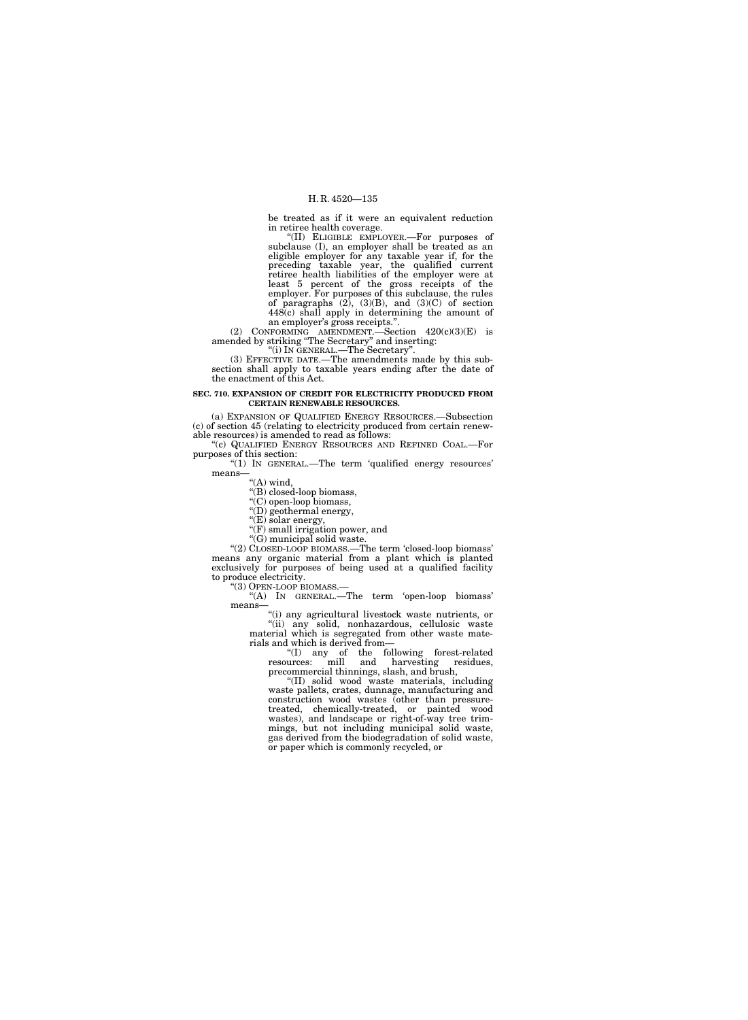be treated as if it were an equivalent reduction in retiree health coverage.

''(II) ELIGIBLE EMPLOYER.—For purposes of subclause (I), an employer shall be treated as an eligible employer for any taxable year if, for the preceding taxable year, the qualified current retiree health liabilities of the employer were at least 5 percent of the gross receipts of the employer. For purposes of this subclause, the rules of paragraphs  $(2)$ ,  $(3)(B)$ , and  $(3)(C)$  of section  $448(c)$  shall apply in determining the amount of an employer's gross receipts.''.

(2) CONFORMING AMENDMENT. Section  $420(c)(3)(E)$  is amended by striking ''The Secretary'' and inserting:

''(i) IN GENERAL.—The Secretary''.

(3) EFFECTIVE DATE.—The amendments made by this subsection shall apply to taxable years ending after the date of the enactment of this Act.

#### **SEC. 710. EXPANSION OF CREDIT FOR ELECTRICITY PRODUCED FROM CERTAIN RENEWABLE RESOURCES.**

(a) EXPANSION OF QUALIFIED ENERGY RESOURCES.—Subsection (c) of section 45 (relating to electricity produced from certain renewable resources) is amended to read as follows:

''(c) QUALIFIED ENERGY RESOURCES AND REFINED COAL.—For purposes of this section:

"(1) IN GENERAL.—The term 'qualified energy resources' means—

"(A) wind,

''(B) closed-loop biomass,

"(C) open-loop biomass,

''(D) geothermal energy, " $(E)$  solar energy,

''(F) small irrigation power, and

 $"(G)$  municipal solid waste.<br>  $"(2)$  CLOSED-LOOP BIOMASS.—The term 'closed-loop biomass' means any organic material from a plant which is planted exclusively for purposes of being used at a qualified facility to produce electricity.<br>
"(3) OPEN-LOOP BIOMASS.—

''(A) IN GENERAL.—The term 'open-loop biomass' means—

''(i) any agricultural livestock waste nutrients, or ''(ii) any solid, nonhazardous, cellulosic waste material which is segregated from other waste mate-<br>rials and which is derived from—

"(I) any of the following forest-related resources: mill and harvesting residues, precommercial thinnings, slash, and brush, ''(II) solid wood waste materials, including

waste pallets, crates, dunnage, manufacturing and construction wood wastes (other than pressuretreated, chemically-treated, or painted wood wastes), and landscape or right-of-way tree trimmings, but not including municipal solid waste, gas derived from the biodegradation of solid waste, or paper which is commonly recycled, or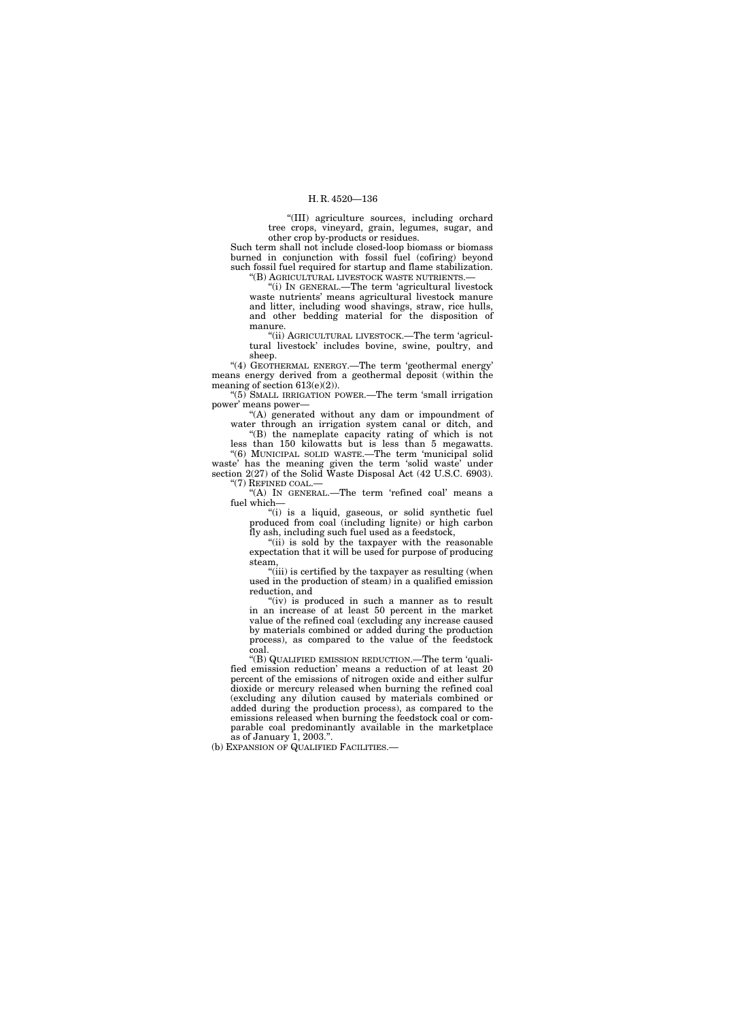''(III) agriculture sources, including orchard tree crops, vineyard, grain, legumes, sugar, and other crop by-products or residues.

Such term shall not include closed-loop biomass or biomass burned in conjunction with fossil fuel (cofiring) beyond such fossil fuel required for startup and flame stabilization. ''(B) AGRICULTURAL LIVESTOCK WASTE NUTRIENTS.—

''(i) IN GENERAL.—The term 'agricultural livestock waste nutrients' means agricultural livestock manure and litter, including wood shavings, straw, rice hulls, and other bedding material for the disposition of manure.

''(ii) AGRICULTURAL LIVESTOCK.—The term 'agricultural livestock' includes bovine, swine, poultry, and sheep.

"(4) GEOTHERMAL ENERGY.—The term 'geothermal energy' means energy derived from a geothermal deposit (within the meaning of section  $613(e)(2)$ ).

''(5) SMALL IRRIGATION POWER.—The term 'small irrigation power' means power—

''(A) generated without any dam or impoundment of water through an irrigation system canal or ditch, and ''(B) the nameplate capacity rating of which is not

less than 150 kilowatts but is less than 5 megawatts. "(6) MUNICIPAL SOLID WASTE.—The term 'municipal solid waste' has the meaning given the term 'solid waste' under section 2(27) of the Solid Waste Disposal Act (42 U.S.C. 6903).

''(7) REFINED COAL.—

''(A) IN GENERAL.—The term 'refined coal' means a fuel which—

"(i) is a liquid, gaseous, or solid synthetic fuel produced from coal (including lignite) or high carbon fly ash, including such fuel used as a feedstock,

"(ii) is sold by the taxpayer with the reasonable expectation that it will be used for purpose of producing steam,

''(iii) is certified by the taxpayer as resulting (when used in the production of steam) in a qualified emission reduction, and

"(iv) is produced in such a manner as to result in an increase of at least 50 percent in the market value of the refined coal (excluding any increase caused by materials combined or added during the production process), as compared to the value of the feedstock coal.

''(B) QUALIFIED EMISSION REDUCTION.—The term 'qualified emission reduction' means a reduction of at least 20 percent of the emissions of nitrogen oxide and either sulfur dioxide or mercury released when burning the refined coal (excluding any dilution caused by materials combined or added during the production process), as compared to the emissions released when burning the feedstock coal or comparable coal predominantly available in the marketplace as of January 1, 2003.''.

(b) EXPANSION OF QUALIFIED FACILITIES.—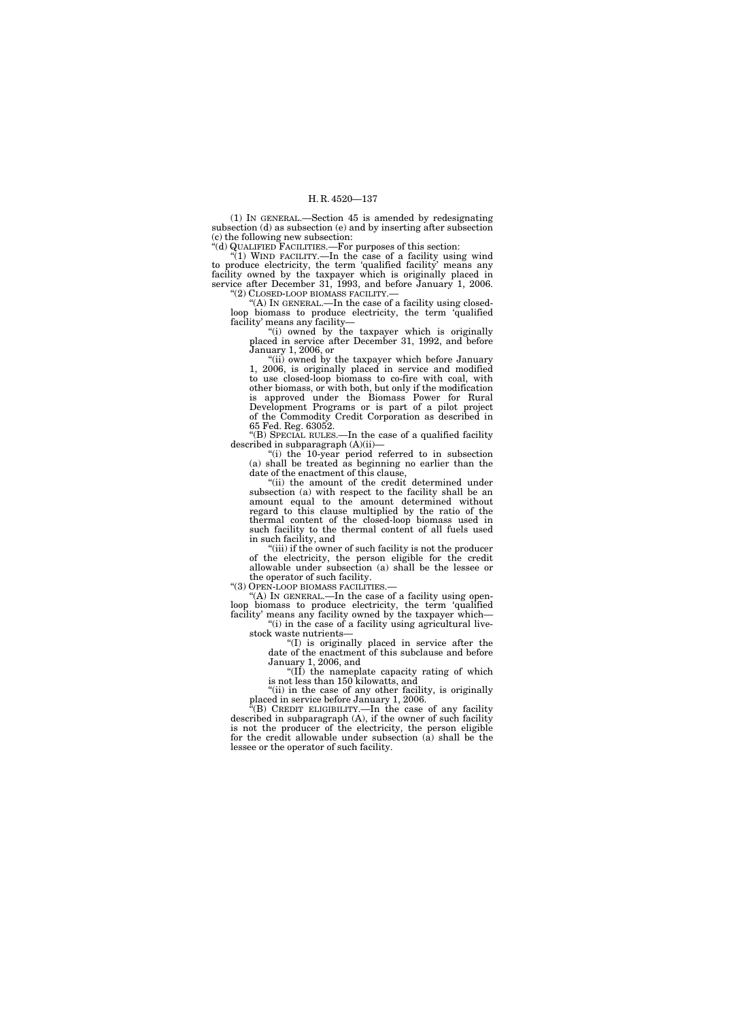(1) IN GENERAL.—Section 45 is amended by redesignating subsection (d) as subsection (e) and by inserting after subsection (c) the following new subsection:

''(d) QUALIFIED FACILITIES.—For purposes of this section:

"(1) WIND FACILITY.—In the case of a facility using wind to produce electricity, the term 'qualified facility' means any facility owned by the taxpayer which is originally placed in service after December 31, 1993, and before January 1, 2006. ''(2) CLOSED-LOOP BIOMASS FACILITY.—

''(A) IN GENERAL.—In the case of a facility using closedloop biomass to produce electricity, the term 'qualified facility' means any facility—

''(i) owned by the taxpayer which is originally placed in service after December 31, 1992, and before January 1, 2006, or

''(ii) owned by the taxpayer which before January 1, 2006, is originally placed in service and modified to use closed-loop biomass to co-fire with coal, with other biomass, or with both, but only if the modification is approved under the Biomass Power for Rural Development Programs or is part of a pilot project of the Commodity Credit Corporation as described in 65 Fed. Reg. 63052.

''(B) SPECIAL RULES.—In the case of a qualified facility described in subparagraph (A)(ii)—

"(i) the 10-year period referred to in subsection (a) shall be treated as beginning no earlier than the date of the enactment of this clause,

''(ii) the amount of the credit determined under subsection (a) with respect to the facility shall be an amount equal to the amount determined without regard to this clause multiplied by the ratio of the thermal content of the closed-loop biomass used in such facility to the thermal content of all fuels used in such facility, and

"(iii) if the owner of such facility is not the producer of the electricity, the person eligible for the credit allowable under subsection (a) shall be the lessee or the operator of such facility.

''(3) OPEN-LOOP BIOMASS FACILITIES.—

"(A) IN GENERAL.—In the case of a facility using openloop biomass to produce electricity, the term 'qualified facility' means any facility owned by the taxpayer which—

"(i) in the case of a facility using agricultural livestock waste nutrients— ''(I) is originally placed in service after the

date of the enactment of this subclause and before January 1, 2006, and ''(II) the nameplate capacity rating of which

is not less than 150 kilowatts, and

"(ii) in the case of any other facility, is originally placed in service before January 1, 2006.

''(B) CREDIT ELIGIBILITY.—In the case of any facility described in subparagraph (A), if the owner of such facility is not the producer of the electricity, the person eligible for the credit allowable under subsection (a) shall be the lessee or the operator of such facility.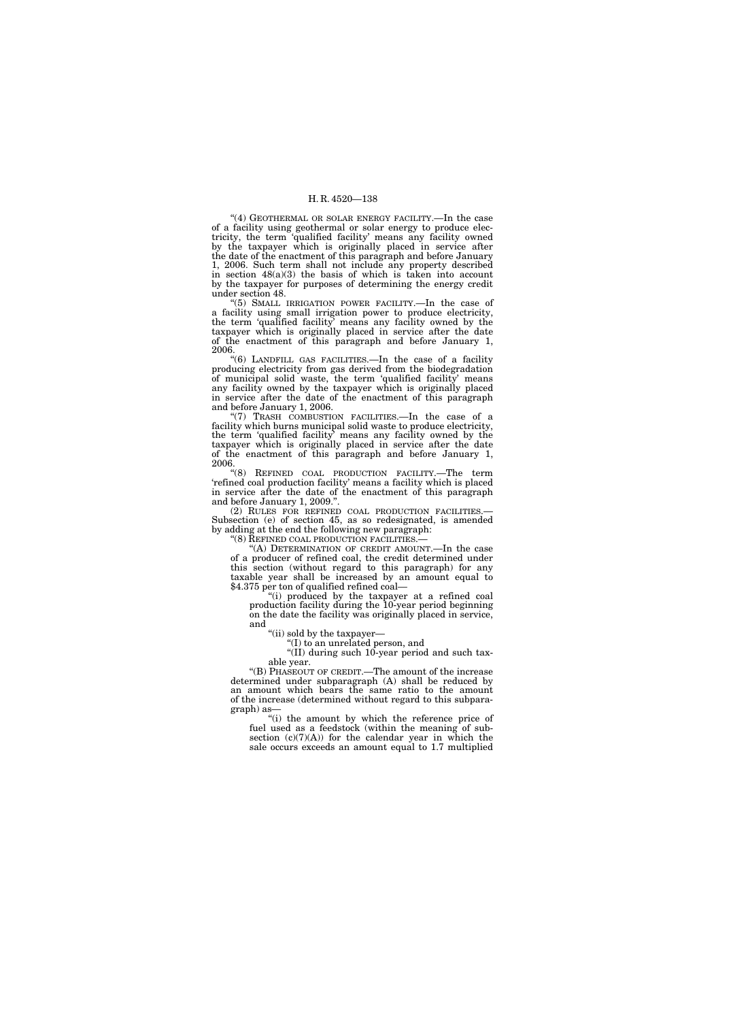"(4) GEOTHERMAL OR SOLAR ENERGY FACILITY.—In the case of a facility using geothermal or solar energy to produce electricity, the term 'qualified facility' means any facility owned by the taxpayer which is originally placed in service after the date of the enactment of this paragraph and before January 1, 2006. Such term shall not include any property described in section  $48(a)(3)$  the basis of which is taken into account by the taxpayer for purposes of determining the energy credit under section 48.

''(5) SMALL IRRIGATION POWER FACILITY.—In the case of a facility using small irrigation power to produce electricity, the term 'qualified facility' means any facility owned by the taxpayer which is originally placed in service after the date of the enactment of this paragraph and before January 1, 2006.

''(6) LANDFILL GAS FACILITIES.—In the case of a facility producing electricity from gas derived from the biodegradation of municipal solid waste, the term 'qualified facility' means any facility owned by the taxpayer which is originally placed in service after the date of the enactment of this paragraph

and before January 1, 2006.<br>"(7) TRASH COMBUSTION FACILITIES.—In the case of a facility which burns municipal solid waste to produce electricity, the term 'qualified facility' means any facility owned by the taxpayer which is originally placed in service after the date of the enactment of this paragraph and before January 1, 2006.

''(8) REFINED COAL PRODUCTION FACILITY.—The term 'refined coal production facility' means a facility which is placed in service after the date of the enactment of this paragraph and before January 1, 2009.''.

(2) RULES FOR REFINED COAL PRODUCTION FACILITIES.— Subsection (e) of section 45, as so redesignated, is amended by adding at the end the following new paragraph:<br>"(8) REFINED COAL PRODUCTION FACILITIES.—

"(A) DETERMINATION OF CREDIT AMOUNT.—In the case of a producer of refined coal, the credit determined under this section (without regard to this paragraph) for any taxable year shall be increased by an amount equal to

"(i) produced by the taxpayer at a refined coal production facility during the 10-year period beginning on the date the facility was originally placed in service, and "(ii) sold by the taxpayer—

''(I) to an unrelated person, and

''(II) during such 10-year period and such taxable year.

''(B) PHASEOUT OF CREDIT.—The amount of the increase determined under subparagraph (A) shall be reduced by an amount which bears the same ratio to the amount of the increase (determined without regard to this subparagraph) as—

''(i) the amount by which the reference price of fuel used as a feedstock (within the meaning of subsection  $(c)(7)(A)$  for the calendar year in which the sale occurs exceeds an amount equal to 1.7 multiplied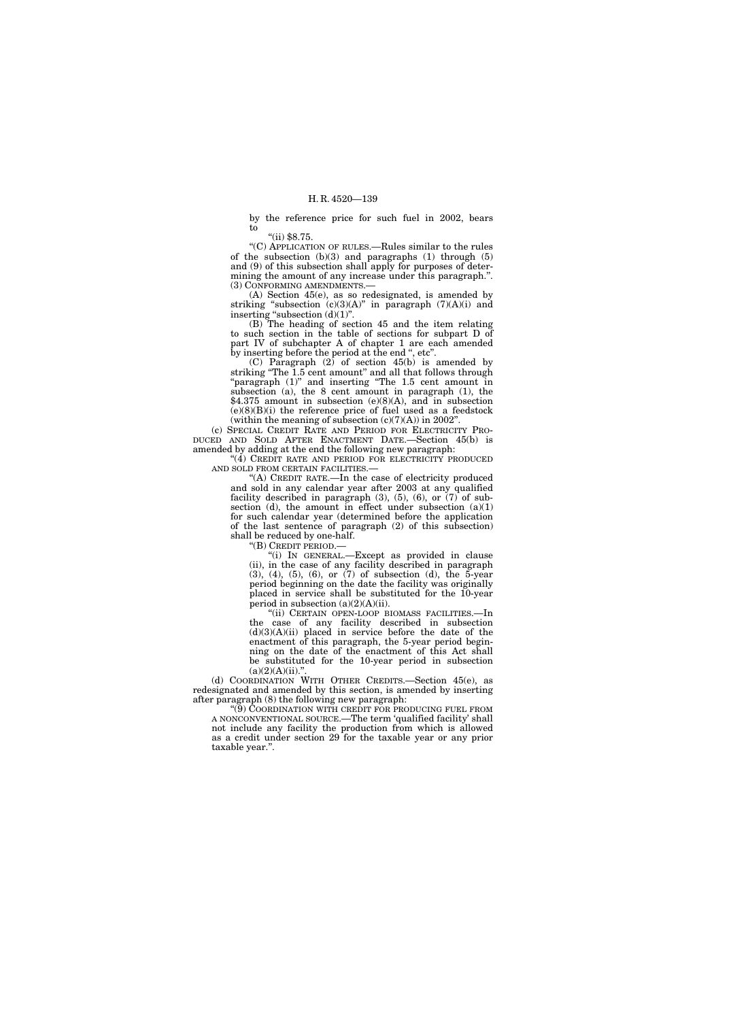by the reference price for such fuel in 2002, bears to

"(ii) \$8.75.

''(C) APPLICATION OF RULES.—Rules similar to the rules of the subsection (b)(3) and paragraphs (1) through (5) and (9) of this subsection shall apply for purposes of determining the amount of any increase under this paragraph.''. (3) CONFORMING AMENDMENTS.—

(A) Section 45(e), as so redesignated, is amended by striking "subsection  $(c)(3)(A)$ " in paragraph  $(7)(A)(i)$  and inserting "subsection  $(d)(1)$ ".

(B) The heading of section 45 and the item relating to such section in the table of sections for subpart D of part IV of subchapter A of chapter 1 are each amended by inserting before the period at the end '', etc''.

(C) Paragraph (2) of section 45(b) is amended by striking "The 1.5 cent amount" and all that follows through " $\text{paragnph}$  (1)" and inserting "The 1.5 cent amount in subsection (a), the 8 cent amount in paragraph (1), the  $$4.375$  amount in subsection (e)(8)(A), and in subsection  $(e)(8)(B)(i)$  the reference price of fuel used as a feedstock (within the meaning of subsection  $(c)(7)(A)$ ) in 2002".

(c) SPECIAL CREDIT RATE AND PERIOD FOR ELECTRICITY PRO-DUCED AND SOLD AFTER ENACTMENT DATE.—Section 45(b) is amended by adding at the end the following new paragraph:

"(4) CREDIT RATE AND PERIOD FOR ELECTRICITY PRODUCED AND SOLD FROM CERTAIN FACILITIES.—

''(A) CREDIT RATE.—In the case of electricity produced and sold in any calendar year after 2003 at any qualified facility described in paragraph  $(3)$ ,  $(5)$ ,  $(6)$ , or  $(7)$  of subsection (d), the amount in effect under subsection  $(a)(1)$ for such calendar year (determined before the application of the last sentence of paragraph (2) of this subsection) shall be reduced by one-half.

''(B) CREDIT PERIOD.—

''(i) IN GENERAL.—Except as provided in clause (ii), in the case of any facility described in paragraph (3), (4), (5), (6), or (7) of subsection (d), the 5-year period beginning on the date the facility was originally placed in service shall be substituted for the 10-year period in subsection (a)(2)(A)(ii).

''(ii) CERTAIN OPEN-LOOP BIOMASS FACILITIES.—In the case of any facility described in subsection  $(d)(3)(A)(ii)$  placed in service before the date of the enactment of this paragraph, the 5-year period beginning on the date of the enactment of this Act shall be substituted for the 10-year period in subsection  $(a)(2)(A)(ii)$ ."

(d) COORDINATION WITH OTHER CREDITS.—Section 45(e), as redesignated and amended by this section, is amended by inserting after paragraph (8) the following new paragraph:

''(9) COORDINATION WITH CREDIT FOR PRODUCING FUEL FROM A NONCONVENTIONAL SOURCE.—The term 'qualified facility' shall not include any facility the production from which is allowed as a credit under section 29 for the taxable year or any prior taxable year.''.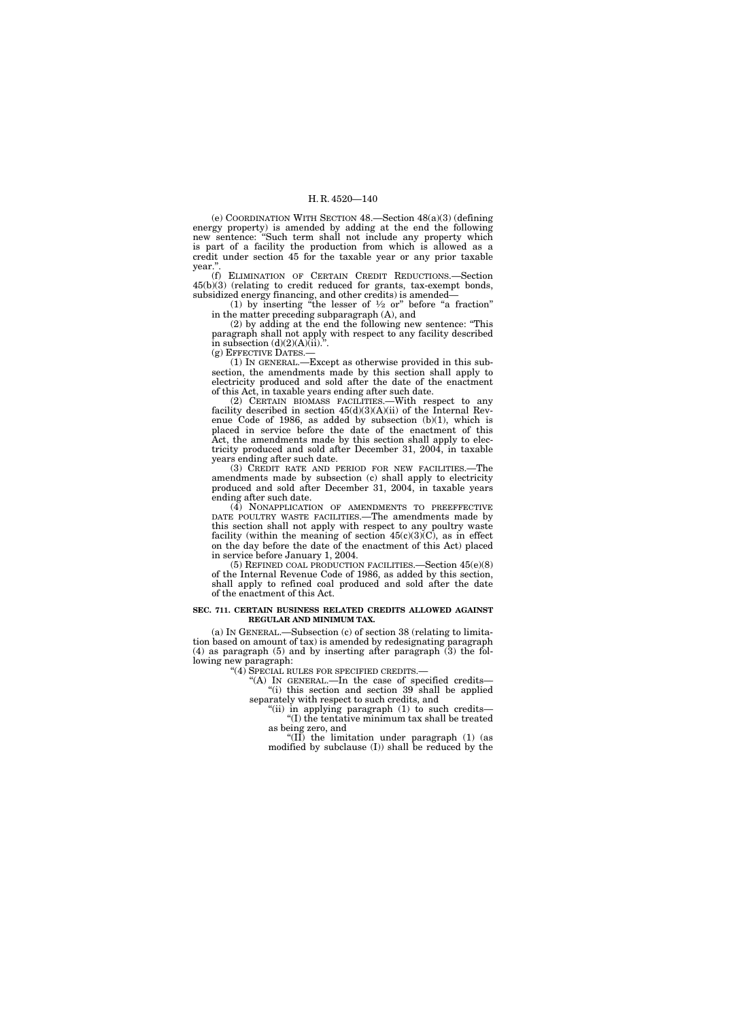(e) COORDINATION WITH SECTION 48.—Section 48(a)(3) (defining energy property) is amended by adding at the end the following new sentence: "Such term shall not include any property which is part of a facility the production from which is allowed as a credit under section 45 for the taxable year or any prior taxable year.'

(f) ELIMINATION OF CERTAIN CREDIT REDUCTIONS.—Section 45(b)(3) (relating to credit reduced for grants, tax-exempt bonds, subsidized energy financing, and other credits) is amended—

(1) by inserting "the lesser of  $\frac{1}{2}$  or" before "a fraction" in the matter preceding subparagraph (A), and

(2) by adding at the end the following new sentence: ''This paragraph shall not apply with respect to any facility described in subsection  $(d)(2)(A)\overline{(ii)}$ . (g) EFFECTIVE DATES.—

(1) IN GENERAL.—Except as otherwise provided in this subsection, the amendments made by this section shall apply to electricity produced and sold after the date of the enactment of this Act, in taxable years ending after such date.

(2) CERTAIN BIOMASS FACILITIES.—With respect to any facility described in section  $45(d)(3)(A)(ii)$  of the Internal Revenue Code of 1986, as added by subsection (b)(1), which is placed in service before the date of the enactment of this Act, the amendments made by this section shall apply to electricity produced and sold after December 31, 2004, in taxable years ending after such date.

(3) CREDIT RATE AND PERIOD FOR NEW FACILITIES.—The amendments made by subsection (c) shall apply to electricity produced and sold after December 31, 2004, in taxable years ending after such date.

(4) NONAPPLICATION OF AMENDMENTS TO PREEFFECTIVE DATE POULTRY WASTE FACILITIES.—The amendments made by this section shall not apply with respect to any poultry waste facility (within the meaning of section  $45(c)(3)(C)$ , as in effect on the day before the date of the enactment of this Act) placed in service before January 1, 2004.

(5) REFINED COAL PRODUCTION FACILITIES.—Section 45(e)(8) of the Internal Revenue Code of 1986, as added by this section, shall apply to refined coal produced and sold after the date of the enactment of this Act.

#### **SEC. 711. CERTAIN BUSINESS RELATED CREDITS ALLOWED AGAINST REGULAR AND MINIMUM TAX.**

(a) IN GENERAL.—Subsection (c) of section 38 (relating to limitation based on amount of tax) is amended by redesignating paragraph (4) as paragraph (5) and by inserting after paragraph (3) the following new paragraph:

''(4) SPECIAL RULES FOR SPECIFIED CREDITS.—

''(A) IN GENERAL.—In the case of specified credits— "(i) this section and section  $39$  shall be applied separately with respect to such credits, and

''(ii) in applying paragraph (1) to such credits— ''(I) the tentative minimum tax shall be treated

as being zero, and ''(II) the limitation under paragraph (1) (as modified by subclause (I)) shall be reduced by the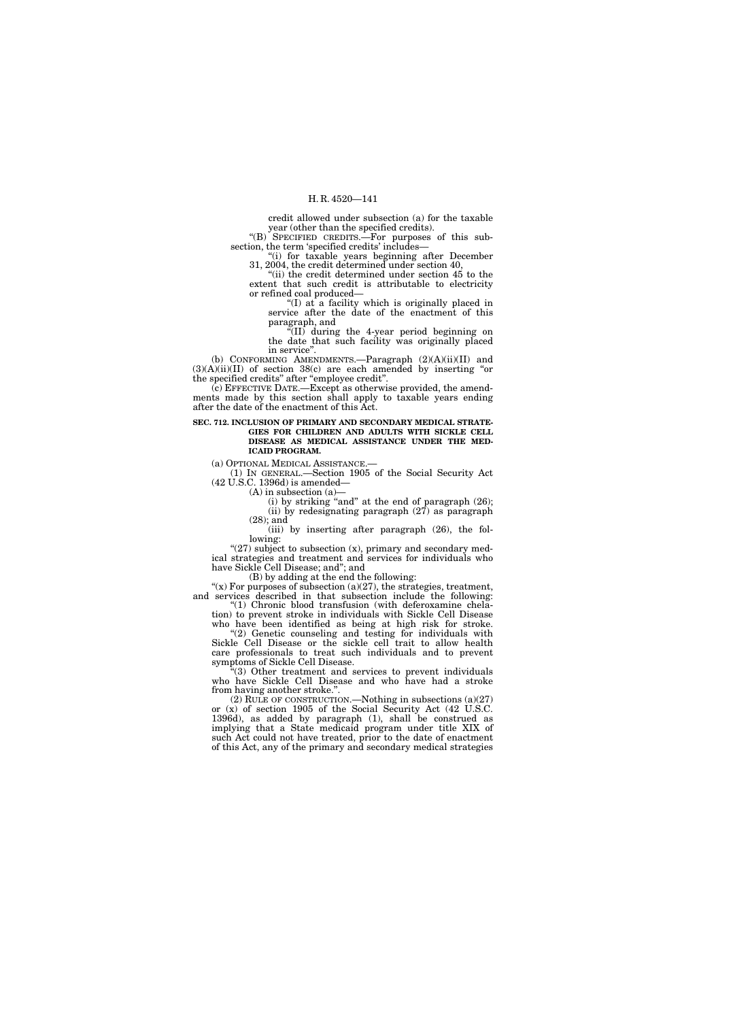credit allowed under subsection (a) for the taxable year (other than the specified credits).

''(B) SPECIFIED CREDITS.—For purposes of this subsection, the term 'specified credits' includes—

''(i) for taxable years beginning after December 31, 2004, the credit determined under section 40,

"(ii) the credit determined under section 45 to the extent that such credit is attributable to electricity or refined coal produced—

''(I) at a facility which is originally placed in service after the date of the enactment of this paragraph, and

 $\sqrt[\alpha]{\text{III}}$  during the 4-year period beginning on the date that such facility was originally placed in service''.

(b) CONFORMING AMENDMENTS.—Paragraph  $(2)(A)(ii)(II)$  and  $(3)(A)(ii)(II)$  of section  $38(c)$  are each amended by inserting "or

the specified credits'' after ''employee credit''. (c) EFFECTIVE DATE.—Except as otherwise provided, the amendments made by this section shall apply to taxable years ending after the date of the enactment of this Act.

#### **SEC. 712. INCLUSION OF PRIMARY AND SECONDARY MEDICAL STRATE-GIES FOR CHILDREN AND ADULTS WITH SICKLE CELL DISEASE AS MEDICAL ASSISTANCE UNDER THE MED-ICAID PROGRAM.**

(a) OPTIONAL MEDICAL ASSISTANCE.—

(1) IN GENERAL.—Section 1905 of the Social Security Act (42 U.S.C. 1396d) is amended—

(A) in subsection (a)—

(i) by striking "and" at the end of paragraph  $(26)$ ; (ii) by redesignating paragraph  $(27)$  as paragraph (28); and

(iii) by inserting after paragraph (26), the following:

"(27) subject to subsection (x), primary and secondary medical strategies and treatment and services for individuals who have Sickle Cell Disease; and''; and

(B) by adding at the end the following:

" $(x)$  For purposes of subsection (a)(27), the strategies, treatment, and services described in that subsection include the following: '(1) Chronic blood transfusion (with deferoxamine chela-

tion) to prevent stroke in individuals with Sickle Cell Disease who have been identified as being at high risk for stroke. "(2) Genetic counseling and testing for individuals with Sickle Cell Disease or the sickle cell trait to allow health care professionals to treat such individuals and to prevent symptoms of Sickle Cell Disease.

''(3) Other treatment and services to prevent individuals who have Sickle Cell Disease and who have had a stroke from having another stroke.''.

(2) RULE OF CONSTRUCTION.—Nothing in subsections  $(a)(27)$ or (x) of section 1905 of the Social Security Act (42 U.S.C. 1396d), as added by paragraph (1), shall be construed as implying that a State medicaid program under title XIX of such Act could not have treated, prior to the date of enactment of this Act, any of the primary and secondary medical strategies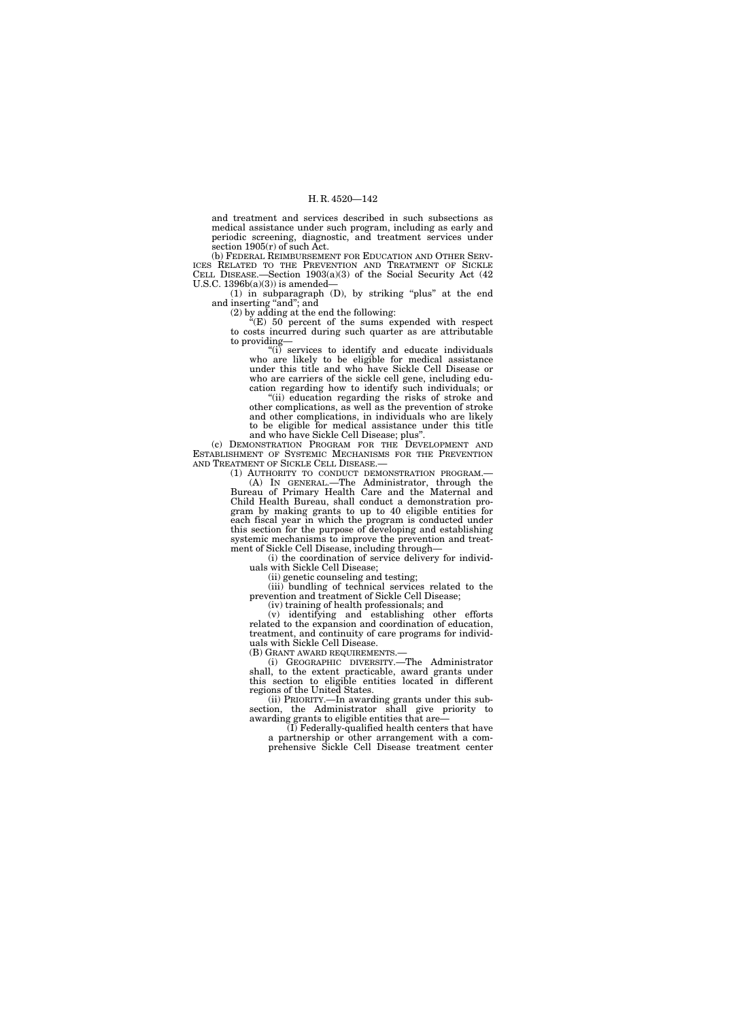and treatment and services described in such subsections as medical assistance under such program, including as early and periodic screening, diagnostic, and treatment services under section  $1905(r)$  of such Act.

(b) FEDERAL REIMBURSEMENT FOR EDUCATION AND OTHER SERV-ICES RELATED TO THE PREVENTION AND TREATMENT OF SICKLE CELL DISEASE.—Section 1903(a)(3) of the Social Security Act (42 U.S.C.  $1396b(a)(3)$ ) is amended-

(1) in subparagraph (D), by striking ''plus'' at the end and inserting "and"; and

(2) by adding at the end the following:

"(E) 50 percent of the sums expended with respect to costs incurred during such quarter as are attributable to providing—

"(i) services to identify and educate individuals who are likely to be eligible for medical assistance under this title and who have Sickle Cell Disease or who are carriers of the sickle cell gene, including education regarding how to identify such individuals; or

"(ii) education regarding the risks of stroke and other complications, as well as the prevention of stroke and other complications, in individuals who are likely to be eligible for medical assistance under this title

and who have Sickle Cell Disease; plus''. (c) DEMONSTRATION PROGRAM FOR THE DEVELOPMENT AND ESTABLISHMENT OF SYSTEMIC MECHANISMS FOR THE PREVENTION AND TREATMENT OF SICKLE CELL DISEASE.

(1) AUTHORITY TO CONDUCT DEMONSTRATION PROGRAM.— (A) IN GENERAL.—The Administrator, through the Bureau of Primary Health Care and the Maternal and Child Health Bureau, shall conduct a demonstration program by making grants to up to 40 eligible entities for each fiscal year in which the program is conducted under this section for the purpose of developing and establishing systemic mechanisms to improve the prevention and treatment of Sickle Cell Disease, including through—

(i) the coordination of service delivery for individuals with Sickle Cell Disease;

(ii) genetic counseling and testing;

(iii) bundling of technical services related to the prevention and treatment of Sickle Cell Disease;

(iv) training of health professionals; and

(v) identifying and establishing other efforts related to the expansion and coordination of education, treatment, and continuity of care programs for individuals with Sickle Cell Disease. (B) GRANT AWARD REQUIREMENTS.—

(i) GEOGRAPHIC DIVERSITY.—The Administrator shall, to the extent practicable, award grants under this section to eligible entities located in different regions of the United States.

(ii) PRIORITY.—In awarding grants under this subsection, the Administrator shall give priority to awarding grants to eligible entities that are— (I) Federally-qualified health centers that have

a partnership or other arrangement with a comprehensive Sickle Cell Disease treatment center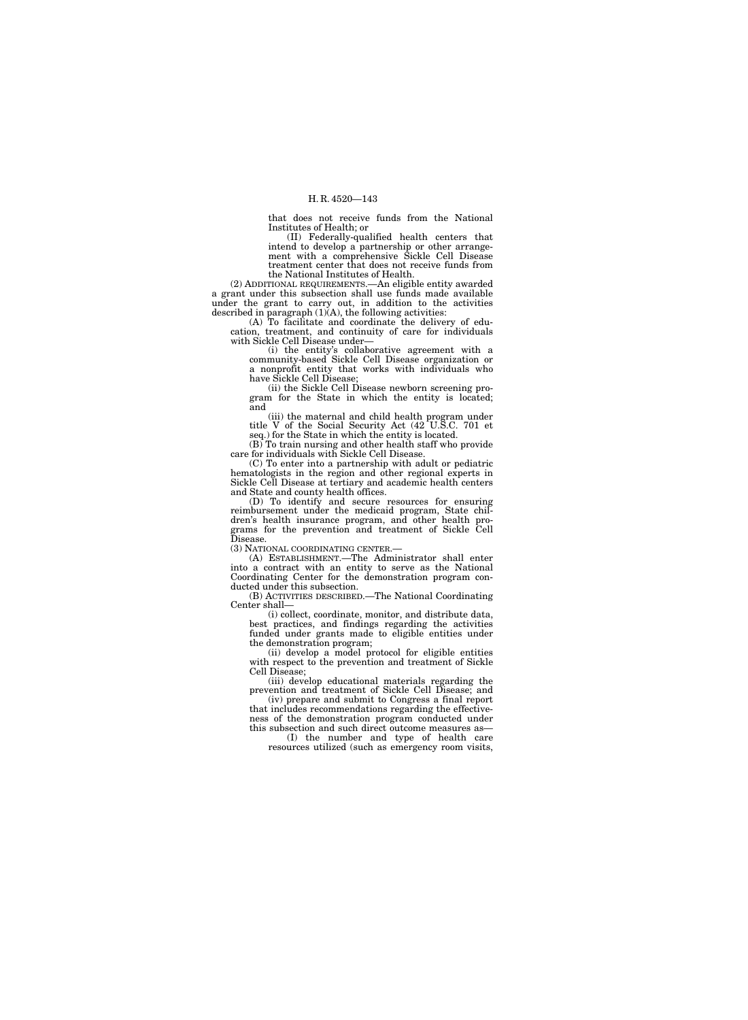that does not receive funds from the National Institutes of Health; or

(II) Federally-qualified health centers that intend to develop a partnership or other arrangement with a comprehensive Sickle Cell Disease treatment center that does not receive funds from the National Institutes of Health.

(2) ADDITIONAL REQUIREMENTS.—An eligible entity awarded a grant under this subsection shall use funds made available under the grant to carry out, in addition to the activities described in paragraph (1)(A), the following activities:

(A) To facilitate and coordinate the delivery of education, treatment, and continuity of care for individuals with Sickle Cell Disease under—

(i) the entity's collaborative agreement with a community-based Sickle Cell Disease organization or a nonprofit entity that works with individuals who have Sickle Cell Disease;

(ii) the Sickle Cell Disease newborn screening program for the State in which the entity is located; and

(iii) the maternal and child health program under title V of the Social Security Act (42 U.S.C. 701 et seq.) for the State in which the entity is located.

(B) To train nursing and other health staff who provide care for individuals with Sickle Cell Disease.

(C) To enter into a partnership with adult or pediatric hematologists in the region and other regional experts in Sickle Cell Disease at tertiary and academic health centers and State and county health offices.

(D) To identify and secure resources for ensuring reimbursement under the medicaid program, State children's health insurance program, and other health programs for the prevention and treatment of Sickle Cell Disease.

(3) NATIONAL COORDINATING CENTER.— (A) ESTABLISHMENT.—The Administrator shall enter into a contract with an entity to serve as the National Coordinating Center for the demonstration program conducted under this subsection.

(B) ACTIVITIES DESCRIBED.—The National Coordinating Center shall—

(i) collect, coordinate, monitor, and distribute data, best practices, and findings regarding the activities funded under grants made to eligible entities under the demonstration program;

(ii) develop a model protocol for eligible entities with respect to the prevention and treatment of Sickle Cell Disease;

(iii) develop educational materials regarding the prevention and treatment of Sickle Cell Disease; and (iv) prepare and submit to Congress a final report

that includes recommendations regarding the effectiveness of the demonstration program conducted under

this subsection and such direct outcome measures as— (I) the number and type of health care resources utilized (such as emergency room visits,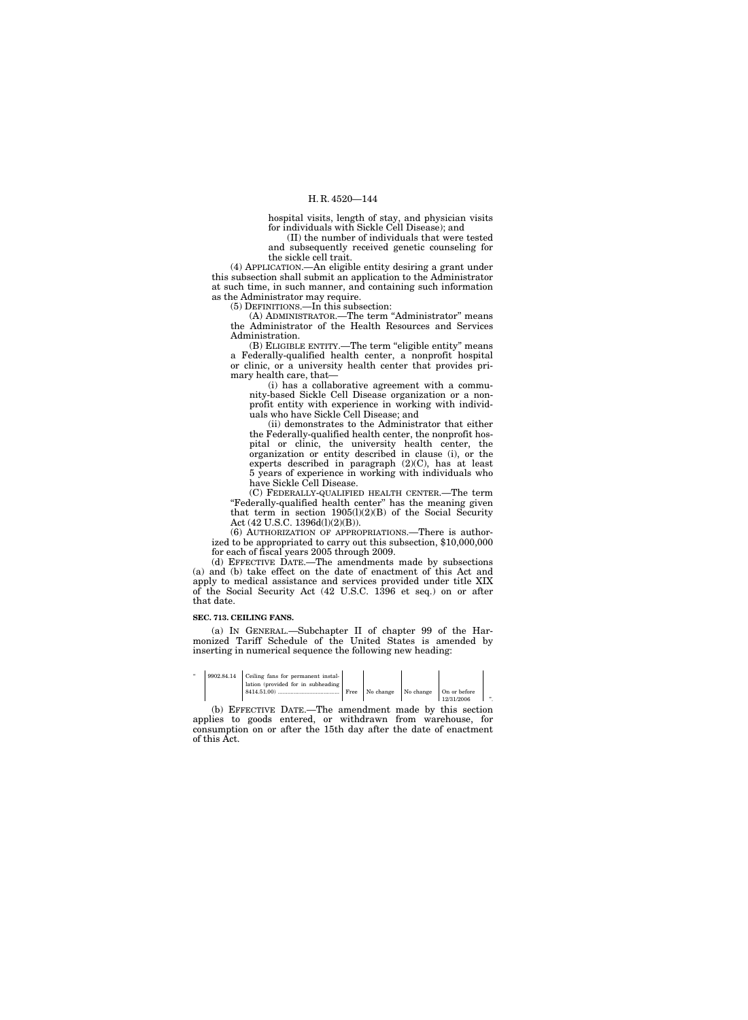hospital visits, length of stay, and physician visits for individuals with Sickle Cell Disease); and

(II) the number of individuals that were tested and subsequently received genetic counseling for the sickle cell trait.

(4) APPLICATION.—An eligible entity desiring a grant under this subsection shall submit an application to the Administrator at such time, in such manner, and containing such information as the Administrator may require.

(5) DEFINITIONS.—In this subsection:

(A) ADMINISTRATOR.—The term ''Administrator'' means the Administrator of the Health Resources and Services Administration.

(B) ELIGIBLE ENTITY.—The term ''eligible entity'' means a Federally-qualified health center, a nonprofit hospital or clinic, or a university health center that provides primary health care, that—

(i) has a collaborative agreement with a community-based Sickle Cell Disease organization or a nonprofit entity with experience in working with individuals who have Sickle Cell Disease; and

(ii) demonstrates to the Administrator that either the Federally-qualified health center, the nonprofit hospital or clinic, the university health center, the organization or entity described in clause (i), or the experts described in paragraph (2)(C), has at least 5 years of experience in working with individuals who have Sickle Cell Disease.

(C) FEDERALLY-QUALIFIED HEALTH CENTER.—The term ''Federally-qualified health center'' has the meaning given that term in section  $1905(1)(2)(B)$  of the Social Security Act (42 U.S.C. 1396d(l)(2)(B)).

(6) AUTHORIZATION OF APPROPRIATIONS.—There is authorized to be appropriated to carry out this subsection, \$10,000,000 for each of fiscal years 2005 through 2009.

(d) EFFECTIVE DATE.—The amendments made by subsections (a) and (b) take effect on the date of enactment of this Act and apply to medical assistance and services provided under title XIX of the Social Security Act (42 U.S.C. 1396 et seq.) on or after that date.

#### **SEC. 713. CEILING FANS.**

(a) IN GENERAL.—Subchapter II of chapter 99 of the Harmonized Tariff Schedule of the United States is amended by inserting in numerical sequence the following new heading:

| $\epsilon$ | 9902.84.14   Ceiling fans for permanent instal-<br>lation (provided for in subheading |  |                                                     |                |
|------------|---------------------------------------------------------------------------------------|--|-----------------------------------------------------|----------------|
|            |                                                                                       |  | Free No change No change On or before<br>12/31/2006 | $\overline{ }$ |

(b) EFFECTIVE DATE.—The amendment made by this section applies to goods entered, or withdrawn from warehouse, for consumption on or after the 15th day after the date of enactment of this Act.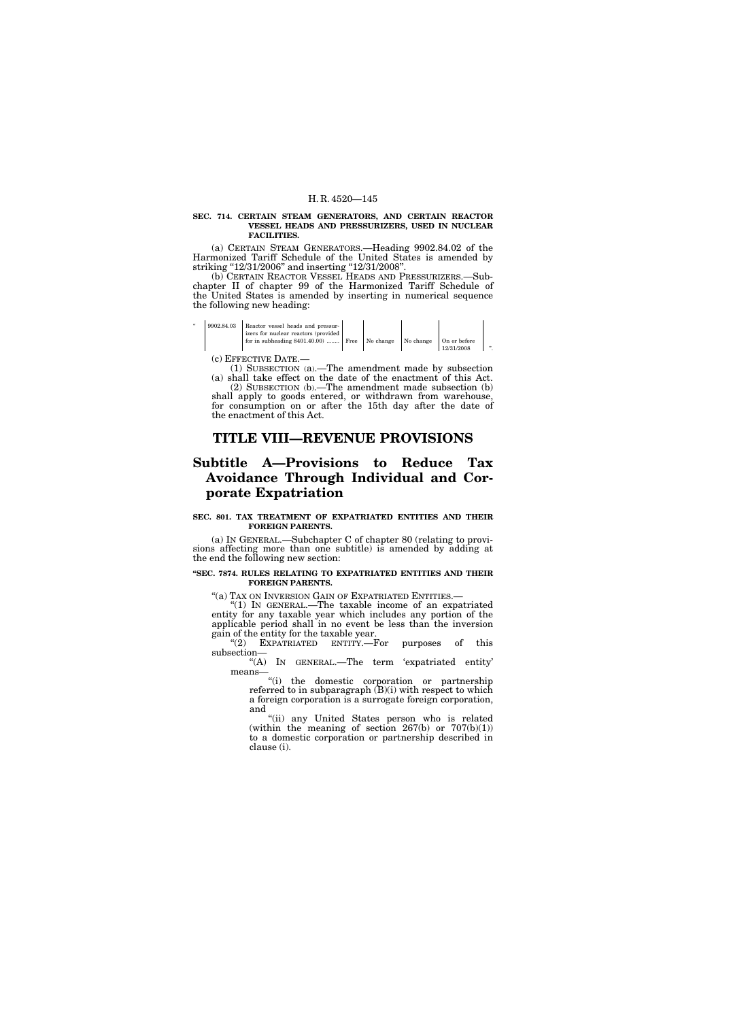#### **SEC. 714. CERTAIN STEAM GENERATORS, AND CERTAIN REACTOR VESSEL HEADS AND PRESSURIZERS, USED IN NUCLEAR FACILITIES.**

(a) CERTAIN STEAM GENERATORS.—Heading 9902.84.02 of the Harmonized Tariff Schedule of the United States is amended by striking "12/31/2006" and inserting "12/31/2008".

(b) CERTAIN REACTOR VESSEL HEADS AND PRESSURIZERS.—Subchapter II of chapter 99 of the Harmonized Tariff Schedule of the United States is amended by inserting in numerical sequence the following new heading:

| $\epsilon$ | 9902.84.03   Reactor vessel heads and pressur-<br>izers for nuclear reactors (provided  <br>for in subheading 8401.40.00)  Free No change |  | No change | On or before<br>12/31/2008 | $\mathbf{v}$ |
|------------|-------------------------------------------------------------------------------------------------------------------------------------------|--|-----------|----------------------------|--------------|
|            |                                                                                                                                           |  |           |                            |              |

(c) EFFECTIVE DATE.—

the enactment of this Act.

(1) SUBSECTION (a).—The amendment made by subsection (a) shall take effect on the date of the enactment of this Act. (2) SUBSECTION (b).—The amendment made subsection (b) shall apply to goods entered, or withdrawn from warehouse, for consumption on or after the 15th day after the date of

# **TITLE VIII—REVENUE PROVISIONS**

# **Subtitle A—Provisions to Reduce Tax Avoidance Through Individual and Corporate Expatriation**

#### **SEC. 801. TAX TREATMENT OF EXPATRIATED ENTITIES AND THEIR FOREIGN PARENTS.**

(a) IN GENERAL.—Subchapter C of chapter 80 (relating to provisions affecting more than one subtitle) is amended by adding at the end the following new section:

### **''SEC. 7874. RULES RELATING TO EXPATRIATED ENTITIES AND THEIR FOREIGN PARENTS.**

''(a) TAX ON INVERSION GAIN OF EXPATRIATED ENTITIES.—

''(1) IN GENERAL.—The taxable income of an expatriated entity for any taxable year which includes any portion of the applicable period shall in no event be less than the inversion gain of the entity for the taxable year.<br>
"(2) EXPATRIATED ENTITY.—For purposes of this

subsection—

''(A) IN GENERAL.—The term 'expatriated entity' means—

''(i) the domestic corporation or partnership referred to in subparagraph (B)(i) with respect to which a foreign corporation is a surrogate foreign corporation, and

''(ii) any United States person who is related (within the meaning of section  $267(b)$  or  $707(b)(1)$ ) to a domestic corporation or partnership described in clause (i).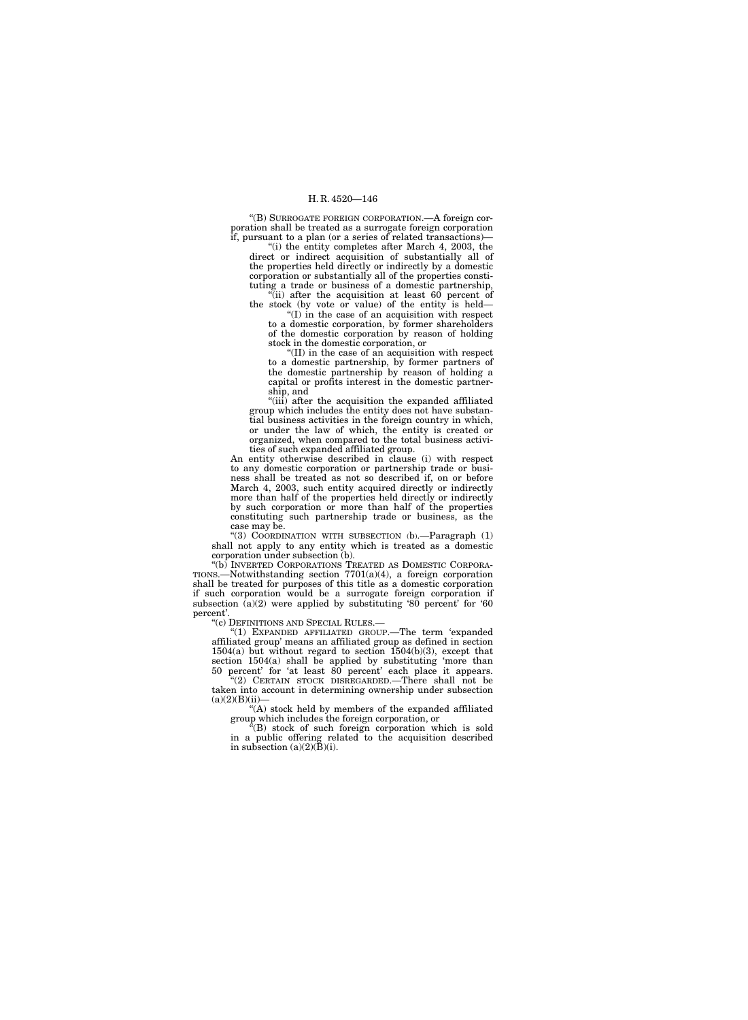''(B) SURROGATE FOREIGN CORPORATION.—A foreign corporation shall be treated as a surrogate foreign corporation if, pursuant to a plan (or a series of related transactions)—

"(i) the entity completes after March 4, 2003, the direct or indirect acquisition of substantially all of the properties held directly or indirectly by a domestic corporation or substantially all of the properties constituting a trade or business of a domestic partnership,  $'$ (ii) after the acquisition at least  $60$  percent of

the stock (by vote or value) of the entity is held— ''(I) in the case of an acquisition with respect to a domestic corporation, by former shareholders of the domestic corporation by reason of holding

stock in the domestic corporation, or ''(II) in the case of an acquisition with respect to a domestic partnership, by former partners of the domestic partnership by reason of holding a capital or profits interest in the domestic partnership, and

"(iii) after the acquisition the expanded affiliated group which includes the entity does not have substantial business activities in the foreign country in which, or under the law of which, the entity is created or organized, when compared to the total business activities of such expanded affiliated group.

An entity otherwise described in clause (i) with respect to any domestic corporation or partnership trade or business shall be treated as not so described if, on or before March 4, 2003, such entity acquired directly or indirectly more than half of the properties held directly or indirectly by such corporation or more than half of the properties constituting such partnership trade or business, as the case may be.

''(3) COORDINATION WITH SUBSECTION (b).—Paragraph (1) shall not apply to any entity which is treated as a domestic corporation under subsection (b).

''(b) INVERTED CORPORATIONS TREATED AS DOMESTIC CORPORA-TIONS.—Notwithstanding section 7701(a)(4), a foreign corporation shall be treated for purposes of this title as a domestic corporation if such corporation would be a surrogate foreign corporation if subsection  $(a)(2)$  were applied by substituting '80 percent' for '60 percent'.

''(c) DEFINITIONS AND SPECIAL RULES.—

''(1) EXPANDED AFFILIATED GROUP.—The term 'expanded affiliated group' means an affiliated group as defined in section  $1504(a)$  but without regard to section  $1504(b)(3)$ , except that section 1504(a) shall be applied by substituting 'more than 50 percent' for 'at least 80 percent' each place it appears. ''(2) CERTAIN STOCK DISREGARDED.—There shall not be taken into account in determining ownership under subsection

 $(a)(2)(B)(ii)$ ''(A) stock held by members of the expanded affiliated group which includes the foreign corporation, or

 $E(E)$  stock of such foreign corporation which is sold in a public offering related to the acquisition described in subsection  $(a)(2)(B)(i)$ .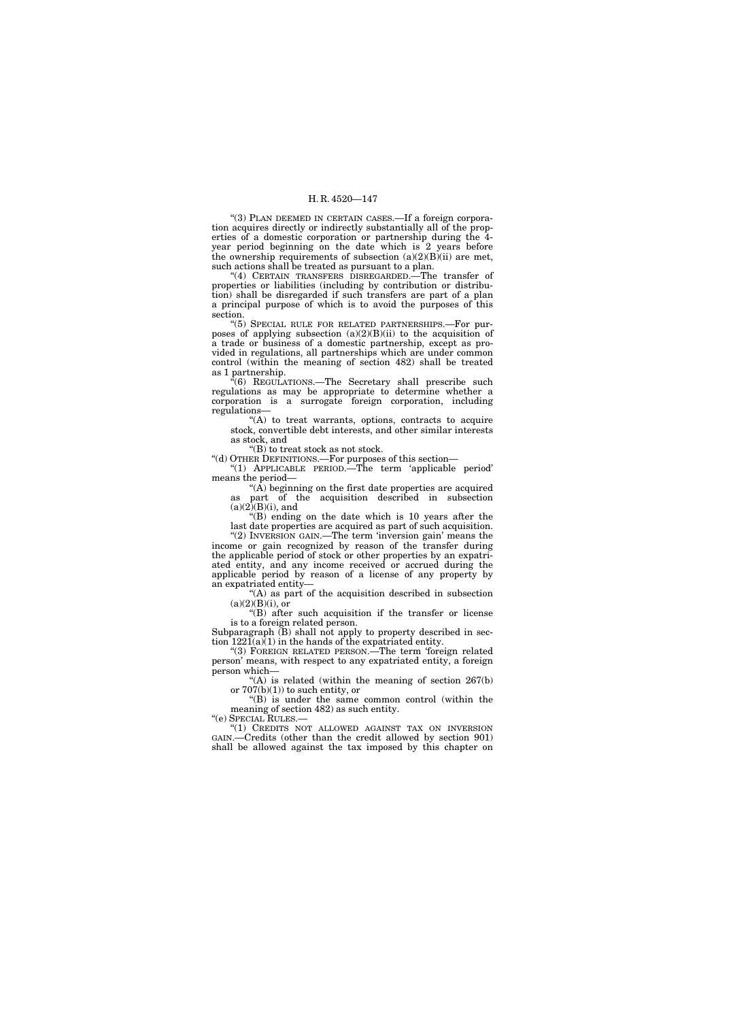''(3) PLAN DEEMED IN CERTAIN CASES.—If a foreign corporation acquires directly or indirectly substantially all of the properties of a domestic corporation or partnership during the 4 year period beginning on the date which is 2 years before the ownership requirements of subsection  $(a)(2)(B)(ii)$  are met, such actions shall be treated as pursuant to a plan.

''(4) CERTAIN TRANSFERS DISREGARDED.—The transfer of properties or liabilities (including by contribution or distribution) shall be disregarded if such transfers are part of a plan a principal purpose of which is to avoid the purposes of this section.

''(5) SPECIAL RULE FOR RELATED PARTNERSHIPS.—For purposes of applying subsection  $(a)(2)(B)(ii)$  to the acquisition of a trade or business of a domestic partnership, except as provided in regulations, all partnerships which are under common control (within the meaning of section 482) shall be treated as 1 partnership.

''(6) REGULATIONS.—The Secretary shall prescribe such regulations as may be appropriate to determine whether a corporation is a surrogate foreign corporation, including regulations—

"(A) to treat warrants, options, contracts to acquire stock, convertible debt interests, and other similar interests as stock, and

''(B) to treat stock as not stock.

''(d) OTHER DEFINITIONS.—For purposes of this section— ''(1) APPLICABLE PERIOD.—The term 'applicable period'

means the period— " $(\hat{A})$  beginning on the first date properties are acquired as part of the acquisition described in subsection

 $(a)(2)$  $(B)(i)$ , and

''(B) ending on the date which is 10 years after the last date properties are acquired as part of such acquisition.

"(2) INVERSION GAIN.—The term 'inversion gain' means the income or gain recognized by reason of the transfer during the applicable period of stock or other properties by an expatriated entity, and any income received or accrued during the applicable period by reason of a license of any property by an expatriated entity—

''(A) as part of the acquisition described in subsection  $(a)(2)(B)(i)$ , or

''(B) after such acquisition if the transfer or license is to a foreign related person.

Subparagraph  $(B)$  shall not apply to property described in section 1221(a)(1) in the hands of the expatriated entity.

''(3) FOREIGN RELATED PERSON.—The term 'foreign related person' means, with respect to any expatriated entity, a foreign person which—

"(A) is related (within the meaning of section  $267(b)$ or  $707(b)(1)$ ) to such entity, or

''(B) is under the same common control (within the meaning of section 482) as such entity. ''(e) SPECIAL RULES.—

"(1) CREDITS NOT ALLOWED AGAINST TAX ON INVERSION GAIN.—Credits (other than the credit allowed by section 901) shall be allowed against the tax imposed by this chapter on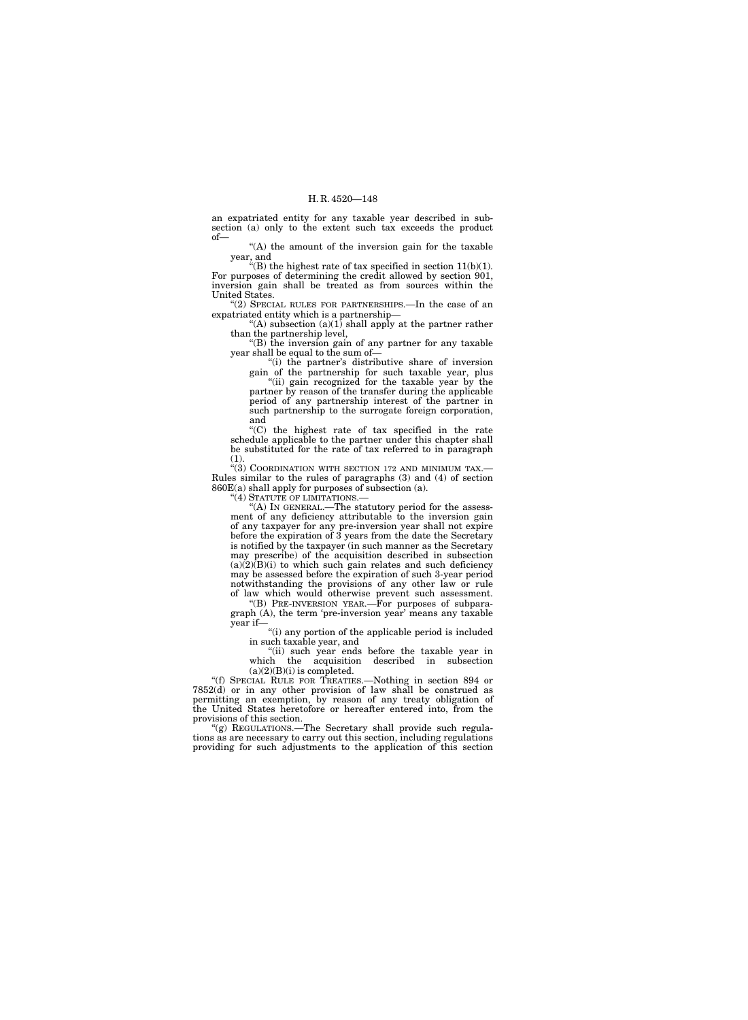an expatriated entity for any taxable year described in subsection (a) only to the extent such tax exceeds the product of—

"(A) the amount of the inversion gain for the taxable year, and

"(B) the highest rate of tax specified in section  $11(b)(1)$ . For purposes of determining the credit allowed by section 901, inversion gain shall be treated as from sources within the United States.

"(2) SPECIAL RULES FOR PARTNERSHIPS.—In the case of an expatriated entity which is a partnership—

"(A) subsection  $(a)(1)$  shall apply at the partner rather than the partnership level,

''(B) the inversion gain of any partner for any taxable year shall be equal to the sum of—

''(i) the partner's distributive share of inversion gain of the partnership for such taxable year, plus

"(ii) gain recognized for the taxable year by the partner by reason of the transfer during the applicable period of any partnership interest of the partner in such partnership to the surrogate foreign corporation, and

''(C) the highest rate of tax specified in the rate schedule applicable to the partner under this chapter shall be substituted for the rate of tax referred to in paragraph (1).

 $\cdot$ (3) COORDINATION WITH SECTION 172 AND MINIMUM TAX.— Rules similar to the rules of paragraphs (3) and (4) of section 860E(a) shall apply for purposes of subsection (a).

"(4) STATUTE OF LIMITATIONS .-

''(A) IN GENERAL.—The statutory period for the assessment of any deficiency attributable to the inversion gain of any taxpayer for any pre-inversion year shall not expire before the expiration of 3 years from the date the Secretary is notified by the taxpayer (in such manner as the Secretary may prescribe) of the acquisition described in subsection  $(a)(2)(B)(i)$  to which such gain relates and such deficiency may be assessed before the expiration of such 3-year period notwithstanding the provisions of any other law or rule of law which would otherwise prevent such assessment.

" $(B)$  PRE-INVERSION YEAR.—For purposes of subparagraph (A), the term 'pre-inversion year' means any taxable year if—

''(i) any portion of the applicable period is included in such taxable year, and

''(ii) such year ends before the taxable year in which the acquisition described in subsection  $(a)(2)(B)(i)$  is completed.

''(f) SPECIAL RULE FOR TREATIES.—Nothing in section 894 or 7852(d) or in any other provision of law shall be construed as permitting an exemption, by reason of any treaty obligation of the United States heretofore or hereafter entered into, from the provisions of this section.

''(g) REGULATIONS.—The Secretary shall provide such regulations as are necessary to carry out this section, including regulations providing for such adjustments to the application of this section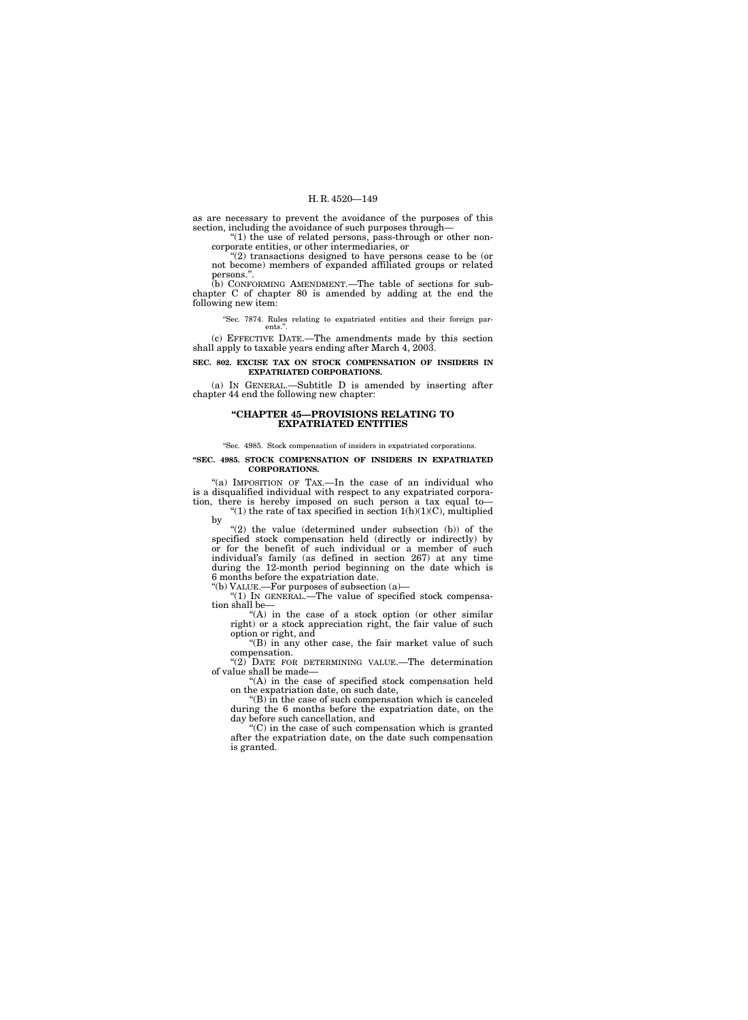as are necessary to prevent the avoidance of the purposes of this section, including the avoidance of such purposes through—

" $(1)$  the use of related persons, pass-through or other noncorporate entities, or other intermediaries, or

''(2) transactions designed to have persons cease to be (or not become) members of expanded affiliated groups or related persons.''.

(b) CONFORMING AMENDMENT.—The table of sections for subchapter C of chapter 80 is amended by adding at the end the following new item:

#### ''Sec. 7874. Rules relating to expatriated entities and their foreign parents.'

(c) EFFECTIVE DATE.—The amendments made by this section shall apply to taxable years ending after March 4, 2003.

**SEC. 802. EXCISE TAX ON STOCK COMPENSATION OF INSIDERS IN EXPATRIATED CORPORATIONS.**

(a) IN GENERAL.—Subtitle D is amended by inserting after chapter 44 end the following new chapter:

#### **''CHAPTER 45—PROVISIONS RELATING TO EXPATRIATED ENTITIES**

## ''Sec. 4985. Stock compensation of insiders in expatriated corporations.

#### **''SEC. 4985. STOCK COMPENSATION OF INSIDERS IN EXPATRIATED CORPORATIONS.**

"(a) IMPOSITION OF TAX.—In the case of an individual who is a disqualified individual with respect to any expatriated corporation, there is hereby imposed on such person a tax equal to—

"(1) the rate of tax specified in section  $1(h)(1)(C)$ , multiplied by

"(2) the value (determined under subsection (b)) of the specified stock compensation held (directly or indirectly) by or for the benefit of such individual or a member of such individual's family (as defined in section 267) at any time during the 12-month period beginning on the date which is 6 months before the expatriation date.

''(b) VALUE.—For purposes of subsection (a)—

"(1) IN GENERAL.—The value of specified stock compensation shall be—

"(A) in the case of a stock option (or other similar right) or a stock appreciation right, the fair value of such option or right, and

"(B) in any other case, the fair market value of such compensation.

"(2) DATE FOR DETERMINING VALUE.—The determination of value shall be made—

 $"$ (A) in the case of specified stock compensation held on the expatriation date, on such date,

 $\mathrm{``(B)}$  in the case of such compensation which is canceled during the 6 months before the expatriation date, on the day before such cancellation, and "(C) in the case of such compensation which is granted

after the expatriation date, on the date such compensation is granted.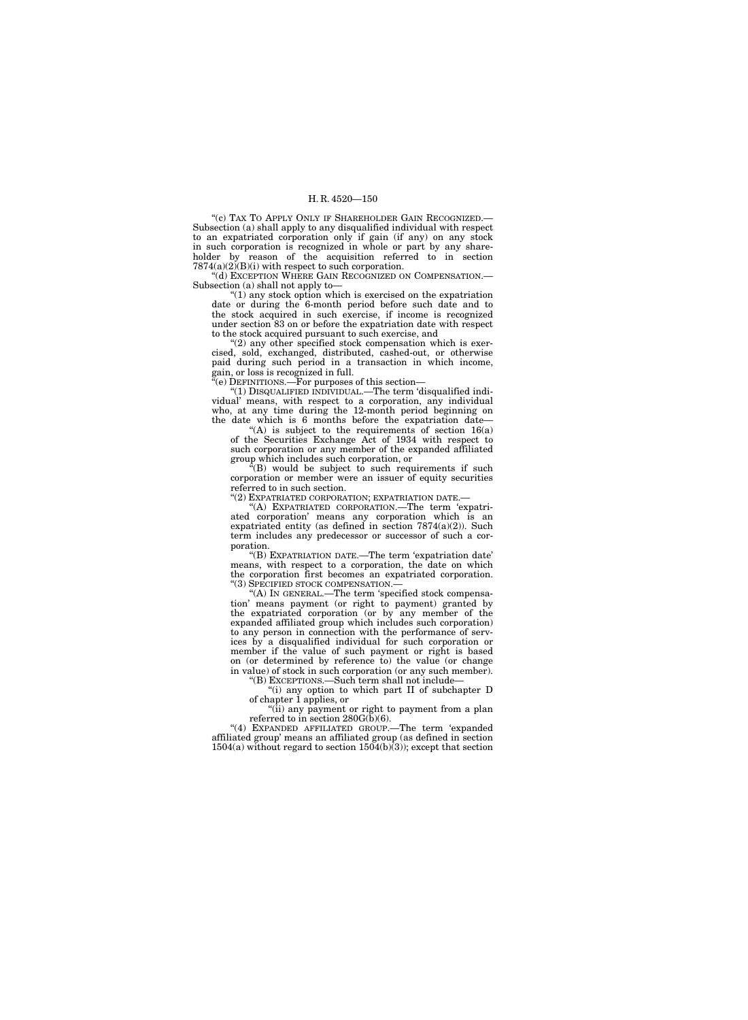''(c) TAX TO APPLY ONLY IF SHAREHOLDER GAIN RECOGNIZED.— Subsection (a) shall apply to any disqualified individual with respect to an expatriated corporation only if gain (if any) on any stock in such corporation is recognized in whole or part by any shareholder by reason of the acquisition referred to in section  $7874(a)(2)(B)(i)$  with respect to such corporation.

''(d) EXCEPTION WHERE GAIN RECOGNIZED ON COMPENSATION.— Subsection (a) shall not apply to—

 $"(1)$  any stock option which is exercised on the expatriation date or during the 6-month period before such date and to the stock acquired in such exercise, if income is recognized under section 83 on or before the expatriation date with respect to the stock acquired pursuant to such exercise, and

''(2) any other specified stock compensation which is exercised, sold, exchanged, distributed, cashed-out, or otherwise paid during such period in a transaction in which income, gain, or loss is recognized in full.

 $\mathbf{F}^{\mathsf{r}}(\mathbf{e})$  DEFINITIONS.—For purposes of this section—

''(1) DISQUALIFIED INDIVIDUAL.—The term 'disqualified individual' means, with respect to a corporation, any individual who, at any time during the 12-month period beginning on the date which is 6 months before the expatriation date—

"(A) is subject to the requirements of section  $16(a)$ of the Securities Exchange Act of 1934 with respect to such corporation or any member of the expanded affiliated group which includes such corporation, or

 ${}^{\dot{\alpha}}$ (B) would be subject to such requirements if such corporation or member were an issuer of equity securities referred to in such section.

''(2) EXPATRIATED CORPORATION; EXPATRIATION DATE.—

''(A) EXPATRIATED CORPORATION.—The term 'expatriated corporation' means any corporation which is an expatriated entity (as defined in section  $7874(a)(2)$ ). Such term includes any predecessor or successor of such a corporation.

''(B) EXPATRIATION DATE.—The term 'expatriation date' means, with respect to a corporation, the date on which the corporation first becomes an expatriated corporation. ''(3) SPECIFIED STOCK COMPENSATION.—

''(A) IN GENERAL.—The term 'specified stock compensation' means payment (or right to payment) granted by the expatriated corporation (or by any member of the expanded affiliated group which includes such corporation) to any person in connection with the performance of services by a disqualified individual for such corporation or member if the value of such payment or right is based on (or determined by reference to) the value (or change in value) of stock in such corporation (or any such member).

''(B) EXCEPTIONS.—Such term shall not include— ''(i) any option to which part II of subchapter D of chapter 1 applies, or

''(ii) any payment or right to payment from a plan referred to in section 280G(b)(6).

"(4) EXPANDED AFFILIATED GROUP. The term 'expanded affiliated group' means an affiliated group (as defined in section 1504(a) without regard to section 1504(b)(3)); except that section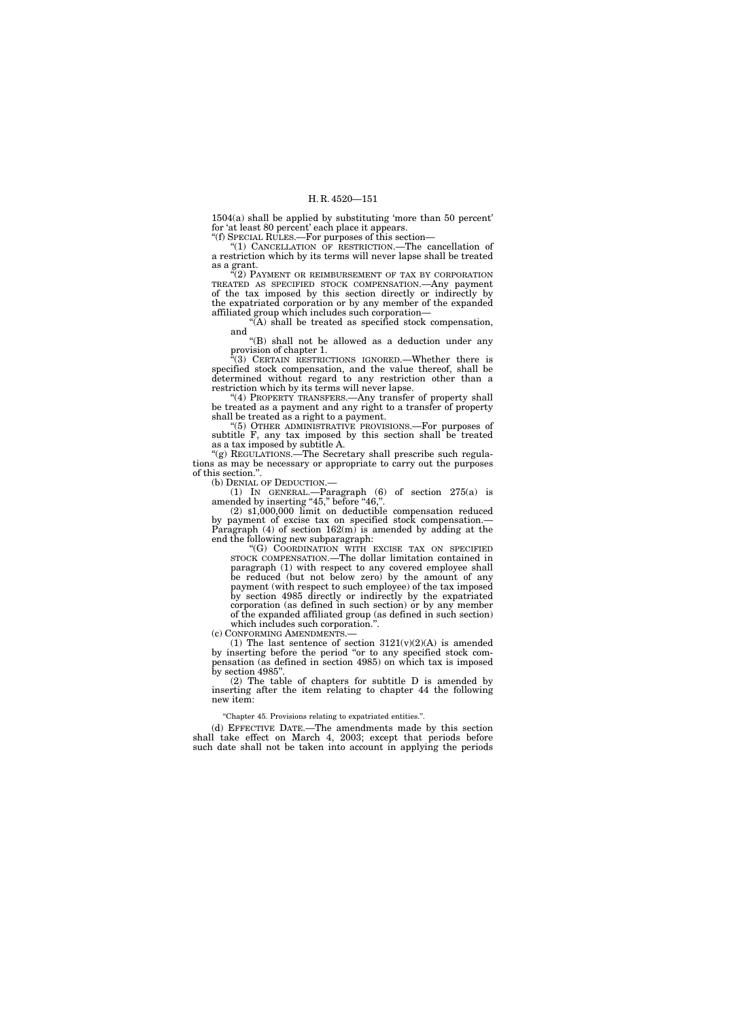1504(a) shall be applied by substituting 'more than 50 percent' for 'at least 80 percent' each place it appears.

''(f) SPECIAL RULES.—For purposes of this section—

''(1) CANCELLATION OF RESTRICTION.—The cancellation of a restriction which by its terms will never lapse shall be treated as a grant.

"(2) PAYMENT OR REIMBURSEMENT OF TAX BY CORPORATION TREATED AS SPECIFIED STOCK COMPENSATION.—Any payment of the tax imposed by this section directly or indirectly by the expatriated corporation or by any member of the expanded affiliated group which includes such corporation—

 $(A)$  shall be treated as specified stock compensation, and

''(B) shall not be allowed as a deduction under any provision of chapter 1.

''(3) CERTAIN RESTRICTIONS IGNORED.—Whether there is specified stock compensation, and the value thereof, shall be determined without regard to any restriction other than a restriction which by its terms will never lapse.

"(4) PROPERTY TRANSFERS.—Any transfer of property shall be treated as a payment and any right to a transfer of property shall be treated as a right to a payment.

''(5) OTHER ADMINISTRATIVE PROVISIONS.—For purposes of subtitle F, any tax imposed by this section shall be treated as a tax imposed by subtitle A.

"(g) REGULATIONS.—The Secretary shall prescribe such regulations as may be necessary or appropriate to carry out the purposes of this section.''.

(b) DENIAL OF DEDUCTION.—

(1) IN GENERAL.—Paragraph (6) of section 275(a) is amended by inserting "45," before "46,".

(2) \$1,000,000 limit on deductible compensation reduced by payment of excise tax on specified stock compensation. Paragraph (4) of section  $162(m)$  is amended by adding at the end the following new subparagraph:

''(G) COORDINATION WITH EXCISE TAX ON SPECIFIED STOCK COMPENSATION.—The dollar limitation contained in paragraph (1) with respect to any covered employee shall be reduced (but not below zero) by the amount of any payment (with respect to such employee) of the tax imposed by section 4985 directly or indirectly by the expatriated corporation (as defined in such section) or by any member of the expanded affiliated group (as defined in such section)

(c) CONFORMING AMENDMENTS.

(1) The last sentence of section  $3121(v)(2)(A)$  is amended by inserting before the period ''or to any specified stock compensation (as defined in section 4985) on which tax is imposed by section 4985"

(2) The table of chapters for subtitle D is amended by inserting after the item relating to chapter 44 the following new item:

#### ''Chapter 45. Provisions relating to expatriated entities.''.

(d) EFFECTIVE DATE.—The amendments made by this section shall take effect on March 4, 2003; except that periods before such date shall not be taken into account in applying the periods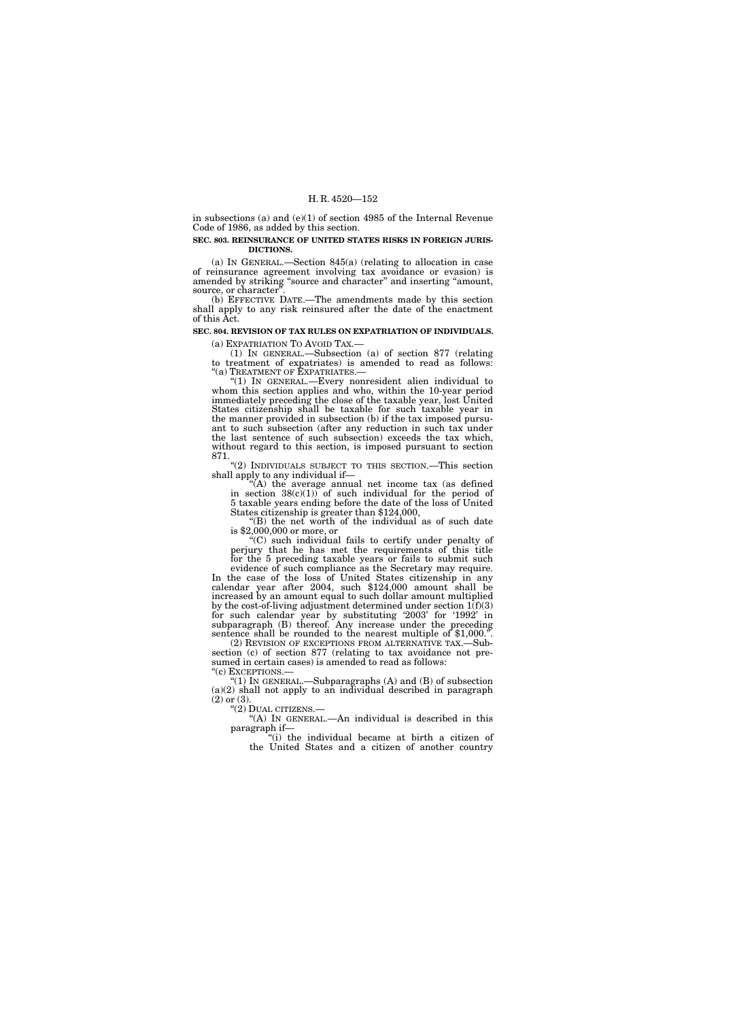in subsections (a) and  $(e)(1)$  of section 4985 of the Internal Revenue Code of 1986, as added by this section.

#### **SEC. 803. REINSURANCE OF UNITED STATES RISKS IN FOREIGN JURIS-DICTIONS.**

(a) IN GENERAL.—Section 845(a) (relating to allocation in case of reinsurance agreement involving tax avoidance or evasion) is amended by striking ''source and character'' and inserting ''amount, source, or character".<br>
(b) EFFECTIVE DATE.—The amendments made by this section

shall apply to any risk reinsured after the date of the enactment of this Act.

# **SEC. 804. REVISION OF TAX RULES ON EXPATRIATION OF INDIVIDUALS.**

(a) EXPATRIATION TO AVOID TAX.— (1) IN GENERAL.—Subsection (a) of section 877 (relating to treatment of expatriates) is amended to read as follows:<br>"(a) TREATMENT OF EXPATRIATES.—

"(1) IN GENERAL.—Every nonresident alien individual to whom this section applies and who, within the 10-year period immediately preceding the close of the taxable year, lost United States citizenship shall be taxable for such taxable year in the manner provided in subsection (b) if the tax imposed pursuant to such subsection (after any reduction in such tax under the last sentence of such subsection) exceeds the tax which, without regard to this section, is imposed pursuant to section 871.

"(2) INDIVIDUALS SUBJECT TO THIS SECTION.—This section shall apply to any individual if—

"(A) the average annual net income tax (as defined in section  $38(c)(1)$  of such individual for the period of 5 taxable years ending before the date of the loss of United

"(B) the net worth of the individual as of such date is  $$2.000,000$  or more, or

"(C) such individual fails to certify under penalty of perjury that he has met the requirements of this title for the 5 preceding taxable years or fails to submit such evidence of such compliance as the Secretary may require.

In the case of the loss of United States citizenship in any calendar year after 2004, such \$124,000 amount shall be increased by an amount equal to such dollar amount multiplied by the cost-of-living adjustment determined under section  $1(f)(3)$ for such calendar year by substituting '2003' for '1992' in subparagraph (B) thereof. Any increase under the preceding

sentence shall be rounded to the nearest multiple of \$1,000.".<br>(2) REVISION OF EXCEPTIONS FROM ALTERNATIVE TAX.—Subsection (c) of section 877 (relating to tax avoidance not presumed in certain cases) is amended to read as follows: ''(c) EXCEPTIONS.—

''(1) IN GENERAL.—Subparagraphs (A) and (B) of subsection (a)(2) shall not apply to an individual described in paragraph (2) or (3).

''(2) DUAL CITIZENS.—

''(A) IN GENERAL.—An individual is described in this paragraph if—

''(i) the individual became at birth a citizen of the United States and a citizen of another country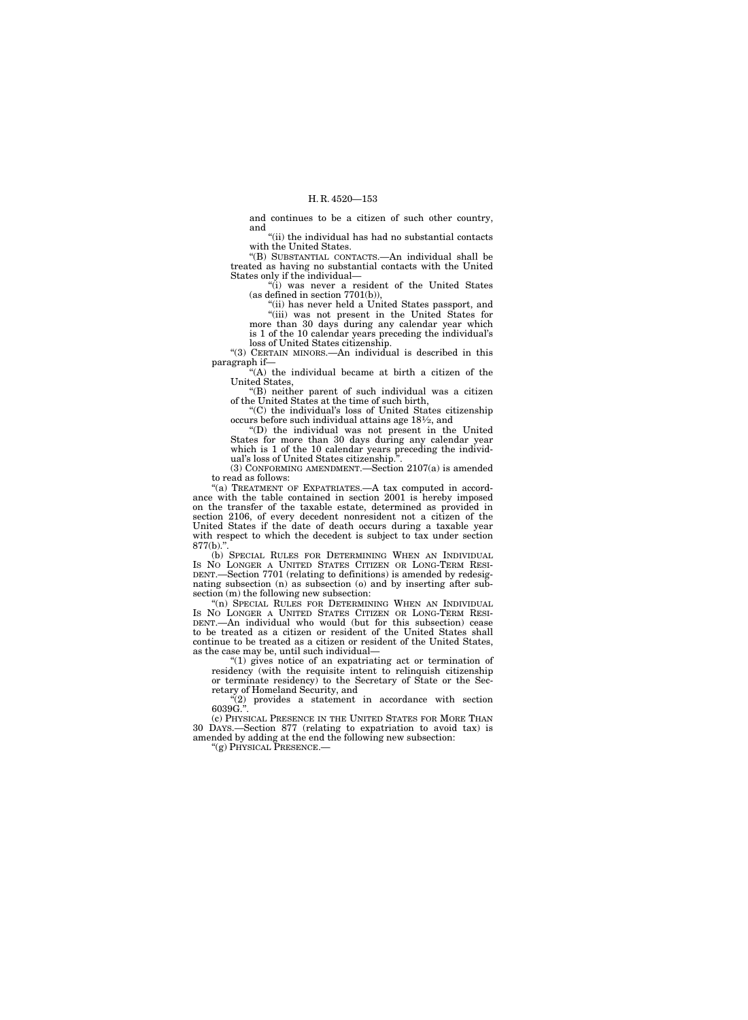and continues to be a citizen of such other country, and

''(ii) the individual has had no substantial contacts with the United States.

''(B) SUBSTANTIAL CONTACTS.—An individual shall be treated as having no substantial contacts with the United States only if the individual—

''(i) was never a resident of the United States (as defined in section 7701(b)),

"(ii) has never held a United States passport, and ''(iii) was not present in the United States for more than 30 days during any calendar year which

is 1 of the 10 calendar years preceding the individual's loss of United States citizenship. ''(3) CERTAIN MINORS.—An individual is described in this

paragraph if— ''(A) the individual became at birth a citizen of the

United States, ''(B) neither parent of such individual was a citizen of the United States at the time of such birth,

''(C) the individual's loss of United States citizenship occurs before such individual attains age 181⁄2, and

''(D) the individual was not present in the United States for more than 30 days during any calendar year which is 1 of the 10 calendar years preceding the individual's loss of United States citizenship.''.

(3) CONFORMING AMENDMENT.—Section 2107(a) is amended to read as follows:

"(a) TREATMENT OF EXPATRIATES.—A tax computed in accordance with the table contained in section 2001 is hereby imposed on the transfer of the taxable estate, determined as provided in section 2106, of every decedent nonresident not a citizen of the United States if the date of death occurs during a taxable year with respect to which the decedent is subject to tax under section  $877(b)$ .".

(b) SPECIAL RULES FOR DETERMINING WHEN AN INDIVIDUAL IS NO LONGER A UNITED STATES CITIZEN OR LONG-TERM RESI-DENT.—Section 7701 (relating to definitions) is amended by redesignating subsection (n) as subsection (o) and by inserting after subsection (m) the following new subsection:

"(n) SPECIAL RULES FOR DETERMINING WHEN AN INDIVIDUAL IS NO LONGER A UNITED STATES CITIZEN OR LONG-TERM RESI-DENT.—An individual who would (but for this subsection) cease to be treated as a citizen or resident of the United States shall continue to be treated as a citizen or resident of the United States, as the case may be, until such individual—

"(1) gives notice of an expatriating act or termination of residency (with the requisite intent to relinquish citizenship or terminate residency) to the Secretary of State or the Secretary of Homeland Security, and

"(2) provides a statement in accordance with section 6039G.''.

(c) PHYSICAL PRESENCE IN THE UNITED STATES FOR MORE THAN 30 DAYS.—Section 877 (relating to expatriation to avoid tax) is amended by adding at the end the following new subsection:

''(g) PHYSICAL PRESENCE.—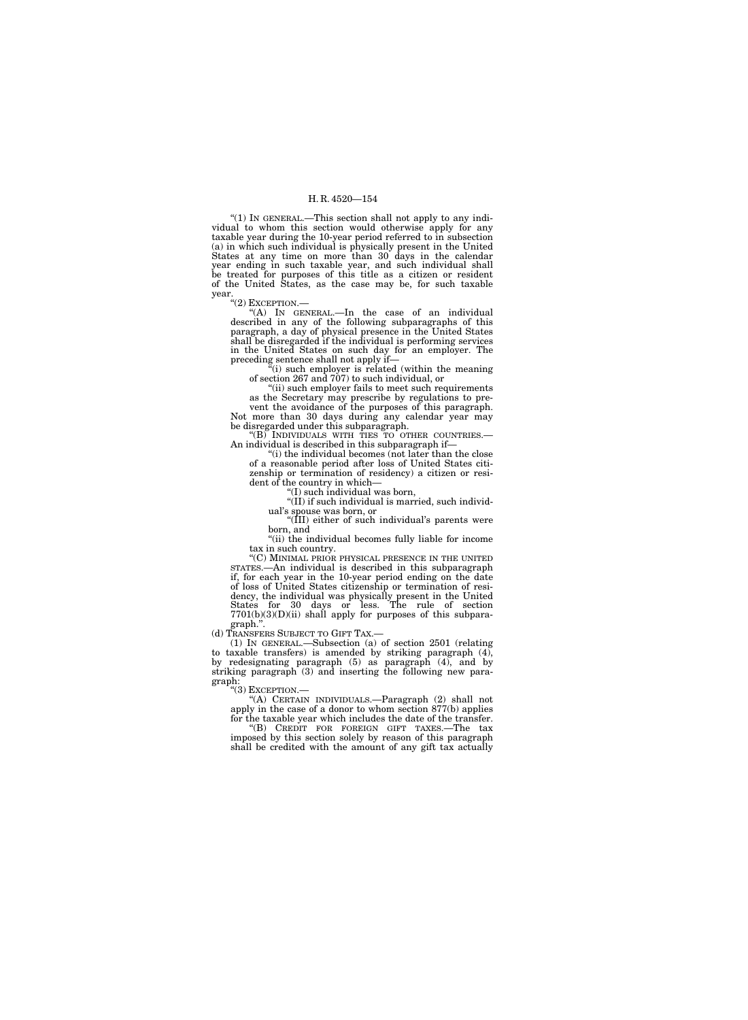''(1) IN GENERAL.—This section shall not apply to any individual to whom this section would otherwise apply for any taxable year during the 10-year period referred to in subsection (a) in which such individual is physically present in the United States at any time on more than 30 days in the calendar year ending in such taxable year, and such individual shall be treated for purposes of this title as a citizen or resident of the United States, as the case may be, for such taxable year.

''(2) EXCEPTION.—

''(A) IN GENERAL.—In the case of an individual described in any of the following subparagraphs of this paragraph, a day of physical presence in the United States shall be disregarded if the individual is performing services in the United States on such day for an employer. The preceding sentence shall not apply if—

 $\tilde{f}(i)$  such employer is related (within the meaning of section 267 and 707) to such individual, or

''(ii) such employer fails to meet such requirements as the Secretary may prescribe by regulations to prevent the avoidance of the purposes of this paragraph. Not more than 30 days during any calendar year may

be disregarded under this subparagraph. ''(B) INDIVIDUALS WITH TIES TO OTHER COUNTRIES.— An individual is described in this subparagraph if—

"(i) the individual becomes (not later than the close of a reasonable period after loss of United States citizenship or termination of residency) a citizen or resident of the country in which—

''(I) such individual was born,

"(II) if such individual is married, such individual's spouse was born, or

''(III) either of such individual's parents were born, and

''(ii) the individual becomes fully liable for income tax in such country.

''(C) MINIMAL PRIOR PHYSICAL PRESENCE IN THE UNITED STATES.—An individual is described in this subparagraph if, for each year in the 10-year period ending on the date of loss of United States citizenship or termination of residency, the individual was physically present in the United States for 30 days or less. The rule of section  $7701(b)(3)(D)(ii)$  shall apply for purposes of this subparagraph.''.

(d) TRANSFERS SUBJECT TO GIFT TAX.—

(1) IN GENERAL.—Subsection (a) of section 2501 (relating to taxable transfers) is amended by striking paragraph (4), by redesignating paragraph (5) as paragraph (4), and by striking paragraph (3) and inserting the following new paragraph:<br>"(3) EXCEPTION.—

"(A) CERTAIN INDIVIDUALS.—Paragraph (2) shall not apply in the case of a donor to whom section 877(b) applies

for the taxable year which includes the date of the transfer. ''(B) CREDIT FOR FOREIGN GIFT TAXES.—The tax imposed by this section solely by reason of this paragraph shall be credited with the amount of any gift tax actually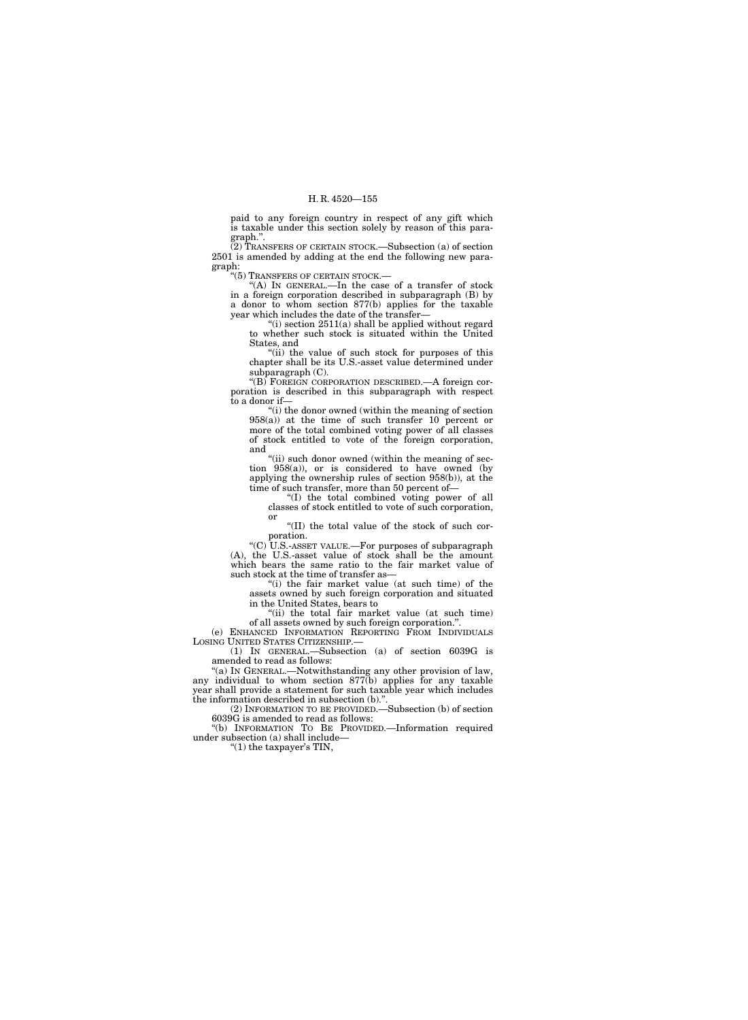paid to any foreign country in respect of any gift which is taxable under this section solely by reason of this paragraph.''.

 $(2)$  TRANSFERS OF CERTAIN STOCK.—Subsection (a) of section 2501 is amended by adding at the end the following new paragraph:

''(5) TRANSFERS OF CERTAIN STOCK.—

''(A) IN GENERAL.—In the case of a transfer of stock in a foreign corporation described in subparagraph (B) by a donor to whom section 877(b) applies for the taxable year which includes the date of the transfer—

"(i) section 2511(a) shall be applied without regard to whether such stock is situated within the United States, and

''(ii) the value of such stock for purposes of this chapter shall be its U.S.-asset value determined under subparagraph (C).

''(B) FOREIGN CORPORATION DESCRIBED.—A foreign corporation is described in this subparagraph with respect to a donor if—

''(i) the donor owned (within the meaning of section 958(a)) at the time of such transfer 10 percent or more of the total combined voting power of all classes of stock entitled to vote of the foreign corporation, and

"(ii) such donor owned (within the meaning of section  $958(a)$ ), or is considered to have owned (by applying the ownership rules of section 958(b)), at the time of such transfer, more than 50 percent of—

''(I) the total combined voting power of all classes of stock entitled to vote of such corporation,

or ''(II) the total value of the stock of such corporation.

''(C) U.S.-ASSET VALUE.—For purposes of subparagraph (A), the U.S.-asset value of stock shall be the amount which bears the same ratio to the fair market value of such stock at the time of transfer as—

''(i) the fair market value (at such time) of the assets owned by such foreign corporation and situated in the United States, bears to

"(ii) the total fair market value (at such time) of all assets owned by such foreign corporation.''. (e) ENHANCED INFORMATION REPORTING FROM INDIVIDUALS

LOSING UNITED STATES CITIZENSHIP.— (1) IN GENERAL.—Subsection (a) of section 6039G is amended to read as follows:

''(a) IN GENERAL.—Notwithstanding any other provision of law, any individual to whom section 877(b) applies for any taxable year shall provide a statement for such taxable year which includes the information described in subsection (b).''.

(2) INFORMATION TO BE PROVIDED.—Subsection (b) of section 6039G is amended to read as follows:

''(b) INFORMATION TO BE PROVIDED.—Information required under subsection (a) shall include—

" $(1)$  the taxpayer's TIN,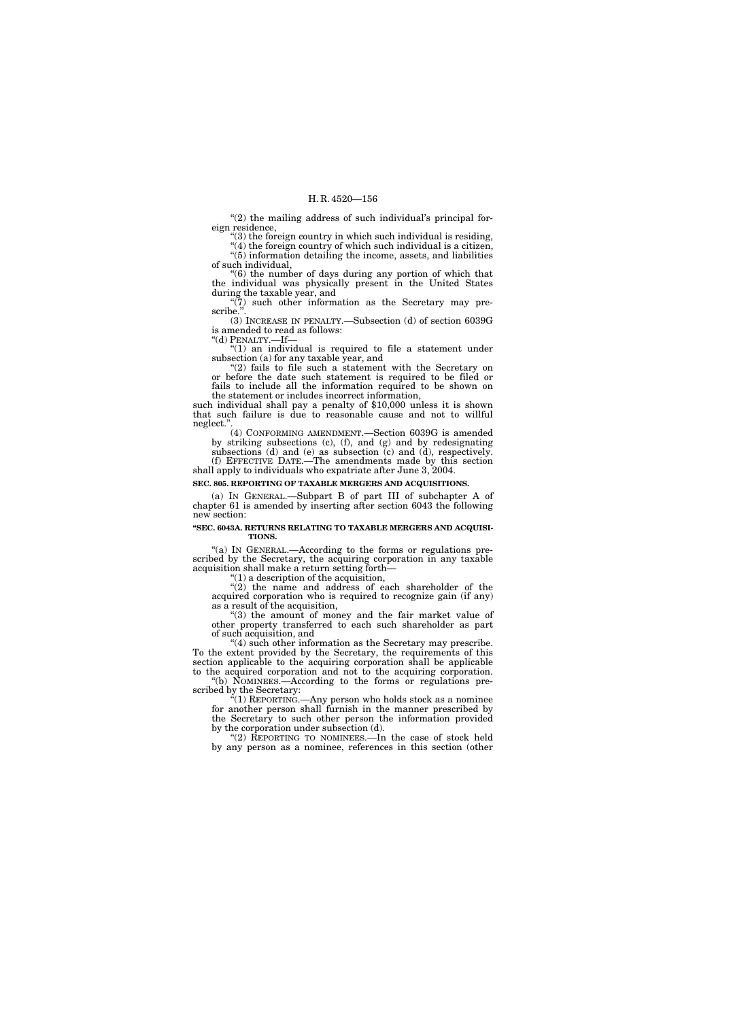$''(2)$  the mailing address of such individual's principal for-<br>eign residence,

 $(3)$  the foreign country in which such individual is residing,

''(4) the foreign country of which such individual is a citizen,  $``(5)$  information detailing the income, assets, and liabilities of such individual,

" $(6)$  the number of days during any portion of which that the individual was physically present in the United States

during the taxable year, and "(7) such other information as the Secretary may pre-<br>scribe.".

(3) INCREASE IN PENALTY.—Subsection (d) of section  $6039G$ is amended to read as follows:<br>"(d) PENALTY.—If—

"(1) an individual is required to file a statement under subsection (a) for any taxable year, and

 $\mathcal{L}(2)$  fails to file such a statement with the Secretary on or before the date such statement is required to be filed or fails to include all the information required to be shown on the statement or includes incorrect information,

such individual shall pay a penalty of \$10,000 unless it is shown that such failure is due to reasonable cause and not to willful neglect.''.

(4) CONFORMING AMENDMENT.—Section 6039G is amended by striking subsections (c), (f), and (g) and by redesignating

subsections (d) and (e) as subsection  $(c)$  and  $(d)$ , respectively. (f) EFFECTIVE DATE.—The amendments made by this section shall apply to individuals who expatriate after June 3, 2004.

**SEC. 805. REPORTING OF TAXABLE MERGERS AND ACQUISITIONS.**

(a) IN GENERAL.—Subpart B of part III of subchapter A of chapter 61 is amended by inserting after section 6043 the following new section:

#### **''SEC. 6043A. RETURNS RELATING TO TAXABLE MERGERS AND ACQUISI-TIONS.**

''(a) IN GENERAL.—According to the forms or regulations prescribed by the Secretary, the acquiring corporation in any taxable acquisition shall make a return setting forth— ''(1) a description of the acquisition,

"(2) the name and address of each shareholder of the acquired corporation who is required to recognize gain (if any) as a result of the acquisition,

" $(3)$  the amount of money and the fair market value of other property transferred to each such shareholder as part

 $\degree$ (4) such other information as the Secretary may prescribe. To the extent provided by the Secretary, the requirements of this section applicable to the acquiring corporation shall be applicable to the acquired corporation and not to the acquiring corporation.

"(b) NOMINEES.—According to the forms or regulations prescribed by the Secretary:

''(1) REPORTING.—Any person who holds stock as a nominee for another person shall furnish in the manner prescribed by the Secretary to such other person the information provided by the corporation under subsection (d).

''(2) REPORTING TO NOMINEES.—In the case of stock held by any person as a nominee, references in this section (other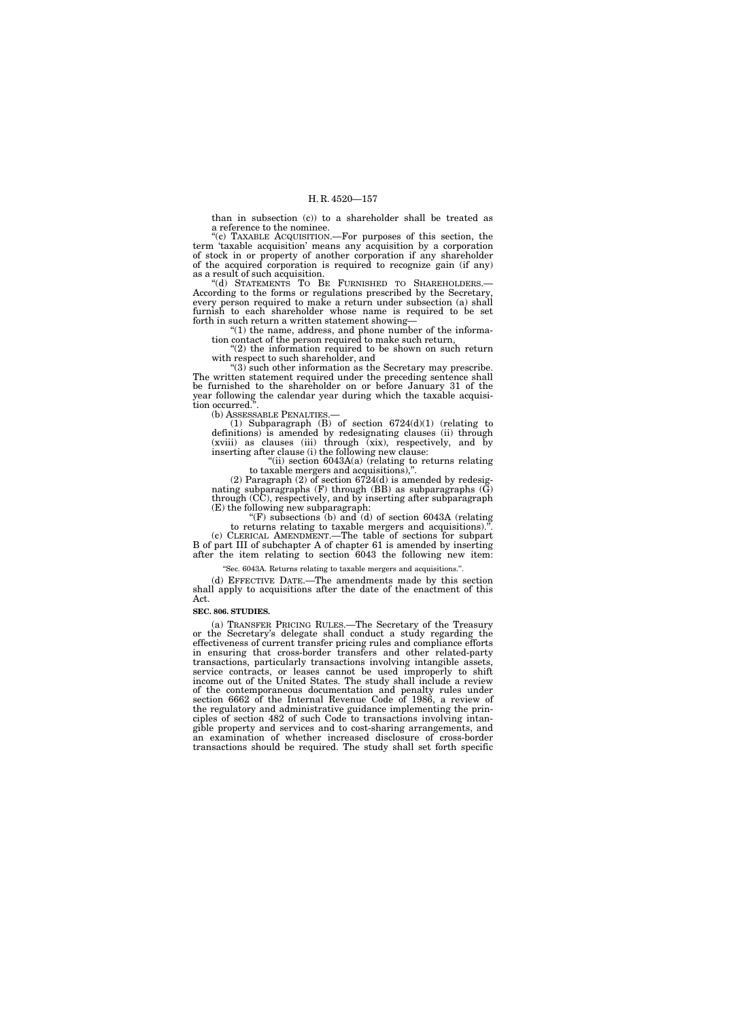than in subsection (c)) to a shareholder shall be treated as a reference to the nominee.

''(c) TAXABLE ACQUISITION.—For purposes of this section, the term 'taxable acquisition' means any acquisition by a corporation of stock in or property of another corporation if any shareholder of the acquired corporation is required to recognize gain (if any)

as a result of such acquisition.<br>
"(d) STATEMENTS TO BE FURNISHED TO SHAREHOLDERS.—<br>
According to the forms or regulations prescribed by the Secretary, every person required to make a return under subsection (a) shall furnish to each shareholder whose name is required to be set forth in such return a written statement showing—

 $f(1)$  the name, address, and phone number of the information contact of the person required to make such return,

 $(2)$  the information required to be shown on such return, with respect to such shareholder, and

 $\mathfrak{m}(3)$  such other information as the Secretary may prescribe. The written statement required under the preceding sentence shall be furnished to the shareholder on or before January 31 of the year following the calendar year during which the taxable acquisi-

(b) ASSESSABLE PENALTIES.—<br>'(1) Subparagraph (B) of section  $6724(d)(1)$  (relating to definitions) is amended by redesignating clauses (ii) through (xviii) as clauses (iii) through (xix), respectively, and by inserting after clause (i) the following new clause: ''(ii) section 6043A(a) (relating to returns relating

to taxable mergers and acquisitions),''. (2) Paragraph (2) of section 6724(d) is amended by redesignating subparagraphs  $(F)$  through  $(BB)$  as subparagraphs  $(\tilde{G})$ through (CC), respectively, and by inserting after subparagraph (E) the following new subparagraph:

"(F) subsections (b) and (d) of section 6043A (relating to returns relating to taxable mergers and acquisitions).".

 $t$  c) CLERICAL AMENDMENT.—The table of sections for subpart B of part III of subchapter A of chapter 61 is amended by inserting after the item relating to section 6043 the following new item:

''Sec. 6043A. Returns relating to taxable mergers and acquisitions.''.

(d) EFFECTIVE DATE.—The amendments made by this section shall apply to acquisitions after the date of the enactment of this Act.

## **SEC. 806. STUDIES.**

(a) TRANSFER PRICING RULES.—The Secretary of the Treasury or the Secretary's delegate shall conduct a study regarding the effectiveness of current transfer pricing rules and compliance efforts in ensuring that cross-border transfers and other related-party transactions, particularly transactions involving intangible assets, service contracts, or leases cannot be used improperly to shift income out of the United States. The study shall include a review of the contemporaneous documentation and penalty rules under section 6662 of the Internal Revenue Code of 1986, a review of the regulatory and administrative guidance implementing the principles of section 482 of such Code to transactions involving intangible property and services and to cost-sharing arrangements, and an examination of whether increased disclosure of cross-border transactions should be required. The study shall set forth specific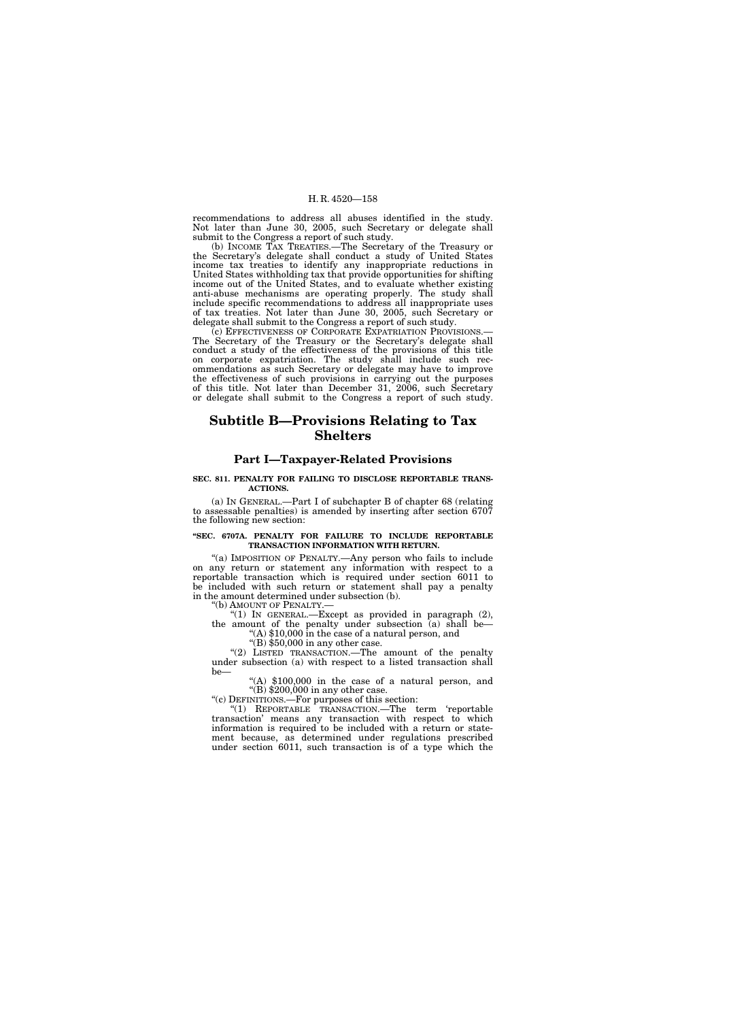recommendations to address all abuses identified in the study. Not later than June 30, 2005, such Secretary or delegate shall submit to the Congress a report of such study.

(b) INCOME TAX TREATIES.—The Secretary of the Treasury or the Secretary's delegate shall conduct a study of United States income tax treaties to identify any inappropriate reductions in United States withholding tax that provide opportunities for shifting income out of the United States, and to evaluate whether existing anti-abuse mechanisms are operating properly. The study shall include specific recommendations to address all inappropriate uses of tax treaties. Not later than June 30, 2005, such Secretary or delegate shall submit to the Congress a report of such study.

(c) EFFECTIVENESS OF CORPORATE EXPATRIATION PROVISIONS.— The Secretary of the Treasury or the Secretary's delegate shall conduct a study of the effectiveness of the provisions of this title on corporate expatriation. The study shall include such recommendations as such Secretary or delegate may have to improve the effectiveness of such provisions in carrying out the purposes of this title. Not later than December 31, 2006, such Secretary or delegate shall submit to the Congress a report of such study.

# **Subtitle B—Provisions Relating to Tax Shelters**

# **Part I—Taxpayer-Related Provisions**

#### **SEC. 811. PENALTY FOR FAILING TO DISCLOSE REPORTABLE TRANS-ACTIONS.**

(a) IN GENERAL.—Part I of subchapter B of chapter 68 (relating to assessable penalties) is amended by inserting after section 6707 the following new section:

#### **''SEC. 6707A. PENALTY FOR FAILURE TO INCLUDE REPORTABLE TRANSACTION INFORMATION WITH RETURN.**

''(a) IMPOSITION OF PENALTY.—Any person who fails to include on any return or statement any information with respect to a reportable transaction which is required under section 6011 to be included with such return or statement shall pay a penalty in the amount determined under subsection (b).<br>"(b) AMOUNT OF PENALTY.—

"(1) IN GENERAL.—Except as provided in paragraph  $(2)$ , the amount of the penalty under subsection (a) shall be—

''(A) \$10,000 in the case of a natural person, and

(B)  $$50,000$  in any other case.<br>"(2) LISTED TRANSACTION.—The amount of the penalty under subsection (a) with respect to a listed transaction shall be-

''(A) \$100,000 in the case of a natural person, and "(B)  $\angle$ 200,000 in any other case.<br>"(c) DEFINITIONS.—For purposes of this section:

"(1) REPORTABLE TRANSACTION.—The term 'reportable transaction' means any transaction with respect to which information is required to be included with a return or statement because, as determined under regulations prescribed under section 6011, such transaction is of a type which the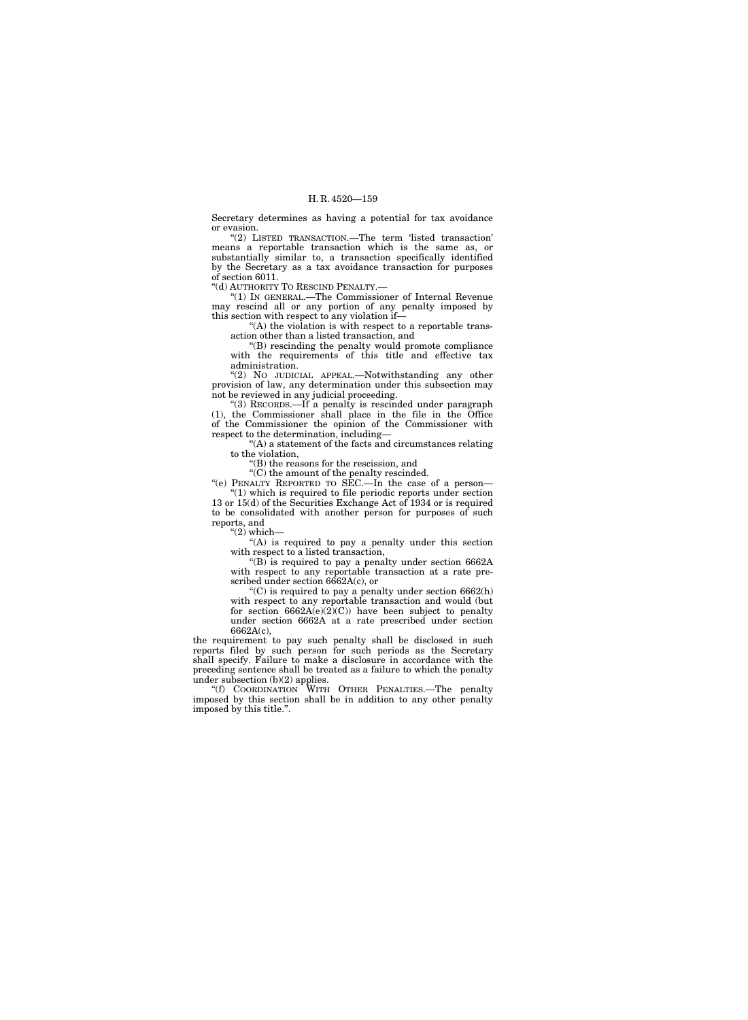Secretary determines as having a potential for tax avoidance or evasion.

''(2) LISTED TRANSACTION.—The term 'listed transaction' means a reportable transaction which is the same as, or substantially similar to, a transaction specifically identified by the Secretary as a tax avoidance transaction for purposes of section 6011.

''(d) AUTHORITY TO RESCIND PENALTY.—

''(1) IN GENERAL.—The Commissioner of Internal Revenue may rescind all or any portion of any penalty imposed by this section with respect to any violation if—

 $(A)$  the violation is with respect to a reportable transaction other than a listed transaction, and

''(B) rescinding the penalty would promote compliance with the requirements of this title and effective tax administration.

"(2) NO JUDICIAL APPEAL.—Notwithstanding any other provision of law, any determination under this subsection may not be reviewed in any judicial proceeding.

''(3) RECORDS.—If a penalty is rescinded under paragraph (1), the Commissioner shall place in the file in the Office of the Commissioner the opinion of the Commissioner with respect to the determination, including—

''(A) a statement of the facts and circumstances relating to the violation,

''(B) the reasons for the rescission, and

''(C) the amount of the penalty rescinded.

"(e) PENALTY REPORTED TO SEC.—In the case of a person—  $''(1)$  which is required to file periodic reports under section 13 or 15(d) of the Securities Exchange Act of 1934 or is required to be consolidated with another person for purposes of such reports, and

" $(2)$  which-

"(A) is required to pay a penalty under this section with respect to a listed transaction,

''(B) is required to pay a penalty under section 6662A with respect to any reportable transaction at a rate prescribed under section 6662A(c), or

 $(C)$  is required to pay a penalty under section  $6662(h)$ with respect to any reportable transaction and would (but for section  $6662A(e)(2)(C)$  have been subject to penalty under section 6662A at a rate prescribed under section 6662A(c),

the requirement to pay such penalty shall be disclosed in such reports filed by such person for such periods as the Secretary shall specify. Failure to make a disclosure in accordance with the preceding sentence shall be treated as a failure to which the penalty under subsection (b)(2) applies.

''(f) COORDINATION WITH OTHER PENALTIES.—The penalty imposed by this section shall be in addition to any other penalty imposed by this title.''.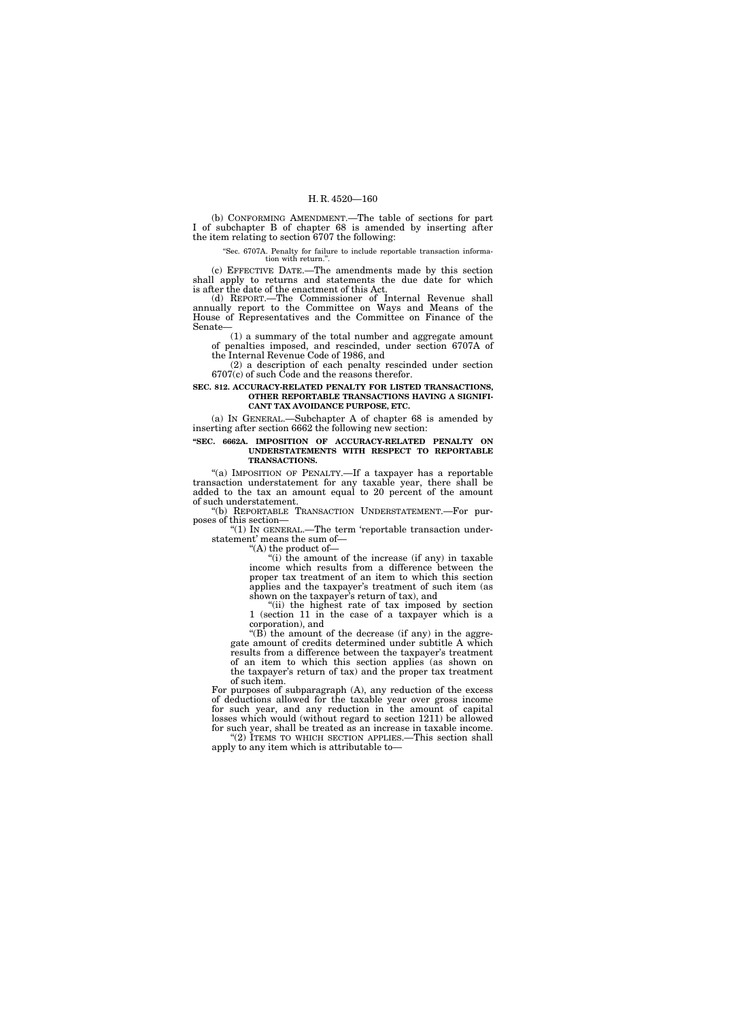(b) CONFORMING AMENDMENT.—The table of sections for part I of subchapter B of chapter 68 is amended by inserting after the item relating to section 6707 the following:

''Sec. 6707A. Penalty for failure to include reportable transaction information with return."

(c) EFFECTIVE DATE.—The amendments made by this section shall apply to returns and statements the due date for which is after the date of the enactment of this Act.

(d) REPORT.—The Commissioner of Internal Revenue shall annually report to the Committee on Ways and Means of the House of Representatives and the Committee on Finance of the Senate—

(1) a summary of the total number and aggregate amount of penalties imposed, and rescinded, under section 6707A of the Internal Revenue Code of 1986, and

(2) a description of each penalty rescinded under section 6707(c) of such Code and the reasons therefor.

#### **SEC. 812. ACCURACY-RELATED PENALTY FOR LISTED TRANSACTIONS, OTHER REPORTABLE TRANSACTIONS HAVING A SIGNIFI-CANT TAX AVOIDANCE PURPOSE, ETC.**

(a) IN GENERAL.—Subchapter A of chapter 68 is amended by inserting after section 6662 the following new section:

#### **''SEC. 6662A. IMPOSITION OF ACCURACY-RELATED PENALTY ON UNDERSTATEMENTS WITH RESPECT TO REPORTABLE TRANSACTIONS.**

"(a) IMPOSITION OF PENALTY.—If a taxpayer has a reportable transaction understatement for any taxable year, there shall be added to the tax an amount equal to 20 percent of the amount of such understatement.

''(b) REPORTABLE TRANSACTION UNDERSTATEMENT.—For purposes of this section—

"(1) IN GENERAL.—The term 'reportable transaction understatement' means the sum of—

''(A) the product of—

''(i) the amount of the increase (if any) in taxable income which results from a difference between the proper tax treatment of an item to which this section applies and the taxpayer's treatment of such item (as shown on the taxpayer's return of tax), and

"(ii) the highest rate of tax imposed by section" 1 (section 11 in the case of a taxpayer which is a corporation), and

" $(B)$  the amount of the decrease (if any) in the aggregate amount of credits determined under subtitle A which results from a difference between the taxpayer's treatment of an item to which this section applies (as shown on the taxpayer's return of tax) and the proper tax treatment of such item.

For purposes of subparagraph (A), any reduction of the excess of deductions allowed for the taxable year over gross income for such year, and any reduction in the amount of capital losses which would (without regard to section 1211) be allowed for such year, shall be treated as an increase in taxable income.

" $(2)$  ITEMS TO WHICH SECTION APPLIES.—This section shall apply to any item which is attributable to—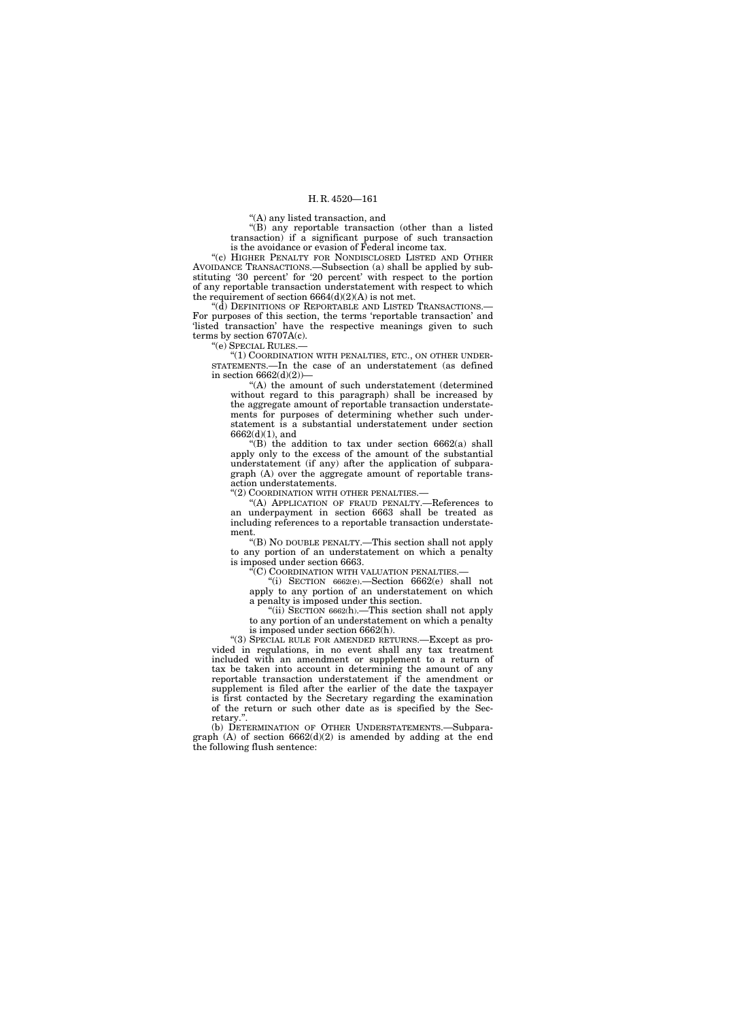''(A) any listed transaction, and

''(B) any reportable transaction (other than a listed transaction) if a significant purpose of such transaction is the avoidance or evasion of Federal income tax.

''(c) HIGHER PENALTY FOR NONDISCLOSED LISTED AND OTHER AVOIDANCE TRANSACTIONS.—Subsection (a) shall be applied by substituting '30 percent' for '20 percent' with respect to the portion of any reportable transaction understatement with respect to which the requirement of section 6664(d)(2)(A) is not met.

''(d) DEFINITIONS OF REPORTABLE AND LISTED TRANSACTIONS.— For purposes of this section, the terms 'reportable transaction' and 'listed transaction' have the respective meanings given to such terms by section 6707A(c).

''(e) SPECIAL RULES.—

''(1) COORDINATION WITH PENALTIES, ETC., ON OTHER UNDER-STATEMENTS.—In the case of an understatement (as defined in section  $6662(d)(2)$ )–

''(A) the amount of such understatement (determined without regard to this paragraph) shall be increased by the aggregate amount of reportable transaction understatements for purposes of determining whether such understatement is a substantial understatement under section 6662(d)(1), and

"(B) the addition to tax under section  $6662(a)$  shall apply only to the excess of the amount of the substantial understatement (if any) after the application of subparagraph (A) over the aggregate amount of reportable transaction understatements.

''(2) COORDINATION WITH OTHER PENALTIES.—

''(A) APPLICATION OF FRAUD PENALTY.—References to an underpayment in section 6663 shall be treated as including references to a reportable transaction understatement.

''(B) NO DOUBLE PENALTY.—This section shall not apply to any portion of an understatement on which a penalty is imposed under section 6663.

''(C) COORDINATION WITH VALUATION PENALTIES.—

''(i) SECTION 6662(e).—Section 6662(e) shall not apply to any portion of an understatement on which a penalty is imposed under this section.

"(ii) SECTION 6662(h).—This section shall not apply to any portion of an understatement on which a penalty is imposed under section 6662(h).

''(3) SPECIAL RULE FOR AMENDED RETURNS.—Except as provided in regulations, in no event shall any tax treatment included with an amendment or supplement to a return of tax be taken into account in determining the amount of any reportable transaction understatement if the amendment or supplement is filed after the earlier of the date the taxpayer is first contacted by the Secretary regarding the examination of the return or such other date as is specified by the Secretary.''.

(b) DETERMINATION OF OTHER UNDERSTATEMENTS.—Subparagraph (A) of section  $6662(d)(2)$  is amended by adding at the end the following flush sentence: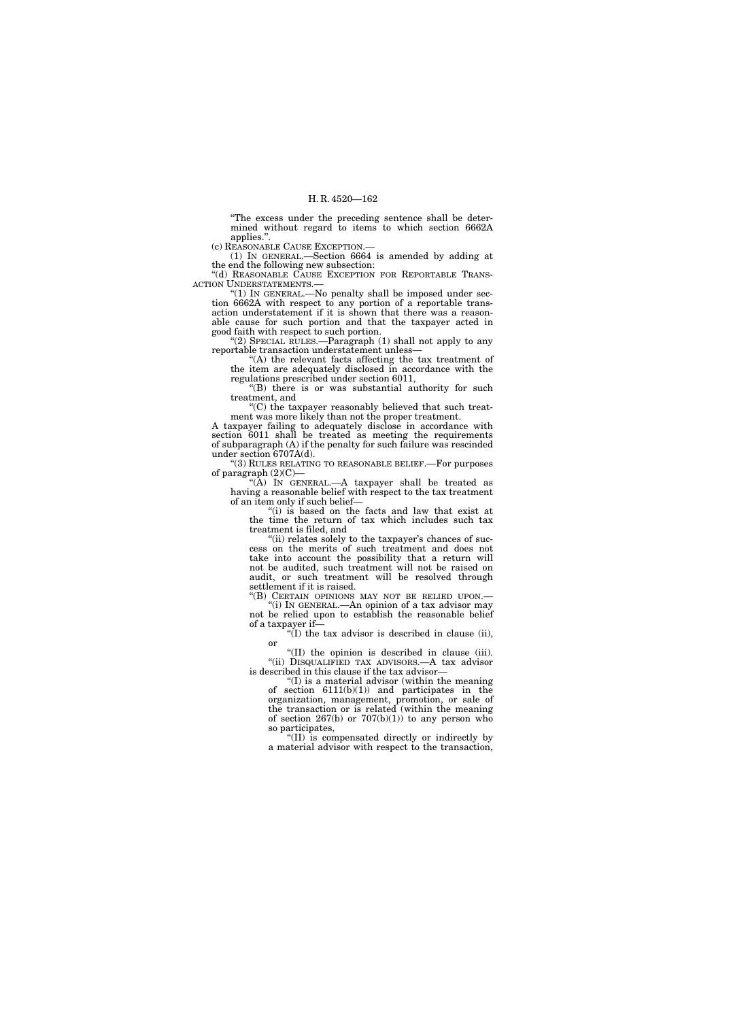''The excess under the preceding sentence shall be determined without regard to items to which section 6662A applies.''.

(c) REASONABLE CAUSE EXCEPTION.—

(1) IN GENERAL.—Section 6664 is amended by adding at the end the following new subsection:

''(d) REASONABLE CAUSE EXCEPTION FOR REPORTABLE TRANS-ACTION UNDERSTATEMENTS.—

 $(1)$  In GENERAL.—No penalty shall be imposed under section 6662A with respect to any portion of a reportable transaction understatement if it is shown that there was a reasonable cause for such portion and that the taxpayer acted in good faith with respect to such portion.

''(2) SPECIAL RULES.—Paragraph (1) shall not apply to any reportable transaction understatement unless—

''(A) the relevant facts affecting the tax treatment of the item are adequately disclosed in accordance with the regulations prescribed under section 6011,

"(B) there is or was substantial authority for such treatment, and

''(C) the taxpayer reasonably believed that such treatment was more likely than not the proper treatment.

A taxpayer failing to adequately disclose in accordance with section 6011 shall be treated as meeting the requirements of subparagraph (A) if the penalty for such failure was rescinded under section 6707A(d).

''(3) RULES RELATING TO REASONABLE BELIEF.—For purposes of paragraph (2)(C)—

"(A) IN GENERAL.—A taxpayer shall be treated as having a reasonable belief with respect to the tax treatment of an item only if such belief—

''(i) is based on the facts and law that exist at the time the return of tax which includes such tax treatment is filed, and

"(ii) relates solely to the taxpayer's chances of success on the merits of such treatment and does not take into account the possibility that a return will not be audited, such treatment will not be raised on audit, or such treatment will be resolved through settlement if it is raised.

''(B) CERTAIN OPINIONS MAY NOT BE RELIED UPON.— "(i) In GENERAL.—An opinion of a tax advisor may not be relied upon to establish the reasonable belief

of a taxpayer if— ''(I) the tax advisor is described in clause (ii),

or "(II) the opinion is described in clause (iii). "(ii) DISQUALIFIED TAX ADVISORS.—A tax advisor

is described in this clause if the tax advisor—

''(I) is a material advisor (within the meaning of section  $6111(b)(1)$  and participates in the organization, management, promotion, or sale of the transaction or is related (within the meaning of section  $267(b)$  or  $707(b)(1)$  to any person who so participates,

''(II) is compensated directly or indirectly by a material advisor with respect to the transaction,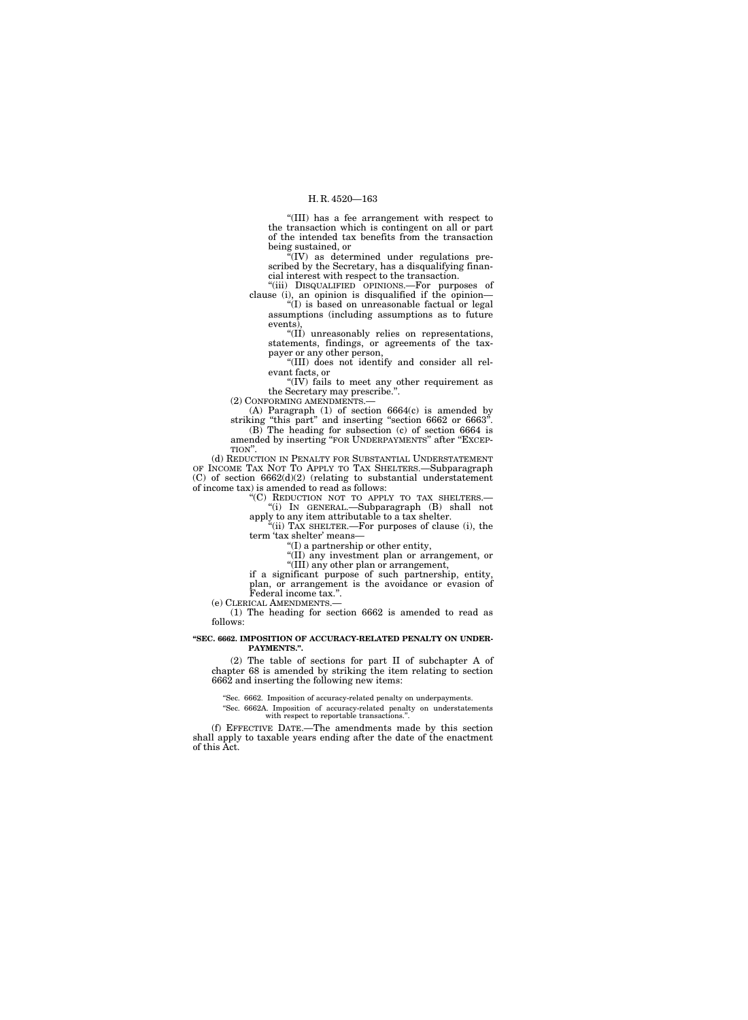''(III) has a fee arrangement with respect to the transaction which is contingent on all or part of the intended tax benefits from the transaction being sustained, or

'(IV) as determined under regulations prescribed by the Secretary, has a disqualifying financial interest with respect to the transaction.

''(iii) DISQUALIFIED OPINIONS.—For purposes of clause (i), an opinion is disqualified if the opinion—

''(I) is based on unreasonable factual or legal assumptions (including assumptions as to future events),

''(II) unreasonably relies on representations, statements, findings, or agreements of the taxpayer or any other person,

''(III) does not identify and consider all relevant facts, or

"(IV) fails to meet any other requirement as the Secretary may prescribe.''.

(2) CONFORMING AMENDMENTS.—

(A) Paragraph (1) of section 6664(c) is amended by striking "this part" and inserting "section 6662 or 6663". (B) The heading for subsection (c) of section 6664 is

amended by inserting "FOR UNDERPAYMENTS" after "EXCEP-TION''.

(d) REDUCTION IN PENALTY FOR SUBSTANTIAL UNDERSTATEMENT OF INCOME TAX NOT TO APPLY TO TAX SHELTERS.—Subparagraph  $(C)$  of section 6662 $(d)(2)$  (relating to substantial understatement of income tax) is amended to read as follows:

''(C) REDUCTION NOT TO APPLY TO TAX SHELTERS.— ''(i) IN GENERAL.—Subparagraph (B) shall not apply to any item attributable to a tax shelter.

''(ii) TAX SHELTER.—For purposes of clause (i), the term 'tax shelter' means—

''(I) a partnership or other entity,

''(II) any investment plan or arrangement, or

''(III) any other plan or arrangement,

if a significant purpose of such partnership, entity, plan, or arrangement is the avoidance or evasion of Federal income tax.''.

(e) CLERICAL AMENDMENTS.—

(1) The heading for section 6662 is amended to read as follows:

#### **''SEC. 6662. IMPOSITION OF ACCURACY-RELATED PENALTY ON UNDER-PAYMENTS.''.**

(2) The table of sections for part II of subchapter A of chapter 68 is amended by striking the item relating to section 6662 and inserting the following new items:

''Sec. 6662. Imposition of accuracy-related penalty on underpayments.

''Sec. 6662A. Imposition of accuracy-related penalty on understatements with respect to reportable transactions."

(f) EFFECTIVE DATE.—The amendments made by this section shall apply to taxable years ending after the date of the enactment of this Act.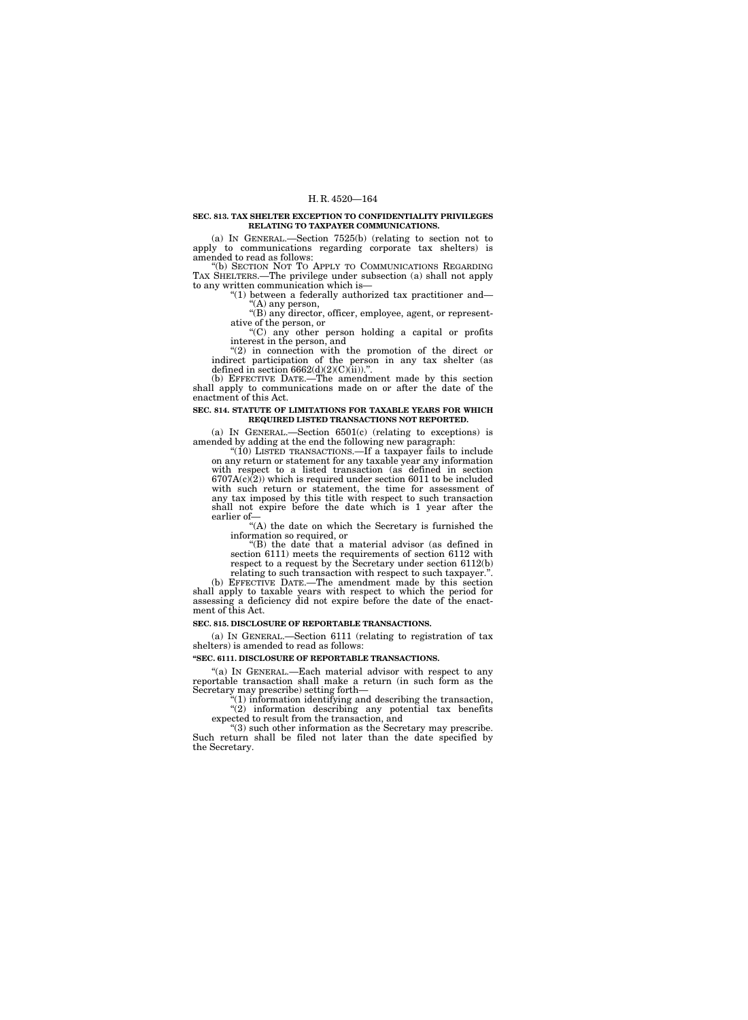#### **SEC. 813. TAX SHELTER EXCEPTION TO CONFIDENTIALITY PRIVILEGES RELATING TO TAXPAYER COMMUNICATIONS.**

(a) IN GENERAL.—Section 7525(b) (relating to section not to apply to communications regarding corporate tax shelters) is

'(b) SECTION NOT TO APPLY TO COMMUNICATIONS REGARDING TAX SHELTERS.—The privilege under subsection (a) shall not apply

"(1) between a federally authorized tax practitioner and— " $(A)$  any person,

 $\sqrt{\text{B}}$  any director, officer, employee, agent, or representative of the person, or

"(C) any other person holding a capital or profits interest in the person, and

"(2) in connection with the promotion of the direct or indirect participation of the person in any tax shelter (as defined in section  $6662(d)(2)(C)(ii))$ .''.<br>
(b) EFFECTIVE DATE.—The amendment made by this section

shall apply to communications made on or after the date of the enactment of this Act.

#### **SEC. 814. STATUTE OF LIMITATIONS FOR TAXABLE YEARS FOR WHICH REQUIRED LISTED TRANSACTIONS NOT REPORTED.**

(a) IN GENERAL.—Section  $6501(c)$  (relating to exceptions) is amended by adding at the end the following new paragraph:

"(10) LISTED TRANSACTIONS.—If a taxpayer fails to include on any return or statement for any taxable year any information with respect to a listed transaction (as defined in section  $6707A(c)(2)$ ) which is required under section  $6011$  to be included with such return or statement, the time for assessment of any tax imposed by this title with respect to such transaction shall not expire before the date which is 1 year after the earlier of—

''(A) the date on which the Secretary is furnished the

"(B) the date that a material advisor (as defined in section 6111) meets the requirements of section 6112 with respect to a request by the Secretary under section 6112(b) relating to such transaction with respect to such taxpayer.''.

(b) EFFECTIVE DATE.—The amendment made by this section shall apply to taxable years with respect to which the period for assessing a deficiency did not expire before the date of the enactment of this Act.

#### **SEC. 815. DISCLOSURE OF REPORTABLE TRANSACTIONS.**

(a) IN GENERAL.—Section 6111 (relating to registration of tax shelters) is amended to read as follows:

#### **''SEC. 6111. DISCLOSURE OF REPORTABLE TRANSACTIONS.**

"(a) IN GENERAL.—Each material advisor with respect to any reportable transaction shall make a return (in such form as the Secretary may prescribe) setting forth—

 $\mathcal{H}(1)$  information identifying and describing the transaction, "(2) information describing any potential tax benefits expected to result from the transaction, and

''(3) such other information as the Secretary may prescribe. Such return shall be filed not later than the date specified by the Secretary.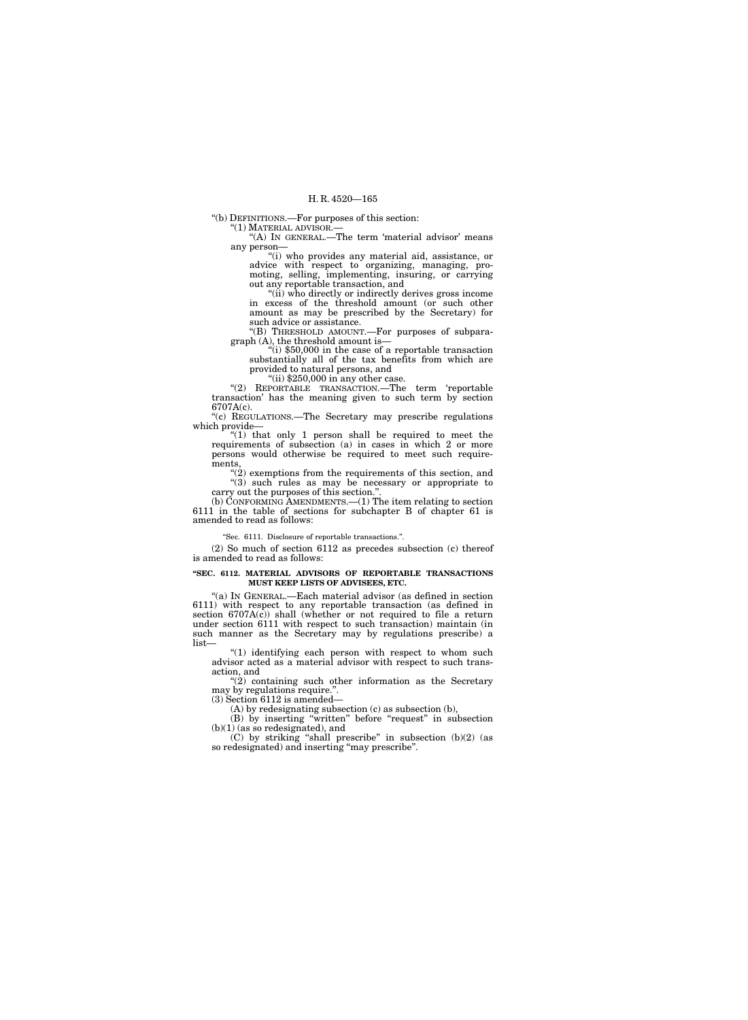''(b) DEFINITIONS.—For purposes of this section:

''(1) MATERIAL ADVISOR.—

"(A) IN GENERAL.—The term 'material advisor' means any person—

''(i) who provides any material aid, assistance, or advice with respect to organizing, managing, promoting, selling, implementing, insuring, or carrying out any reportable transaction, and

''(ii) who directly or indirectly derives gross income in excess of the threshold amount (or such other amount as may be prescribed by the Secretary) for such advice or assistance.

''(B) THRESHOLD AMOUNT.—For purposes of subparagraph (A), the threshold amount is—

''(i) \$50,000 in the case of a reportable transaction substantially all of the tax benefits from which are provided to natural persons, and

 $^{\prime}$ (ii) \$250,000 in any other case.

''(2) REPORTABLE TRANSACTION.—The term 'reportable transaction' has the meaning given to such term by section 6707A(c).

''(c) REGULATIONS.—The Secretary may prescribe regulations which provide—

" $(1)$  that only 1 person shall be required to meet the requirements of subsection (a) in cases in which 2 or more persons would otherwise be required to meet such requirements,

 $(2)$  exemptions from the requirements of this section, and "(3) such rules as may be necessary or appropriate to carry out the purposes of this section.

(b) CONFORMING AMENDMENTS.—(1) The item relating to section 6111 in the table of sections for subchapter B of chapter 61 is amended to read as follows:

''Sec. 6111. Disclosure of reportable transactions.''.

(2) So much of section 6112 as precedes subsection (c) thereof is amended to read as follows:

#### **''SEC. 6112. MATERIAL ADVISORS OF REPORTABLE TRANSACTIONS MUST KEEP LISTS OF ADVISEES, ETC.**

''(a) IN GENERAL.—Each material advisor (as defined in section 6111) with respect to any reportable transaction (as defined in section  $6707A(c)$ ) shall (whether or not required to file a return under section 6111 with respect to such transaction) maintain (in such manner as the Secretary may by regulations prescribe) a

 $l''(1)$  identifying each person with respect to whom such advisor acted as a material advisor with respect to such trans-

action, and <br>
"(2) containing such other information as the Secretary may by regulations require.". may by regulations require.".<br>(3) Section 6112 is amended—<br>(A) by redesignating subsection (c) as subsection (b),

(B) by inserting "written" before "request" in subsection (b)(1) (as so redesignated), and

(C) by striking ''shall prescribe'' in subsection (b)(2) (as so redesignated) and inserting "may prescribe".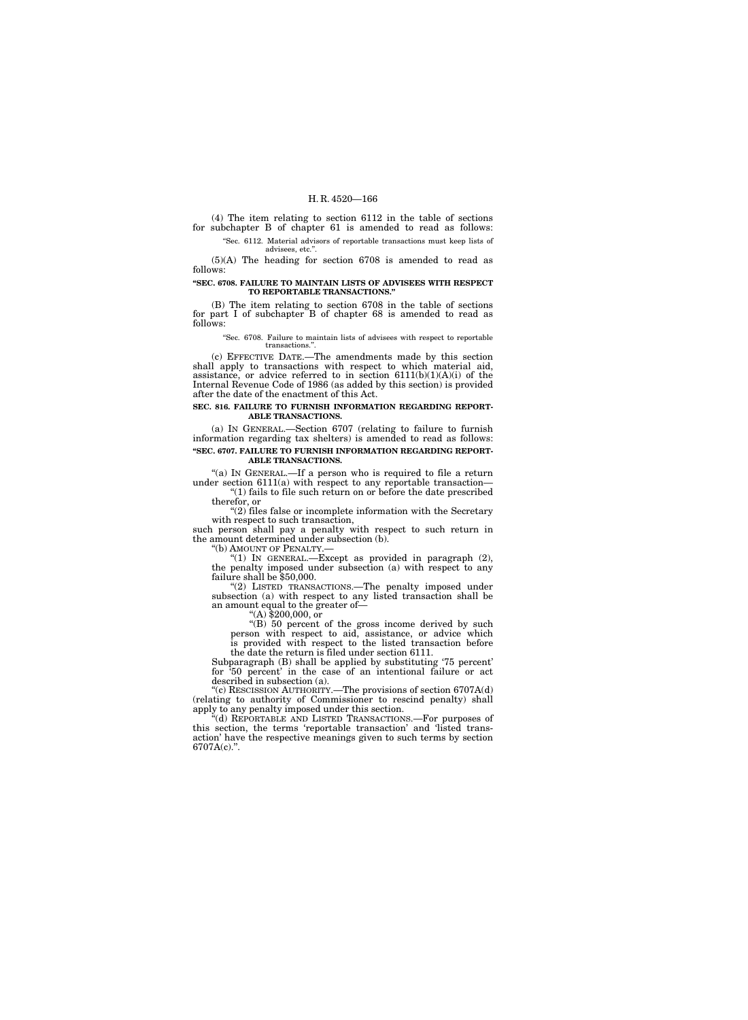(4) The item relating to section 6112 in the table of sections for subchapter B of chapter 61 is amended to read as follows:

''Sec. 6112. Material advisors of reportable transactions must keep lists of advisees, etc."

(5)(A) The heading for section 6708 is amended to read as follows:

#### **''SEC. 6708. FAILURE TO MAINTAIN LISTS OF ADVISEES WITH RESPECT TO REPORTABLE TRANSACTIONS.''**

(B) The item relating to section 6708 in the table of sections for part I of subchapter B of chapter 68 is amended to read as follows:

#### ''Sec. 6708. Failure to maintain lists of advisees with respect to reportable transactions.''.

(c) EFFECTIVE DATE.—The amendments made by this section shall apply to transactions with respect to which material aid, assistance, or advice referred to in section  $6111(b)(1)(A)(i)$  of the Internal Revenue Code of 1986 (as added by this section) is provided after the date of the enactment of this Act.

#### **SEC. 816. FAILURE TO FURNISH INFORMATION REGARDING REPORT-ABLE TRANSACTIONS.**

(a) IN GENERAL.—Section 6707 (relating to failure to furnish information regarding tax shelters) is amended to read as follows: **''SEC. 6707. FAILURE TO FURNISH INFORMATION REGARDING REPORT-ABLE TRANSACTIONS.**

"(a) IN GENERAL.—If a person who is required to file a return under section 6111(a) with respect to any reportable transaction—<br>"(1) fails to file such return on or before the date prescribed therefor, or

 $''(2)$  files false or incomplete information with the Secretary with respect to such transaction,

such person shall pay a penalty with respect to such return in the amount determined under subsection (b).

''(b) AMOUNT OF PENALTY.— ''(1) IN GENERAL.—Except as provided in paragraph (2), the penalty imposed under subsection (a) with respect to any

failure shall be \$50,000.<br>"(2) LISTED TRANSACTIONS.—The penalty imposed under subsection (a) with respect to any listed transaction shall be an amount equal to the greater of—

 $(4)$  \$200,000, or

''(B) 50 percent of the gross income derived by such person with respect to aid, assistance, or advice which is provided with respect to the listed transaction before the date the return is filed under section 6111.

Subparagraph (B) shall be applied by substituting '75 percent' for '50 percent' in the case of an intentional failure or act described in subsection (a).

"(c) RESCISSION AUTHORITY.—The provisions of section 6707A(d) (relating to authority of Commissioner to rescind penalty) shall apply to any penalty imposed under this section.<br>
"(d) REPORTABLE AND LISTED TRANSACTIONS.—For purposes of

this section, the terms 'reportable transaction' and 'listed transaction' have the respective meanings given to such terms by section  $6707A(c)$ .".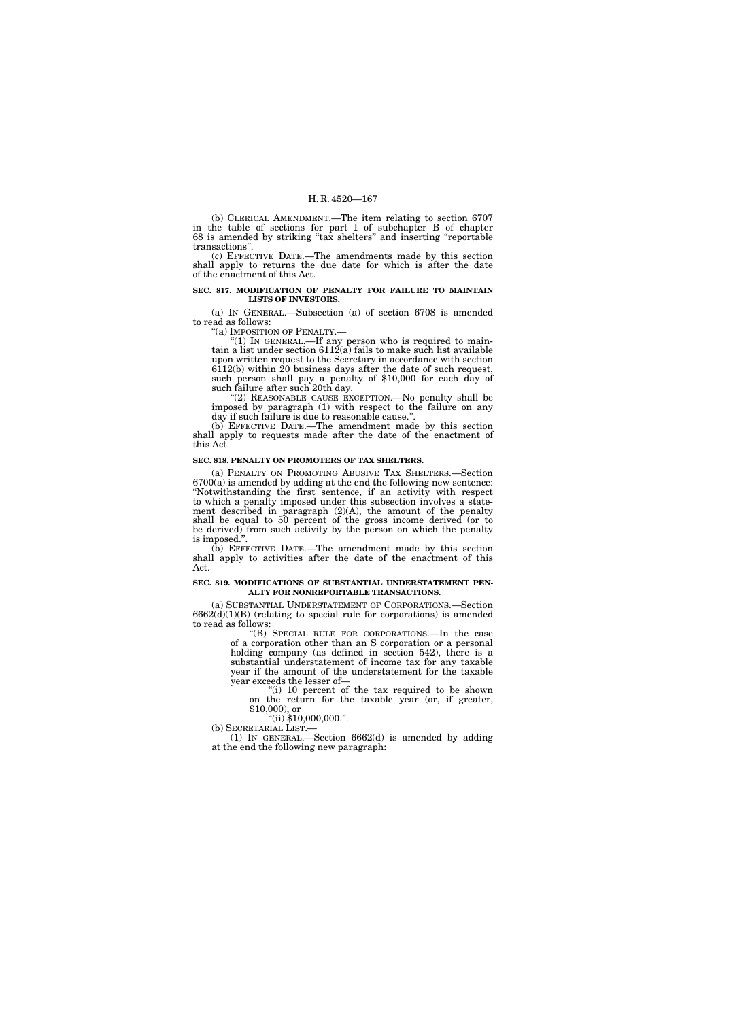(b) CLERICAL AMENDMENT.—The item relating to section 6707 in the table of sections for part I of subchapter B of chapter 68 is amended by striking ''tax shelters'' and inserting ''reportable transactions''.

(c) EFFECTIVE DATE.—The amendments made by this section shall apply to returns the due date for which is after the date of the enactment of this Act.

### **SEC. 817. MODIFICATION OF PENALTY FOR FAILURE TO MAINTAIN LISTS OF INVESTORS.**

(a) IN GENERAL.—Subsection (a) of section 6708 is amended to read as follows:

''(a) IMPOSITION OF PENALTY.—

"(1) IN GENERAL.—If any person who is required to maintain a list under section 6112(a) fails to make such list available upon written request to the Secretary in accordance with section  $6112(b)$  within 20 business days after the date of such request, such person shall pay a penalty of \$10,000 for each day of such failure after such 20th day.

''(2) REASONABLE CAUSE EXCEPTION.—No penalty shall be imposed by paragraph (1) with respect to the failure on any day if such failure is due to reasonable cause.''.

(b) EFFECTIVE DATE.—The amendment made by this section shall apply to requests made after the date of the enactment of this Act.

### **SEC. 818. PENALTY ON PROMOTERS OF TAX SHELTERS.**

(a) PENALTY ON PROMOTING ABUSIVE TAX SHELTERS.—Section 6700(a) is amended by adding at the end the following new sentence: ''Notwithstanding the first sentence, if an activity with respect to which a penalty imposed under this subsection involves a statement described in paragraph (2)(A), the amount of the penalty shall be equal to 50 percent of the gross income derived (or to be derived) from such activity by the person on which the penalty is imposed.''.

(b) EFFECTIVE DATE.—The amendment made by this section shall apply to activities after the date of the enactment of this Act.

#### **SEC. 819. MODIFICATIONS OF SUBSTANTIAL UNDERSTATEMENT PEN-ALTY FOR NONREPORTABLE TRANSACTIONS.**

(a) SUBSTANTIAL UNDERSTATEMENT OF CORPORATIONS.—Section  $6662(d)(1)(B)$  (relating to special rule for corporations) is amended to read as follows:

''(B) SPECIAL RULE FOR CORPORATIONS.—In the case of a corporation other than an S corporation or a personal holding company (as defined in section 542), there is a substantial understatement of income tax for any taxable year if the amount of the understatement for the taxable

"(i) 10 percent of the tax required to be shown on the return for the taxable year (or, if greater, \$10,000), or

 $(1)$  SECRETARIAL LIST.<br>
(b) SECRETARIAL LIST.—<br>
(1) IN GENERAL.—Section 6662(d) is amended by adding at the end the following new paragraph: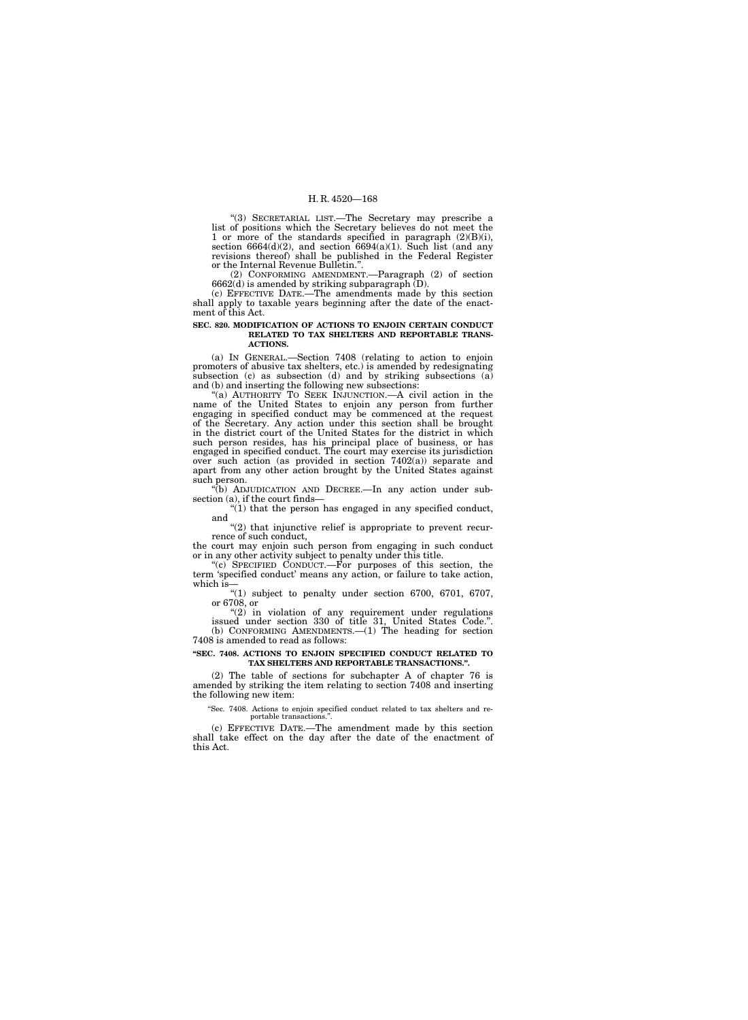''(3) SECRETARIAL LIST.—The Secretary may prescribe a list of positions which the Secretary believes do not meet the 1 or more of the standards specified in paragraph  $(2)(B)(i)$ , section 6664 $(d)(2)$ , and section 6694 $(a)(1)$ . Such list (and any revisions thereof) shall be published in the Federal Register or the Internal Revenue Bulletin.''.

(2) CONFORMING AMENDMENT.—Paragraph (2) of section  $6662(d)$  is amended by striking subparagraph  $(D)$ .

(c) EFFECTIVE DATE.—The amendments made by this section shall apply to taxable years beginning after the date of the enactment of this Act.

#### **SEC. 820. MODIFICATION OF ACTIONS TO ENJOIN CERTAIN CONDUCT RELATED TO TAX SHELTERS AND REPORTABLE TRANS-ACTIONS.**

(a) IN GENERAL.—Section 7408 (relating to action to enjoin promoters of abusive tax shelters, etc.) is amended by redesignating subsection (c) as subsection (d) and by striking subsections (a) and (b) and inserting the following new subsections:

''(a) AUTHORITY TO SEEK INJUNCTION.—A civil action in the name of the United States to enjoin any person from further engaging in specified conduct may be commenced at the request of the Secretary. Any action under this section shall be brought in the district court of the United States for the district in which such person resides, has his principal place of business, or has engaged in specified conduct. The court may exercise its jurisdiction over such action (as provided in section 7402(a)) separate and apart from any other action brought by the United States against such person.

''(b) ADJUDICATION AND DECREE.—In any action under subsection (a), if the court finds—

 $''(1)$  that the person has engaged in any specified conduct, and

 $''(2)$  that injunctive relief is appropriate to prevent recurrence of such conduct,

the court may enjoin such person from engaging in such conduct or in any other activity subject to penalty under this title.

''(c) SPECIFIED CONDUCT.—For purposes of this section, the term 'specified conduct' means any action, or failure to take action, which is—

"(1) subject to penalty under section  $6700, 6701, 6707$ , or 6708, or

"(2) in violation of any requirement under regulations issued under section 330 of title 31, United States Code.''. (b) CONFORMING AMENDMENTS.—(1) The heading for section 7408 is amended to read as follows:

#### **''SEC. 7408. ACTIONS TO ENJOIN SPECIFIED CONDUCT RELATED TO TAX SHELTERS AND REPORTABLE TRANSACTIONS.''.**

(2) The table of sections for subchapter A of chapter 76 is amended by striking the item relating to section 7408 and inserting the following new item:

''Sec. 7408. Actions to enjoin specified conduct related to tax shelters and reportable transactions.''.

(c) EFFECTIVE DATE.—The amendment made by this section shall take effect on the day after the date of the enactment of this Act.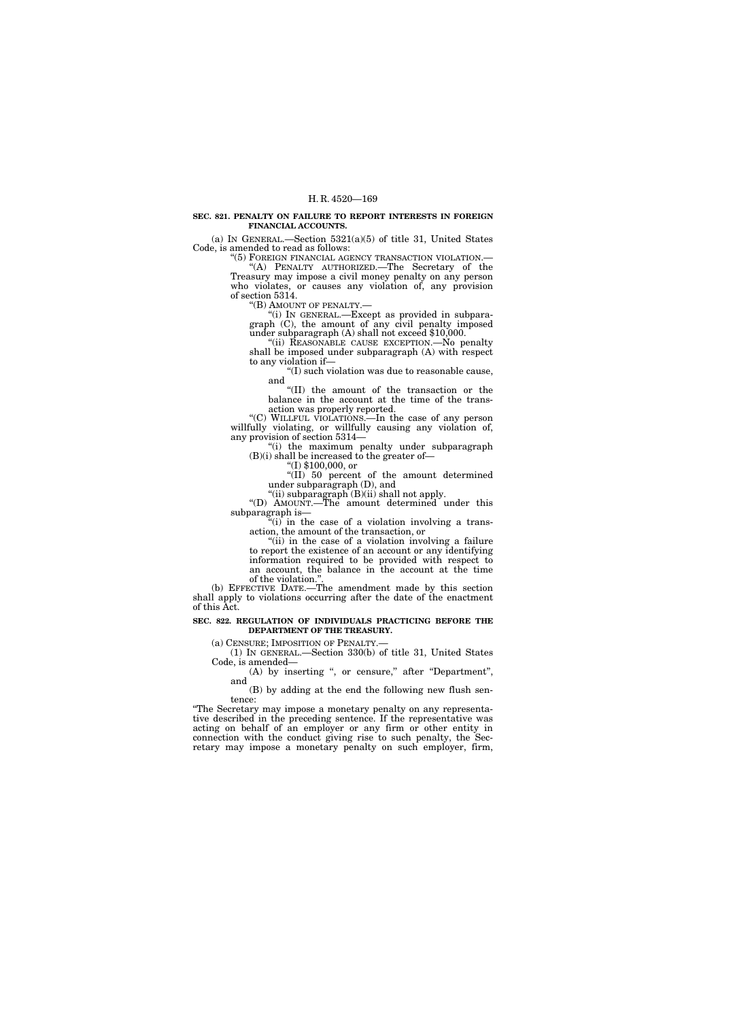### **SEC. 821. PENALTY ON FAILURE TO REPORT INTERESTS IN FOREIGN FINANCIAL ACCOUNTS.**

(a) IN GENERAL.—Section 5321(a)(5) of title 31, United States Code, is amended to read as follows:<br>"(5) FOREIGN FINANCIAL AGENCY TRANSACTION VIOLATION.—

"(A) PENALTY AUTHORIZED.—The Secretary of the Treasury may impose a civil money penalty on any person who violates, or causes any violation of, any provision of section 5314.

"(B) AMOUNT OF PENALTY.—

''(i) IN GENERAL.—Except as provided in subparagraph (C), the amount of any civil penalty imposed under subparagraph (A) shall not exceed \$10,000.

''(ii) REASONABLE CAUSE EXCEPTION.—No penalty shall be imposed under subparagraph (A) with respect to any violation if—

''(I) such violation was due to reasonable cause, and

''(II) the amount of the transaction or the balance in the account at the time of the trans-<br>action was properly reported.

action was properly reported. ''(C) WILLFUL VIOLATIONS.—In the case of any person willfully violating, or willfully causing any violation of,

any provision of section 5314—<br>"(i) the maximum penalty under subparagraph (B)(i) shall be increased to the greater of—  $(B)(i)$  shall be increased to the greater of—<br>"(I)  $$100,000$ , or

''(II) 50 percent of the amount determined under subparagraph (D), and

"(ii) subparagraph (B)(ii) shall not apply.<br>"(D) AMOUNT.—The amount determined under this subparagraph is—

 $f(i)$  in the case of a violation involving a transaction, the amount of the transaction, or<br>"(ii) in the case of a violation involving a failure"

to report the existence of an account or any identifying information required to be provided with respect to an account, the balance in the account at the time

(b) EFFECTIVE DATE.—The amendment made by this section shall apply to violations occurring after the date of the enactment of this Act.

#### **SEC. 822. REGULATION OF INDIVIDUALS PRACTICING BEFORE THE DEPARTMENT OF THE TREASURY.**

(a) CENSURE; IMPOSITION OF PENALTY.—<br>
(1) IN GENERAL.—Section 330(b) of title 31, United States<br>
Code, is amended—

(A) by inserting ", or censure," after "Department", and

(B) by adding at the end the following new flush sen-

"The Secretary may impose a monetary penalty on any representative described in the preceding sentence. If the representative was acting on behalf of an employer or any firm or other entity in connection with the conduct giving rise to such penalty, the Secretary may impose a monetary penalty on such employer, firm,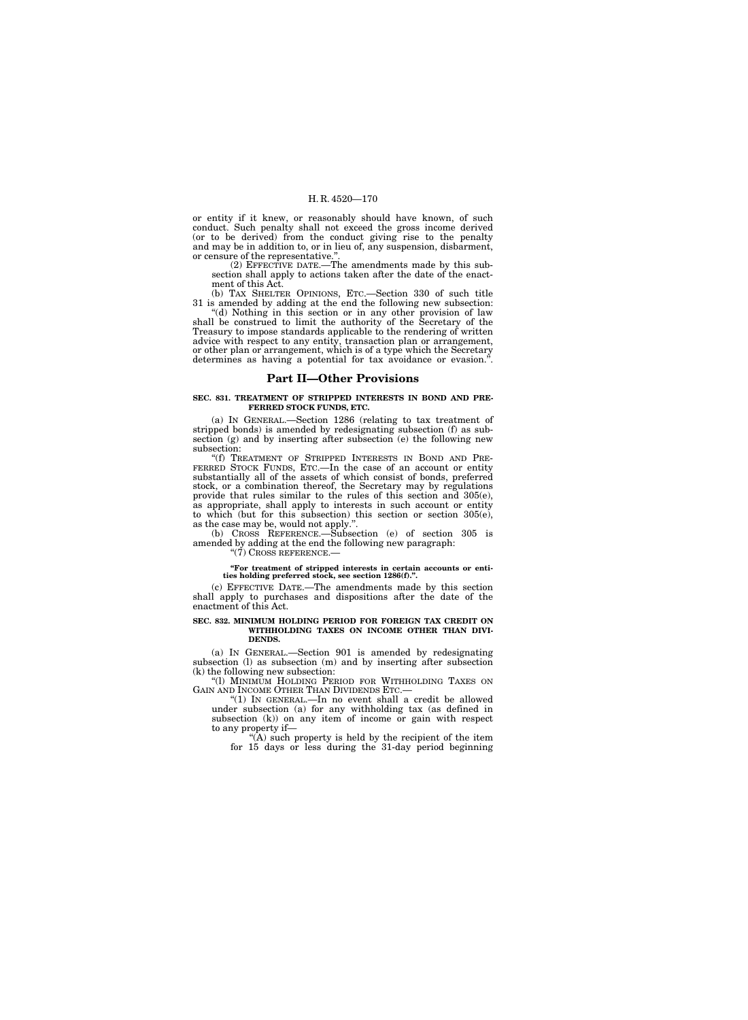or entity if it knew, or reasonably should have known, of such conduct. Such penalty shall not exceed the gross income derived (or to be derived) from the conduct giving rise to the penalty and may be in addition to, or in lieu of, any suspension, disbarment, or censure of the representative.''.

(2) EFFECTIVE DATE.—The amendments made by this subsection shall apply to actions taken after the date of the enactment of this Act.

(b) TAX SHELTER OPINIONS, ETC.—Section 330 of such title 31 is amended by adding at the end the following new subsection:

"(d) Nothing in this section or in any other provision of law shall be construed to limit the authority of the Secretary of the Treasury to impose standards applicable to the rendering of written advice with respect to any entity, transaction plan or arrangement, or other plan or arrangement, which is of a type which the Secretary determines as having a potential for tax avoidance or evasion.'

#### **Part II—Other Provisions**

#### **SEC. 831. TREATMENT OF STRIPPED INTERESTS IN BOND AND PRE-FERRED STOCK FUNDS, ETC.**

(a) IN GENERAL.—Section 1286 (relating to tax treatment of stripped bonds) is amended by redesignating subsection (f) as subsection (g) and by inserting after subsection (e) the following new

"(f) TREATMENT OF STRIPPED INTERESTS IN BOND AND PRE-FERRED STOCK FUNDS, ETC.—In the case of an account or entity substantially all of the assets of which consist of bonds, preferred stock, or a combination thereof, the Secretary may by regulations provide that rules similar to the rules of this section and 305(e), as appropriate, shall apply to interests in such account or entity to which (but for this subsection) this section or section  $305(e)$ , as the case may be, would not apply.".

(b) CROSS REFERENCE.—Subsection (e) of section 305 is amended by adding at the end the following new paragraph: ''(7) CROSS REFERENCE.—

#### **''For treatment of stripped interests in certain accounts or entities holding preferred stock, see section 1286(f).''.**

(c) EFFECTIVE DATE.—The amendments made by this section shall apply to purchases and dispositions after the date of the enactment of this Act.

#### **SEC. 832. MINIMUM HOLDING PERIOD FOR FOREIGN TAX CREDIT ON WITHHOLDING TAXES ON INCOME OTHER THAN DIVI-DENDS.**

(a) IN GENERAL.—Section 901 is amended by redesignating subsection (l) as subsection (m) and by inserting after subsection (k) the following new subsection:

''(l) MINIMUM HOLDING PERIOD FOR WITHHOLDING TAXES ON GAIN AND INCOME OTHER THAN DIVIDENDS ETC.—<br>"(1) IN GENERAL.—In no event shall a credit be allowed

under subsection (a) for any withholding tax (as defined in subsection  $(k)$  on any item of income or gain with respect to any property if—

"(A) such property is held by the recipient of the item for 15 days or less during the 31-day period beginning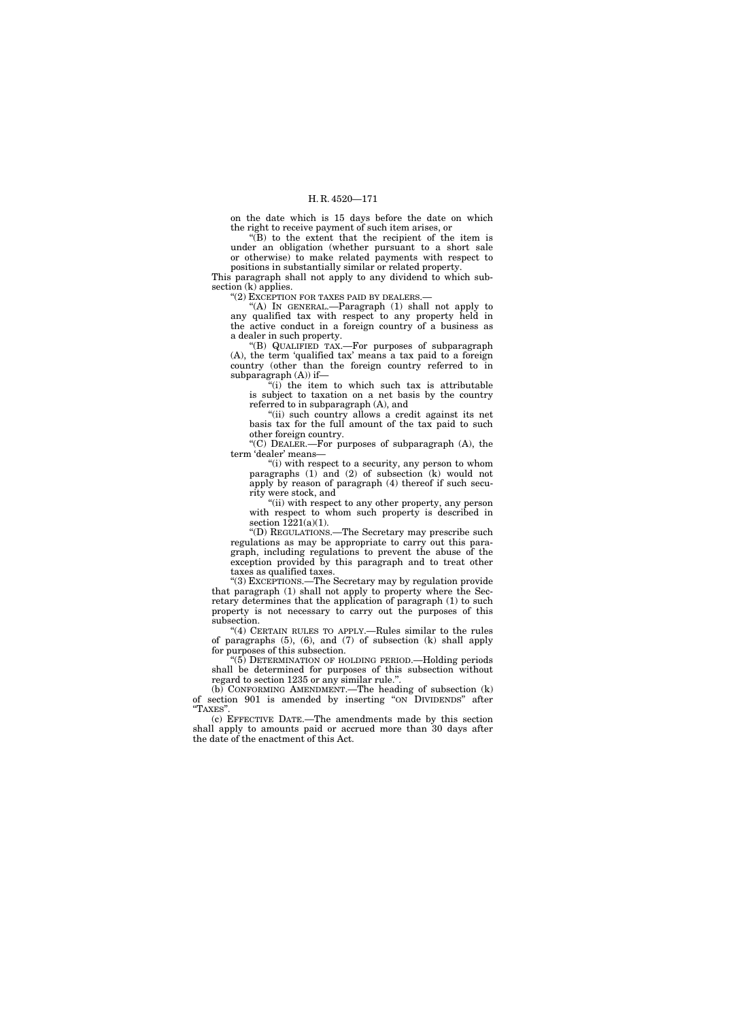on the date which is 15 days before the date on which the right to receive payment of such item arises, or

 $\mathrm{H}(B)$  to the extent that the recipient of the item is under an obligation (whether pursuant to a short sale or otherwise) to make related payments with respect to

positions in substantially similar or related property. This paragraph shall not apply to any dividend to which subsection (k) applies.

''(2) EXCEPTION FOR TAXES PAID BY DEALERS.—

"(A) IN GENERAL.—Paragraph (1) shall not apply to any qualified tax with respect to any property held in the active conduct in a foreign country of a business as a dealer in such property.

''(B) QUALIFIED TAX.—For purposes of subparagraph (A), the term 'qualified tax' means a tax paid to a foreign country (other than the foreign country referred to in subparagraph  $(A)$ ) if—

''(i) the item to which such tax is attributable is subject to taxation on a net basis by the country referred to in subparagraph (A), and

"(ii) such country allows a credit against its net basis tax for the full amount of the tax paid to such other foreign country.

''(C) DEALER.—For purposes of subparagraph (A), the term 'dealer' means—

"(i) with respect to a security, any person to whom paragraphs (1) and (2) of subsection (k) would not apply by reason of paragraph (4) thereof if such security were stock, and

"(ii) with respect to any other property, any person with respect to whom such property is described in section  $1221(a)(1)$ .

''(D) REGULATIONS.—The Secretary may prescribe such regulations as may be appropriate to carry out this paragraph, including regulations to prevent the abuse of the exception provided by this paragraph and to treat other taxes as qualified taxes.

''(3) EXCEPTIONS.—The Secretary may by regulation provide that paragraph (1) shall not apply to property where the Secretary determines that the application of paragraph (1) to such property is not necessary to carry out the purposes of this subsection.

''(4) CERTAIN RULES TO APPLY.—Rules similar to the rules of paragraphs (5), (6), and (7) of subsection (k) shall apply for purposes of this subsection.

''(5) DETERMINATION OF HOLDING PERIOD.—Holding periods shall be determined for purposes of this subsection without regard to section 1235 or any similar rule."

(b) CONFORMING AMENDMENT.—The heading of subsection (k) of section 901 is amended by inserting ''ON DIVIDENDS'' after ''TAXES''.

(c) EFFECTIVE DATE.—The amendments made by this section shall apply to amounts paid or accrued more than 30 days after the date of the enactment of this Act.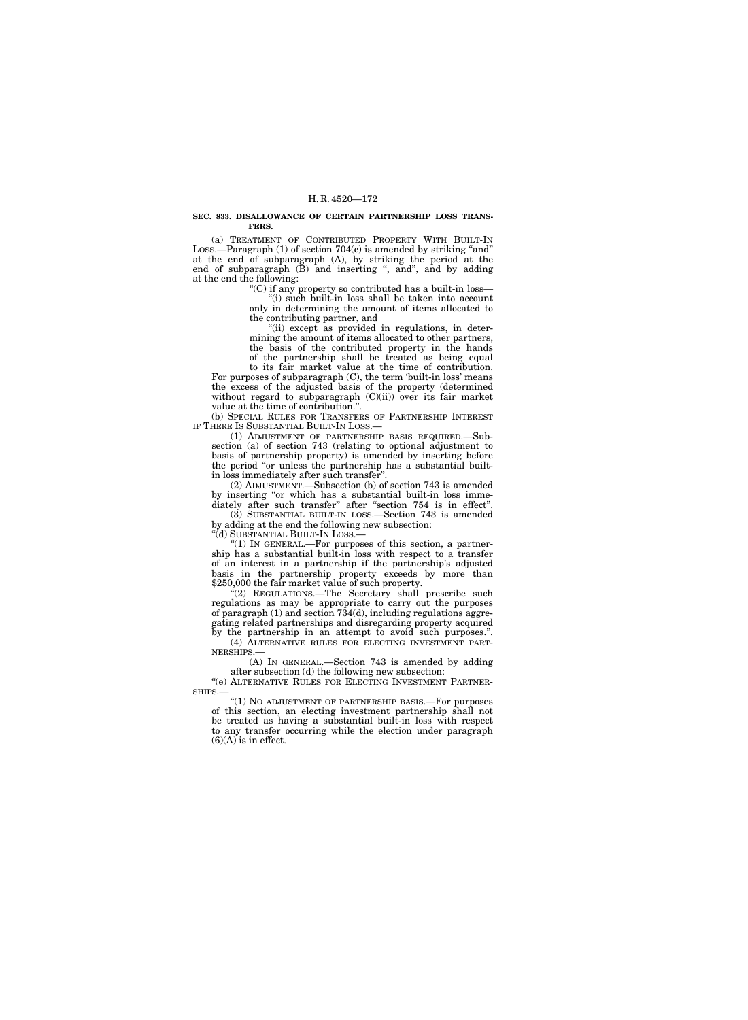#### **SEC. 833. DISALLOWANCE OF CERTAIN PARTNERSHIP LOSS TRANS-FERS.**

(a) TREATMENT OF CONTRIBUTED PROPERTY WITH BUILT-IN LOSS.—Paragraph (1) of section 704(c) is amended by striking "and" at the end of subparagraph (A), by striking the period at the end of subparagraph  $(\overline{B})$  and inserting ", and", and by adding at the end the following:

''(C) if any property so contributed has a built-in loss— "(i) such built-in loss shall be taken into account only in determining the amount of items allocated to the contributing partner, and

"(ii) except as provided in regulations, in determining the amount of items allocated to other partners, the basis of the contributed property in the hands of the partnership shall be treated as being equal

to its fair market value at the time of contribution. For purposes of subparagraph (C), the term 'built-in loss' means the excess of the adjusted basis of the property (determined without regard to subparagraph (C)(ii)) over its fair market value at the time of contribution.''.

(b) SPECIAL RULES FOR TRANSFERS OF PARTNERSHIP INTEREST IF THERE IS SUBSTANTIAL BUILT-IN LOSS.—

(1) ADJUSTMENT OF PARTNERSHIP BASIS REQUIRED.—Subsection (a) of section 743 (relating to optional adjustment to basis of partnership property) is amended by inserting before the period "or unless the partnership has a substantial builtin loss immediately after such transfer''.

(2) ADJUSTMENT.—Subsection (b) of section 743 is amended by inserting ''or which has a substantial built-in loss immediately after such transfer" after "section 754 is in effect".

(3) SUBSTANTIAL BUILT-IN LOSS.—Section 743 is amended by adding at the end the following new subsection:

''(d) SUBSTANTIAL BUILT-IN LOSS.—

''(1) IN GENERAL.—For purposes of this section, a partnership has a substantial built-in loss with respect to a transfer of an interest in a partnership if the partnership's adjusted basis in the partnership property exceeds by more than \$250,000 the fair market value of such property.

"(2) REGULATIONS.—The Secretary shall prescribe such regulations as may be appropriate to carry out the purposes of paragraph (1) and section 734(d), including regulations aggregating related partnerships and disregarding property acquired by the partnership in an attempt to avoid such purposes.''.

(4) ALTERNATIVE RULES FOR ELECTING INVESTMENT PART-NERSHIPS.—

(A) IN GENERAL.—Section 743 is amended by adding after subsection (d) the following new subsection:

''(e) ALTERNATIVE RULES FOR ELECTING INVESTMENT PARTNER-SHIPS.—

''(1) NO ADJUSTMENT OF PARTNERSHIP BASIS.—For purposes of this section, an electing investment partnership shall not be treated as having a substantial built-in loss with respect to any transfer occurring while the election under paragraph  $(6)(A)$  is in effect.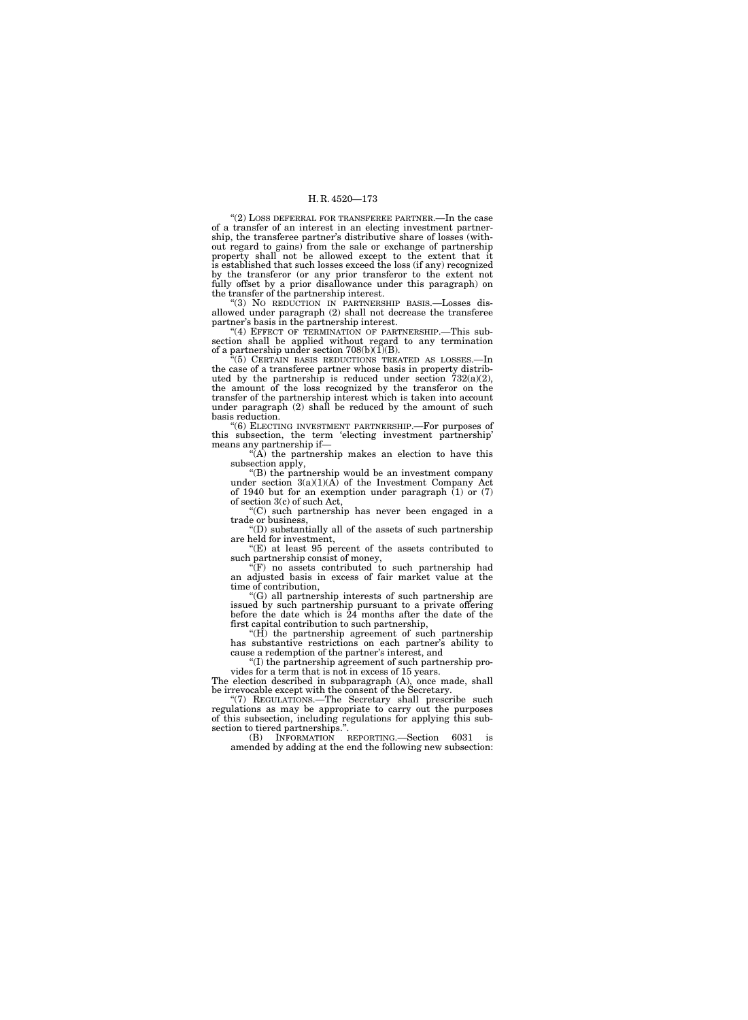''(2) LOSS DEFERRAL FOR TRANSFEREE PARTNER.—In the case of a transfer of an interest in an electing investment partnership, the transferee partner's distributive share of losses (without regard to gains) from the sale or exchange of partnership property shall not be allowed except to the extent that it is established that such losses exceed the loss (if any) recognized by the transferor (or any prior transferor to the extent not fully offset by a prior disallowance under this paragraph) on the transfer of the partnership interest.

''(3) NO REDUCTION IN PARTNERSHIP BASIS.—Losses disallowed under paragraph (2) shall not decrease the transferee partner's basis in the partnership interest.

"(4) EFFECT OF TERMINATION OF PARTNERSHIP.-This subsection shall be applied without regard to any termination of a partnership under section 708(b)(1)(B).

''(5) CERTAIN BASIS REDUCTIONS TREATED AS LOSSES.—In the case of a transferee partner whose basis in property distributed by the partnership is reduced under section  $\bar{7}32(a)(2)$ , the amount of the loss recognized by the transferor on the transfer of the partnership interest which is taken into account under paragraph (2) shall be reduced by the amount of such basis reduction.

''(6) ELECTING INVESTMENT PARTNERSHIP.—For purposes of this subsection, the term 'electing investment partnership' means any partnership if—

 $\sqrt{\hat{A}}$  the partnership makes an election to have this subsection apply,

''(B) the partnership would be an investment company under section  $3(a)(1)(A)$  of the Investment Company Act of 1940 but for an exemption under paragraph (1) or (7) of section 3(c) of such Act,

''(C) such partnership has never been engaged in a trade or business,

''(D) substantially all of the assets of such partnership are held for investment,

''(E) at least 95 percent of the assets contributed to such partnership consist of money,

''(F) no assets contributed to such partnership had an adjusted basis in excess of fair market value at the time of contribution,

''(G) all partnership interests of such partnership are issued by such partnership pursuant to a private offering before the date which is 24 months after the date of the first capital contribution to such partnership,

"(H) the partnership agreement of such partnership has substantive restrictions on each partner's ability to cause a redemption of the partner's interest, and

''(I) the partnership agreement of such partnership provides for a term that is not in excess of 15 years.

The election described in subparagraph (A), once made, shall be irrevocable except with the consent of the Secretary. "(7) REGULATIONS.—The Secretary shall prescribe such

regulations as may be appropriate to carry out the purposes of this subsection, including regulations for applying this sub-

(B) INFORMATION REPORTING.—Section 6031 is amended by adding at the end the following new subsection: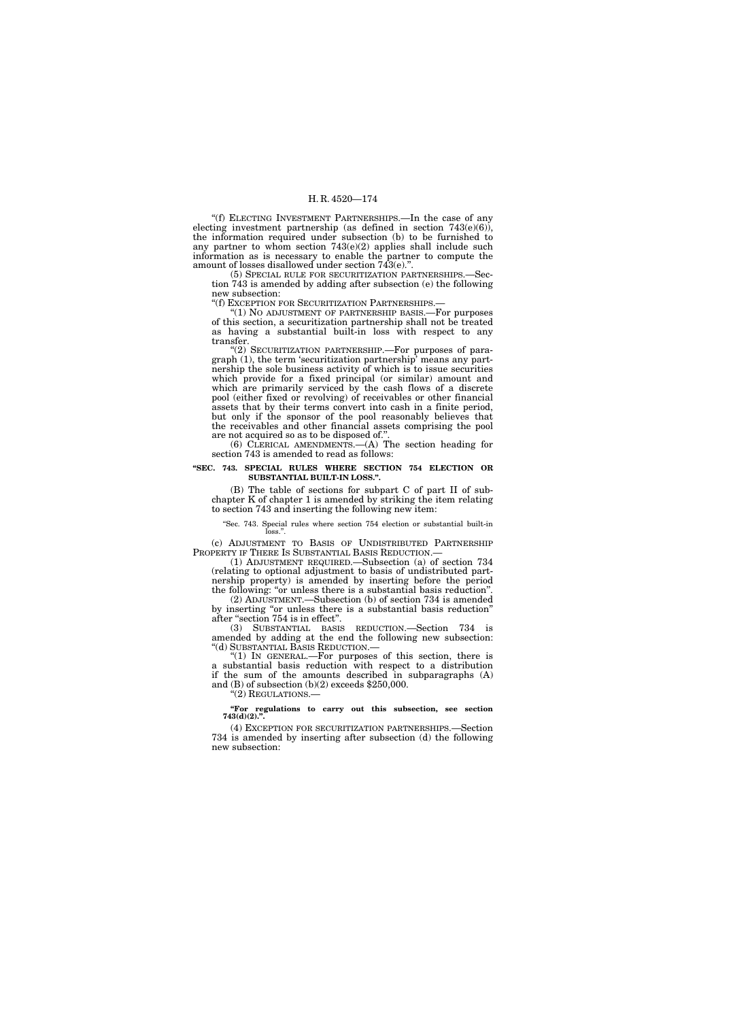''(f) ELECTING INVESTMENT PARTNERSHIPS.—In the case of any electing investment partnership (as defined in section 743(e)(6)), the information required under subsection (b) to be furnished to any partner to whom section 743(e)(2) applies shall include such information as is necessary to enable the partner to compute the amount of losses disallowed under section 743(e).''.

(5) SPECIAL RULE FOR SECURITIZATION PARTNERSHIPS.—Section 743 is amended by adding after subsection (e) the following new subsection:

''(f) EXCEPTION FOR SECURITIZATION PARTNERSHIPS.—

''(1) NO ADJUSTMENT OF PARTNERSHIP BASIS.—For purposes of this section, a securitization partnership shall not be treated as having a substantial built-in loss with respect to any transfer.

"(2) SECURITIZATION PARTNERSHIP. For purposes of paragraph (1), the term 'securitization partnership' means any partnership the sole business activity of which is to issue securities which provide for a fixed principal (or similar) amount and which are primarily serviced by the cash flows of a discrete pool (either fixed or revolving) of receivables or other financial assets that by their terms convert into cash in a finite period, but only if the sponsor of the pool reasonably believes that the receivables and other financial assets comprising the pool are not acquired so as to be disposed of.

(6) CLERICAL AMENDMENTS.—(A) The section heading for section 743 is amended to read as follows:

#### **''SEC. 743. SPECIAL RULES WHERE SECTION 754 ELECTION OR SUBSTANTIAL BUILT-IN LOSS.''.**

(B) The table of sections for subpart C of part II of subchapter K of chapter 1 is amended by striking the item relating to section 743 and inserting the following new item:

''Sec. 743. Special rules where section 754 election or substantial built-in loss."

(c) ADJUSTMENT TO BASIS OF UNDISTRIBUTED PARTNERSHIP PROPERTY IF THERE IS SUBSTANTIAL BASIS REDUCTION.—

(1) ADJUSTMENT REQUIRED.—Subsection (a) of section 734 (relating to optional adjustment to basis of undistributed partnership property) is amended by inserting before the period the following: ''or unless there is a substantial basis reduction''.

(2) ADJUSTMENT.—Subsection (b) of section 734 is amended by inserting "or unless there is a substantial basis reduction" after "section 754 is in effect".

(3) SUBSTANTIAL BASIS REDUCTION.—Section 734 is amended by adding at the end the following new subsection: ''(d) SUBSTANTIAL BASIS REDUCTION.—

''(1) IN GENERAL.—For purposes of this section, there is a substantial basis reduction with respect to a distribution if the sum of the amounts described in subparagraphs (A) and (B) of subsection  $(b)(2)$  exceeds \$250,000.

''(2) REGULATIONS.—

**''For regulations to carry out this subsection, see section 743(d)(2).''.**

(4) EXCEPTION FOR SECURITIZATION PARTNERSHIPS.—Section 734 is amended by inserting after subsection (d) the following new subsection: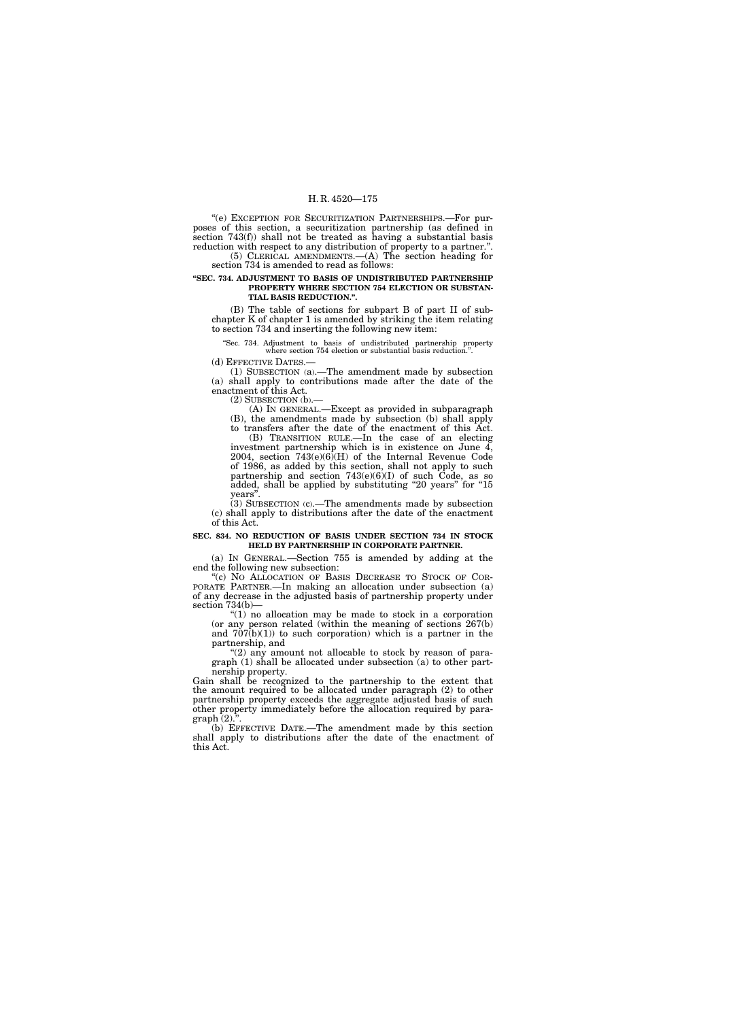''(e) EXCEPTION FOR SECURITIZATION PARTNERSHIPS.—For purposes of this section, a securitization partnership (as defined in section 743(f)) shall not be treated as having a substantial basis reduction with respect to any distribution of property to a partner.''. (5) CLERICAL AMENDMENTS.—(A) The section heading for

section 734 is amended to read as follows:

#### **''SEC. 734. ADJUSTMENT TO BASIS OF UNDISTRIBUTED PARTNERSHIP PROPERTY WHERE SECTION 754 ELECTION OR SUBSTAN-TIAL BASIS REDUCTION.''.**

(B) The table of sections for subpart B of part II of subchapter K of chapter 1 is amended by striking the item relating to section 734 and inserting the following new item:

''Sec. 734. Adjustment to basis of undistributed partnership property where section 754 election or substantial basis reduction."

(d) EFFECTIVE DATES.—

(1) SUBSECTION (a).—The amendment made by subsection (a) shall apply to contributions made after the date of the enactment of this Act.

 $(2)$  SUBSECTION  $(b)$ .

(A) IN GENERAL.—Except as provided in subparagraph (B), the amendments made by subsection (b) shall apply to transfers after the date of the enactment of this Act.

(B) TRANSITION RULE.—In the case of an electing investment partnership which is in existence on June 4, 2004, section 743(e)(6)(H) of the Internal Revenue Code of 1986, as added by this section, shall not apply to such partnership and section 743(e)(6)(I) of such Code, as so added, shall be applied by substituting "20 years" for "15

years".<br>(3) SUBSECTION (c).—The amendments made by subsection (c) shall apply to distributions after the date of the enactment of this Act.

#### **SEC. 834. NO REDUCTION OF BASIS UNDER SECTION 734 IN STOCK HELD BY PARTNERSHIP IN CORPORATE PARTNER.**

(a) IN GENERAL.—Section 755 is amended by adding at the end the following new subsection:

''(c) NO ALLOCATION OF BASIS DECREASE TO STOCK OF COR-PORATE PARTNER.—In making an allocation under subsection (a) of any decrease in the adjusted basis of partnership property under section 734(b)—

" $(1)$  no allocation may be made to stock in a corporation (or any person related (within the meaning of sections 267(b) and  $707(b)(1)$  to such corporation) which is a partner in the partnership, and

"(2) any amount not allocable to stock by reason of paragraph (1) shall be allocated under subsection (a) to other partnership property.

Gain shall be recognized to the partnership to the extent that the amount required to be allocated under paragraph (2) to other partnership property exceeds the aggregate adjusted basis of such other property immediately before the allocation required by para $graph (2).$ 

(b) EFFECTIVE DATE.—The amendment made by this section shall apply to distributions after the date of the enactment of this Act.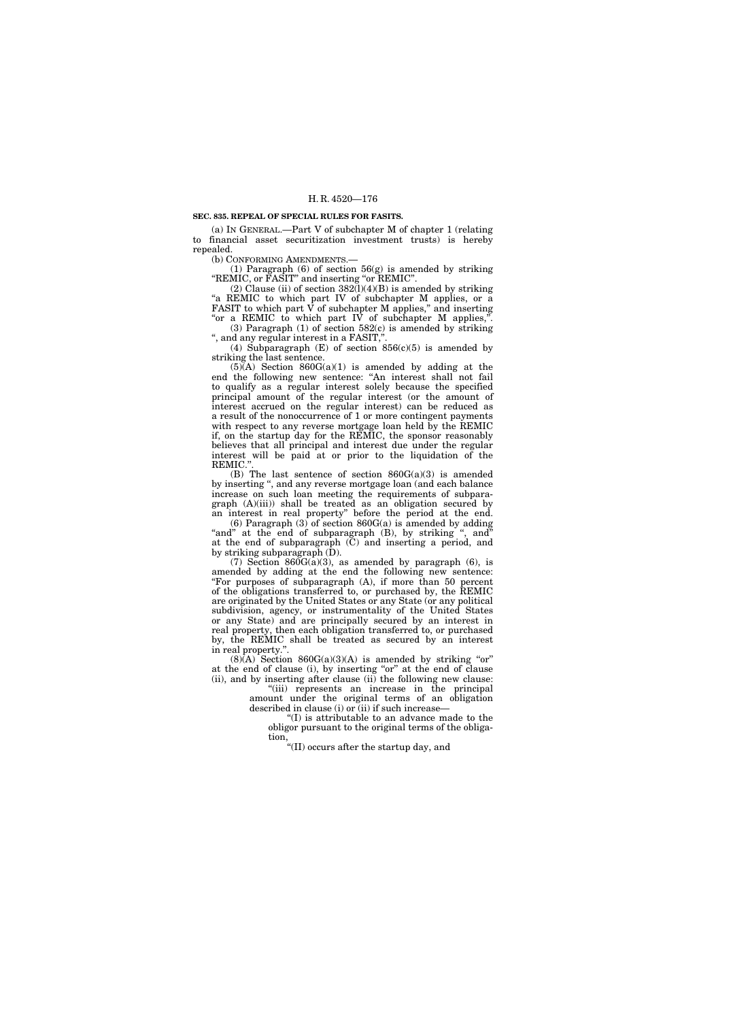#### **SEC. 835. REPEAL OF SPECIAL RULES FOR FASITS.**

(a) IN GENERAL.—Part V of subchapter M of chapter 1 (relating to financial asset securitization investment trusts) is hereby repealed.

(b) CONFORMING AMENDMENTS.—

(1) Paragraph  $(6)$  of section  $56(g)$  is amended by striking "REMIC, or FASIT" and inserting "or REMIC".

(2) Clause (ii) of section  $382(1)(4)(B)$  is amended by striking "a REMIC to which part IV of subchapter M applies, or a FASIT to which part  $\overline{V}$  of subchapter M applies," and inserting "or a REMIC to which part IV of subchapter M applies,".

(3) Paragraph (1) of section 582(c) is amended by striking '', and any regular interest in a FASIT,''.

(4) Subparagraph  $(E)$  of section  $856(c)(5)$  is amended by striking the last sentence.

 $(5)\tilde{A}$ ) Section  $860G(a)(1)$  is amended by adding at the end the following new sentence: "An interest shall not fail to qualify as a regular interest solely because the specified principal amount of the regular interest (or the amount of interest accrued on the regular interest) can be reduced as a result of the nonoccurrence of 1 or more contingent payments with respect to any reverse mortgage loan held by the REMIC if, on the startup day for the REMIC, the sponsor reasonably believes that all principal and interest due under the regular interest will be paid at or prior to the liquidation of the REMIC.'

 $(B)$  The last sentence of section  $860G(a)(3)$  is amended by inserting '', and any reverse mortgage loan (and each balance increase on such loan meeting the requirements of subparagraph (A)(iii)) shall be treated as an obligation secured by an interest in real property'' before the period at the end.

(6) Paragraph (3) of section 860G(a) is amended by adding "and" at the end of subparagraph (B), by striking ", and" at the end of subparagraph (C) and inserting a period, and by striking subparagraph (D).

(7) Section  $860G(a)(3)$ , as amended by paragraph (6), is amended by adding at the end the following new sentence: ''For purposes of subparagraph (A), if more than 50 percent of the obligations transferred to, or purchased by, the REMIC are originated by the United States or any State (or any political subdivision, agency, or instrumentality of the United States or any State) and are principally secured by an interest in real property, then each obligation transferred to, or purchased by, the REMIC shall be treated as secured by an interest in real property.''.

 $(8)(A)$  Section  $860G(a)(3)(A)$  is amended by striking "or" at the end of clause (i), by inserting ''or'' at the end of clause (ii), and by inserting after clause (ii) the following new clause: ''(iii) represents an increase in the principal

amount under the original terms of an obligation described in clause (i) or (ii) if such increase—

''(I) is attributable to an advance made to the obligor pursuant to the original terms of the obligation,

''(II) occurs after the startup day, and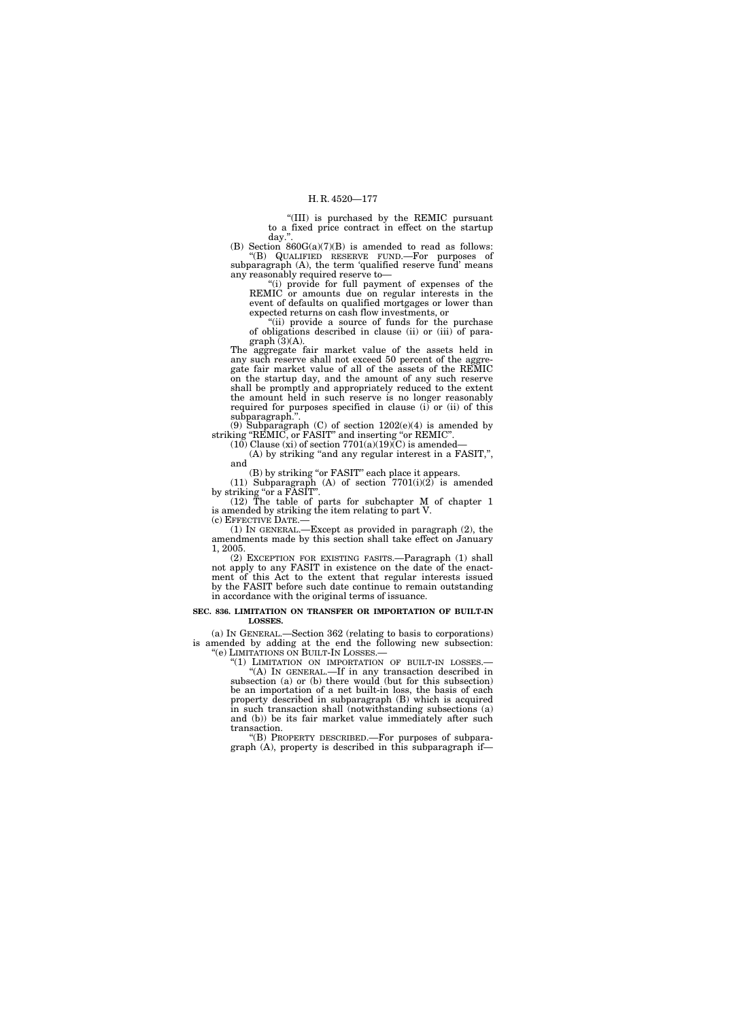''(III) is purchased by the REMIC pursuant to a fixed price contract in effect on the startup day.''.

(B) Section  $860G(a)(7)(B)$  is amended to read as follows: ''(B) QUALIFIED RESERVE FUND.—For purposes of subparagraph (A), the term 'qualified reserve fund' means any reasonably required reserve to—

''(i) provide for full payment of expenses of the REMIC or amounts due on regular interests in the event of defaults on qualified mortgages or lower than expected returns on cash flow investments, or

"(ii) provide a source of funds for the purchase" of obligations described in clause (ii) or (iii) of para $graph (3)(A)$ .

The aggregate fair market value of the assets held in any such reserve shall not exceed 50 percent of the aggregate fair market value of all of the assets of the REMIC on the startup day, and the amount of any such reserve shall be promptly and appropriately reduced to the extent the amount held in such reserve is no longer reasonably required for purposes specified in clause (i) or (ii) of this subparagraph.''. (9) Subparagraph (C) of section 1202(e)(4) is amended by

striking "REMIC, or FASIT" and inserting "or REMIC".<br>
(10) Clause (xi) of section 7701(a)(19)(C) is amended—<br>
(A) by striking "and any regular interest in a FASIT,",<br>
and

(B) by striking ''or FASIT'' each place it appears. (11) Subparagraph  $(A)$  of section  $7701(i)(2)$  is amended

by striking "or a FASIT".<br>(12) The table of parts for subchapter M of chapter 1

is amended by striking the item relating to part V.

(c) EFFECTIVE DATE.—

(1) IN GENERAL.—Except as provided in paragraph (2), the amendments made by this section shall take effect on January 1, 2005.

(2) EXCEPTION FOR EXISTING FASITS.—Paragraph (1) shall not apply to any FASIT in existence on the date of the enactment of this Act to the extent that regular interests issued by the FASIT before such date continue to remain outstanding in accordance with the original terms of issuance.

#### **SEC. 836. LIMITATION ON TRANSFER OR IMPORTATION OF BUILT-IN LOSSES.**

(a) IN GENERAL.—Section 362 (relating to basis to corporations) is amended by adding at the end the following new subsection: ''(e) LIMITATIONS ON BUILT-IN LOSSES.—

'(1) LIMITATION ON IMPORTATION OF BUILT-IN LOSSES.-

''(A) IN GENERAL.—If in any transaction described in subsection (a) or (b) there would (but for this subsection) be an importation of a net built-in loss, the basis of each property described in subparagraph (B) which is acquired in such transaction shall (notwithstanding subsections (a) and (b)) be its fair market value immediately after such transaction.<br>
"(B) PROPERTY DESCRIBED.—For purposes of subpara-

graph (A), property is described in this subparagraph if—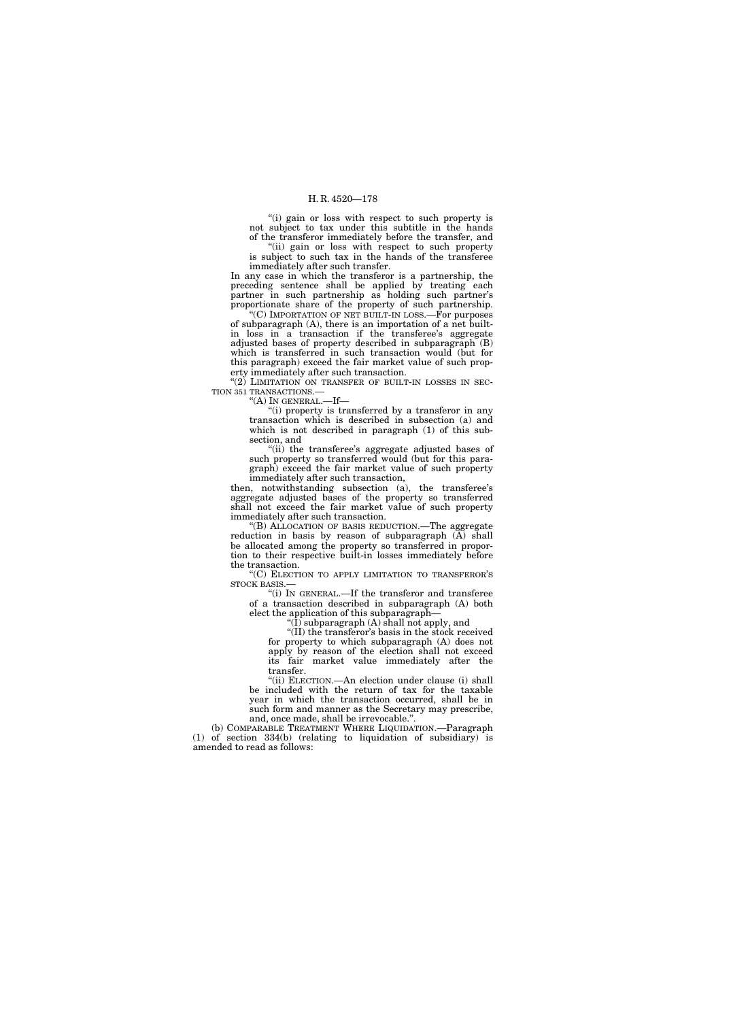''(i) gain or loss with respect to such property is not subject to tax under this subtitle in the hands of the transferor immediately before the transfer, and

''(ii) gain or loss with respect to such property is subject to such tax in the hands of the transferee immediately after such transfer.

In any case in which the transferor is a partnership, the preceding sentence shall be applied by treating each partner in such partnership as holding such partner's proportionate share of the property of such partnership.

"(C) IMPORTATION OF NET BUILT-IN LOSS.—For purposes of subparagraph (A), there is an importation of a net builtin loss in a transaction if the transferee's aggregate adjusted bases of property described in subparagraph (B) which is transferred in such transaction would (but for this paragraph) exceed the fair market value of such property immediately after such transaction.

"(2) LIMITATION ON TRANSFER OF BUILT-IN LOSSES IN SEC-TION 351 TRANSACTIONS.—

''(A) IN GENERAL.—If—

''(i) property is transferred by a transferor in any transaction which is described in subsection (a) and which is not described in paragraph (1) of this subsection, and

"(ii) the transferee's aggregate adjusted bases of such property so transferred would (but for this paragraph) exceed the fair market value of such property immediately after such transaction,

then, notwithstanding subsection (a), the transferee's aggregate adjusted bases of the property so transferred shall not exceed the fair market value of such property immediately after such transaction.

''(B) ALLOCATION OF BASIS REDUCTION.—The aggregate reduction in basis by reason of subparagraph  $(A)$  shall be allocated among the property so transferred in proportion to their respective built-in losses immediately before the transaction.

''(C) ELECTION TO APPLY LIMITATION TO TRANSFEROR'S STOCK BASIS.—

''(i) IN GENERAL.—If the transferor and transferee of a transaction described in subparagraph (A) both elect the application of this subparagraph—

''(I) subparagraph (A) shall not apply, and

''(II) the transferor's basis in the stock received for property to which subparagraph (A) does not apply by reason of the election shall not exceed its fair market value immediately after the transfer.

''(ii) ELECTION.—An election under clause (i) shall be included with the return of tax for the taxable year in which the transaction occurred, shall be in such form and manner as the Secretary may prescribe, and, once made, shall be irrevocable.''.

(b) COMPARABLE TREATMENT WHERE LIQUIDATION.—Paragraph (1) of section 334(b) (relating to liquidation of subsidiary) is amended to read as follows: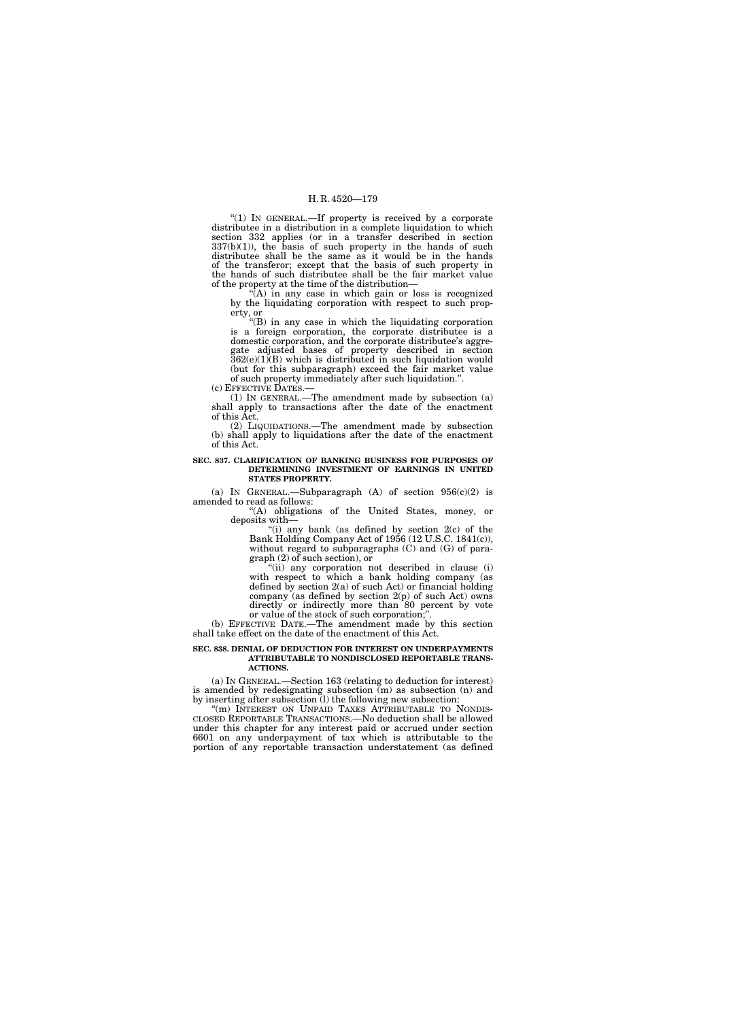''(1) IN GENERAL.—If property is received by a corporate distributee in a distribution in a complete liquidation to which section 332 applies (or in a transfer described in section  $337(b)(1)$ , the basis of such property in the hands of such distributee shall be the same as it would be in the hands of the transferor; except that the basis of such property in the hands of such distributee shall be the fair market value of the property at the time of the distribution—

"(A) in any case in which gain or loss is recognized by the liquidating corporation with respect to such property, or

''(B) in any case in which the liquidating corporation is a foreign corporation, the corporate distributee is a domestic corporation, and the corporate distributee's aggregate adjusted bases of property described in section  $362(e)(1)(B)$  which is distributed in such liquidation would (but for this subparagraph) exceed the fair market value of such property immediately after such liquidation.''.

(1) IN GENERAL.—The amendment made by subsection  $(a)$ shall apply to transactions after the date of the enactment of this Act.

(2) LIQUIDATIONS.—The amendment made by subsection (b) shall apply to liquidations after the date of the enactment of this Act.

#### **SEC. 837. CLARIFICATION OF BANKING BUSINESS FOR PURPOSES OF DETERMINING INVESTMENT OF EARNINGS IN UNITED STATES PROPERTY.**

(a) IN GENERAL.—Subparagraph  $(A)$  of section  $956(c)(2)$  is amended to read as follows:

''(A) obligations of the United States, money, or deposits with—

"(i) any bank (as defined by section  $2(c)$  of the Bank Holding Company Act of 1956 (12 U.S.C. 1841(c)), without regard to subparagraphs  $(C)$  and  $(G)$  of paragraph (2) of such section), or

''(ii) any corporation not described in clause (i) with respect to which a bank holding company (as defined by section 2(a) of such Act) or financial holding company (as defined by section  $2(p)$  of such Act) owns directly or indirectly more than 80 percent by vote or value of the stock of such corporation;''.

(b) EFFECTIVE DATE.—The amendment made by this section shall take effect on the date of the enactment of this Act.

#### **SEC. 838. DENIAL OF DEDUCTION FOR INTEREST ON UNDERPAYMENTS ATTRIBUTABLE TO NONDISCLOSED REPORTABLE TRANS-ACTIONS.**

(a) IN GENERAL.—Section 163 (relating to deduction for interest) is amended by redesignating subsection (m) as subsection (n) and by inserting after subsection (l) the following new subsection:

"(m) INTEREST ON UNPAID TAXES ATTRIBUTABLE TO NONDIS-CLOSED REPORTABLE TRANSACTIONS.—No deduction shall be allowed under this chapter for any interest paid or accrued under section 6601 on any underpayment of tax which is attributable to the portion of any reportable transaction understatement (as defined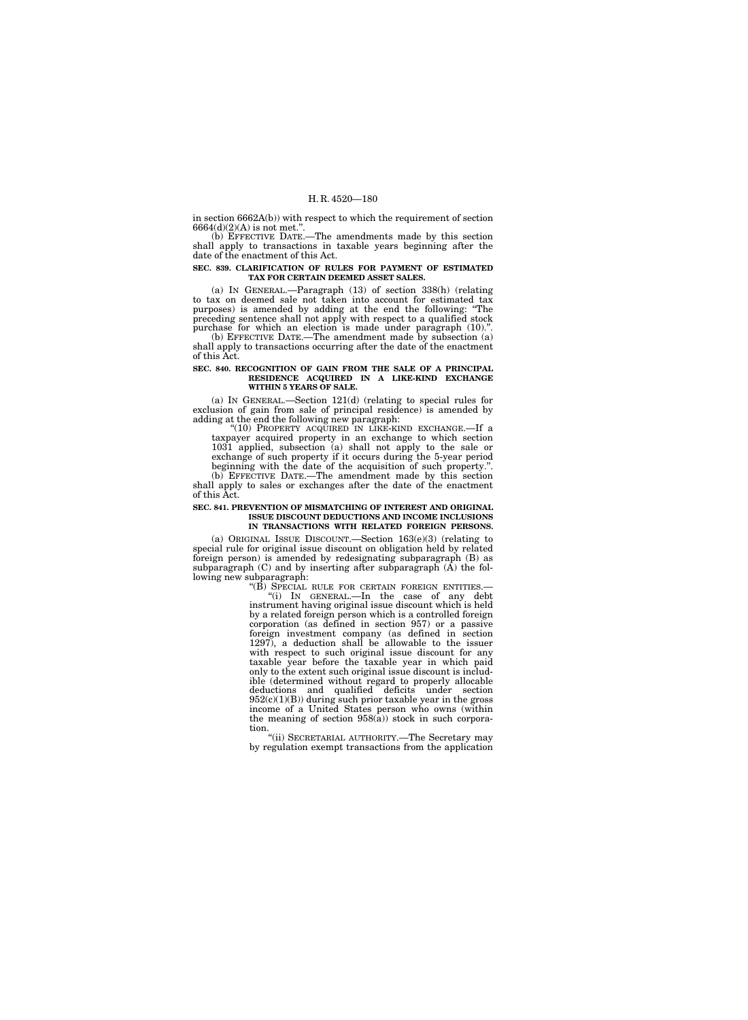in section 6662A(b)) with respect to which the requirement of section 6664(d)(2)(A) is not met.".

(b) EFFECTIVE DATE.—The amendments made by this section shall apply to transactions in taxable years beginning after the date of the enactment of this Act.

#### **SEC. 839. CLARIFICATION OF RULES FOR PAYMENT OF ESTIMATED TAX FOR CERTAIN DEEMED ASSET SALES.**

(a) IN GENERAL.—Paragraph (13) of section 338(h) (relating to tax on deemed sale not taken into account for estimated tax purposes) is amended by adding at the end the following: ''The preceding sentence shall not apply with respect to a qualified stock purchase for which an election is made under paragraph (10).".<br>(b) EFFECTIVE DATE.—The amendment made by subsection (a)

shall apply to transactions occurring after the date of the enactment of this Act.

#### **SEC. 840. RECOGNITION OF GAIN FROM THE SALE OF A PRINCIPAL RESIDENCE ACQUIRED IN A LIKE-KIND EXCHANGE WITHIN 5 YEARS OF SALE.**

(a) IN GENERAL.—Section 121(d) (relating to special rules for exclusion of gain from sale of principal residence) is amended by adding at the end the following new paragraph:

"(10) PROPERTY ACQUIRED IN LIKE-KIND EXCHANGE.—If a taxpayer acquired property in an exchange to which section 1031 applied, subsection (a) shall not apply to the sale or exchange of such property if it occurs during the 5-year period beginning with the date of the acquisition of such property.''. (b) EFFECTIVE DATE.—The amendment made by this section

shall apply to sales or exchanges after the date of the enactment of this Act.

#### **SEC. 841. PREVENTION OF MISMATCHING OF INTEREST AND ORIGINAL ISSUE DISCOUNT DEDUCTIONS AND INCOME INCLUSIONS IN TRANSACTIONS WITH RELATED FOREIGN PERSONS.**

(a) ORIGINAL ISSUE DISCOUNT.—Section 163(e)(3) (relating to special rule for original issue discount on obligation held by related foreign person) is amended by redesignating subparagraph (B) as subparagraph  $(C)$  and by inserting after subparagraph  $(A)$  the following new subparagraph:<br>"(B) SPECIAL RULE FOR CERTAIN FOREIGN ENTITIES.—

''(i) IN GENERAL.—In the case of any debt instrument having original issue discount which is held by a related foreign person which is a controlled foreign corporation (as defined in section 957) or a passive foreign investment company (as defined in section 1297), a deduction shall be allowable to the issuer with respect to such original issue discount for any taxable year before the taxable year in which paid only to the extent such original issue discount is includible (determined without regard to properly allocable deductions and qualified deficits under section  $952(c)(1)(B)$  during such prior taxable year in the gross income of a United States person who owns (within the meaning of section 958(a)) stock in such corporation.<br>"(ii) SECRETARIAL AUTHORITY.—The Secretary may"

by regulation exempt transactions from the application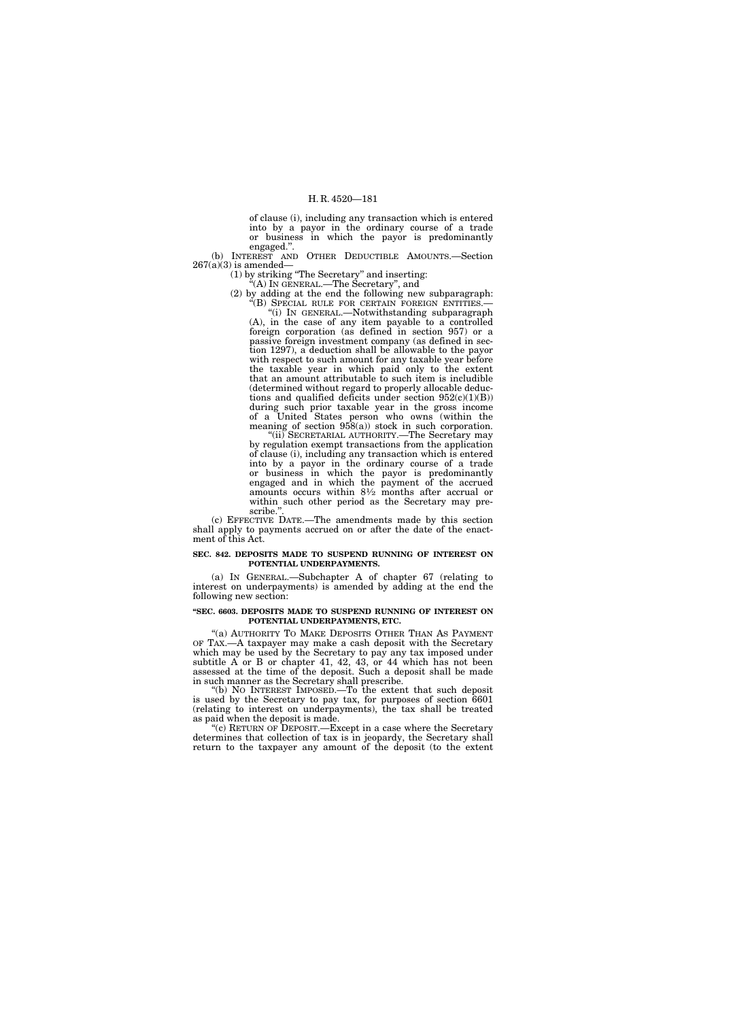of clause (i), including any transaction which is entered into by a payor in the ordinary course of a trade or business in which the payor is predominantly engaged.''.

(b) INTEREST AND OTHER DEDUCTIBLE AMOUNTS.—Section  $267(a)(3)$  is amended—

(1) by striking ''The Secretary'' and inserting:

''(A) IN GENERAL.—The Secretary'', and

(2) by adding at the end the following new subparagraph: ''(B) SPECIAL RULE FOR CERTAIN FOREIGN ENTITIES.— ''(i) IN GENERAL.—Notwithstanding subparagraph

(A), in the case of any item payable to a controlled foreign corporation (as defined in section 957) or a passive foreign investment company (as defined in section 1297), a deduction shall be allowable to the payor with respect to such amount for any taxable year before the taxable year in which paid only to the extent that an amount attributable to such item is includible (determined without regard to properly allocable deductions and qualified deficits under section  $952(c)(1)(B)$ ) during such prior taxable year in the gross income of a United States person who owns (within the meaning of section  $958(a)$  stock in such corporation.

''(ii) SECRETARIAL AUTHORITY.—The Secretary may by regulation exempt transactions from the application of clause (i), including any transaction which is entered into by a payor in the ordinary course of a trade or business in which the payor is predominantly engaged and in which the payment of the accrued amounts occurs within 81⁄2 months after accrual or within such other period as the Secretary may prescribe."

(c) EFFECTIVE DATE.—The amendments made by this section shall apply to payments accrued on or after the date of the enactment of this Act.

#### **SEC. 842. DEPOSITS MADE TO SUSPEND RUNNING OF INTEREST ON POTENTIAL UNDERPAYMENTS.**

(a) IN GENERAL.—Subchapter A of chapter 67 (relating to interest on underpayments) is amended by adding at the end the following new section:

#### **''SEC. 6603. DEPOSITS MADE TO SUSPEND RUNNING OF INTEREST ON POTENTIAL UNDERPAYMENTS, ETC.**

"(a) AUTHORITY TO MAKE DEPOSITS OTHER THAN AS PAYMENT OF TAX.—A taxpayer may make a cash deposit with the Secretary which may be used by the Secretary to pay any tax imposed under subtitle A or B or chapter 41, 42, 43, or 44 which has not been assessed at the time of the deposit. Such a deposit shall be made in such manner as the Secretary shall prescribe.

''(b) NO INTEREST IMPOSED.—To the extent that such deposit is used by the Secretary to pay tax, for purposes of section 6601 (relating to interest on underpayments), the tax shall be treated as paid when the deposit is made.<br>"(c) RETURN OF DEPOSIT.—Except in a case where the Secretary

determines that collection of tax is in jeopardy, the Secretary shall return to the taxpayer any amount of the deposit (to the extent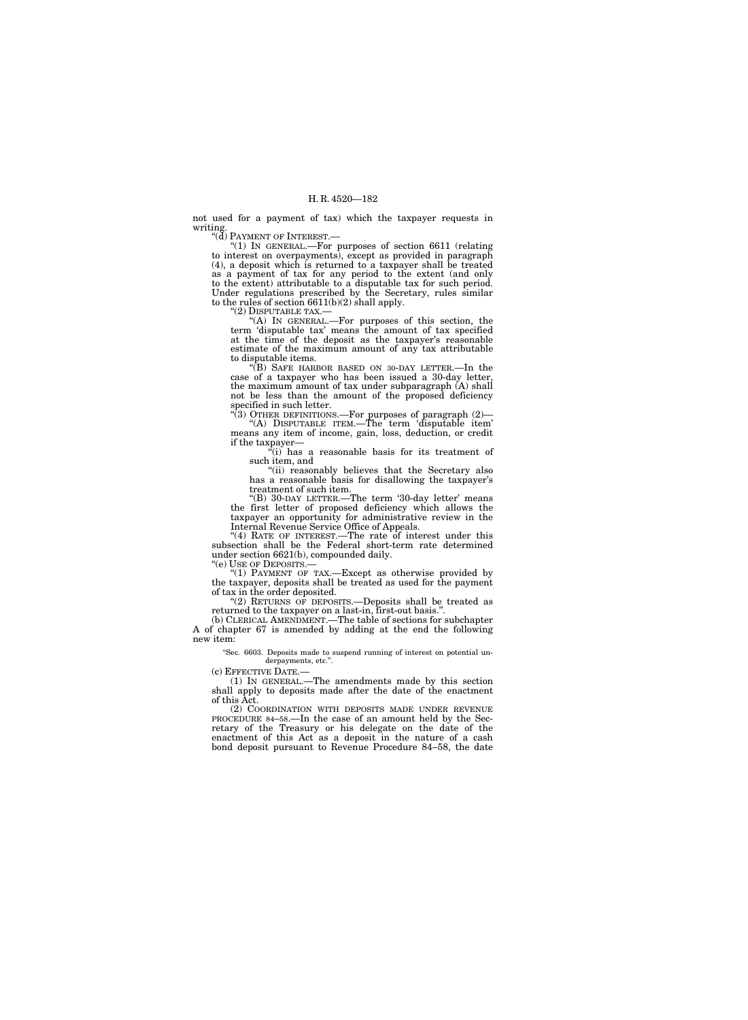not used for a payment of tax) which the taxpayer requests in

"(d) PAYMENT OF INTEREST.—<br>"(1) IN GENERAL.—For purposes of section 6611 (relating to interest on overpayments), except as provided in paragraph (4), a deposit which is returned to a taxpayer shall be treated as a payment of tax for any period to the extent (and only to the extent) attributable to a disputable tax for such period. Under regulations prescribed by the Secretary, rules similar to the rules of section 6611(b)(2) shall apply.<br>
"(2) DISPUTABLE TAX.—<br>
"(A) IN GENERAL.—For purposes of this section, the

term 'disputable tax' means the amount of tax specified at the time of the deposit as the taxpayer's reasonable estimate of the maximum amount of any tax attributable to disputable items.

"(B) SAFE HARBOR BASED ON 30-DAY LETTER.—In the case of a taxpayer who has been issued a 30-day letter, the maximum amount of tax under subparagraph (A) shall not be less than the amount of the proposed deficiency specified in such letter.

"(3) OTHER DEFINITIONS.—For purposes of paragraph (2)—<br>"(A) DISPUTABLE ITEM.—The term 'disputable item'<br>means any item of income, gain, loss, deduction, or credit<br>if the taxpayer—

 $\frac{d^{(i)}}{dx^{(i)}}$  has a reasonable basis for its treatment of such item, and

"(ii) reasonably believes that the Secretary also has a reasonable basis for disallowing the taxpayer's treatment of such item.

''(B) 30-DAY LETTER.—The term '30-day letter' means the first letter of proposed deficiency which allows the taxpayer an opportunity for administrative review in the Internal Revenue Service Office of Appeals.

"(4) RATE OF INTEREST.—The rate of interest under this subsection shall be the Federal short-term rate determined under section 6621(b), compounded daily.

"(1) PAYMENT OF TAX.—Except as otherwise provided by the taxpayer, deposits shall be treated as used for the payment

 $(2)$  RETURNS OF DEPOSITS.—Deposits shall be treated as returned to the taxpayer on a last-in, first-out basis.".

(b) CLERICAL AMENDMENT.—The table of sections for subchapter A of chapter 67 is amended by adding at the end the following new item:

''Sec. 6603. Deposits made to suspend running of interest on potential underpayments, etc.''.

(c) EFFECTIVE DATE.— (1) IN GENERAL.—The amendments made by this section shall apply to deposits made after the date of the enactment of this Act.

(2) COORDINATION WITH DEPOSITS MADE UNDER REVENUE PROCEDURE 84–58.—In the case of an amount held by the Secretary of the Treasury or his delegate on the date of the enactment of this Act as a deposit in the nature of a cash bond deposit pursuant to Revenue Procedure 84–58, the date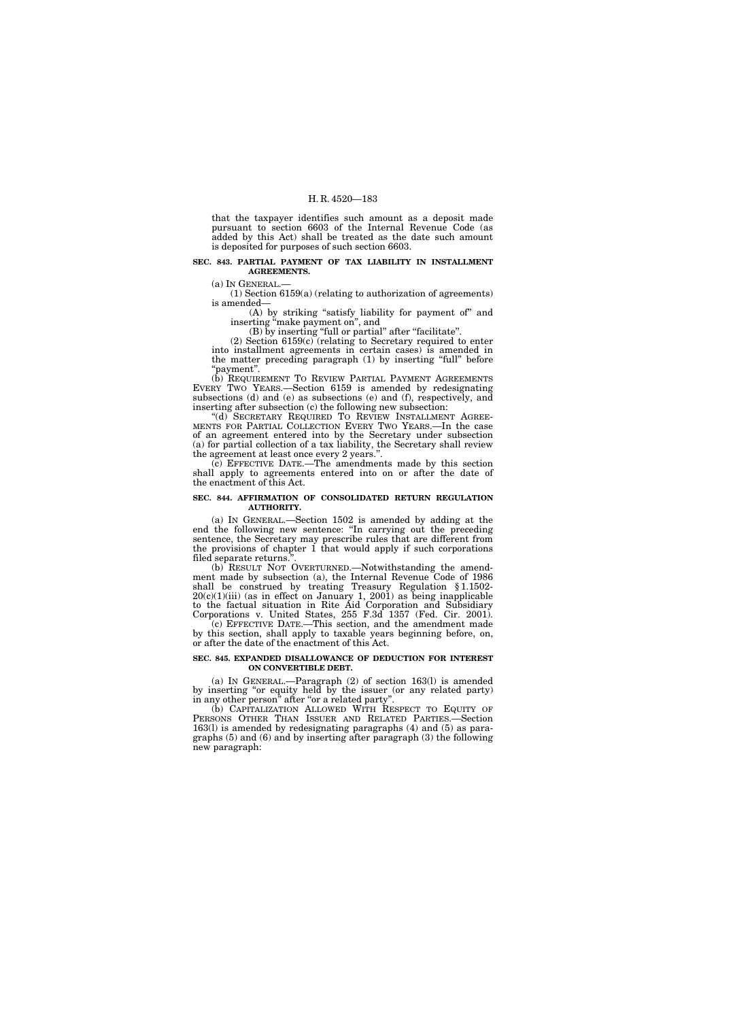that the taxpayer identifies such amount as a deposit made pursuant to section 6603 of the Internal Revenue Code (as added by this Act) shall be treated as the date such amount is deposited for purposes of such section 6603.

### **SEC. 843. PARTIAL PAYMENT OF TAX LIABILITY IN INSTALLMENT AGREEMENTS.**

(a) IN GENERAL.—

(1) Section 6159(a) (relating to authorization of agreements) is amended—

(A) by striking "satisfy liability for payment of" and inserting ''make payment on'', and

(B) by inserting ''full or partial'' after ''facilitate''.

(2) Section 6159(c) (relating to Secretary required to enter into installment agreements in certain cases) is amended in the matter preceding paragraph (1) by inserting ''full'' before ''payment''.

(b) REQUIREMENT TO REVIEW PARTIAL PAYMENT AGREEMENTS EVERY TWO YEARS.—Section 6159 is amended by redesignating subsections (d) and (e) as subsections (e) and (f), respectively, and inserting after subsection (c) the following new subsection:<br>"(d) SECRETARY REQUIRED TO REVIEW INSTALLMENT AGREE-

MENTS FOR PARTIAL COLLECTION EVERY TWO YEARS.—In the case of an agreement entered into by the Secretary under subsection (a) for partial collection of a tax liability, the Secretary shall review the agreement at least once every 2 years.''.

(c) EFFECTIVE DATE.—The amendments made by this section shall apply to agreements entered into on or after the date of the enactment of this Act.

#### **SEC. 844. AFFIRMATION OF CONSOLIDATED RETURN REGULATION AUTHORITY.**

(a) IN GENERAL.—Section 1502 is amended by adding at the end the following new sentence: ''In carrying out the preceding sentence, the Secretary may prescribe rules that are different from the provisions of chapter 1 that would apply if such corporations filed separate returns.

(b) RESULT NOT OVERTURNED.—Notwithstanding the amendment made by subsection (a), the Internal Revenue Code of 1986 shall be construed by treating Treasury Regulation § 1.1502-  $20(c)(1)(iii)$  (as in effect on January 1, 2001) as being inapplicable to the factual situation in Rite Aid Corporation and Subsidiary Corporations v. United States, 255 F.3d 1357 (Fed. Cir. 2001).

(c) EFFECTIVE DATE.—This section, and the amendment made by this section, shall apply to taxable years beginning before, on, or after the date of the enactment of this Act.

### **SEC. 845. EXPANDED DISALLOWANCE OF DEDUCTION FOR INTEREST ON CONVERTIBLE DEBT.**

(a) IN GENERAL.—Paragraph (2) of section 163(l) is amended by inserting ''or equity held by the issuer (or any related party) in any other person<sup>3</sup> after "or a related party".

(b) CAPITALIZATION ALLOWED WITH RESPECT TO EQUITY OF PERSONS OTHER THAN ISSUER AND RELATED PARTIES.—Section 163(l) is amended by redesignating paragraphs (4) and (5) as paragraphs (5) and (6) and by inserting after paragraph (3) the following new paragraph: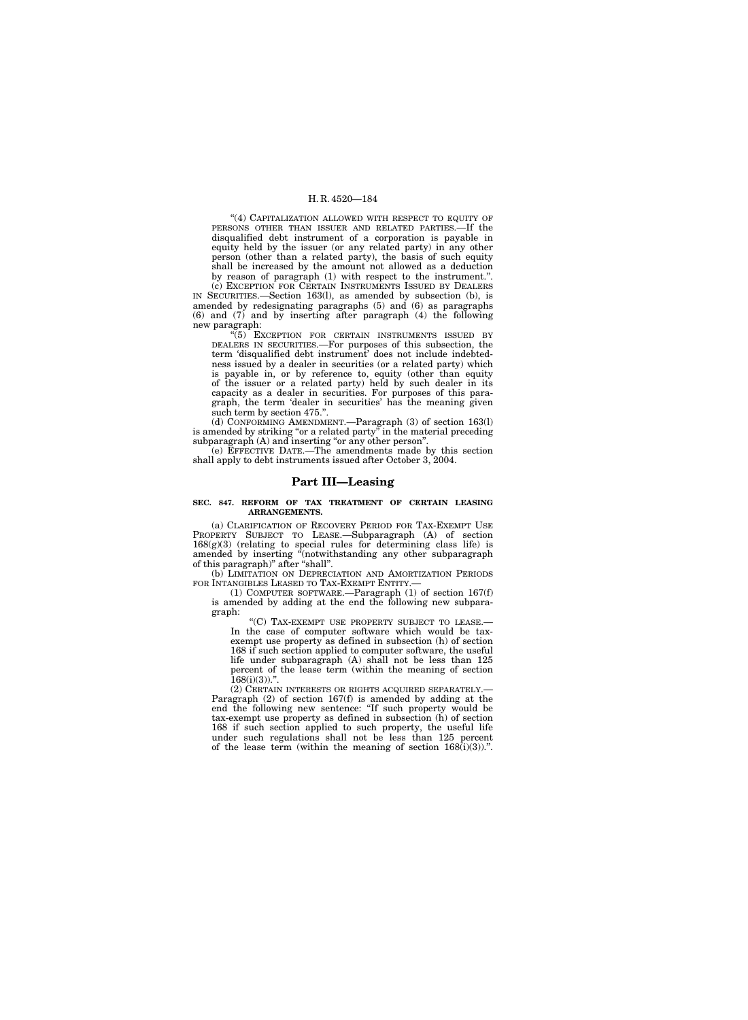"(4) CAPITALIZATION ALLOWED WITH RESPECT TO EQUITY OF PERSONS OTHER THAN ISSUER AND RELATED PARTIES.—If the disqualified debt instrument of a corporation is payable in equity held by the issuer (or any related party) in any other person (other than a related party), the basis of such equity shall be increased by the amount not allowed as a deduction by reason of paragraph (1) with respect to the instrument.''.

(c) EXCEPTION FOR CERTAIN INSTRUMENTS ISSUED BY DEALERS IN SECURITIES.—Section 163(l), as amended by subsection (b), is amended by redesignating paragraphs (5) and (6) as paragraphs (6) and (7) and by inserting after paragraph (4) the following new paragraph:

''(5) EXCEPTION FOR CERTAIN INSTRUMENTS ISSUED BY DEALERS IN SECURITIES.—For purposes of this subsection, the term 'disqualified debt instrument' does not include indebtedness issued by a dealer in securities (or a related party) which is payable in, or by reference to, equity (other than equity of the issuer or a related party) held by such dealer in its capacity as a dealer in securities. For purposes of this paragraph, the term 'dealer in securities' has the meaning given such term by section 475.".

(d) CONFORMING AMENDMENT.—Paragraph (3) of section 163(l) is amended by striking "or a related party" in the material preceding subparagraph (A) and inserting "or any other person".

(e) EFFECTIVE DATE.—The amendments made by this section shall apply to debt instruments issued after October 3, 2004.

### **Part III—Leasing**

### **SEC. 847. REFORM OF TAX TREATMENT OF CERTAIN LEASING ARRANGEMENTS.**

(a) CLARIFICATION OF RECOVERY PERIOD FOR TAX-EXEMPT USE PROPERTY SUBJECT TO LEASE.—Subparagraph (A) of section  $168(g)(3)$  (relating to special rules for determining class life) is amended by inserting "(notwithstanding any other subparagraph of this paragraph)'' after ''shall''.

(b) LIMITATION ON DEPRECIATION AND AMORTIZATION PERIODS FOR INTANGIBLES LEASED TO TAX-EXEMPT ENTITY.—

(1) COMPUTER SOFTWARE.—Paragraph (1) of section 167(f) is amended by adding at the end the following new subparagraph:

''(C) TAX-EXEMPT USE PROPERTY SUBJECT TO LEASE.— In the case of computer software which would be taxexempt use property as defined in subsection (h) of section 168 if such section applied to computer software, the useful life under subparagraph (A) shall not be less than 125 percent of the lease term (within the meaning of section  $168(i)(3)$ .".

(2) CERTAIN INTERESTS OR RIGHTS ACQUIRED SEPARATELY.— Paragraph (2) of section 167(f) is amended by adding at the end the following new sentence: ''If such property would be tax-exempt use property as defined in subsection (h) of section 168 if such section applied to such property, the useful life under such regulations shall not be less than 125 percent of the lease term (within the meaning of section  $168(i)(3)$ ).".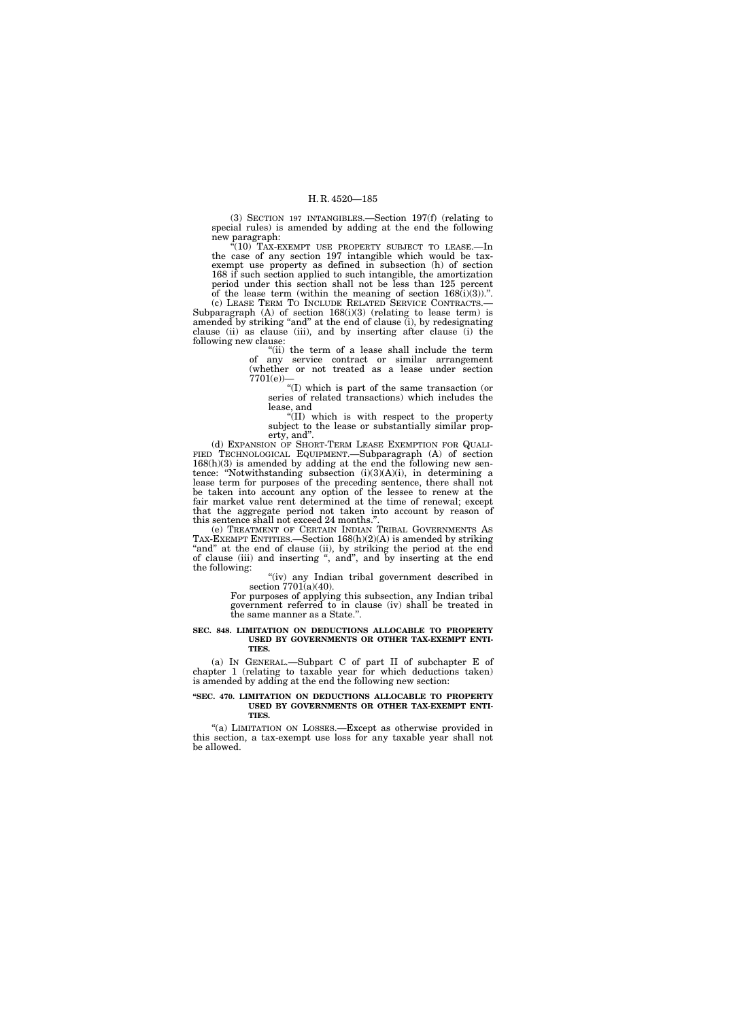(3) SECTION 197 INTANGIBLES.—Section 197(f) (relating to special rules) is amended by adding at the end the following new paragraph:

 $\sqrt[(10)]$  TAX-EXEMPT USE PROPERTY SUBJECT TO LEASE.—In the case of any section 197 intangible which would be taxexempt use property as defined in subsection (h) of section 168 if such section applied to such intangible, the amortization period under this section shall not be less than 125 percent of the lease term (within the meaning of section  $168(i)(3)$ ).".

(c) LEASE TERM TO INCLUDE RELATED SERVICE CONTRACTS.— Subparagraph (A) of section 168(i)(3) (relating to lease term) is amended by striking "and" at the end of clause (i), by redesignating clause (ii) as clause (iii), and by inserting after clause (i) the following new clause:

"(ii) the term of a lease shall include the term of any service contract or similar arrangement (whether or not treated as a lease under section  $7701(e)$ 

''(I) which is part of the same transaction (or series of related transactions) which includes the lease, and ''(II) which is with respect to the property

subject to the lease or substantially similar property, and''.

(d) EXPANSION OF SHORT-TERM LEASE EXEMPTION FOR QUALI-FIED TECHNOLOGICAL EQUIPMENT. Subparagraph (A) of section  $168(h)(3)$  is amended by adding at the end the following new sentence: "Notwithstanding subsection (i)(3)(A)(i), in determining a lease term for purposes of the preceding sentence, there shall not be taken into account any option of the lessee to renew at the fair market value rent determined at the time of renewal; except that the aggregate period not taken into account by reason of this sentence shall not exceed 24 months.'

(e) TREATMENT OF CERTAIN INDIAN TRIBAL GOVERNMENTS AS TAX-EXEMPT ENTITIES.—Section  $168(h)(2)(A)$  is amended by striking TAX-EXEMPT ENTITIES.—Section 168(h)(2)(A) is amended by striking ''and'' at the end of clause (ii), by striking the period at the end of clause (iii) and inserting '', and'', and by inserting at the end the following: "(iv) any Indian tribal government described in

section  $7701(a)(40)$ .

For purposes of applying this subsection, any Indian tribal government referred to in clause (iv) shall be treated in the same manner as a State.''.

### **SEC. 848. LIMITATION ON DEDUCTIONS ALLOCABLE TO PROPERTY USED BY GOVERNMENTS OR OTHER TAX-EXEMPT ENTI-TIES.**

(a) IN GENERAL.—Subpart C of part II of subchapter E of chapter 1 (relating to taxable year for which deductions taken) is amended by adding at the end the following new section:

### **''SEC. 470. LIMITATION ON DEDUCTIONS ALLOCABLE TO PROPERTY USED BY GOVERNMENTS OR OTHER TAX-EXEMPT ENTI-TIES.**

''(a) LIMITATION ON LOSSES.—Except as otherwise provided in this section, a tax-exempt use loss for any taxable year shall not be allowed.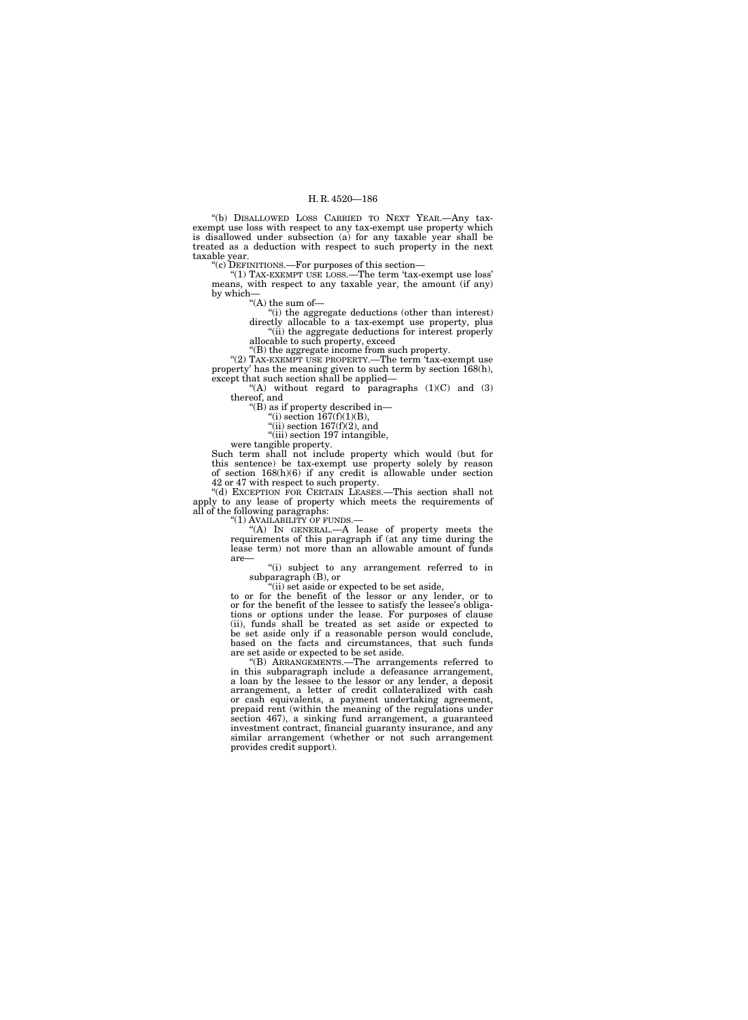''(b) DISALLOWED LOSS CARRIED TO NEXT YEAR.—Any taxexempt use loss with respect to any tax-exempt use property which is disallowed under subsection (a) for any taxable year shall be treated as a deduction with respect to such property in the next taxable year.

''(c) DEFINITIONS.—For purposes of this section—

''(1) TAX-EXEMPT USE LOSS.—The term 'tax-exempt use loss' means, with respect to any taxable year, the amount (if any) by which—

"(A) the sum of-

''(i) the aggregate deductions (other than interest) directly allocable to a tax-exempt use property, plus ''(ii) the aggregate deductions for interest properly

allocable to such property, exceed

''(B) the aggregate income from such property.

"(2) TAX-EXEMPT USE PROPERTY.—The term 'tax-exempt use property' has the meaning given to such term by section 168(h), except that such section shall be applied—

"(A) without regard to paragraphs  $(1)(C)$  and  $(3)$  thereof, and

 $t(B)$  as if property described in—<br> $t(i)$  section 167(f)(1)(B),

"(ii) section  $167(f)(2)$ , and ''(iii) section 197 intangible,

were tangible property.

Such term shall not include property which would (but for this sentence) be tax-exempt use property solely by reason of section 168(h)(6) if any credit is allowable under section 42 or 47 with respect to such property.

''(d) EXCEPTION FOR CERTAIN LEASES.—This section shall not apply to any lease of property which meets the requirements of all of the following paragraphs:

"(1) AVAILABILITY OF FUNDS.-

''(A) IN GENERAL.—A lease of property meets the requirements of this paragraph if (at any time during the lease term) not more than an allowable amount of funds are—

''(i) subject to any arrangement referred to in subparagraph (B), or

''(ii) set aside or expected to be set aside,

to or for the benefit of the lessor or any lender, or to or for the benefit of the lessee to satisfy the lessee's obligations or options under the lease. For purposes of clause (ii), funds shall be treated as set aside or expected to be set aside only if a reasonable person would conclude, based on the facts and circumstances, that such funds are set aside or expected to be set aside.

''(B) ARRANGEMENTS.—The arrangements referred to in this subparagraph include a defeasance arrangement, a loan by the lessee to the lessor or any lender, a deposit arrangement, a letter of credit collateralized with cash or cash equivalents, a payment undertaking agreement, prepaid rent (within the meaning of the regulations under section 467), a sinking fund arrangement, a guaranteed investment contract, financial guaranty insurance, and any similar arrangement (whether or not such arrangement provides credit support).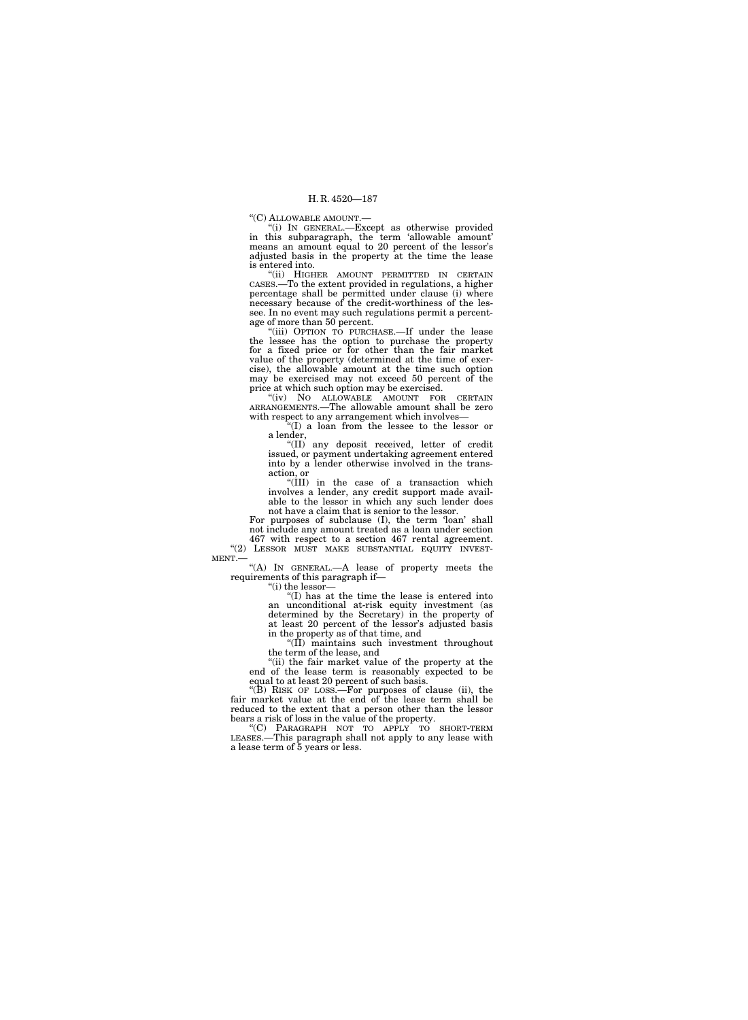''(C) ALLOWABLE AMOUNT.—

''(i) IN GENERAL.—Except as otherwise provided in this subparagraph, the term 'allowable amount' means an amount equal to 20 percent of the lessor's adjusted basis in the property at the time the lease is entered into.

''(ii) HIGHER AMOUNT PERMITTED IN CERTAIN CASES.—To the extent provided in regulations, a higher percentage shall be permitted under clause (i) where necessary because of the credit-worthiness of the lessee. In no event may such regulations permit a percentage of more than 50 percent.

''(iii) OPTION TO PURCHASE.—If under the lease the lessee has the option to purchase the property for a fixed price or for other than the fair market value of the property (determined at the time of exercise), the allowable amount at the time such option may be exercised may not exceed 50 percent of the price at which such option may be exercised.

"(iv) NO ALLOWABLE AMOUNT FOR CERTAIN ARRANGEMENTS.—The allowable amount shall be zero with respect to any arrangement which involves—

''(I) a loan from the lessee to the lessor or a lender,

''(II) any deposit received, letter of credit issued, or payment undertaking agreement entered into by a lender otherwise involved in the transaction, or

"(III) in the case of a transaction which involves a lender, any credit support made available to the lessor in which any such lender does not have a claim that is senior to the lessor.

For purposes of subclause (I), the term 'loan' shall not include any amount treated as a loan under section 467 with respect to a section 467 rental agreement.<br>"(2) LESSOR MUST MAKE SUBSTANTIAL EQUITY INVEST-

MENT.— "(A) IN GENERAL.—A lease of property meets the

requirements of this paragraph if—<br>"(i) the lessor—<br>"(I) has at the time the lease is entered into an unconditional at-risk equity investment (as determined by the Secretary) in the property of at least 20 percent of the lessor's adjusted basis in the property as of that time, and

 $\sqrt[4]{(I)}$  maintains such investment throughout the term of the lease, and

"(ii) the fair market value of the property at the end of the lease term is reasonably expected to be equal to at least 20 percent of such basis.

''(B) RISK OF LOSS.—For purposes of clause (ii), the fair market value at the end of the lease term shall be reduced to the extent that a person other than the lessor

bears a risk of loss in the value of the property.<br>"(C) PARAGRAPH NOT TO APPLY TO SHORT-TERM LEASES.—This paragraph shall not apply to any lease with a lease term of 5 years or less.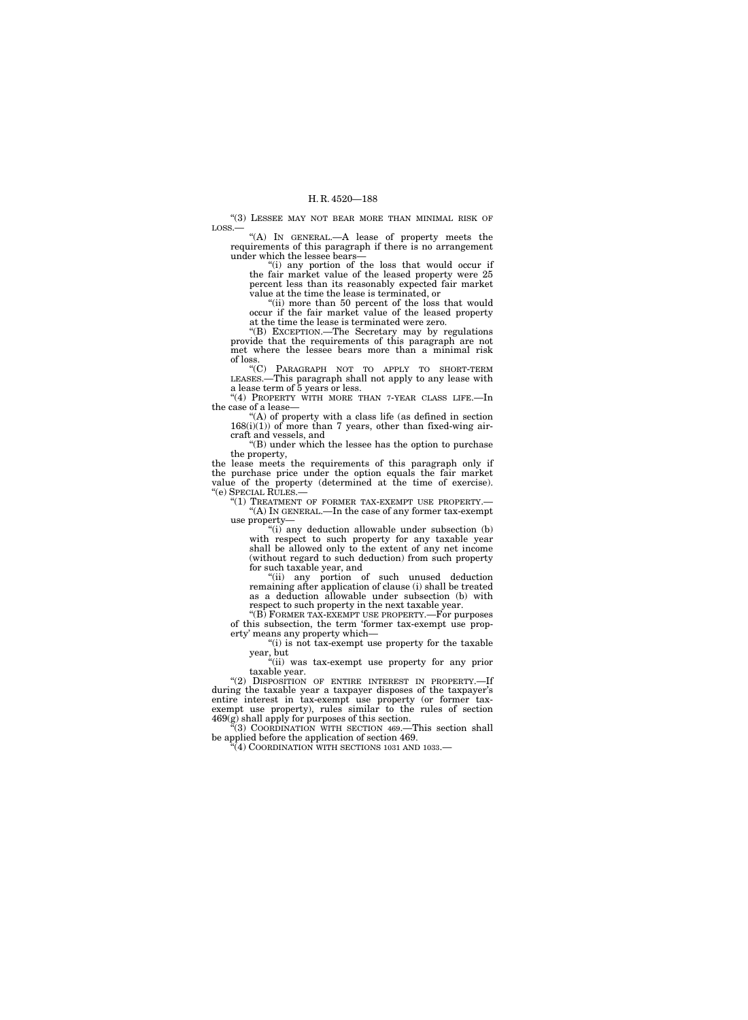''(3) LESSEE MAY NOT BEAR MORE THAN MINIMAL RISK OF LOSS.—

''(A) IN GENERAL.—A lease of property meets the requirements of this paragraph if there is no arrangement under which the lessee bears—

''(i) any portion of the loss that would occur if the fair market value of the leased property were 25 percent less than its reasonably expected fair market value at the time the lease is terminated, or

"(ii) more than 50 percent of the loss that would occur if the fair market value of the leased property at the time the lease is terminated were zero.

''(B) EXCEPTION.—The Secretary may by regulations provide that the requirements of this paragraph are not met where the lessee bears more than a minimal risk of loss.<br>" $(C)$ 

PARAGRAPH NOT TO APPLY TO SHORT-TERM LEASES.—This paragraph shall not apply to any lease with a lease term of 5 years or less.

''(4) PROPERTY WITH MORE THAN 7-YEAR CLASS LIFE.—In

"(A) of property with a class life (as defined in section  $168(i)(1)$ ) of more than 7 years, other than fixed-wing aircraft and vessels, and

''(B) under which the lessee has the option to purchase the property,

the lease meets the requirements of this paragraph only if the purchase price under the option equals the fair market value of the property (determined at the time of exercise). ''(e) SPECIAL RULES.—

''(1) TREATMENT OF FORMER TAX-EXEMPT USE PROPERTY.— ''(A) IN GENERAL.—In the case of any former tax-exempt use property—

''(i) any deduction allowable under subsection (b) with respect to such property for any taxable year shall be allowed only to the extent of any net income (without regard to such deduction) from such property for such taxable year, and

"(ii) any portion of such unused deduction remaining after application of clause (i) shall be treated as a deduction allowable under subsection (b) with respect to such property in the next taxable year.

''(B) FORMER TAX-EXEMPT USE PROPERTY.—For purposes of this subsection, the term 'former tax-exempt use property' means any property which—<br>"(i) is not tax-exempt use property for the taxable

year, but<br>"(ii) was tax-exempt use property for any prior taxable year.

"(2) DISPOSITION OF ENTIRE INTEREST IN PROPERTY.-If during the taxable year a taxpayer disposes of the taxpayer's entire interest in tax-exempt use property (or former taxexempt use property), rules similar to the rules of section 469(g) shall apply for purposes of this section.<br>"(3) COORDINATION WITH SECTION 469.—This section shall

be applied before the application of section 469.<br>
"(4) COORDINATION WITH SECTIONS 1031 AND 1033.—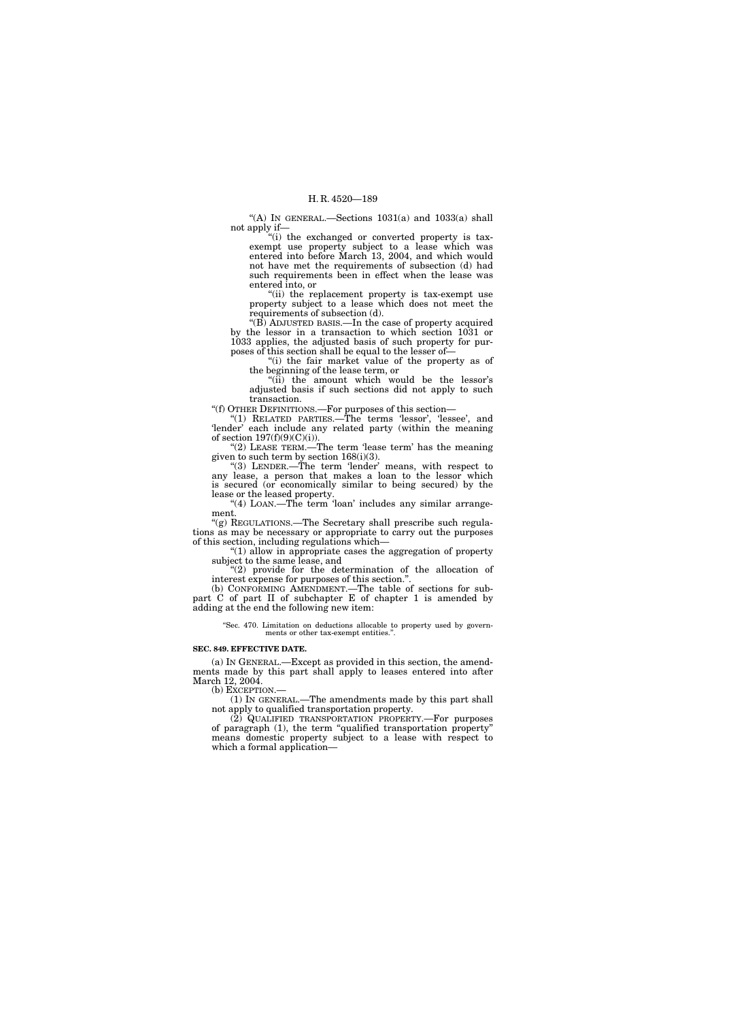"(A) IN GENERAL.—Sections  $1031(a)$  and  $1033(a)$  shall not apply if—

''(i) the exchanged or converted property is taxexempt use property subject to a lease which was entered into before March 13, 2004, and which would not have met the requirements of subsection (d) had such requirements been in effect when the lease was entered into, or

''(ii) the replacement property is tax-exempt use property subject to a lease which does not meet the requirements of subsection (d).

''(B) ADJUSTED BASIS.—In the case of property acquired by the lessor in a transaction to which section 1031 or 1033 applies, the adjusted basis of such property for purposes of this section shall be equal to the lesser of—

"(i) the fair market value of the property as of the beginning of the lease term, or

"(ii) the amount which would be the lessor's adjusted basis if such sections did not apply to such transaction.

''(f) OTHER DEFINITIONS.—For purposes of this section—

''(1) RELATED PARTIES.—The terms 'lessor', 'lessee', and 'lender' each include any related party (within the meaning of section 197(f)(9)(C)(i)).

''(2) LEASE TERM.—The term 'lease term' has the meaning given to such term by section 168(i)(3).

"(3) LENDER.—The term 'lender' means, with respect to any lease, a person that makes a loan to the lessor which is secured (or economically similar to being secured) by the lease or the leased property.<br>"(4) LOAN.—The term 'loan' includes any similar arrange-

ment.

"(g) REGULATIONS.—The Secretary shall prescribe such regulations as may be necessary or appropriate to carry out the purposes

 $"(1)$  allow in appropriate cases the aggregation of property subject to the same lease, and

"(2) provide for the determination of the allocation of interest expense for purposes of this section.". interest expense for purposes of this section.''. (b) CONFORMING AMENDMENT.—The table of sections for sub-

part C of part II of subchapter E of chapter 1 is amended by adding at the end the following new item:

''Sec. 470. Limitation on deductions allocable to property used by governments or other tax-exempt entities.

### **SEC. 849. EFFECTIVE DATE.**

(a) IN GENERAL.—Except as provided in this section, the amendments made by this part shall apply to leases entered into after March 12, 2004. (b) EXCEPTION.—

(1) IN GENERAL.—The amendments made by this part shall not apply to qualified transportation property.

(2) QUALIFIED TRANSPORTATION PROPERTY.—For purposes of paragraph (1), the term ''qualified transportation property'' means domestic property subject to a lease with respect to which a formal application—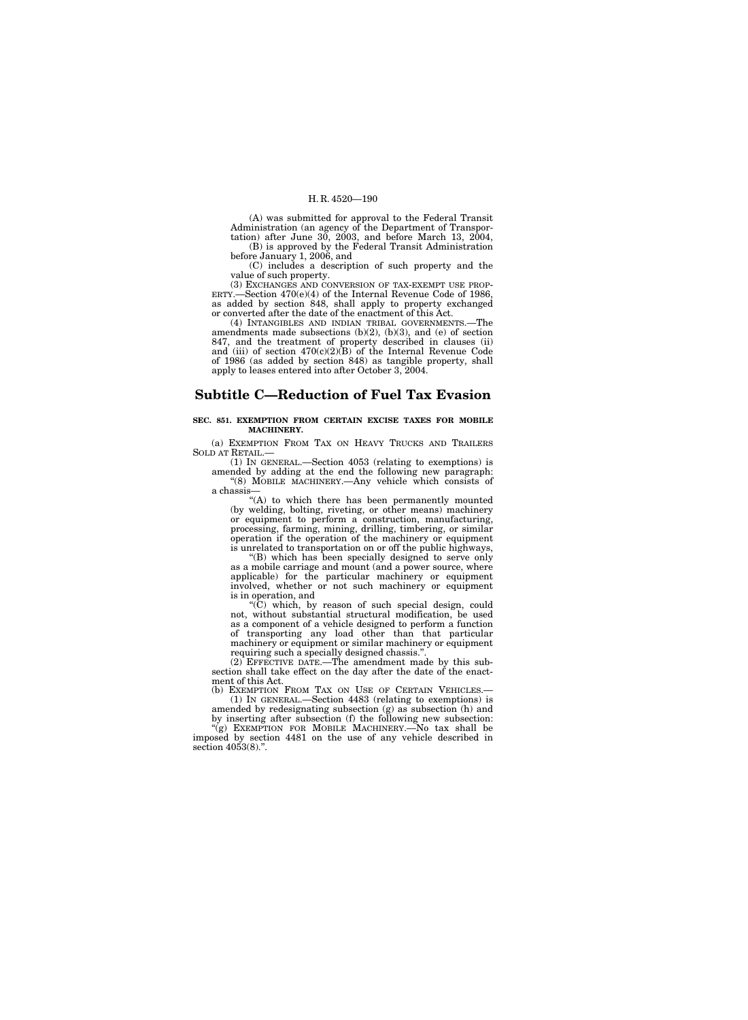(A) was submitted for approval to the Federal Transit Administration (an agency of the Department of Transportation) after June  $30, 2003$ , and before March 13,  $2004$ , (B) is approved by the Federal Transit Administration

before January 1, 2006, and (C) includes a description of such property and the value of such property.

(3) EXCHANGES AND CONVERSION OF TAX-EXEMPT USE PROP-ERTY.—Section 470(e)(4) of the Internal Revenue Code of 1986, as added by section 848, shall apply to property exchanged or converted after the date of the enactment of this Act.

(4) INTANGIBLES AND INDIAN TRIBAL GOVERNMENTS.—The amendments made subsections  $(b)(2)$ ,  $(b)(3)$ , and  $(e)$  of section 847, and the treatment of property described in clauses (ii) and (iii) of section  $470(c)(2)(B)$  of the Internal Revenue Code of 1986 (as added by section 848) as tangible property, shall apply to leases entered into after October 3, 2004.

# **Subtitle C—Reduction of Fuel Tax Evasion**

### **SEC. 851. EXEMPTION FROM CERTAIN EXCISE TAXES FOR MOBILE MACHINERY.**

(a) EXEMPTION FROM TAX ON HEAVY TRUCKS AND TRAILERS SOLD AT RETAIL.—

(1) IN GENERAL.—Section 4053 (relating to exemptions) is amended by adding at the end the following new paragraph: ''(8) MOBILE MACHINERY.—Any vehicle which consists of a chassis—

"(A) to which there has been permanently mounted (by welding, bolting, riveting, or other means) machinery or equipment to perform a construction, manufacturing, processing, farming, mining, drilling, timbering, or similar operation if the operation of the machinery or equipment is unrelated to transportation on or off the public highways,

''(B) which has been specially designed to serve only as a mobile carriage and mount (and a power source, where applicable) for the particular machinery or equipment involved, whether or not such machinery or equipment is in operation, and

''(C) which, by reason of such special design, could not, without substantial structural modification, be used as a component of a vehicle designed to perform a function of transporting any load other than that particular machinery or equipment or similar machinery or equipment

 $r(2)$  EFFECTIVE DATE.—The amendment made by this subsection shall take effect on the day after the date of the enactment of this Act.

(b) EXEMPTION FROM TAX ON USE OF CERTAIN VEHICLES.— (1) IN GENERAL.—Section 4483 (relating to exemptions) is amended by redesignating subsection (g) as subsection (h) and

by inserting after subsection (f) the following new subsection: ''(g) EXEMPTION FOR MOBILE MACHINERY.—No tax shall be imposed by section 4481 on the use of any vehicle described in section 4053(8).''.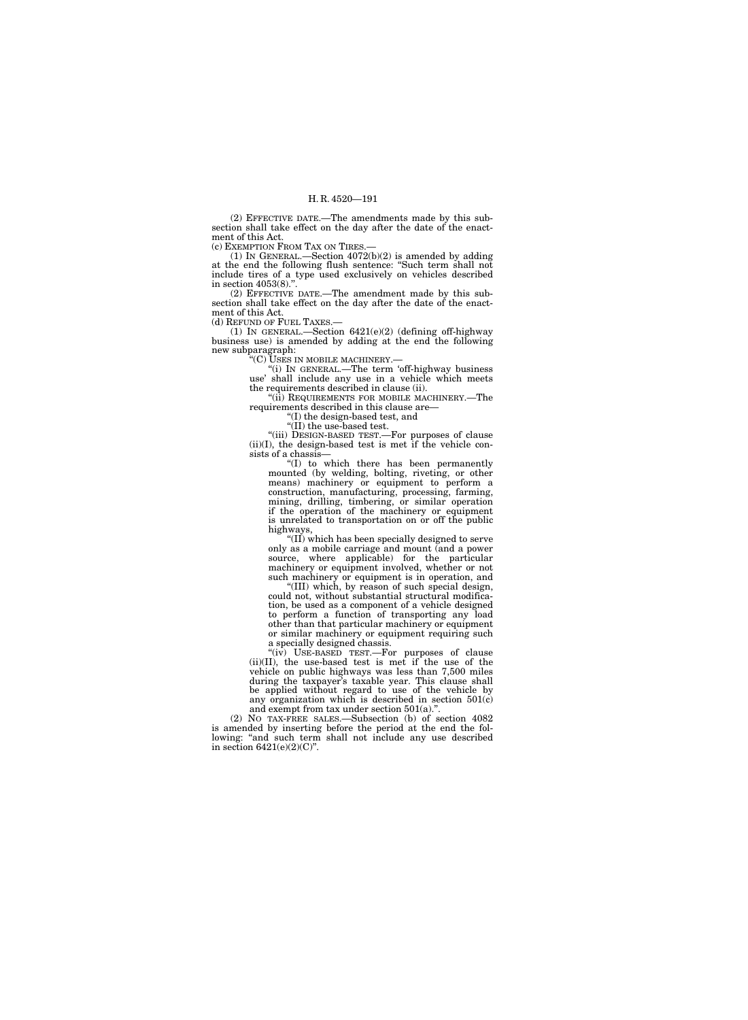(2) EFFECTIVE DATE.—The amendments made by this subsection shall take effect on the day after the date of the enactment of this Act.

(c) EXEMPTION FROM TAX ON TIRES.—

(1) In GENERAL.—Section  $4072(b)(2)$  is amended by adding at the end the following flush sentence: ''Such term shall not include tires of a type used exclusively on vehicles described in section 4053(8).''.

(2) EFFECTIVE DATE.—The amendment made by this subsection shall take effect on the day after the date of the enactment of this Act.

(d) REFUND OF FUEL TAXES.—

(1) IN GENERAL.—Section 6421(e)(2) (defining off-highway business use) is amended by adding at the end the following new subparagraph:<br>"(C) USES IN MOBILE MACHINERY.—

"(i) IN GENERAL.—The term 'off-highway business use' shall include any use in a vehicle which meets the requirements described in clause (ii).

 $\text{``(ii)}$  REQUIREMENTS FOR MOBILE MACHINERY.—The requirements described in this clause are— ''(I) the design-based test, and

"(II) the use-based test.

"(iii) DESIGN-BASED TEST.—For purposes of clause  $(ii)(I)$ , the design-based test is met if the vehicle consists of a chassis—

''(I) to which there has been permanently mounted (by welding, bolting, riveting, or other means) machinery or equipment to perform a construction, manufacturing, processing, farming, mining, drilling, timbering, or similar operation if the operation of the machinery or equipment is unrelated to transportation on or off the public highways,

''(II) which has been specially designed to serve only as a mobile carriage and mount (and a power source, where applicable) for the particular machinery or equipment involved, whether or not such machinery or equipment is in operation, and

''(III) which, by reason of such special design, could not, without substantial structural modification, be used as a component of a vehicle designed to perform a function of transporting any load other than that particular machinery or equipment or similar machinery or equipment requiring such a specially designed chassis.

"(iv) USE-BASED TEST.—For purposes of clause  $(ii)(II)$ , the use-based test is met if the use of the vehicle on public highways was less than 7,500 miles during the taxpayer's taxable year. This clause shall be applied without regard to use of the vehicle by any organization which is described in section  $501(c)$  and exempt from tax under section  $501(a)$ .".

(2) NO TAX-FREE SALES.—Subsection (b) of section  $4082$ is amended by inserting before the period at the end the following: "and such term shall not include any use described in section  $6421(e)(2)(C)$ ".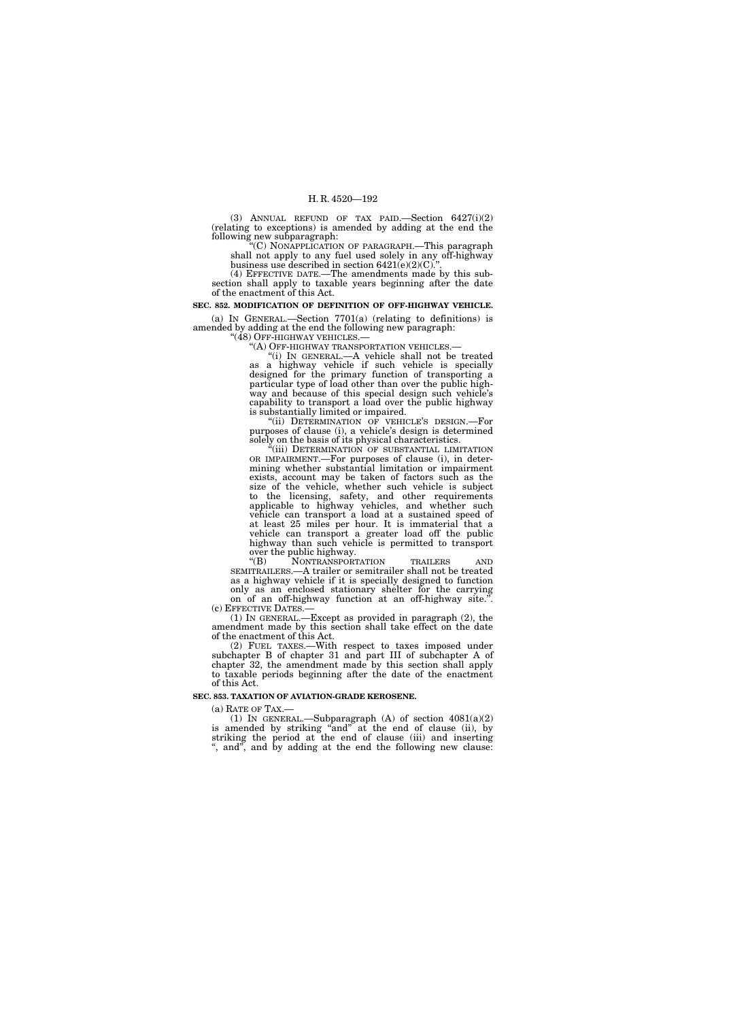(3) ANNUAL REFUND OF TAX PAID.—Section 6427(i)(2) (relating to exceptions) is amended by adding at the end the

"(C) NONAPPLICATION OF PARAGRAPH.—This paragraph shall not apply to any fuel used solely in any off-highway

business use described in section 6421(e)(2)(C).".<br>(4) EFFECTIVE DATE.—The amendments made by this subsection shall apply to taxable years beginning after the date of the enactment of this Act.

### **SEC. 852. MODIFICATION OF DEFINITION OF OFF-HIGHWAY VEHICLE.**

(a) IN GENERAL.—Section 7701(a) (relating to definitions) is amended by adding at the end the following new paragraph: amended by adding at the end the following new paragraph:<br>''(48) OFF-HIGHWAY VEHICLES.—<br>''(A) OFF-HIGHWAY TRANSPORTATION VEHICLES.—<br>''(i) IN GENERAL.—A vehicle shall not be treated

as a highway vehicle if such vehicle is specially designed for the primary function of transporting a particular type of load other than over the public highway and because of this special design such vehicle's capability to transport a load over the public highway is substantially limited or impaired.

"(ii) DETERMINATION OF VEHICLE'S DESIGN.—For purposes of clause (i), a vehicle's design is determined

solely on the basis of its physical characteristics.<br>"(iii) DETERMINATION OF SUBSTANTIAL LIMITATION OR IMPAIRMENT.—For purposes of clause (i), in determining whether substantial limitation or impairment exists, account may be taken of factors such as the size of the vehicle, whether such vehicle is subject to the licensing, safety, and other requirements applicable to highway vehicles, and whether such vehicle can transport a load at a sustained speed of at least 25 miles per hour. It is immaterial that a vehicle can transport a greater load off the public highway than such vehicle is permitted to transport over the public highway.<br>"(B) NONTRANSPORT

NONTRANSPORTATION TRAILERS AND SEMITRAILERS.—A trailer or semitrailer shall not be treated as a highway vehicle if it is specially designed to function only as an enclosed stationary shelter for the carrying on of an off-highway function at an off-highway site.".

on of an off-highway function at an off-highway site.".<br>
(c) EFFECTIVE DATES.—<br>
(1) IN GENERAL.—Except as provided in paragraph (2), the amendment made by this section shall take effect on the date of the enactment of this Act.

(2) FUEL TAXES.—With respect to taxes imposed under subchapter B of chapter 31 and part III of subchapter A of chapter 32, the amendment made by this section shall apply to taxable periods beginning after the date of the enactment of this Act.

#### **SEC. 853. TAXATION OF AVIATION-GRADE KEROSENE.**

(a) RATE OF TAX.—

(1) IN GENERAL.—Subparagraph  $(A)$  of section  $4081(a)(2)$ is amended by striking "and" at the end of clause (ii), by striking the period at the end of clause (iii) and inserting '', and'', and by adding at the end the following new clause: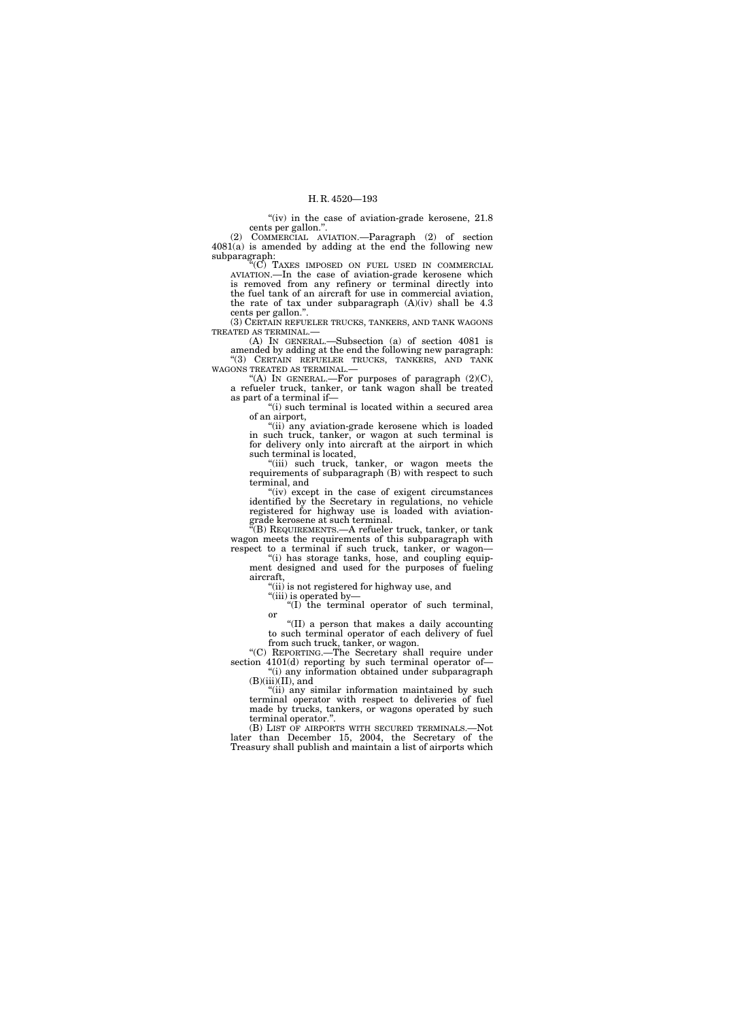" $(iv)$  in the case of aviation-grade kerosene, 21.8" cents per gallon.''.

(2) COMMERCIAL AVIATION.—Paragraph (2) of section  $4081(a)$  is amended by adding at the end the following new subparagraph:

''(C) TAXES IMPOSED ON FUEL USED IN COMMERCIAL AVIATION.—In the case of aviation-grade kerosene which is removed from any refinery or terminal directly into the fuel tank of an aircraft for use in commercial aviation, the rate of tax under subparagraph (A)(iv) shall be 4.3 cents per gallon.''.

(3) CERTAIN REFUELER TRUCKS, TANKERS, AND TANK WAGONS TREATED AS TERMINAL.—

(A) IN GENERAL.—Subsection (a) of section 4081 is amended by adding at the end the following new paragraph: ''(3) CERTAIN REFUELER TRUCKS, TANKERS, AND TANK

"(A) In GENERAL.—For purposes of paragraph  $(2)(C)$ , a refueler truck, tanker, or tank wagon shall be treated

" $(i)$  such terminal is located within a secured area of an airport,

"(ii) any aviation-grade kerosene which is loaded in such truck, tanker, or wagon at such terminal is for delivery only into aircraft at the airport in which such terminal is located,

''(iii) such truck, tanker, or wagon meets the requirements of subparagraph (B) with respect to such terminal, and

 $(iv)$  except in the case of exigent circumstances identified by the Secretary in regulations, no vehicle registered for highway use is loaded with aviationgrade kerosene at such terminal.

''(B) REQUIREMENTS.—A refueler truck, tanker, or tank wagon meets the requirements of this subparagraph with respect to a terminal if such truck, tanker, or wagon—

''(i) has storage tanks, hose, and coupling equipment designed and used for the purposes of fueling aircraft,

''(ii) is not registered for highway use, and

"(iii) is operated by-

''(I) the terminal operator of such terminal, or

''(II) a person that makes a daily accounting to such terminal operator of each delivery of fuel from such truck, tanker, or wagon.

''(C) REPORTING.—The Secretary shall require under section 4101(d) reporting by such terminal operator of ''(i) any information obtained under subparagraph

(B)(iii)(II), and ''(ii) any similar information maintained by such terminal operator with respect to deliveries of fuel made by trucks, tankers, or wagons operated by such

terminal operator." (B) LIST OF AIRPORTS WITH SECURED TERMINALS.—Not later than December 15, 2004, the Secretary of the Treasury shall publish and maintain a list of airports which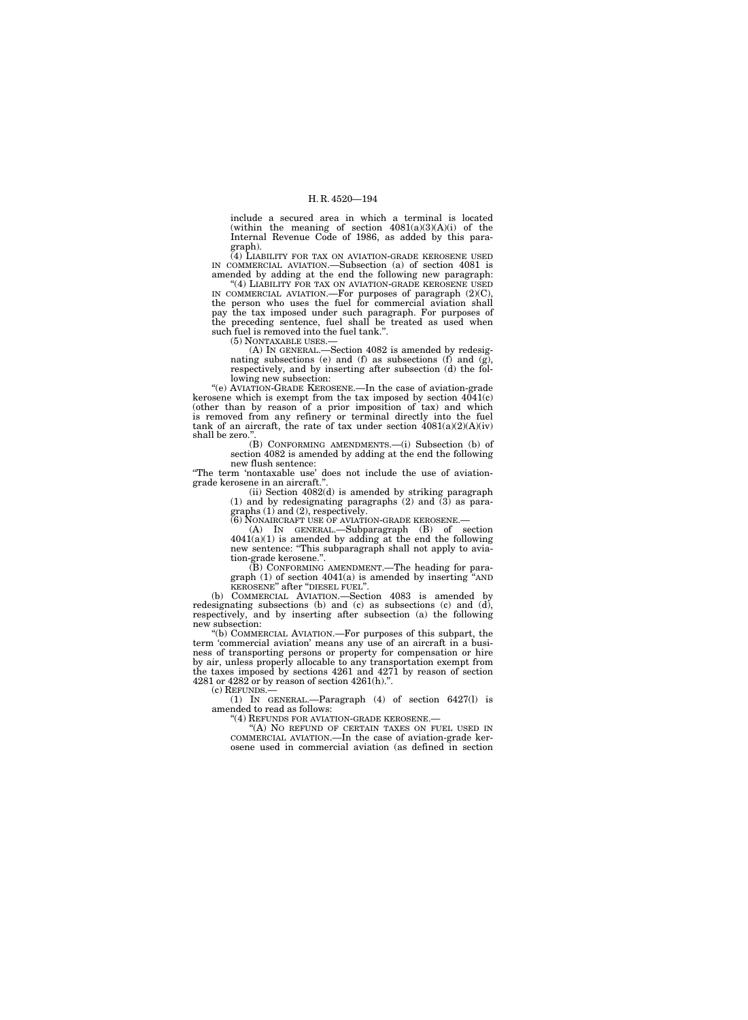include a secured area in which a terminal is located (within the meaning of section 4081(a)(3)(A)(i) of the Internal Revenue Code of 1986, as added by this paragraph).

(4) LIABILITY FOR TAX ON AVIATION-GRADE KEROSENE USED IN COMMERCIAL AVIATION.—Subsection (a) of section 4081 is amended by adding at the end the following new paragraph:

"(4) LIABILITY FOR TAX ON AVIATION-GRADE KEROSENE USED IN COMMERCIAL AVIATION.—For purposes of paragraph (2)(C), the person who uses the fuel for commercial aviation shall pay the tax imposed under such paragraph. For purposes of the preceding sentence, fuel shall be treated as used when such fuel is removed into the fuel tank.''.

(5) NONTAXABLE USES.—

(A) IN GENERAL.—Section 4082 is amended by redesignating subsections (e) and (f) as subsections (f) and  $(g)$ , respectively, and by inserting after subsection (d) the following new subsection:

''(e) AVIATION-GRADE KEROSENE.—In the case of aviation-grade kerosene which is exempt from the tax imposed by section  $4041(c)$ (other than by reason of a prior imposition of tax) and which is removed from any refinery or terminal directly into the fuel tank of an aircraft, the rate of tax under section  $4081(a)(2)(A)(iv)$ shall be zero.'

(B) CONFORMING AMENDMENTS.—(i) Subsection (b) of section 4082 is amended by adding at the end the following new flush sentence:

''The term 'nontaxable use' does not include the use of aviationgrade kerosene in an aircraft.''.

(ii) Section 4082(d) is amended by striking paragraph (1) and by redesignating paragraphs  $(2)$  and  $(3)$  as paragraphs (1) and (2), respectively.

(6) NONAIRCRAFT USE OF AVIATION-GRADE KEROSENE.—

(A) IN GENERAL.—Subparagraph (B) of section  $4041(a)(1)$  is amended by adding at the end the following new sentence: ''This subparagraph shall not apply to aviation-grade kerosene.''.

(B) CONFORMING AMENDMENT.—The heading for paragraph  $(1)$  of section  $4041(a)$  is amended by inserting "AND KEROSENE'' after ''DIESEL FUEL''.

(b) COMMERCIAL AVIATION.—Section 4083 is amended by redesignating subsections (b) and (c) as subsections (c) and (d), respectively, and by inserting after subsection (a) the following new subsection:

''(b) COMMERCIAL AVIATION.—For purposes of this subpart, the term 'commercial aviation' means any use of an aircraft in a business of transporting persons or property for compensation or hire by air, unless properly allocable to any transportation exempt from the taxes imposed by sections 4261 and 4271 by reason of section 4281 or 4282 or by reason of section 4261(h).''.

(c) REFUNDS.—<br>
(1) IN GENERAL.—Paragraph (4) of section 6427(l) is amended to read as follows:

"(4) REFUNDS FOR AVIATION-GRADE KEROSENE.—<br>"(A) NO REFUND OF CERTAIN TAXES ON FUEL USED IN COMMERCIAL AVIATION.—In the case of aviation-grade kerosene used in commercial aviation (as defined in section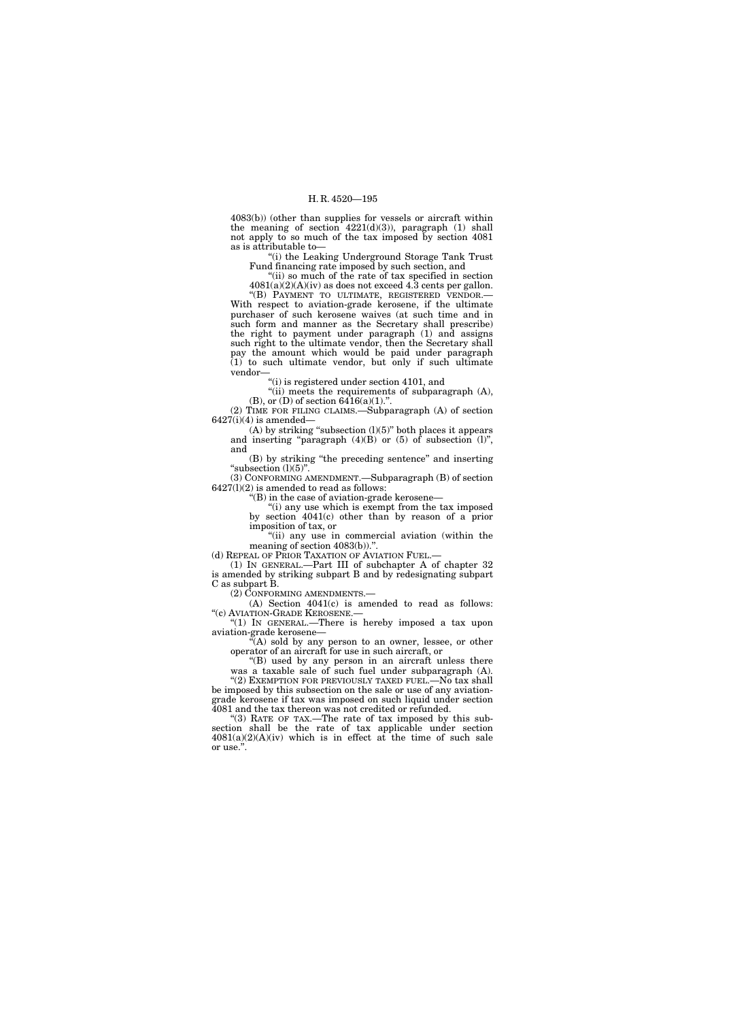4083(b)) (other than supplies for vessels or aircraft within the meaning of section  $4221(d)(3)$ , paragraph (1) shall not apply to so much of the tax imposed by section 4081 as is attributable to—

''(i) the Leaking Underground Storage Tank Trust Fund financing rate imposed by such section, and

"(ii) so much of the rate of tax specified in section  $4081(a)(2)(A)(iv)$  as does not exceed 4.3 cents per gallon. ''(B) PAYMENT TO ULTIMATE, REGISTERED VENDOR.—

With respect to aviation-grade kerosene, if the ultimate purchaser of such kerosene waives (at such time and in such form and manner as the Secretary shall prescribe) the right to payment under paragraph (1) and assigns such right to the ultimate vendor, then the Secretary shall pay the amount which would be paid under paragraph  $(1)$  to such ultimate vendor, but only if such ultimate vendor—

''(i) is registered under section 4101, and

"(ii) meets the requirements of subparagraph  $(A)$ , (B), or (D) of section  $6416(a)(1)$ .".

(2) TIME FOR FILING CLAIMS.—Subparagraph (A) of section  $6427(i)(4)$  is amended—

 $(A)$  by striking "subsection  $(l)(5)$ " both places it appears and inserting "paragraph  $(4)(B)$  or  $(5)$  of subsection  $(l)$ ", and

(B) by striking ''the preceding sentence'' and inserting "subsection  $(l)(5)$ ".

(3) CONFORMING AMENDMENT.—Subparagraph (B) of section  $6427(1)(2)$  is amended to read as follows:

''(B) in the case of aviation-grade kerosene—

''(i) any use which is exempt from the tax imposed by section  $4041(c)$  other than by reason of a prior imposition of tax, or

''(ii) any use in commercial aviation (within the meaning of section  $4083(b)$ .".

(d) REPEAL OF PRIOR TAXATION OF AVIATION FUEL.—

(1) IN GENERAL.—Part III of subchapter A of chapter 32 is amended by striking subpart B and by redesignating subpart C as subpart B.

(2) CONFORMING AMENDMENTS.—

(A) Section 4041(c) is amended to read as follows: ''(c) AVIATION-GRADE KEROSENE.—

"(1) In GENERAL.—There is hereby imposed a tax upon aviation-grade kerosene—

 $\sqrt{a}$ (A) sold by any person to an owner, lessee, or other operator of an aircraft for use in such aircraft, or

''(B) used by any person in an aircraft unless there was a taxable sale of such fuel under subparagraph (A). "(2) EXEMPTION FOR PREVIOUSLY TAXED FUEL.—No tax shall be imposed by this subsection on the sale or use of any aviation-

grade kerosene if tax was imposed on such liquid under section 4081 and the tax thereon was not credited or refunded. ''(3) RATE OF TAX.—The rate of tax imposed by this sub-

section shall be the rate of tax applicable under section  $4081(a)(2)(A)(iv)$  which is in effect at the time of such sale or use.''.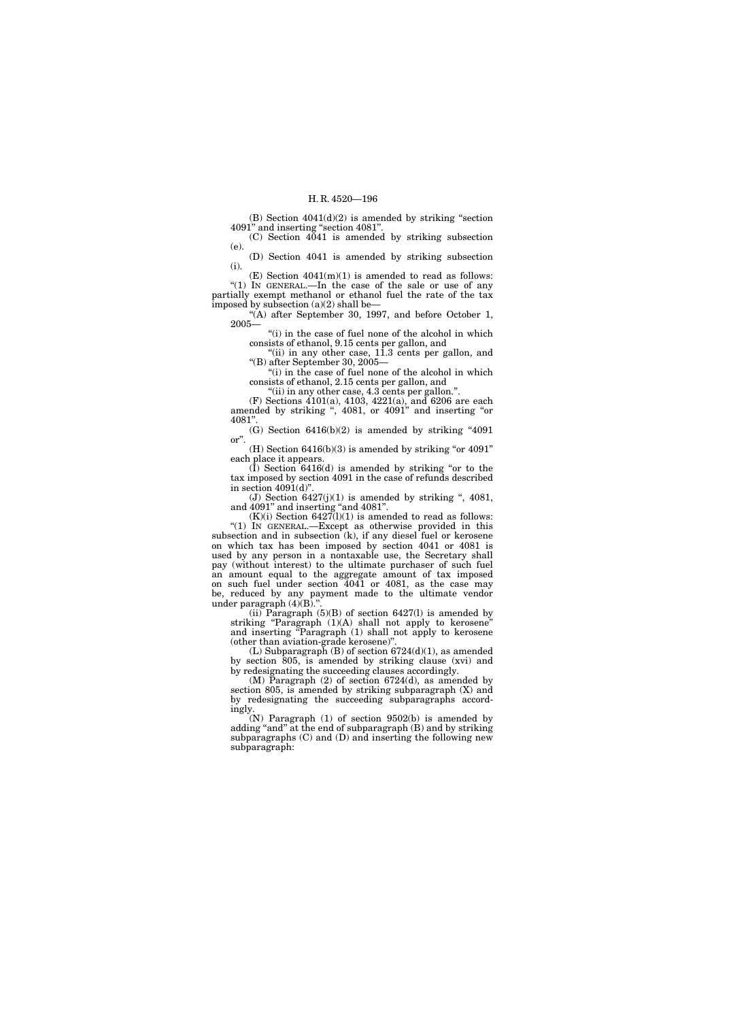$(B)$  Section  $4041(d)(2)$  is amended by striking "section 4091'' and inserting ''section 4081''.

(C) Section 4041 is amended by striking subsection (e).

(D) Section 4041 is amended by striking subsection (i).

 $(E)$  Section  $4041(m)(1)$  is amended to read as follows: "(1) IN GENERAL.—In the case of the sale or use of any partially exempt methanol or ethanol fuel the rate of the tax imposed by subsection (a)(2) shall be—

''(A) after September 30, 1997, and before October 1, 2005—

"(i) in the case of fuel none of the alcohol in which consists of ethanol, 9.15 cents per gallon, and

"(ii) in any other case, 11.3 cents per gallon, and ''(B) after September 30, 2005—

"(i) in the case of fuel none of the alcohol in which consists of ethanol, 2.15 cents per gallon, and

''(ii) in any other case, 4.3 cents per gallon.''.

(F) Sections 4101(a), 4103, 4221(a), and 6206 are each amended by striking ", 4081, or 4091" and inserting "or 4081''.

 $(G)$  Section 6416(b)(2) is amended by striking "4091 or''.

 $(H)$  Section 6416 $(b)(3)$  is amended by striking "or 4091" each place it appears.

 $(I)$  Section  $6416(d)$  is amended by striking "or to the tax imposed by section 4091 in the case of refunds described in section  $4091(d)$ ".

(J) Section  $6427(j)(1)$  is amended by striking ",  $4081$ , and 4091" and inserting "and 4081".

 $(K)(i)$  Section 6427 $(1)(1)$  is amended to read as follows: ''(1) IN GENERAL.—Except as otherwise provided in this subsection and in subsection  $(k)$ , if any diesel fuel or kerosene on which tax has been imposed by section 4041 or 4081 is used by any person in a nontaxable use, the Secretary shall pay (without interest) to the ultimate purchaser of such fuel an amount equal to the aggregate amount of tax imposed on such fuel under section 4041 or 4081, as the case may be, reduced by any payment made to the ultimate vendor under paragraph  $(4)(B)$ .".

(ii) Paragraph  $(5)(B)$  of section  $6427(1)$  is amended by striking "Paragraph  $(1)(A)$  shall not apply to kerosene" and inserting ''Paragraph (1) shall not apply to kerosene (other than aviation-grade kerosene)''.

(L) Subparagraph  $(B)$  of section 6724 $(d)(1)$ , as amended by section 805, is amended by striking clause (xvi) and by redesignating the succeeding clauses accordingly.

 $(M)$  Paragraph  $(2)$  of section 6724 $(d)$ , as amended by section 805, is amended by striking subparagraph (X) and by redesignating the succeeding subparagraphs accordingly.

 $(N)$  Paragraph  $(1)$  of section  $9502(b)$  is amended by adding "and" at the end of subparagraph (B) and by striking subparagraphs (C) and (D) and inserting the following new subparagraph: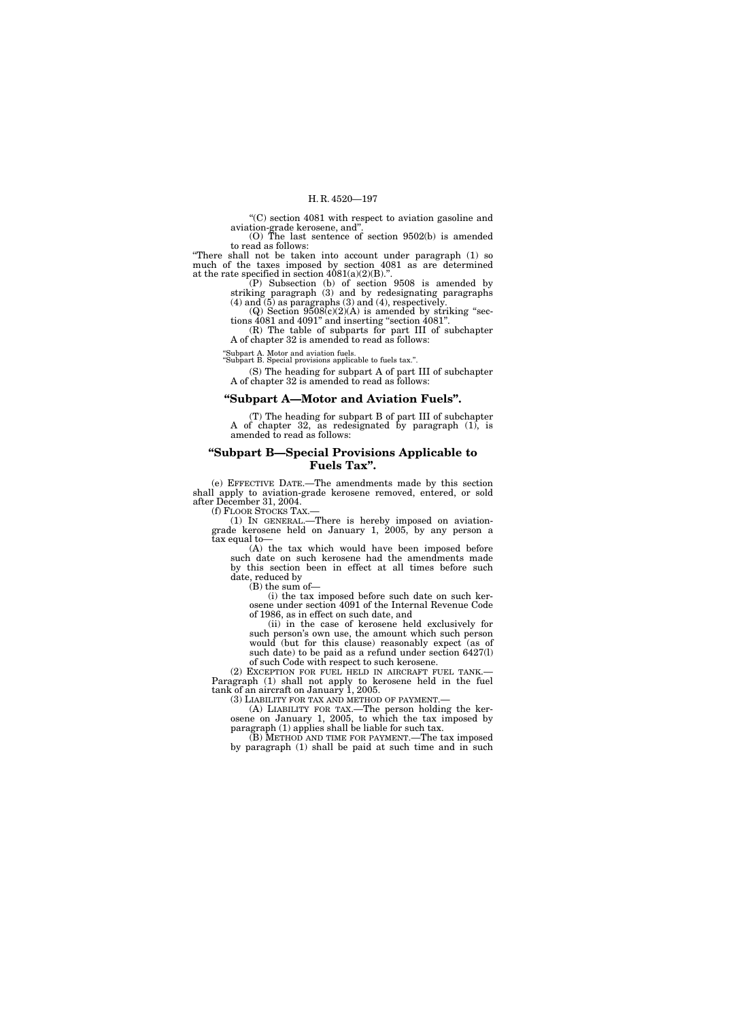$(C)$  section 4081 with respect to aviation gasoline and

aviation-grade kerosene, and".<br>
(O) The last sentence of section 9502(b) is amended<br>
to read as follows:

"There shall not be taken into account under paragraph (1) so much of the taxes imposed by section  $4081$  as are determined<br>at the rate specified in section  $4081(a)(2)(B)$ . at the rate specified in section  $4081(a)(2)(B)$ .".<br>(P) Subsection (b) of section 9508 is amended by

striking paragraph (3) and by redesignating paragraphs  $(4)$  and  $(5)$  as paragraphs  $(3)$  and  $(4)$ , respectively.

(Q) Section  $9508(c)(2)(A)$  is amended by striking "sections 4081 and 4091" and inserting "section 4081".

 $(R)$  The table of subparts for part III of subchapter A of chapter 32 is amended to read as follows:

''Subpart A. Motor and aviation fuels. ''Subpart B. Special provisions applicable to fuels tax.''.

(S) The heading for subpart A of part III of subchapter A of chapter 32 is amended to read as follows:

### **''Subpart A—Motor and Aviation Fuels''.**

(T) The heading for subpart B of part III of subchapter A of chapter 32, as redesignated by paragraph (1), is amended to read as follows:

# **''Subpart B—Special Provisions Applicable to Fuels Tax''.**

(e) EFFECTIVE DATE.—The amendments made by this section shall apply to aviation-grade kerosene removed, entered, or sold after December 31, 2004.<br>(f) FLOOR STOCKS TAX.-

(1) IN GENERAL.—There is hereby imposed on aviationgrade kerosene held on January 1,  $2005$ , by any person a tax equal to —

 $(A)$  the tax which would have been imposed before such date on such kerosene had the amendments made by this section been in effect at all times before such date, reduced by

(B) the sum of—

(i) the tax imposed before such date on such kerosene under section 4091 of the Internal Revenue Code of 1986, as in effect on such date, and

(ii) in the case of kerosene held exclusively for such person's own use, the amount which such person would (but for this clause) reasonably expect (as of such date) to be paid as a refund under section 6427(l)

of such Code with respect to such kerosene.<br>(2) EXCEPTION FOR FUEL HELD IN AIRCRAFT FUEL TANK.— (2) EXCEPTION FOR FUEL HELD IN AIRCRAFT FUEL TANK.— Paragraph (1) shall not apply to kerosene held in the fuel tank of an aircraft on January 1, 2005.

(3) LIABILITY FOR TAX AND METHOD OF PAYMENT.— (A) LIABILITY FOR TAX.—The person holding the ker-

osene on January 1, 2005, to which the tax imposed by paragraph (1) applies shall be liable for such tax.

(B) METHOD AND TIME FOR PAYMENT.—The tax imposed by paragraph (1) shall be paid at such time and in such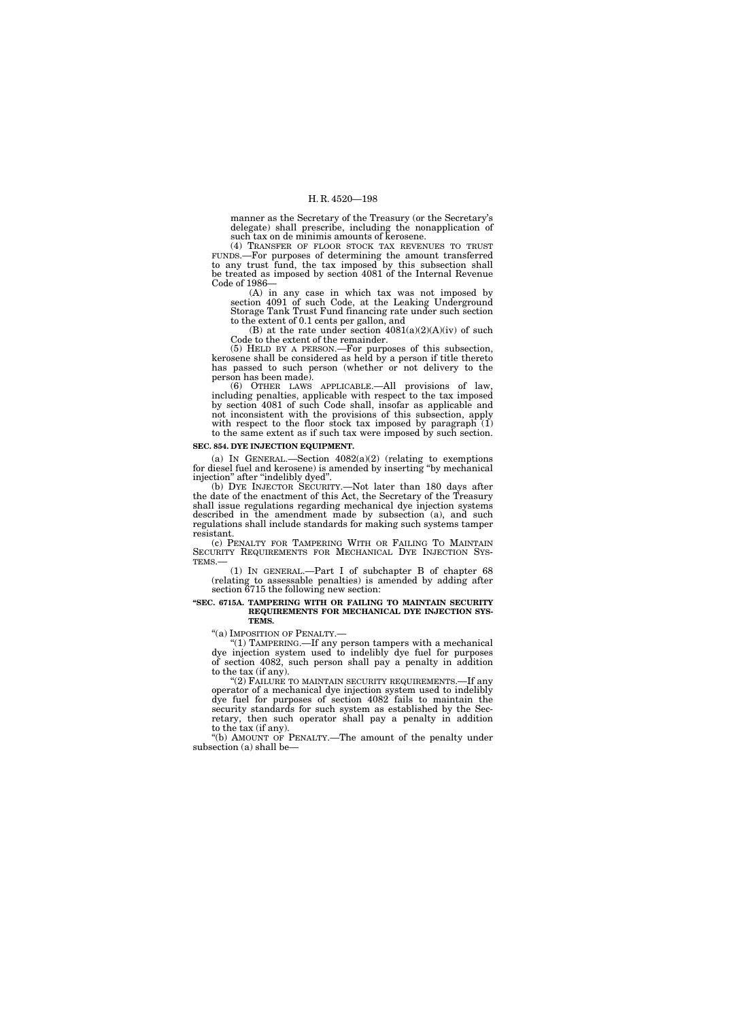manner as the Secretary of the Treasury (or the Secretary's delegate) shall prescribe, including the nonapplication of such tax on de minimis amounts of kerosene.

(4) TRANSFER OF FLOOR STOCK TAX REVENUES TO TRUST FUNDS.—For purposes of determining the amount transferred to any trust fund, the tax imposed by this subsection shall be treated as imposed by section 4081 of the Internal Revenue Code of 1986—

 $(A)$  in any case in which tax was not imposed by section 4091 of such Code, at the Leaking Underground Storage Tank Trust Fund financing rate under such section to the extent of 0.1 cents per gallon, and

(B) at the rate under section  $4081(a)(2)(A)(iv)$  of such Code to the extent of the remainder.

(5) HELD BY A PERSON.—For purposes of this subsection, kerosene shall be considered as held by a person if title thereto has passed to such person (whether or not delivery to the person has been made).

(6) OTHER LAWS APPLICABLE.—All provisions of law, including penalties, applicable with respect to the tax imposed by section 4081 of such Code shall, insofar as applicable and not inconsistent with the provisions of this subsection, apply with respect to the floor stock tax imposed by paragraph (1) to the same extent as if such tax were imposed by such section.

### **SEC. 854. DYE INJECTION EQUIPMENT.**

(a) IN GENERAL.—Section  $4082(a)(2)$  (relating to exemptions for diesel fuel and kerosene) is amended by inserting "by mechanical injection" after "indelibly dyed".

(b) DYE INJECTOR SECURITY.—Not later than 180 days after the date of the enactment of this Act, the Secretary of the Treasury shall issue regulations regarding mechanical dye injection systems described in the amendment made by subsection (a), and such regulations shall include standards for making such systems tamper resistant.

(c) PENALTY FOR TAMPERING WITH OR FAILING TO MAINTAIN SECURITY REQUIREMENTS FOR MECHANICAL DYE INJECTION SYSTEMS.—<br>
(1) IN GENERAL.—Part I of subchapter B of chapter 68

(relating to assessable penalties) is amended by adding after section 6715 the following new section:

#### **''SEC. 6715A. TAMPERING WITH OR FAILING TO MAINTAIN SECURITY REQUIREMENTS FOR MECHANICAL DYE INJECTION SYS-TEMS.**

''(a) IMPOSITION OF PENALTY.— ''(1) TAMPERING.—If any person tampers with a mechanical dye injection system used to indelibly dye fuel for purposes of section 4082, such person shall pay a penalty in addition to the tax (if any).

"(2) FAILURE TO MAINTAIN SECURITY REQUIREMENTS. - If any operator of a mechanical dye injection system used to indelibly dye fuel for purposes of section 4082 fails to maintain the security standards for such system as established by the Secretary, then such operator shall pay a penalty in addition to the tax (if any).

''(b) AMOUNT OF PENALTY.—The amount of the penalty under subsection (a) shall be—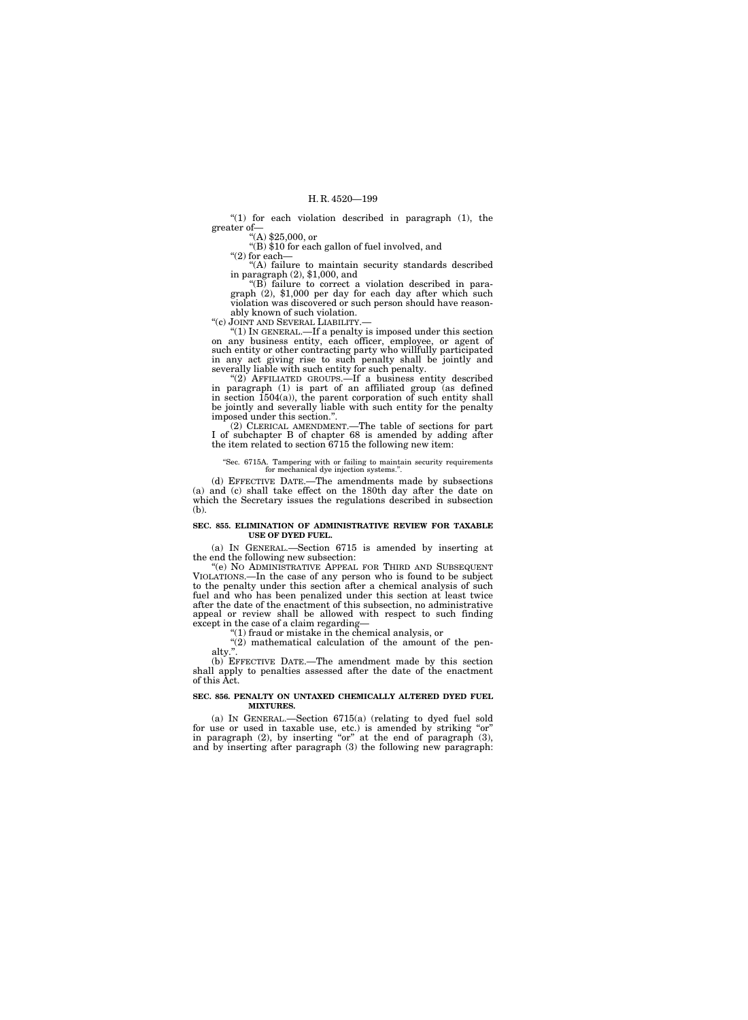" $(1)$  for each violation described in paragraph  $(1)$ , the greater of—

''(A) \$25,000, or

 $(12)$  \$10 for each gallon of fuel involved, and

" $(2)$  for each-

''(A) failure to maintain security standards described in paragraph (2), \$1,000, and

''(B) failure to correct a violation described in paragraph (2), \$1,000 per day for each day after which such violation was discovered or such person should have reasonably known of such violation.

''(c) JOINT AND SEVERAL LIABILITY.—

" $(1)$  In GENERAL.—If a penalty is imposed under this section on any business entity, each officer, employee, or agent of such entity or other contracting party who willfully participated in any act giving rise to such penalty shall be jointly and severally liable with such entity for such penalty.

"(2) AFFILIATED GROUPS.—If a business entity described in paragraph (1) is part of an affiliated group (as defined in section 1504(a)), the parent corporation of such entity shall be jointly and severally liable with such entity for the penalty imposed under this section.''.

(2) CLERICAL AMENDMENT.—The table of sections for part I of subchapter B of chapter 68 is amended by adding after the item related to section 6715 the following new item:

#### ''Sec. 6715A. Tampering with or failing to maintain security requirements for mechanical dye injection systems.''.

(d) EFFECTIVE DATE.—The amendments made by subsections (a) and (c) shall take effect on the 180th day after the date on which the Secretary issues the regulations described in subsection (b).

### **SEC. 855. ELIMINATION OF ADMINISTRATIVE REVIEW FOR TAXABLE USE OF DYED FUEL.**

(a) IN GENERAL.—Section 6715 is amended by inserting at the end the following new subsection:

''(e) NO ADMINISTRATIVE APPEAL FOR THIRD AND SUBSEQUENT VIOLATIONS.—In the case of any person who is found to be subject to the penalty under this section after a chemical analysis of such fuel and who has been penalized under this section at least twice after the date of the enactment of this subsection, no administrative appeal or review shall be allowed with respect to such finding except in the case of a claim regarding—

''(1) fraud or mistake in the chemical analysis, or

"(2) mathematical calculation of the amount of the pen-

(b) EFFECTIVE DATE.—The amendment made by this section shall apply to penalties assessed after the date of the enactment of this Act.

### **SEC. 856. PENALTY ON UNTAXED CHEMICALLY ALTERED DYED FUEL MIXTURES.**

(a) IN GENERAL.—Section 6715(a) (relating to dyed fuel sold for use or used in taxable use, etc.) is amended by striking "or" in paragraph  $(2)$ , by inserting "or" at the end of paragraph  $(3)$ , and by inserting after paragraph (3) the following new paragraph: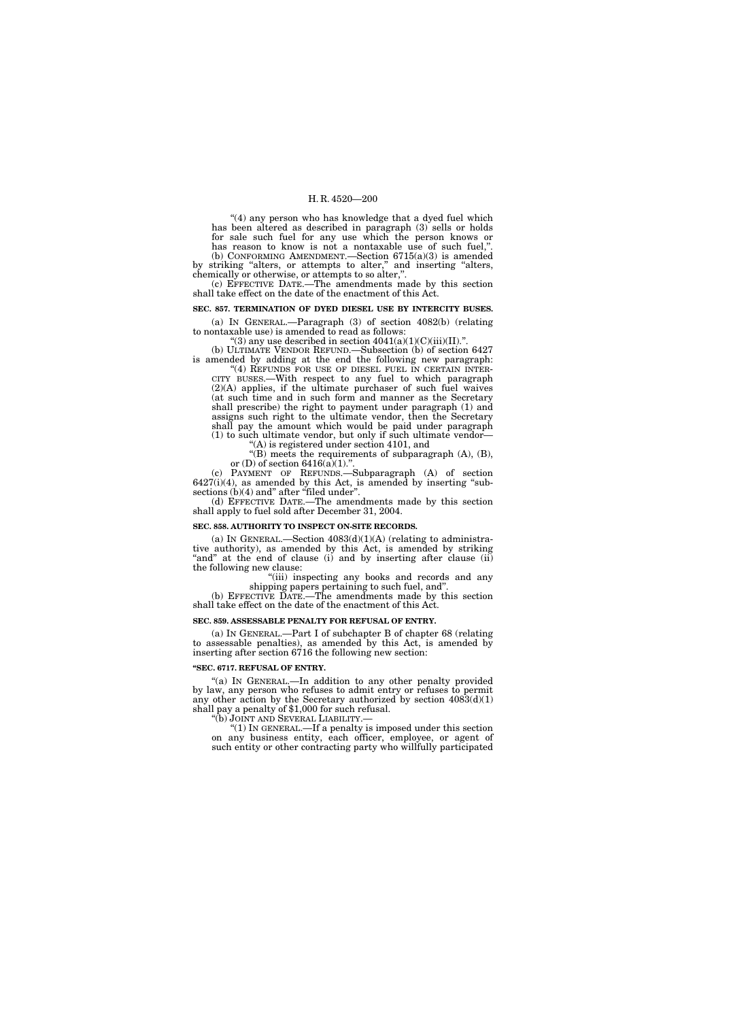"(4) any person who has knowledge that a dyed fuel which has been altered as described in paragraph (3) sells or holds for sale such fuel for any use which the person knows or has reason to know is not a nontaxable use of such fuel,". (b) CONFORMING AMENDMENT.—Section 6715(a)(3) is amended

by striking "alters, or attempts to alter," and inserting "alters, chemically or otherwise, or attempts to so alter,''.

(c) EFFECTIVE DATE.—The amendments made by this section shall take effect on the date of the enactment of this Act.

### **SEC. 857. TERMINATION OF DYED DIESEL USE BY INTERCITY BUSES.**

(a) IN GENERAL.—Paragraph (3) of section 4082(b) (relating to nontaxable use) is amended to read as follows:

"(3) any use described in section  $4041(a)(1)(C)(iii)(II).$ ".

(b) ULTIMATE VENDOR REFUND.—Subsection (b) of section 6427 is amended by adding at the end the following new paragraph:

"(4) REFUNDS FOR USE OF DIESEL FUEL IN CERTAIN INTER-CITY BUSES.—With respect to any fuel to which paragraph (2)(A) applies, if the ultimate purchaser of such fuel waives (at such time and in such form and manner as the Secretary shall prescribe) the right to payment under paragraph (1) and assigns such right to the ultimate vendor, then the Secretary shall pay the amount which would be paid under paragraph (1) to such ultimate vendor, but only if such ultimate vendor— ''(A) is registered under section 4101, and

''(B) meets the requirements of subparagraph (A), (B), or (D) of section  $6416(a)(1)$ .".

(c) PAYMENT OF REFUNDS.—Subparagraph (A) of section  $6427(i)(4)$ , as amended by this Act, is amended by inserting "subsections (b)(4) and'' after ''filed under''.

(d) EFFECTIVE DATE.—The amendments made by this section shall apply to fuel sold after December 31, 2004.

#### **SEC. 858. AUTHORITY TO INSPECT ON-SITE RECORDS.**

(a) IN GENERAL.—Section  $4083(d)(1)(A)$  (relating to administrative authority), as amended by this Act, is amended by striking "and" at the end of clause  $(i)$  and by inserting after clause  $(ii)$ <br>the following new clause:

"(iii) inspecting any books and records and any shipping papers pertaining to such fuel, and".

(b) EFFECTIVE DATE.—The amendments made by this section shall take effect on the date of the enactment of this Act.

#### **SEC. 859. ASSESSABLE PENALTY FOR REFUSAL OF ENTRY.**

(a) IN GENERAL.—Part I of subchapter B of chapter 68 (relating to assessable penalties), as amended by this Act, is amended by inserting after section 6716 the following new section:

#### **''SEC. 6717. REFUSAL OF ENTRY.**

''(a) IN GENERAL.—In addition to any other penalty provided by law, any person who refuses to admit entry or refuses to permit any other action by the Secretary authorized by section  $4083(d)(1)$ shall pay a penalty of \$1,000 for such refusal.

''(b) JOINT AND SEVERAL LIABILITY.— ''(1) IN GENERAL.—If a penalty is imposed under this section on any business entity, each officer, employee, or agent of such entity or other contracting party who willfully participated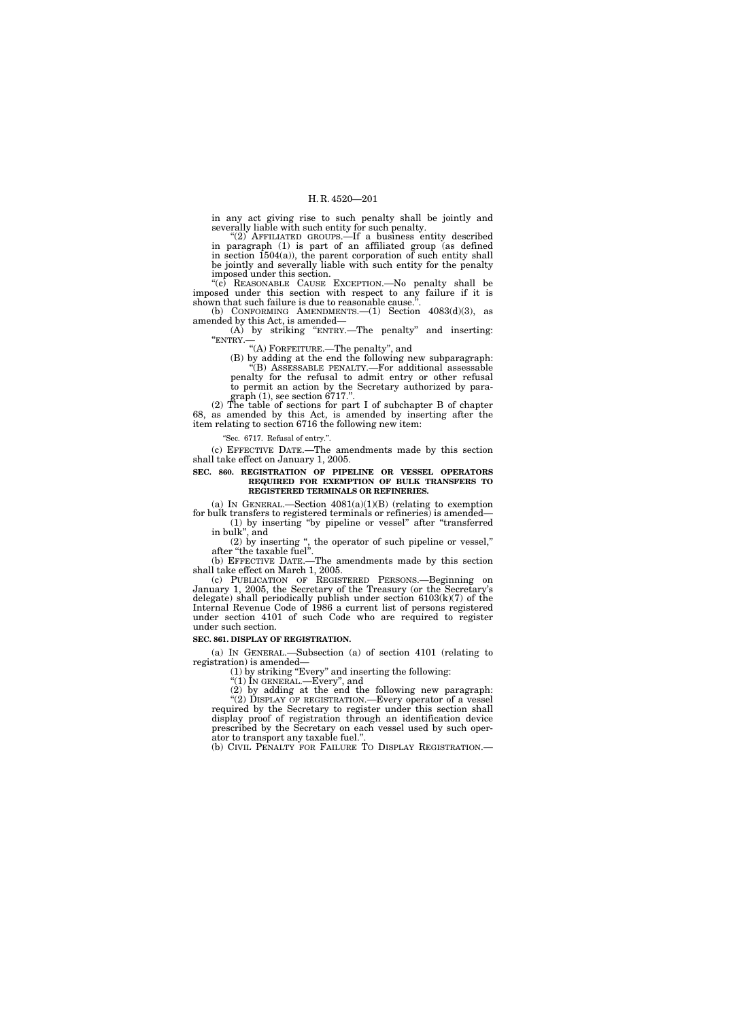in any act giving rise to such penalty shall be jointly and severally liable with such entity for such penalty.<br>"(2) AFFILIATED GROUPS.—If a business entity described

in paragraph (1) is part of an affiliated group (as defined in section 1504(a)), the parent corporation of such entity shall be jointly and severally liable with such entity for the penalty imposed under this section.

"(c) REASONABLE CAUSE EXCEPTION.—No penalty shall be imposed under this section with respect to any failure if it is

shown that such failure is due to reasonable cause.".<br>
(b) CONFORMING AMENDMENTS.—(1) Section 4083(d)(3), as<br>
amended by this Act, is amended—

 $(A)$  by striking "ENTRY.—The penalty" and inserting: "ENTRY.  $\frac{N}{N}$ "(A) FORFEITURE. The penalty", and

(B) by adding at the end the following new subparagraph: ''(B) ASSESSABLE PENALTY.—For additional assessable

penalty for the refusal to admit entry or other refusal to permit an action by the Secretary authorized by para $graph (1)$ , see section  $6717$ .".

(2) The table of sections for part I of subchapter B of chapter 68, as amended by this Act, is amended by inserting after the item relating to section 6716 the following new item:

''Sec. 6717. Refusal of entry.''.

(c) EFFECTIVE DATE.—The amendments made by this section shall take effect on January 1, 2005.

#### **SEC. 860. REGISTRATION OF PIPELINE OR VESSEL OPERATORS REQUIRED FOR EXEMPTION OF BULK TRANSFERS TO REGISTERED TERMINALS OR REFINERIES.**

(a) IN GENERAL.—Section  $4081(a)(1)(B)$  (relating to exemption for bulk transfers to registered terminals or refineries) is amended— (1) by inserting ''by pipeline or vessel'' after ''transferred

in bulk", and (2) by inserting ", the operator of such pipeline or vessel," extertive the taxable fuel".<br>
(b) EFFECTIVE DATE.—The amendments made by this section

shall take effect on March 1, 2005.

(c) PUBLICATION OF REGISTERED PERSONS.—Beginning on January 1, 2005, the Secretary of the Treasury (or the Secretary's delegate) shall periodically publish under section  $6103(k)(7)$  of the Internal Revenue Code of 1986 a current list of persons registered under section 4101 of such Code who are required to register under such section.

#### **SEC. 861. DISPLAY OF REGISTRATION.**

(a) IN GENERAL.—Subsection (a) of section 4101 (relating to registration) is amended—

 $(1)$  by striking "Every" and inserting the following:

"(1) IN GENERAL.—Every", and

(2) by adding at the end the following new paragraph: "(2) DISPLAY OF REGISTRATION.—Every operator of a vessel required by the Secretary to register under this section shall display proof of registration through an identification device prescribed by the Secretary on each vessel used by such operator to transport any taxable fuel."

(b) CIVIL PENALTY FOR FAILURE TO DISPLAY REGISTRATION.—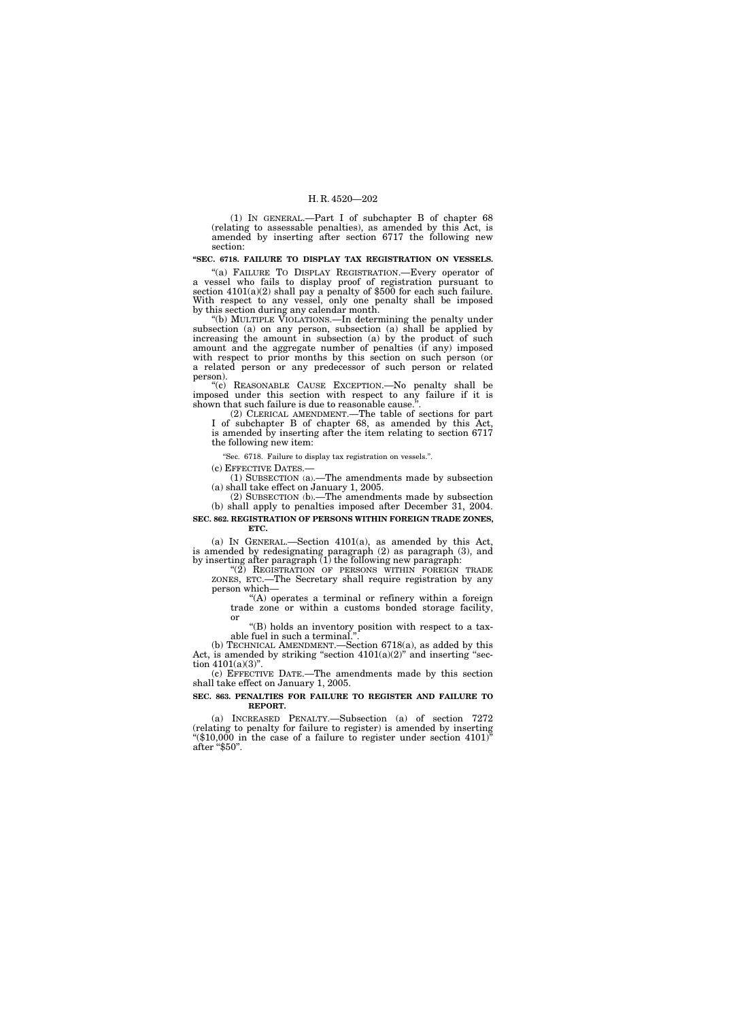(1) IN GENERAL.—Part I of subchapter B of chapter 68 (relating to assessable penalties), as amended by this Act, is amended by inserting after section 6717 the following new section:

### **''SEC. 6718. FAILURE TO DISPLAY TAX REGISTRATION ON VESSELS.**

"(a) FAILURE TO DISPLAY REGISTRATION.—Every operator of a vessel who fails to display proof of registration pursuant to section  $4101(a)(2)$  shall pay a penalty of \$500 for each such failure. With respect to any vessel, only one penalty shall be imposed by this section during any calendar month.

''(b) MULTIPLE VIOLATIONS.—In determining the penalty under subsection (a) on any person, subsection (a) shall be applied by increasing the amount in subsection (a) by the product of such amount and the aggregate number of penalties (if any) imposed with respect to prior months by this section on such person (or a related person or any predecessor of such person or related person).

''(c) REASONABLE CAUSE EXCEPTION.—No penalty shall be imposed under this section with respect to any failure if it is shown that such failure is due to reasonable cause.". shown that such failure is due to reasonable cause.''. (2) CLERICAL AMENDMENT.—The table of sections for part

I of subchapter B of chapter 68, as amended by this Act, is amended by inserting after the item relating to section 6717 the following new item:

''Sec. 6718. Failure to display tax registration on vessels.''.

(c) EFFECTIVE DATES.—

(1) SUBSECTION (a).—The amendments made by subsection (a) shall take effect on January 1, 2005.

(2) SUBSECTION (b).—The amendments made by subsection (b) shall apply to penalties imposed after December 31, 2004.

**SEC. 862. REGISTRATION OF PERSONS WITHIN FOREIGN TRADE ZONES, ETC.**

(a) IN GENERAL.—Section 4101(a), as amended by this Act, is amended by redesignating paragraph (2) as paragraph (3), and by inserting after paragraph (1) the following new paragraph:

"(2) REGISTRATION OF PERSONS WITHIN FOREIGN TRADE ZONES, ETC.—The Secretary shall require registration by any person which—

"(A) operates a terminal or refinery within a foreign trade zone or within a customs bonded storage facility, or

 $H(B)$  holds an inventory position with respect to a tax-<br>able fuel in such a terminal.".

(b) TECHNICAL AMENDMENT.—Section  $6718(a)$ , as added by this Act, is amended by striking "section  $4101(a)(2)$ " and inserting "section  $4101(a)(3)$ ".<br>(c) EFFECTIVE DATE.—The amendments made by this section

shall take effect on January 1, 2005.

**SEC. 863. PENALTIES FOR FAILURE TO REGISTER AND FAILURE TO REPORT.**

(a) INCREASED PENALTY.—Subsection (a) of section 7272 (relating to penalty for failure to register) is amended by inserting " $(\$10,000$  in the case of a failure to register under section 4101)" after "\$50".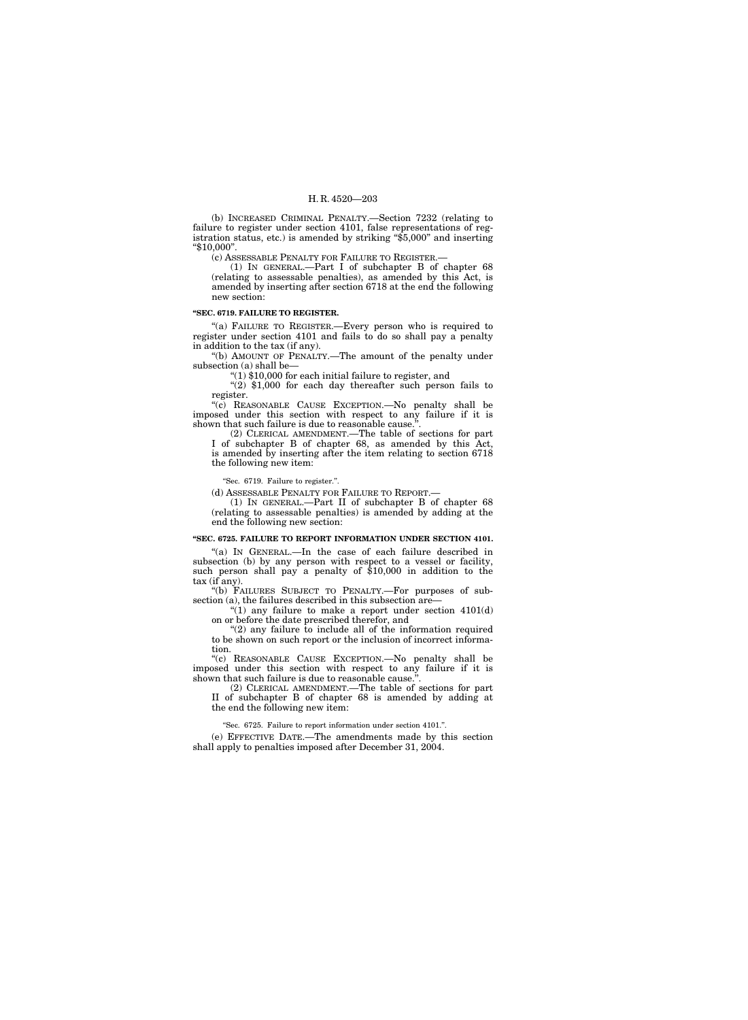(b) INCREASED CRIMINAL PENALTY.—Section 7232 (relating to failure to register under section 4101, false representations of registration status, etc.) is amended by striking "\$5,000" and inserting ''\$10,000''.

(c) ASSESSABLE PENALTY FOR FAILURE TO REGISTER.—

(1) IN GENERAL.—Part I of subchapter B of chapter 68 (relating to assessable penalties), as amended by this Act, is amended by inserting after section 6718 at the end the following new section:

### **''SEC. 6719. FAILURE TO REGISTER.**

"(a) FAILURE TO REGISTER.—Every person who is required to register under section 4101 and fails to do so shall pay a penalty in addition to the tax (if any).

''(b) AMOUNT OF PENALTY.—The amount of the penalty under subsection (a) shall be—

''(1) \$10,000 for each initial failure to register, and

 $(2)$  \$1,000 for each day thereafter such person fails to register.

"(c) REASONABLE CAUSE EXCEPTION.—No penalty shall be imposed under this section with respect to any failure if it is shown that such failure is due to reasonable cause.

(2) CLERICAL AMENDMENT.—The table of sections for part I of subchapter B of chapter 68, as amended by this Act, is amended by inserting after the item relating to section 6718 the following new item:

''Sec. 6719. Failure to register.''.

(d) ASSESSABLE PENALTY FOR FAILURE TO REPORT.—

(1) IN GENERAL.—Part II of subchapter B of chapter 68 (relating to assessable penalties) is amended by adding at the end the following new section:

### **''SEC. 6725. FAILURE TO REPORT INFORMATION UNDER SECTION 4101.**

''(a) IN GENERAL.—In the case of each failure described in subsection (b) by any person with respect to a vessel or facility, such person shall pay a penalty of \$10,000 in addition to the tax (if any).

''(b) FAILURES SUBJECT TO PENALTY.—For purposes of subsection (a), the failures described in this subsection are-

"(1) any failure to make a report under section  $4101(d)$ on or before the date prescribed therefor, and

''(2) any failure to include all of the information required to be shown on such report or the inclusion of incorrect information.

''(c) REASONABLE CAUSE EXCEPTION.—No penalty shall be imposed under this section with respect to any failure if it is shown that such failure is due to reasonable cause.<sup>'</sup>

(2) CLERICAL AMENDMENT.—The table of sections for part II of subchapter B of chapter 68 is amended by adding at the end the following new item:

''Sec. 6725. Failure to report information under section 4101.''.

(e) EFFECTIVE DATE.—The amendments made by this section shall apply to penalties imposed after December 31, 2004.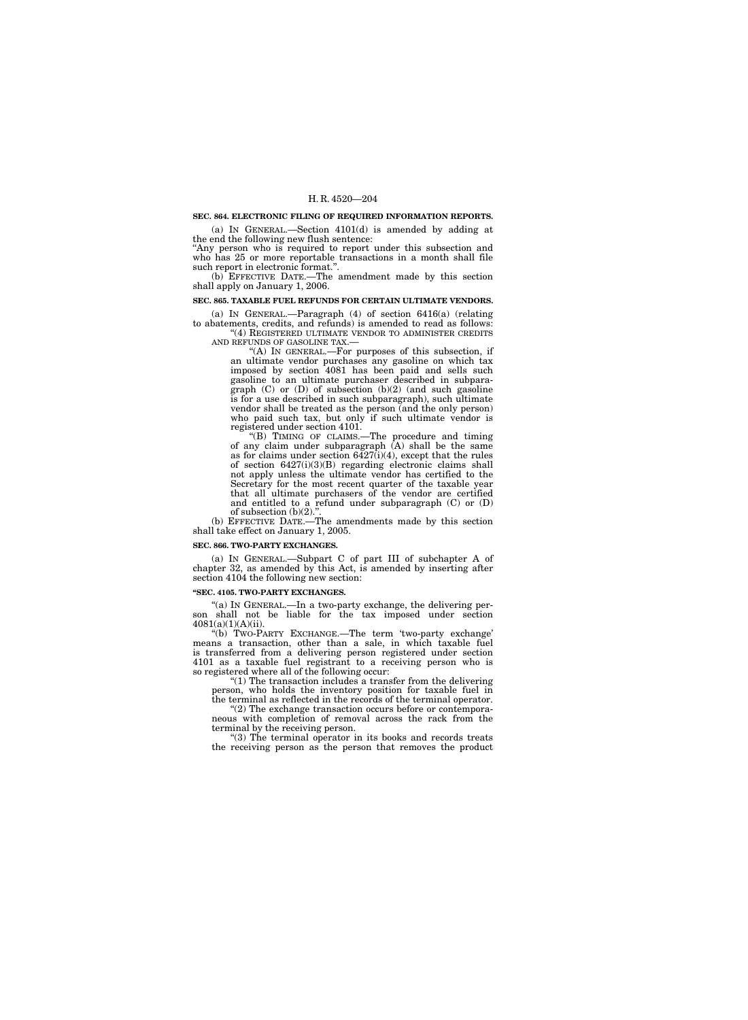## **SEC. 864. ELECTRONIC FILING OF REQUIRED INFORMATION REPORTS.**

(a) IN GENERAL.—Section 4101(d) is amended by adding at the end the following new flush sentence:

''Any person who is required to report under this subsection and who has 25 or more reportable transactions in a month shall file such report in electronic format.''.

(b) EFFECTIVE DATE.—The amendment made by this section shall apply on January 1, 2006.

### **SEC. 865. TAXABLE FUEL REFUNDS FOR CERTAIN ULTIMATE VENDORS.**

(a) IN GENERAL.—Paragraph (4) of section 6416(a) (relating to abatements, credits, and refunds) is amended to read as follows:

 $\lq\lq (4)$  REGISTERED ULTIMATE VENDOR TO ADMINISTER CREDITS AND REFUNDS OF GASOLINE TAX.—

" $(A)$  In GENERAL.—For purposes of this subsection, if an ultimate vendor purchases any gasoline on which tax imposed by section 4081 has been paid and sells such gasoline to an ultimate purchaser described in subparagraph  $(C)$  or  $(D)$  of subsection  $(b)(2)$  (and such gasoline is for a use described in such subparagraph), such ultimate vendor shall be treated as the person (and the only person) who paid such tax, but only if such ultimate vendor is registered under section 4101.

''(B) TIMING OF CLAIMS.—The procedure and timing of any claim under subparagraph (A) shall be the same as for claims under section  $6427(i)(4)$ , except that the rules of section 6427(i)(3)(B) regarding electronic claims shall not apply unless the ultimate vendor has certified to the Secretary for the most recent quarter of the taxable year that all ultimate purchasers of the vendor are certified and entitled to a refund under subparagraph (C) or (D) of subsection  $(b)(2)$ ."

(b) EFFECTIVE DATE.—The amendments made by this section shall take effect on January 1, 2005.

### **SEC. 866. TWO-PARTY EXCHANGES.**

(a) IN GENERAL.—Subpart C of part III of subchapter A of chapter 32, as amended by this Act, is amended by inserting after section 4104 the following new section:

### **''SEC. 4105. TWO-PARTY EXCHANGES.**

''(a) IN GENERAL.—In a two-party exchange, the delivering person shall not be liable for the tax imposed under section  $4081(a)(1)(A)(ii)$ .

4081(a)(1)(A)(ii). ''(b) TWO-PARTY EXCHANGE.—The term 'two-party exchange' means a transaction, other than a sale, in which taxable fuel is transferred from a delivering person registered under section 4101 as a taxable fuel registrant to a receiving person who is so registered where all of the following occur:

" $(1)$  The transaction includes a transfer from the delivering person, who holds the inventory position for taxable fuel in

"(2) The exchange transaction occurs before or contemporaneous with completion of removal across the rack from the terminal by the receiving person.

" $(3)$  The terminal operator in its books and records treats the receiving person as the person that removes the product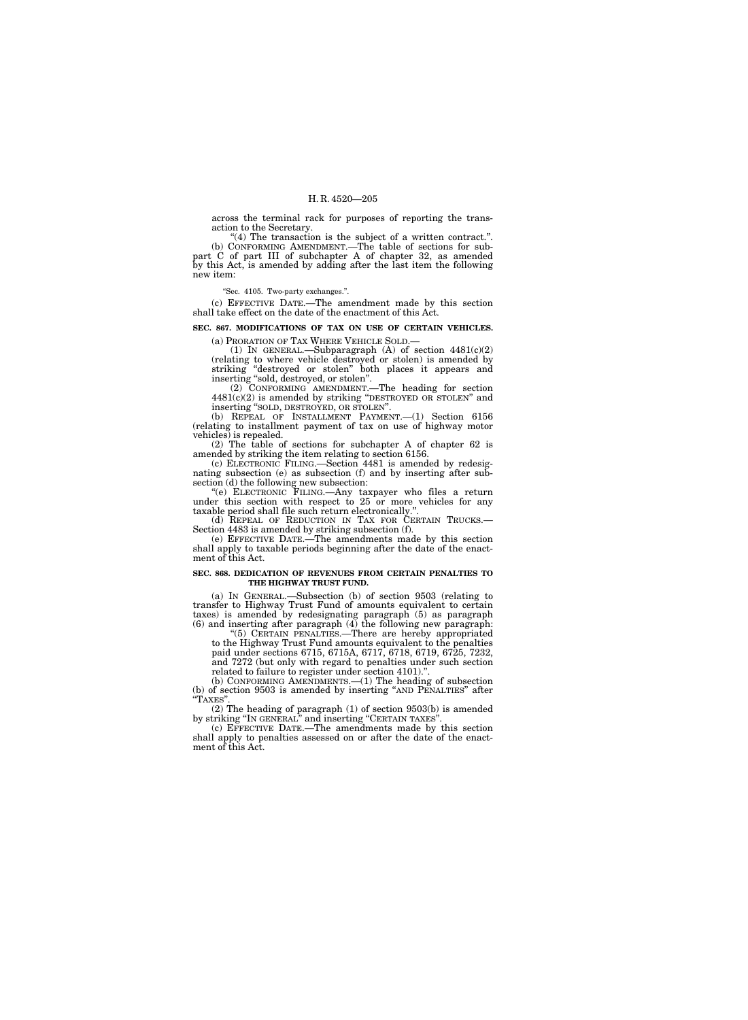across the terminal rack for purposes of reporting the transaction to the Secretary.

 $(4)$  The transaction is the subject of a written contract.". (b) CONFORMING AMENDMENT.—The table of sections for subpart C of part III of subchapter A of chapter 32, as amended by this Act, is amended by adding after the last item the following new item:

''Sec. 4105. Two-party exchanges.''.

(c) EFFECTIVE DATE.—The amendment made by this section shall take effect on the date of the enactment of this Act.

#### **SEC. 867. MODIFICATIONS OF TAX ON USE OF CERTAIN VEHICLES.**

(a) PRORATION OF TAX WHERE VEHICLE SOLD.—

(1) IN GENERAL.—Subparagraph  $(A)$  of section  $4481(c)(2)$ (relating to where vehicle destroyed or stolen) is amended by striking ''destroyed or stolen'' both places it appears and inserting ''sold, destroyed, or stolen''.

(2) CONFORMING AMENDMENT.—The heading for section  $4481(c)(2)$  is amended by striking "DESTROYED OR STOLEN" and inserting "SOLD, DESTROYED, OR STOLEN".

(b) REPEAL OF INSTALLMENT PAYMENT.—(1) Section 6156 (relating to installment payment of tax on use of highway motor vehicles) is repealed.

(2) The table of sections for subchapter A of chapter 62 is amended by striking the item relating to section 6156.

(c) ELECTRONIC FILING.—Section 4481 is amended by redesignating subsection (e) as subsection (f) and by inserting after subsection (d) the following new subsection:

''(e) ELECTRONIC FILING.—Any taxpayer who files a return under this section with respect to 25 or more vehicles for any taxable period shall file such return electronically.''.

(d) REPEAL OF REDUCTION IN TAX FOR CERTAIN TRUCKS.— Section 4483 is amended by striking subsection (f).

(e) EFFECTIVE DATE.—The amendments made by this section shall apply to taxable periods beginning after the date of the enactment of this Act.

### **SEC. 868. DEDICATION OF REVENUES FROM CERTAIN PENALTIES TO THE HIGHWAY TRUST FUND.**

(a) IN GENERAL.—Subsection (b) of section 9503 (relating to transfer to Highway Trust Fund of amounts equivalent to certain taxes) is amended by redesignating paragraph (5) as paragraph (6) and inserting after paragraph (4) the following new paragraph:

''(5) CERTAIN PENALTIES.—There are hereby appropriated to the Highway Trust Fund amounts equivalent to the penalties paid under sections 6715, 6715A, 6717, 6718, 6719, 6725, 7232, and 7272 (but only with regard to penalties under such section related to failure to register under section 4101).''.

(b) CONFORMING AMENDMENTS.—(1) The heading of subsection (b) of section 9503 is amended by inserting "AND PENALTIES" after (b) of section 9503 is amended by inserting "AND PENALTIES" after "TAXES".<br>"TAXES". (2) The heading of paragraph (1) of section 9503(b) is amended

by striking ''IN GENERAL'' and inserting ''CERTAIN TAXES''. (c) EFFECTIVE DATE.—The amendments made by this section

shall apply to penalties assessed on or after the date of the enactment of this Act.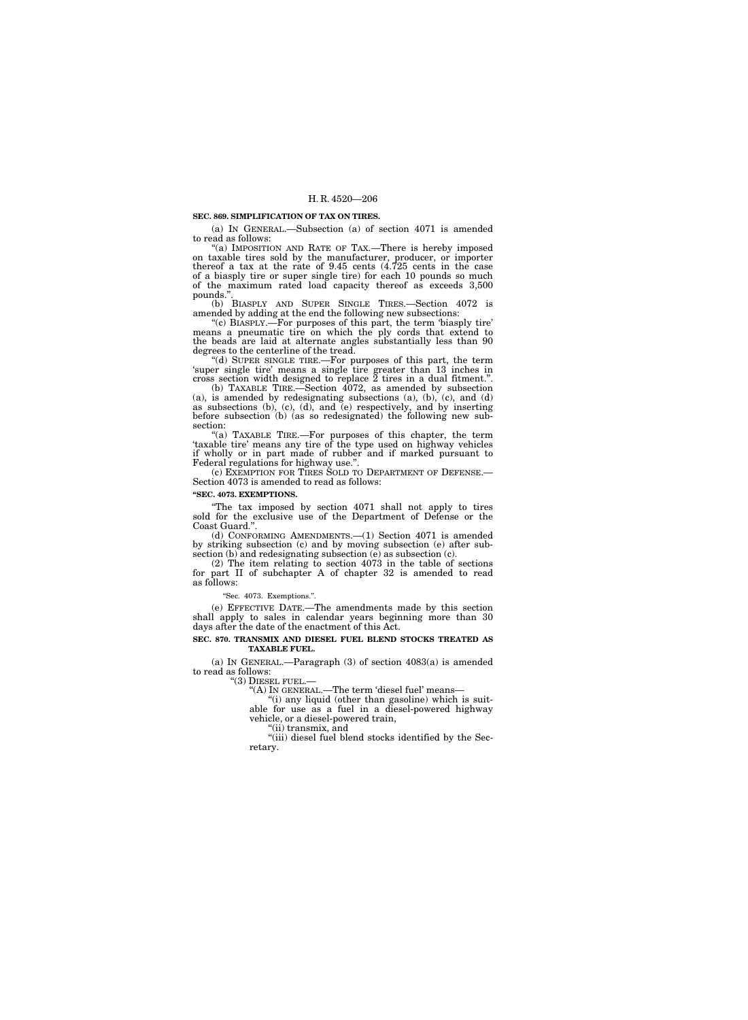#### **SEC. 869. SIMPLIFICATION OF TAX ON TIRES.**

(a) IN GENERAL.—Subsection (a) of section 4071 is amended

"(a) IMPOSITION AND RATE OF TAX.—There is hereby imposed on taxable tires sold by the manufacturer, producer, or importer thereof a tax at the rate of 9.45 cents (4.725 cents in the case of a biasply tire or super single tire) for each 10 pounds so much of the maximum rated load capacity thereof as exceeds 3,500

(b) BIASPLY AND SUPER SINGLE TIRES.-Section 4072 is

amended by adding at the end the following new subsections:<br>"(c) BIASPLY.—For purposes of this part, the term 'biasply tire' means a pneumatic tire on which the ply cords that extend to the beads are laid at alternate angles substantially less than 90

"(d) SUPER SINGLE TIRE.—For purposes of this part, the term 'super single tire' means a single tire greater than 13 inches in cross section width designed to replace 2 tires in a dual fitment.".

(b) TAXABLE TIRE.—Section  $4072$ , as amended by subsection (a), is amended by redesignating subsections (a), (b), (c), and (d) as subsections (b), (c), (d), and (e) respectively, and by inserting before subsection (b) (as so redesignated) the following new sub-

section: ''(a) TAXABLE TIRE.—For purposes of this chapter, the term 'taxable tire' means any tire of the type used on highway vehicles if wholly or in part made of rubber and if marked pursuant to Federal regulations for highway use.".

(c) EXEMPTION FOR TIRES SOLD TO DEPARTMENT OF DEFENSE.—<br>Section 4073 is amended to read as follows:

**''SEC. 4073. EXEMPTIONS.**

''The tax imposed by section 4071 shall not apply to tires sold for the exclusive use of the Department of Defense or the Coast Guard.''. (d) CONFORMING AMENDMENTS.—(1) Section 4071 is amended

by striking subsection (c) and by moving subsection (e) after subsection (b) and redesignating subsection (e) as subsection (c).

(2) The item relating to section 4073 in the table of sections for part II of subchapter A of chapter 32 is amended to read as follows:

''Sec. 4073. Exemptions.''.

(e) EFFECTIVE DATE.—The amendments made by this section shall apply to sales in calendar years beginning more than 30 days after the date of the enactment of this Act.

**SEC. 870. TRANSMIX AND DIESEL FUEL BLEND STOCKS TREATED AS TAXABLE FUEL.**

(a) IN GENERAL.—Paragraph (3) of section 4083(a) is amended to read as follows:

''(3) DIESEL FUEL.—

"(A) In GENERAL.—The term 'diesel fuel' means—

"(i) any liquid (other than gasoline) which is suitable for use as a fuel in a diesel-powered highway vehicle, or a diesel-powered train,

"(ii) transmix, and

"(iii) diesel fuel blend stocks identified by the Secretary.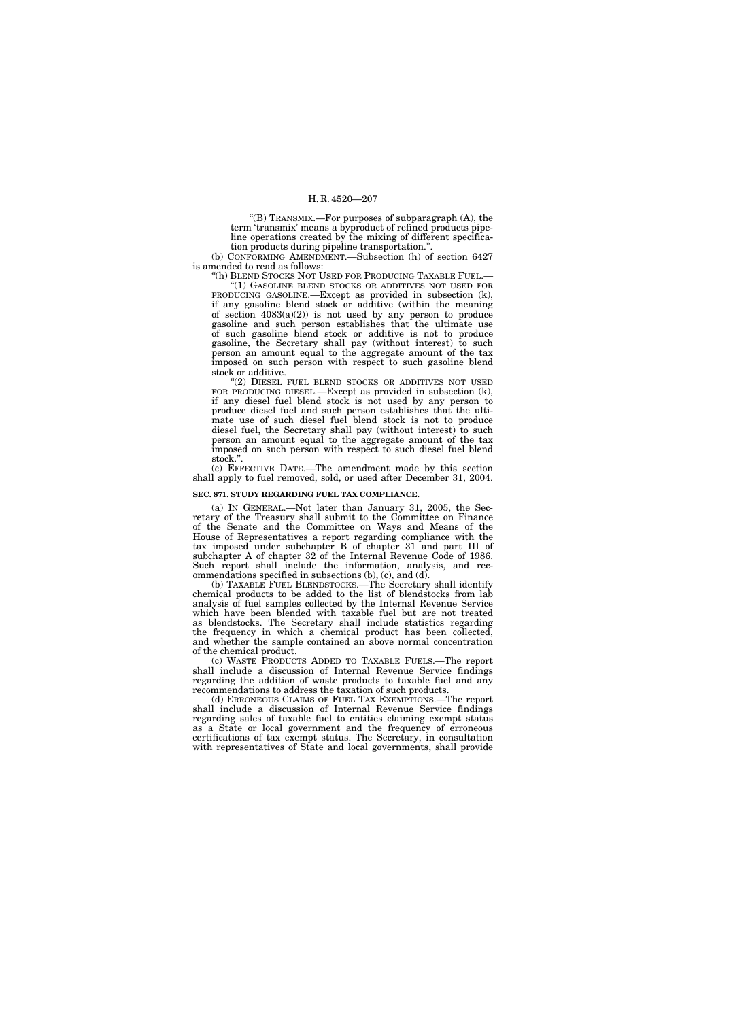" $(B)$  TRANSMIX.—For purposes of subparagraph  $(A)$ , the term 'transmix' means a byproduct of refined products pipeline operations created by the mixing of different specification products during pipeline transportation.''.

(b) CONFORMING AMENDMENT.—Subsection (h) of section 6427 is amended to read as follows:

''(h) BLEND STOCKS NOT USED FOR PRODUCING TAXABLE FUEL.— ''(1) GASOLINE BLEND STOCKS OR ADDITIVES NOT USED FOR PRODUCING GASOLINE.—Except as provided in subsection (k), if any gasoline blend stock or additive (within the meaning of section  $4083(a)(2)$ ) is not used by any person to produce gasoline and such person establishes that the ultimate use of such gasoline blend stock or additive is not to produce gasoline, the Secretary shall pay (without interest) to such person an amount equal to the aggregate amount of the tax imposed on such person with respect to such gasoline blend stock or additive.

''(2) DIESEL FUEL BLEND STOCKS OR ADDITIVES NOT USED FOR PRODUCING DIESEL.—Except as provided in subsection  $(k)$ , if any diesel fuel blend stock is not used by any person to produce diesel fuel and such person establishes that the ultimate use of such diesel fuel blend stock is not to produce diesel fuel, the Secretary shall pay (without interest) to such person an amount equal to the aggregate amount of the tax imposed on such person with respect to such diesel fuel blend stock.''.

(c) EFFECTIVE DATE.—The amendment made by this section shall apply to fuel removed, sold, or used after December 31, 2004.

#### **SEC. 871. STUDY REGARDING FUEL TAX COMPLIANCE.**

(a) IN GENERAL.—Not later than January 31, 2005, the Secretary of the Treasury shall submit to the Committee on Finance of the Senate and the Committee on Ways and Means of the House of Representatives a report regarding compliance with the tax imposed under subchapter B of chapter 31 and part III of subchapter A of chapter 32 of the Internal Revenue Code of 1986. Such report shall include the information, analysis, and recommendations specified in subsections (b), (c), and (d).

(b) TAXABLE FUEL BLENDSTOCKS.—The Secretary shall identify chemical products to be added to the list of blendstocks from lab analysis of fuel samples collected by the Internal Revenue Service which have been blended with taxable fuel but are not treated as blendstocks. The Secretary shall include statistics regarding the frequency in which a chemical product has been collected, and whether the sample contained an above normal concentration of the chemical product.

(c) WASTE PRODUCTS ADDED TO TAXABLE FUELS.—The report shall include a discussion of Internal Revenue Service findings regarding the addition of waste products to taxable fuel and any recommendations to address the taxation of such products.

(d) ERRONEOUS CLAIMS OF FUEL TAX EXEMPTIONS.—The report shall include a discussion of Internal Revenue Service findings regarding sales of taxable fuel to entities claiming exempt status as a State or local government and the frequency of erroneous certifications of tax exempt status. The Secretary, in consultation with representatives of State and local governments, shall provide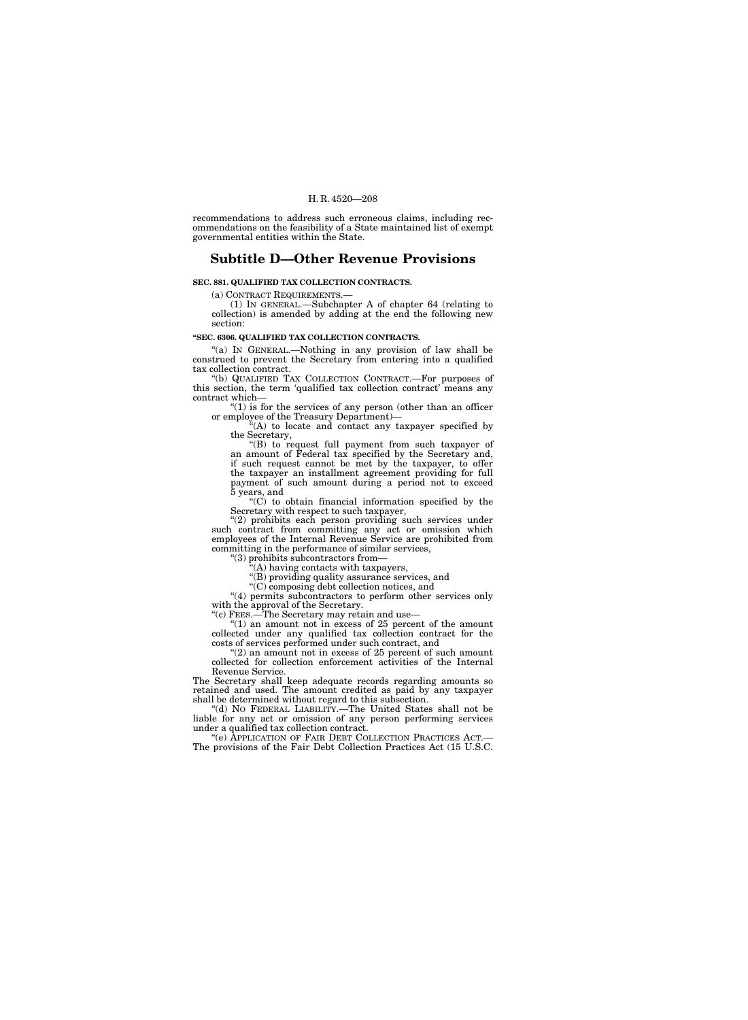recommendations to address such erroneous claims, including recommendations on the feasibility of a State maintained list of exempt governmental entities within the State.

# **Subtitle D—Other Revenue Provisions**

### **SEC. 881. QUALIFIED TAX COLLECTION CONTRACTS.**

(a) CONTRACT REQUIREMENTS.—

(1) IN GENERAL.—Subchapter A of chapter 64 (relating to collection) is amended by adding at the end the following new section:

### **''SEC. 6306. QUALIFIED TAX COLLECTION CONTRACTS.**

''(a) IN GENERAL.—Nothing in any provision of law shall be construed to prevent the Secretary from entering into a qualified tax collection contract.

(b) QUALIFIED TAX COLLECTION CONTRACT.—For purposes of this section, the term 'qualified tax collection contract' means any contract which—

 $(1)$  is for the services of any person (other than an officer or employee of the Treasury Department)—

 $*(A)$  to locate and contact any taxpayer specified by the Secretary,

''(B) to request full payment from such taxpayer of an amount of Federal tax specified by the Secretary and, if such request cannot be met by the taxpayer, to offer the taxpayer an installment agreement providing for full payment of such amount during a period not to exceed 5 years, and

 $(C)$  to obtain financial information specified by the Secretary with respect to such taxpayer,

'(2) prohibits each person providing such services under such contract from committing any act or omission which employees of the Internal Revenue Service are prohibited from committing in the performance of similar services,

''(3) prohibits subcontractors from— ''(A) having contacts with taxpayers,

"(B) providing quality assurance services, and

''(C) composing debt collection notices, and

''(4) permits subcontractors to perform other services only with the approval of the Secretary.

''(c) FEES.—The Secretary may retain and use—

"(1) an amount not in excess of 25 percent of the amount collected under any qualified tax collection contract for the

 $c$ <sup>e</sup>(2) an amount not in excess of 25 percent of such amount collected for collection enforcement activities of the Internal Revenue Service.

The Secretary shall keep adequate records regarding amounts so retained and used. The amount credited as paid by any taxpayer

shall be determined without regard to this subsection. "(d) NO FEDERAL LIABILITY.—The United States shall not be liable for any act or omission of any person performing services

under a qualified tax collection contract. ''(e) APPLICATION OF FAIR DEBT COLLECTION PRACTICES ACT.— The provisions of the Fair Debt Collection Practices Act (15 U.S.C.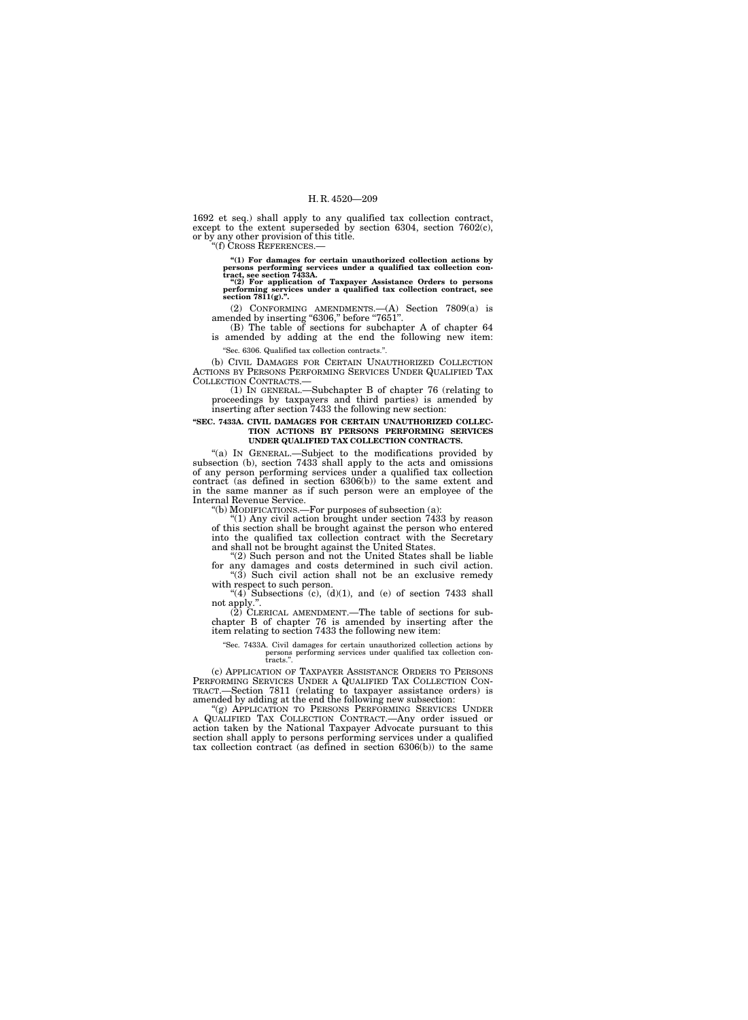1692 et seq.) shall apply to any qualified tax collection contract, except to the extent superseded by section 6304, section 7602(c), or by any other provision of this title.<br>"(f) CROSS REFERENCES.—

**''(1) For damages for certain unauthorized collection actions by** persons performing services under a qualified tax collection con-<br>tract, see section 7433A. **tract, see section 7433A. ''(2) For application of Taxpayer Assistance Orders to persons**

**performing services under a qualified tax collection contract, see section 7811(g).''.**

(2) CONFORMING AMENDMENTS.—(A) Section 7809(a) is amended by inserting "6306," before "7651".

(B) The table of sections for subchapter A of chapter  $64$ is amended by adding at the end the following new item: Sec. 6306. Qualified tax collection contracts.".

(b) CIVIL DAMAGES FOR CERTAIN UNAUTHORIZED COLLECTION ACTIONS BY PERSONS PERFORMING SERVICES UNDER QUALIFIED TAX

COLLECTION CONTRACTS.—<br>
(1) IN GENERAL.—Subchapter B of chapter 76 (relating to proceedings by taxpayers and third parties) is amended by inserting after section 7433 the following new section:

### **''SEC. 7433A. CIVIL DAMAGES FOR CERTAIN UNAUTHORIZED COLLEC-TION ACTIONS BY PERSONS PERFORMING SERVICES UNDER QUALIFIED TAX COLLECTION CONTRACTS.**

"(a) IN GENERAL.—Subject to the modifications provided by subsection (b), section 7433 shall apply to the acts and omissions of any person performing services under a qualified tax collection contract (as defined in section  $6306(b)$ ) to the same extent and in the same manner as if such person were an employee of the Internal Revenue Service.<br>"(b) MODIFICATIONS.—For purposes of subsection (a):<br>"(1) Any civil action brought under section 7433 by reason

of this section shall be brought against the person who entered into the qualified tax collection contract with the Secretary and shall not be brought against the United States.

 $f(2)$  Such person and not the United States shall be liable for any damages and costs determined in such civil action. "(3) Such civil action shall not be an exclusive remedy with respect to such person.

"(4) Subsections (c),  $(d)(1)$ , and (e) of section 7433 shall not apply.".<br>
(2) CLERICAL AMENDMENT.—The table of sections for sub-

chapter B of chapter 76 is amended by inserting after the item relating to section 7433 the following new item:

''Sec. 7433A. Civil damages for certain unauthorized collection actions by persons performing services under qualified tax collection contracts.''.

(c) APPLICATION OF TAXPAYER ASSISTANCE ORDERS TO PERSONS PERFORMING SERVICES UNDER A QUALIFIED TAX COLLECTION CONTRACT.—Section 7811 (relating to taxpayer assistance orders) is amended by adding at the end the following new subsection:

"(g) APPLICATION TO PERSONS PERFORMING SERVICES UNDER A QUALIFIED TAX COLLECTION CONTRACT.—Any order issued or action taken by the National Taxpayer Advocate pursuant to this section shall apply to persons performing services under a qualified tax collection contract (as defined in section 6306(b)) to the same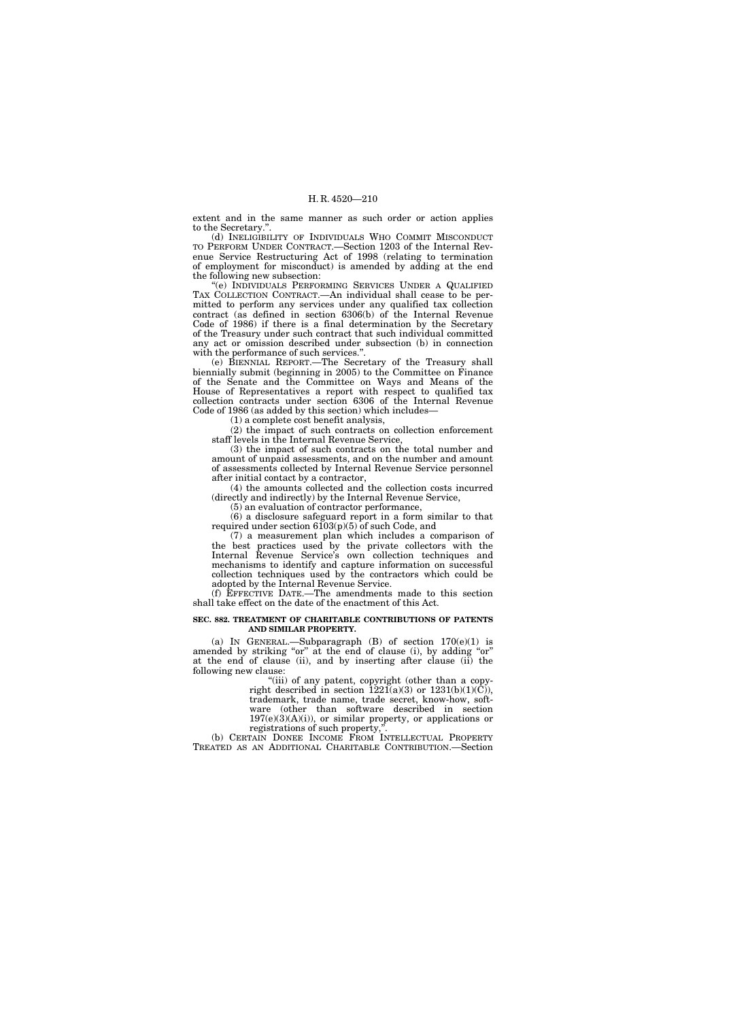extent and in the same manner as such order or action applies to the Secretary.''.

(d) INELIGIBILITY OF INDIVIDUALS WHO COMMIT MISCONDUCT TO PERFORM UNDER CONTRACT.—Section 1203 of the Internal Revenue Service Restructuring Act of 1998 (relating to termination of employment for misconduct) is amended by adding at the end the following new subsection:

''(e) INDIVIDUALS PERFORMING SERVICES UNDER A QUALIFIED TAX COLLECTION CONTRACT.—An individual shall cease to be permitted to perform any services under any qualified tax collection contract (as defined in section 6306(b) of the Internal Revenue Code of 1986) if there is a final determination by the Secretary of the Treasury under such contract that such individual committed any act or omission described under subsection (b) in connection with the performance of such services.''.

(e) BIENNIAL REPORT.—The Secretary of the Treasury shall biennially submit (beginning in 2005) to the Committee on Finance of the Senate and the Committee on Ways and Means of the House of Representatives a report with respect to qualified tax collection contracts under section 6306 of the Internal Revenue Code of 1986 (as added by this section) which includes—

(1) a complete cost benefit analysis,

(2) the impact of such contracts on collection enforcement staff levels in the Internal Revenue Service,

(3) the impact of such contracts on the total number and amount of unpaid assessments, and on the number and amount of assessments collected by Internal Revenue Service personnel after initial contact by a contractor,

(4) the amounts collected and the collection costs incurred (directly and indirectly) by the Internal Revenue Service,

(5) an evaluation of contractor performance, (6) a disclosure safeguard report in a form similar to that required under section 6103(p)(5) of such Code, and

(7) a measurement plan which includes a comparison of the best practices used by the private collectors with the Internal Revenue Service's own collection techniques and mechanisms to identify and capture information on successful collection techniques used by the contractors which could be adopted by the Internal Revenue Service.

(f) EFFECTIVE DATE.—The amendments made to this section shall take effect on the date of the enactment of this Act.

### **SEC. 882. TREATMENT OF CHARITABLE CONTRIBUTIONS OF PATENTS AND SIMILAR PROPERTY.**

(a) IN GENERAL.—Subparagraph  $(B)$  of section  $170(e)(1)$  is amended by striking "or" at the end of clause (i), by adding "or" at the end of clause (ii), and by inserting after clause (ii) the following new clause:

> "(iii) of any patent, copyright (other than a copyright described in section  $\overline{1221(a)(3)}$  or  $1231(b)(1)(\overline{C}))$ , trademark, trade name, trade secret, know-how, software (other than software described in section  $197(e)(3)(A)(i)$ , or similar property, or applications or registrations of such property,''.

(b) CERTAIN DONEE INCOME FROM INTELLECTUAL PROPERTY TREATED AS AN ADDITIONAL CHARITABLE CONTRIBUTION.—Section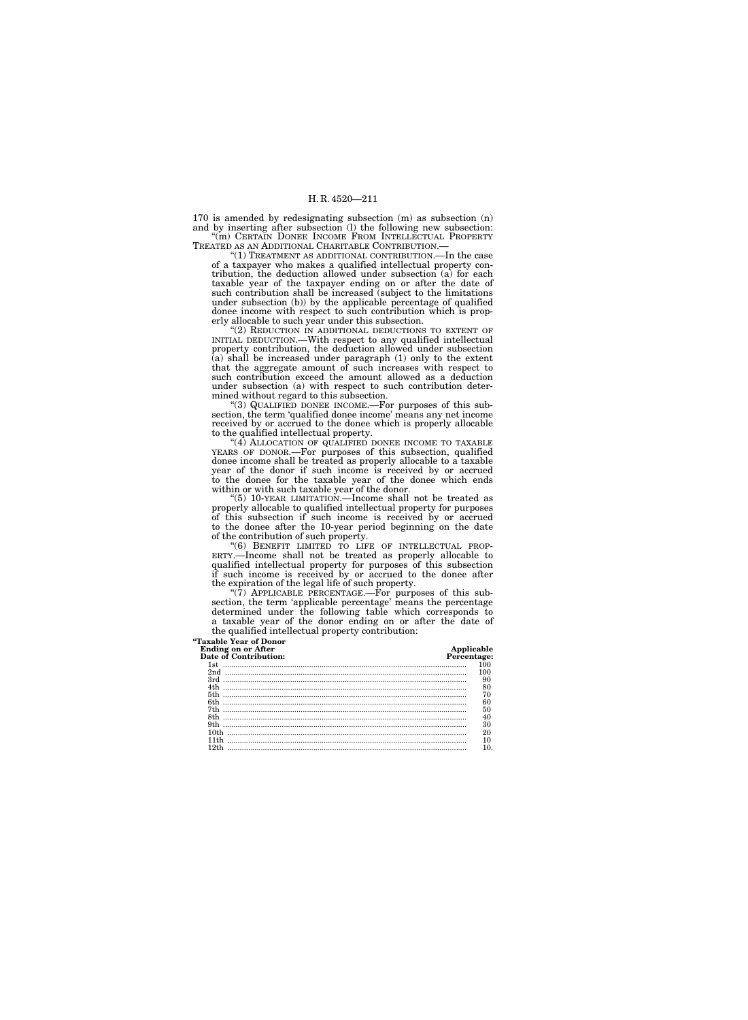170 is amended by redesignating subsection (m) as subsection (n) and by inserting after subsection (l) the following new subsection: "(m) CERTAIN DONEE INCOME FROM INTELLECTUAL PROPERTY TREATED AS AN ADDITIONAL CHARITABLE CONTRIBUTION.—

" $(1)$  TREATMENT AS ADDITIONAL CONTRIBUTION.—In the case of a taxpayer who makes a qualified intellectual property contribution, the deduction allowed under subsection (a) for each taxable year of the taxpayer ending on or after the date of such contribution shall be increased (subject to the limitations under subsection (b)) by the applicable percentage of qualified donee income with respect to such contribution which is properly allocable to such year under this subsection.

" $(2)$  REDUCTION IN ADDITIONAL DEDUCTIONS TO EXTENT OF INITIAL DEDUCTION.—With respect to any qualified intellectual property contribution, the deduction allowed under subsection (a) shall be increased under paragraph (1) only to the extent that the aggregate amount of such increases with respect to such contribution exceed the amount allowed as a deduction under subsection (a) with respect to such contribution determined without regard to this subsection.<br>
"(3) QUALIFIED DONEE INCOME.—For purposes of this sub-

section, the term 'qualified donee income' means any net income received by or accrued to the donee which is properly allocable to the qualified intellectual property.

"(4) ALLOCATION OF QUALIFIED DONEE INCOME TO TAXABLE YEARS OF DONOR.—For purposes of this subsection, qualified donee income shall be treated as properly allocable to a taxable year of the donor if such income is received by or accrued to the donee for the taxable year of the donee which ends within or with such taxable year of the donor.<br>"(5) 10-YEAR LIMITATION.—Income shall not be treated as

properly allocable to qualified intellectual property for purposes of this subsection if such income is received by or accrued to the donee after the 10-year period beginning on the date of the contribution of such property.<br>
"(6) BENEFIT LIMITED TO LIFE OF INTELLECTUAL PROP-

ERTY.—Income shall not be treated as properly allocable to qualified intellectual property for purposes of this subsection if such income is received by or accrued to the donee after the expiration of the legal life of such property.

 $t$ <sup>(7)</sup> APPLICABLE PERCENTAGE.—For purposes of this subsection, the term 'applicable percentage' means the percentage determined under the following table which corresponds to a taxable year of the donor ending on or after the date of the qualified intellectual property contribution:

**''Taxable Year of Donor**

| Ending on or After    | Applicable<br>Percentage: |
|-----------------------|---------------------------|
| Date of Contribution: |                           |
| 1st.                  | 100                       |
|                       | 100                       |
| 3rd                   | 90                        |
| 4th                   | 80                        |
|                       | 70                        |
|                       | 60                        |
| 7th                   | 50                        |
|                       | 40                        |
|                       | 30                        |
| 10 <sub>th</sub>      | 20                        |
| 11th                  | 10                        |
|                       | 10.                       |
|                       |                           |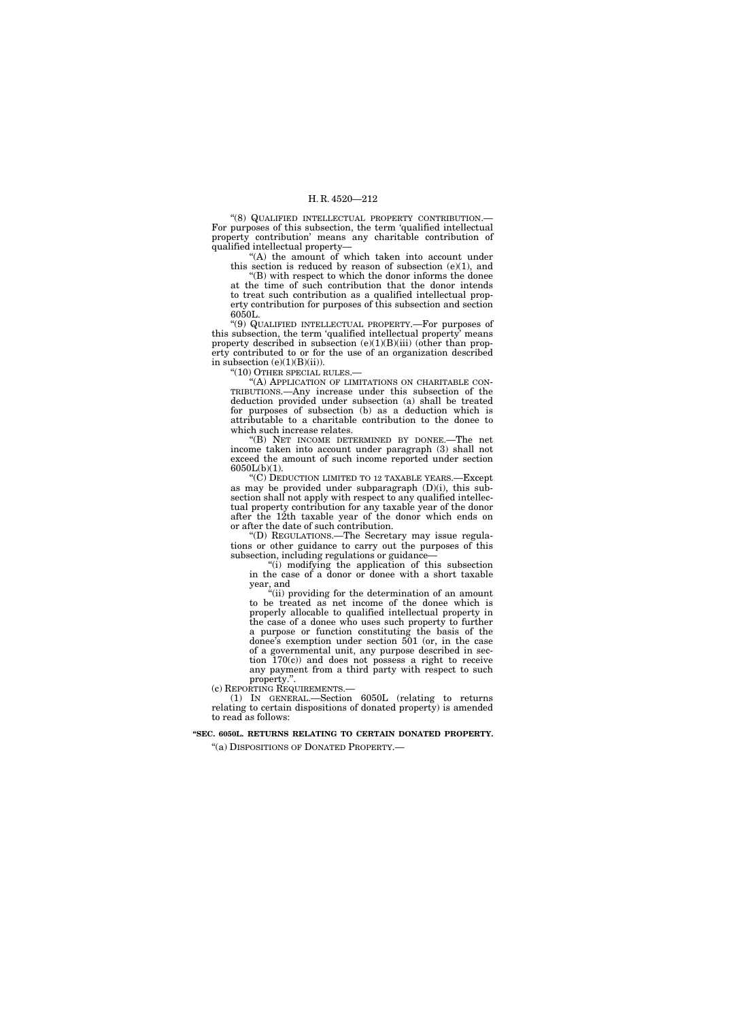''(8) QUALIFIED INTELLECTUAL PROPERTY CONTRIBUTION.— For purposes of this subsection, the term 'qualified intellectual property contribution' means any charitable contribution of qualified intellectual property—

"(A) the amount of which taken into account under this section is reduced by reason of subsection  $(e)(1)$ , and

''(B) with respect to which the donor informs the donee at the time of such contribution that the donor intends to treat such contribution as a qualified intellectual property contribution for purposes of this subsection and section 6050L.

''(9) QUALIFIED INTELLECTUAL PROPERTY.—For purposes of this subsection, the term 'qualified intellectual property' means property described in subsection (e)(1)(B)(iii) (other than property contributed to or for the use of an organization described in subsection  $(e)(1)(B)(ii)$ .

''(10) OTHER SPECIAL RULES.—

''(A) APPLICATION OF LIMITATIONS ON CHARITABLE CON-TRIBUTIONS.—Any increase under this subsection of the deduction provided under subsection (a) shall be treated for purposes of subsection (b) as a deduction which is attributable to a charitable contribution to the donee to which such increase relates.

''(B) NET INCOME DETERMINED BY DONEE.—The net income taken into account under paragraph (3) shall not exceed the amount of such income reported under section 6050L(b)(1).

''(C) DEDUCTION LIMITED TO 12 TAXABLE YEARS.—Except as may be provided under subparagraph (D)(i), this subsection shall not apply with respect to any qualified intellectual property contribution for any taxable year of the donor after the 12th taxable year of the donor which ends on or after the date of such contribution.

''(D) REGULATIONS.—The Secretary may issue regulations or other guidance to carry out the purposes of this subsection, including regulations or guidance—

''(i) modifying the application of this subsection in the case of a donor or donee with a short taxable year, and

''(ii) providing for the determination of an amount to be treated as net income of the donee which is properly allocable to qualified intellectual property in the case of a donee who uses such property to further a purpose or function constituting the basis of the donee's exemption under section 501 (or, in the case of a governmental unit, any purpose described in section 170(c)) and does not possess a right to receive any payment from a third party with respect to such property.''.

(c) REPORTING REQUIREMENTS.—

(1) IN GENERAL.—Section 6050L (relating to returns relating to certain dispositions of donated property) is amended to read as follows:

**''SEC. 6050L. RETURNS RELATING TO CERTAIN DONATED PROPERTY.**

''(a) DISPOSITIONS OF DONATED PROPERTY.—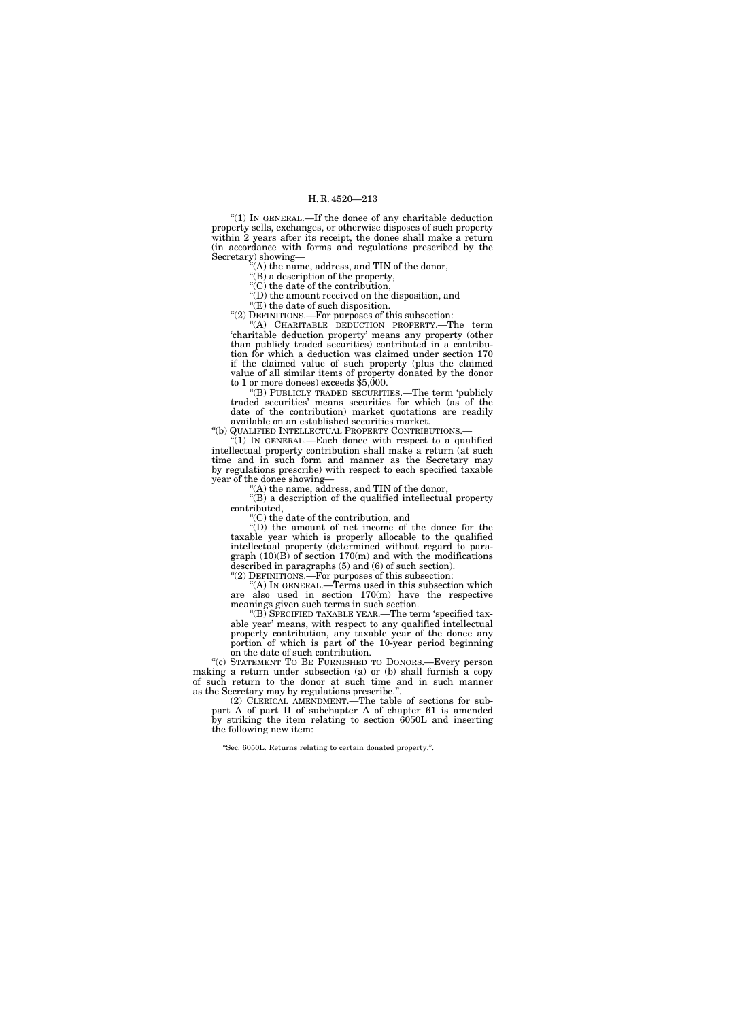''(1) IN GENERAL.—If the donee of any charitable deduction property sells, exchanges, or otherwise disposes of such property within 2 years after its receipt, the donee shall make a return (in accordance with forms and regulations prescribed by the Secretary) showing—

 $f(A)$  the name, address, and TIN of the donor,

''(B) a description of the property,

''(C) the date of the contribution,

''(D) the amount received on the disposition, and

"(E) the date of such disposition.

''(2) DEFINITIONS.—For purposes of this subsection: ''(A) CHARITABLE DEDUCTION PROPERTY.—The term 'charitable deduction property' means any property (other than publicly traded securities) contributed in a contribution for which a deduction was claimed under section 170 if the claimed value of such property (plus the claimed value of all similar items of property donated by the donor to 1 or more donees) exceeds  $$5,000$ .

''(B) PUBLICLY TRADED SECURITIES.—The term 'publicly traded securities' means securities for which (as of the date of the contribution) market quotations are readily available on an established securities market.

''(b) QUALIFIED INTELLECTUAL PROPERTY CONTRIBUTIONS.—

''(1) IN GENERAL.—Each donee with respect to a qualified intellectual property contribution shall make a return (at such time and in such form and manner as the Secretary may by regulations prescribe) with respect to each specified taxable year of the donee showing—

''(A) the name, address, and TIN of the donor,

"(B) a description of the qualified intellectual property contributed,

''(C) the date of the contribution, and

''(D) the amount of net income of the donee for the taxable year which is properly allocable to the qualified intellectual property (determined without regard to paragraph  $(10)(\overrightarrow{B})$  of section 170(m) and with the modifications described in paragraphs (5) and (6) of such section). " $(2)$  DEFINITIONS.—For purposes of this subsection:

''(A) IN GENERAL.—Terms used in this subsection which are also used in section 170(m) have the respective meanings given such terms in such section.

''(B) SPECIFIED TAXABLE YEAR.—The term 'specified taxable year' means, with respect to any qualified intellectual property contribution, any taxable year of the donee any portion of which is part of the 10-year period beginning on the date of such contribution.

''(c) STATEMENT TO BE FURNISHED TO DONORS.—Every person making a return under subsection (a) or (b) shall furnish a copy of such return to the donor at such time and in such manner as the Secretary may by regulations prescribe.''.

(2) CLERICAL AMENDMENT.—The table of sections for subpart A of part II of subchapter A of chapter 61 is amended by striking the item relating to section 6050L and inserting the following new item:

''Sec. 6050L. Returns relating to certain donated property.''.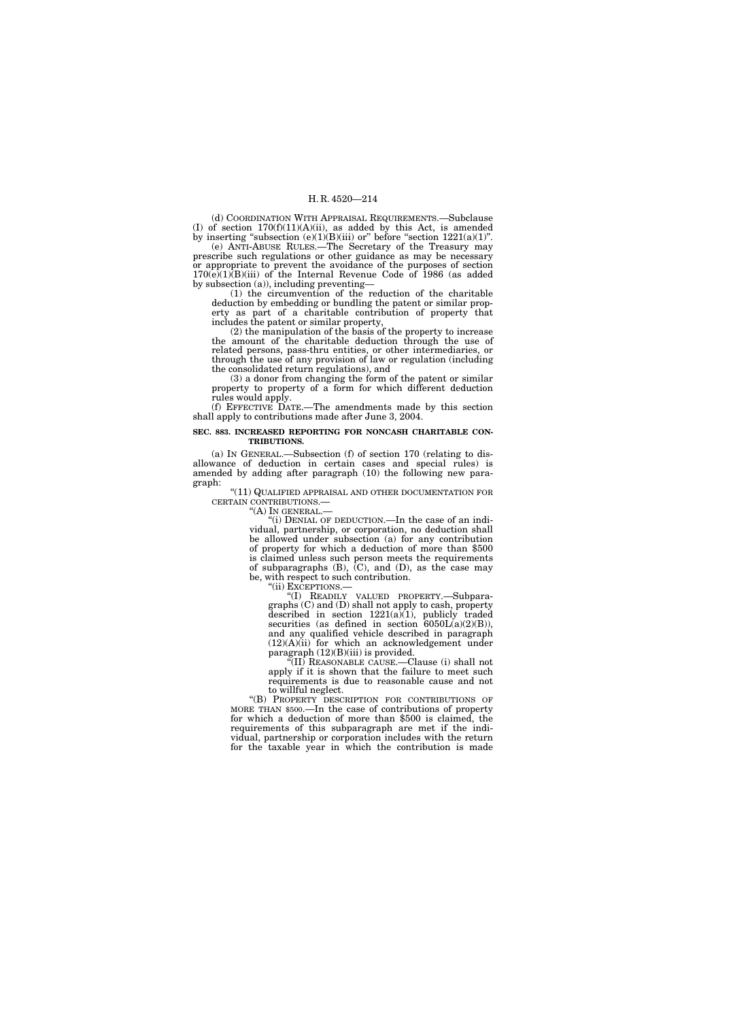(d) COORDINATION WITH APPRAISAL REQUIREMENTS.—Subclause (I) of section 170(f)(11)(A)(ii), as added by this Act, is amended by inserting "subsection  $(e)(1)(B)(iii)$  or" before "section  $1221(a)(1)$ ".

(e) ANTI-ABUSE RULES.—The Secretary of the Treasury may prescribe such regulations or other guidance as may be necessary or appropriate to prevent the avoidance of the purposes of section  $170(e)(1)(B)(iii)$  of the Internal Revenue Code of 1986 (as added by subsection (a)), including preventing—

(1) the circumvention of the reduction of the charitable deduction by embedding or bundling the patent or similar property as part of a charitable contribution of property that includes the patent or similar property,

(2) the manipulation of the basis of the property to increase the amount of the charitable deduction through the use of related persons, pass-thru entities, or other intermediaries, or through the use of any provision of law or regulation (including the consolidated return regulations), and

(3) a donor from changing the form of the patent or similar property to property of a form for which different deduction rules would apply.

(f) EFFECTIVE DATE.—The amendments made by this section shall apply to contributions made after June 3, 2004.

#### **SEC. 883. INCREASED REPORTING FOR NONCASH CHARITABLE CON-TRIBUTIONS.**

(a) IN GENERAL.—Subsection (f) of section 170 (relating to disallowance of deduction in certain cases and special rules) is amended by adding after paragraph (10) the following new paragraph:

''(11) QUALIFIED APPRAISAL AND OTHER DOCUMENTATION FOR CERTAIN CONTRIBUTIONS.—

"(A) IN GENERAL.-

'(i) DENIAL OF DEDUCTION.—In the case of an individual, partnership, or corporation, no deduction shall be allowed under subsection (a) for any contribution of property for which a deduction of more than \$500 is claimed unless such person meets the requirements of subparagraphs  $(B)$ ,  $(C)$ , and  $(D)$ , as the case may be, with respect to such contribution.

''(ii) EXCEPTIONS.—

''(I) READILY VALUED PROPERTY.—Subparagraphs (C) and (D) shall not apply to cash, property described in section  $1221(a)(1)$ , publicly traded securities (as defined in section  $6050L(a)(2)(B)$ ), and any qualified vehicle described in paragraph  $(12)(A)(ii)$  for which an acknowledgement under paragraph  $(12)(B)(iii)$  is provided. paragraph (12)(B)(iii) is provided. ''(II) REASONABLE CAUSE.—Clause (i) shall not

apply if it is shown that the failure to meet such requirements is due to reasonable cause and not to willful neglect.

''(B) PROPERTY DESCRIPTION FOR CONTRIBUTIONS OF MORE THAN \$500.—In the case of contributions of property for which a deduction of more than \$500 is claimed, the requirements of this subparagraph are met if the individual, partnership or corporation includes with the return for the taxable year in which the contribution is made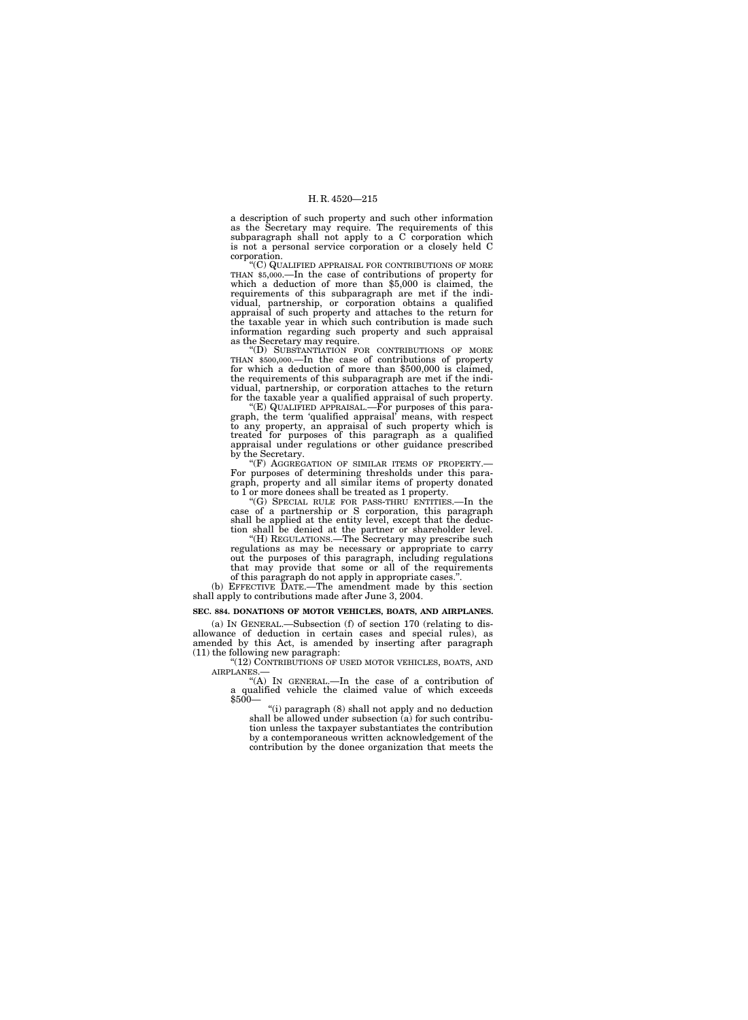a description of such property and such other information as the Secretary may require. The requirements of this subparagraph shall not apply to a C corporation which is not a personal service corporation or a closely held C corporation.

''(C) QUALIFIED APPRAISAL FOR CONTRIBUTIONS OF MORE THAN \$5,000.—In the case of contributions of property for which a deduction of more than \$5,000 is claimed, the requirements of this subparagraph are met if the individual, partnership, or corporation obtains a qualified appraisal of such property and attaches to the return for the taxable year in which such contribution is made such information regarding such property and such appraisal as the Secretary may require.

"(D) SUBSTANTIATION FOR CONTRIBUTIONS OF MORE THAN \$500,000.—In the case of contributions of property for which a deduction of more than  $$500,000$  is claimed, the requirements of this subparagraph are met if the individual, partnership, or corporation attaches to the return for the taxable year a qualified appraisal of such property. ''(E) QUALIFIED APPRAISAL.—For purposes of this para-

graph, the term 'qualified appraisal' means, with respect to any property, an appraisal of such property which is treated for purposes of this paragraph as a qualified appraisal under regulations or other guidance prescribed by the Secretary.

''(F) AGGREGATION OF SIMILAR ITEMS OF PROPERTY.— For purposes of determining thresholds under this paragraph, property and all similar items of property donated to 1 or more donees shall be treated as 1 property.

"(G) SPECIAL RULE FOR PASS-THRU ENTITIES.—In the case of a partnership or S corporation, this paragraph shall be applied at the entity level, except that the deduction shall be denied at the partner or shareholder level.

''(H) REGULATIONS.—The Secretary may prescribe such regulations as may be necessary or appropriate to carry out the purposes of this paragraph, including regulations that may provide that some or all of the requirements

of this paragraph do not apply in appropriate cases.''. (b) EFFECTIVE DATE.—The amendment made by this section shall apply to contributions made after June 3, 2004.

**SEC. 884. DONATIONS OF MOTOR VEHICLES, BOATS, AND AIRPLANES.**

(a) IN GENERAL.—Subsection (f) of section 170 (relating to disallowance of deduction in certain cases and special rules), as amended by this Act, is amended by inserting after paragraph (11) the following new paragraph:

 $"$ (12) CONTRIBUTIONS OF USED MOTOR VEHICLES, BOATS, AND AIRPLANES.—

"(A) In GENERAL.—In the case of a contribution of a qualified vehicle the claimed value of which exceeds

"(i) paragraph (8) shall not apply and no deduction shall be allowed under subsection (a) for such contribution unless the taxpayer substantiates the contribution by a contemporaneous written acknowledgement of the contribution by the donee organization that meets the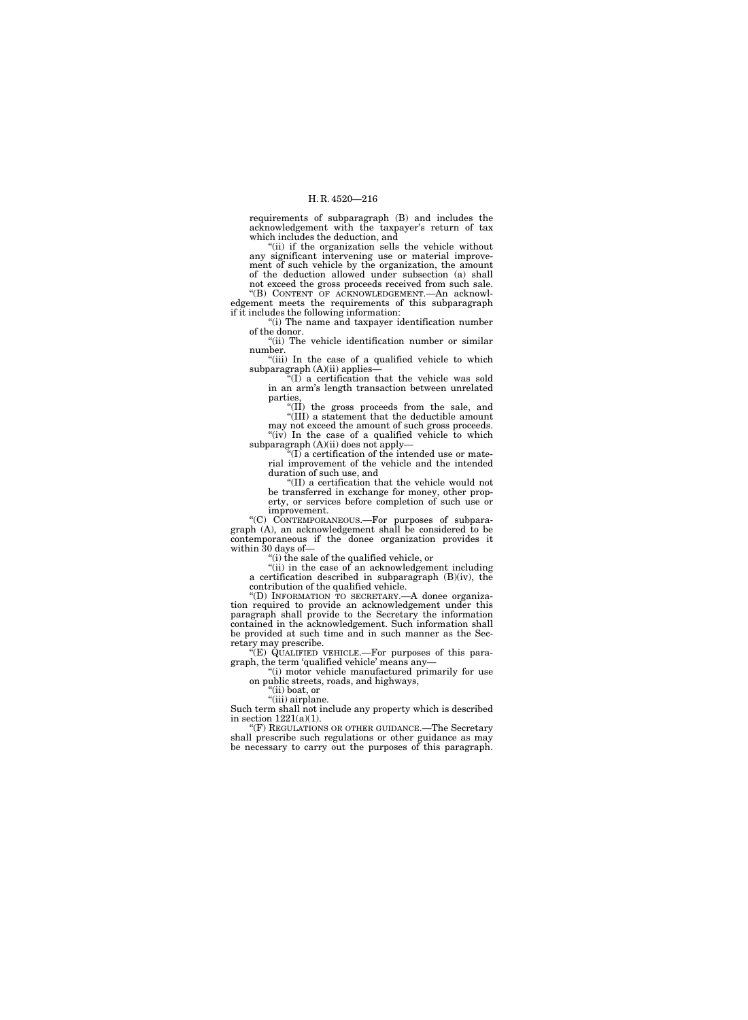requirements of subparagraph (B) and includes the acknowledgement with the taxpayer's return of tax which includes the deduction, and

"(ii) if the organization sells the vehicle without any significant intervening use or material improvement of such vehicle by the organization, the amount of the deduction allowed under subsection (a) shall

not exceed the gross proceeds received from such sale. ''(B) CONTENT OF ACKNOWLEDGEMENT.—An acknowl-

edgement meets the requirements of this subparagraph if it includes the following information: "(i) The name and taxpayer identification number

of the donor.

"(ii) The vehicle identification number or similar number.

"(iii) In the case of a qualified vehicle to which subparagraph (A)(ii) applies—

''(I) a certification that the vehicle was sold in an arm's length transaction between unrelated parties,

''(II) the gross proceeds from the sale, and ''(III) a statement that the deductible amount

may not exceed the amount of such gross proceeds. "(iv) In the case of a qualified vehicle to which subparagraph  $(A)(ii)$  does not apply—

 $\mathcal{S}(I)$  a certification of the intended use or material improvement of the vehicle and the intended

 $\sqrt[4]{(II)}$  a certification that the vehicle would not be transferred in exchange for money, other property, or services before completion of such use or

improvement.<br>"(C) CONTEMPORANEOUS.—For purposes of subparagraph (A), an acknowledgement shall be considered to be contemporaneous if the donee organization provides it within 30 days of—

''(i) the sale of the qualified vehicle, or

''(ii) in the case of an acknowledgement including a certification described in subparagraph (B)(iv), the contribution of the qualified vehicle.

''(D) INFORMATION TO SECRETARY.—A donee organization required to provide an acknowledgement under this paragraph shall provide to the Secretary the information contained in the acknowledgement. Such information shall be provided at such time and in such manner as the Sec-

retary may prescribe.<br>
"(E) QUALIFIED VEHICLE.—For purposes of this paragraph, the term 'qualified vehicle' means any—

"(i) motor vehicle manufactured primarily for use on public streets, roads, and highways,

''(ii) boat, or "(iii) airplane.

Such term shall not include any property which is described in section  $1221(a)(1)$ .

''(F) REGULATIONS OR OTHER GUIDANCE.—The Secretary shall prescribe such regulations or other guidance as may be necessary to carry out the purposes of this paragraph.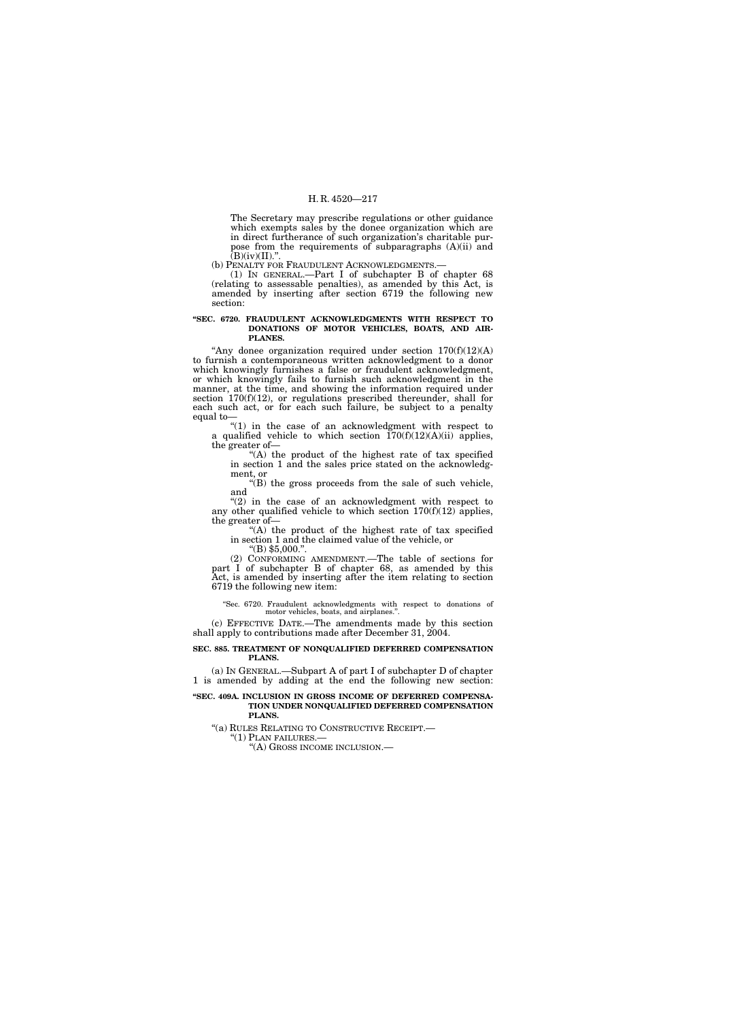The Secretary may prescribe regulations or other guidance which exempts sales by the donee organization which are in direct furtherance of such organization's charitable purpose from the requirements of subparagraphs  $(A)(ii)$  and  $(B)(iv)(II).$ ".

(b) PENALTY FOR FRAUDULENT ACKNOWLEDGMENTS.—

(1) IN GENERAL.—Part I of subchapter B of chapter 68 (relating to assessable penalties), as amended by this Act, is amended by inserting after section 6719 the following new section:

#### **''SEC. 6720. FRAUDULENT ACKNOWLEDGMENTS WITH RESPECT TO DONATIONS OF MOTOR VEHICLES, BOATS, AND AIR-PLANES.**

"Any donee organization required under section 170(f)(12)(A) to furnish a contemporaneous written acknowledgment to a donor which knowingly furnishes a false or fraudulent acknowledgment, or which knowingly fails to furnish such acknowledgment in the manner, at the time, and showing the information required under section 170(f)(12), or regulations prescribed thereunder, shall for each such act, or for each such failure, be subject to a penalty equal to—

"(1) in the case of an acknowledgment with respect to a qualified vehicle to which section  $\overline{170(f)(12)(A)(ii)}$  applies, the greater of—

''(A) the product of the highest rate of tax specified in section 1 and the sales price stated on the acknowledgment, or

 $\mathcal{H}(B)$  the gross proceeds from the sale of such vehicle, and

 $(2)$  in the case of an acknowledgment with respect to any other qualified vehicle to which section  $170(f)(12)$  applies, the greater of—

''(A) the product of the highest rate of tax specified in section 1 and the claimed value of the vehicle, or ''(B) \$5,000.''.

(2) CONFORMING AMENDMENT.—The table of sections for part I of subchapter B of chapter 68, as amended by this Act, is amended by inserting after the item relating to section 6719 the following new item:

''Sec. 6720. Fraudulent acknowledgments with respect to donations of motor vehicles, boats, and airplanes."

(c) EFFECTIVE DATE.—The amendments made by this section shall apply to contributions made after December 31, 2004.

### **SEC. 885. TREATMENT OF NONQUALIFIED DEFERRED COMPENSATION PLANS.**

(a) IN GENERAL.—Subpart A of part I of subchapter D of chapter 1 is amended by adding at the end the following new section:

**''SEC. 409A. INCLUSION IN GROSS INCOME OF DEFERRED COMPENSA-TION UNDER NONQUALIFIED DEFERRED COMPENSATION PLANS.**

''(a) RULES RELATING TO CONSTRUCTIVE RECEIPT.— ''(1) PLAN FAILURES.— ''(A) GROSS INCOME INCLUSION.—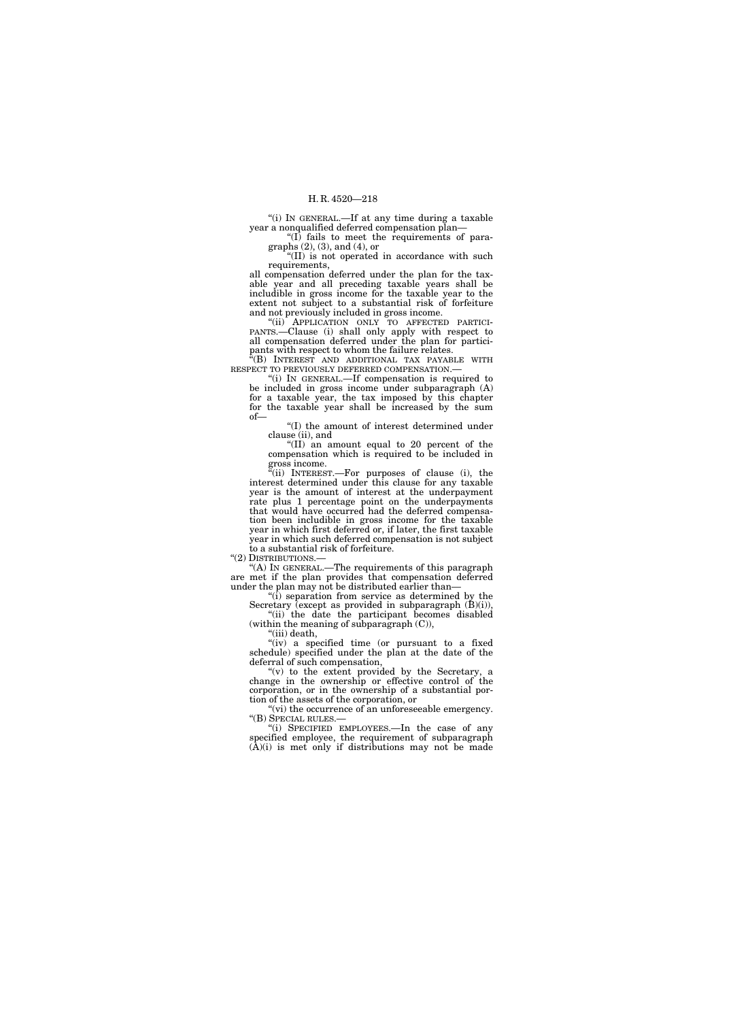''(i) IN GENERAL.—If at any time during a taxable year a nonqualified deferred compensation plan—

''(I) fails to meet the requirements of paragraphs  $(2)$ ,  $(3)$ , and  $(4)$ , or

''(II) is not operated in accordance with such requirements,

all compensation deferred under the plan for the taxable year and all preceding taxable years shall be includible in gross income for the taxable year to the extent not subject to a substantial risk of forfeiture and not previously included in gross income.

'(ii) APPLICATION ONLY TO AFFECTED PARTICI-PANTS.—Clause (i) shall only apply with respect to all compensation deferred under the plan for participants with respect to whom the failure relates.

"(B) INTEREST AND ADDITIONAL TAX PAYABLE WITH RESPECT TO PREVIOUSLY DEFERRED COMPENSATION.—<br>"(i) IN GENERAL.—If compensation is required to

be included in gross income under subparagraph (A) for a taxable year, the tax imposed by this chapter for the taxable year shall be increased by the sum of—

''(I) the amount of interest determined under clause (ii), and

''(II) an amount equal to 20 percent of the compensation which is required to be included in gross income.

 $\ddot{f}$ (ii) INTEREST.—For purposes of clause (i), the interest determined under this clause for any taxable year is the amount of interest at the underpayment rate plus 1 percentage point on the underpayments that would have occurred had the deferred compensation been includible in gross income for the taxable year in which first deferred or, if later, the first taxable year in which such deferred compensation is not subject to a substantial risk of forfeiture.<br>"(2) DISTRIBUTIONS.—

"(A) IN GENERAL.—The requirements of this paragraph are met if the plan provides that compensation deferred under the plan may not be distributed earlier than—

" $(i)$  separation from service as determined by the Secretary (except as provided in subparagraph (B)(i)), ''(ii) the date the participant becomes disabled

(within the meaning of subparagraph (C)), ''(iii) death,

"(iv) a specified time (or pursuant to a fixed schedule) specified under the plan at the date of the deferral of such compensation,

 $(v)$  to the extent provided by the Secretary, a change in the ownership or effective control of the corporation, or in the ownership of a substantial portion of the assets of the corporation, or

"(vi) the occurrence of an unforeseeable emergency.<br>"(B) SPECIAL RULES.—

"(i) SPECIFIED EMPLOYEES.—In the case of any specified employee, the requirement of subparagraph (A)(i) is met only if distributions may not be made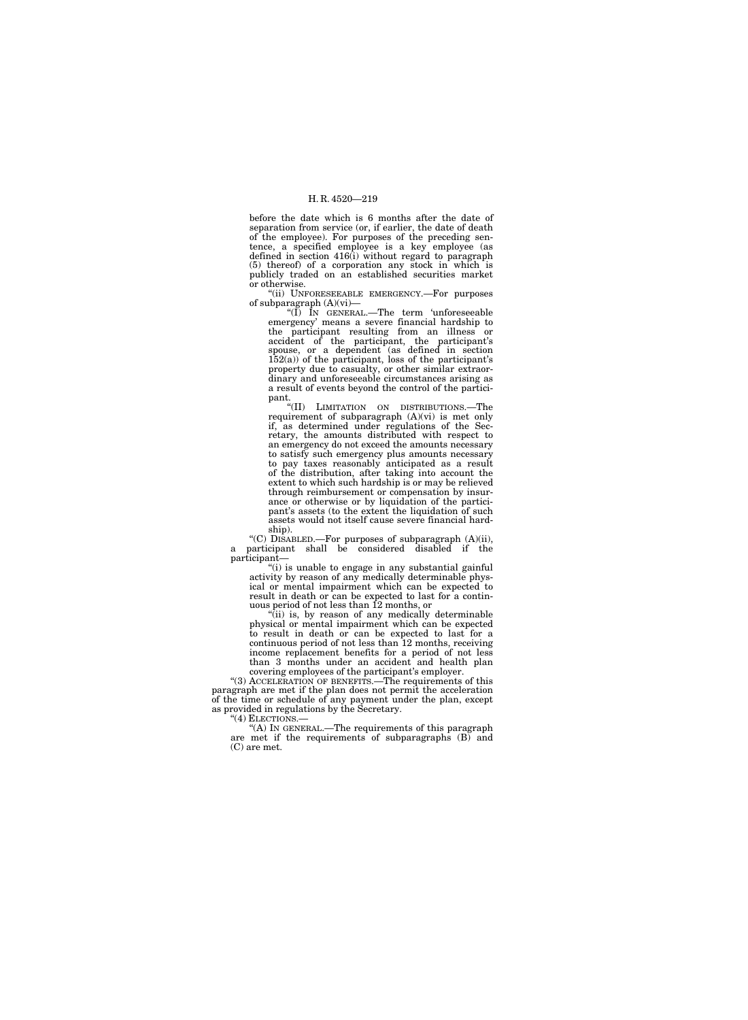before the date which is 6 months after the date of separation from service (or, if earlier, the date of death of the employee). For purposes of the preceding sentence, a specified employee is a key employee (as defined in section 416(i) without regard to paragraph (5) thereof) of a corporation any stock in which is publicly traded on an established securities market or otherwise.

''(ii) UNFORESEEABLE EMERGENCY.—For purposes of subparagraph (A)(vi)—

''(I) IN GENERAL.—The term 'unforeseeable emergency' means a severe financial hardship to the participant resulting from an illness or accident of the participant, the participant's spouse, or a dependent (as defined in section  $152(a)$ ) of the participant, loss of the participant's property due to casualty, or other similar extraordinary and unforeseeable circumstances arising as a result of events beyond the control of the participant.

''(II) LIMITATION ON DISTRIBUTIONS.—The requirement of subparagraph (A)(vi) is met only if, as determined under regulations of the Secretary, the amounts distributed with respect to an emergency do not exceed the amounts necessary to satisfy such emergency plus amounts necessary to pay taxes reasonably anticipated as a result of the distribution, after taking into account the extent to which such hardship is or may be relieved through reimbursement or compensation by insurance or otherwise or by liquidation of the participant's assets (to the extent the liquidation of such assets would not itself cause severe financial hardship).

''(C) DISABLED.—For purposes of subparagraph (A)(ii), a participant shall be considered disabled if the participant—<br>"(i) is unable to engage in any substantial gainful

activity by reason of any medically determinable physical or mental impairment which can be expected to result in death or can be expected to last for a continuous period of not less than 12 months, or<br>"(ii) is, by reason of any medically determinable

physical or mental impairment which can be expected to result in death or can be expected to last for a continuous period of not less than 12 months, receiving income replacement benefits for a period of not less than 3 months under an accident and health plan covering employees of the participant's employer.

"(3) ACCELERATION OF BENEFITS.—The requirements of this paragraph are met if the plan does not permit the acceleration of the time or schedule of any payment under the plan, except as provided in regulations by the Secretary.

(4) ELECTIONS.—<br>"(A) IN GENERAL.—The requirements of this paragraph" are met if the requirements of subparagraphs (B) and (C) are met.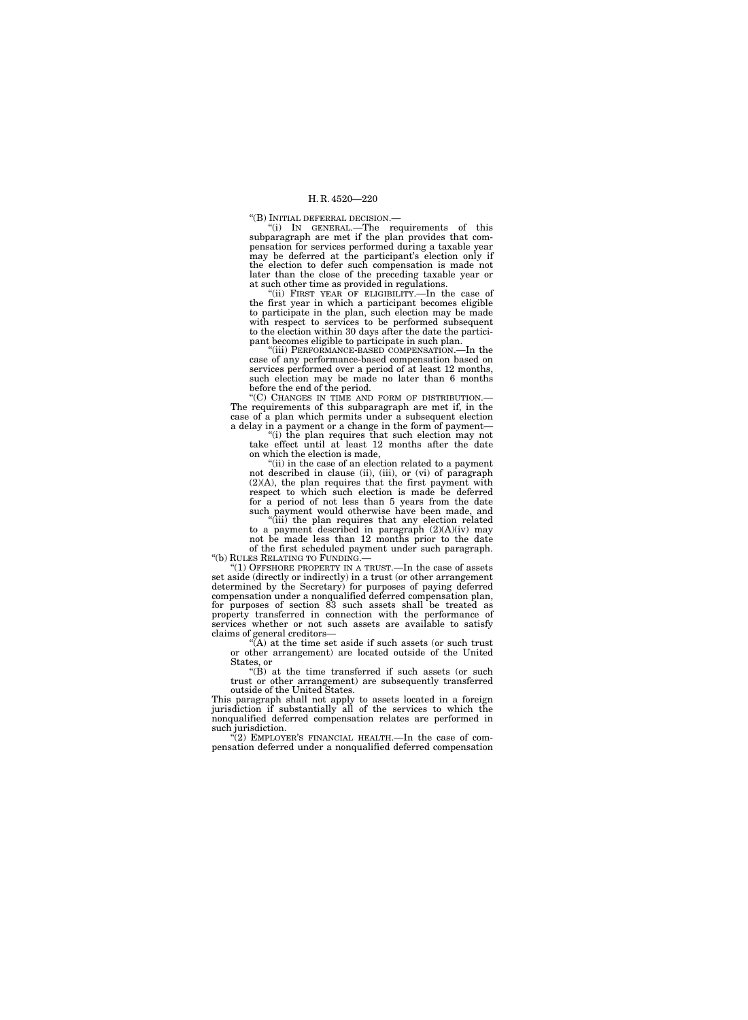''(B) INITIAL DEFERRAL DECISION.—

"(i) In GENERAL.—The requirements of this subparagraph are met if the plan provides that compensation for services performed during a taxable year may be deferred at the participant's election only if the election to defer such compensation is made not later than the close of the preceding taxable year or at such other time as provided in regulations.

"(ii) FIRST YEAR OF ELIGIBILITY.—In the case of the first year in which a participant becomes eligible to participate in the plan, such election may be made with respect to services to be performed subsequent to the election within 30 days after the date the participant becomes eligible to participate in such plan.

"(iii) PERFORMANCE-BASED COMPENSATION.—In the case of any performance-based compensation based on services performed over a period of at least 12 months, such election may be made no later than 6 months before the end of the period.<br>"(C) CHANGES IN TIME AND FORM OF DISTRIBUTION.—

The requirements of this subparagraph are met if, in the case of a plan which permits under a subsequent election a delay in a payment or a change in the form of payment—

(i) the plan requires that such election may not take effect until at least 12 months after the date on which the election is made,

''(ii) in the case of an election related to a payment

not described in clause (ii), (iii), or (vi) of paragraph (2)(A), the plan requires that the first payment with respect to which such election is made be deferred for a period of not less than 5 years from the date such payment would otherwise have been made, and ''(iii) the plan requires that any election related

to a payment described in paragraph  $(2)(A)(iv)$  may not be made less than 12 months prior to the date of the first scheduled payment under such paragraph.<br>"(b) RULES RELATING TO FUNDING.—

"(1) OFFSHORE PROPERTY IN A TRUST.—In the case of assets set aside (directly or indirectly) in a trust (or other arrangement determined by the Secretary) for purposes of paying deferred compensation under a nonqualified deferred compensation plan, for purposes of section 83 such assets shall be treated as property transferred in connection with the performance of services whether or not such assets are available to satisfy claims of general creditors—

 $\sqrt{\left(\text{A}\right)}$  at the time set aside if such assets (or such trust or other arrangement) are located outside of the United States, or

" $(B)$  at the time transferred if such assets (or such trust or other arrangement) are subsequently transferred outside of the United States.

This paragraph shall not apply to assets located in a foreign jurisdiction if substantially all of the services to which the nonqualified deferred compensation relates are performed in such jurisdiction.

 $\cdot$ (2) EMPLOYER'S FINANCIAL HEALTH.—In the case of compensation deferred under a nonqualified deferred compensation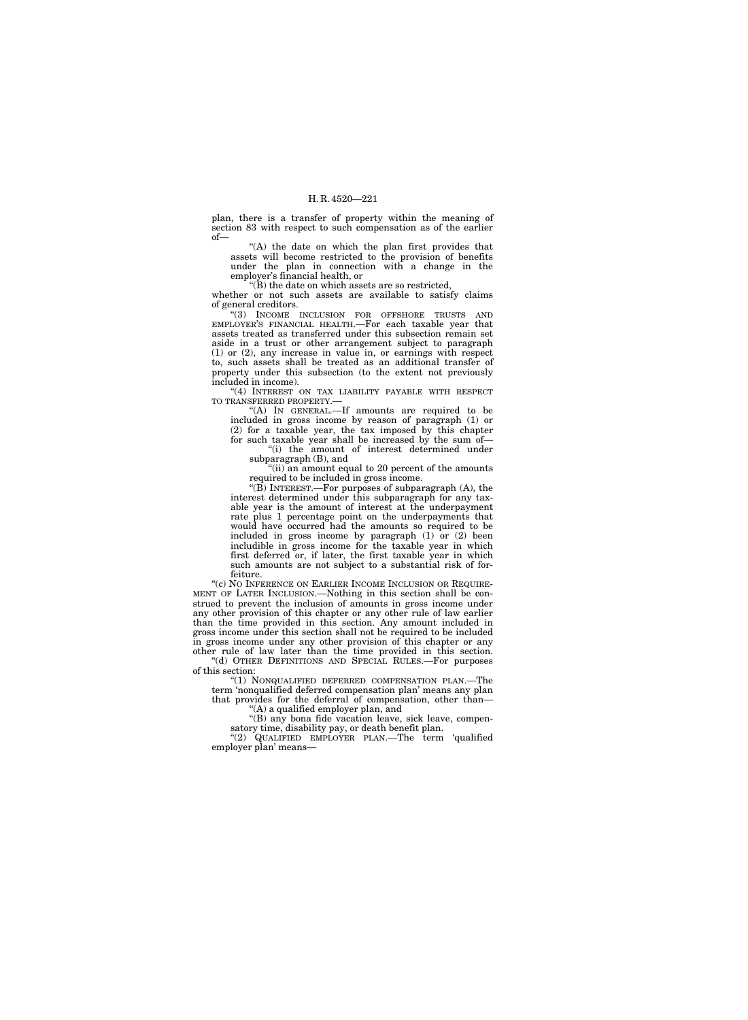plan, there is a transfer of property within the meaning of section 83 with respect to such compensation as of the earlier of—

"(A) the date on which the plan first provides that assets will become restricted to the provision of benefits under the plan in connection with a change in the employer's financial health, or

''(B) the date on which assets are so restricted,

whether or not such assets are available to satisfy claims of general creditors.

''(3) INCOME INCLUSION FOR OFFSHORE TRUSTS AND EMPLOYER'S FINANCIAL HEALTH.—For each taxable year that assets treated as transferred under this subsection remain set aside in a trust or other arrangement subject to paragraph (1) or (2), any increase in value in, or earnings with respect to, such assets shall be treated as an additional transfer of property under this subsection (to the extent not previously included in income).

"(4) INTEREST ON TAX LIABILITY PAYABLE WITH RESPECT TO TRANSFERRED PROPERTY.—

"(A) IN GENERAL.—If amounts are required to be included in gross income by reason of paragraph (1) or (2) for a taxable year, the tax imposed by this chapter for such taxable year shall be increased by the sum of— ''(i) the amount of interest determined under

subparagraph (B), and

''(ii) an amount equal to 20 percent of the amounts required to be included in gross income.

''(B) INTEREST.—For purposes of subparagraph (A), the interest determined under this subparagraph for any taxable year is the amount of interest at the underpayment rate plus 1 percentage point on the underpayments that would have occurred had the amounts so required to be included in gross income by paragraph  $(1)$  or  $(2)$  been includible in gross income for the taxable year in which first deferred or, if later, the first taxable year in which such amounts are not subject to a substantial risk of forfeiture.

''(c) NO INFERENCE ON EARLIER INCOME INCLUSION OR REQUIRE-MENT OF LATER INCLUSION.—Nothing in this section shall be construed to prevent the inclusion of amounts in gross income under any other provision of this chapter or any other rule of law earlier than the time provided in this section. Any amount included in gross income under this section shall not be required to be included in gross income under any other provision of this chapter or any other rule of law later than the time provided in this section. ''(d) OTHER DEFINITIONS AND SPECIAL RULES.—For purposes of this section:

''(1) NONQUALIFIED DEFERRED COMPENSATION PLAN.—The term 'nonqualified deferred compensation plan' means any plan that provides for the deferral of compensation, other than— ''(A) a qualified employer plan, and

''(B) any bona fide vacation leave, sick leave, compen-

satory time, disability pay, or death benefit plan. ''(2) QUALIFIED EMPLOYER PLAN.—The term 'qualified employer plan' means—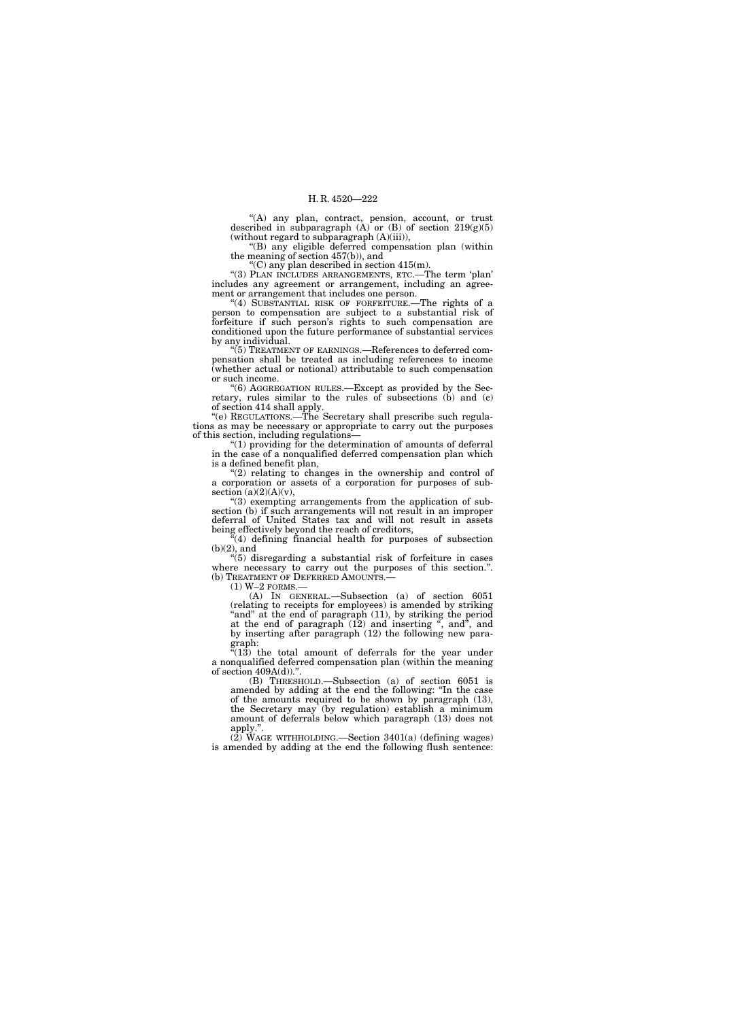''(A) any plan, contract, pension, account, or trust described in subparagraph  $(A)$  or  $(B)$  of section  $219(g)(5)$ (without regard to subparagraph (A)(iii)),

''(B) any eligible deferred compensation plan (within the meaning of section 457(b)), and

 $\rm ^{\rm ^{\rm {sc}}}$ (C) any plan described in section 415(m).

''(3) PLAN INCLUDES ARRANGEMENTS, ETC.—The term 'plan' includes any agreement or arrangement, including an agreement or arrangement that includes one person.

"(4) SUBSTANTIAL RISK OF FORFEITURE.—The rights of a person to compensation are subject to a substantial risk of forfeiture if such person's rights to such compensation are conditioned upon the future performance of substantial services by any individual.

''(5) TREATMENT OF EARNINGS.—References to deferred compensation shall be treated as including references to income (whether actual or notional) attributable to such compensation or such income.

''(6) AGGREGATION RULES.—Except as provided by the Secretary, rules similar to the rules of subsections  $(b)$  and  $(c)$ of section 414 shall apply.

''(e) REGULATIONS.—The Secretary shall prescribe such regulations as may be necessary or appropriate to carry out the purposes of this section, including regulations—

 $''(1)$  providing for the determination of amounts of deferral in the case of a nonqualified deferred compensation plan which is a defined benefit plan,

 $(2)$  relating to changes in the ownership and control of a corporation or assets of a corporation for purposes of subsection  $(a)(2)(A)(v)$ ,

 $(3)$  exempting arrangements from the application of subsection (b) if such arrangements will not result in an improper deferral of United States tax and will not result in assets being effectively beyond the reach of creditors,

 $(4)$  defining financial health for purposes of subsection (b)(2), and

''(5) disregarding a substantial risk of forfeiture in cases where necessary to carry out the purposes of this section.''. (b) TREATMENT OF DEFERRED AMOUNTS.—

(1) W–2 FORMS.—

(A) IN GENERAL.—Subsection (a) of section 6051 (relating to receipts for employees) is amended by striking "and" at the end of paragraph (11), by striking the period at the end of paragraph  $(12)$  and inserting  $\degree$ , and  $\degree$ , and by inserting after paragraph (12) the following new paragraph:

 $\tilde{f}(13)$  the total amount of deferrals for the year under a nonqualified deferred compensation plan (within the meaning of section  $409A(d)$ ).".

(B) THRESHOLD.—Subsection (a) of section  $6051$  is amended by adding at the end the following: ''In the case of the amounts required to be shown by paragraph (13), the Secretary may (by regulation) establish a minimum amount of deferrals below which paragraph (13) does not

apply.''. (2) WAGE WITHHOLDING.—Section 3401(a) (defining wages) is amended by adding at the end the following flush sentence: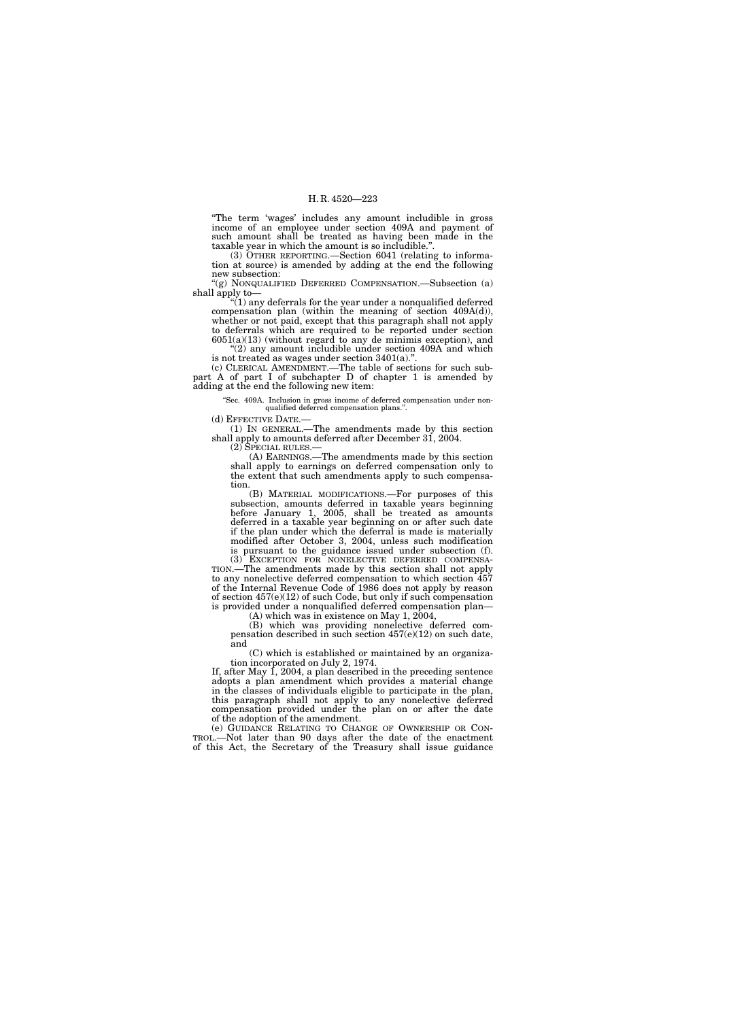''The term 'wages' includes any amount includible in gross income of an employee under section 409A and payment of such amount shall be treated as having been made in the taxable year in which the amount is so includible.".

(3) OTHER REPORTING.—Section  $6041$  (relating to information at source) is amended by adding at the end the following new subsection:

"(g) NONQUALIFIED DEFERRED COMPENSATION.—Subsection (a) shall apply to—

 $\hat{\mathbf{r}}(1)$  any deferrals for the year under a nonqualified deferred compensation plan (within the meaning of section 409A(d)), whether or not paid, except that this paragraph shall not apply to deferrals which are required to be reported under section  $6051(a)(13)$  (without regard to any de minimis exception), and "(2) any amount includible under section 409A and which is not treated as wages under section  $3401(a)$ ."

(c) CLERICAL AMENDMENT.—The table of sections for such subpart A of part I of subchapter D of chapter 1 is amended by adding at the end the following new item:

''Sec. 409A. Inclusion in gross income of deferred compensation under nonqualified deferred compensation plans.''.

(d) EFFECTIVE DATE.— (1) IN GENERAL.—The amendments made by this section shall apply to amounts deferred after December 31, 2004.<br>(2) SPECIAL RULES.—

(A) EARNINGS.—The amendments made by this section shall apply to earnings on deferred compensation only to the extent that such amendments apply to such compensation.

(B) MATERIAL MODIFICATIONS.—For purposes of this subsection, amounts deferred in taxable years beginning before January 1, 2005, shall be treated as amounts deferred in a taxable year beginning on or after such date if the plan under which the deferral is made is materially modified after October 3, 2004, unless such modification is pursuant to the guidance issued under subsection (f).<br>(3) EXCEPTION FOR NONELECTIVE DEFERRED COMPENSA-

TION.—The amendments made by this section shall not apply to any nonelective deferred compensation to which section 457 of the Internal Revenue Code of 1986 does not apply by reason of section 457(e)(12) of such Code, but only if such compensation is provided under a nonqualified deferred compensation plan— (A) which was in existence on May 1, 2004,

(B) which was providing nonelective deferred compensation described in such section  $457(e)(12)$  on such date, and

(C) which is established or maintained by an organization incorporated on July 2, 1974.

If, after May  $\dot{1}$ , 2004, a plan described in the preceding sentence adopts a plan amendment which provides a material change in the classes of individuals eligible to participate in the plan, this paragraph shall not apply to any nonelective deferred compensation provided under the plan on or after the date of the adoption of the amendment.

(e) GUIDANCE RELATING TO CHANGE OF OWNERSHIP OR CON-TROL.—Not later than 90 days after the date of the enactment of this Act, the Secretary of the Treasury shall issue guidance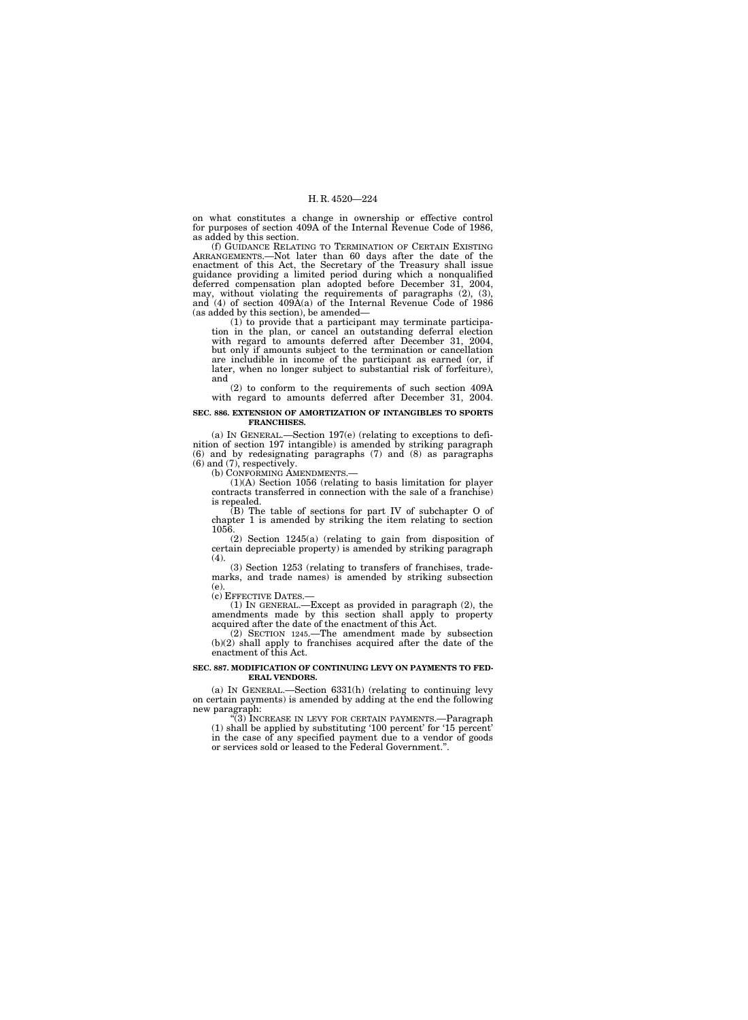on what constitutes a change in ownership or effective control for purposes of section 409A of the Internal Revenue Code of 1986, as added by this section.

(f) GUIDANCE RELATING TO TERMINATION OF CERTAIN EXISTING ARRANGEMENTS.—Not later than 60 days after the date of the enactment of this Act, the Secretary of the Treasury shall issue guidance providing a limited period during which a nonqualified deferred compensation plan adopted before December 31, 2004, may, without violating the requirements of paragraphs (2), (3), and (4) of section 409A(a) of the Internal Revenue Code of 1986 (as added by this section), be amended—

(1) to provide that a participant may terminate participation in the plan, or cancel an outstanding deferral election with regard to amounts deferred after December 31, 2004, but only if amounts subject to the termination or cancellation are includible in income of the participant as earned (or, if later, when no longer subject to substantial risk of forfeiture), and

(2) to conform to the requirements of such section 409A with regard to amounts deferred after December 31, 2004.

#### **SEC. 886. EXTENSION OF AMORTIZATION OF INTANGIBLES TO SPORTS FRANCHISES.**

(a) IN GENERAL.—Section 197(e) (relating to exceptions to definition of section 197 intangible) is amended by striking paragraph (6) and by redesignating paragraphs (7) and (8) as paragraphs (6) and (7), respectively.

(b) CONFORMING AMENDMENTS.—

(1)(A) Section 1056 (relating to basis limitation for player contracts transferred in connection with the sale of a franchise) is repealed.

(B) The table of sections for part IV of subchapter O of chapter 1 is amended by striking the item relating to section 1056.

(2) Section 1245(a) (relating to gain from disposition of certain depreciable property) is amended by striking paragraph  $(4).$ 

(3) Section 1253 (relating to transfers of franchises, trademarks, and trade names) is amended by striking subsection (e).

(c) EFFECTIVE DATES.—

(1) IN GENERAL.—Except as provided in paragraph (2), the amendments made by this section shall apply to property acquired after the date of the enactment of this Act.

(2) SECTION 1245.—The amendment made by subsection (b)(2) shall apply to franchises acquired after the date of the enactment of this Act.

#### **SEC. 887. MODIFICATION OF CONTINUING LEVY ON PAYMENTS TO FED-ERAL VENDORS.**

(a) IN GENERAL.—Section 6331(h) (relating to continuing levy on certain payments) is amended by adding at the end the following

new paragraph:<br>
"(3) INCREASE IN LEVY FOR CERTAIN PAYMENTS.—Paragraph<br>
(1) shall be applied by substituting '100 percent' for '15 percent' in the case of any specified payment due to a vendor of goods or services sold or leased to the Federal Government.''.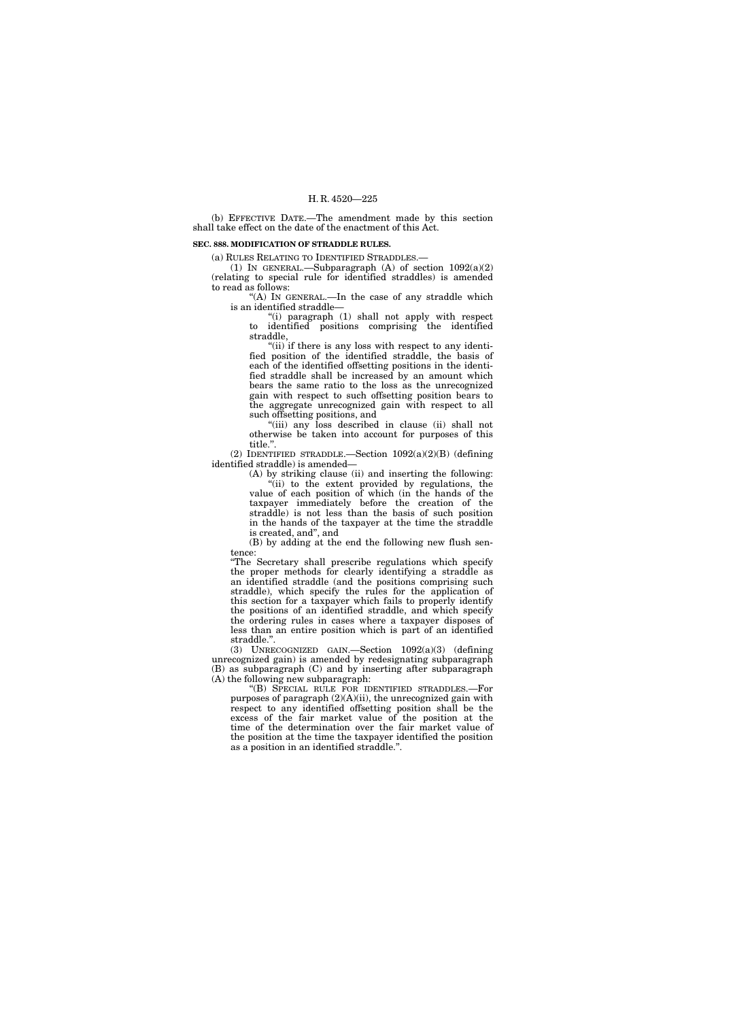(b) EFFECTIVE DATE.—The amendment made by this section shall take effect on the date of the enactment of this Act.

### **SEC. 888. MODIFICATION OF STRADDLE RULES.**

(a) RULES RELATING TO IDENTIFIED STRADDLES.—

(1) IN GENERAL.—Subparagraph (A) of section 1092(a)(2) (relating to special rule for identified straddles) is amended to read as follows:

"(A) IN GENERAL.—In the case of any straddle which is an identified straddle—

''(i) paragraph (1) shall not apply with respect to identified positions comprising the identified straddle,

"(ii) if there is any loss with respect to any identified position of the identified straddle, the basis of each of the identified offsetting positions in the identified straddle shall be increased by an amount which bears the same ratio to the loss as the unrecognized gain with respect to such offsetting position bears to the aggregate unrecognized gain with respect to all such offsetting positions, and

"(iii) any loss described in clause (ii) shall not otherwise be taken into account for purposes of this title.''.

(2) IDENTIFIED STRADDLE.—Section 1092(a)(2)(B) (defining identified straddle) is amended—

(A) by striking clause (ii) and inserting the following: "(ii) to the extent provided by regulations, the value of each position of which (in the hands of the taxpayer immediately before the creation of the straddle) is not less than the basis of such position in the hands of the taxpayer at the time the straddle is created, and'', and

(B) by adding at the end the following new flush sentence:

''The Secretary shall prescribe regulations which specify the proper methods for clearly identifying a straddle as an identified straddle (and the positions comprising such straddle), which specify the rules for the application of this section for a taxpayer which fails to properly identify the positions of an identified straddle, and which specify the ordering rules in cases where a taxpayer disposes of less than an entire position which is part of an identified straddle.''.

(3) UNRECOGNIZED GAIN.—Section 1092(a)(3) (defining unrecognized gain) is amended by redesignating subparagraph (B) as subparagraph (C) and by inserting after subparagraph (A) the following new subparagraph:

''(B) SPECIAL RULE FOR IDENTIFIED STRADDLES.—For purposes of paragraph (2)(A)(ii), the unrecognized gain with respect to any identified offsetting position shall be the excess of the fair market value of the position at the time of the determination over the fair market value of the position at the time the taxpayer identified the position as a position in an identified straddle.''.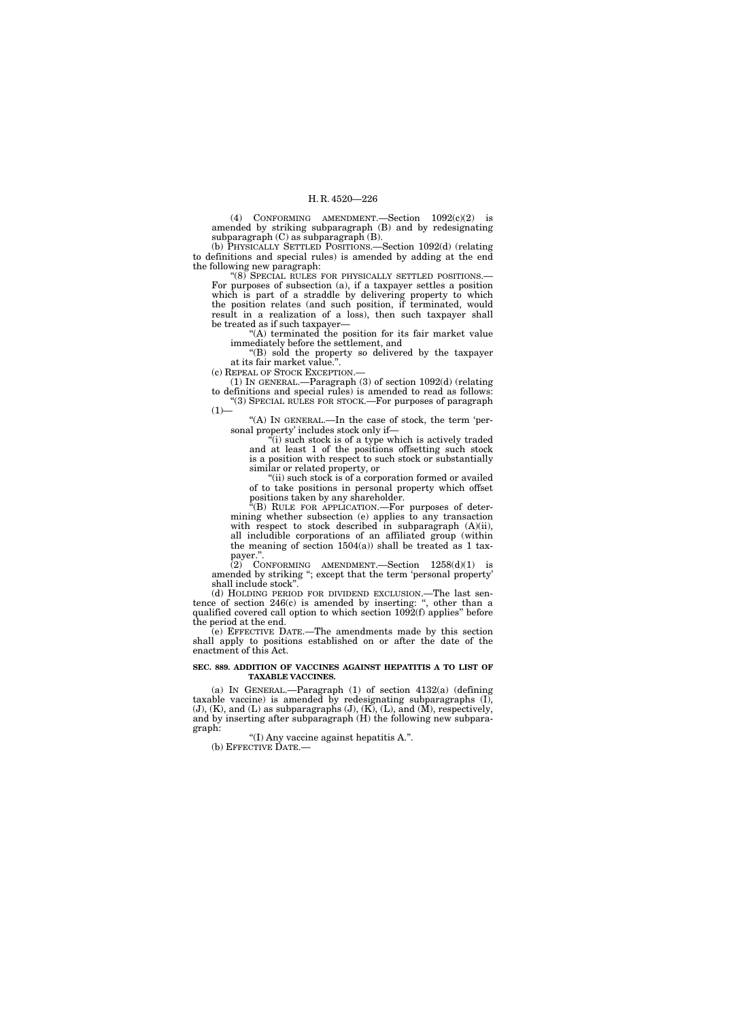(4) CONFORMING AMENDMENT.—Section 1092(c)(2) is amended by striking subparagraph (B) and by redesignating subparagraph (C) as subparagraph (B).

(b) PHYSICALLY SETTLED POSITIONS.—Section 1092(d) (relating to definitions and special rules) is amended by adding at the end the following new paragraph:

"(8) SPECIAL RULES FOR PHYSICALLY SETTLED POSITIONS.— For purposes of subsection (a), if a taxpayer settles a position which is part of a straddle by delivering property to which the position relates (and such position, if terminated, would result in a realization of a loss), then such taxpayer shall be treated as if such taxpayer—

''(A) terminated the position for its fair market value immediately before the settlement, and

''(B) sold the property so delivered by the taxpayer at its fair market value.''.

(c) REPEAL OF STOCK EXCEPTION.—

(1) IN GENERAL.—Paragraph (3) of section 1092(d) (relating to definitions and special rules) is amended to read as follows: ''(3) SPECIAL RULES FOR STOCK.—For purposes of paragraph  $(1)$ —

"(A) IN GENERAL.—In the case of stock, the term 'personal property' includes stock only if—

 $\cdot$ <sup>t</sup>(i) such stock is of a type which is actively traded and at least 1 of the positions offsetting such stock is a position with respect to such stock or substantially similar or related property, or

"(ii) such stock is of a corporation formed or availed of to take positions in personal property which offset positions taken by any shareholder.

"(B) RULE FOR APPLICATION.—For purposes of determining whether subsection (e) applies to any transaction with respect to stock described in subparagraph  $(A)(ii)$ , all includible corporations of an affiliated group (within the meaning of section  $1504(a)$  shall be treated as 1 taxpayer.''.

 $\overline{2}$  CONFORMING AMENDMENT. Section 1258(d)(1) is amended by striking "; except that the term 'personal property' shall include stock''.

(d) HOLDING PERIOD FOR DIVIDEND EXCLUSION.—The last sentence of section  $246(c)$  is amended by inserting: ", other than a qualified covered call option to which section  $1092(f)$  applies" before the period at the end.

(e) EFFECTIVE DATE.—The amendments made by this section shall apply to positions established on or after the date of the enactment of this Act.

#### **SEC. 889. ADDITION OF VACCINES AGAINST HEPATITIS A TO LIST OF TAXABLE VACCINES.**

(a) IN GENERAL.—Paragraph (1) of section 4132(a) (defining taxable vaccine) is amended by redesignating subparagraphs (I),  $(J)$ ,  $(K)$ , and  $(L)$  as subparagraphs  $(J)$ ,  $(K)$ ,  $(L)$ , and  $(M)$ , respectively, and by inserting after subparagraph (H) the following new subparagraph:

''(I) Any vaccine against hepatitis A.''.

(b) EFFECTIVE DATE.—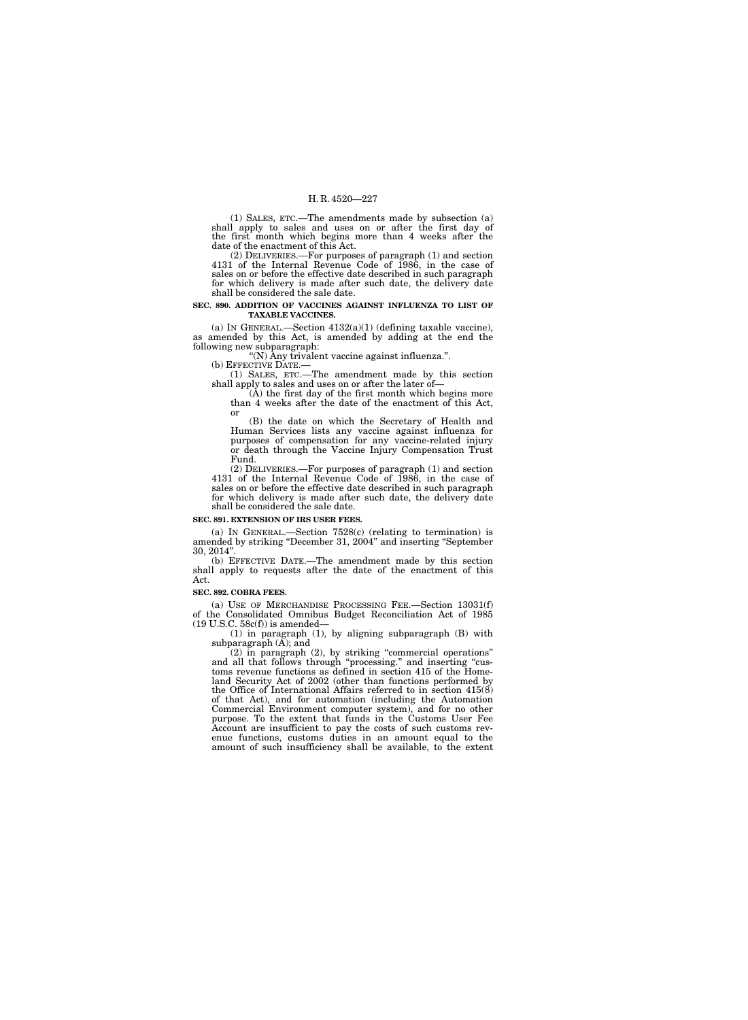(1) SALES, ETC.—The amendments made by subsection (a) shall apply to sales and uses on or after the first day of the first month which begins more than 4 weeks after the date of the enactment of this Act.

(2) DELIVERIES.—For purposes of paragraph (1) and section 4131 of the Internal Revenue Code of 1986, in the case of sales on or before the effective date described in such paragraph for which delivery is made after such date, the delivery date shall be considered the sale date.

#### **SEC. 890. ADDITION OF VACCINES AGAINST INFLUENZA TO LIST OF TAXABLE VACCINES.**

(a) IN GENERAL.—Section  $4132(a)(1)$  (defining taxable vaccine), as amended by this Act, is amended by adding at the end the following new subparagraph:<br>
"(N) Any trivalent vaccine against influenza.".<br>
(b) EFFECTIVE DATE.—<br>
(1) SALES, ETC.—The amendment made by this section

shall apply to sales and uses on or after the later of—

 $(A)$  the first day of the first month which begins more than 4 weeks after the date of the enactment of this Act, or

(B) the date on which the Secretary of Health and Human Services lists any vaccine against influenza for purposes of compensation for any vaccine-related injury or death through the Vaccine Injury Compensation Trust Fund.

(2) DELIVERIES.—For purposes of paragraph (1) and section 4131 of the Internal Revenue Code of 1986, in the case of sales on or before the effective date described in such paragraph for which delivery is made after such date, the delivery date shall be considered the sale date.

### **SEC. 891. EXTENSION OF IRS USER FEES.**

(a) IN GENERAL.—Section 7528(c) (relating to termination) is amended by striking "December 31, 2004" and inserting "September 30, 2014".

(b) EFFECTIVE DATE.—The amendment made by this section shall apply to requests after the date of the enactment of this Act.

#### **SEC. 892. COBRA FEES.**

(a) USE OF MERCHANDISE PROCESSING FEE.—Section 13031(f) of the Consolidated Omnibus Budget Reconciliation Act of 1985  $(19$  U.S.C.  $58c(f)$  is amended—

(1) in paragraph (1), by aligning subparagraph (B) with subparagraph  $(\overline{A})$ ; and

(2) in paragraph (2), by striking ''commercial operations'' and all that follows through "processing." and inserting "customs revenue functions as defined in section 415 of the Homeland Security Act of 2002 (other than functions performed by the Office of International Affairs referred to in section 415(8) of that Act), and for automation (including the Automation Commercial Environment computer system), and for no other purpose. To the extent that funds in the Customs User Fee Account are insufficient to pay the costs of such customs revenue functions, customs duties in an amount equal to the amount of such insufficiency shall be available, to the extent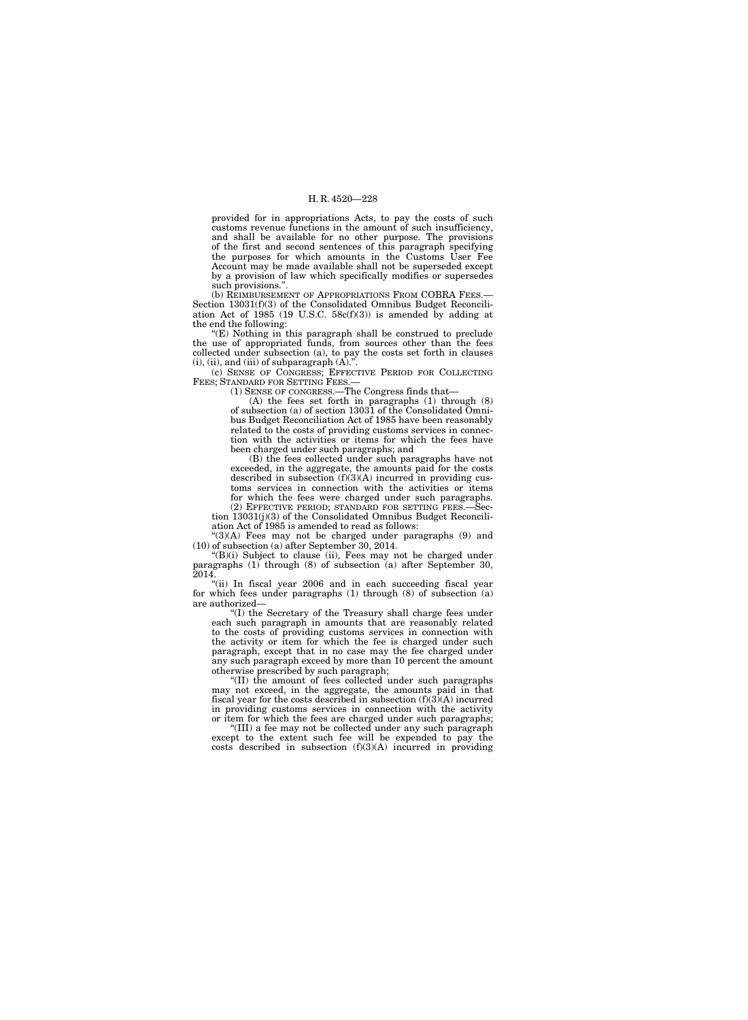provided for in appropriations Acts, to pay the costs of such customs revenue functions in the amount of such insufficiency, and shall be available for no other purpose. The provisions of the first and second sentences of this paragraph specifying the purposes for which amounts in the Customs User Fee Account may be made available shall not be superseded except by a provision of law which specifically modifies or supersedes such provisions.''.

(b) REIMBURSEMENT OF APPROPRIATIONS FROM COBRA FEES.— Section 13031(f)(3) of the Consolidated Omnibus Budget Reconciliation Act of 1985 (19 U.S.C.  $58c(f)(3)$ ) is amended by adding at the end the following:

(E) Nothing in this paragraph shall be construed to preclude the use of appropriated funds, from sources other than the fees collected under subsection (a), to pay the costs set forth in clauses  $(i)$ ,  $(ii)$ , and  $(iii)$  of subparagraph  $(A)$ ."

(c) SENSE OF CONGRESS; EFFECTIVE PERIOD FOR COLLECTING FEES; STANDARD FOR SETTING FEES.—

(1) SENSE OF CONGRESS.—The Congress finds that—

(A) the fees set forth in paragraphs (1) through (8) of subsection (a) of section 13031 of the Consolidated Omnibus Budget Reconciliation Act of 1985 have been reasonably related to the costs of providing customs services in connection with the activities or items for which the fees have been charged under such paragraphs; and

(B) the fees collected under such paragraphs have not exceeded, in the aggregate, the amounts paid for the costs described in subsection  $(f)(3)(A)$  incurred in providing customs services in connection with the activities or items for which the fees were charged under such paragraphs. (2) EFFECTIVE PERIOD; STANDARD FOR SETTING FEES.—Section 13031(j)(3) of the Consolidated Omnibus Budget Reconciliation Act of 1985 is amended to read as follows:

" $(3)(A)$  Fees may not be charged under paragraphs  $(9)$  and (10) of subsection (a) after September 30, 2014.

 $H(B)(i)$  Subject to clause (ii), Fees may not be charged under paragraphs (1) through (8) of subsection (a) after September 30, 2014.

"(ii) In fiscal year 2006 and in each succeeding fiscal year for which fees under paragraphs (1) through (8) of subsection (a) are authorized—

''(I) the Secretary of the Treasury shall charge fees under each such paragraph in amounts that are reasonably related to the costs of providing customs services in connection with the activity or item for which the fee is charged under such paragraph, except that in no case may the fee charged under any such paragraph exceed by more than 10 percent the amount otherwise prescribed by such paragraph;

''(II) the amount of fees collected under such paragraphs may not exceed, in the aggregate, the amounts paid in that fiscal year for the costs described in subsection  $(f)(3)(A)$  incurred in providing customs services in connection with the activity or item for which the fees are charged under such paragraphs;

''(III) a fee may not be collected under any such paragraph except to the extent such fee will be expended to pay the costs described in subsection (f)(3)(A) incurred in providing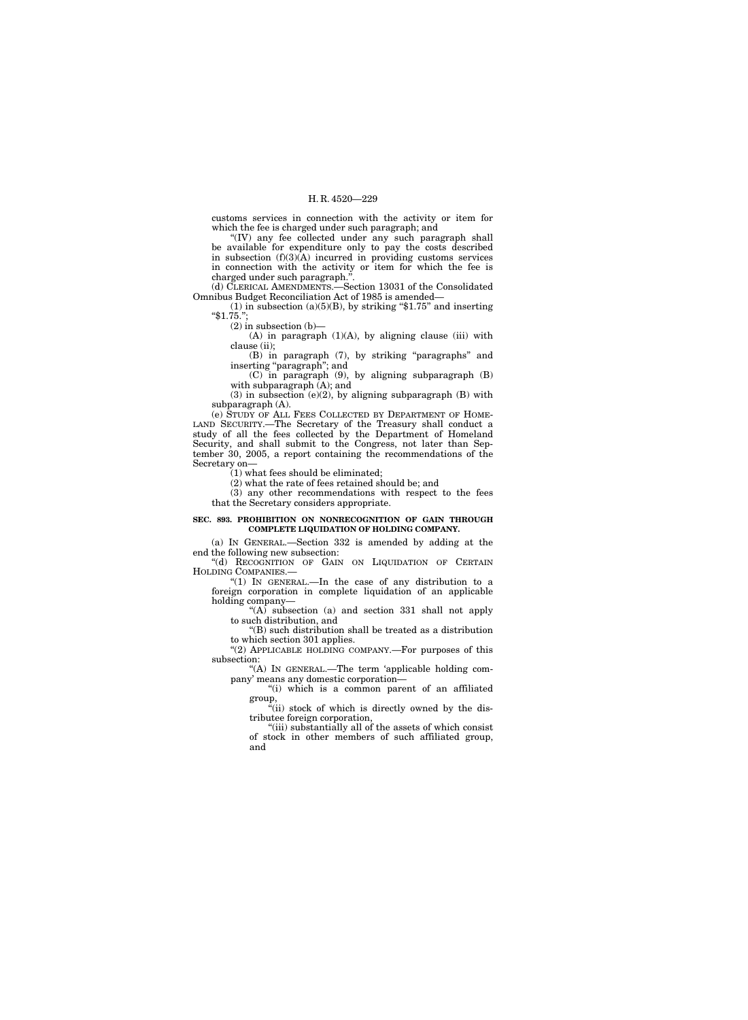customs services in connection with the activity or item for which the fee is charged under such paragraph; and

''(IV) any fee collected under any such paragraph shall be available for expenditure only to pay the costs described in subsection  $(f)(3)(A)$  incurred in providing customs services in connection with the activity or item for which the fee is charged under such paragraph.'

(d) CLERICAL AMENDMENTS.—Section 13031 of the Consolidated Omnibus Budget Reconciliation Act of 1985 is amended—

 $(1)$  in subsection  $(a)(5)(B)$ , by striking "\$1.75" and inserting ''\$1.75.'';

 $(2)$  in subsection  $(b)$ —

 $(A)$  in paragraph  $(1)(A)$ , by aligning clause (iii) with clause (ii);

(B) in paragraph (7), by striking ''paragraphs'' and inserting "paragraph"; and (C) in paragraph (9), by aligning subparagraph (B)

with subparagraph  $(A)$ ; and

(3) in subsection (e)(2), by aligning subparagraph (B) with subparagraph (A).

(e) STUDY OF ALL FEES COLLECTED BY DEPARTMENT OF HOME-LAND SECURITY.—The Secretary of the Treasury shall conduct a study of all the fees collected by the Department of Homeland Security, and shall submit to the Congress, not later than September 30, 2005, a report containing the recommendations of the Secretary on—

(1) what fees should be eliminated;

(2) what the rate of fees retained should be; and

(3) any other recommendations with respect to the fees that the Secretary considers appropriate.

### **SEC. 893. PROHIBITION ON NONRECOGNITION OF GAIN THROUGH COMPLETE LIQUIDATION OF HOLDING COMPANY.**

(a) IN GENERAL.—Section 332 is amended by adding at the end the following new subsection:

''(d) RECOGNITION OF GAIN ON LIQUIDATION OF CERTAIN HOLDING COMPANIES.—

''(1) IN GENERAL.—In the case of any distribution to a foreign corporation in complete liquidation of an applicable holding company—

''(A) subsection (a) and section 331 shall not apply to such distribution, and

''(B) such distribution shall be treated as a distribution to which section 301 applies.

"(2) APPLICABLE HOLDING COMPANY.—For purposes of this subsection:

"(A) IN GENERAL.—The term 'applicable holding company' means any domestic corporation—

"(i) which is a common parent of an affiliated group,

''(ii) stock of which is directly owned by the distributee foreign corporation,

"(iii) substantially all of the assets of which consist of stock in other members of such affiliated group, and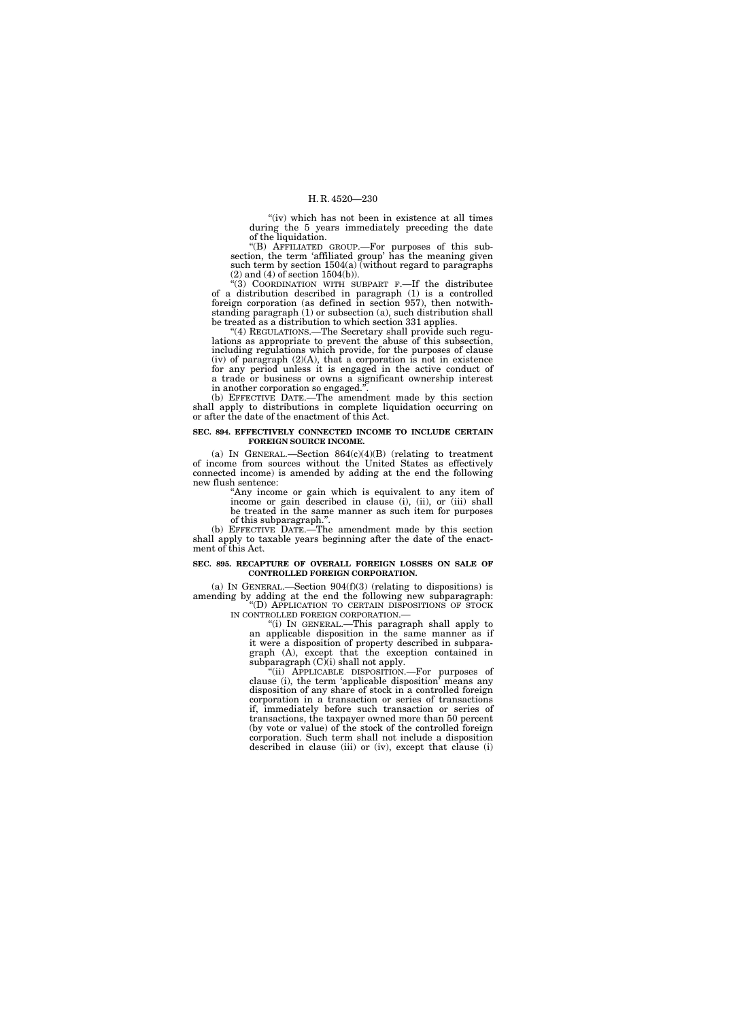"(iv) which has not been in existence at all times during the 5 years immediately preceding the date of the liquidation.

''(B) AFFILIATED GROUP.—For purposes of this subsection, the term 'affiliated group' has the meaning given such term by section 1504(a) (without regard to paragraphs (2) and (4) of section 1504(b)).

''(3) COORDINATION WITH SUBPART F.—If the distributee of a distribution described in paragraph (1) is a controlled foreign corporation (as defined in section 957), then notwithstanding paragraph (1) or subsection (a), such distribution shall be treated as a distribution to which section 331 applies.

''(4) REGULATIONS.—The Secretary shall provide such regulations as appropriate to prevent the abuse of this subsection, including regulations which provide, for the purposes of clause (iv) of paragraph  $(2)(A)$ , that a corporation is not in existence for any period unless it is engaged in the active conduct of a trade or business or owns a significant ownership interest in another corporation so engaged.'

(b) EFFECTIVE DATE.—The amendment made by this section shall apply to distributions in complete liquidation occurring on or after the date of the enactment of this Act.

#### **SEC. 894. EFFECTIVELY CONNECTED INCOME TO INCLUDE CERTAIN FOREIGN SOURCE INCOME.**

(a) IN GENERAL.—Section 864(c)(4)(B) (relating to treatment of income from sources without the United States as effectively connected income) is amended by adding at the end the following new flush sentence:

> ''Any income or gain which is equivalent to any item of income or gain described in clause (i), (ii), or (iii) shall be treated in the same manner as such item for purposes

of this subparagraph.''.

(b) EFFECTIVE DATE.—The amendment made by this section shall apply to taxable years beginning after the date of the enactment of this Act.

### **SEC. 895. RECAPTURE OF OVERALL FOREIGN LOSSES ON SALE OF CONTROLLED FOREIGN CORPORATION.**

(a) IN GENERAL.—Section  $904(f)(3)$  (relating to dispositions) is amending by adding at the end the following new subparagraph: "(D) APPLICATION TO CERTAIN DISPOSITIONS OF STOCK

IN CONTROLLED FOREIGN CORPORATION.—

''(i) IN GENERAL.—This paragraph shall apply to an applicable disposition in the same manner as if it were a disposition of property described in subparagraph (A), except that the exception contained in

subparagraph (C)(i) shall not apply.<br>"(ii) APPLICABLE DISPOSITION.—For purposes of clause (i), the term 'applicable disposition' means any disposition of any share of stock in a controlled foreign corporation in a transaction or series of transactions if, immediately before such transaction or series of transactions, the taxpayer owned more than 50 percent (by vote or value) of the stock of the controlled foreign corporation. Such term shall not include a disposition described in clause (iii) or (iv), except that clause (i)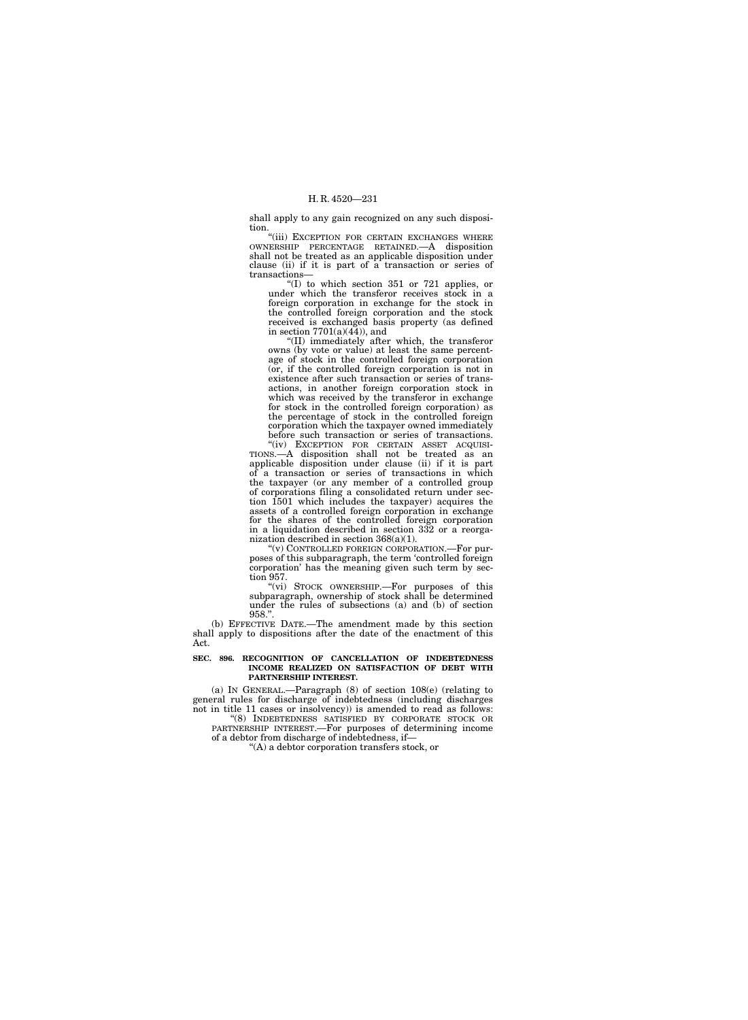shall apply to any gain recognized on any such disposition.

''(iii) EXCEPTION FOR CERTAIN EXCHANGES WHERE OWNERSHIP PERCENTAGE RETAINED.—A disposition shall not be treated as an applicable disposition under clause (ii) if it is part of a transaction or series of transactions—

''(I) to which section 351 or 721 applies, or under which the transferor receives stock in a foreign corporation in exchange for the stock in the controlled foreign corporation and the stock received is exchanged basis property (as defined in section  $7701(a)(44)$ , and

''(II) immediately after which, the transferor owns (by vote or value) at least the same percentage of stock in the controlled foreign corporation (or, if the controlled foreign corporation is not in existence after such transaction or series of transactions, in another foreign corporation stock in which was received by the transferor in exchange for stock in the controlled foreign corporation) as the percentage of stock in the controlled foreign corporation which the taxpayer owned immediately before such transaction or series of transactions.

"(iv) EXCEPTION FOR CERTAIN ASSET ACQUISI-TIONS.—A disposition shall not be treated as an applicable disposition under clause (ii) if it is part of a transaction or series of transactions in which the taxpayer (or any member of a controlled group of corporations filing a consolidated return under section 1501 which includes the taxpayer) acquires the assets of a controlled foreign corporation in exchange for the shares of the controlled foreign corporation in a liquidation described in section 332 or a reorganization described in section 368(a)(1).

'(v) CONTROLLED FOREIGN CORPORATION.—For purposes of this subparagraph, the term 'controlled foreign corporation' has the meaning given such term by section 957.<br>"(vi) STOCK OWNERSHIP.—For purposes of this

subparagraph, ownership of stock shall be determined under the rules of subsections (a) and (b) of section 958."

(b) EFFECTIVE DATE.—The amendment made by this section shall apply to dispositions after the date of the enactment of this Act.

#### **SEC. 896. RECOGNITION OF CANCELLATION OF INDEBTEDNESS INCOME REALIZED ON SATISFACTION OF DEBT WITH PARTNERSHIP INTEREST.**

(a) IN GENERAL.—Paragraph (8) of section 108(e) (relating to general rules for discharge of indebtedness (including discharges not in title 11 cases or insolvency)) is amended to read as follows: ''(8) INDEBTEDNESS SATISFIED BY CORPORATE STOCK OR

PARTNERSHIP INTEREST.—For purposes of determining income of a debtor from discharge of indebtedness, if— ''(A) a debtor corporation transfers stock, or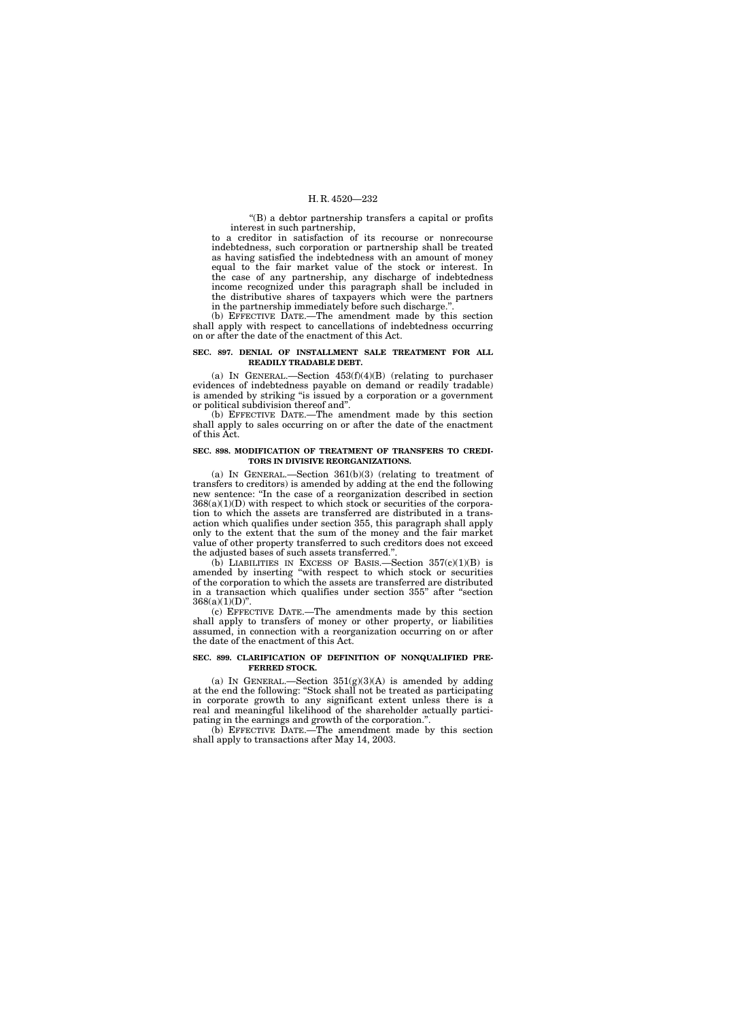''(B) a debtor partnership transfers a capital or profits interest in such partnership,

to a creditor in satisfaction of its recourse or nonrecourse indebtedness, such corporation or partnership shall be treated as having satisfied the indebtedness with an amount of money equal to the fair market value of the stock or interest. In the case of any partnership, any discharge of indebtedness income recognized under this paragraph shall be included in the distributive shares of taxpayers which were the partners in the partnership immediately before such discharge.''.

(b) EFFECTIVE DATE.—The amendment made by this section shall apply with respect to cancellations of indebtedness occurring on or after the date of the enactment of this Act.

### **SEC. 897. DENIAL OF INSTALLMENT SALE TREATMENT FOR ALL READILY TRADABLE DEBT.**

(a) IN GENERAL.—Section  $453(f)(4)(B)$  (relating to purchaser evidences of indebtedness payable on demand or readily tradable) is amended by striking ''is issued by a corporation or a government or political subdivision thereof and''.

(b) EFFECTIVE DATE.—The amendment made by this section shall apply to sales occurring on or after the date of the enactment of this Act.

### **SEC. 898. MODIFICATION OF TREATMENT OF TRANSFERS TO CREDI-TORS IN DIVISIVE REORGANIZATIONS.**

(a) IN GENERAL.—Section 361(b)(3) (relating to treatment of transfers to creditors) is amended by adding at the end the following new sentence: ''In the case of a reorganization described in section  $368(a)(1)(D)$  with respect to which stock or securities of the corporation to which the assets are transferred are distributed in a transaction which qualifies under section 355, this paragraph shall apply only to the extent that the sum of the money and the fair market value of other property transferred to such creditors does not exceed the adjusted bases of such assets transferred.''.

(b) LIABILITIES IN EXCESS OF BASIS.—Section 357(c)(1)(B) is amended by inserting ''with respect to which stock or securities of the corporation to which the assets are transferred are distributed in a transaction which qualifies under section 355'' after ''section  $368(a)(1)(D)$ ".

(c) EFFECTIVE DATE.—The amendments made by this section shall apply to transfers of money or other property, or liabilities assumed, in connection with a reorganization occurring on or after the date of the enactment of this Act.

### **SEC. 899. CLARIFICATION OF DEFINITION OF NONQUALIFIED PRE-FERRED STOCK.**

(a) IN GENERAL.—Section  $351(g)(3)(A)$  is amended by adding at the end the following: ''Stock shall not be treated as participating in corporate growth to any significant extent unless there is a real and meaningful likelihood of the shareholder actually participating in the earnings and growth of the corporation.''.

(b) EFFECTIVE DATE.—The amendment made by this section shall apply to transactions after May 14, 2003.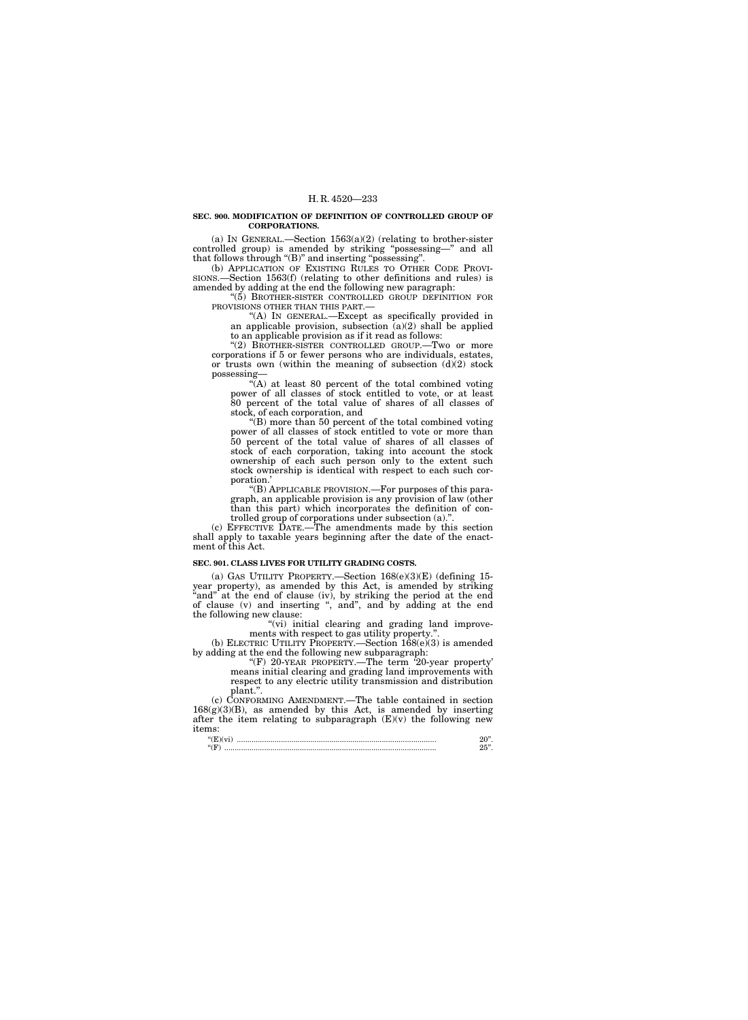#### **SEC. 900. MODIFICATION OF DEFINITION OF CONTROLLED GROUP OF CORPORATIONS.**

(a) IN GENERAL.—Section  $1563(a)(2)$  (relating to brother-sister controlled group) is amended by striking "possessing-" and all that follows through "(B)" and inserting "possessing".

(b) APPLICATION OF EXISTING RULES TO OTHER CODE PROVI-SIONS.—Section 1563(f) (relating to other definitions and rules) is amended by adding at the end the following new paragraph:

''(5) BROTHER-SISTER CONTROLLED GROUP DEFINITION FOR PROVISIONS OTHER THAN THIS PART.—

''(A) IN GENERAL.—Except as specifically provided in an applicable provision, subsection  $(a)(2)$  shall be applied to an applicable provision as if it read as follows:

''(2) BROTHER-SISTER CONTROLLED GROUP.—Two or more corporations if 5 or fewer persons who are individuals, estates, or trusts own (within the meaning of subsection  $(d)(2)$  stock possessing—

"(A) at least 80 percent of the total combined voting power of all classes of stock entitled to vote, or at least 80 percent of the total value of shares of all classes of stock, of each corporation, and

''(B) more than 50 percent of the total combined voting power of all classes of stock entitled to vote or more than 50 percent of the total value of shares of all classes of stock of each corporation, taking into account the stock ownership of each such person only to the extent such stock ownership is identical with respect to each such corporation.'

''(B) APPLICABLE PROVISION.—For purposes of this paragraph, an applicable provision is any provision of law (other than this part) which incorporates the definition of controlled group of corporations under subsection (a).''.

(c) EFFECTIVE DATE.—The amendments made by this section shall apply to taxable years beginning after the date of the enactment of this Act.

#### **SEC. 901. CLASS LIVES FOR UTILITY GRADING COSTS.**

(a) GAS UTILITY PROPERTY.—Section 168(e)(3)(E) (defining 15 year property), as amended by this Act, is amended by striking "and" at the end of clause (iv), by striking the period at the end of clause (v) and inserting '', and'', and by adding at the end the following new clause:

"(vi) initial clearing and grading land improvements with respect to gas utility property."

(b) ELECTRIC UTILITY PROPERTY.—Section  $168(e)(3)$  is amended by adding at the end the following new subparagraph:

> ''(F) 20-YEAR PROPERTY.—The term '20-year property' means initial clearing and grading land improvements with respect to any electric utility transmission and distribution plant.''.

(c) CONFORMING AMENDMENT.—The table contained in section 168(g)(3)(B), as amended by this Act, is amended by inserting after the item relating to subparagraph  $(E)(v)$  the following new items:

''(E)(vi) ............................................................................................... 20''. ''(F) ..................................................................................................... 25''.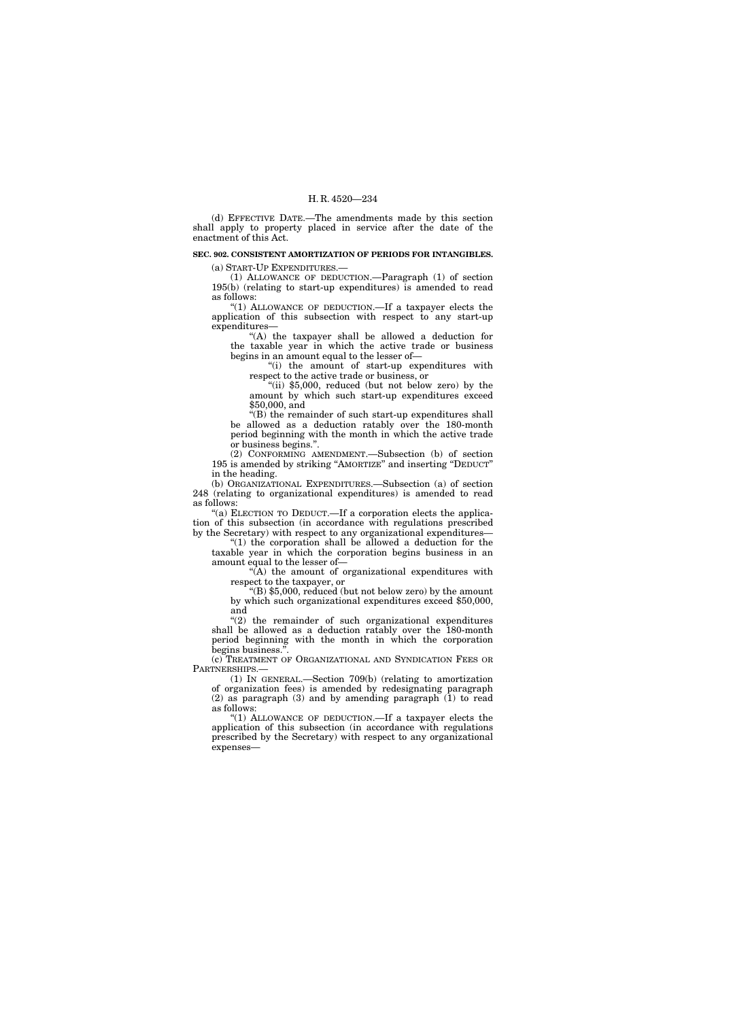(d) EFFECTIVE DATE.—The amendments made by this section shall apply to property placed in service after the date of the enactment of this Act.

# **SEC. 902. CONSISTENT AMORTIZATION OF PERIODS FOR INTANGIBLES.** (a) START-UP EXPENDITURES.—

(1) ALLOWANCE OF DEDUCTION.—Paragraph (1) of section 195(b) (relating to start-up expenditures) is amended to read as follows:

''(1) ALLOWANCE OF DEDUCTION.—If a taxpayer elects the application of this subsection with respect to any start-up expenditures—

''(A) the taxpayer shall be allowed a deduction for the taxable year in which the active trade or business begins in an amount equal to the lesser of—

''(i) the amount of start-up expenditures with respect to the active trade or business, or

"(ii) \$5,000, reduced (but not below zero) by the amount by which such start-up expenditures exceed \$50,000, and

 $\mathcal{H}(B)$  the remainder of such start-up expenditures shall be allowed as a deduction ratably over the 180-month period beginning with the month in which the active trade or business begins.''.

(2) CONFORMING AMENDMENT.—Subsection (b) of section 195 is amended by striking ''AMORTIZE'' and inserting ''DEDUCT'' in the heading.

(b) ORGANIZATIONAL EXPENDITURES.—Subsection (a) of section 248 (relating to organizational expenditures) is amended to read as follows:

"(a) ELECTION TO DEDUCT.—If a corporation elects the application of this subsection (in accordance with regulations prescribed by the Secretary) with respect to any organizational expenditures—

''(1) the corporation shall be allowed a deduction for the taxable year in which the corporation begins business in an amount equal to the lesser of—

''(A) the amount of organizational expenditures with respect to the taxpayer, or

''(B) \$5,000, reduced (but not below zero) by the amount by which such organizational expenditures exceed \$50,000, and

"(2) the remainder of such organizational expenditures shall be allowed as a deduction ratably over the 180-month period beginning with the month in which the corporation begins business."

(c) TREATMENT OF ORGANIZATIONAL AND SYNDICATION FEES OR PARTNERSHIPS.—

(1) IN GENERAL.—Section 709(b) (relating to amortization of organization fees) is amended by redesignating paragraph (2) as paragraph (3) and by amending paragraph (1) to read as follows:

"(1) ALLOWANCE OF DEDUCTION.—If a taxpayer elects the application of this subsection (in accordance with regulations prescribed by the Secretary) with respect to any organizational expenses—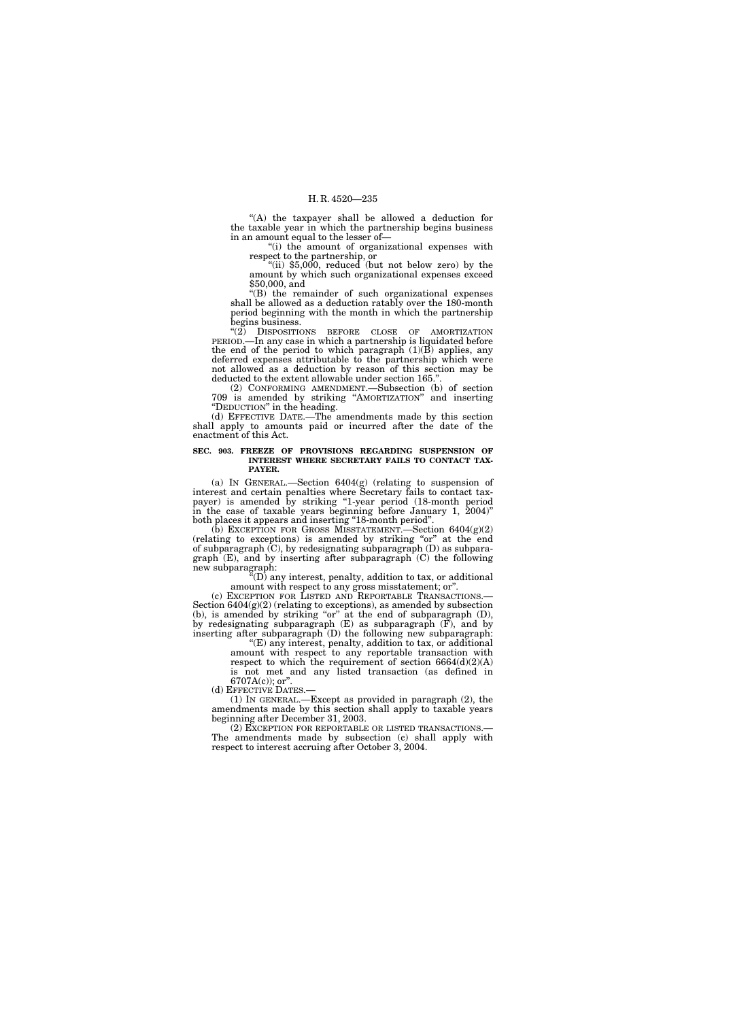''(A) the taxpayer shall be allowed a deduction for the taxable year in which the partnership begins business in an amount equal to the lesser of—

''(i) the amount of organizational expenses with respect to the partnership, or

''(ii) \$5,000, reduced (but not below zero) by the amount by which such organizational expenses exceed \$50,000, and

''(B) the remainder of such organizational expenses shall be allowed as a deduction ratably over the 180-month period beginning with the month in which the partnership begins business.

"(2) DISPOSITIONS BEFORE CLOSE OF AMORTIZATION PERIOD.—In any case in which a partnership is liquidated before the end of the period to which paragraph  $(1)(\vec{B})$  applies, any deferred expenses attributable to the partnership which were not allowed as a deduction by reason of this section may be deducted to the extent allowable under section 165.''.

(2) CONFORMING AMENDMENT.—Subsection (b) of section 709 is amended by striking ''AMORTIZATION'' and inserting ''DEDUCTION'' in the heading.

(d) EFFECTIVE DATE.—The amendments made by this section shall apply to amounts paid or incurred after the date of the enactment of this Act.

### **SEC. 903. FREEZE OF PROVISIONS REGARDING SUSPENSION OF INTEREST WHERE SECRETARY FAILS TO CONTACT TAX-PAYER.**

(a) IN GENERAL.—Section  $6404(g)$  (relating to suspension of interest and certain penalties where Secretary fails to contact taxpayer) is amended by striking "1-year period (18-month period in the case of taxable years beginning before January 1, 2004)'' both places it appears and inserting "18-month period".

 $(b)$  EXCEPTION FOR GROSS MISSTATEMENT.—Section 6404 $(g)(2)$ (relating to exceptions) is amended by striking ''or'' at the end of subparagraph (C), by redesignating subparagraph (D) as subpara $graph (E)$ , and by inserting after subparagraph  $(C)$  the following new subparagraph:

''(D) any interest, penalty, addition to tax, or additional amount with respect to any gross misstatement; or''.

(c) EXCEPTION FOR LISTED AND REPORTABLE TRANSACTIONS.— Section  $6404(g)(2)$  (relating to exceptions), as amended by subsection (b), is amended by striking "or" at the end of subparagraph (D), by redesignating subparagraph (E) as subparagraph (F), and by inserting after subparagraph (D) the following new subparagraph: ''(E) any interest, penalty, addition to tax, or additional

amount with respect to any reportable transaction with respect to which the requirement of section  $6664(d)(2)(A)$ is not met and any listed transaction (as defined in  $6707A(c)$ ); or".

(d) EFFECTIVE DATES.—<br>(1) IN GENERAL.—Except as provided in paragraph (2), the amendments made by this section shall apply to taxable years beginning after December 31, 2003.<br>(2) EXCEPTION FOR REPORTABLE OR LISTED TRANSACTIONS.—

The amendments made by subsection (c) shall apply with respect to interest accruing after October 3, 2004.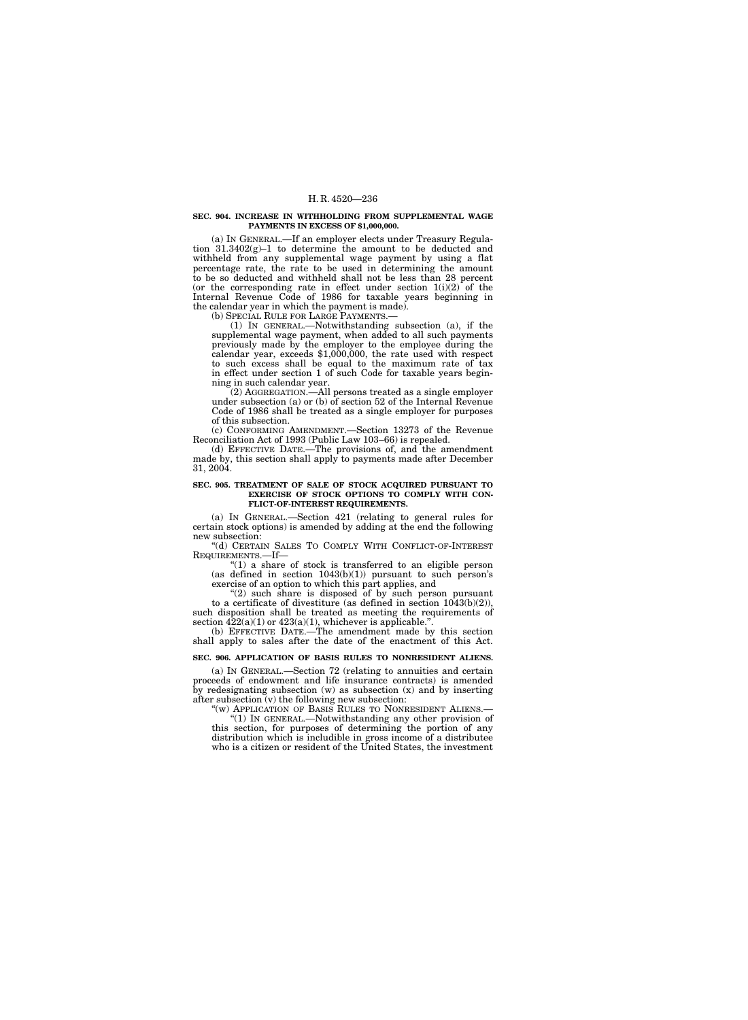### **SEC. 904. INCREASE IN WITHHOLDING FROM SUPPLEMENTAL WAGE PAYMENTS IN EXCESS OF \$1,000,000.**

(a) IN GENERAL.—If an employer elects under Treasury Regulation 31.3402(g)–1 to determine the amount to be deducted and withheld from any supplemental wage payment by using a flat percentage rate, the rate to be used in determining the amount to be so deducted and withheld shall not be less than 28 percent (or the corresponding rate in effect under section  $1(i)(2)$  of the Internal Revenue Code of 1986 for taxable years beginning in the calendar year in which the payment is made).

(b) SPECIAL RULE FOR LARGE PAYMENTS.

(1) IN GENERAL.—Notwithstanding subsection (a), if the supplemental wage payment, when added to all such payments previously made by the employer to the employee during the calendar year, exceeds \$1,000,000, the rate used with respect to such excess shall be equal to the maximum rate of tax in effect under section 1 of such Code for taxable years beginning in such calendar year.

(2) AGGREGATION.—All persons treated as a single employer under subsection (a) or (b) of section 52 of the Internal Revenue Code of 1986 shall be treated as a single employer for purposes of this subsection.

(c) CONFORMING AMENDMENT.—Section 13273 of the Revenue Reconciliation Act of 1993 (Public Law 103–66) is repealed.

(d) EFFECTIVE DATE.—The provisions of, and the amendment made by, this section shall apply to payments made after December 31, 2004.

#### **SEC. 905. TREATMENT OF SALE OF STOCK ACQUIRED PURSUANT TO EXERCISE OF STOCK OPTIONS TO COMPLY WITH CON-FLICT-OF-INTEREST REQUIREMENTS.**

(a) IN GENERAL.—Section 421 (relating to general rules for certain stock options) is amended by adding at the end the following new subsection:

''(d) CERTAIN SALES TO COMPLY WITH CONFLICT-OF-INTEREST REQUIREMENTS.—If—

''(1) a share of stock is transferred to an eligible person (as defined in section  $1043(b)(1)$ ) pursuant to such person's exercise of an option to which this part applies, and

"(2) such share is disposed of by such person pursuant to a certificate of divestiture (as defined in section  $1043(b)(2)$ ), such disposition shall be treated as meeting the requirements of section  $422(a)(1)$  or  $423(a)(1)$ , whichever is applicable.".

(b) EFFECTIVE DATE.—The amendment made by this section shall apply to sales after the date of the enactment of this Act.

## **SEC. 906. APPLICATION OF BASIS RULES TO NONRESIDENT ALIENS.**

(a) IN GENERAL.—Section 72 (relating to annuities and certain proceeds of endowment and life insurance contracts) is amended by redesignating subsection (w) as subsection (x) and by inserting after subsection (v) the following new subsection:

"(w) APPLICATION OF BASIS RULES TO NONRESIDENT ALIENS.— ''(1) IN GENERAL.—Notwithstanding any other provision of this section, for purposes of determining the portion of any distribution which is includible in gross income of a distributee who is a citizen or resident of the United States, the investment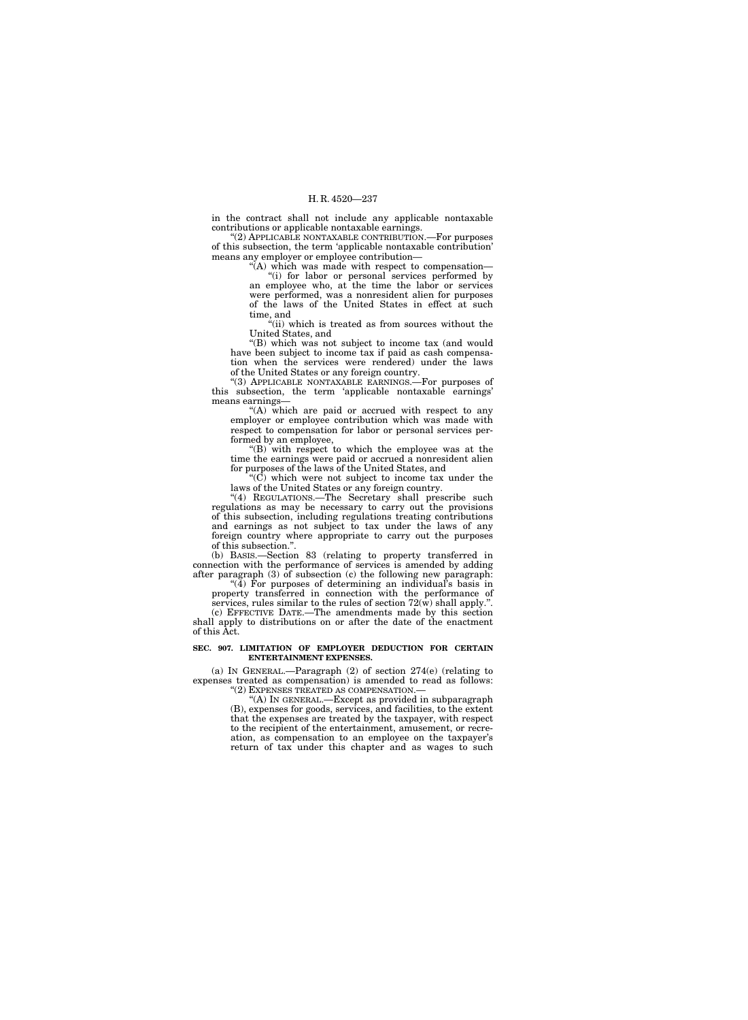in the contract shall not include any applicable nontaxable contributions or applicable nontaxable earnings.

''(2) APPLICABLE NONTAXABLE CONTRIBUTION.—For purposes of this subsection, the term 'applicable nontaxable contribution' means any employer or employee contribution—

"(A) which was made with respect to compensation— "(i) for labor or personal services performed by an employee who, at the time the labor or services were performed, was a nonresident alien for purposes of the laws of the United States in effect at such time, and

''(ii) which is treated as from sources without the United States, and

''(B) which was not subject to income tax (and would have been subject to income tax if paid as cash compensation when the services were rendered) under the laws of the United States or any foreign country.

''(3) APPLICABLE NONTAXABLE EARNINGS.—For purposes of this subsection, the term 'applicable nontaxable earnings' means earnings—

"(A) which are paid or accrued with respect to any employer or employee contribution which was made with respect to compensation for labor or personal services performed by an employee,

''(B) with respect to which the employee was at the time the earnings were paid or accrued a nonresident alien for purposes of the laws of the United States, and

" $(\overrightarrow{C})$  which were not subject to income tax under the laws of the United States or any foreign country.

"(4) REGULATIONS.—The Secretary shall prescribe such regulations as may be necessary to carry out the provisions of this subsection, including regulations treating contributions and earnings as not subject to tax under the laws of any foreign country where appropriate to carry out the purposes of this subsection.''.

(b) BASIS.—Section 83 (relating to property transferred in connection with the performance of services is amended by adding after paragraph (3) of subsection (c) the following new paragraph:

"( $\overline{4}$ ) For purposes of determining an individual's basis in property transferred in connection with the performance of services, rules similar to the rules of section  $72(w)$  shall apply.".

(c) EFFECTIVE DATE.—The amendments made by this section shall apply to distributions on or after the date of the enactment of this Act.

### **SEC. 907. LIMITATION OF EMPLOYER DEDUCTION FOR CERTAIN ENTERTAINMENT EXPENSES.**

(a) IN GENERAL.—Paragraph (2) of section 274(e) (relating to expenses treated as compensation) is amended to read as follows: ''(2) EXPENSES TREATED AS COMPENSATION.—

''(A) IN GENERAL.—Except as provided in subparagraph (B), expenses for goods, services, and facilities, to the extent that the expenses are treated by the taxpayer, with respect to the recipient of the entertainment, amusement, or recreation, as compensation to an employee on the taxpayer's return of tax under this chapter and as wages to such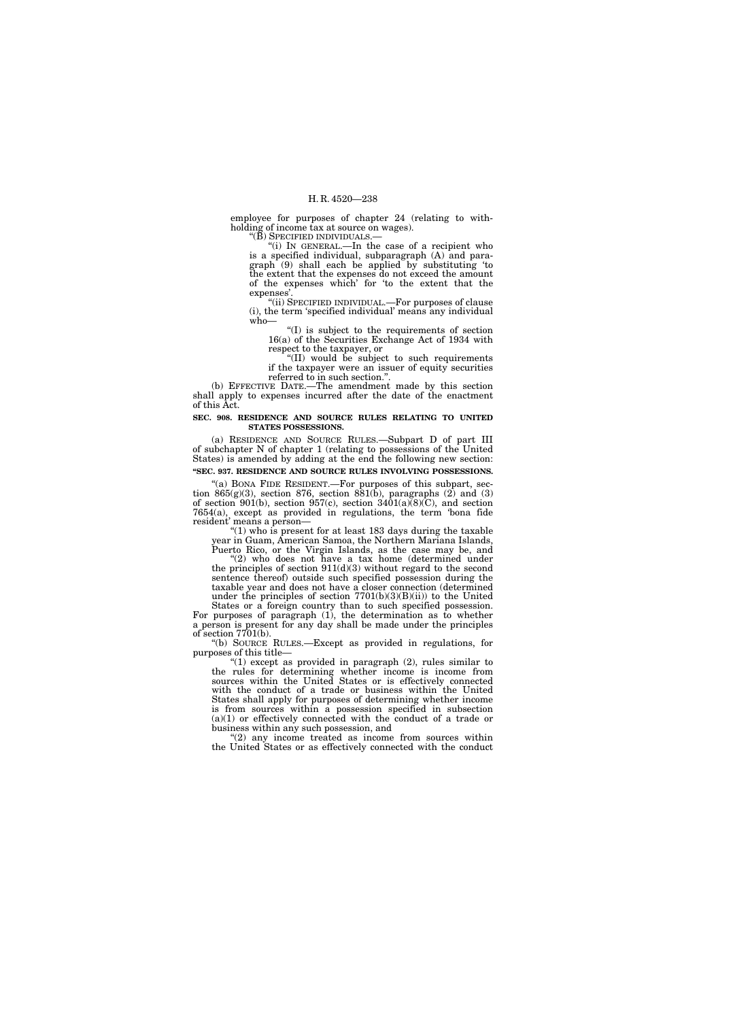employee for purposes of chapter 24 (relating to with-<br>holding of income tax at source on wages).

"(B) SPECIFIED INDIVIDUALS.—<br>"(i) IN GENERAL.—In the case of a recipient who is a specified individual, subparagraph (A) and paragraph (9) shall each be applied by substituting 'to the extent that the expenses do not exceed the amount of the expenses which' for 'to the extent that the

"(ii) SPECIFIED INDIVIDUAL.—For purposes of clause (i), the term 'specified individual' means any individual

who— $''(I)$  is subject to the requirements of section 16(a) of the Securities Exchange Act of 1934 with

 $\Gamma$ (II) would be subject to such requirements if the taxpayer were an issuer of equity securities

(b) EFFECTIVE DATE.—The amendment made by this section. shall apply to expenses incurred after the date of the enactment of this Act.

### **SEC. 908. RESIDENCE AND SOURCE RULES RELATING TO UNITED STATES POSSESSIONS.**

(a) RESIDENCE AND SOURCE RULES.—Subpart D of part III of subchapter N of chapter 1 (relating to possessions of the United States) is amended by adding at the end the following new section: **''SEC. 937. RESIDENCE AND SOURCE RULES INVOLVING POSSESSIONS.**

"(a) BONA FIDE RESIDENT.—For purposes of this subpart, section 865(g)(3), section 876, section 881(b), paragraphs  $(2)$  and  $(3)$ of section 901(b), section 957(c), section  $3401(a)(8)(C)$ , and section  $7654(a)$ , except as provided in regulations, the term 'bona fide resident' means a person—

" $(1)$  who is present for at least 183 days during the taxable year in Guam, American Samoa, the Northern Mariana Islands,

Puerto Rico, or the Virgin Islands, as the case may be, and "(2) who does not have a tax home (determined under the principles of section  $911(d)(3)$  without regard to the second sentence thereof) outside such specified possession during the taxable year and does not have a closer connection (determined

under the principles of section  $7701(b)(3)(B)(ii)$  to the United States or a foreign country than to such specified possession. For purposes of paragraph  $(1)$ , the determination as to whether a person is present for any day shall be made under the principles

"(b) SOURCE RULES.—Except as provided in regulations, for purposes of this title—<br>"(1) except as provided in paragraph (2), rules similar to

the rules for determining whether income is income from sources within the United States or is effectively connected with the conduct of a trade or business within the United States shall apply for purposes of determining whether income is from sources within a possession specified in subsection  $(a)(1)$  or effectively connected with the conduct of a trade or business within any such possession, and

 $''(2)$  any income treated as income from sources within the United States or as effectively connected with the conduct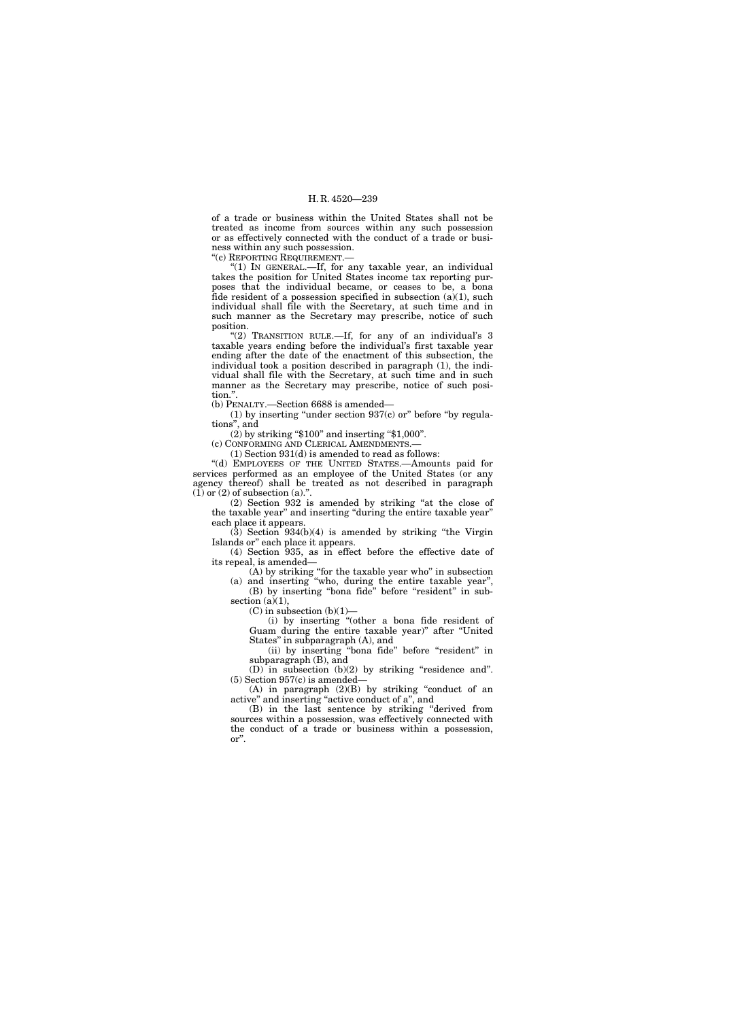of a trade or business within the United States shall not be treated as income from sources within any such possession or as effectively connected with the conduct of a trade or business within any such possession.

''(c) REPORTING REQUIREMENT.—

"(1) In GENERAL.-If, for any taxable year, an individual takes the position for United States income tax reporting purposes that the individual became, or ceases to be, a bona fide resident of a possession specified in subsection  $(a)(1)$ , such individual shall file with the Secretary, at such time and in such manner as the Secretary may prescribe, notice of such position.

"(2) TRANSITION RULE.—If, for any of an individual's 3 taxable years ending before the individual's first taxable year ending after the date of the enactment of this subsection, the individual took a position described in paragraph (1), the individual shall file with the Secretary, at such time and in such manner as the Secretary may prescribe, notice of such position.''.

(b) PENALTY.—Section 6688 is amended—

(1) by inserting "under section  $937(c)$  or" before "by regulations'', and

 $(2)$  by striking "\$100" and inserting "\$1,000".

(c) CONFORMING AND CLERICAL AMENDMENTS.—

(1) Section 931(d) is amended to read as follows:

''(d) EMPLOYEES OF THE UNITED STATES.—Amounts paid for services performed as an employee of the United States (or any agency thereof) shall be treated as not described in paragraph  $(1)$  or  $(2)$  of subsection  $(a)$ .".

(2) Section 932 is amended by striking ''at the close of the taxable year'' and inserting ''during the entire taxable year'' each place it appears.

 $(3)$  Section 934(b)(4) is amended by striking "the Virgin Islands or'' each place it appears.

(4) Section 935, as in effect before the effective date of its repeal, is amended—

(A) by striking ''for the taxable year who'' in subsection (a) and inserting ''who, during the entire taxable year'', (B) by inserting "bona fide" before "resident" in sub-

section  $(a)(1)$ ,

 $(C)$  in subsection  $(b)(1)$ —

(i) by inserting ''(other a bona fide resident of Guam during the entire taxable year)'' after ''United States'' in subparagraph (A), and

(ii) by inserting ''bona fide'' before ''resident'' in subparagraph (B), and

(D) in subsection  $(b)(2)$  by striking "residence and". (5) Section 957(c) is amended—

(A) in paragraph (2)(B) by striking ''conduct of an active'' and inserting ''active conduct of a'', and

(B) in the last sentence by striking ''derived from sources within a possession, was effectively connected with the conduct of a trade or business within a possession, or''.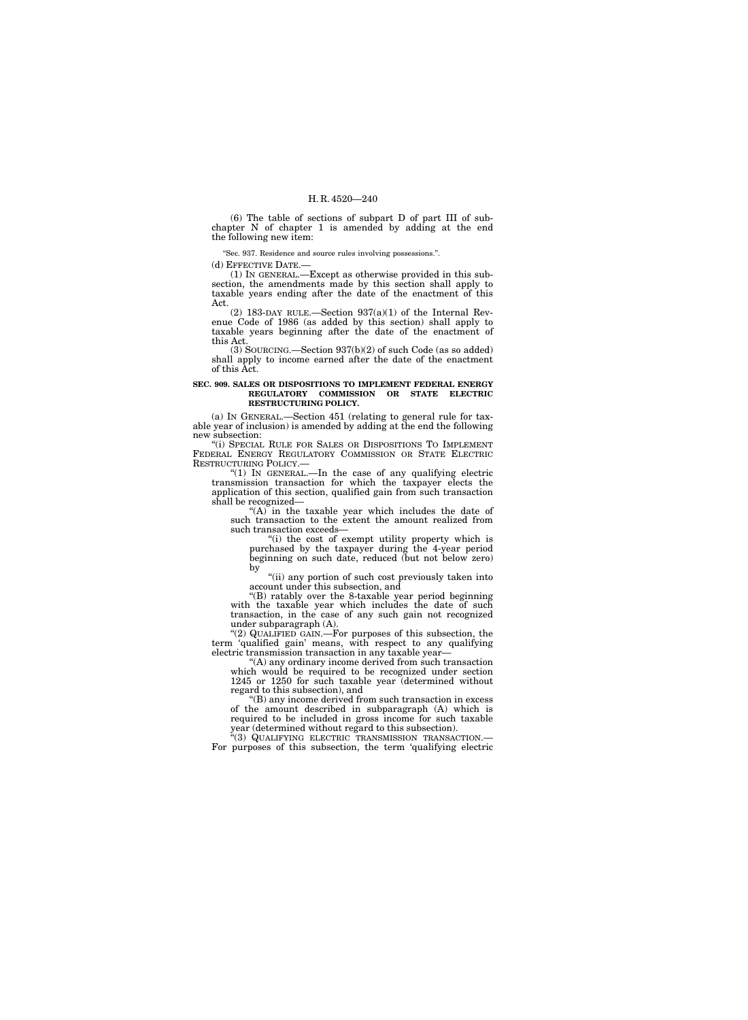(6) The table of sections of subpart D of part III of subchapter N of chapter 1 is amended by adding at the end the following new item:

''Sec. 937. Residence and source rules involving possessions.''.

(d) EFFECTIVE DATE.—

(1) IN GENERAL.—Except as otherwise provided in this subsection, the amendments made by this section shall apply to taxable years ending after the date of the enactment of this Act.

(2) 183-DAY RULE.—Section  $937(a)(1)$  of the Internal Revenue Code of 1986 (as added by this section) shall apply to taxable years beginning after the date of the enactment of this Act.

(3) SOURCING.—Section 937(b)(2) of such Code (as so added) shall apply to income earned after the date of the enactment of this Act.

#### **SEC. 909. SALES OR DISPOSITIONS TO IMPLEMENT FEDERAL ENERGY REGULATORY COMMISSION OR STATE ELECTRIC RESTRUCTURING POLICY.**

(a) IN GENERAL.—Section 451 (relating to general rule for taxable year of inclusion) is amended by adding at the end the following new subsection:

''(i) SPECIAL RULE FOR SALES OR DISPOSITIONS TO IMPLEMENT FEDERAL ENERGY REGULATORY COMMISSION OR STATE ELECTRIC RESTRUCTURING POLICY.—

" $(1)$  IN GENERAL.—In the case of any qualifying electric transmission transaction for which the taxpayer elects the application of this section, qualified gain from such transaction shall be recognized—

"(A) in the taxable year which includes the date of such transaction to the extent the amount realized from such transaction exceeds—

"(i) the cost of exempt utility property which is purchased by the taxpayer during the 4-year period beginning on such date, reduced (but not below zero) by

"(ii) any portion of such cost previously taken into account under this subsection, and

''(B) ratably over the 8-taxable year period beginning with the taxable year which includes the date of such transaction, in the case of any such gain not recognized under subparagraph (A).

''(2) QUALIFIED GAIN.—For purposes of this subsection, the term 'qualified gain' means, with respect to any qualifying electric transmission transaction in any taxable year—

''(A) any ordinary income derived from such transaction which would be required to be recognized under section 1245 or 1250 for such taxable year (determined without regard to this subsection), and

''(B) any income derived from such transaction in excess of the amount described in subparagraph (A) which is required to be included in gross income for such taxable year (determined without regard to this subsection).<br>"(3) QUALIFYING ELECTRIC TRANSMISSION TRANSACTION.—

For purposes of this subsection, the term 'qualifying electric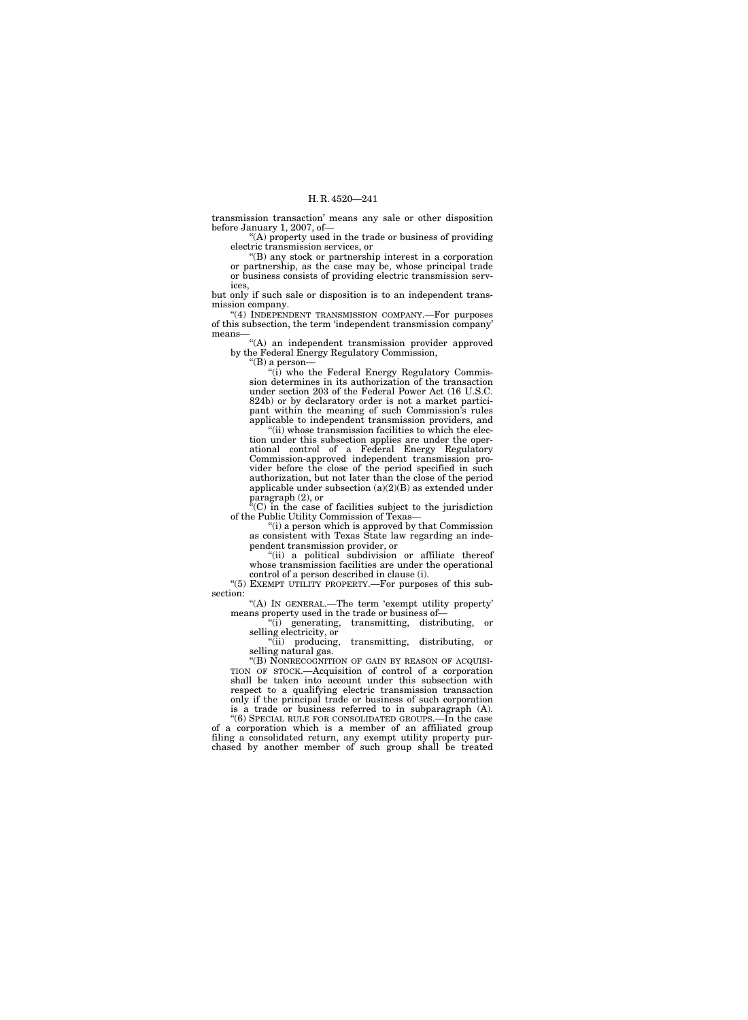transmission transaction' means any sale or other disposition before January 1, 2007, of—

''(A) property used in the trade or business of providing electric transmission services, or

''(B) any stock or partnership interest in a corporation or partnership, as the case may be, whose principal trade or business consists of providing electric transmission services,

but only if such sale or disposition is to an independent transmission company.

"(4) INDEPENDENT TRANSMISSION COMPANY.—For purposes of this subsection, the term 'independent transmission company' means—

''(A) an independent transmission provider approved by the Federal Energy Regulatory Commission,

''(B) a person—

"(i) who the Federal Energy Regulatory Commission determines in its authorization of the transaction under section 203 of the Federal Power Act (16 U.S.C. 824b) or by declaratory order is not a market participant within the meaning of such Commission's rules applicable to independent transmission providers, and

"(ii) whose transmission facilities to which the election under this subsection applies are under the operational control of a Federal Energy Regulatory Commission-approved independent transmission provider before the close of the period specified in such authorization, but not later than the close of the period applicable under subsection  $(a)(2)(B)$  as extended under paragraph (2), or

 $\sqrt{C}$  in the case of facilities subject to the jurisdiction of the Public Utility Commission of Texas—

''(i) a person which is approved by that Commission as consistent with Texas State law regarding an independent transmission provider, or

"(ii) a political subdivision or affiliate thereof whose transmission facilities are under the operational control of a person described in clause (i).

"(5) EXEMPT UTILITY PROPERTY.—For purposes of this subsection:

''(A) IN GENERAL.—The term 'exempt utility property' means property used in the trade or business of—

''(i) generating, transmitting, distributing, or selling electricity, or

''(ii) producing, transmitting, distributing, or selling natural gas.

"(B) NONRECOGNITION OF GAIN BY REASON OF ACQUISI-TION OF STOCK.—Acquisition of control of a corporation shall be taken into account under this subsection with respect to a qualifying electric transmission transaction only if the principal trade or business of such corporation is a trade or business referred to in subparagraph (A).

''(6) SPECIAL RULE FOR CONSOLIDATED GROUPS.—In the case of a corporation which is a member of an affiliated group filing a consolidated return, any exempt utility property purchased by another member of such group shall be treated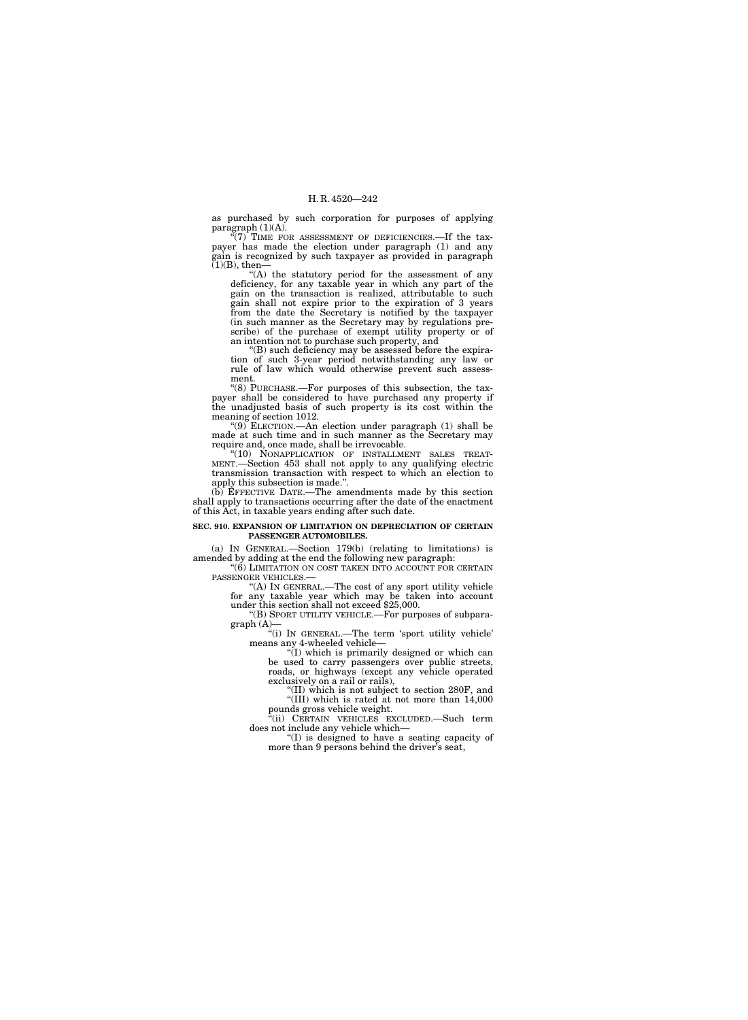as purchased by such corporation for purposes of applying paragraph (1)(A).

" $(7)$  TIME FOR ASSESSMENT OF DEFICIENCIES.—If the taxpayer has made the election under paragraph (1) and any gain is recognized by such taxpayer as provided in paragraph  $(1)(B)$ , then-

"(A) the statutory period for the assessment of any deficiency, for any taxable year in which any part of the gain on the transaction is realized, attributable to such gain shall not expire prior to the expiration of 3 years from the date the Secretary is notified by the taxpayer (in such manner as the Secretary may by regulations prescribe) of the purchase of exempt utility property or of an intention not to purchase such property, and

''(B) such deficiency may be assessed before the expiration of such 3-year period notwithstanding any law or rule of law which would otherwise prevent such assessment.

''(8) PURCHASE.—For purposes of this subsection, the taxpayer shall be considered to have purchased any property if the unadjusted basis of such property is its cost within the meaning of section 1012.

''(9) ELECTION.—An election under paragraph (1) shall be made at such time and in such manner as the Secretary may require and, once made, shall be irrevocable.

"(10) NONAPPLICATION OF INSTALLMENT SALES TREAT-MENT.—Section 453 shall not apply to any qualifying electric transmission transaction with respect to which an election to apply this subsection is made.''.

(b) EFFECTIVE DATE.—The amendments made by this section shall apply to transactions occurring after the date of the enactment of this Act, in taxable years ending after such date.

### **SEC. 910. EXPANSION OF LIMITATION ON DEPRECIATION OF CERTAIN PASSENGER AUTOMOBILES.**

(a) IN GENERAL.—Section  $179(b)$  (relating to limitations) is amended by adding at the end the following new paragraph:

 $\tilde{a}$ (6) LIMITATION ON COST TAKEN INTO ACCOUNT FOR CERTAIN PASSENGER VEHICLES.—

''(A) IN GENERAL.—The cost of any sport utility vehicle for any taxable year which may be taken into account under this section shall not exceed \$25,000.

''(B) SPORT UTILITY VEHICLE.—For purposes of subparagraph (A)—

''(i) IN GENERAL.—The term 'sport utility vehicle' means any 4-wheeled vehicle—

''(I) which is primarily designed or which can be used to carry passengers over public streets, roads, or highways (except any vehicle operated exclusively on a rail or rails),

''(II) which is not subject to section 280F, and ''(III) which is rated at not more than 14,000 pounds gross vehicle weight.

''(ii) CERTAIN VEHICLES EXCLUDED.—Such term

does not include any vehicle which—<br>"(I) is designed to have a seating capacity of more than 9 persons behind the driver's seat,